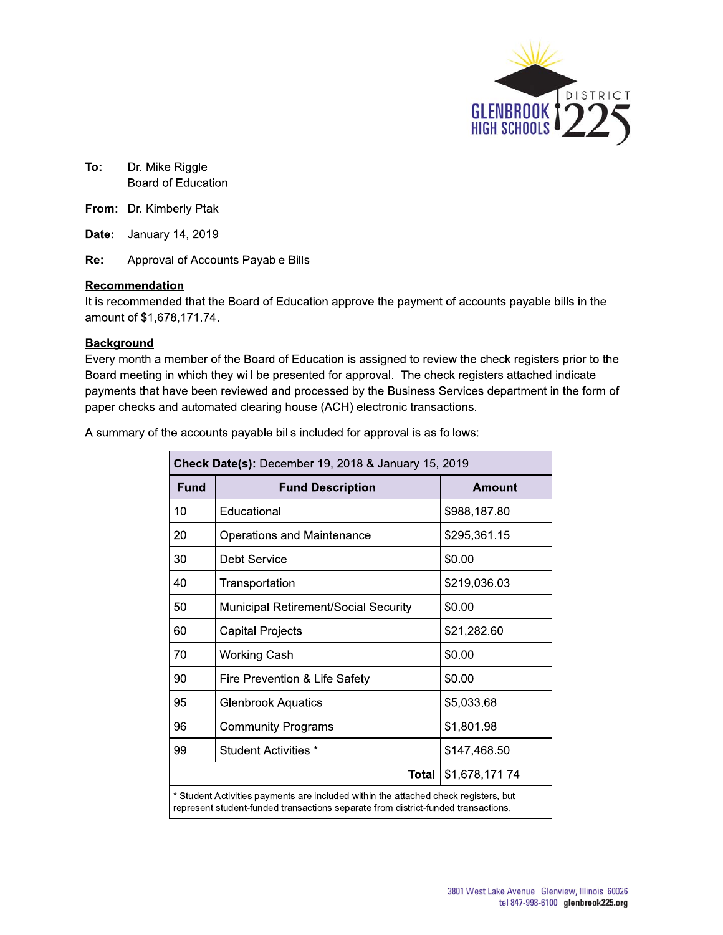

To: **o:** Dr. Mike Riggie Board of Education

**From:** Dr. Kimberly Ptak

Re: Approval of Accounts Payable Bills

#### Recommendation

To: Dr. Mike Riggle<br>Board of Education<br>From: Dr. Kimberly Ptak<br>Date: January 14, 2019<br>Re: Approval of Accounts Payable B<br>Recommendation<br>It is recommended that the Board of Edu<br>amount of \$1,678,171.74.<br>Background It is recommended that the Board of Education approve the payment of accounts payable bills in the amount of \$1,678,171.74.

#### **Background**

From: Dr. Kimberly Ptak<br>
Date: January 14, 2019<br>
Re: Approval of Accounts Payable Bills<br>
Recommendation<br>
It is recommended that the Board of Education<br>
amount of \$1,678,171.74.<br>
Background<br>
Every month a member of the Boar Every month a member of the Board of Education is assigned to review the check registers prior to the Board meeting in which they will be presented for approval. The check registers attached indicate payments that have been reviewed and processed by the Business Services department in the form of paper cnecks and automated clearing nouse (ACH) electronic transactions.

A summary of the accounts payable bills included for approval is as follows:

| <b>Fund</b> | <b>Fund Description</b>                                                                                                                                                  | <b>Amount</b>  |
|-------------|--------------------------------------------------------------------------------------------------------------------------------------------------------------------------|----------------|
| 10          | Educational                                                                                                                                                              | \$988,187.80   |
| 20          | Operations and Maintenance                                                                                                                                               | \$295,361.15   |
| 30          | <b>Debt Service</b>                                                                                                                                                      | \$0.00         |
| 40          | Transportation                                                                                                                                                           | \$219,036.03   |
| 50          | Municipal Retirement/Social Security                                                                                                                                     | \$0.00         |
| 60          | <b>Capital Projects</b>                                                                                                                                                  | \$21,282.60    |
| 70          | <b>Working Cash</b>                                                                                                                                                      | \$0.00         |
| 90          | Fire Prevention & Life Safety                                                                                                                                            | \$0.00         |
| 95          | <b>Glenbrook Aquatics</b>                                                                                                                                                | \$5,033.68     |
| 96          | <b>Community Programs</b>                                                                                                                                                | \$1,801.98     |
| 99          | <b>Student Activities *</b>                                                                                                                                              | \$147,468.50   |
|             | <b>Total</b>                                                                                                                                                             | \$1,678,171.74 |
|             | * Student Activities payments are included within the attached check registers, but<br>represent student-funded transactions separate from district-funded transactions. |                |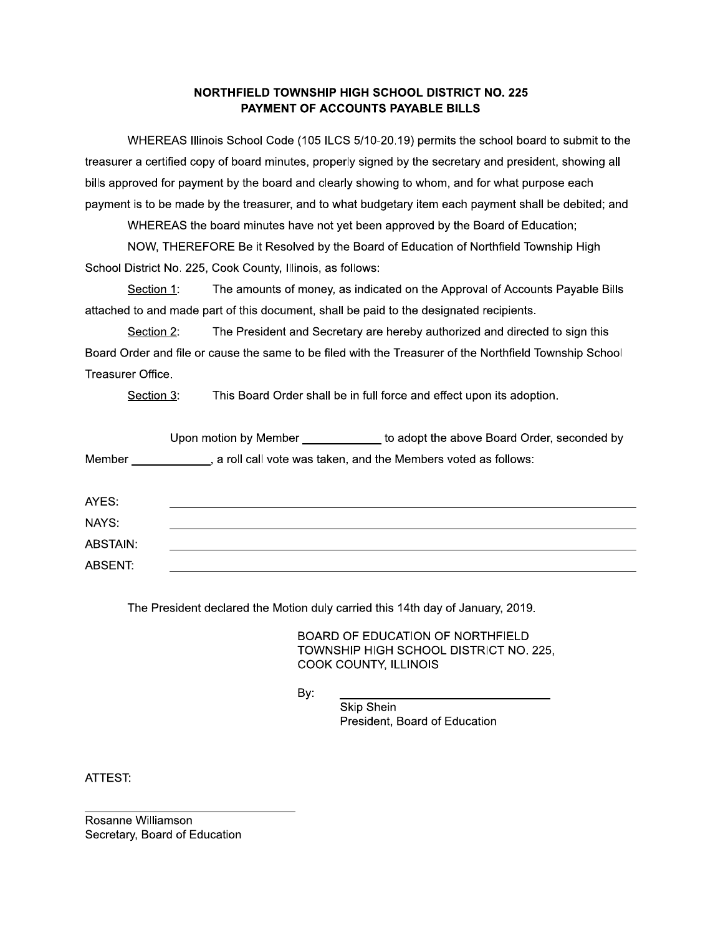#### NORTHFIELD TOWNSHIP HIGH SCHOOL DISTRICT NO. 225 PAYMENT OF ACCOUNTS PAYABLE BILLS

NORTHFIELD TOWNSHIP HIGH SCHOOL DISTRICT NO. 225<br>
PAYMENT OF ACCOUNTS PAYABLE BILLS<br>
WHEREAS Illinois School Code (105 ILCS 5/10-20.19) permits the school board to submit to the<br>
ra certified copy of board minutes, properl treasurer a certified copy of board minutes, properly signed by the secretary and president, showing all bills approved for payment by the board and clearly showing to whom, and for what purpose each payment is to be made by the treasurer, and to what budgetary item each payment shall be debited; and

WHEREAS the board minutes have not yet been approved by the Board of Education;

NOW, THEREFORE Be it Resolved by the Board of Education of Northfield Township High

Section 1: The amounts of money, as indicated on the Approval of Accounts Payable Bills attached to and made part of this document, shall be paid to the designated recipients.

treasurer a certified copy of board minutes, properly signed<br>bills approved for payment by the board and clearly showin<br>payment is to be made by the treasurer, and to what budge<br>WHEREAS the board minutes have not yet been Section 2: The President and Secretary are hereby authorized and directed to sign this Board Order and file or cause the same to be filed with the Treasurer of the Northfield Township School Treasurer Office.

Section 3: This Board Order shall be in full force and effect upon its adoption.

|          |     | Upon motion by Member _____________ to adopt the above Board Order, seconded by                                                                                                                                                      |
|----------|-----|--------------------------------------------------------------------------------------------------------------------------------------------------------------------------------------------------------------------------------------|
|          |     | Member _____________, a roll call vote was taken, and the Members voted as follows:                                                                                                                                                  |
| AYES:    |     |                                                                                                                                                                                                                                      |
| NAYS:    |     |                                                                                                                                                                                                                                      |
| ABSTAIN: |     |                                                                                                                                                                                                                                      |
| ABSENT:  |     |                                                                                                                                                                                                                                      |
|          | By: | The President declared the Motion duly carried this 14th day of January, 2019.<br>BOARD OF EDUCATION OF NORTHFIELD<br>TOWNSHIP HIGH SCHOOL DISTRICT NO. 225,<br>COOK COUNTY, ILLINOIS<br>Skip Shein<br>President, Board of Education |

otion duly carried this 14th day of January, 2019.<br>
BOARD OF EDUCATION OF NORTHFIELD<br>
TOWNSHIP HIGH SCHOOL DISTRICT NO. 225,<br>
COOK COUNTY, ILLINOIS<br>
By:<br>
Skip Shein<br>
President, Board of Education dent declared the Motion duly carried this 14th day of<br>
BOARD OF EDUCATION OF<br>
TOWNSHIP HIGH SCHOOL I<br>
COOK COUNTY, ILLINOIS<br>
By:<br>
Skip Shein<br>
President, Board of Equation

ATTEST:

PPPPPPPPPPPPPPPPPPPPPPPPPPPPPPPP #\$:"")! !:7\$#" Secretary, Board of Education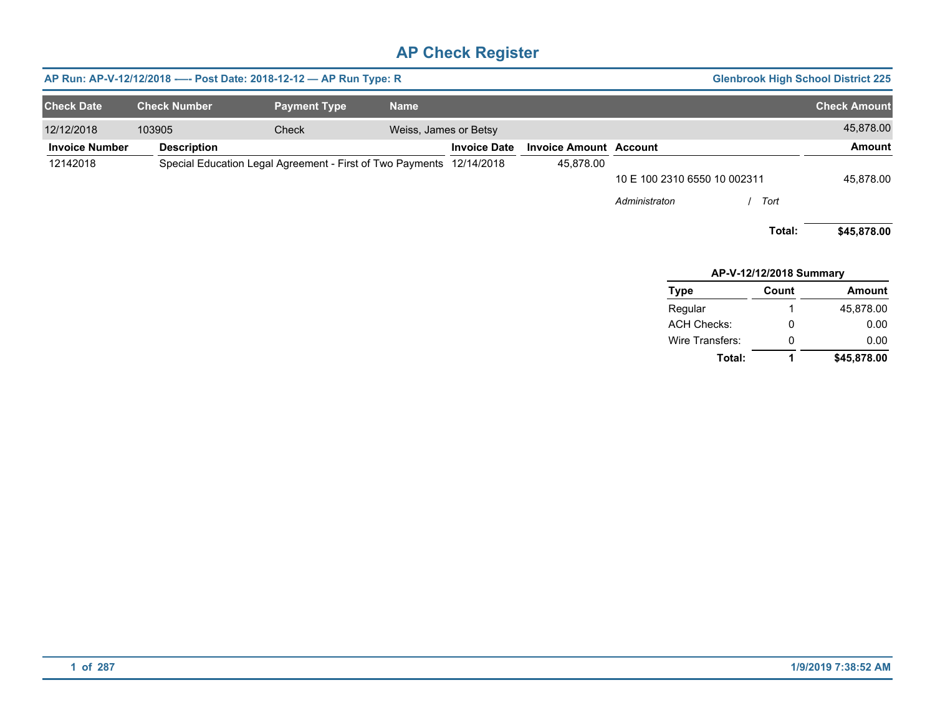|                       |                     | AP Run: AP-V-12/12/2018 ---- Post Date: 2018-12-12 - AP Run Type: R  |                       |                     |                               |                              | <b>Glenbrook High School District 225</b> |                     |
|-----------------------|---------------------|----------------------------------------------------------------------|-----------------------|---------------------|-------------------------------|------------------------------|-------------------------------------------|---------------------|
| <b>Check Date</b>     | <b>Check Number</b> | <b>Payment Type</b>                                                  | <b>Name</b>           |                     |                               |                              |                                           | <b>Check Amount</b> |
| 12/12/2018            | 103905              | Check                                                                | Weiss, James or Betsy |                     |                               |                              |                                           | 45,878.00           |
| <b>Invoice Number</b> | <b>Description</b>  |                                                                      |                       | <b>Invoice Date</b> | <b>Invoice Amount Account</b> |                              |                                           | <b>Amount</b>       |
| 12142018              |                     | Special Education Legal Agreement - First of Two Payments 12/14/2018 |                       |                     | 45,878.00                     |                              |                                           |                     |
|                       |                     |                                                                      |                       |                     |                               | 10 E 100 2310 6550 10 002311 |                                           | 45,878.00           |
|                       |                     |                                                                      |                       |                     |                               | Administraton                | Tort                                      |                     |
|                       |                     |                                                                      |                       |                     |                               |                              | Total:                                    | \$45,878.00         |
|                       |                     |                                                                      |                       |                     |                               |                              | <b>AP-V-12/12/2018 Summary</b>            |                     |

| <b>Type</b>        | Count | Amount      |  |  |  |  |  |  |
|--------------------|-------|-------------|--|--|--|--|--|--|
| Regular            | 1     | 45,878.00   |  |  |  |  |  |  |
| <b>ACH Checks:</b> | 0     | 0.00        |  |  |  |  |  |  |
| Wire Transfers:    | 0     | 0.00        |  |  |  |  |  |  |
| Total:             |       | \$45,878.00 |  |  |  |  |  |  |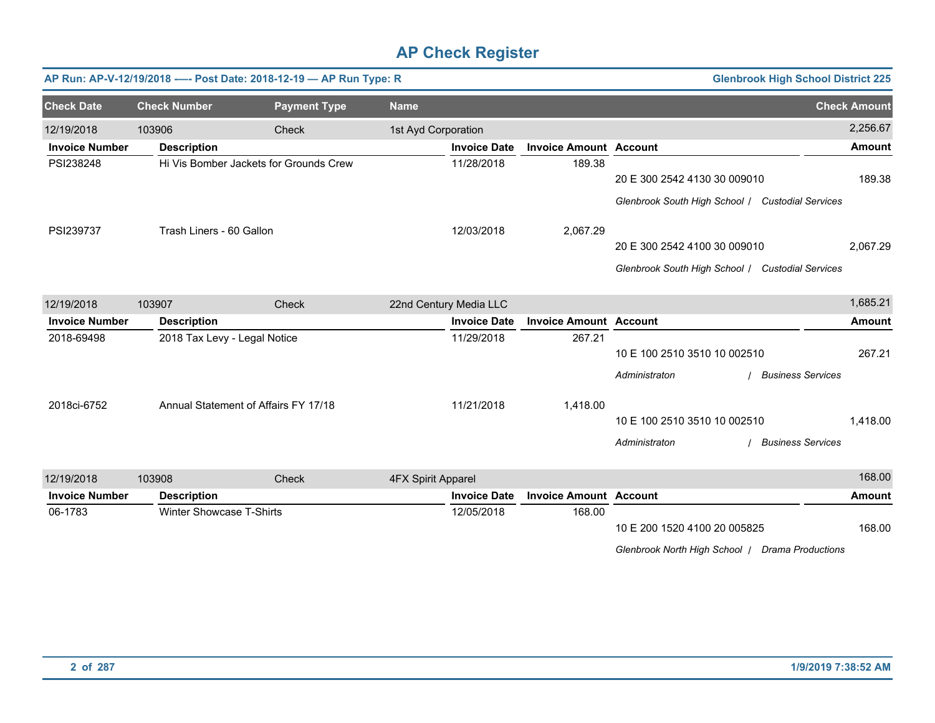|                       |                                 | AP Run: AP-V-12/19/2018 ---- Post Date: 2018-12-19 - AP Run Type: R |                           |                     |                               |                                                  | <b>Glenbrook High School District 225</b> |                     |
|-----------------------|---------------------------------|---------------------------------------------------------------------|---------------------------|---------------------|-------------------------------|--------------------------------------------------|-------------------------------------------|---------------------|
| <b>Check Date</b>     | <b>Check Number</b>             | <b>Payment Type</b>                                                 | <b>Name</b>               |                     |                               |                                                  |                                           | <b>Check Amount</b> |
| 12/19/2018            | 103906                          | <b>Check</b>                                                        | 1st Ayd Corporation       |                     |                               |                                                  |                                           | 2,256.67            |
| <b>Invoice Number</b> | <b>Description</b>              |                                                                     |                           | <b>Invoice Date</b> | <b>Invoice Amount Account</b> |                                                  |                                           | <b>Amount</b>       |
| PSI238248             |                                 | Hi Vis Bomber Jackets for Grounds Crew                              |                           | 11/28/2018          | 189.38                        |                                                  |                                           |                     |
|                       |                                 |                                                                     |                           |                     |                               | 20 E 300 2542 4130 30 009010                     |                                           | 189.38              |
|                       |                                 |                                                                     |                           |                     |                               | Glenbrook South High School / Custodial Services |                                           |                     |
| PSI239737             |                                 | Trash Liners - 60 Gallon                                            |                           | 12/03/2018          | 2,067.29                      |                                                  |                                           |                     |
|                       |                                 |                                                                     |                           |                     |                               | 20 E 300 2542 4100 30 009010                     |                                           | 2,067.29            |
|                       |                                 |                                                                     |                           |                     |                               | Glenbrook South High School / Custodial Services |                                           |                     |
| 12/19/2018            | 103907                          | Check                                                               | 22nd Century Media LLC    |                     |                               |                                                  |                                           | 1,685.21            |
| <b>Invoice Number</b> | <b>Description</b>              |                                                                     |                           | <b>Invoice Date</b> | <b>Invoice Amount Account</b> |                                                  |                                           | <b>Amount</b>       |
| 2018-69498            | 2018 Tax Levy - Legal Notice    |                                                                     | 11/29/2018                | 267.21              |                               |                                                  |                                           |                     |
|                       |                                 |                                                                     |                           |                     |                               |                                                  | 10 E 100 2510 3510 10 002510              |                     |
|                       |                                 |                                                                     |                           |                     |                               | Administraton                                    | <b>Business Services</b>                  |                     |
| 2018ci-6752           |                                 | Annual Statement of Affairs FY 17/18                                |                           | 11/21/2018          | 1,418.00                      |                                                  |                                           |                     |
|                       |                                 |                                                                     |                           |                     |                               | 10 E 100 2510 3510 10 002510                     |                                           | 1,418.00            |
|                       |                                 |                                                                     |                           |                     |                               | Administraton                                    | <b>Business Services</b>                  |                     |
| 12/19/2018            | 103908                          | Check                                                               | <b>4FX Spirit Apparel</b> |                     |                               |                                                  |                                           | 168.00              |
| <b>Invoice Number</b> | <b>Description</b>              |                                                                     |                           | <b>Invoice Date</b> | <b>Invoice Amount Account</b> |                                                  |                                           | <b>Amount</b>       |
| 06-1783               | <b>Winter Showcase T-Shirts</b> |                                                                     |                           | 12/05/2018          | 168.00                        |                                                  |                                           |                     |
|                       |                                 |                                                                     |                           |                     |                               | 10 E 200 1520 4100 20 005825                     |                                           | 168.00              |
|                       |                                 |                                                                     |                           |                     |                               | Glenbrook North High School   Drama Productions  |                                           |                     |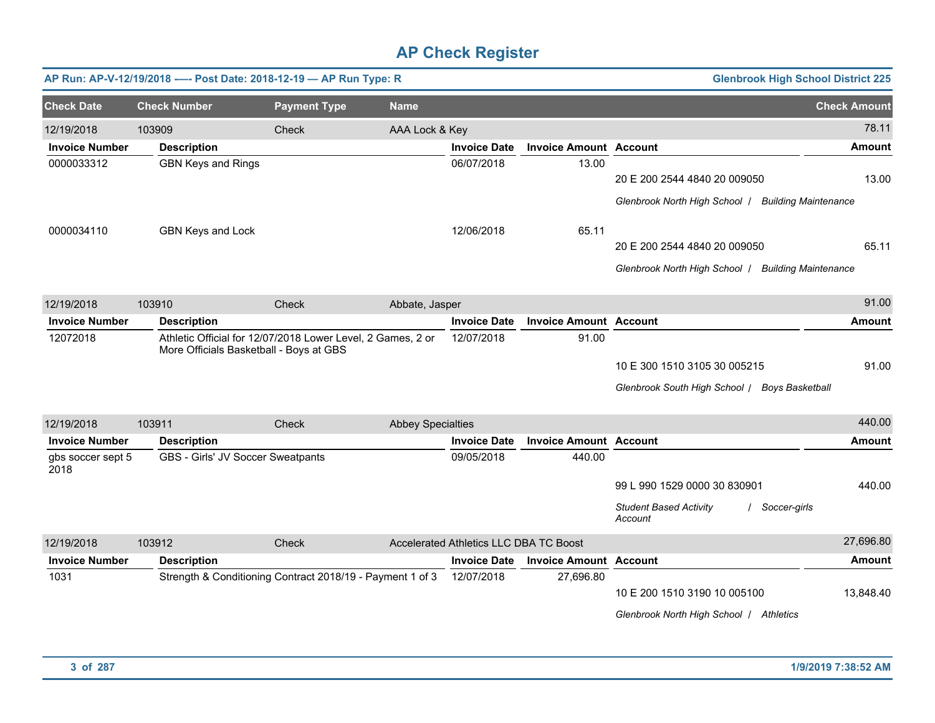|                           | AP Run: AP-V-12/19/2018 ---- Post Date: 2018-12-19 - AP Run Type: R |                                                             |                          |                                        |                               | <b>Glenbrook High School District 225</b>                                                |                     |
|---------------------------|---------------------------------------------------------------------|-------------------------------------------------------------|--------------------------|----------------------------------------|-------------------------------|------------------------------------------------------------------------------------------|---------------------|
| <b>Check Date</b>         | <b>Check Number</b>                                                 | <b>Payment Type</b>                                         | <b>Name</b>              |                                        |                               |                                                                                          | <b>Check Amount</b> |
| 12/19/2018                | 103909                                                              | Check                                                       | AAA Lock & Key           |                                        |                               |                                                                                          | 78.11               |
| <b>Invoice Number</b>     | <b>Description</b>                                                  |                                                             |                          | <b>Invoice Date</b>                    | <b>Invoice Amount Account</b> |                                                                                          | <b>Amount</b>       |
| 0000033312                | <b>GBN Keys and Rings</b>                                           |                                                             |                          | 06/07/2018                             | 13.00                         | 20 E 200 2544 4840 20 009050                                                             | 13.00               |
|                           |                                                                     |                                                             |                          |                                        |                               | Glenbrook North High School   Building Maintenance                                       |                     |
| 0000034110                | GBN Keys and Lock                                                   |                                                             |                          | 12/06/2018                             | 65.11                         | 20 E 200 2544 4840 20 009050                                                             | 65.11               |
|                           |                                                                     |                                                             |                          |                                        |                               | Glenbrook North High School   Building Maintenance                                       |                     |
| 12/19/2018                | 103910                                                              | <b>Check</b>                                                | Abbate, Jasper           |                                        |                               |                                                                                          | 91.00               |
| <b>Invoice Number</b>     | <b>Description</b>                                                  |                                                             |                          | <b>Invoice Date</b>                    | <b>Invoice Amount Account</b> |                                                                                          | <b>Amount</b>       |
| 12072018                  | More Officials Basketball - Boys at GBS                             | Athletic Official for 12/07/2018 Lower Level, 2 Games, 2 or |                          | 12/07/2018                             | 91.00                         | 10 E 300 1510 3105 30 005215<br>Glenbrook South High School   Boys Basketball            | 91.00               |
| 12/19/2018                | 103911                                                              | Check                                                       | <b>Abbey Specialties</b> |                                        |                               |                                                                                          | 440.00              |
| <b>Invoice Number</b>     | <b>Description</b>                                                  |                                                             |                          | <b>Invoice Date</b>                    | <b>Invoice Amount Account</b> |                                                                                          | <b>Amount</b>       |
| gbs soccer sept 5<br>2018 | GBS - Girls' JV Soccer Sweatpants                                   |                                                             |                          | 09/05/2018                             | 440.00                        | 99 L 990 1529 0000 30 830901<br><b>Student Based Activity</b><br>Soccer-girls<br>Account | 440.00              |
| 12/19/2018                | 103912                                                              | Check                                                       |                          | Accelerated Athletics LLC DBA TC Boost |                               |                                                                                          | 27,696.80           |
| <b>Invoice Number</b>     | <b>Description</b>                                                  |                                                             |                          | <b>Invoice Date</b>                    | <b>Invoice Amount Account</b> |                                                                                          | <b>Amount</b>       |
| 1031                      |                                                                     | Strength & Conditioning Contract 2018/19 - Payment 1 of 3   |                          | 12/07/2018                             | 27,696.80                     | 10 E 200 1510 3190 10 005100<br>Glenbrook North High School / Athletics                  | 13,848.40           |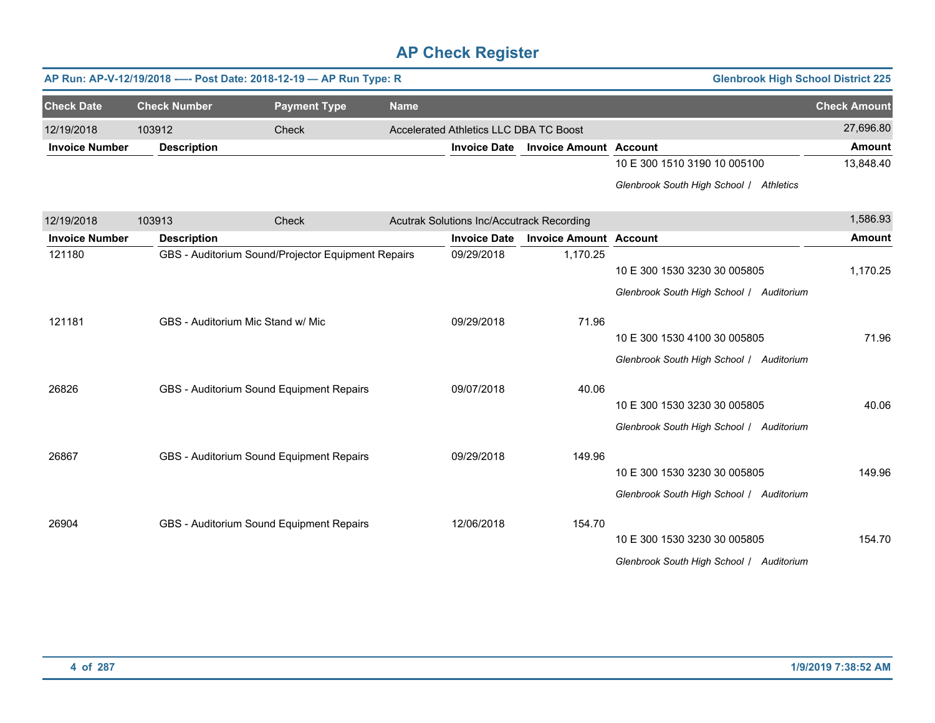|                       |                     | AP Run: AP-V-12/19/2018 ---- Post Date: 2018-12-19 - AP Run Type: R |             |                                           |                               | <b>Glenbrook High School District 225</b> |                     |
|-----------------------|---------------------|---------------------------------------------------------------------|-------------|-------------------------------------------|-------------------------------|-------------------------------------------|---------------------|
| <b>Check Date</b>     | <b>Check Number</b> | <b>Payment Type</b>                                                 | <b>Name</b> |                                           |                               |                                           | <b>Check Amount</b> |
| 12/19/2018            | 103912              | Check                                                               |             | Accelerated Athletics LLC DBA TC Boost    |                               |                                           | 27,696.80           |
| <b>Invoice Number</b> | <b>Description</b>  |                                                                     |             | <b>Invoice Date</b>                       | <b>Invoice Amount Account</b> |                                           | <b>Amount</b>       |
|                       |                     |                                                                     |             |                                           |                               | 10 E 300 1510 3190 10 005100              | 13,848.40           |
|                       |                     |                                                                     |             |                                           |                               | Glenbrook South High School / Athletics   |                     |
| 12/19/2018            | 103913              | Check                                                               |             | Acutrak Solutions Inc/Accutrack Recording |                               |                                           | 1,586.93            |
| <b>Invoice Number</b> | <b>Description</b>  |                                                                     |             | <b>Invoice Date</b>                       | <b>Invoice Amount Account</b> |                                           | <b>Amount</b>       |
| 121180                |                     | GBS - Auditorium Sound/Projector Equipment Repairs                  |             | 09/29/2018                                | 1,170.25                      |                                           |                     |
|                       |                     |                                                                     |             |                                           |                               | 10 E 300 1530 3230 30 005805              | 1,170.25            |
|                       |                     |                                                                     |             |                                           |                               | Glenbrook South High School / Auditorium  |                     |
| 121181                |                     | GBS - Auditorium Mic Stand w/ Mic                                   |             | 09/29/2018                                | 71.96                         |                                           |                     |
|                       |                     |                                                                     |             |                                           |                               | 10 E 300 1530 4100 30 005805              | 71.96               |
|                       |                     |                                                                     |             |                                           |                               | Glenbrook South High School / Auditorium  |                     |
| 26826                 |                     | GBS - Auditorium Sound Equipment Repairs                            |             | 09/07/2018                                | 40.06                         |                                           |                     |
|                       |                     |                                                                     |             |                                           |                               | 10 E 300 1530 3230 30 005805              | 40.06               |
|                       |                     |                                                                     |             |                                           |                               | Glenbrook South High School / Auditorium  |                     |
| 26867                 |                     | GBS - Auditorium Sound Equipment Repairs                            |             | 09/29/2018                                | 149.96                        |                                           |                     |
|                       |                     |                                                                     |             |                                           |                               | 10 E 300 1530 3230 30 005805              | 149.96              |
|                       |                     |                                                                     |             |                                           |                               | Glenbrook South High School / Auditorium  |                     |
| 26904                 |                     | GBS - Auditorium Sound Equipment Repairs                            |             | 12/06/2018                                | 154.70                        |                                           |                     |
|                       |                     |                                                                     |             |                                           |                               | 10 E 300 1530 3230 30 005805              | 154.70              |
|                       |                     |                                                                     |             |                                           |                               | Glenbrook South High School / Auditorium  |                     |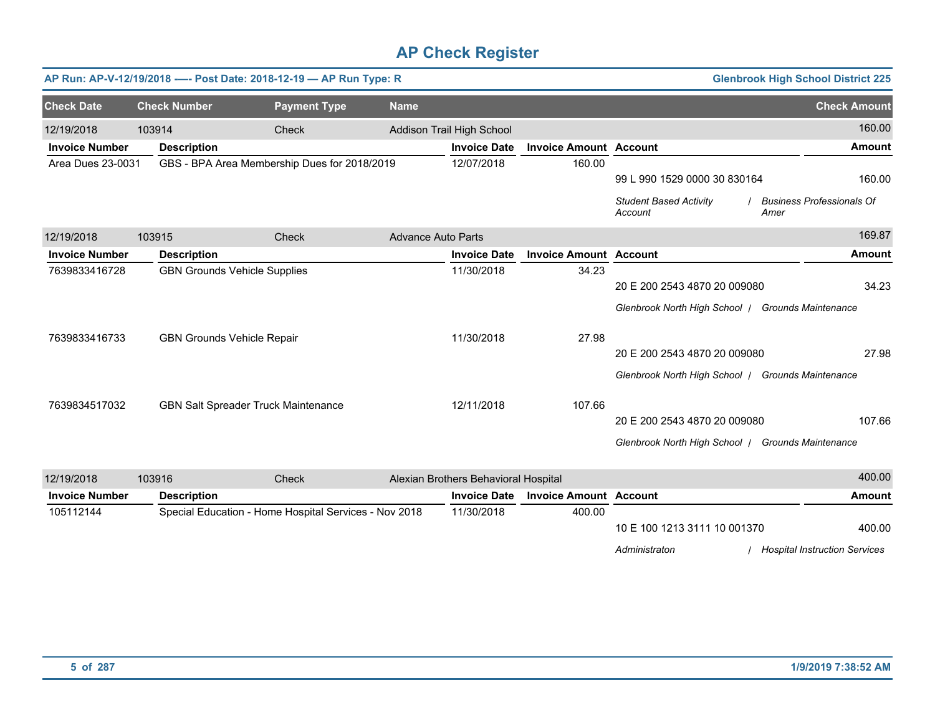| AP Run: AP-V-12/19/2018 ---- Post Date: 2018-12-19 - AP Run Type: R      |                     |                                     |                                                       |                           |                                      |                               |                                                   | <b>Glenbrook High School District 225</b> |
|--------------------------------------------------------------------------|---------------------|-------------------------------------|-------------------------------------------------------|---------------------------|--------------------------------------|-------------------------------|---------------------------------------------------|-------------------------------------------|
| <b>Check Date</b>                                                        | <b>Check Number</b> |                                     | <b>Payment Type</b>                                   | <b>Name</b>               |                                      |                               |                                                   | <b>Check Amount</b>                       |
| 12/19/2018                                                               | 103914              |                                     | Check                                                 |                           | Addison Trail High School            |                               |                                                   | 160.00                                    |
| <b>Invoice Number</b>                                                    | <b>Description</b>  |                                     |                                                       |                           | <b>Invoice Date</b>                  | <b>Invoice Amount Account</b> |                                                   | <b>Amount</b>                             |
| <b>Area Dues 23-0031</b><br>GBS - BPA Area Membership Dues for 2018/2019 |                     |                                     | 12/07/2018                                            | 160.00                    |                                      |                               |                                                   |                                           |
|                                                                          |                     |                                     |                                                       |                           |                                      |                               | 99 L 990 1529 0000 30 830164                      | 160.00                                    |
|                                                                          |                     |                                     |                                                       |                           |                                      |                               | <b>Student Based Activity</b><br>Account          | <b>Business Professionals Of</b><br>Amer  |
| 12/19/2018                                                               | 103915              |                                     | Check                                                 | <b>Advance Auto Parts</b> |                                      |                               |                                                   | 169.87                                    |
| <b>Invoice Number</b>                                                    | <b>Description</b>  |                                     |                                                       |                           | <b>Invoice Date</b>                  | <b>Invoice Amount Account</b> |                                                   | <b>Amount</b>                             |
| 7639833416728                                                            |                     | <b>GBN Grounds Vehicle Supplies</b> |                                                       |                           | 11/30/2018                           | 34.23                         |                                                   |                                           |
|                                                                          |                     |                                     |                                                       |                           |                                      |                               | 20 E 200 2543 4870 20 009080                      | 34.23                                     |
|                                                                          |                     |                                     |                                                       |                           |                                      |                               | Glenbrook North High School   Grounds Maintenance |                                           |
| 7639833416733                                                            |                     | <b>GBN Grounds Vehicle Repair</b>   |                                                       |                           | 11/30/2018<br>27.98                  |                               |                                                   |                                           |
|                                                                          |                     |                                     |                                                       |                           |                                      |                               | 20 E 200 2543 4870 20 009080                      | 27.98                                     |
|                                                                          |                     |                                     |                                                       |                           |                                      |                               | Glenbrook North High School   Grounds Maintenance |                                           |
| 7639834517032                                                            |                     | GBN Salt Spreader Truck Maintenance |                                                       |                           | 12/11/2018                           | 107.66                        |                                                   |                                           |
|                                                                          |                     |                                     |                                                       |                           |                                      |                               | 20 E 200 2543 4870 20 009080                      | 107.66                                    |
|                                                                          |                     |                                     |                                                       |                           |                                      |                               | Glenbrook North High School / Grounds Maintenance |                                           |
| 12/19/2018                                                               | 103916              |                                     | Check                                                 |                           | Alexian Brothers Behavioral Hospital |                               |                                                   | 400.00                                    |
| <b>Invoice Number</b>                                                    | <b>Description</b>  |                                     |                                                       |                           | <b>Invoice Date</b>                  | <b>Invoice Amount Account</b> |                                                   | <b>Amount</b>                             |
| 105112144                                                                |                     |                                     | Special Education - Home Hospital Services - Nov 2018 |                           | 11/30/2018                           | 400.00                        |                                                   |                                           |
|                                                                          |                     |                                     |                                                       |                           |                                      |                               | 10 E 100 1213 3111 10 001370                      | 400.00                                    |
|                                                                          |                     |                                     |                                                       |                           |                                      |                               | Administraton                                     | / Hospital Instruction Services           |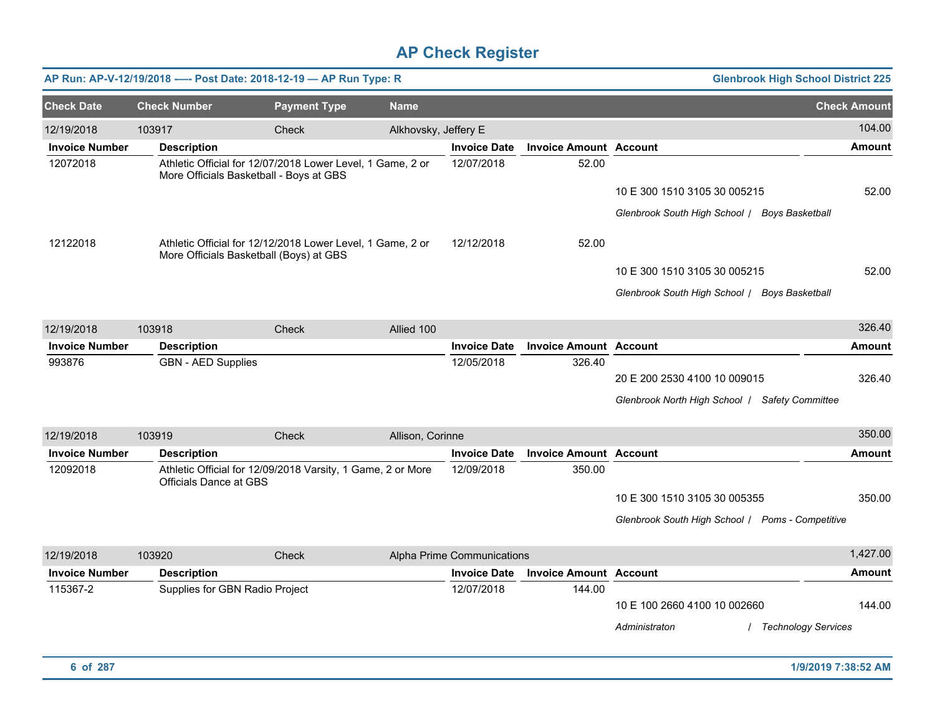|                       |                               | AP Run: AP-V-12/19/2018 ---- Post Date: 2018-12-19 -- AP Run Type: R                                  |                      |                            |                               |                                                  | <b>Glenbrook High School District 225</b> |
|-----------------------|-------------------------------|-------------------------------------------------------------------------------------------------------|----------------------|----------------------------|-------------------------------|--------------------------------------------------|-------------------------------------------|
| <b>Check Date</b>     | <b>Check Number</b>           | <b>Payment Type</b>                                                                                   | <b>Name</b>          |                            |                               |                                                  | <b>Check Amount</b>                       |
| 12/19/2018            | 103917                        | Check                                                                                                 | Alkhovsky, Jeffery E |                            |                               |                                                  | 104.00                                    |
| <b>Invoice Number</b> | <b>Description</b>            |                                                                                                       |                      | <b>Invoice Date</b>        | <b>Invoice Amount Account</b> |                                                  | <b>Amount</b>                             |
| 12072018              |                               | Athletic Official for 12/07/2018 Lower Level, 1 Game, 2 or<br>More Officials Basketball - Boys at GBS |                      | 12/07/2018                 | 52.00                         |                                                  |                                           |
|                       |                               |                                                                                                       |                      |                            |                               | 10 E 300 1510 3105 30 005215                     | 52.00                                     |
|                       |                               |                                                                                                       |                      |                            |                               | Glenbrook South High School / Boys Basketball    |                                           |
| 12122018              |                               | Athletic Official for 12/12/2018 Lower Level, 1 Game, 2 or<br>More Officials Basketball (Boys) at GBS |                      | 12/12/2018                 | 52.00                         |                                                  |                                           |
|                       |                               |                                                                                                       |                      |                            |                               | 10 E 300 1510 3105 30 005215                     | 52.00                                     |
|                       |                               |                                                                                                       |                      |                            |                               | Glenbrook South High School / Boys Basketball    |                                           |
| 12/19/2018            | 103918                        | Check                                                                                                 | Allied 100           |                            |                               |                                                  | 326.40                                    |
| <b>Invoice Number</b> | <b>Description</b>            |                                                                                                       |                      | <b>Invoice Date</b>        | <b>Invoice Amount Account</b> |                                                  | <b>Amount</b>                             |
| 993876                | <b>GBN - AED Supplies</b>     |                                                                                                       |                      | 12/05/2018                 | 326.40                        | 20 E 200 2530 4100 10 009015                     | 326.40                                    |
|                       |                               |                                                                                                       |                      |                            |                               | Glenbrook North High School   Safety Committee   |                                           |
|                       |                               |                                                                                                       |                      |                            |                               |                                                  |                                           |
| 12/19/2018            | 103919                        | Check                                                                                                 | Allison, Corinne     |                            |                               |                                                  | 350.00                                    |
| <b>Invoice Number</b> | <b>Description</b>            |                                                                                                       |                      | <b>Invoice Date</b>        | <b>Invoice Amount Account</b> |                                                  | <b>Amount</b>                             |
| 12092018              | <b>Officials Dance at GBS</b> | Athletic Official for 12/09/2018 Varsity, 1 Game, 2 or More                                           |                      | 12/09/2018                 | 350.00                        |                                                  |                                           |
|                       |                               |                                                                                                       |                      |                            |                               | 10 E 300 1510 3105 30 005355                     | 350.00                                    |
|                       |                               |                                                                                                       |                      |                            |                               | Glenbrook South High School   Poms - Competitive |                                           |
| 12/19/2018            | 103920                        | Check                                                                                                 |                      | Alpha Prime Communications |                               |                                                  | 1,427.00                                  |
| <b>Invoice Number</b> | <b>Description</b>            |                                                                                                       |                      | <b>Invoice Date</b>        | <b>Invoice Amount</b>         | <b>Account</b>                                   | <b>Amount</b>                             |
| 115367-2              |                               | Supplies for GBN Radio Project                                                                        |                      | 12/07/2018                 | 144.00                        | 10 E 100 2660 4100 10 002660                     | 144.00                                    |
|                       |                               |                                                                                                       |                      |                            |                               | Administraton                                    | <b>Technology Services</b>                |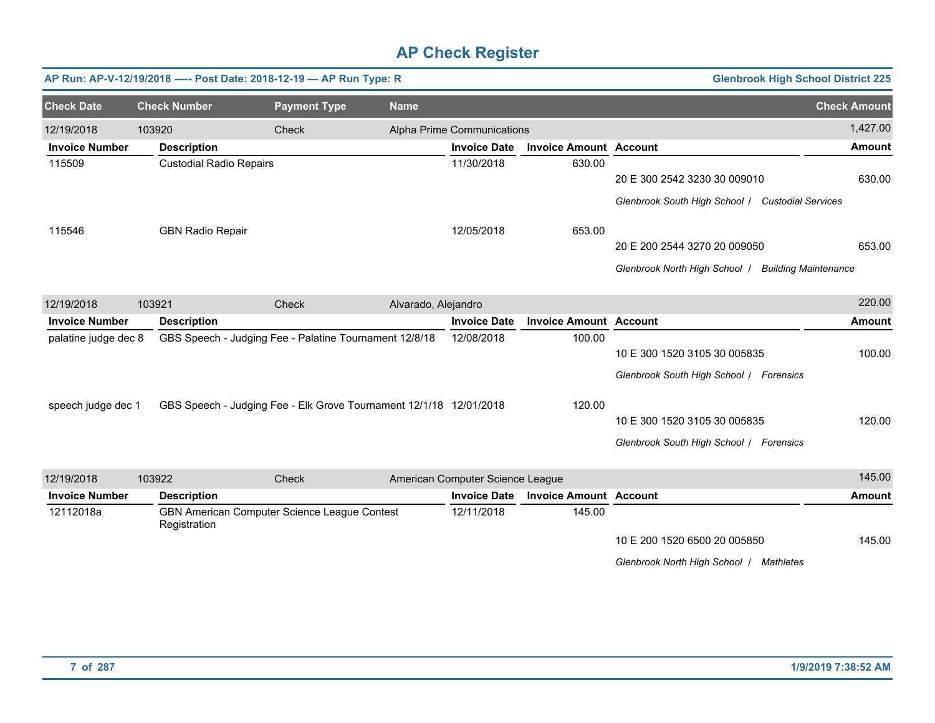|                       |                                | AP Run: AP-V-12/19/2018 ---- Post Date: 2018-12-19 - AP Run Type: R |                     |                                  |                               |                                                    | <b>Glenbrook High School District 225</b> |
|-----------------------|--------------------------------|---------------------------------------------------------------------|---------------------|----------------------------------|-------------------------------|----------------------------------------------------|-------------------------------------------|
| <b>Check Date</b>     | <b>Check Number</b>            | <b>Payment Type</b>                                                 | <b>Name</b>         |                                  |                               |                                                    | <b>Check Amount</b>                       |
| 12/19/2018            | 103920                         | Check                                                               |                     | Alpha Prime Communications       |                               |                                                    | 1,427.00                                  |
| <b>Invoice Number</b> | <b>Description</b>             |                                                                     |                     | <b>Invoice Date</b>              | <b>Invoice Amount Account</b> |                                                    | <b>Amount</b>                             |
| 115509                | <b>Custodial Radio Repairs</b> |                                                                     |                     | 11/30/2018                       | 630.00                        |                                                    |                                           |
|                       |                                |                                                                     |                     |                                  |                               | 20 E 300 2542 3230 30 009010                       | 630.00                                    |
|                       |                                |                                                                     |                     |                                  |                               | Glenbrook South High School / Custodial Services   |                                           |
| 115546                | <b>GBN Radio Repair</b>        |                                                                     |                     | 12/05/2018                       | 653.00                        |                                                    |                                           |
|                       |                                |                                                                     |                     |                                  |                               | 20 E 200 2544 3270 20 009050                       | 653.00                                    |
|                       |                                |                                                                     |                     |                                  |                               | Glenbrook North High School   Building Maintenance |                                           |
| 12/19/2018            | 103921                         | Check                                                               | Alvarado, Alejandro |                                  |                               |                                                    | 220.00                                    |
| <b>Invoice Number</b> | <b>Description</b>             |                                                                     |                     | <b>Invoice Date</b>              | <b>Invoice Amount Account</b> |                                                    | <b>Amount</b>                             |
| palatine judge dec 8  |                                | GBS Speech - Judging Fee - Palatine Tournament 12/8/18              |                     |                                  | 100.00                        |                                                    |                                           |
|                       |                                |                                                                     |                     |                                  |                               | 10 E 300 1520 3105 30 005835                       | 100.00                                    |
|                       |                                |                                                                     |                     |                                  |                               | Glenbrook South High School / Forensics            |                                           |
| speech judge dec 1    |                                | GBS Speech - Judging Fee - Elk Grove Tournament 12/1/18 12/01/2018  |                     |                                  | 120.00                        |                                                    |                                           |
|                       |                                |                                                                     |                     |                                  |                               | 10 E 300 1520 3105 30 005835                       | 120.00                                    |
|                       |                                |                                                                     |                     |                                  |                               | Glenbrook South High School / Forensics            |                                           |
| 12/19/2018            | 103922                         | Check                                                               |                     | American Computer Science League |                               |                                                    | 145.00                                    |
| <b>Invoice Number</b> | <b>Description</b>             |                                                                     |                     | <b>Invoice Date</b>              | <b>Invoice Amount Account</b> |                                                    | <b>Amount</b>                             |
| 12112018a             | Registration                   | GBN American Computer Science League Contest                        |                     |                                  | 145.00                        |                                                    |                                           |
|                       |                                |                                                                     |                     |                                  |                               | 10 E 200 1520 6500 20 005850                       | 145.00                                    |
|                       |                                |                                                                     |                     |                                  |                               | Glenbrook North High School / Mathletes            |                                           |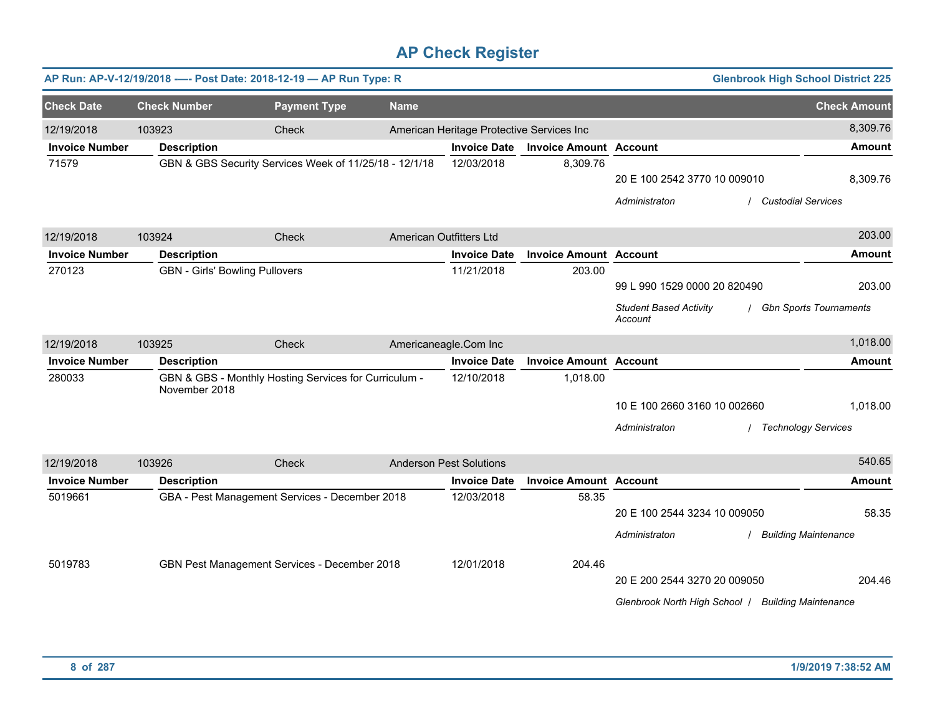|                       |                                       | AP Run: AP-V-12/19/2018 ---- Post Date: 2018-12-19 - AP Run Type: R |                         |                                           |                               |                                                                                    | <b>Glenbrook High School District 225</b> |                                      |
|-----------------------|---------------------------------------|---------------------------------------------------------------------|-------------------------|-------------------------------------------|-------------------------------|------------------------------------------------------------------------------------|-------------------------------------------|--------------------------------------|
| <b>Check Date</b>     | <b>Check Number</b>                   | <b>Payment Type</b>                                                 | <b>Name</b>             |                                           |                               |                                                                                    |                                           | <b>Check Amount</b>                  |
| 12/19/2018            | 103923                                | Check                                                               |                         | American Heritage Protective Services Inc |                               |                                                                                    |                                           | 8,309.76                             |
| <b>Invoice Number</b> | <b>Description</b>                    |                                                                     |                         | <b>Invoice Date</b>                       | <b>Invoice Amount Account</b> |                                                                                    |                                           | <b>Amount</b>                        |
| 71579                 |                                       | GBN & GBS Security Services Week of 11/25/18 - 12/1/18              |                         | 12/03/2018                                | 8,309.76                      | 20 E 100 2542 3770 10 009010<br>Administraton                                      | <b>Custodial Services</b>                 | 8,309.76                             |
| 12/19/2018            | 103924                                | Check                                                               | American Outfitters Ltd |                                           |                               |                                                                                    |                                           | 203.00                               |
| <b>Invoice Number</b> | <b>Description</b>                    |                                                                     |                         | <b>Invoice Date</b>                       | <b>Invoice Amount Account</b> |                                                                                    |                                           | <b>Amount</b>                        |
| 270123                | <b>GBN - Girls' Bowling Pullovers</b> |                                                                     |                         | 11/21/2018                                | 203.00                        | 99 L 990 1529 0000 20 820490<br><b>Student Based Activity</b><br>Account           |                                           | 203.00<br>/ Gbn Sports Tournaments   |
| 12/19/2018            | 103925                                | Check                                                               |                         | Americaneagle.Com Inc                     |                               |                                                                                    |                                           | 1,018.00                             |
| <b>Invoice Number</b> | <b>Description</b>                    |                                                                     |                         | <b>Invoice Date</b>                       | <b>Invoice Amount Account</b> |                                                                                    |                                           | <b>Amount</b>                        |
| 280033                | November 2018                         | GBN & GBS - Monthly Hosting Services for Curriculum -               |                         | 12/10/2018                                | 1,018.00                      | 10 E 100 2660 3160 10 002660<br>Administraton                                      | / Technology Services                     | 1,018.00                             |
| 12/19/2018            | 103926                                | Check                                                               |                         | <b>Anderson Pest Solutions</b>            |                               |                                                                                    |                                           | 540.65                               |
| <b>Invoice Number</b> | <b>Description</b>                    |                                                                     |                         | <b>Invoice Date</b>                       | <b>Invoice Amount Account</b> |                                                                                    |                                           | <b>Amount</b>                        |
| 5019661               |                                       | GBA - Pest Management Services - December 2018                      |                         | 12/03/2018                                | 58.35                         | 20 E 100 2544 3234 10 009050<br>Administraton                                      |                                           | 58.35<br><b>Building Maintenance</b> |
| 5019783               |                                       | GBN Pest Management Services - December 2018                        |                         | 12/01/2018                                | 204.46                        | 20 E 200 2544 3270 20 009050<br>Glenbrook North High School / Building Maintenance |                                           | 204.46                               |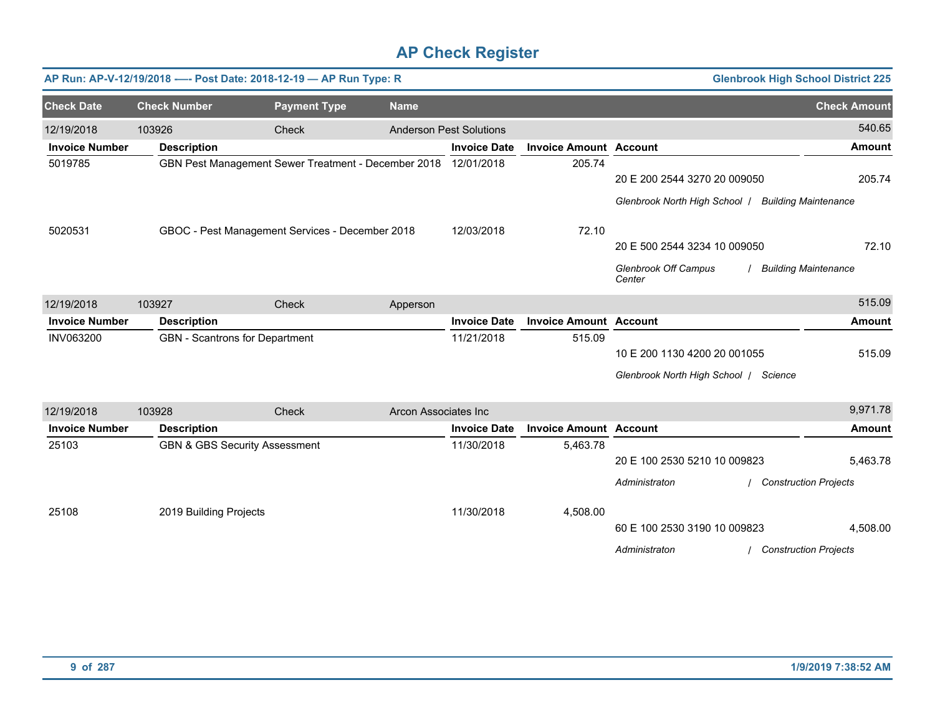|                       |                                | AP Run: AP-V-12/19/2018 ---- Post Date: 2018-12-19 - AP Run Type: R |                             |                                |                               |                                                    | <b>Glenbrook High School District 225</b> |
|-----------------------|--------------------------------|---------------------------------------------------------------------|-----------------------------|--------------------------------|-------------------------------|----------------------------------------------------|-------------------------------------------|
| <b>Check Date</b>     | <b>Check Number</b>            | <b>Payment Type</b>                                                 | <b>Name</b>                 |                                |                               |                                                    | <b>Check Amount</b>                       |
| 12/19/2018            | 103926                         | Check                                                               |                             | <b>Anderson Pest Solutions</b> |                               |                                                    | 540.65                                    |
| <b>Invoice Number</b> | <b>Description</b>             |                                                                     |                             | <b>Invoice Date</b>            | <b>Invoice Amount Account</b> |                                                    | <b>Amount</b>                             |
| 5019785               |                                | GBN Pest Management Sewer Treatment - December 2018                 |                             | 12/01/2018                     | 205.74                        |                                                    |                                           |
|                       |                                |                                                                     |                             |                                |                               | 20 E 200 2544 3270 20 009050                       | 205.74                                    |
|                       |                                |                                                                     |                             |                                |                               | Glenbrook North High School   Building Maintenance |                                           |
| 5020531               |                                | GBOC - Pest Management Services - December 2018                     |                             | 12/03/2018                     | 72.10                         |                                                    |                                           |
|                       |                                |                                                                     |                             |                                |                               | 20 E 500 2544 3234 10 009050                       | 72.10                                     |
|                       |                                |                                                                     |                             |                                |                               | <b>Glenbrook Off Campus</b><br>Center              | <b>Building Maintenance</b>               |
| 12/19/2018            | 103927                         | <b>Check</b>                                                        | Apperson                    |                                |                               |                                                    | 515.09                                    |
| <b>Invoice Number</b> | <b>Description</b>             |                                                                     |                             | <b>Invoice Date</b>            | <b>Invoice Amount Account</b> |                                                    | <b>Amount</b>                             |
| <b>INV063200</b>      | GBN - Scantrons for Department |                                                                     |                             | 11/21/2018                     | 515.09                        |                                                    |                                           |
|                       |                                |                                                                     |                             |                                |                               | 10 E 200 1130 4200 20 001055                       | 515.09                                    |
|                       |                                |                                                                     |                             |                                |                               | Glenbrook North High School   Science              |                                           |
| 12/19/2018            | 103928                         | Check                                                               | <b>Arcon Associates Inc</b> |                                |                               |                                                    | 9,971.78                                  |
| <b>Invoice Number</b> | <b>Description</b>             |                                                                     |                             | <b>Invoice Date</b>            | <b>Invoice Amount Account</b> |                                                    | <b>Amount</b>                             |
| 25103                 |                                | <b>GBN &amp; GBS Security Assessment</b>                            |                             | 11/30/2018                     | 5,463.78                      |                                                    |                                           |
|                       |                                |                                                                     |                             |                                |                               | 20 E 100 2530 5210 10 009823                       | 5,463.78                                  |
|                       |                                |                                                                     |                             |                                |                               | Administraton                                      | <b>Construction Projects</b>              |
| 25108                 | 2019 Building Projects         |                                                                     |                             | 11/30/2018                     | 4,508.00                      |                                                    |                                           |
|                       |                                |                                                                     |                             |                                |                               | 60 E 100 2530 3190 10 009823                       | 4,508.00                                  |
|                       |                                |                                                                     |                             |                                |                               | Administraton                                      | <b>Construction Projects</b>              |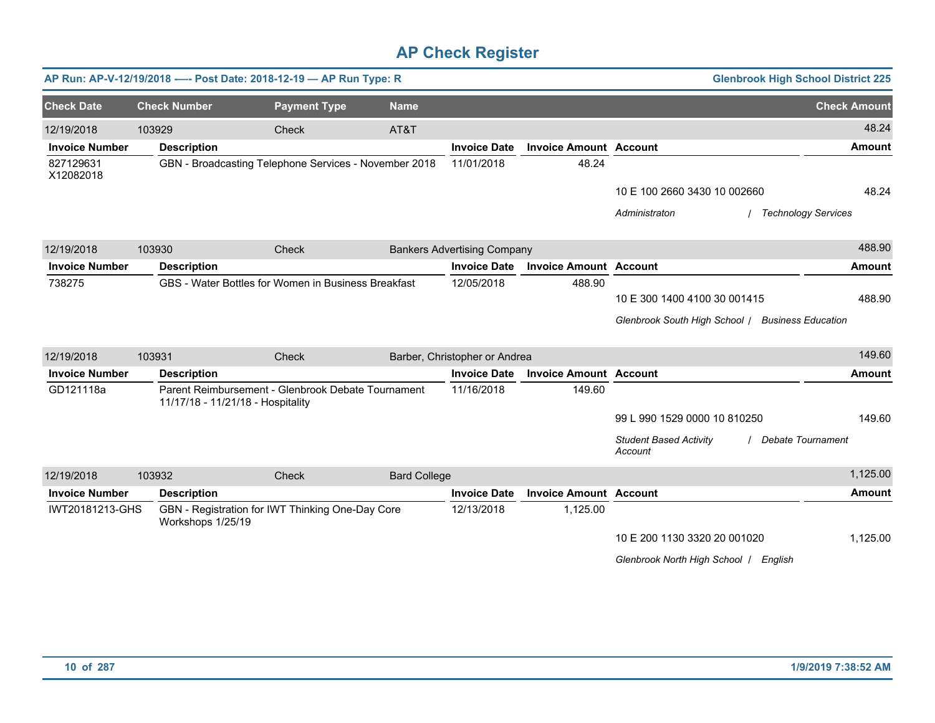|                        |                     | AP Run: AP-V-12/19/2018 ---- Post Date: 2018-12-19 - AP Run Type: R                     |                     |                                    |                               |                                                  | <b>Glenbrook High School District 225</b> |
|------------------------|---------------------|-----------------------------------------------------------------------------------------|---------------------|------------------------------------|-------------------------------|--------------------------------------------------|-------------------------------------------|
| <b>Check Date</b>      | <b>Check Number</b> | <b>Payment Type</b>                                                                     | <b>Name</b>         |                                    |                               |                                                  | <b>Check Amount</b>                       |
| 12/19/2018             | 103929              | Check                                                                                   | AT&T                |                                    |                               |                                                  | 48.24                                     |
| <b>Invoice Number</b>  | <b>Description</b>  |                                                                                         |                     | <b>Invoice Date</b>                | <b>Invoice Amount Account</b> |                                                  | <b>Amount</b>                             |
| 827129631<br>X12082018 |                     | GBN - Broadcasting Telephone Services - November 2018                                   |                     | 11/01/2018                         | 48.24                         |                                                  |                                           |
|                        |                     |                                                                                         |                     |                                    |                               | 10 E 100 2660 3430 10 002660                     | 48.24                                     |
|                        |                     |                                                                                         |                     |                                    |                               | Administraton                                    | / Technology Services                     |
| 12/19/2018             | 103930              | Check                                                                                   |                     | <b>Bankers Advertising Company</b> |                               |                                                  | 488.90                                    |
| <b>Invoice Number</b>  | <b>Description</b>  |                                                                                         |                     | <b>Invoice Date</b>                | <b>Invoice Amount Account</b> |                                                  | <b>Amount</b>                             |
| 738275                 |                     | GBS - Water Bottles for Women in Business Breakfast                                     |                     | 12/05/2018                         | 488.90                        |                                                  |                                           |
|                        |                     |                                                                                         |                     |                                    |                               | 10 E 300 1400 4100 30 001415                     | 488.90                                    |
|                        |                     |                                                                                         |                     |                                    |                               | Glenbrook South High School / Business Education |                                           |
| 12/19/2018             | 103931              | Check                                                                                   |                     | Barber, Christopher or Andrea      |                               |                                                  | 149.60                                    |
| <b>Invoice Number</b>  | <b>Description</b>  |                                                                                         |                     | <b>Invoice Date</b>                | <b>Invoice Amount Account</b> |                                                  | <b>Amount</b>                             |
| GD121118a              |                     | Parent Reimbursement - Glenbrook Debate Tournament<br>11/17/18 - 11/21/18 - Hospitality |                     | 11/16/2018                         | 149.60                        |                                                  |                                           |
|                        |                     |                                                                                         |                     |                                    |                               | 99 L 990 1529 0000 10 810250                     | 149.60                                    |
|                        |                     |                                                                                         |                     |                                    |                               | <b>Student Based Activity</b><br>Account         | Debate Tournament                         |
| 12/19/2018             | 103932              | Check                                                                                   | <b>Bard College</b> |                                    |                               |                                                  | 1,125.00                                  |
| <b>Invoice Number</b>  | <b>Description</b>  |                                                                                         |                     | <b>Invoice Date</b>                | <b>Invoice Amount Account</b> |                                                  | <b>Amount</b>                             |
| IWT20181213-GHS        | Workshops 1/25/19   | GBN - Registration for IWT Thinking One-Day Core                                        |                     | 12/13/2018                         | 1,125.00                      |                                                  |                                           |
|                        |                     |                                                                                         |                     |                                    |                               | 10 E 200 1130 3320 20 001020                     | 1,125.00                                  |
|                        |                     |                                                                                         |                     |                                    |                               | Glenbrook North High School   English            |                                           |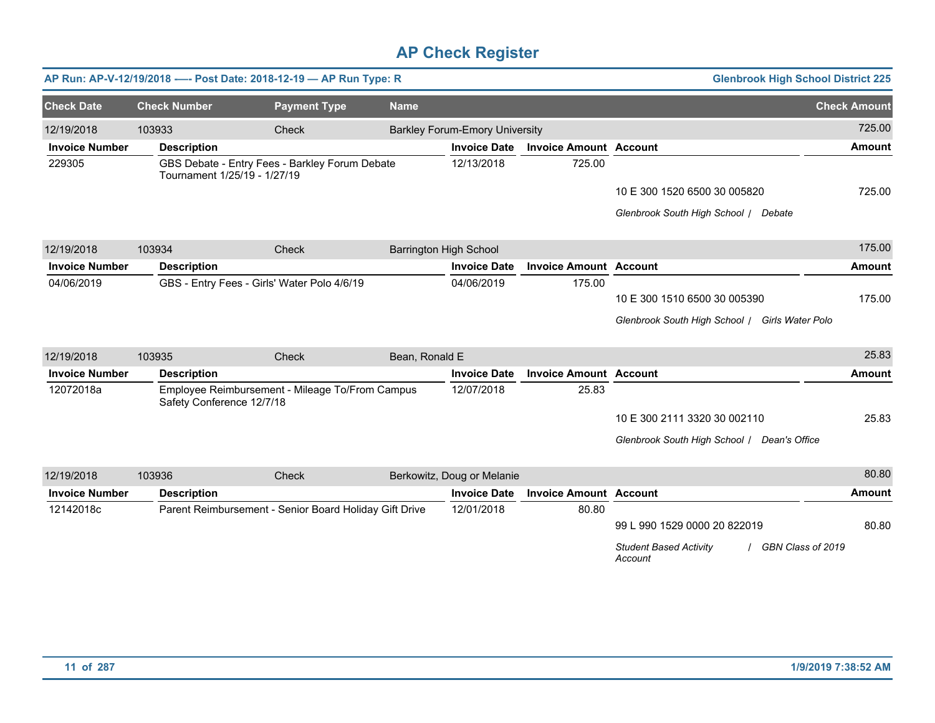|                       |                              | AP Run: AP-V-12/19/2018 ---- Post Date: 2018-12-19 - AP Run Type: R |                |                                       |                               | <b>Glenbrook High School District 225</b>                     |                     |
|-----------------------|------------------------------|---------------------------------------------------------------------|----------------|---------------------------------------|-------------------------------|---------------------------------------------------------------|---------------------|
| <b>Check Date</b>     | <b>Check Number</b>          | <b>Payment Type</b>                                                 | <b>Name</b>    |                                       |                               |                                                               | <b>Check Amount</b> |
| 12/19/2018            | 103933                       | Check                                                               |                | <b>Barkley Forum-Emory University</b> |                               |                                                               | 725.00              |
| <b>Invoice Number</b> | <b>Description</b>           |                                                                     |                | <b>Invoice Date</b>                   | <b>Invoice Amount Account</b> |                                                               | <b>Amount</b>       |
| 229305                | Tournament 1/25/19 - 1/27/19 | GBS Debate - Entry Fees - Barkley Forum Debate                      |                | 12/13/2018                            | 725.00                        |                                                               |                     |
|                       |                              |                                                                     |                |                                       |                               | 10 E 300 1520 6500 30 005820                                  | 725.00              |
|                       |                              |                                                                     |                |                                       |                               | Glenbrook South High School / Debate                          |                     |
| 12/19/2018            | 103934                       | Check                                                               |                | <b>Barrington High School</b>         |                               |                                                               | 175.00              |
| <b>Invoice Number</b> | <b>Description</b>           |                                                                     |                | <b>Invoice Date</b>                   | <b>Invoice Amount Account</b> |                                                               | Amount              |
| 04/06/2019            |                              | GBS - Entry Fees - Girls' Water Polo 4/6/19                         |                | 04/06/2019                            | 175.00                        |                                                               |                     |
|                       |                              |                                                                     |                |                                       |                               | 10 E 300 1510 6500 30 005390                                  | 175.00              |
|                       |                              |                                                                     |                |                                       |                               | Glenbrook South High School / Girls Water Polo                |                     |
| 12/19/2018            | 103935                       | Check                                                               | Bean, Ronald E |                                       |                               |                                                               | 25.83               |
| <b>Invoice Number</b> | <b>Description</b>           |                                                                     |                | <b>Invoice Date</b>                   | <b>Invoice Amount Account</b> |                                                               | <b>Amount</b>       |
| 12072018a             | Safety Conference 12/7/18    | Employee Reimbursement - Mileage To/From Campus                     |                | 12/07/2018                            | 25.83                         |                                                               |                     |
|                       |                              |                                                                     |                |                                       |                               | 10 E 300 2111 3320 30 002110                                  | 25.83               |
|                       |                              |                                                                     |                |                                       |                               | Glenbrook South High School / Dean's Office                   |                     |
| 12/19/2018            | 103936                       | Check                                                               |                | Berkowitz, Doug or Melanie            |                               |                                                               | 80.80               |
| <b>Invoice Number</b> | <b>Description</b>           |                                                                     |                | <b>Invoice Date</b>                   | <b>Invoice Amount Account</b> |                                                               | <b>Amount</b>       |
| 12142018c             |                              | Parent Reimbursement - Senior Board Holiday Gift Drive              |                | 12/01/2018                            | 80.80                         |                                                               |                     |
|                       |                              |                                                                     |                |                                       |                               | 99 L 990 1529 0000 20 822019                                  | 80.80               |
|                       |                              |                                                                     |                |                                       |                               | <b>Student Based Activity</b><br>GBN Class of 2019<br>Account |                     |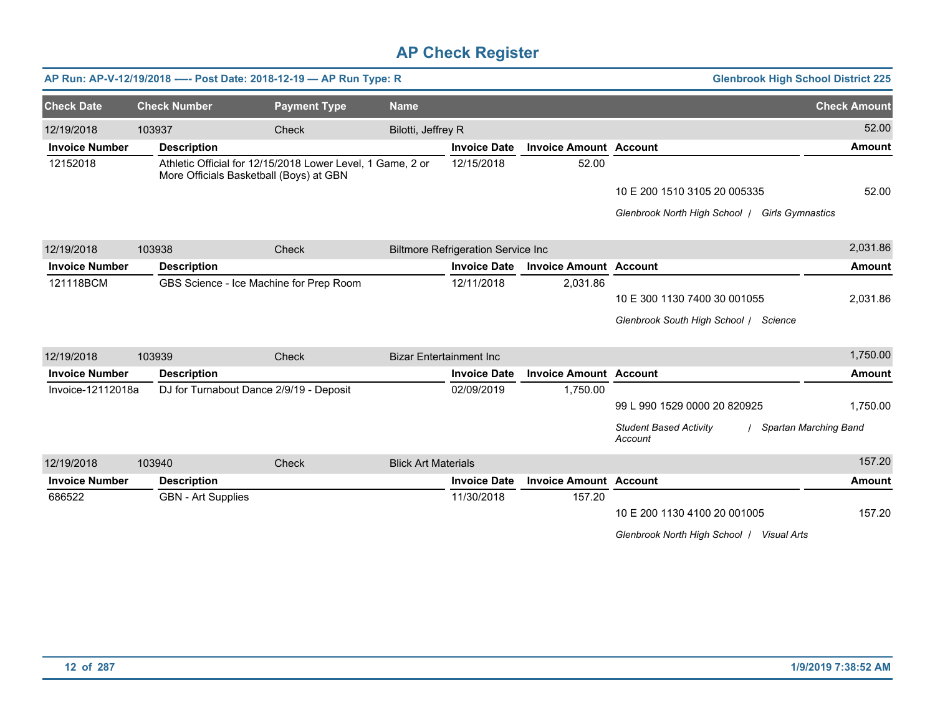|                       |                           | AP Run: AP-V-12/19/2018 ---- Post Date: 2018-12-19 - AP Run Type: R                                   |                            |                                           |                               | <b>Glenbrook High School District 225</b>                |                       |
|-----------------------|---------------------------|-------------------------------------------------------------------------------------------------------|----------------------------|-------------------------------------------|-------------------------------|----------------------------------------------------------|-----------------------|
| <b>Check Date</b>     | <b>Check Number</b>       | <b>Payment Type</b>                                                                                   | <b>Name</b>                |                                           |                               |                                                          | <b>Check Amount</b>   |
| 12/19/2018            | 103937                    | Check                                                                                                 | Bilotti, Jeffrey R         |                                           |                               |                                                          | 52.00                 |
| <b>Invoice Number</b> | <b>Description</b>        |                                                                                                       |                            | <b>Invoice Date</b>                       | <b>Invoice Amount Account</b> |                                                          | <b>Amount</b>         |
| 12152018              |                           | Athletic Official for 12/15/2018 Lower Level, 1 Game, 2 or<br>More Officials Basketball (Boys) at GBN |                            | 12/15/2018                                | 52.00                         |                                                          |                       |
|                       |                           |                                                                                                       |                            |                                           |                               | 10 E 200 1510 3105 20 005335                             | 52.00                 |
|                       |                           |                                                                                                       |                            |                                           |                               | Glenbrook North High School  <br><b>Girls Gymnastics</b> |                       |
| 12/19/2018            | 103938                    | Check                                                                                                 |                            | <b>Biltmore Refrigeration Service Inc</b> |                               |                                                          | 2,031.86              |
| <b>Invoice Number</b> | <b>Description</b>        |                                                                                                       |                            | <b>Invoice Date</b>                       | <b>Invoice Amount Account</b> |                                                          | <b>Amount</b>         |
| 121118BCM             |                           | GBS Science - Ice Machine for Prep Room                                                               |                            | 12/11/2018                                | 2,031.86                      |                                                          |                       |
|                       |                           |                                                                                                       |                            |                                           |                               | 10 E 300 1130 7400 30 001055                             | 2,031.86              |
|                       |                           |                                                                                                       |                            |                                           |                               | Glenbrook South High School / Science                    |                       |
| 12/19/2018            | 103939                    | Check                                                                                                 |                            | <b>Bizar Entertainment Inc</b>            |                               |                                                          | 1,750.00              |
| <b>Invoice Number</b> | <b>Description</b>        |                                                                                                       |                            | <b>Invoice Date</b>                       | <b>Invoice Amount Account</b> |                                                          | <b>Amount</b>         |
| Invoice-12112018a     |                           | DJ for Turnabout Dance 2/9/19 - Deposit                                                               |                            | 02/09/2019                                | 1,750.00                      |                                                          |                       |
|                       |                           |                                                                                                       |                            |                                           |                               | 99 L 990 1529 0000 20 820925                             | 1,750.00              |
|                       |                           |                                                                                                       |                            |                                           |                               | <b>Student Based Activity</b><br>Account                 | Spartan Marching Band |
| 12/19/2018            | 103940                    | Check                                                                                                 | <b>Blick Art Materials</b> |                                           |                               |                                                          | 157.20                |
| <b>Invoice Number</b> | <b>Description</b>        |                                                                                                       |                            | <b>Invoice Date</b>                       | <b>Invoice Amount Account</b> |                                                          | <b>Amount</b>         |
| 686522                | <b>GBN</b> - Art Supplies |                                                                                                       |                            | 11/30/2018                                | 157.20                        |                                                          |                       |
|                       |                           |                                                                                                       |                            |                                           |                               | 10 E 200 1130 4100 20 001005                             | 157.20                |
|                       |                           |                                                                                                       |                            |                                           |                               | Glenbrook North High School  <br>Visual Arts             |                       |
|                       |                           |                                                                                                       |                            |                                           |                               |                                                          |                       |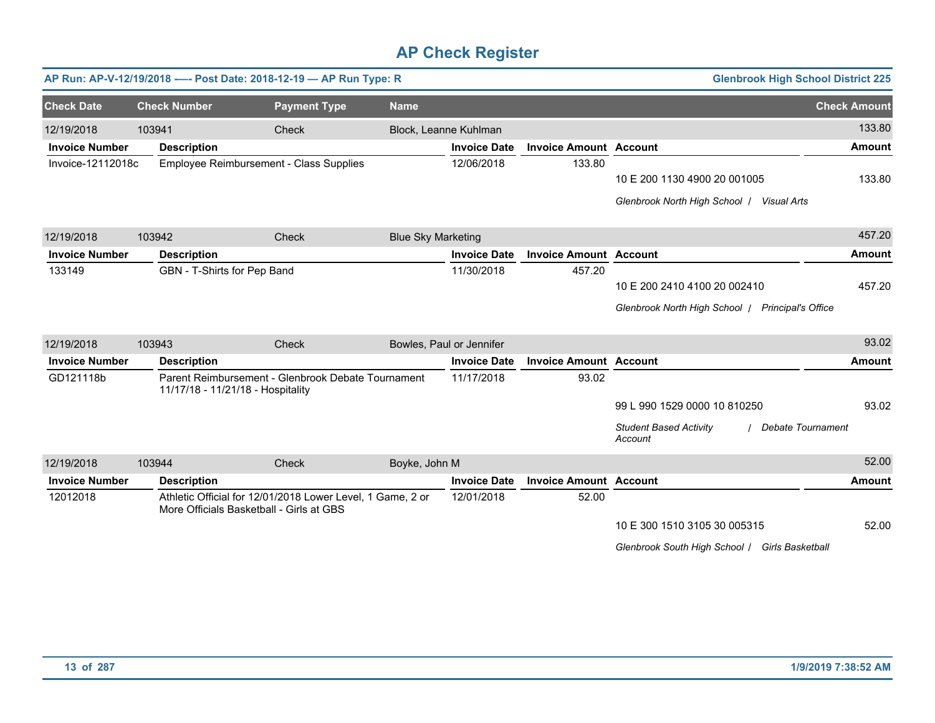|                       |        |                                          | AP Run: AP-V-12/19/2018 ---- Post Date: 2018-12-19 - AP Run Type: R |                           |                     |                               | <b>Glenbrook High School District 225</b>                            |                     |
|-----------------------|--------|------------------------------------------|---------------------------------------------------------------------|---------------------------|---------------------|-------------------------------|----------------------------------------------------------------------|---------------------|
| <b>Check Date</b>     |        | <b>Check Number</b>                      | <b>Payment Type</b>                                                 | <b>Name</b>               |                     |                               |                                                                      | <b>Check Amount</b> |
| 12/19/2018            | 103941 |                                          | Check                                                               | Block, Leanne Kuhlman     |                     |                               |                                                                      | 133.80              |
| <b>Invoice Number</b> |        | <b>Description</b>                       |                                                                     |                           | <b>Invoice Date</b> | <b>Invoice Amount Account</b> |                                                                      | <b>Amount</b>       |
| Invoice-12112018c     |        | Employee Reimbursement - Class Supplies  |                                                                     |                           | 12/06/2018          | 133.80                        |                                                                      |                     |
|                       |        |                                          |                                                                     |                           |                     |                               | 10 E 200 1130 4900 20 001005                                         | 133.80              |
|                       |        |                                          |                                                                     |                           |                     |                               | Glenbrook North High School   Visual Arts                            |                     |
| 12/19/2018            | 103942 |                                          | Check                                                               | <b>Blue Sky Marketing</b> |                     |                               |                                                                      | 457.20              |
| <b>Invoice Number</b> |        | <b>Description</b>                       |                                                                     |                           | <b>Invoice Date</b> | <b>Invoice Amount Account</b> |                                                                      | <b>Amount</b>       |
| 133149                |        | GBN - T-Shirts for Pep Band              |                                                                     |                           | 11/30/2018          | 457.20                        |                                                                      |                     |
|                       |        |                                          |                                                                     |                           |                     |                               | 10 E 200 2410 4100 20 002410                                         | 457.20              |
|                       |        |                                          |                                                                     |                           |                     |                               | Glenbrook North High School   Principal's Office                     |                     |
| 12/19/2018            | 103943 |                                          | Check                                                               | Bowles, Paul or Jennifer  |                     |                               |                                                                      | 93.02               |
| <b>Invoice Number</b> |        | <b>Description</b>                       |                                                                     |                           | <b>Invoice Date</b> | <b>Invoice Amount Account</b> |                                                                      | Amount              |
| GD121118b             |        | 11/17/18 - 11/21/18 - Hospitality        | Parent Reimbursement - Glenbrook Debate Tournament                  |                           | 11/17/2018          | 93.02                         |                                                                      |                     |
|                       |        |                                          |                                                                     |                           |                     |                               | 99 L 990 1529 0000 10 810250                                         | 93.02               |
|                       |        |                                          |                                                                     |                           |                     |                               | <b>Debate Tournament</b><br><b>Student Based Activity</b><br>Account |                     |
| 12/19/2018            | 103944 |                                          | Check                                                               | Boyke, John M             |                     |                               |                                                                      | 52.00               |
| <b>Invoice Number</b> |        | <b>Description</b>                       |                                                                     |                           | <b>Invoice Date</b> | <b>Invoice Amount Account</b> |                                                                      | <b>Amount</b>       |
| 12012018              |        | More Officials Basketball - Girls at GBS | Athletic Official for 12/01/2018 Lower Level, 1 Game, 2 or          |                           | 12/01/2018          | 52.00                         |                                                                      |                     |
|                       |        |                                          |                                                                     |                           |                     |                               | 10 E 300 1510 3105 30 005315                                         | 52.00               |
|                       |        |                                          |                                                                     |                           |                     |                               | Glenbrook South High School   Girls Basketball                       |                     |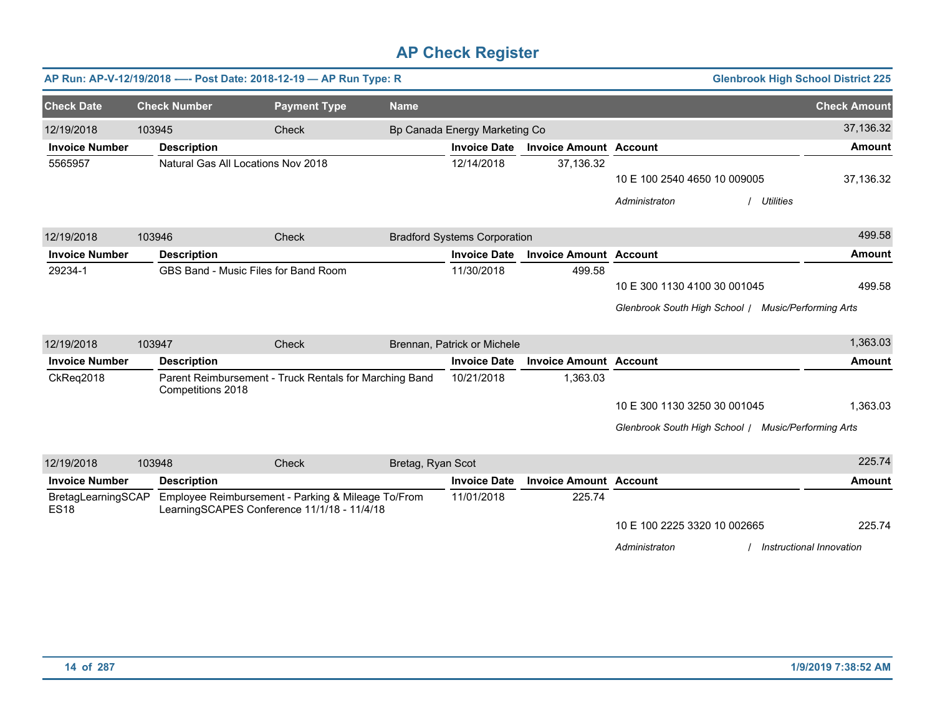|                                   |        |                                      | AP Run: AP-V-12/19/2018 ---- Post Date: 2018-12-19 - AP Run Type: R                               |                   |                                     |                               | <b>Glenbrook High School District 225</b>           |                          |
|-----------------------------------|--------|--------------------------------------|---------------------------------------------------------------------------------------------------|-------------------|-------------------------------------|-------------------------------|-----------------------------------------------------|--------------------------|
| <b>Check Date</b>                 |        | <b>Check Number</b>                  | <b>Payment Type</b>                                                                               | <b>Name</b>       |                                     |                               |                                                     | <b>Check Amount</b>      |
| 12/19/2018                        | 103945 |                                      | Check                                                                                             |                   | Bp Canada Energy Marketing Co       |                               |                                                     | 37,136.32                |
| <b>Invoice Number</b>             |        | <b>Description</b>                   |                                                                                                   |                   | <b>Invoice Date</b>                 | <b>Invoice Amount Account</b> |                                                     | Amount                   |
| 5565957                           |        | Natural Gas All Locations Nov 2018   |                                                                                                   |                   | 12/14/2018                          | 37,136.32                     |                                                     |                          |
|                                   |        |                                      |                                                                                                   |                   |                                     |                               | 10 E 100 2540 4650 10 009005                        | 37,136.32                |
|                                   |        |                                      |                                                                                                   |                   |                                     |                               | Administraton<br><b>Utilities</b>                   |                          |
| 12/19/2018                        | 103946 |                                      | Check                                                                                             |                   | <b>Bradford Systems Corporation</b> |                               |                                                     | 499.58                   |
| <b>Invoice Number</b>             |        | <b>Description</b>                   |                                                                                                   |                   | <b>Invoice Date</b>                 | <b>Invoice Amount Account</b> |                                                     | Amount                   |
| 29234-1                           |        | GBS Band - Music Files for Band Room |                                                                                                   |                   | 11/30/2018                          | 499.58                        |                                                     |                          |
|                                   |        |                                      |                                                                                                   |                   |                                     |                               | 10 E 300 1130 4100 30 001045                        | 499.58                   |
|                                   |        |                                      |                                                                                                   |                   |                                     |                               | Glenbrook South High School / Music/Performing Arts |                          |
| 12/19/2018                        | 103947 |                                      | Check                                                                                             |                   | Brennan, Patrick or Michele         |                               |                                                     | 1,363.03                 |
| <b>Invoice Number</b>             |        | <b>Description</b>                   |                                                                                                   |                   | <b>Invoice Date</b>                 | <b>Invoice Amount Account</b> |                                                     | Amount                   |
| CkReq2018                         |        | Competitions 2018                    | Parent Reimbursement - Truck Rentals for Marching Band                                            |                   | 10/21/2018                          | 1,363.03                      |                                                     |                          |
|                                   |        |                                      |                                                                                                   |                   |                                     |                               | 10 E 300 1130 3250 30 001045                        | 1,363.03                 |
|                                   |        |                                      |                                                                                                   |                   |                                     |                               | Glenbrook South High School / Music/Performing Arts |                          |
| 12/19/2018                        | 103948 |                                      | Check                                                                                             | Bretag, Ryan Scot |                                     |                               |                                                     | 225.74                   |
| <b>Invoice Number</b>             |        | <b>Description</b>                   |                                                                                                   |                   | <b>Invoice Date</b>                 | <b>Invoice Amount Account</b> |                                                     | <b>Amount</b>            |
| BretagLearningSCAP<br><b>ES18</b> |        |                                      | Employee Reimbursement - Parking & Mileage To/From<br>LearningSCAPES Conference 11/1/18 - 11/4/18 |                   | 11/01/2018                          | 225.74                        |                                                     |                          |
|                                   |        |                                      |                                                                                                   |                   |                                     |                               | 10 E 100 2225 3320 10 002665                        | 225.74                   |
|                                   |        |                                      |                                                                                                   |                   |                                     |                               | Administraton                                       | Instructional Innovation |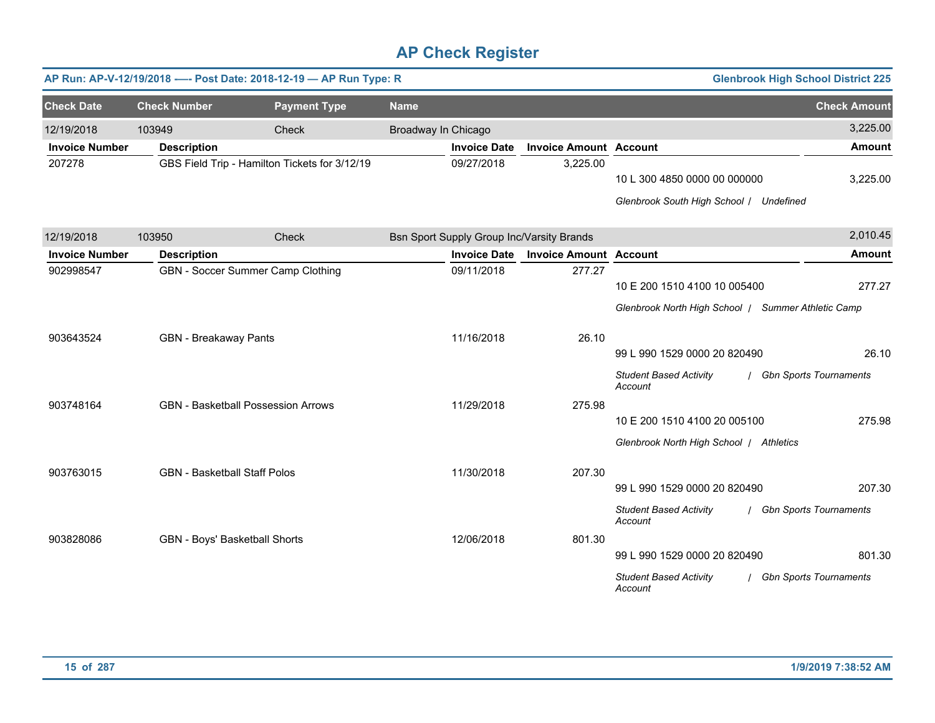|                       |                                     | AP Run: AP-V-12/19/2018 ---- Post Date: 2018-12-19 - AP Run Type: R |                     |                     |                                           |                                                                         | <b>Glenbrook High School District 225</b> |
|-----------------------|-------------------------------------|---------------------------------------------------------------------|---------------------|---------------------|-------------------------------------------|-------------------------------------------------------------------------|-------------------------------------------|
| <b>Check Date</b>     | <b>Check Number</b>                 | <b>Payment Type</b>                                                 | <b>Name</b>         |                     |                                           |                                                                         | <b>Check Amount</b>                       |
| 12/19/2018            | 103949                              | Check                                                               | Broadway In Chicago |                     |                                           |                                                                         | 3,225.00                                  |
| <b>Invoice Number</b> | <b>Description</b>                  |                                                                     |                     | <b>Invoice Date</b> | <b>Invoice Amount Account</b>             |                                                                         | <b>Amount</b>                             |
| 207278                |                                     | GBS Field Trip - Hamilton Tickets for 3/12/19                       |                     | 09/27/2018          | 3,225.00                                  | 10 L 300 4850 0000 00 000000<br>Glenbrook South High School / Undefined | 3,225.00                                  |
|                       |                                     |                                                                     |                     |                     |                                           |                                                                         |                                           |
| 12/19/2018            | 103950                              | Check                                                               |                     |                     | Bsn Sport Supply Group Inc/Varsity Brands |                                                                         | 2,010.45                                  |
| <b>Invoice Number</b> | <b>Description</b>                  |                                                                     |                     | <b>Invoice Date</b> | <b>Invoice Amount Account</b>             |                                                                         | <b>Amount</b>                             |
| 902998547             |                                     | GBN - Soccer Summer Camp Clothing                                   |                     | 09/11/2018          | 277.27                                    | 10 E 200 1510 4100 10 005400                                            | 277.27                                    |
|                       |                                     |                                                                     |                     |                     |                                           | Glenbrook North High School   Summer Athletic Camp                      |                                           |
| 903643524             | <b>GBN</b> - Breakaway Pants        |                                                                     |                     | 11/16/2018          | 26.10                                     | 99 L 990 1529 0000 20 820490                                            | 26.10                                     |
|                       |                                     |                                                                     |                     |                     |                                           | <b>Student Based Activity</b><br>Account                                | <b>Gbn Sports Tournaments</b>             |
| 903748164             |                                     | <b>GBN</b> - Basketball Possession Arrows                           |                     | 11/29/2018          | 275.98                                    |                                                                         |                                           |
|                       |                                     |                                                                     |                     |                     |                                           | 10 E 200 1510 4100 20 005100                                            | 275.98                                    |
|                       |                                     |                                                                     |                     |                     |                                           | Glenbrook North High School / Athletics                                 |                                           |
| 903763015             | <b>GBN</b> - Basketball Staff Polos |                                                                     |                     | 11/30/2018          | 207.30                                    |                                                                         |                                           |
|                       |                                     |                                                                     |                     |                     |                                           | 99 L 990 1529 0000 20 820490                                            | 207.30                                    |
|                       |                                     |                                                                     |                     |                     |                                           | <b>Student Based Activity</b><br>Account                                | <b>Gbn Sports Tournaments</b>             |
| 903828086             |                                     | GBN - Boys' Basketball Shorts                                       |                     | 12/06/2018          | 801.30                                    |                                                                         |                                           |
|                       |                                     |                                                                     |                     |                     |                                           | 99 L 990 1529 0000 20 820490                                            | 801.30                                    |
|                       |                                     |                                                                     |                     |                     |                                           | <b>Student Based Activity</b><br>Account                                | <b>Gbn Sports Tournaments</b>             |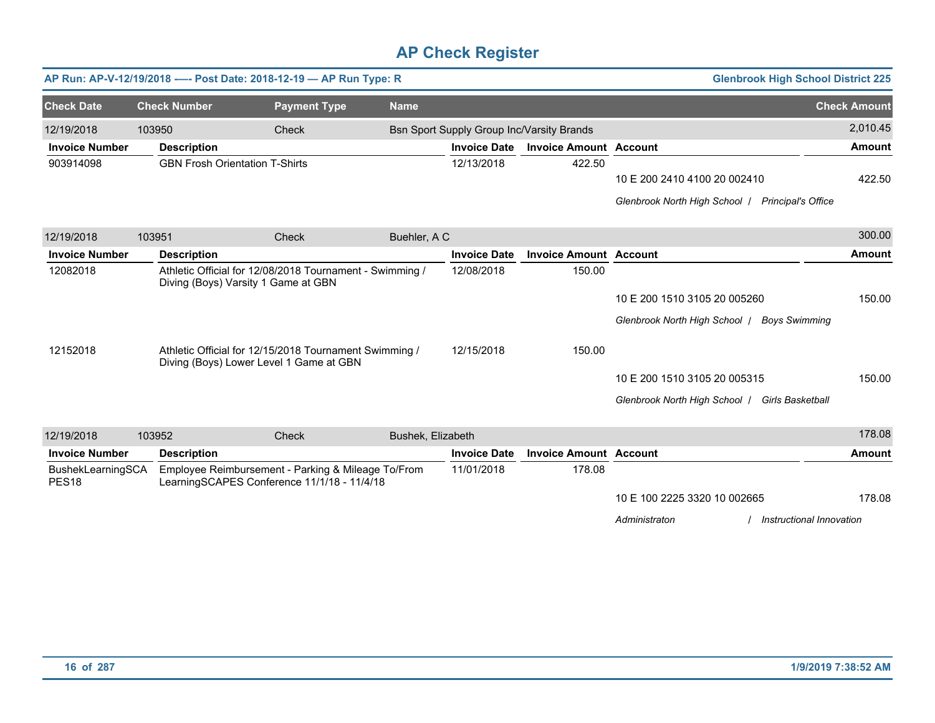|                                        |        | AP Run: AP-V-12/19/2018 ---- Post Date: 2018-12-19 - AP Run Type: R                               |                     |                   |                     |                                                  | <b>Glenbrook High School District 225</b>                                        |                     |
|----------------------------------------|--------|---------------------------------------------------------------------------------------------------|---------------------|-------------------|---------------------|--------------------------------------------------|----------------------------------------------------------------------------------|---------------------|
| <b>Check Date</b>                      |        | <b>Check Number</b>                                                                               | <b>Payment Type</b> | <b>Name</b>       |                     |                                                  |                                                                                  | <b>Check Amount</b> |
| 12/19/2018                             | 103950 |                                                                                                   | Check               |                   |                     | <b>Bsn Sport Supply Group Inc/Varsity Brands</b> |                                                                                  | 2,010.45            |
| <b>Invoice Number</b>                  |        | <b>Description</b>                                                                                |                     |                   | <b>Invoice Date</b> | <b>Invoice Amount Account</b>                    |                                                                                  | <b>Amount</b>       |
| 903914098                              |        | <b>GBN Frosh Orientation T-Shirts</b>                                                             |                     |                   | 12/13/2018          | 422.50                                           | 10 E 200 2410 4100 20 002410<br>Glenbrook North High School   Principal's Office | 422.50              |
| 12/19/2018                             | 103951 |                                                                                                   | Check               | Buehler, A C      |                     |                                                  |                                                                                  | 300.00              |
| <b>Invoice Number</b>                  |        | <b>Description</b>                                                                                |                     |                   | <b>Invoice Date</b> | <b>Invoice Amount Account</b>                    |                                                                                  | <b>Amount</b>       |
| 12082018                               |        | Athletic Official for 12/08/2018 Tournament - Swimming /<br>Diving (Boys) Varsity 1 Game at GBN   |                     |                   | 12/08/2018          | 150.00                                           | 10 E 200 1510 3105 20 005260                                                     | 150.00              |
|                                        |        |                                                                                                   |                     |                   |                     |                                                  | Glenbrook North High School /<br><b>Boys Swimming</b>                            |                     |
| 12152018                               |        | Athletic Official for 12/15/2018 Tournament Swimming /<br>Diving (Boys) Lower Level 1 Game at GBN |                     |                   | 12/15/2018          | 150.00                                           |                                                                                  |                     |
|                                        |        |                                                                                                   |                     |                   |                     |                                                  | 10 E 200 1510 3105 20 005315                                                     | 150.00              |
|                                        |        |                                                                                                   |                     |                   |                     |                                                  | Glenbrook North High School   Girls Basketball                                   |                     |
| 12/19/2018                             | 103952 |                                                                                                   | <b>Check</b>        | Bushek, Elizabeth |                     |                                                  |                                                                                  | 178.08              |
| <b>Invoice Number</b>                  |        | <b>Description</b>                                                                                |                     |                   | <b>Invoice Date</b> | <b>Invoice Amount Account</b>                    |                                                                                  | <b>Amount</b>       |
| BushekLearningSCA<br>PES <sub>18</sub> |        | Employee Reimbursement - Parking & Mileage To/From<br>LearningSCAPES Conference 11/1/18 - 11/4/18 |                     |                   | 11/01/2018          | 178.08                                           |                                                                                  |                     |
|                                        |        |                                                                                                   |                     |                   |                     |                                                  | 10 E 100 2225 3320 10 002665                                                     | 178.08              |
|                                        |        |                                                                                                   |                     |                   |                     |                                                  | Administraton<br>Instructional Innovation                                        |                     |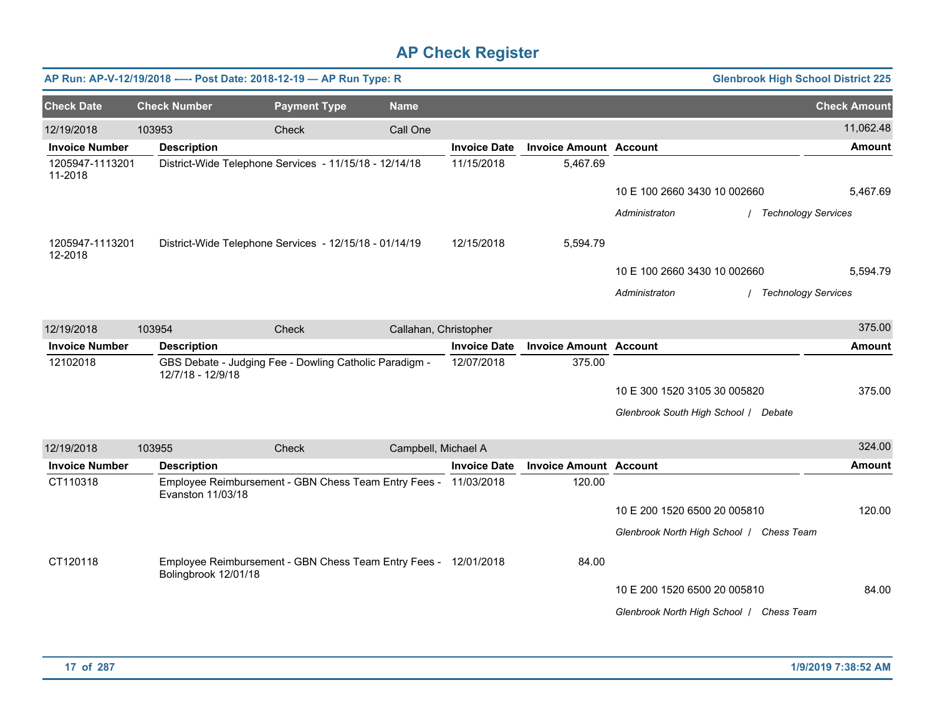|                            |                      | AP Run: AP-V-12/19/2018 ---- Post Date: 2018-12-19 - AP Run Type: R |                       |                     |                               |                                          | <b>Glenbrook High School District 225</b> |
|----------------------------|----------------------|---------------------------------------------------------------------|-----------------------|---------------------|-------------------------------|------------------------------------------|-------------------------------------------|
| <b>Check Date</b>          | <b>Check Number</b>  | <b>Payment Type</b>                                                 | <b>Name</b>           |                     |                               |                                          | <b>Check Amount</b>                       |
| 12/19/2018                 | 103953               | Check                                                               | Call One              |                     |                               |                                          | 11,062.48                                 |
| <b>Invoice Number</b>      | <b>Description</b>   |                                                                     |                       | <b>Invoice Date</b> | <b>Invoice Amount Account</b> |                                          | <b>Amount</b>                             |
| 1205947-1113201<br>11-2018 |                      | District-Wide Telephone Services - 11/15/18 - 12/14/18              |                       | 11/15/2018          | 5,467.69                      |                                          |                                           |
|                            |                      |                                                                     |                       |                     |                               | 10 E 100 2660 3430 10 002660             | 5,467.69                                  |
|                            |                      |                                                                     |                       |                     |                               | Administraton                            | / Technology Services                     |
| 1205947-1113201<br>12-2018 |                      | District-Wide Telephone Services - 12/15/18 - 01/14/19              |                       | 12/15/2018          | 5,594.79                      |                                          |                                           |
|                            |                      |                                                                     |                       |                     |                               | 10 E 100 2660 3430 10 002660             | 5,594.79                                  |
|                            |                      |                                                                     |                       |                     |                               | Administraton                            | <b>Technology Services</b>                |
| 12/19/2018                 | 103954               | Check                                                               | Callahan, Christopher |                     |                               |                                          | 375.00                                    |
| <b>Invoice Number</b>      | <b>Description</b>   |                                                                     |                       | <b>Invoice Date</b> | <b>Invoice Amount Account</b> |                                          | <b>Amount</b>                             |
| 12102018                   | 12/7/18 - 12/9/18    | GBS Debate - Judging Fee - Dowling Catholic Paradigm -              |                       | 12/07/2018          | 375.00                        |                                          |                                           |
|                            |                      |                                                                     |                       |                     |                               | 10 E 300 1520 3105 30 005820             | 375.00                                    |
|                            |                      |                                                                     |                       |                     |                               | Glenbrook South High School / Debate     |                                           |
| 12/19/2018                 | 103955               | Check                                                               | Campbell, Michael A   |                     |                               |                                          | 324.00                                    |
| <b>Invoice Number</b>      | <b>Description</b>   |                                                                     |                       | <b>Invoice Date</b> | <b>Invoice Amount Account</b> |                                          | <b>Amount</b>                             |
| CT110318                   | Evanston 11/03/18    | Employee Reimbursement - GBN Chess Team Entry Fees - 11/03/2018     |                       |                     | 120.00                        |                                          |                                           |
|                            |                      |                                                                     |                       |                     |                               | 10 E 200 1520 6500 20 005810             | 120.00                                    |
|                            |                      |                                                                     |                       |                     |                               | Glenbrook North High School / Chess Team |                                           |
| CT120118                   | Bolingbrook 12/01/18 | Employee Reimbursement - GBN Chess Team Entry Fees - 12/01/2018     |                       |                     | 84.00                         |                                          |                                           |
|                            |                      |                                                                     |                       |                     |                               | 10 E 200 1520 6500 20 005810             | 84.00                                     |
|                            |                      |                                                                     |                       |                     |                               | Glenbrook North High School   Chess Team |                                           |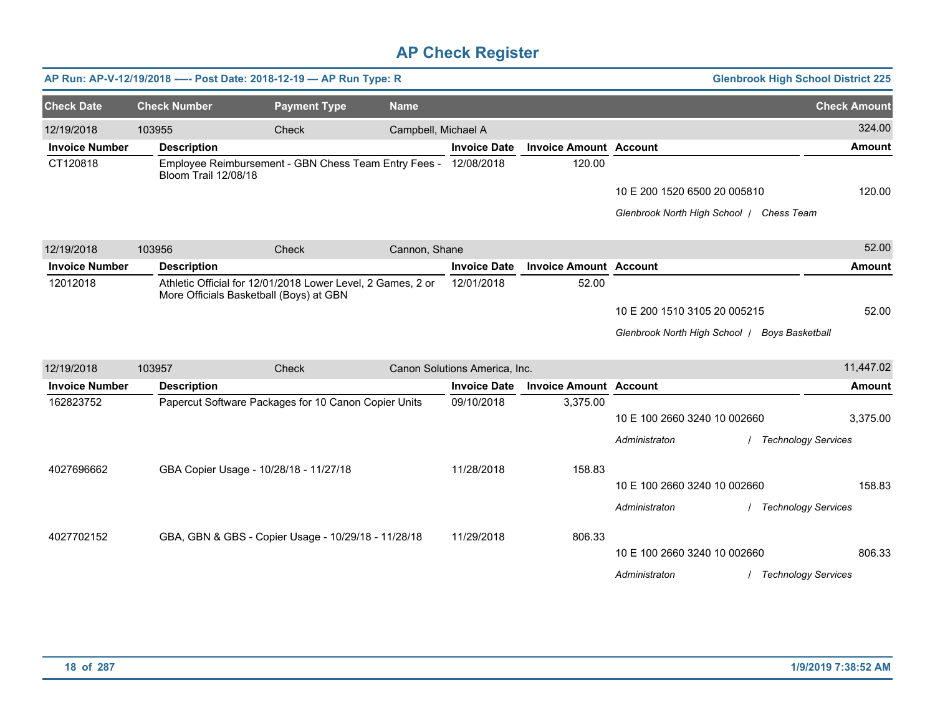|                       |                      | AP Run: AP-V-12/19/2018 ---- Post Date: 2018-12-19 - AP Run Type: R                                    |                     |                               |                               |                                               | <b>Glenbrook High School District 225</b> |
|-----------------------|----------------------|--------------------------------------------------------------------------------------------------------|---------------------|-------------------------------|-------------------------------|-----------------------------------------------|-------------------------------------------|
| <b>Check Date</b>     | <b>Check Number</b>  | <b>Payment Type</b>                                                                                    | <b>Name</b>         |                               |                               |                                               | <b>Check Amount</b>                       |
| 12/19/2018            | 103955               | Check                                                                                                  | Campbell, Michael A |                               |                               |                                               | 324.00                                    |
| <b>Invoice Number</b> | <b>Description</b>   |                                                                                                        |                     | <b>Invoice Date</b>           | <b>Invoice Amount Account</b> |                                               | <b>Amount</b>                             |
| CT120818              | Bloom Trail 12/08/18 | Employee Reimbursement - GBN Chess Team Entry Fees - 12/08/2018                                        |                     |                               | 120.00                        |                                               |                                           |
|                       |                      |                                                                                                        |                     |                               |                               | 10 E 200 1520 6500 20 005810                  | 120.00                                    |
|                       |                      |                                                                                                        |                     |                               |                               | Glenbrook North High School / Chess Team      |                                           |
| 12/19/2018            | 103956               | Check                                                                                                  | Cannon, Shane       |                               |                               |                                               | 52.00                                     |
| <b>Invoice Number</b> | <b>Description</b>   |                                                                                                        |                     | <b>Invoice Date</b>           | <b>Invoice Amount Account</b> |                                               | Amount                                    |
| 12012018              |                      | Athletic Official for 12/01/2018 Lower Level, 2 Games, 2 or<br>More Officials Basketball (Boys) at GBN |                     | 12/01/2018                    | 52.00                         |                                               |                                           |
|                       |                      |                                                                                                        |                     |                               |                               | 10 E 200 1510 3105 20 005215                  | 52.00                                     |
|                       |                      |                                                                                                        |                     |                               |                               | Glenbrook North High School   Boys Basketball |                                           |
| 12/19/2018            | 103957               | Check                                                                                                  |                     | Canon Solutions America, Inc. |                               |                                               | 11,447.02                                 |
| <b>Invoice Number</b> | <b>Description</b>   |                                                                                                        |                     | <b>Invoice Date</b>           | <b>Invoice Amount Account</b> |                                               | <b>Amount</b>                             |
| 162823752             |                      | Papercut Software Packages for 10 Canon Copier Units                                                   |                     | 09/10/2018                    | 3,375.00                      |                                               |                                           |
|                       |                      |                                                                                                        |                     |                               |                               | 10 E 100 2660 3240 10 002660                  | 3,375.00                                  |
|                       |                      |                                                                                                        |                     |                               |                               | Administraton                                 | <b>Technology Services</b>                |
| 4027696662            |                      | GBA Copier Usage - 10/28/18 - 11/27/18                                                                 |                     | 11/28/2018                    | 158.83                        |                                               |                                           |
|                       |                      |                                                                                                        |                     |                               |                               | 10 E 100 2660 3240 10 002660                  | 158.83                                    |
|                       |                      |                                                                                                        |                     |                               |                               | Administraton                                 | <b>Technology Services</b>                |
| 4027702152            |                      | GBA, GBN & GBS - Copier Usage - 10/29/18 - 11/28/18                                                    |                     | 11/29/2018                    | 806.33                        |                                               |                                           |
|                       |                      |                                                                                                        |                     |                               |                               | 10 E 100 2660 3240 10 002660                  | 806.33                                    |
|                       |                      |                                                                                                        |                     |                               |                               | Administraton                                 | <b>Technology Services</b>                |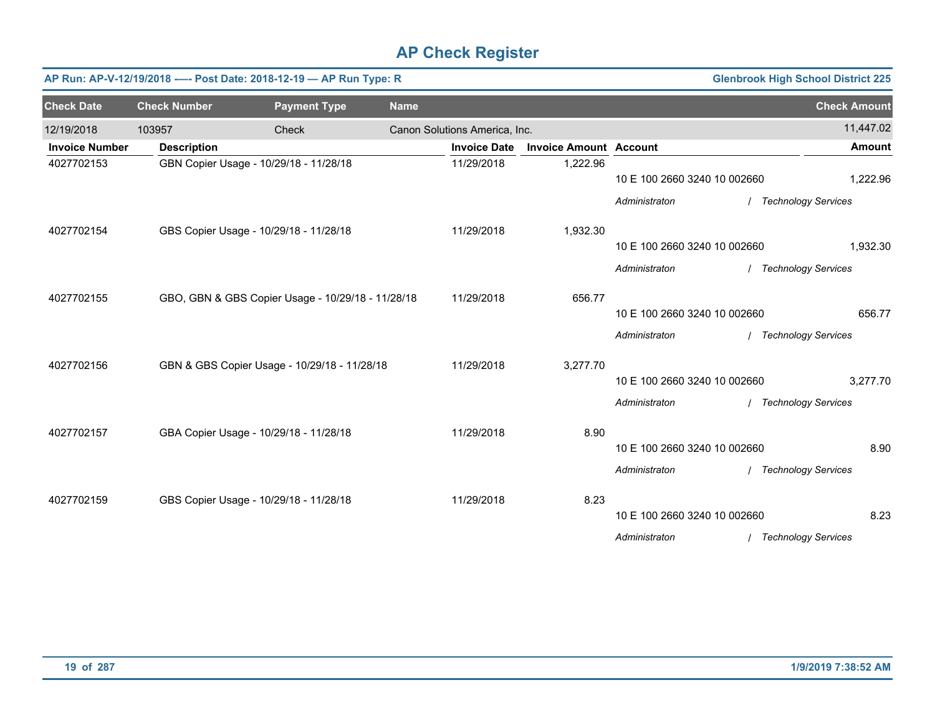|                       |                     | AP Run: AP-V-12/19/2018 ---- Post Date: 2018-12-19 - AP Run Type: R |             |                               |                               |                              |                       | <b>Glenbrook High School District 225</b> |
|-----------------------|---------------------|---------------------------------------------------------------------|-------------|-------------------------------|-------------------------------|------------------------------|-----------------------|-------------------------------------------|
| <b>Check Date</b>     | <b>Check Number</b> | <b>Payment Type</b>                                                 | <b>Name</b> |                               |                               |                              |                       | <b>Check Amount</b>                       |
| 12/19/2018            | 103957              | Check                                                               |             | Canon Solutions America, Inc. |                               |                              |                       | 11,447.02                                 |
| <b>Invoice Number</b> | <b>Description</b>  |                                                                     |             | <b>Invoice Date</b>           | <b>Invoice Amount Account</b> |                              |                       | <b>Amount</b>                             |
| 4027702153            |                     | GBN Copier Usage - 10/29/18 - 11/28/18                              |             | 11/29/2018                    | 1,222.96                      | 10 E 100 2660 3240 10 002660 |                       | 1,222.96                                  |
|                       |                     |                                                                     |             |                               |                               | Administraton                |                       | <b>Technology Services</b>                |
| 4027702154            |                     | GBS Copier Usage - 10/29/18 - 11/28/18                              |             | 11/29/2018                    | 1,932.30                      |                              |                       |                                           |
|                       |                     |                                                                     |             |                               |                               | 10 E 100 2660 3240 10 002660 |                       | 1,932.30                                  |
|                       |                     |                                                                     |             |                               |                               | Administraton                | / Technology Services |                                           |
| 4027702155            |                     | GBO, GBN & GBS Copier Usage - 10/29/18 - 11/28/18                   |             | 11/29/2018                    | 656.77                        |                              |                       |                                           |
|                       |                     |                                                                     |             |                               |                               | 10 E 100 2660 3240 10 002660 |                       | 656.77                                    |
|                       |                     |                                                                     |             |                               |                               | Administraton                | / Technology Services |                                           |
| 4027702156            |                     | GBN & GBS Copier Usage - 10/29/18 - 11/28/18                        |             | 11/29/2018                    | 3,277.70                      |                              |                       |                                           |
|                       |                     |                                                                     |             |                               |                               | 10 E 100 2660 3240 10 002660 |                       | 3,277.70                                  |
|                       |                     |                                                                     |             |                               |                               | Administraton                |                       | / Technology Services                     |
| 4027702157            |                     | GBA Copier Usage - 10/29/18 - 11/28/18                              |             | 11/29/2018                    | 8.90                          |                              |                       |                                           |
|                       |                     |                                                                     |             |                               |                               | 10 E 100 2660 3240 10 002660 |                       | 8.90                                      |
|                       |                     |                                                                     |             |                               |                               | Administraton                |                       | / Technology Services                     |
| 4027702159            |                     | GBS Copier Usage - 10/29/18 - 11/28/18                              |             | 11/29/2018                    | 8.23                          |                              |                       |                                           |
|                       |                     |                                                                     |             |                               |                               | 10 E 100 2660 3240 10 002660 |                       | 8.23                                      |
|                       |                     |                                                                     |             |                               |                               | Administraton                |                       | / Technology Services                     |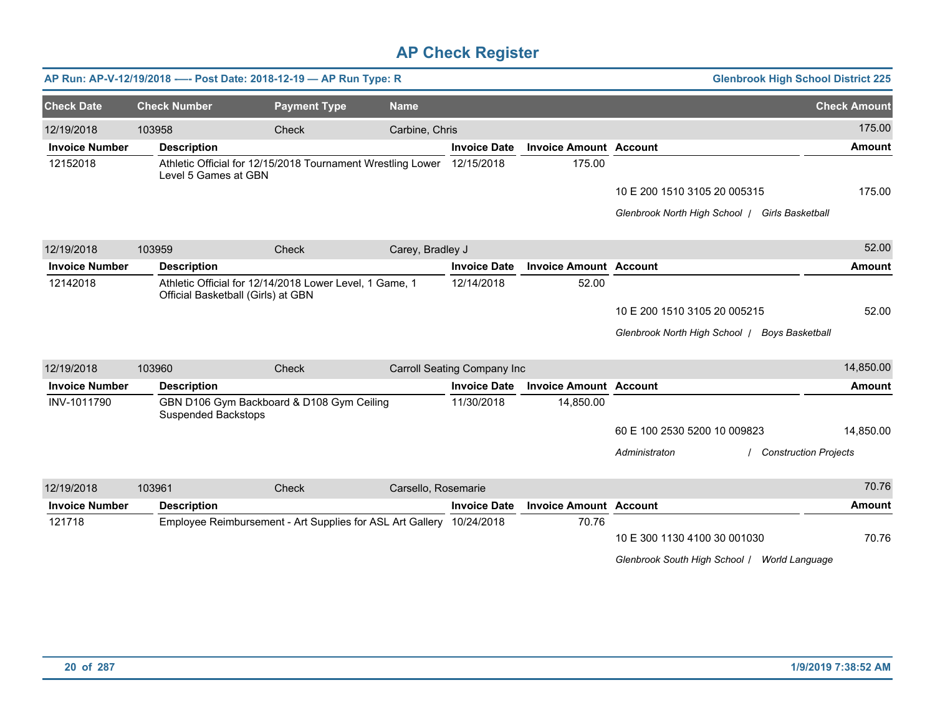|                       |                            | AP Run: AP-V-12/19/2018 ---- Post Date: 2018-12-19 - AP Run Type: R                           |                     |                             |                               | <b>Glenbrook High School District 225</b>      |                              |
|-----------------------|----------------------------|-----------------------------------------------------------------------------------------------|---------------------|-----------------------------|-------------------------------|------------------------------------------------|------------------------------|
| <b>Check Date</b>     | <b>Check Number</b>        | <b>Payment Type</b>                                                                           | <b>Name</b>         |                             |                               |                                                | <b>Check Amount</b>          |
| 12/19/2018            | 103958                     | Check                                                                                         | Carbine, Chris      |                             |                               |                                                | 175.00                       |
| <b>Invoice Number</b> | <b>Description</b>         |                                                                                               |                     | <b>Invoice Date</b>         | <b>Invoice Amount Account</b> |                                                | <b>Amount</b>                |
| 12152018              | Level 5 Games at GBN       | Athletic Official for 12/15/2018 Tournament Wrestling Lower                                   |                     | 12/15/2018                  | 175.00                        |                                                |                              |
|                       |                            |                                                                                               |                     |                             |                               | 10 E 200 1510 3105 20 005315                   | 175.00                       |
|                       |                            |                                                                                               |                     |                             |                               | Glenbrook North High School   Girls Basketball |                              |
| 12/19/2018            | 103959                     | Check                                                                                         | Carey, Bradley J    |                             |                               |                                                | 52.00                        |
| <b>Invoice Number</b> | <b>Description</b>         |                                                                                               |                     | <b>Invoice Date</b>         | <b>Invoice Amount Account</b> |                                                | Amount                       |
| 12142018              |                            | Athletic Official for 12/14/2018 Lower Level, 1 Game, 1<br>Official Basketball (Girls) at GBN |                     | 12/14/2018                  | 52.00                         |                                                |                              |
|                       |                            |                                                                                               |                     |                             |                               | 10 E 200 1510 3105 20 005215                   | 52.00                        |
|                       |                            |                                                                                               |                     |                             |                               | Glenbrook North High School   Boys Basketball  |                              |
| 12/19/2018            | 103960                     | Check                                                                                         |                     | Carroll Seating Company Inc |                               |                                                | 14,850.00                    |
| <b>Invoice Number</b> | <b>Description</b>         |                                                                                               |                     | <b>Invoice Date</b>         | <b>Invoice Amount Account</b> |                                                | <b>Amount</b>                |
| INV-1011790           | <b>Suspended Backstops</b> | GBN D106 Gym Backboard & D108 Gym Ceiling                                                     |                     | 11/30/2018                  | 14,850.00                     |                                                |                              |
|                       |                            |                                                                                               |                     |                             |                               | 60 E 100 2530 5200 10 009823                   | 14,850.00                    |
|                       |                            |                                                                                               |                     |                             |                               | Administraton                                  | <b>Construction Projects</b> |
| 12/19/2018            | 103961                     | Check                                                                                         | Carsello, Rosemarie |                             |                               |                                                | 70.76                        |
| <b>Invoice Number</b> | <b>Description</b>         |                                                                                               |                     | <b>Invoice Date</b>         | <b>Invoice Amount Account</b> |                                                | <b>Amount</b>                |
| 121718                |                            | Employee Reimbursement - Art Supplies for ASL Art Gallery 10/24/2018                          |                     |                             | 70.76                         |                                                |                              |
|                       |                            |                                                                                               |                     |                             |                               | 10 E 300 1130 4100 30 001030                   | 70.76                        |
|                       |                            |                                                                                               |                     |                             |                               | Glenbrook South High School / World Language   |                              |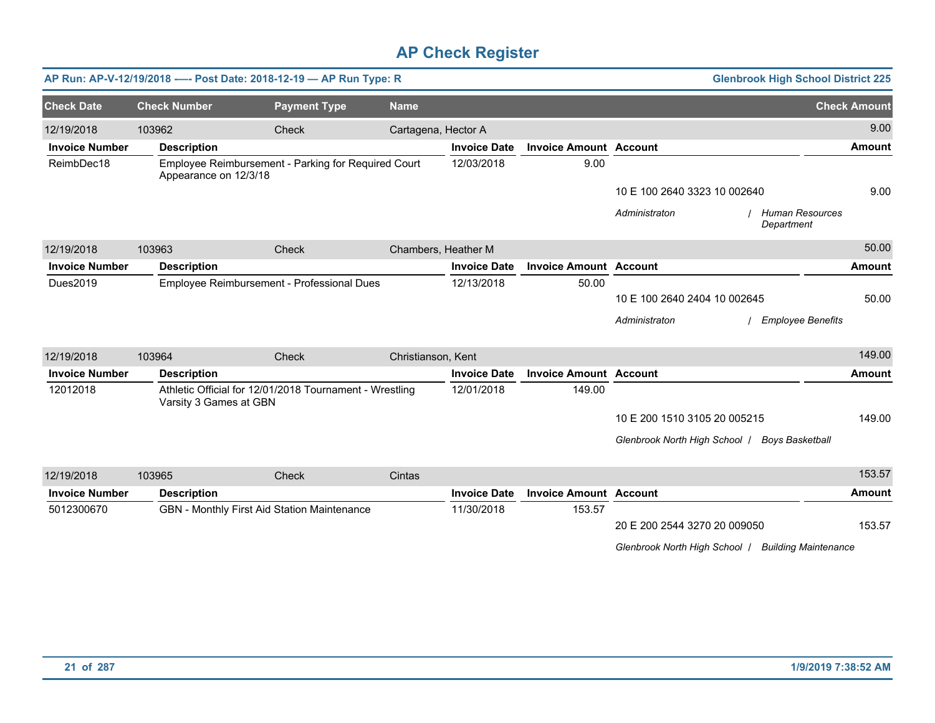|                       |                        | AP Run: AP-V-12/19/2018 ---- Post Date: 2018-12-19 - AP Run Type: R |                     |                     |                               |                                                             | <b>Glenbrook High School District 225</b> |
|-----------------------|------------------------|---------------------------------------------------------------------|---------------------|---------------------|-------------------------------|-------------------------------------------------------------|-------------------------------------------|
| <b>Check Date</b>     | <b>Check Number</b>    | <b>Payment Type</b>                                                 | <b>Name</b>         |                     |                               |                                                             | <b>Check Amount</b>                       |
| 12/19/2018            | 103962                 | Check                                                               | Cartagena, Hector A |                     |                               |                                                             | 9.00                                      |
| <b>Invoice Number</b> | <b>Description</b>     |                                                                     |                     | <b>Invoice Date</b> | <b>Invoice Amount Account</b> |                                                             | <b>Amount</b>                             |
| ReimbDec18            | Appearance on 12/3/18  | Employee Reimbursement - Parking for Required Court                 |                     | 12/03/2018          | 9.00                          |                                                             |                                           |
|                       |                        |                                                                     |                     |                     |                               | 10 E 100 2640 3323 10 002640                                | 9.00                                      |
|                       |                        |                                                                     |                     |                     |                               | Administraton<br>Department                                 | / Human Resources                         |
| 12/19/2018            | 103963                 | Check                                                               | Chambers, Heather M |                     |                               |                                                             | 50.00                                     |
| <b>Invoice Number</b> | <b>Description</b>     |                                                                     |                     | <b>Invoice Date</b> | <b>Invoice Amount Account</b> |                                                             | <b>Amount</b>                             |
| Dues2019              |                        | Employee Reimbursement - Professional Dues                          |                     | 12/13/2018          | 50.00                         |                                                             |                                           |
|                       |                        |                                                                     |                     |                     |                               | 10 E 100 2640 2404 10 002645                                | 50.00                                     |
|                       |                        |                                                                     |                     |                     |                               | Administraton                                               | <b>Employee Benefits</b>                  |
| 12/19/2018            | 103964                 | Check                                                               | Christianson, Kent  |                     |                               |                                                             | 149.00                                    |
| <b>Invoice Number</b> | <b>Description</b>     |                                                                     |                     | <b>Invoice Date</b> | <b>Invoice Amount Account</b> |                                                             | <b>Amount</b>                             |
| 12012018              | Varsity 3 Games at GBN | Athletic Official for 12/01/2018 Tournament - Wrestling             |                     | 12/01/2018          | 149.00                        |                                                             |                                           |
|                       |                        |                                                                     |                     |                     |                               | 10 E 200 1510 3105 20 005215                                | 149.00                                    |
|                       |                        |                                                                     |                     |                     |                               | Glenbrook North High School /                               | <b>Boys Basketball</b>                    |
| 12/19/2018            | 103965                 | Check                                                               | Cintas              |                     |                               |                                                             | 153.57                                    |
| <b>Invoice Number</b> | <b>Description</b>     |                                                                     |                     | <b>Invoice Date</b> | <b>Invoice Amount Account</b> |                                                             | <b>Amount</b>                             |
| 5012300670            |                        | GBN - Monthly First Aid Station Maintenance                         |                     | 11/30/2018          | 153.57                        | 20 E 200 2544 3270 20 009050<br>Glenbrook North High School | 153.57<br><b>Building Maintenance</b>     |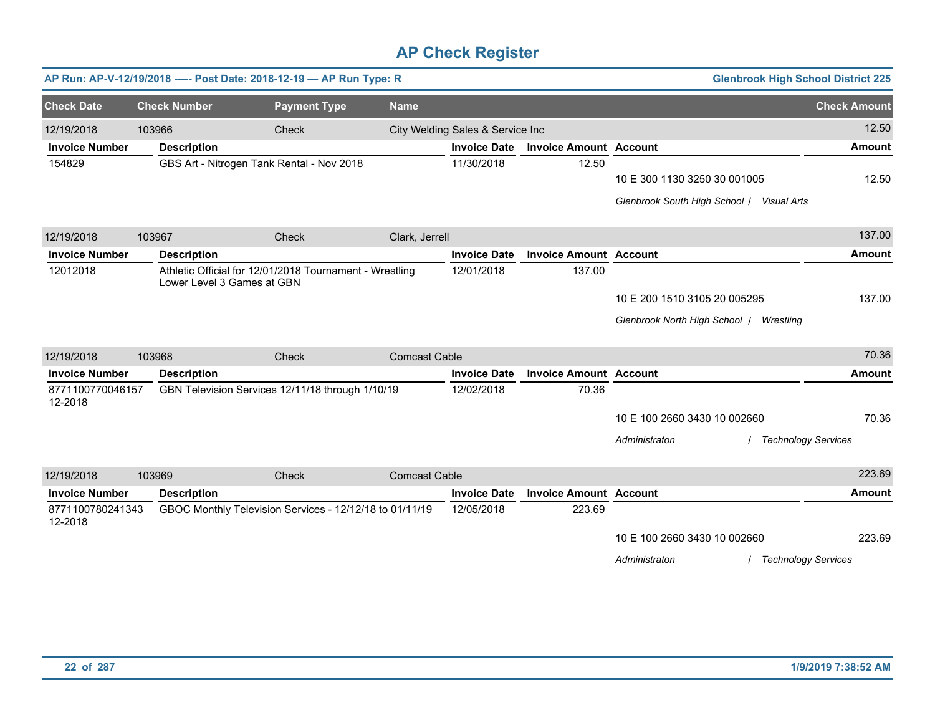|                             |                            | AP Run: AP-V-12/19/2018 ---- Post Date: 2018-12-19 - AP Run Type: R |                      |                                  |                               | <b>Glenbrook High School District 225</b>   |                            |
|-----------------------------|----------------------------|---------------------------------------------------------------------|----------------------|----------------------------------|-------------------------------|---------------------------------------------|----------------------------|
| <b>Check Date</b>           | <b>Check Number</b>        | <b>Payment Type</b>                                                 | <b>Name</b>          |                                  |                               |                                             | <b>Check Amount</b>        |
| 12/19/2018                  | 103966                     | Check                                                               |                      | City Welding Sales & Service Inc |                               |                                             | 12.50                      |
| <b>Invoice Number</b>       | <b>Description</b>         |                                                                     |                      | <b>Invoice Date</b>              | <b>Invoice Amount Account</b> |                                             | <b>Amount</b>              |
| 154829                      |                            | GBS Art - Nitrogen Tank Rental - Nov 2018                           |                      | 11/30/2018                       | 12.50                         |                                             |                            |
|                             |                            |                                                                     |                      |                                  |                               | 10 E 300 1130 3250 30 001005                | 12.50                      |
|                             |                            |                                                                     |                      |                                  |                               | Glenbrook South High School / Visual Arts   |                            |
| 12/19/2018                  | 103967                     | Check                                                               | Clark, Jerrell       |                                  |                               |                                             | 137.00                     |
| <b>Invoice Number</b>       | <b>Description</b>         |                                                                     |                      | <b>Invoice Date</b>              | <b>Invoice Amount Account</b> |                                             | <b>Amount</b>              |
| 12012018                    | Lower Level 3 Games at GBN | Athletic Official for 12/01/2018 Tournament - Wrestling             |                      | 12/01/2018                       | 137.00                        |                                             |                            |
|                             |                            |                                                                     |                      |                                  |                               | 10 E 200 1510 3105 20 005295                | 137.00                     |
|                             |                            |                                                                     |                      |                                  |                               | Glenbrook North High School   Wrestling     |                            |
| 12/19/2018                  | 103968                     | Check                                                               | <b>Comcast Cable</b> |                                  |                               |                                             | 70.36                      |
| <b>Invoice Number</b>       | <b>Description</b>         |                                                                     |                      | <b>Invoice Date</b>              | <b>Invoice Amount Account</b> |                                             | <b>Amount</b>              |
| 8771100770046157<br>12-2018 |                            | GBN Television Services 12/11/18 through 1/10/19                    |                      | 12/02/2018                       | 70.36                         |                                             |                            |
|                             |                            |                                                                     |                      |                                  |                               | 10 E 100 2660 3430 10 002660                | 70.36                      |
|                             |                            |                                                                     |                      |                                  |                               | Administraton<br><b>Technology Services</b> |                            |
| 12/19/2018                  | 103969                     | Check                                                               | <b>Comcast Cable</b> |                                  |                               |                                             | 223.69                     |
| <b>Invoice Number</b>       | <b>Description</b>         |                                                                     |                      | <b>Invoice Date</b>              | <b>Invoice Amount Account</b> |                                             | <b>Amount</b>              |
| 8771100780241343<br>12-2018 |                            | GBOC Monthly Television Services - 12/12/18 to 01/11/19             |                      | 12/05/2018                       | 223.69                        |                                             |                            |
|                             |                            |                                                                     |                      |                                  |                               | 10 E 100 2660 3430 10 002660                | 223.69                     |
|                             |                            |                                                                     |                      |                                  |                               | Administraton                               | <b>Technology Services</b> |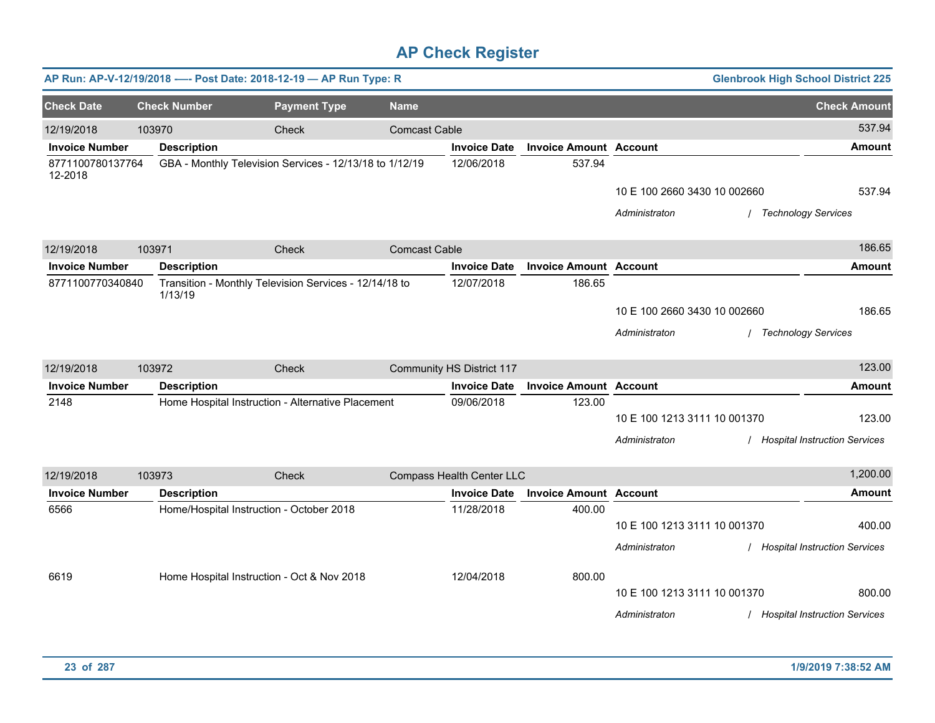|                       |        |                                          | AP Run: AP-V-12/19/2018 ---- Post Date: 2018-12-19 - AP Run Type: R |                      |                           |                               |                              | <b>Glenbrook High School District 225</b> |
|-----------------------|--------|------------------------------------------|---------------------------------------------------------------------|----------------------|---------------------------|-------------------------------|------------------------------|-------------------------------------------|
| <b>Check Date</b>     |        | <b>Check Number</b>                      | <b>Payment Type</b>                                                 | <b>Name</b>          |                           |                               |                              | <b>Check Amount</b>                       |
| 12/19/2018            | 103970 |                                          | Check                                                               | <b>Comcast Cable</b> |                           |                               |                              | 537.94                                    |
| <b>Invoice Number</b> |        | <b>Description</b>                       |                                                                     |                      | <b>Invoice Date</b>       | <b>Invoice Amount Account</b> |                              | <b>Amount</b>                             |
| 8771100780137764      |        |                                          | GBA - Monthly Television Services - 12/13/18 to 1/12/19             |                      | 12/06/2018                | 537.94                        |                              |                                           |
| 12-2018               |        |                                          |                                                                     |                      |                           |                               | 10 E 100 2660 3430 10 002660 | 537.94                                    |
|                       |        |                                          |                                                                     |                      |                           |                               | Administraton                | <b>Technology Services</b>                |
|                       |        |                                          |                                                                     |                      |                           |                               |                              |                                           |
| 12/19/2018            | 103971 |                                          | Check                                                               | <b>Comcast Cable</b> |                           |                               |                              | 186.65                                    |
| <b>Invoice Number</b> |        | <b>Description</b>                       |                                                                     |                      | <b>Invoice Date</b>       | <b>Invoice Amount Account</b> |                              | <b>Amount</b>                             |
| 8771100770340840      |        |                                          | Transition - Monthly Television Services - 12/14/18 to              |                      | 12/07/2018                | 186.65                        |                              |                                           |
|                       |        | 1/13/19                                  |                                                                     |                      |                           |                               | 10 E 100 2660 3430 10 002660 | 186.65                                    |
|                       |        |                                          |                                                                     |                      |                           |                               | Administraton                | <b>Technology Services</b>                |
|                       |        |                                          |                                                                     |                      |                           |                               |                              |                                           |
| 12/19/2018            | 103972 |                                          | Check                                                               |                      | Community HS District 117 |                               |                              | 123.00                                    |
| <b>Invoice Number</b> |        | <b>Description</b>                       |                                                                     |                      | <b>Invoice Date</b>       | <b>Invoice Amount Account</b> |                              | <b>Amount</b>                             |
| 2148                  |        |                                          | Home Hospital Instruction - Alternative Placement                   |                      | 09/06/2018                | 123.00                        |                              |                                           |
|                       |        |                                          |                                                                     |                      |                           |                               | 10 E 100 1213 3111 10 001370 | 123.00                                    |
|                       |        |                                          |                                                                     |                      |                           |                               | Administraton                | <b>Hospital Instruction Services</b>      |
|                       |        |                                          |                                                                     |                      |                           |                               |                              |                                           |
| 12/19/2018            | 103973 |                                          | Check                                                               |                      | Compass Health Center LLC |                               |                              | 1,200.00                                  |
| <b>Invoice Number</b> |        | <b>Description</b>                       |                                                                     |                      | <b>Invoice Date</b>       | <b>Invoice Amount Account</b> |                              | <b>Amount</b>                             |
| 6566                  |        | Home/Hospital Instruction - October 2018 |                                                                     |                      | 11/28/2018                | 400.00                        |                              |                                           |
|                       |        |                                          |                                                                     |                      |                           |                               | 10 E 100 1213 3111 10 001370 | 400.00                                    |
|                       |        |                                          |                                                                     |                      |                           |                               | Administraton                | / Hospital Instruction Services           |
| 6619                  |        |                                          | Home Hospital Instruction - Oct & Nov 2018                          |                      | 12/04/2018                | 800.00                        |                              |                                           |
|                       |        |                                          |                                                                     |                      |                           |                               | 10 E 100 1213 3111 10 001370 | 800.00                                    |
|                       |        |                                          |                                                                     |                      |                           |                               | Administraton                | / Hospital Instruction Services           |
|                       |        |                                          |                                                                     |                      |                           |                               |                              |                                           |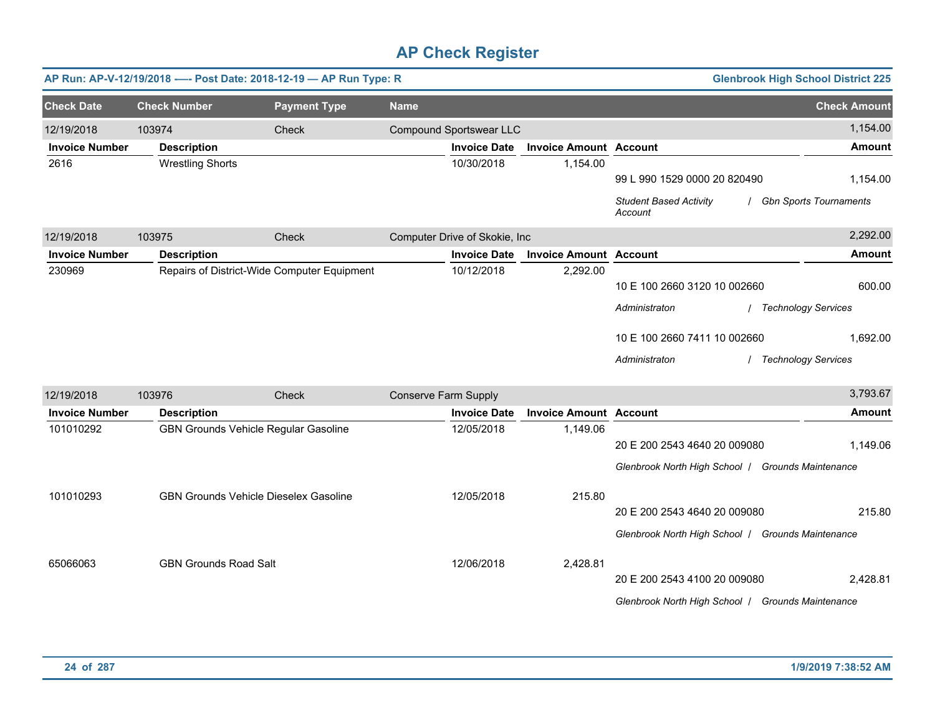|                       |                              | AP Run: AP-V-12/19/2018 ---- Post Date: 2018-12-19 - AP Run Type: R |                             |                                |                               |                                                                                   | <b>Glenbrook High School District 225</b> |
|-----------------------|------------------------------|---------------------------------------------------------------------|-----------------------------|--------------------------------|-------------------------------|-----------------------------------------------------------------------------------|-------------------------------------------|
| <b>Check Date</b>     | <b>Check Number</b>          | <b>Payment Type</b>                                                 | <b>Name</b>                 |                                |                               |                                                                                   | <b>Check Amount</b>                       |
| 12/19/2018            | 103974                       | Check                                                               |                             | <b>Compound Sportswear LLC</b> |                               |                                                                                   | 1,154.00                                  |
| <b>Invoice Number</b> | <b>Description</b>           |                                                                     |                             | <b>Invoice Date</b>            | <b>Invoice Amount Account</b> |                                                                                   | <b>Amount</b>                             |
| 2616                  | <b>Wrestling Shorts</b>      |                                                                     |                             | 10/30/2018                     | 1,154.00                      | 99 L 990 1529 0000 20 820490                                                      | 1,154.00                                  |
|                       |                              |                                                                     |                             |                                |                               | <b>Student Based Activity</b><br>Account                                          | <b>Gbn Sports Tournaments</b>             |
| 12/19/2018            | 103975                       | Check                                                               |                             | Computer Drive of Skokie, Inc  |                               |                                                                                   | 2,292.00                                  |
| <b>Invoice Number</b> | <b>Description</b>           |                                                                     |                             | <b>Invoice Date</b>            | <b>Invoice Amount Account</b> |                                                                                   | <b>Amount</b>                             |
| 230969                |                              | Repairs of District-Wide Computer Equipment                         |                             | 10/12/2018                     | 2,292.00                      | 10 E 100 2660 3120 10 002660<br>Administraton                                     | 600.00<br><b>Technology Services</b>      |
|                       |                              |                                                                     |                             |                                |                               | 10 E 100 2660 7411 10 002660<br>Administraton                                     | 1,692.00<br><b>Technology Services</b>    |
| 12/19/2018            | 103976                       | Check                                                               | <b>Conserve Farm Supply</b> |                                |                               |                                                                                   | 3,793.67                                  |
| <b>Invoice Number</b> | <b>Description</b>           |                                                                     |                             | <b>Invoice Date</b>            | <b>Invoice Amount Account</b> |                                                                                   | <b>Amount</b>                             |
| 101010292             |                              | GBN Grounds Vehicle Regular Gasoline                                |                             | 12/05/2018                     | 1,149.06                      | 20 E 200 2543 4640 20 009080<br>Glenbrook North High School / Grounds Maintenance | 1,149.06                                  |
| 101010293             |                              | <b>GBN Grounds Vehicle Dieselex Gasoline</b>                        |                             | 12/05/2018                     | 215.80                        | 20 E 200 2543 4640 20 009080<br>Glenbrook North High School / Grounds Maintenance | 215.80                                    |
| 65066063              | <b>GBN Grounds Road Salt</b> |                                                                     |                             | 12/06/2018                     | 2,428.81                      | 20 E 200 2543 4100 20 009080<br>Glenbrook North High School   Grounds Maintenance | 2,428.81                                  |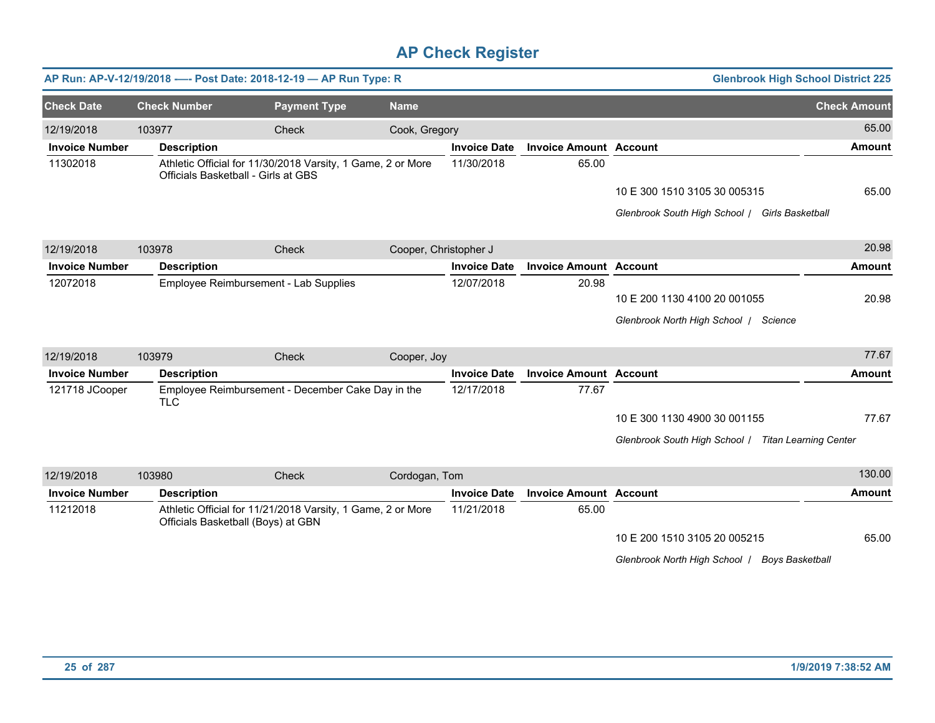|                       |                     | AP Run: AP-V-12/19/2018 ---- Post Date: 2018-12-19 - AP Run Type: R                                |                       |                     |                               | <b>Glenbrook High School District 225</b>           |                     |
|-----------------------|---------------------|----------------------------------------------------------------------------------------------------|-----------------------|---------------------|-------------------------------|-----------------------------------------------------|---------------------|
| <b>Check Date</b>     | <b>Check Number</b> | <b>Payment Type</b>                                                                                | <b>Name</b>           |                     |                               |                                                     | <b>Check Amount</b> |
| 12/19/2018            | 103977              | Check                                                                                              | Cook, Gregory         |                     |                               |                                                     | 65.00               |
| <b>Invoice Number</b> | <b>Description</b>  |                                                                                                    |                       | <b>Invoice Date</b> | <b>Invoice Amount Account</b> |                                                     | <b>Amount</b>       |
| 11302018              |                     | Athletic Official for 11/30/2018 Varsity, 1 Game, 2 or More<br>Officials Basketball - Girls at GBS |                       | 11/30/2018          | 65.00                         |                                                     |                     |
|                       |                     |                                                                                                    |                       |                     |                               | 10 E 300 1510 3105 30 005315                        | 65.00               |
|                       |                     |                                                                                                    |                       |                     |                               | Glenbrook South High School / Girls Basketball      |                     |
| 12/19/2018            | 103978              | Check                                                                                              | Cooper, Christopher J |                     |                               |                                                     | 20.98               |
| <b>Invoice Number</b> | <b>Description</b>  |                                                                                                    |                       | <b>Invoice Date</b> | <b>Invoice Amount Account</b> |                                                     | <b>Amount</b>       |
| 12072018              |                     | Employee Reimbursement - Lab Supplies                                                              |                       | 12/07/2018          | 20.98                         |                                                     |                     |
|                       |                     |                                                                                                    |                       |                     |                               | 10 E 200 1130 4100 20 001055                        | 20.98               |
|                       |                     |                                                                                                    |                       |                     |                               | Glenbrook North High School   Science               |                     |
| 12/19/2018            | 103979              | Check                                                                                              | Cooper, Joy           |                     |                               |                                                     | 77.67               |
| <b>Invoice Number</b> | <b>Description</b>  |                                                                                                    |                       | <b>Invoice Date</b> | <b>Invoice Amount Account</b> |                                                     | <b>Amount</b>       |
| 121718 JCooper        | <b>TLC</b>          | Employee Reimbursement - December Cake Day in the                                                  |                       | 12/17/2018          | 77.67                         |                                                     |                     |
|                       |                     |                                                                                                    |                       |                     |                               | 10 E 300 1130 4900 30 001155                        | 77.67               |
|                       |                     |                                                                                                    |                       |                     |                               | Glenbrook South High School   Titan Learning Center |                     |
| 12/19/2018            | 103980              | Check                                                                                              | Cordogan, Tom         |                     |                               |                                                     | 130.00              |
| <b>Invoice Number</b> | <b>Description</b>  |                                                                                                    |                       | <b>Invoice Date</b> | <b>Invoice Amount Account</b> |                                                     | <b>Amount</b>       |
| 11212018              |                     | Athletic Official for 11/21/2018 Varsity, 1 Game, 2 or More<br>Officials Basketball (Boys) at GBN  |                       | 11/21/2018          | 65.00                         |                                                     |                     |
|                       |                     |                                                                                                    |                       |                     |                               | 10 E 200 1510 3105 20 005215                        | 65.00               |
|                       |                     |                                                                                                    |                       |                     |                               | Glenbrook North High School   Boys Basketball       |                     |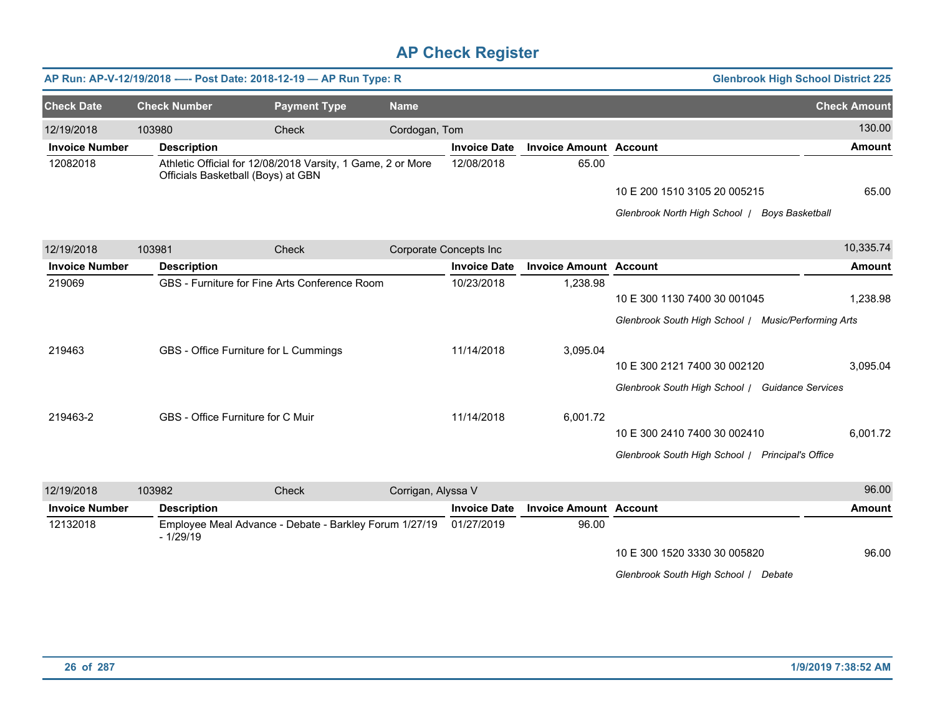|                       |                     | AP Run: AP-V-12/19/2018 ---- Post Date: 2018-12-19 - AP Run Type: R                               |                    |                        |                               | <b>Glenbrook High School District 225</b>           |                     |
|-----------------------|---------------------|---------------------------------------------------------------------------------------------------|--------------------|------------------------|-------------------------------|-----------------------------------------------------|---------------------|
| <b>Check Date</b>     | <b>Check Number</b> | <b>Payment Type</b>                                                                               | <b>Name</b>        |                        |                               |                                                     | <b>Check Amount</b> |
| 12/19/2018            | 103980              | Check                                                                                             | Cordogan, Tom      |                        |                               |                                                     | 130.00              |
| <b>Invoice Number</b> | <b>Description</b>  |                                                                                                   |                    | <b>Invoice Date</b>    | <b>Invoice Amount Account</b> |                                                     | <b>Amount</b>       |
| 12082018              |                     | Athletic Official for 12/08/2018 Varsity, 1 Game, 2 or More<br>Officials Basketball (Boys) at GBN |                    | 12/08/2018             | 65.00                         |                                                     |                     |
|                       |                     |                                                                                                   |                    |                        |                               | 10 E 200 1510 3105 20 005215                        | 65.00               |
|                       |                     |                                                                                                   |                    |                        |                               | Glenbrook North High School   Boys Basketball       |                     |
| 12/19/2018            | 103981              | Check                                                                                             |                    | Corporate Concepts Inc |                               |                                                     | 10,335.74           |
| <b>Invoice Number</b> | <b>Description</b>  |                                                                                                   |                    | <b>Invoice Date</b>    | <b>Invoice Amount Account</b> |                                                     | <b>Amount</b>       |
| 219069                |                     | GBS - Furniture for Fine Arts Conference Room                                                     |                    | 10/23/2018             | 1,238.98                      |                                                     |                     |
|                       |                     |                                                                                                   |                    |                        |                               | 10 E 300 1130 7400 30 001045                        | 1,238.98            |
|                       |                     |                                                                                                   |                    |                        |                               | Glenbrook South High School / Music/Performing Arts |                     |
| 219463                |                     | GBS - Office Furniture for L Cummings                                                             |                    | 11/14/2018             | 3,095.04                      |                                                     |                     |
|                       |                     |                                                                                                   |                    |                        |                               | 10 E 300 2121 7400 30 002120                        | 3.095.04            |
|                       |                     |                                                                                                   |                    |                        |                               | Glenbrook South High School / Guidance Services     |                     |
| 219463-2              |                     | GBS - Office Furniture for C Muir                                                                 |                    | 11/14/2018             | 6,001.72                      |                                                     |                     |
|                       |                     |                                                                                                   |                    |                        |                               | 10 E 300 2410 7400 30 002410                        | 6,001.72            |
|                       |                     |                                                                                                   |                    |                        |                               | Glenbrook South High School / Principal's Office    |                     |
| 12/19/2018            | 103982              | Check                                                                                             | Corrigan, Alyssa V |                        |                               |                                                     | 96.00               |
| <b>Invoice Number</b> | <b>Description</b>  |                                                                                                   |                    | <b>Invoice Date</b>    | <b>Invoice Amount Account</b> |                                                     | <b>Amount</b>       |
| 12132018              | $-1/29/19$          | Employee Meal Advance - Debate - Barkley Forum 1/27/19                                            |                    | 01/27/2019             | 96.00                         |                                                     |                     |
|                       |                     |                                                                                                   |                    |                        |                               | 10 E 300 1520 3330 30 005820                        | 96.00               |
|                       |                     |                                                                                                   |                    |                        |                               | Glenbrook South High School / Debate                |                     |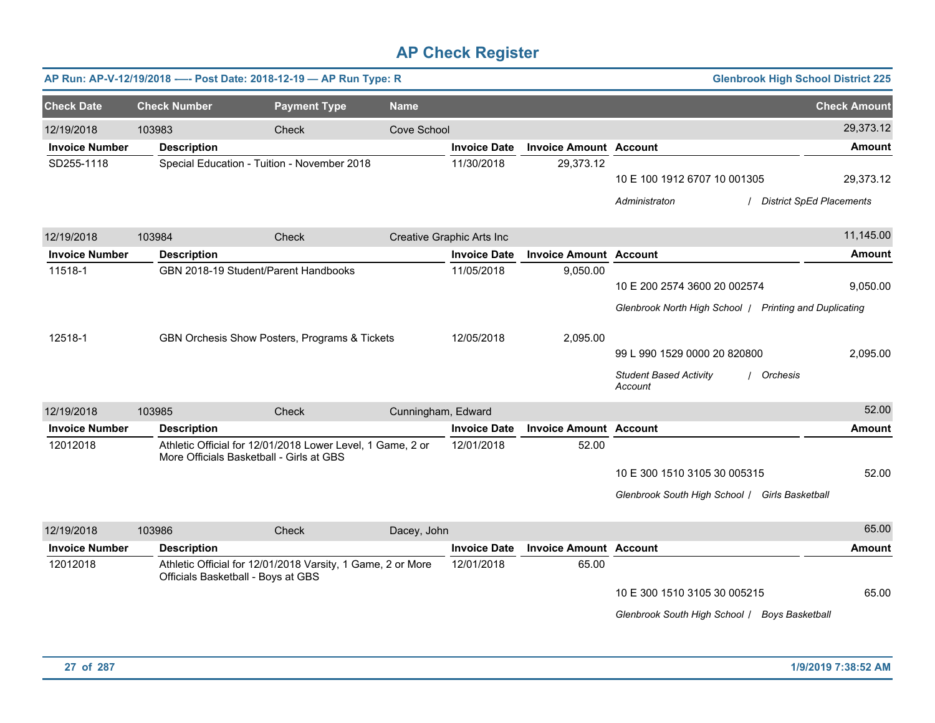|                       |                     | AP Run: AP-V-12/19/2018 ---- Post Date: 2018-12-19 - AP Run Type: R                                    |                    |                           |                               | <b>Glenbrook High School District 225</b>                                              |                     |
|-----------------------|---------------------|--------------------------------------------------------------------------------------------------------|--------------------|---------------------------|-------------------------------|----------------------------------------------------------------------------------------|---------------------|
| <b>Check Date</b>     | <b>Check Number</b> | <b>Payment Type</b>                                                                                    | <b>Name</b>        |                           |                               |                                                                                        | <b>Check Amount</b> |
| 12/19/2018            | 103983              | Check                                                                                                  | Cove School        |                           |                               |                                                                                        | 29,373.12           |
| <b>Invoice Number</b> | <b>Description</b>  |                                                                                                        |                    | <b>Invoice Date</b>       | <b>Invoice Amount Account</b> |                                                                                        | <b>Amount</b>       |
| SD255-1118            |                     | Special Education - Tuition - November 2018                                                            |                    | 11/30/2018                | 29,373.12                     | 10 E 100 1912 6707 10 001305<br><b>District SpEd Placements</b><br>Administraton       | 29,373.12           |
| 12/19/2018            | 103984              | Check                                                                                                  |                    | Creative Graphic Arts Inc |                               |                                                                                        | 11,145.00           |
| <b>Invoice Number</b> | <b>Description</b>  |                                                                                                        |                    | <b>Invoice Date</b>       | <b>Invoice Amount Account</b> |                                                                                        | <b>Amount</b>       |
| 11518-1               |                     | GBN 2018-19 Student/Parent Handbooks                                                                   |                    | 11/05/2018                | 9,050.00                      | 10 E 200 2574 3600 20 002574<br>Glenbrook North High School / Printing and Duplicating | 9,050.00            |
| 12518-1               |                     | GBN Orchesis Show Posters, Programs & Tickets                                                          |                    | 12/05/2018                | 2,095.00                      | 99 L 990 1529 0000 20 820800<br><b>Student Based Activity</b><br>/ Orchesis<br>Account | 2,095.00            |
| 12/19/2018            | 103985              | Check                                                                                                  | Cunningham, Edward |                           |                               |                                                                                        | 52.00               |
| <b>Invoice Number</b> | <b>Description</b>  |                                                                                                        |                    | <b>Invoice Date</b>       | <b>Invoice Amount Account</b> |                                                                                        | <b>Amount</b>       |
| 12012018              |                     | Athletic Official for 12/01/2018 Lower Level, 1 Game, 2 or<br>More Officials Basketball - Girls at GBS |                    | 12/01/2018                | 52.00                         | 10 E 300 1510 3105 30 005315<br>Glenbrook South High School / Girls Basketball         | 52.00               |
| 12/19/2018            | 103986              | Check                                                                                                  | Dacey, John        |                           |                               |                                                                                        | 65.00               |
| <b>Invoice Number</b> | <b>Description</b>  |                                                                                                        |                    | <b>Invoice Date</b>       | <b>Invoice Amount Account</b> |                                                                                        | <b>Amount</b>       |
| 12012018              |                     | Athletic Official for 12/01/2018 Varsity, 1 Game, 2 or More<br>Officials Basketball - Boys at GBS      |                    | 12/01/2018                | 65.00                         | 10 E 300 1510 3105 30 005215<br>Glenbrook South High School   Boys Basketball          | 65.00               |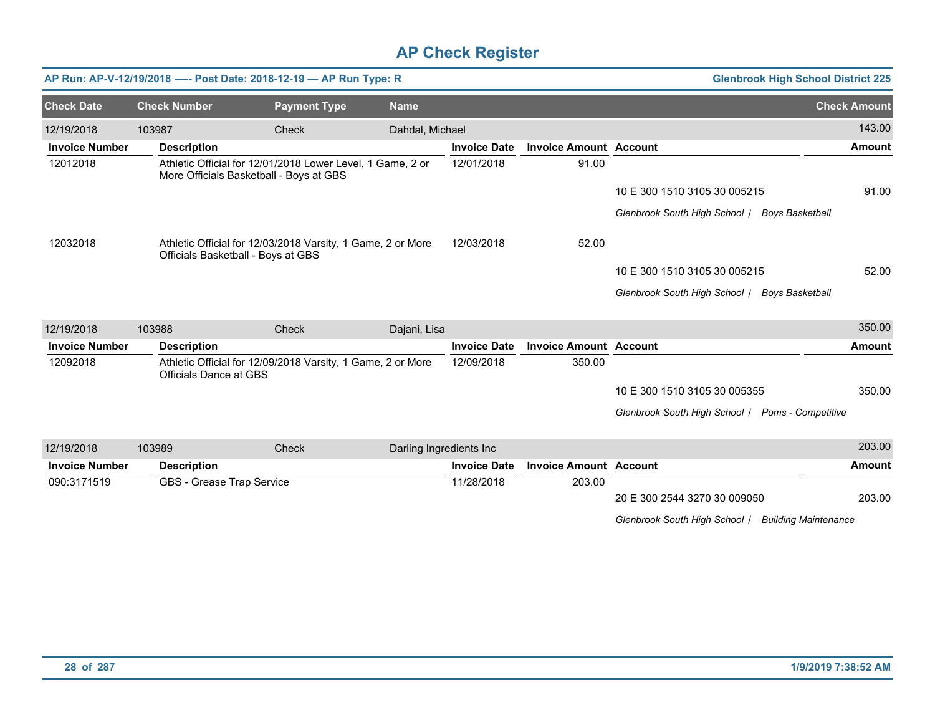|                       |        |                                         | AP Run: AP-V-12/19/2018 ---- Post Date: 2018-12-19 - AP Run Type: R |                         |                     |                               | <b>Glenbrook High School District 225</b>               |                     |
|-----------------------|--------|-----------------------------------------|---------------------------------------------------------------------|-------------------------|---------------------|-------------------------------|---------------------------------------------------------|---------------------|
| <b>Check Date</b>     |        | <b>Check Number</b>                     | <b>Payment Type</b>                                                 | <b>Name</b>             |                     |                               |                                                         | <b>Check Amount</b> |
| 12/19/2018            | 103987 |                                         | Check                                                               | Dahdal, Michael         |                     |                               |                                                         | 143.00              |
| <b>Invoice Number</b> |        | <b>Description</b>                      |                                                                     |                         | <b>Invoice Date</b> | <b>Invoice Amount Account</b> |                                                         | <b>Amount</b>       |
| 12012018              |        | More Officials Basketball - Boys at GBS | Athletic Official for 12/01/2018 Lower Level, 1 Game, 2 or          |                         | 12/01/2018          | 91.00                         |                                                         |                     |
|                       |        |                                         |                                                                     |                         |                     |                               | 10 E 300 1510 3105 30 005215                            | 91.00               |
|                       |        |                                         |                                                                     |                         |                     |                               | Glenbrook South High School / Boys Basketball           |                     |
| 12032018              |        | Officials Basketball - Boys at GBS      | Athletic Official for 12/03/2018 Varsity, 1 Game, 2 or More         |                         | 12/03/2018          | 52.00                         |                                                         |                     |
|                       |        |                                         |                                                                     |                         |                     |                               | 10 E 300 1510 3105 30 005215                            | 52.00               |
|                       |        |                                         |                                                                     |                         |                     |                               | Glenbrook South High School /<br><b>Boys Basketball</b> |                     |
| 12/19/2018            | 103988 |                                         | Check                                                               | Dajani, Lisa            |                     |                               |                                                         | 350.00              |
| <b>Invoice Number</b> |        | <b>Description</b>                      |                                                                     |                         | <b>Invoice Date</b> | <b>Invoice Amount Account</b> |                                                         | <b>Amount</b>       |
| 12092018              |        | Officials Dance at GBS                  | Athletic Official for 12/09/2018 Varsity, 1 Game, 2 or More         |                         | 12/09/2018          | 350.00                        |                                                         |                     |
|                       |        |                                         |                                                                     |                         |                     |                               | 10 E 300 1510 3105 30 005355                            | 350.00              |
|                       |        |                                         |                                                                     |                         |                     |                               | Glenbrook South High School   Poms - Competitive        |                     |
| 12/19/2018            | 103989 |                                         | Check                                                               | Darling Ingredients Inc |                     |                               |                                                         | 203.00              |
| <b>Invoice Number</b> |        | <b>Description</b>                      |                                                                     |                         | <b>Invoice Date</b> | <b>Invoice Amount Account</b> |                                                         | <b>Amount</b>       |
| 090:3171519           |        | GBS - Grease Trap Service               |                                                                     |                         | 11/28/2018          | 203.00                        |                                                         |                     |
|                       |        |                                         |                                                                     |                         |                     |                               | 20 E 300 2544 3270 30 009050                            | 203.00              |

*Glenbrook South High School* / *Building Maintenance*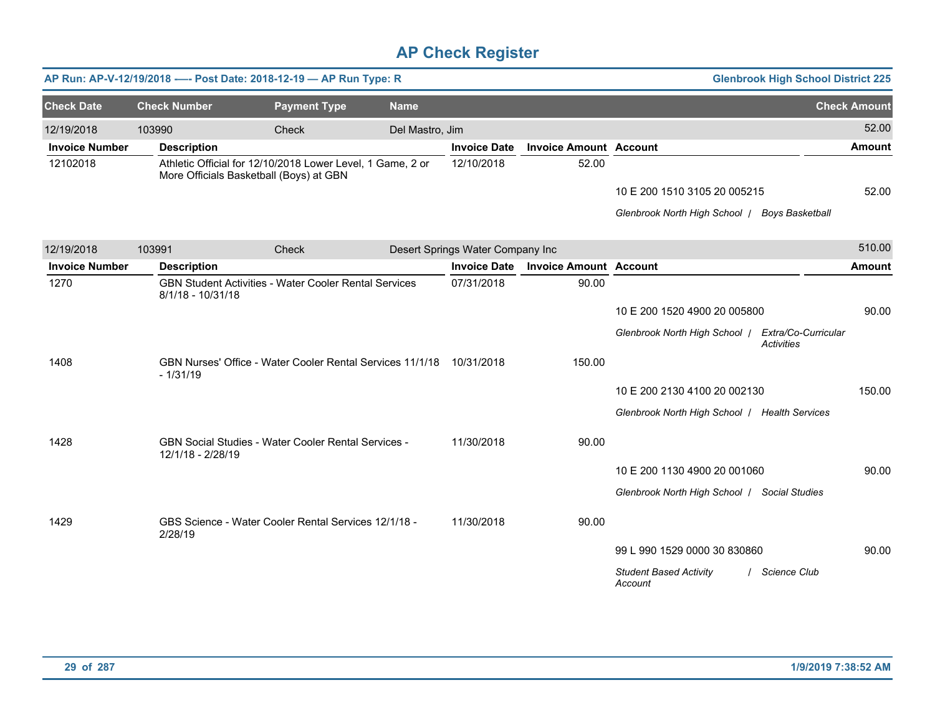|                       |                     | AP Run: AP-V-12/19/2018 ---- Post Date: 2018-12-19 - AP Run Type: R                                   |                 |                                  |                               |                                                   | <b>Glenbrook High School District 225</b> |
|-----------------------|---------------------|-------------------------------------------------------------------------------------------------------|-----------------|----------------------------------|-------------------------------|---------------------------------------------------|-------------------------------------------|
| <b>Check Date</b>     | <b>Check Number</b> | <b>Payment Type</b>                                                                                   | <b>Name</b>     |                                  |                               |                                                   | <b>Check Amount</b>                       |
| 12/19/2018            | 103990              | Check                                                                                                 | Del Mastro, Jim |                                  |                               |                                                   | 52.00                                     |
| <b>Invoice Number</b> | <b>Description</b>  |                                                                                                       |                 | <b>Invoice Date</b>              | <b>Invoice Amount Account</b> |                                                   | <b>Amount</b>                             |
| 12102018              |                     | Athletic Official for 12/10/2018 Lower Level, 1 Game, 2 or<br>More Officials Basketball (Boys) at GBN |                 | 12/10/2018                       | 52.00                         |                                                   |                                           |
|                       |                     |                                                                                                       |                 |                                  |                               | 10 E 200 1510 3105 20 005215                      | 52.00                                     |
|                       |                     |                                                                                                       |                 |                                  |                               | Glenbrook North High School   Boys Basketball     |                                           |
| 12/19/2018            | 103991              | Check                                                                                                 |                 | Desert Springs Water Company Inc |                               |                                                   | 510.00                                    |
| <b>Invoice Number</b> | <b>Description</b>  |                                                                                                       |                 | <b>Invoice Date</b>              | <b>Invoice Amount Account</b> |                                                   | <b>Amount</b>                             |
| 1270                  | 8/1/18 - 10/31/18   | <b>GBN Student Activities - Water Cooler Rental Services</b>                                          |                 | 07/31/2018                       | 90.00                         |                                                   |                                           |
|                       |                     |                                                                                                       |                 |                                  |                               | 10 E 200 1520 4900 20 005800                      | 90.00                                     |
|                       |                     |                                                                                                       |                 |                                  |                               | Glenbrook North High School   Extra/Co-Curricular | <b>Activities</b>                         |
| 1408                  | $-1/31/19$          | GBN Nurses' Office - Water Cooler Rental Services 11/1/18                                             |                 | 10/31/2018                       | 150.00                        |                                                   |                                           |
|                       |                     |                                                                                                       |                 |                                  |                               | 10 E 200 2130 4100 20 002130                      | 150.00                                    |
|                       |                     |                                                                                                       |                 |                                  |                               | Glenbrook North High School   Health Services     |                                           |
| 1428                  | 12/1/18 - 2/28/19   | <b>GBN Social Studies - Water Cooler Rental Services -</b>                                            |                 | 11/30/2018                       | 90.00                         |                                                   |                                           |
|                       |                     |                                                                                                       |                 |                                  |                               | 10 E 200 1130 4900 20 001060                      | 90.00                                     |
|                       |                     |                                                                                                       |                 |                                  |                               | Glenbrook North High School / Social Studies      |                                           |
| 1429                  | 2/28/19             | GBS Science - Water Cooler Rental Services 12/1/18 -                                                  |                 | 11/30/2018                       | 90.00                         |                                                   |                                           |
|                       |                     |                                                                                                       |                 |                                  |                               | 99 L 990 1529 0000 30 830860                      | 90.00                                     |
|                       |                     |                                                                                                       |                 |                                  |                               | <b>Student Based Activity</b><br>Account          | Science Club                              |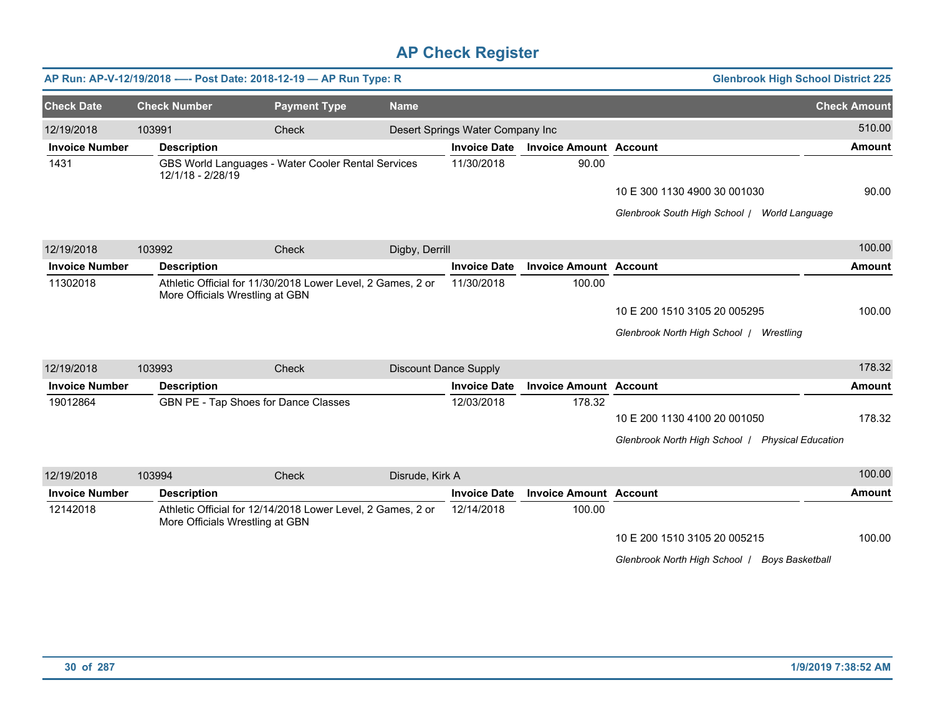|                       |                     | AP Run: AP-V-12/19/2018 ---- Post Date: 2018-12-19 - AP Run Type: R                            |                              |                                  |                               | <b>Glenbrook High School District 225</b>        |                     |
|-----------------------|---------------------|------------------------------------------------------------------------------------------------|------------------------------|----------------------------------|-------------------------------|--------------------------------------------------|---------------------|
| <b>Check Date</b>     | <b>Check Number</b> | <b>Payment Type</b>                                                                            | <b>Name</b>                  |                                  |                               |                                                  | <b>Check Amount</b> |
| 12/19/2018            | 103991              | Check                                                                                          |                              | Desert Springs Water Company Inc |                               |                                                  | 510.00              |
| <b>Invoice Number</b> | <b>Description</b>  |                                                                                                |                              | <b>Invoice Date</b>              | <b>Invoice Amount Account</b> |                                                  | <b>Amount</b>       |
| 1431                  | 12/1/18 - 2/28/19   | GBS World Languages - Water Cooler Rental Services                                             |                              | 11/30/2018                       | 90.00                         |                                                  |                     |
|                       |                     |                                                                                                |                              |                                  |                               | 10 E 300 1130 4900 30 001030                     | 90.00               |
|                       |                     |                                                                                                |                              |                                  |                               | Glenbrook South High School   World Language     |                     |
| 12/19/2018            | 103992              | Check                                                                                          | Digby, Derrill               |                                  |                               |                                                  | 100.00              |
| <b>Invoice Number</b> | <b>Description</b>  |                                                                                                |                              | <b>Invoice Date</b>              | <b>Invoice Amount Account</b> |                                                  | <b>Amount</b>       |
| 11302018              |                     | Athletic Official for 11/30/2018 Lower Level, 2 Games, 2 or<br>More Officials Wrestling at GBN |                              | 11/30/2018                       | 100.00                        |                                                  |                     |
|                       |                     |                                                                                                |                              |                                  |                               | 10 E 200 1510 3105 20 005295                     | 100.00              |
|                       |                     |                                                                                                |                              |                                  |                               | Glenbrook North High School   Wrestling          |                     |
| 12/19/2018            | 103993              | Check                                                                                          | <b>Discount Dance Supply</b> |                                  |                               |                                                  | 178.32              |
| <b>Invoice Number</b> | <b>Description</b>  |                                                                                                |                              | <b>Invoice Date</b>              | <b>Invoice Amount Account</b> |                                                  | <b>Amount</b>       |
| 19012864              |                     | GBN PE - Tap Shoes for Dance Classes                                                           |                              | 12/03/2018                       | 178.32                        | 10 E 200 1130 4100 20 001050                     | 178.32              |
|                       |                     |                                                                                                |                              |                                  |                               | Glenbrook North High School   Physical Education |                     |
| 12/19/2018            | 103994              | Check                                                                                          | Disrude, Kirk A              |                                  |                               |                                                  | 100.00              |
| <b>Invoice Number</b> | <b>Description</b>  |                                                                                                |                              | <b>Invoice Date</b>              | <b>Invoice Amount Account</b> |                                                  | <b>Amount</b>       |
| 12142018              |                     | Athletic Official for 12/14/2018 Lower Level, 2 Games, 2 or<br>More Officials Wrestling at GBN |                              | 12/14/2018                       | 100.00                        |                                                  |                     |
|                       |                     |                                                                                                |                              |                                  |                               | 10 E 200 1510 3105 20 005215                     | 100.00              |
|                       |                     |                                                                                                |                              |                                  |                               | Glenbrook North High School   Boys Basketball    |                     |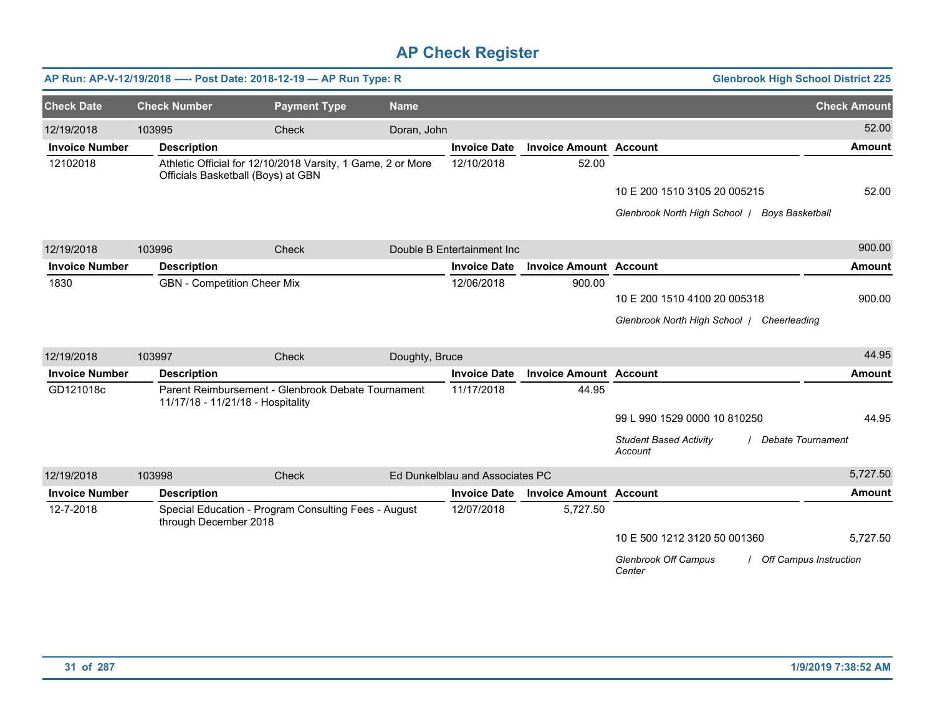|                       |                                    | AP Run: AP-V-12/19/2018 ---- Post Date: 2018-12-19 - AP Run Type: R                               |                |                                 |                               |                                               | <b>Glenbrook High School District 225</b> |
|-----------------------|------------------------------------|---------------------------------------------------------------------------------------------------|----------------|---------------------------------|-------------------------------|-----------------------------------------------|-------------------------------------------|
| <b>Check Date</b>     | <b>Check Number</b>                | <b>Payment Type</b>                                                                               | <b>Name</b>    |                                 |                               |                                               | <b>Check Amount</b>                       |
| 12/19/2018            | 103995                             | Check                                                                                             | Doran, John    |                                 |                               |                                               | 52.00                                     |
| <b>Invoice Number</b> | <b>Description</b>                 |                                                                                                   |                | <b>Invoice Date</b>             | <b>Invoice Amount Account</b> |                                               | <b>Amount</b>                             |
| 12102018              |                                    | Athletic Official for 12/10/2018 Varsity, 1 Game, 2 or More<br>Officials Basketball (Boys) at GBN |                | 12/10/2018                      | 52.00                         |                                               |                                           |
|                       |                                    |                                                                                                   |                |                                 |                               | 10 E 200 1510 3105 20 005215                  | 52.00                                     |
|                       |                                    |                                                                                                   |                |                                 |                               | Glenbrook North High School   Boys Basketball |                                           |
| 12/19/2018            | 103996                             | Check                                                                                             |                | Double B Entertainment Inc      |                               |                                               | 900.00                                    |
| <b>Invoice Number</b> | <b>Description</b>                 |                                                                                                   |                | <b>Invoice Date</b>             | <b>Invoice Amount Account</b> |                                               | <b>Amount</b>                             |
| 1830                  | <b>GBN</b> - Competition Cheer Mix |                                                                                                   |                | 12/06/2018                      | 900.00                        |                                               |                                           |
|                       |                                    |                                                                                                   |                |                                 |                               | 10 E 200 1510 4100 20 005318                  | 900.00                                    |
|                       |                                    |                                                                                                   |                |                                 |                               | Glenbrook North High School   Cheerleading    |                                           |
| 12/19/2018            | 103997                             | Check                                                                                             | Doughty, Bruce |                                 |                               |                                               | 44.95                                     |
| <b>Invoice Number</b> | <b>Description</b>                 |                                                                                                   |                | <b>Invoice Date</b>             | <b>Invoice Amount Account</b> |                                               | <b>Amount</b>                             |
| GD121018c             | 11/17/18 - 11/21/18 - Hospitality  | Parent Reimbursement - Glenbrook Debate Tournament                                                |                | 11/17/2018                      | 44.95                         |                                               |                                           |
|                       |                                    |                                                                                                   |                |                                 |                               | 99 L 990 1529 0000 10 810250                  | 44.95                                     |
|                       |                                    |                                                                                                   |                |                                 |                               | <b>Student Based Activity</b><br>Account      | Debate Tournament                         |
| 12/19/2018            | 103998                             | Check                                                                                             |                | Ed Dunkelblau and Associates PC |                               |                                               | 5,727.50                                  |
| <b>Invoice Number</b> | <b>Description</b>                 |                                                                                                   |                | <b>Invoice Date</b>             | <b>Invoice Amount Account</b> |                                               | <b>Amount</b>                             |
| 12-7-2018             | through December 2018              | Special Education - Program Consulting Fees - August                                              |                | 12/07/2018                      | 5,727.50                      |                                               |                                           |
|                       |                                    |                                                                                                   |                |                                 |                               | 10 E 500 1212 3120 50 001360                  | 5,727.50                                  |
|                       |                                    |                                                                                                   |                |                                 |                               | <b>Glenbrook Off Campus</b><br>Center         | <b>Off Campus Instruction</b>             |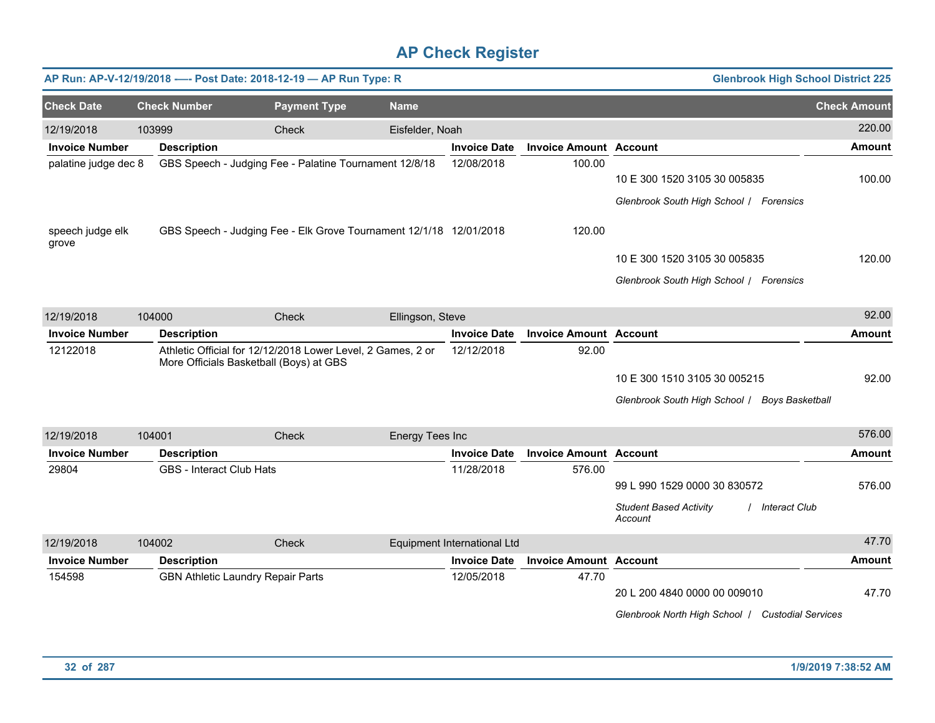|                           |        |                                 | AP Run: AP-V-12/19/2018 ---- Post Date: 2018-12-19 - AP Run Type: R                                    |                  |                             |                               | <b>Glenbrook High School District 225</b>                                                   |                     |
|---------------------------|--------|---------------------------------|--------------------------------------------------------------------------------------------------------|------------------|-----------------------------|-------------------------------|---------------------------------------------------------------------------------------------|---------------------|
| <b>Check Date</b>         |        | <b>Check Number</b>             | <b>Payment Type</b>                                                                                    | <b>Name</b>      |                             |                               |                                                                                             | <b>Check Amount</b> |
| 12/19/2018                | 103999 |                                 | Check                                                                                                  | Eisfelder, Noah  |                             |                               |                                                                                             | 220.00              |
| <b>Invoice Number</b>     |        | <b>Description</b>              |                                                                                                        |                  | <b>Invoice Date</b>         | <b>Invoice Amount Account</b> |                                                                                             | Amount              |
| palatine judge dec 8      |        |                                 | GBS Speech - Judging Fee - Palatine Tournament 12/8/18                                                 |                  | 12/08/2018                  | 100.00                        | 10 E 300 1520 3105 30 005835<br>Glenbrook South High School / Forensics                     | 100.00              |
| speech judge elk<br>grove |        |                                 | GBS Speech - Judging Fee - Elk Grove Tournament 12/1/18 12/01/2018                                     |                  |                             | 120.00                        |                                                                                             |                     |
|                           |        |                                 |                                                                                                        |                  |                             |                               | 10 E 300 1520 3105 30 005835                                                                | 120.00              |
|                           |        |                                 |                                                                                                        |                  |                             |                               | Glenbrook South High School / Forensics                                                     |                     |
| 12/19/2018                | 104000 |                                 | Check                                                                                                  | Ellingson, Steve |                             |                               |                                                                                             | 92.00               |
| <b>Invoice Number</b>     |        | <b>Description</b>              |                                                                                                        |                  | <b>Invoice Date</b>         | <b>Invoice Amount Account</b> |                                                                                             | <b>Amount</b>       |
| 12122018                  |        |                                 | Athletic Official for 12/12/2018 Lower Level, 2 Games, 2 or<br>More Officials Basketball (Boys) at GBS |                  | 12/12/2018                  | 92.00                         | 10 E 300 1510 3105 30 005215<br>Glenbrook South High School / Boys Basketball               | 92.00               |
| 12/19/2018                | 104001 |                                 | Check                                                                                                  | Energy Tees Inc  |                             |                               |                                                                                             | 576.00              |
| <b>Invoice Number</b>     |        | <b>Description</b>              |                                                                                                        |                  | <b>Invoice Date</b>         | <b>Invoice Amount Account</b> |                                                                                             | Amount              |
| 29804                     |        | <b>GBS</b> - Interact Club Hats |                                                                                                        |                  | 11/28/2018                  | 576.00                        | 99 L 990 1529 0000 30 830572<br><b>Student Based Activity</b><br>/ Interact Club<br>Account | 576.00              |
| 12/19/2018                | 104002 |                                 | Check                                                                                                  |                  | Equipment International Ltd |                               |                                                                                             | 47.70               |
| <b>Invoice Number</b>     |        | <b>Description</b>              |                                                                                                        |                  | <b>Invoice Date</b>         | <b>Invoice Amount</b>         | <b>Account</b>                                                                              | Amount              |
| 154598                    |        |                                 | <b>GBN Athletic Laundry Repair Parts</b>                                                               |                  | 12/05/2018                  | 47.70                         | 20 L 200 4840 0000 00 009010<br>Glenbrook North High School / Custodial Services            | 47.70               |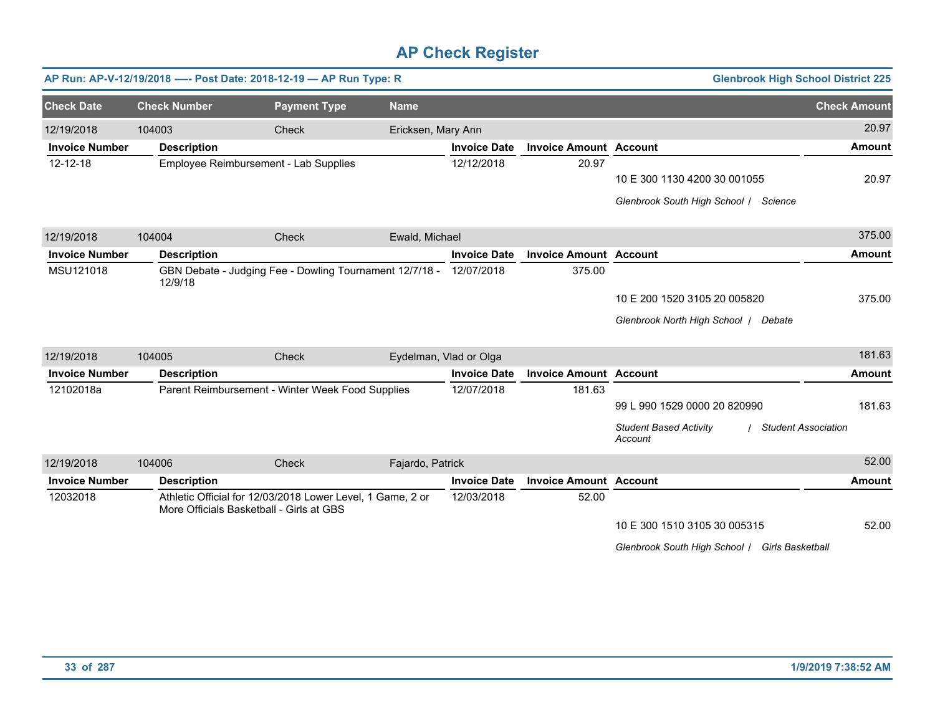|                       |                     | AP Run: AP-V-12/19/2018 ---- Post Date: 2018-12-19 - AP Run Type: R |                                                                    |                        |                               |                                                | <b>Glenbrook High School District 225</b> |
|-----------------------|---------------------|---------------------------------------------------------------------|--------------------------------------------------------------------|------------------------|-------------------------------|------------------------------------------------|-------------------------------------------|
| <b>Check Date</b>     | <b>Check Number</b> | <b>Payment Type</b>                                                 | <b>Name</b>                                                        |                        |                               |                                                | <b>Check Amount</b>                       |
| 12/19/2018            | 104003              | Check                                                               |                                                                    | Ericksen, Mary Ann     |                               |                                                | 20.97                                     |
| <b>Invoice Number</b> | <b>Description</b>  |                                                                     |                                                                    | <b>Invoice Date</b>    | <b>Invoice Amount Account</b> |                                                | <b>Amount</b>                             |
| 12-12-18              |                     | Employee Reimbursement - Lab Supplies                               |                                                                    | 12/12/2018             | 20.97                         |                                                |                                           |
|                       |                     |                                                                     |                                                                    |                        |                               | 10 E 300 1130 4200 30 001055                   | 20.97                                     |
|                       |                     |                                                                     |                                                                    |                        |                               | Glenbrook South High School / Science          |                                           |
| 12/19/2018            | 104004              | <b>Check</b>                                                        | Ewald, Michael                                                     |                        |                               |                                                | 375.00                                    |
| <b>Invoice Number</b> | <b>Description</b>  |                                                                     |                                                                    | <b>Invoice Date</b>    | <b>Invoice Amount Account</b> |                                                | <b>Amount</b>                             |
| MSU121018             | 12/9/18             |                                                                     | GBN Debate - Judging Fee - Dowling Tournament 12/7/18 - 12/07/2018 |                        | 375.00                        |                                                |                                           |
|                       |                     |                                                                     |                                                                    |                        |                               | 10 E 200 1520 3105 20 005820                   | 375.00                                    |
|                       |                     |                                                                     |                                                                    |                        |                               | Glenbrook North High School   Debate           |                                           |
| 12/19/2018            | 104005              | Check                                                               |                                                                    | Eydelman, Vlad or Olga |                               |                                                | 181.63                                    |
| <b>Invoice Number</b> | <b>Description</b>  |                                                                     |                                                                    | <b>Invoice Date</b>    | <b>Invoice Amount Account</b> |                                                | <b>Amount</b>                             |
| 12102018a             |                     | Parent Reimbursement - Winter Week Food Supplies                    |                                                                    | 12/07/2018             | 181.63                        |                                                |                                           |
|                       |                     |                                                                     |                                                                    |                        |                               | 99 L 990 1529 0000 20 820990                   | 181.63                                    |
|                       |                     |                                                                     |                                                                    |                        |                               | <b>Student Based Activity</b><br>Account       | <b>Student Association</b>                |
| 12/19/2018            | 104006              | Check                                                               | Fajardo, Patrick                                                   |                        |                               |                                                | 52.00                                     |
| <b>Invoice Number</b> | <b>Description</b>  |                                                                     |                                                                    | <b>Invoice Date</b>    | <b>Invoice Amount Account</b> |                                                | <b>Amount</b>                             |
| 12032018              |                     | More Officials Basketball - Girls at GBS                            | Athletic Official for 12/03/2018 Lower Level, 1 Game, 2 or         | 12/03/2018             | 52.00                         |                                                |                                           |
|                       |                     |                                                                     |                                                                    |                        |                               | 10 E 300 1510 3105 30 005315                   | 52.00                                     |
|                       |                     |                                                                     |                                                                    |                        |                               | Glenbrook South High School   Girls Basketball |                                           |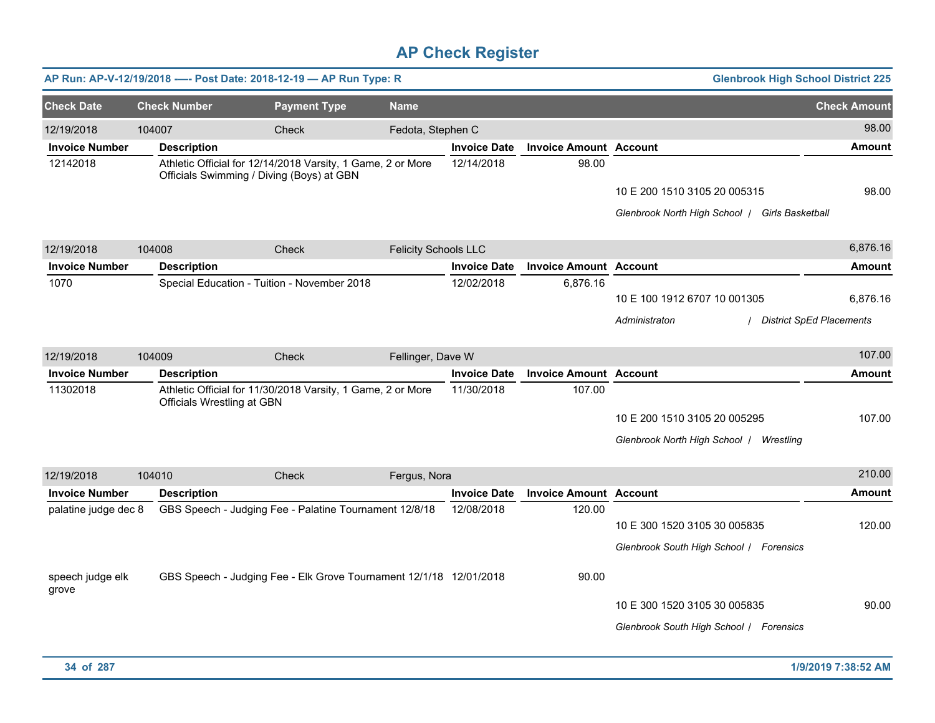|                           |                                   | AP Run: AP-V-12/19/2018 ---- Post Date: 2018-12-19 - AP Run Type: R                                      |                             |                     |                               | <b>Glenbrook High School District 225</b>                                      |                     |
|---------------------------|-----------------------------------|----------------------------------------------------------------------------------------------------------|-----------------------------|---------------------|-------------------------------|--------------------------------------------------------------------------------|---------------------|
| <b>Check Date</b>         | <b>Check Number</b>               | <b>Payment Type</b>                                                                                      | <b>Name</b>                 |                     |                               |                                                                                | <b>Check Amount</b> |
| 12/19/2018                | 104007                            | <b>Check</b>                                                                                             | Fedota, Stephen C           |                     |                               |                                                                                | 98.00               |
| <b>Invoice Number</b>     | <b>Description</b>                |                                                                                                          |                             | <b>Invoice Date</b> | <b>Invoice Amount Account</b> |                                                                                | <b>Amount</b>       |
| 12142018                  |                                   | Athletic Official for 12/14/2018 Varsity, 1 Game, 2 or More<br>Officials Swimming / Diving (Boys) at GBN |                             | 12/14/2018          | 98.00                         | 10 E 200 1510 3105 20 005315<br>Glenbrook North High School   Girls Basketball | 98.00               |
|                           |                                   |                                                                                                          |                             |                     |                               |                                                                                | 6,876.16            |
| 12/19/2018                | 104008                            | Check                                                                                                    | <b>Felicity Schools LLC</b> |                     |                               |                                                                                |                     |
| <b>Invoice Number</b>     | <b>Description</b>                |                                                                                                          |                             | <b>Invoice Date</b> | <b>Invoice Amount Account</b> |                                                                                | <b>Amount</b>       |
| 1070                      |                                   | Special Education - Tuition - November 2018                                                              |                             | 12/02/2018          | 6,876.16                      | 10 E 100 1912 6707 10 001305                                                   | 6,876.16            |
|                           |                                   |                                                                                                          |                             |                     |                               | / District SpEd Placements<br>Administraton                                    |                     |
| 12/19/2018                | 104009                            | <b>Check</b>                                                                                             | Fellinger, Dave W           |                     |                               |                                                                                | 107.00              |
| <b>Invoice Number</b>     | <b>Description</b>                |                                                                                                          |                             | <b>Invoice Date</b> | <b>Invoice Amount Account</b> |                                                                                | <b>Amount</b>       |
| 11302018                  | <b>Officials Wrestling at GBN</b> | Athletic Official for 11/30/2018 Varsity, 1 Game, 2 or More                                              |                             | 11/30/2018          | 107.00                        | 10 E 200 1510 3105 20 005295<br>Glenbrook North High School   Wrestling        | 107.00              |
| 12/19/2018                | 104010                            | Check                                                                                                    | Fergus, Nora                |                     |                               |                                                                                | 210.00              |
| <b>Invoice Number</b>     | <b>Description</b>                |                                                                                                          |                             | <b>Invoice Date</b> | <b>Invoice Amount Account</b> |                                                                                | Amount              |
| palatine judge dec 8      |                                   | GBS Speech - Judging Fee - Palatine Tournament 12/8/18                                                   |                             | 12/08/2018          | 120.00                        | 10 E 300 1520 3105 30 005835<br>Glenbrook South High School / Forensics        | 120.00              |
| speech judge elk<br>grove |                                   | GBS Speech - Judging Fee - Elk Grove Tournament 12/1/18 12/01/2018                                       |                             |                     | 90.00                         | 10 E 300 1520 3105 30 005835<br>Glenbrook South High School / Forensics        | 90.00               |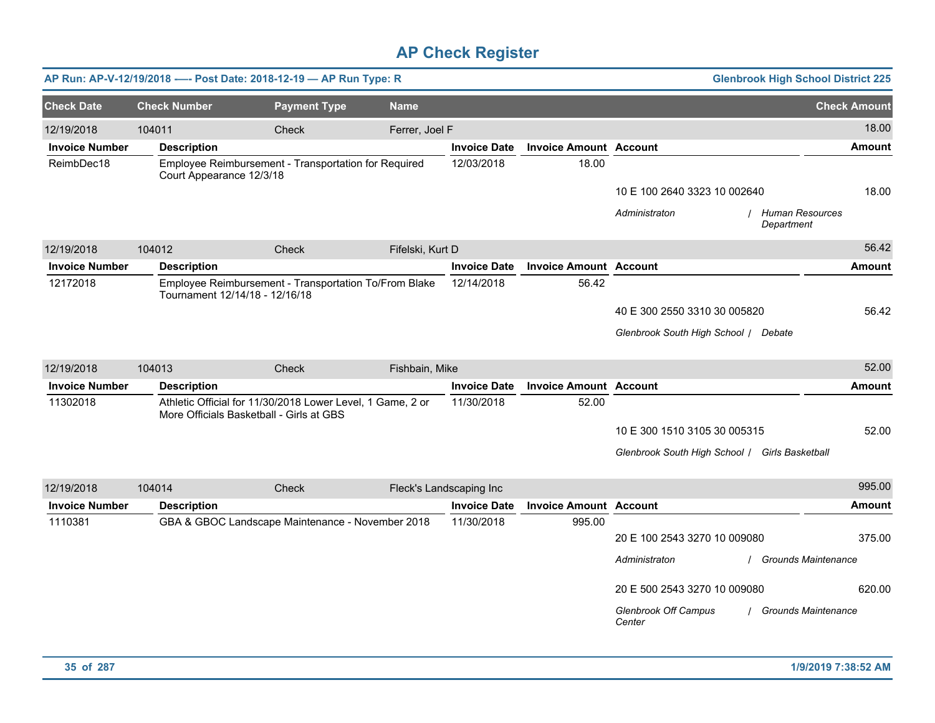|                       |                     | AP Run: AP-V-12/19/2018 ---- Post Date: 2018-12-19 - AP Run Type: R                                    |                  |                         |                               | <b>Glenbrook High School District 225</b>                      |                            |
|-----------------------|---------------------|--------------------------------------------------------------------------------------------------------|------------------|-------------------------|-------------------------------|----------------------------------------------------------------|----------------------------|
| <b>Check Date</b>     | <b>Check Number</b> | <b>Payment Type</b>                                                                                    | <b>Name</b>      |                         |                               |                                                                | <b>Check Amount</b>        |
| 12/19/2018            | 104011              | Check                                                                                                  | Ferrer, Joel F   |                         |                               |                                                                | 18.00                      |
| <b>Invoice Number</b> | <b>Description</b>  |                                                                                                        |                  | <b>Invoice Date</b>     | <b>Invoice Amount Account</b> |                                                                | <b>Amount</b>              |
| ReimbDec18            |                     | Employee Reimbursement - Transportation for Required<br>Court Appearance 12/3/18                       |                  | 12/03/2018              | 18.00                         |                                                                |                            |
|                       |                     |                                                                                                        |                  |                         |                               | 10 E 100 2640 3323 10 002640                                   | 18.00                      |
|                       |                     |                                                                                                        |                  |                         |                               | / Human Resources<br>Administraton<br>Department               |                            |
| 12/19/2018            | 104012              | Check                                                                                                  | Fifelski, Kurt D |                         |                               |                                                                | 56.42                      |
| <b>Invoice Number</b> | <b>Description</b>  |                                                                                                        |                  | <b>Invoice Date</b>     | <b>Invoice Amount Account</b> |                                                                | Amount                     |
| 12172018              |                     | Employee Reimbursement - Transportation To/From Blake<br>Tournament 12/14/18 - 12/16/18                |                  | 12/14/2018              | 56.42                         |                                                                |                            |
|                       |                     |                                                                                                        |                  |                         |                               | 40 E 300 2550 3310 30 005820                                   | 56.42                      |
|                       |                     |                                                                                                        |                  |                         |                               | Glenbrook South High School / Debate                           |                            |
| 12/19/2018            | 104013              | Check                                                                                                  | Fishbain, Mike   |                         |                               |                                                                | 52.00                      |
| <b>Invoice Number</b> | <b>Description</b>  |                                                                                                        |                  | <b>Invoice Date</b>     | <b>Invoice Amount Account</b> |                                                                | <b>Amount</b>              |
| 11302018              |                     | Athletic Official for 11/30/2018 Lower Level, 1 Game, 2 or<br>More Officials Basketball - Girls at GBS |                  | 11/30/2018              | 52.00                         |                                                                |                            |
|                       |                     |                                                                                                        |                  |                         |                               | 10 E 300 1510 3105 30 005315                                   | 52.00                      |
|                       |                     |                                                                                                        |                  |                         |                               | Glenbrook South High School   Girls Basketball                 |                            |
| 12/19/2018            | 104014              | Check                                                                                                  |                  | Fleck's Landscaping Inc |                               |                                                                | 995.00                     |
| <b>Invoice Number</b> | <b>Description</b>  |                                                                                                        |                  | <b>Invoice Date</b>     | <b>Invoice Amount Account</b> |                                                                | Amount                     |
| 1110381               |                     | GBA & GBOC Landscape Maintenance - November 2018                                                       |                  | 11/30/2018              | 995.00                        |                                                                |                            |
|                       |                     |                                                                                                        |                  |                         |                               | 20 E 100 2543 3270 10 009080                                   | 375.00                     |
|                       |                     |                                                                                                        |                  |                         |                               | Administraton                                                  | <b>Grounds Maintenance</b> |
|                       |                     |                                                                                                        |                  |                         |                               | 20 E 500 2543 3270 10 009080                                   | 620.00                     |
|                       |                     |                                                                                                        |                  |                         |                               | <b>Glenbrook Off Campus</b><br>/ Grounds Maintenance<br>Center |                            |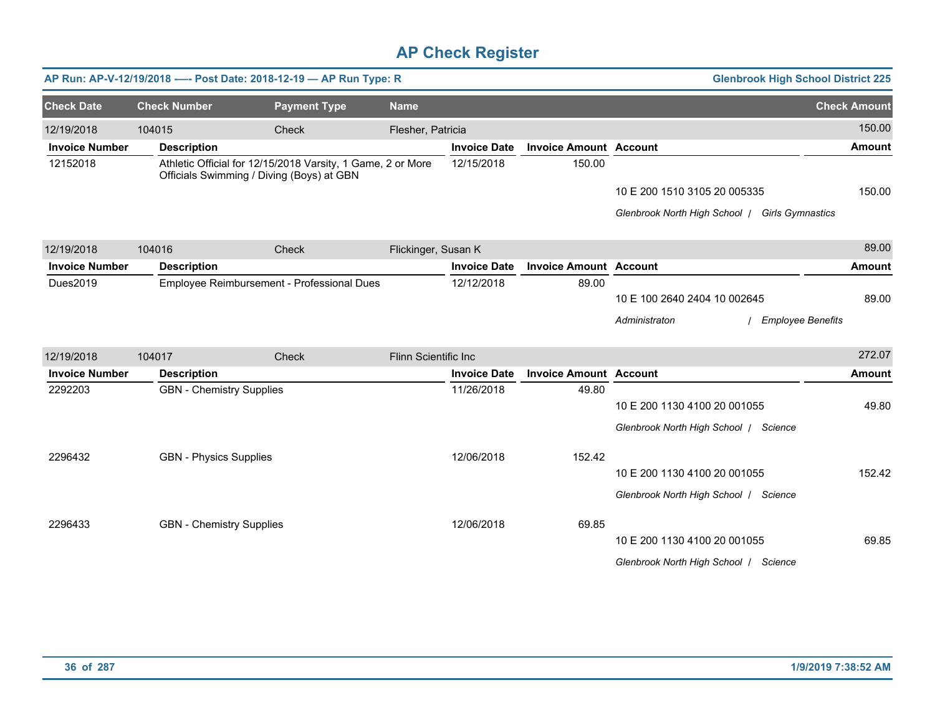|                       |                                 | AP Run: AP-V-12/19/2018 ---- Post Date: 2018-12-19 - AP Run Type: R                                      |                      |                     |                               |                                                | <b>Glenbrook High School District 225</b> |
|-----------------------|---------------------------------|----------------------------------------------------------------------------------------------------------|----------------------|---------------------|-------------------------------|------------------------------------------------|-------------------------------------------|
| <b>Check Date</b>     | <b>Check Number</b>             | <b>Payment Type</b>                                                                                      | <b>Name</b>          |                     |                               |                                                | <b>Check Amount</b>                       |
| 12/19/2018            | 104015                          | Check                                                                                                    | Flesher, Patricia    |                     |                               |                                                | 150.00                                    |
| <b>Invoice Number</b> | <b>Description</b>              |                                                                                                          |                      | <b>Invoice Date</b> | <b>Invoice Amount Account</b> |                                                | <b>Amount</b>                             |
| 12152018              |                                 | Athletic Official for 12/15/2018 Varsity, 1 Game, 2 or More<br>Officials Swimming / Diving (Boys) at GBN |                      | 12/15/2018          | 150.00                        |                                                |                                           |
|                       |                                 |                                                                                                          |                      |                     |                               | 10 E 200 1510 3105 20 005335                   | 150.00                                    |
|                       |                                 |                                                                                                          |                      |                     |                               | Glenbrook North High School / Girls Gymnastics |                                           |
| 12/19/2018            | 104016                          | Check                                                                                                    | Flickinger, Susan K  |                     |                               |                                                | 89.00                                     |
| <b>Invoice Number</b> | <b>Description</b>              |                                                                                                          |                      | <b>Invoice Date</b> | <b>Invoice Amount Account</b> |                                                | <b>Amount</b>                             |
| Dues2019              |                                 | Employee Reimbursement - Professional Dues                                                               |                      | 12/12/2018          | 89.00                         |                                                |                                           |
|                       |                                 |                                                                                                          |                      |                     |                               | 10 E 100 2640 2404 10 002645                   | 89.00                                     |
|                       |                                 |                                                                                                          |                      |                     |                               | Administraton                                  | <b>Employee Benefits</b>                  |
| 12/19/2018            | 104017                          | Check                                                                                                    | Flinn Scientific Inc |                     |                               |                                                | 272.07                                    |
| <b>Invoice Number</b> | <b>Description</b>              |                                                                                                          |                      | <b>Invoice Date</b> | <b>Invoice Amount Account</b> |                                                | <b>Amount</b>                             |
| 2292203               | <b>GBN</b> - Chemistry Supplies |                                                                                                          |                      | 11/26/2018          | 49.80                         |                                                |                                           |
|                       |                                 |                                                                                                          |                      |                     |                               | 10 E 200 1130 4100 20 001055                   | 49.80                                     |
|                       |                                 |                                                                                                          |                      |                     |                               | Glenbrook North High School   Science          |                                           |
| 2296432               | <b>GBN - Physics Supplies</b>   |                                                                                                          |                      | 12/06/2018          | 152.42                        |                                                |                                           |
|                       |                                 |                                                                                                          |                      |                     |                               | 10 E 200 1130 4100 20 001055                   | 152.42                                    |
|                       |                                 |                                                                                                          |                      |                     |                               | Glenbrook North High School   Science          |                                           |
| 2296433               | <b>GBN</b> - Chemistry Supplies |                                                                                                          |                      | 12/06/2018          | 69.85                         |                                                |                                           |
|                       |                                 |                                                                                                          |                      |                     |                               | 10 E 200 1130 4100 20 001055                   | 69.85                                     |
|                       |                                 |                                                                                                          |                      |                     |                               | Glenbrook North High School   Science          |                                           |
|                       |                                 |                                                                                                          |                      |                     |                               |                                                |                                           |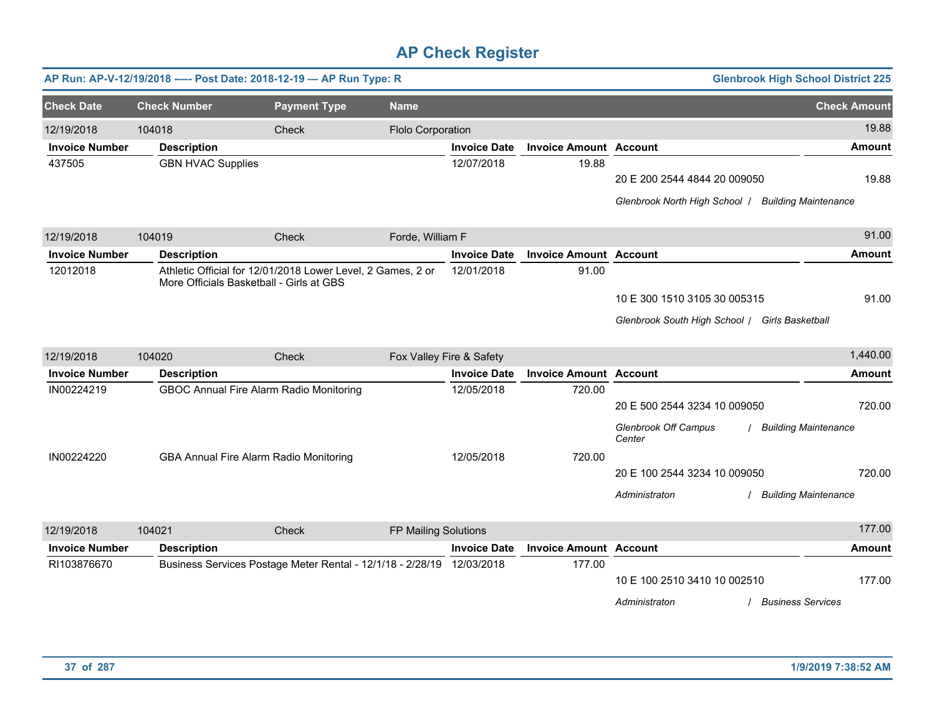|                       |                          | AP Run: AP-V-12/19/2018 ---- Post Date: 2018-12-19 - AP Run Type: R                                     |                      |                          |                               |                                                                                    | <b>Glenbrook High School District 225</b> |
|-----------------------|--------------------------|---------------------------------------------------------------------------------------------------------|----------------------|--------------------------|-------------------------------|------------------------------------------------------------------------------------|-------------------------------------------|
| <b>Check Date</b>     | <b>Check Number</b>      | <b>Payment Type</b>                                                                                     | <b>Name</b>          |                          |                               |                                                                                    | <b>Check Amount</b>                       |
| 12/19/2018            | 104018                   | Check                                                                                                   | Flolo Corporation    |                          |                               |                                                                                    | 19.88                                     |
| <b>Invoice Number</b> | <b>Description</b>       |                                                                                                         |                      | <b>Invoice Date</b>      | <b>Invoice Amount Account</b> |                                                                                    | <b>Amount</b>                             |
| 437505                | <b>GBN HVAC Supplies</b> |                                                                                                         |                      | 12/07/2018               | 19.88                         | 20 E 200 2544 4844 20 009050<br>Glenbrook North High School   Building Maintenance | 19.88                                     |
| 12/19/2018            | 104019                   | Check                                                                                                   | Forde, William F     |                          |                               |                                                                                    | 91.00                                     |
| <b>Invoice Number</b> | <b>Description</b>       |                                                                                                         |                      | <b>Invoice Date</b>      | <b>Invoice Amount Account</b> |                                                                                    | <b>Amount</b>                             |
| 12012018              |                          | Athletic Official for 12/01/2018 Lower Level, 2 Games, 2 or<br>More Officials Basketball - Girls at GBS |                      | 12/01/2018               | 91.00                         |                                                                                    |                                           |
|                       |                          |                                                                                                         |                      |                          |                               | 10 E 300 1510 3105 30 005315<br>Glenbrook South High School / Girls Basketball     | 91.00                                     |
| 12/19/2018            | 104020                   | Check                                                                                                   |                      | Fox Valley Fire & Safety |                               |                                                                                    | 1,440.00                                  |
| <b>Invoice Number</b> | <b>Description</b>       |                                                                                                         |                      | <b>Invoice Date</b>      | <b>Invoice Amount Account</b> |                                                                                    | <b>Amount</b>                             |
| IN00224219            |                          | GBOC Annual Fire Alarm Radio Monitoring                                                                 |                      | 12/05/2018               | 720.00                        | 20 E 500 2544 3234 10 009050<br><b>Glenbrook Off Campus</b><br>Center              | 720.00<br><b>Building Maintenance</b>     |
| IN00224220            |                          | GBA Annual Fire Alarm Radio Monitoring                                                                  |                      | 12/05/2018               | 720.00                        | 20 E 100 2544 3234 10 009050<br>Administraton                                      | 720.00<br><b>Building Maintenance</b>     |
| 12/19/2018            | 104021                   | Check                                                                                                   | FP Mailing Solutions |                          |                               |                                                                                    | 177.00                                    |
| <b>Invoice Number</b> | <b>Description</b>       |                                                                                                         |                      | <b>Invoice Date</b>      | <b>Invoice Amount Account</b> |                                                                                    | <b>Amount</b>                             |
| RI103876670           |                          | Business Services Postage Meter Rental - 12/1/18 - 2/28/19 12/03/2018                                   |                      |                          | 177.00                        | 10 E 100 2510 3410 10 002510<br>Administraton                                      | 177.00<br><b>Business Services</b>        |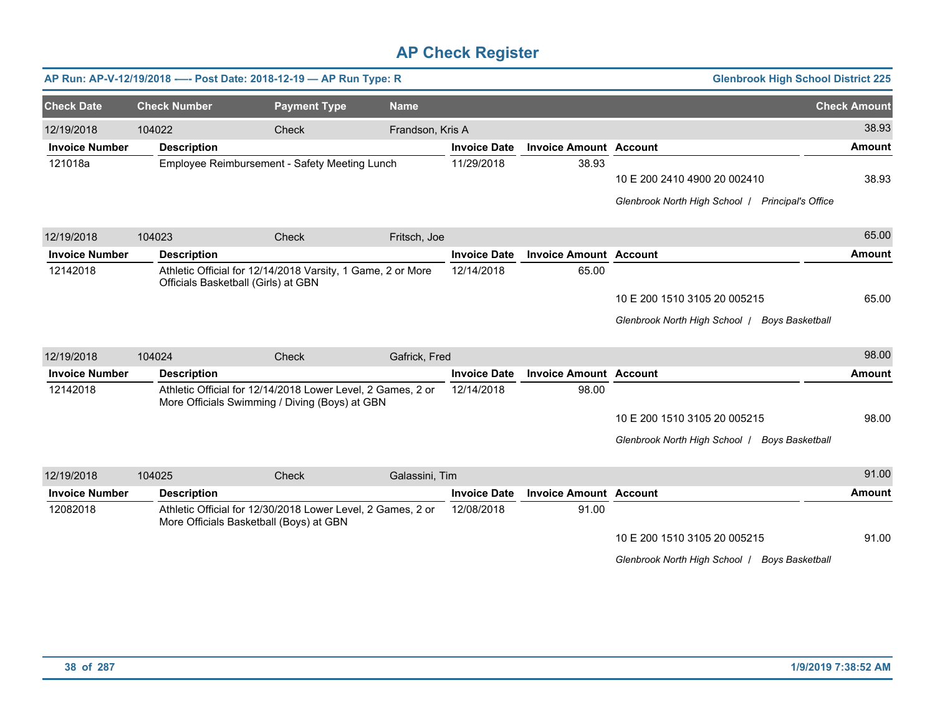|                       |                     | AP Run: AP-V-12/19/2018 ---- Post Date: 2018-12-19 - AP Run Type: R                                           |                  |                     |                               | <b>Glenbrook High School District 225</b>                                        |                     |
|-----------------------|---------------------|---------------------------------------------------------------------------------------------------------------|------------------|---------------------|-------------------------------|----------------------------------------------------------------------------------|---------------------|
| <b>Check Date</b>     | <b>Check Number</b> | <b>Payment Type</b>                                                                                           | <b>Name</b>      |                     |                               |                                                                                  | <b>Check Amount</b> |
| 12/19/2018            | 104022              | Check                                                                                                         | Frandson, Kris A |                     |                               |                                                                                  | 38.93               |
| <b>Invoice Number</b> | <b>Description</b>  |                                                                                                               |                  | <b>Invoice Date</b> | <b>Invoice Amount Account</b> |                                                                                  | <b>Amount</b>       |
| 121018a               |                     | Employee Reimbursement - Safety Meeting Lunch                                                                 |                  | 11/29/2018          | 38.93                         | 10 E 200 2410 4900 20 002410<br>Glenbrook North High School   Principal's Office | 38.93               |
| 12/19/2018            | 104023              | Check                                                                                                         | Fritsch, Joe     |                     |                               |                                                                                  | 65.00               |
| <b>Invoice Number</b> | <b>Description</b>  |                                                                                                               |                  | <b>Invoice Date</b> | <b>Invoice Amount Account</b> |                                                                                  | <b>Amount</b>       |
| 12142018              |                     | Athletic Official for 12/14/2018 Varsity, 1 Game, 2 or More<br>Officials Basketball (Girls) at GBN            |                  | 12/14/2018          | 65.00                         | 10 E 200 1510 3105 20 005215<br>Glenbrook North High School   Boys Basketball    | 65.00               |
| 12/19/2018            | 104024              | Check                                                                                                         | Gafrick, Fred    |                     |                               |                                                                                  | 98.00               |
| <b>Invoice Number</b> | <b>Description</b>  |                                                                                                               |                  | <b>Invoice Date</b> | <b>Invoice Amount Account</b> |                                                                                  | <b>Amount</b>       |
| 12142018              |                     | Athletic Official for 12/14/2018 Lower Level, 2 Games, 2 or<br>More Officials Swimming / Diving (Boys) at GBN |                  | 12/14/2018          | 98.00                         | 10 E 200 1510 3105 20 005215<br>Glenbrook North High School   Boys Basketball    | 98.00               |
| 12/19/2018            | 104025              | Check                                                                                                         | Galassini, Tim   |                     |                               |                                                                                  | 91.00               |
| <b>Invoice Number</b> | <b>Description</b>  |                                                                                                               |                  | <b>Invoice Date</b> | <b>Invoice Amount Account</b> |                                                                                  | <b>Amount</b>       |
| 12082018              |                     | Athletic Official for 12/30/2018 Lower Level, 2 Games, 2 or<br>More Officials Basketball (Boys) at GBN        |                  | 12/08/2018          | 91.00                         | 10 E 200 1510 3105 20 005215<br>Glenbrook North High School   Boys Basketball    | 91.00               |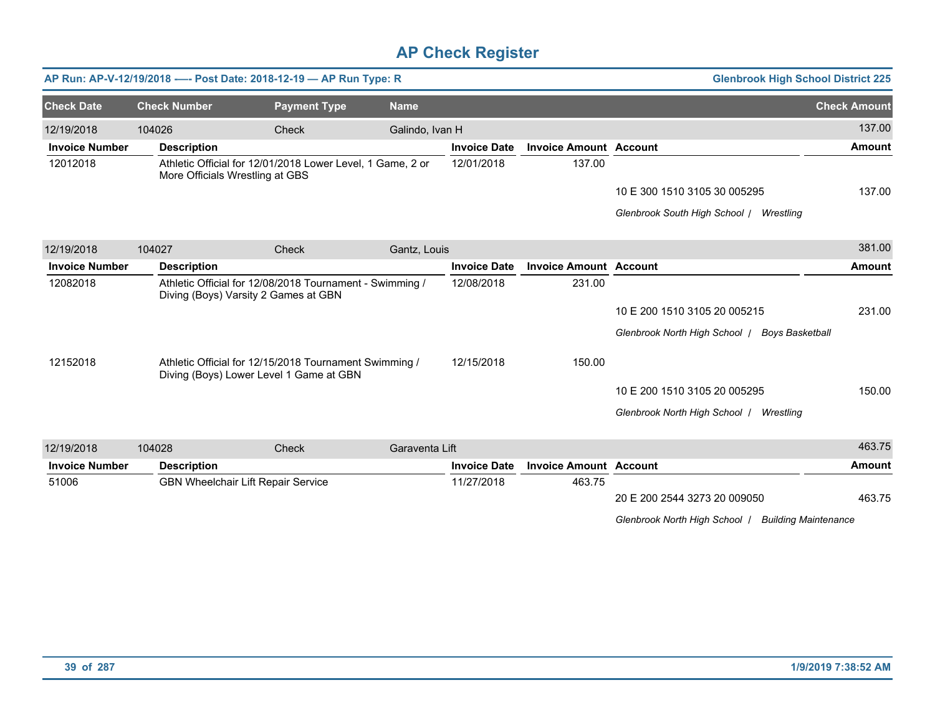|                       |                     | AP Run: AP-V-12/19/2018 ---- Post Date: 2018-12-19 - AP Run Type: R                               |                 |                     |                               | <b>Glenbrook High School District 225</b>               |                     |
|-----------------------|---------------------|---------------------------------------------------------------------------------------------------|-----------------|---------------------|-------------------------------|---------------------------------------------------------|---------------------|
| <b>Check Date</b>     | <b>Check Number</b> | <b>Payment Type</b>                                                                               | <b>Name</b>     |                     |                               |                                                         | <b>Check Amount</b> |
| 12/19/2018            | 104026              | Check                                                                                             | Galindo, Ivan H |                     |                               |                                                         | 137.00              |
| <b>Invoice Number</b> | <b>Description</b>  |                                                                                                   |                 | <b>Invoice Date</b> | <b>Invoice Amount Account</b> |                                                         | <b>Amount</b>       |
| 12012018              |                     | Athletic Official for 12/01/2018 Lower Level, 1 Game, 2 or<br>More Officials Wrestling at GBS     |                 | 12/01/2018          | 137.00                        |                                                         |                     |
|                       |                     |                                                                                                   |                 |                     |                               | 10 E 300 1510 3105 30 005295                            | 137.00              |
|                       |                     |                                                                                                   |                 |                     |                               | Glenbrook South High School / Wrestling                 |                     |
| 12/19/2018            | 104027              | Check                                                                                             | Gantz, Louis    |                     |                               |                                                         | 381.00              |
| <b>Invoice Number</b> | <b>Description</b>  |                                                                                                   |                 | <b>Invoice Date</b> | <b>Invoice Amount Account</b> |                                                         | <b>Amount</b>       |
| 12082018              |                     | Athletic Official for 12/08/2018 Tournament - Swimming /<br>Diving (Boys) Varsity 2 Games at GBN  |                 | 12/08/2018          | 231.00                        |                                                         |                     |
|                       |                     |                                                                                                   |                 |                     |                               | 10 E 200 1510 3105 20 005215                            | 231.00              |
|                       |                     |                                                                                                   |                 |                     |                               | Glenbrook North High School  <br><b>Boys Basketball</b> |                     |
| 12152018              |                     | Athletic Official for 12/15/2018 Tournament Swimming /<br>Diving (Boys) Lower Level 1 Game at GBN |                 | 12/15/2018          | 150.00                        |                                                         |                     |
|                       |                     |                                                                                                   |                 |                     |                               | 10 E 200 1510 3105 20 005295                            | 150.00              |
|                       |                     |                                                                                                   |                 |                     |                               | Glenbrook North High School / Wrestling                 |                     |
| 12/19/2018            | 104028              | Check                                                                                             | Garaventa Lift  |                     |                               |                                                         | 463.75              |
| <b>Invoice Number</b> | <b>Description</b>  |                                                                                                   |                 | <b>Invoice Date</b> | <b>Invoice Amount Account</b> |                                                         | <b>Amount</b>       |
| 51006                 |                     | <b>GBN Wheelchair Lift Repair Service</b>                                                         |                 | 11/27/2018          | 463.75                        |                                                         |                     |

20 E 200 2544 3273 20 009050 463.75

*Glenbrook North High School* / *Building Maintenance*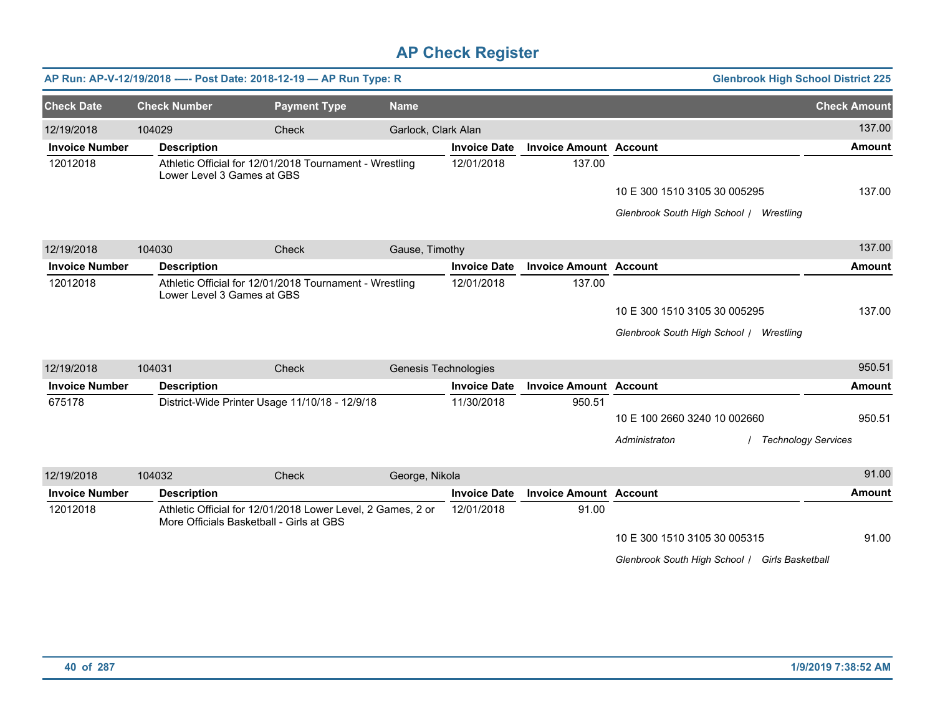|                       |                            | AP Run: AP-V-12/19/2018 ---- Post Date: 2018-12-19 - AP Run Type: R                                     |                      |                     |                               | <b>Glenbrook High School District 225</b>      |                     |
|-----------------------|----------------------------|---------------------------------------------------------------------------------------------------------|----------------------|---------------------|-------------------------------|------------------------------------------------|---------------------|
| <b>Check Date</b>     | <b>Check Number</b>        | <b>Payment Type</b>                                                                                     | <b>Name</b>          |                     |                               |                                                | <b>Check Amount</b> |
| 12/19/2018            | 104029                     | Check                                                                                                   | Garlock, Clark Alan  |                     |                               |                                                | 137.00              |
| <b>Invoice Number</b> | <b>Description</b>         |                                                                                                         |                      | <b>Invoice Date</b> | <b>Invoice Amount Account</b> |                                                | <b>Amount</b>       |
| 12012018              | Lower Level 3 Games at GBS | Athletic Official for 12/01/2018 Tournament - Wrestling                                                 |                      | 12/01/2018          | 137.00                        |                                                |                     |
|                       |                            |                                                                                                         |                      |                     |                               | 10 E 300 1510 3105 30 005295                   | 137.00              |
|                       |                            |                                                                                                         |                      |                     |                               | Glenbrook South High School / Wrestling        |                     |
| 12/19/2018            | 104030                     | Check                                                                                                   | Gause, Timothy       |                     |                               |                                                | 137.00              |
| <b>Invoice Number</b> | <b>Description</b>         |                                                                                                         |                      | <b>Invoice Date</b> | <b>Invoice Amount Account</b> |                                                | <b>Amount</b>       |
| 12012018              | Lower Level 3 Games at GBS | Athletic Official for 12/01/2018 Tournament - Wrestling                                                 |                      | 12/01/2018          | 137.00                        |                                                |                     |
|                       |                            |                                                                                                         |                      |                     |                               | 10 E 300 1510 3105 30 005295                   | 137.00              |
|                       |                            |                                                                                                         |                      |                     |                               | Glenbrook South High School / Wrestling        |                     |
| 12/19/2018            | 104031                     | Check                                                                                                   | Genesis Technologies |                     |                               |                                                | 950.51              |
| <b>Invoice Number</b> | <b>Description</b>         |                                                                                                         |                      | <b>Invoice Date</b> | <b>Invoice Amount Account</b> |                                                | <b>Amount</b>       |
| 675178                |                            | District-Wide Printer Usage 11/10/18 - 12/9/18                                                          |                      | 11/30/2018          | 950.51                        |                                                |                     |
|                       |                            |                                                                                                         |                      |                     |                               | 10 E 100 2660 3240 10 002660                   | 950.51              |
|                       |                            |                                                                                                         |                      |                     |                               | / Technology Services<br>Administraton         |                     |
| 12/19/2018            | 104032                     | Check                                                                                                   | George, Nikola       |                     |                               |                                                | 91.00               |
| <b>Invoice Number</b> | <b>Description</b>         |                                                                                                         |                      | <b>Invoice Date</b> | <b>Invoice Amount Account</b> |                                                | <b>Amount</b>       |
| 12012018              |                            | Athletic Official for 12/01/2018 Lower Level, 2 Games, 2 or<br>More Officials Basketball - Girls at GBS |                      | 12/01/2018          | 91.00                         |                                                |                     |
|                       |                            |                                                                                                         |                      |                     |                               | 10 E 300 1510 3105 30 005315                   | 91.00               |
|                       |                            |                                                                                                         |                      |                     |                               | Glenbrook South High School / Girls Basketball |                     |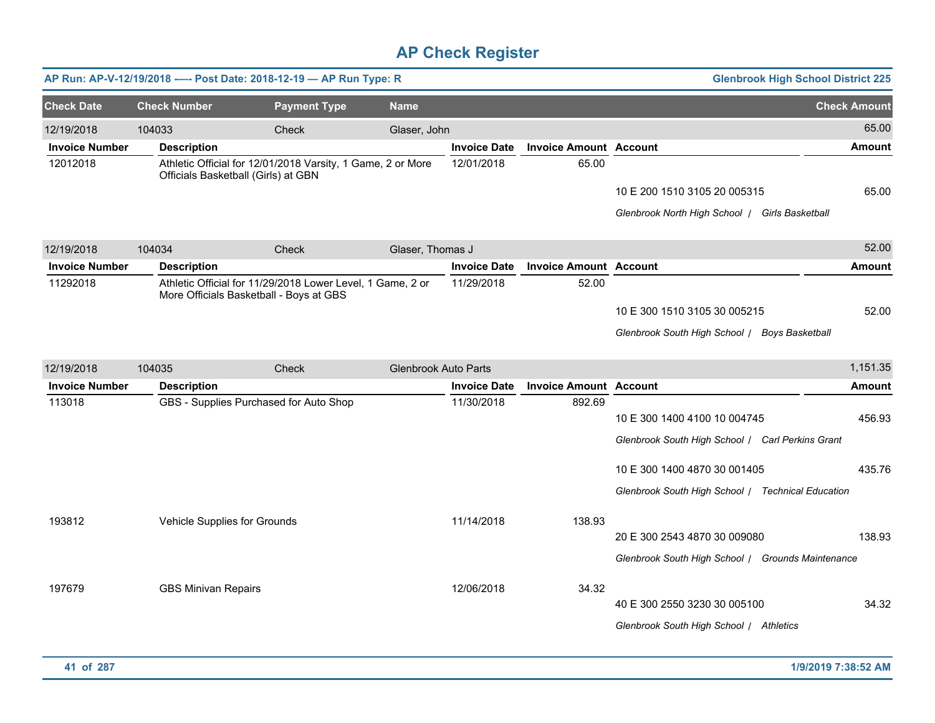|                       | AP Run: AP-V-12/19/2018 ---- Post Date: 2018-12-19 - AP Run Type: R<br><b>Glenbrook High School District 225</b> |                                                                                                       |                             |                     |                               |                                                                                   |                     |  |  |  |
|-----------------------|------------------------------------------------------------------------------------------------------------------|-------------------------------------------------------------------------------------------------------|-----------------------------|---------------------|-------------------------------|-----------------------------------------------------------------------------------|---------------------|--|--|--|
| <b>Check Date</b>     | <b>Check Number</b>                                                                                              | <b>Payment Type</b>                                                                                   | <b>Name</b>                 |                     |                               |                                                                                   | <b>Check Amount</b> |  |  |  |
| 12/19/2018            | 104033                                                                                                           | Check                                                                                                 | Glaser, John                |                     |                               |                                                                                   | 65.00               |  |  |  |
| <b>Invoice Number</b> | <b>Description</b>                                                                                               |                                                                                                       |                             | <b>Invoice Date</b> | <b>Invoice Amount Account</b> |                                                                                   | <b>Amount</b>       |  |  |  |
| 12012018              | Officials Basketball (Girls) at GBN                                                                              | Athletic Official for 12/01/2018 Varsity, 1 Game, 2 or More                                           |                             | 12/01/2018          | 65.00                         | 10 E 200 1510 3105 20 005315                                                      | 65.00               |  |  |  |
|                       |                                                                                                                  |                                                                                                       |                             |                     |                               | Glenbrook North High School   Girls Basketball                                    |                     |  |  |  |
| 12/19/2018            | 104034                                                                                                           | Check                                                                                                 | Glaser, Thomas J            |                     |                               |                                                                                   | 52.00               |  |  |  |
| <b>Invoice Number</b> | <b>Description</b>                                                                                               |                                                                                                       |                             | <b>Invoice Date</b> | <b>Invoice Amount Account</b> |                                                                                   | <b>Amount</b>       |  |  |  |
| 11292018              |                                                                                                                  | Athletic Official for 11/29/2018 Lower Level, 1 Game, 2 or<br>More Officials Basketball - Boys at GBS |                             | 11/29/2018          | 52.00                         | 10 E 300 1510 3105 30 005215<br>Glenbrook South High School / Boys Basketball     | 52.00               |  |  |  |
| 12/19/2018            | 104035                                                                                                           | <b>Check</b>                                                                                          | <b>Glenbrook Auto Parts</b> |                     |                               |                                                                                   | 1,151.35            |  |  |  |
| <b>Invoice Number</b> | <b>Description</b>                                                                                               |                                                                                                       |                             | <b>Invoice Date</b> | <b>Invoice Amount Account</b> |                                                                                   | <b>Amount</b>       |  |  |  |
| 113018                |                                                                                                                  | GBS - Supplies Purchased for Auto Shop                                                                |                             | 11/30/2018          | 892.69                        | 10 E 300 1400 4100 10 004745<br>Glenbrook South High School / Carl Perkins Grant  | 456.93              |  |  |  |
|                       |                                                                                                                  |                                                                                                       |                             |                     |                               | 10 E 300 1400 4870 30 001405                                                      | 435.76              |  |  |  |
|                       |                                                                                                                  |                                                                                                       |                             |                     |                               | Glenbrook South High School / Technical Education                                 |                     |  |  |  |
| 193812                | Vehicle Supplies for Grounds                                                                                     |                                                                                                       |                             | 11/14/2018          | 138.93                        | 20 E 300 2543 4870 30 009080<br>Glenbrook South High School / Grounds Maintenance | 138.93              |  |  |  |
| 197679                | <b>GBS Minivan Repairs</b>                                                                                       |                                                                                                       |                             | 12/06/2018          | 34.32                         | 40 E 300 2550 3230 30 005100<br>Glenbrook South High School / Athletics           | 34.32               |  |  |  |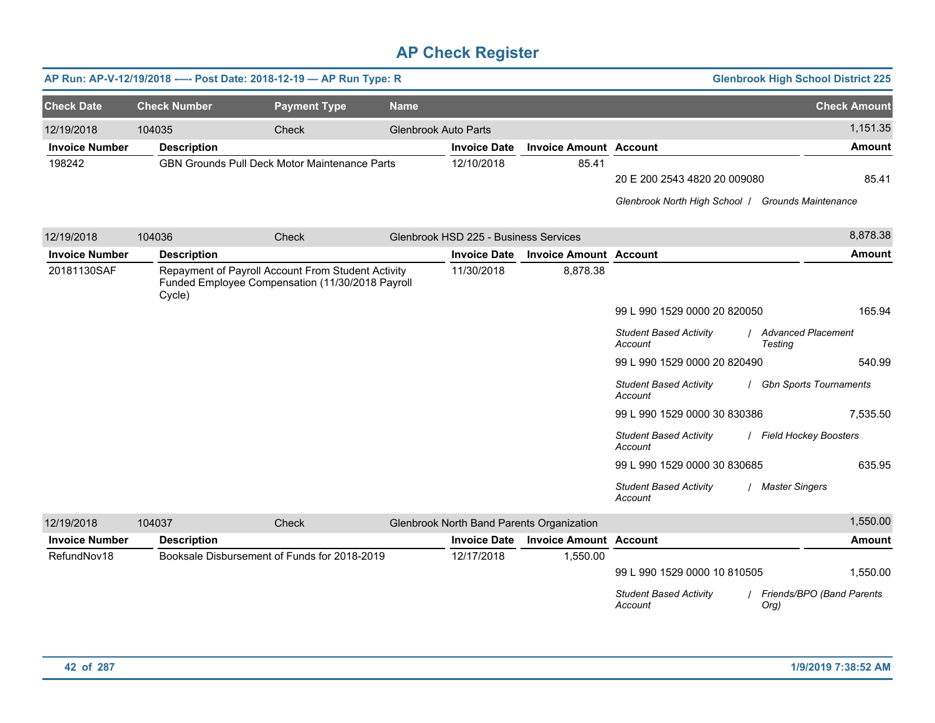|                       |                     | AP Run: AP-V-12/19/2018 ---- Post Date: 2018-12-19 - AP Run Type: R                                    |                             |                                       |                                           |                                                                                                                                                                                                                                  | <b>Glenbrook High School District 225</b>                                                                            |
|-----------------------|---------------------|--------------------------------------------------------------------------------------------------------|-----------------------------|---------------------------------------|-------------------------------------------|----------------------------------------------------------------------------------------------------------------------------------------------------------------------------------------------------------------------------------|----------------------------------------------------------------------------------------------------------------------|
| <b>Check Date</b>     | <b>Check Number</b> | <b>Payment Type</b>                                                                                    | <b>Name</b>                 |                                       |                                           |                                                                                                                                                                                                                                  | <b>Check Amount</b>                                                                                                  |
| 12/19/2018            | 104035              | Check                                                                                                  | <b>Glenbrook Auto Parts</b> |                                       |                                           |                                                                                                                                                                                                                                  | 1,151.35                                                                                                             |
| <b>Invoice Number</b> | <b>Description</b>  |                                                                                                        |                             | <b>Invoice Date</b>                   | <b>Invoice Amount Account</b>             |                                                                                                                                                                                                                                  | <b>Amount</b>                                                                                                        |
| 198242                |                     | GBN Grounds Pull Deck Motor Maintenance Parts                                                          |                             | 12/10/2018                            | 85.41                                     | 20 E 200 2543 4820 20 009080<br>Glenbrook North High School   Grounds Maintenance                                                                                                                                                | 85.41                                                                                                                |
| 12/19/2018            | 104036              | Check                                                                                                  |                             | Glenbrook HSD 225 - Business Services |                                           |                                                                                                                                                                                                                                  | 8,878.38                                                                                                             |
| <b>Invoice Number</b> | <b>Description</b>  |                                                                                                        |                             | <b>Invoice Date</b>                   | <b>Invoice Amount Account</b>             |                                                                                                                                                                                                                                  | <b>Amount</b>                                                                                                        |
| 20181130SAF           | Cycle)              | Repayment of Payroll Account From Student Activity<br>Funded Employee Compensation (11/30/2018 Payroll |                             | 11/30/2018                            | 8,878.38                                  | 99 L 990 1529 0000 20 820050<br><b>Student Based Activity</b><br>Account<br>99 L 990 1529 0000 20 820490<br><b>Student Based Activity</b><br>Account<br>99 L 990 1529 0000 30 830386<br><b>Student Based Activity</b><br>Account | 165.94<br>Advanced Placement<br>Testing<br>540.99<br>/ Gbn Sports Tournaments<br>7,535.50<br>/ Field Hockey Boosters |
|                       |                     |                                                                                                        |                             |                                       |                                           | 99 L 990 1529 0000 30 830685<br><b>Student Based Activity</b><br>Account                                                                                                                                                         | 635.95<br>/ Master Singers                                                                                           |
| 12/19/2018            | 104037              | Check                                                                                                  |                             |                                       | Glenbrook North Band Parents Organization |                                                                                                                                                                                                                                  | 1,550.00                                                                                                             |
| <b>Invoice Number</b> | <b>Description</b>  |                                                                                                        |                             | <b>Invoice Date</b>                   | <b>Invoice Amount Account</b>             |                                                                                                                                                                                                                                  | <b>Amount</b>                                                                                                        |
| RefundNov18           |                     | Booksale Disbursement of Funds for 2018-2019                                                           |                             | 12/17/2018                            | 1,550.00                                  | 99 L 990 1529 0000 10 810505<br><b>Student Based Activity</b><br>Account                                                                                                                                                         | 1,550.00<br>Friends/BPO (Band Parents<br>Org)                                                                        |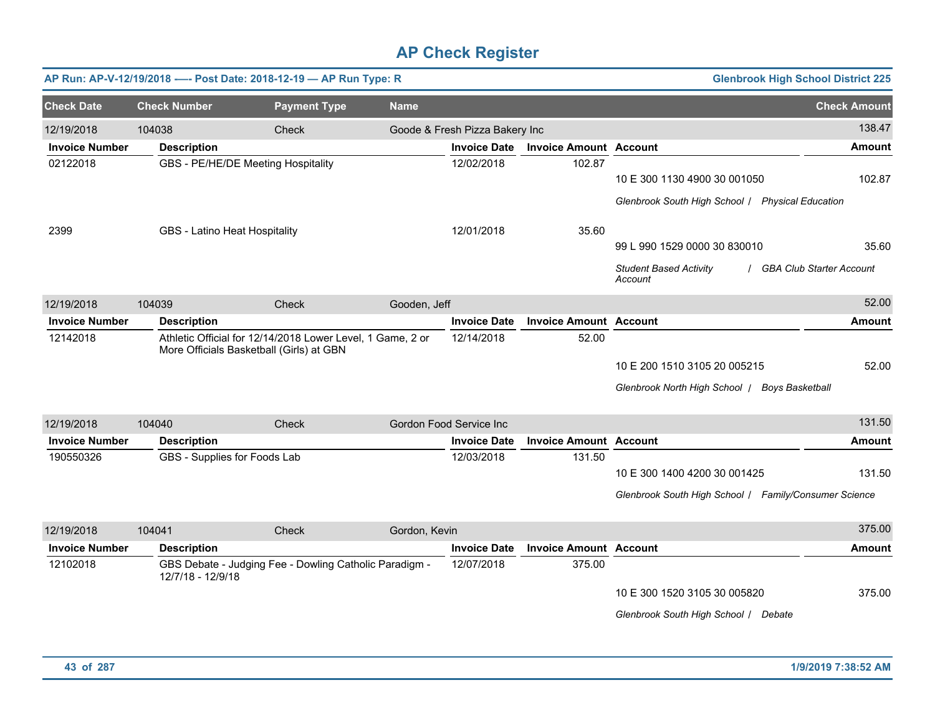|                       |                     | AP Run: AP-V-12/19/2018 ---- Post Date: 2018-12-19 - AP Run Type: R                                    |               |                                |                               |                                                                                       | <b>Glenbrook High School District 225</b> |
|-----------------------|---------------------|--------------------------------------------------------------------------------------------------------|---------------|--------------------------------|-------------------------------|---------------------------------------------------------------------------------------|-------------------------------------------|
| <b>Check Date</b>     | <b>Check Number</b> | <b>Payment Type</b>                                                                                    | <b>Name</b>   |                                |                               |                                                                                       | <b>Check Amount</b>                       |
| 12/19/2018            | 104038              | Check                                                                                                  |               | Goode & Fresh Pizza Bakery Inc |                               |                                                                                       | 138.47                                    |
| <b>Invoice Number</b> | <b>Description</b>  |                                                                                                        |               | <b>Invoice Date</b>            | <b>Invoice Amount Account</b> |                                                                                       | <b>Amount</b>                             |
| 02122018              |                     | GBS - PE/HE/DE Meeting Hospitality                                                                     |               | 12/02/2018                     | 102.87                        | 10 E 300 1130 4900 30 001050<br>Glenbrook South High School   Physical Education      | 102.87                                    |
| 2399                  |                     | GBS - Latino Heat Hospitality                                                                          |               | 12/01/2018                     | 35.60                         | 99 L 990 1529 0000 30 830010<br><b>Student Based Activity</b><br>Account              | 35.60<br><b>GBA Club Starter Account</b>  |
| 12/19/2018            | 104039              | Check                                                                                                  | Gooden, Jeff  |                                |                               |                                                                                       | 52.00                                     |
| <b>Invoice Number</b> | <b>Description</b>  |                                                                                                        |               | <b>Invoice Date</b>            | <b>Invoice Amount Account</b> |                                                                                       | Amount                                    |
| 12142018              |                     | Athletic Official for 12/14/2018 Lower Level, 1 Game, 2 or<br>More Officials Basketball (Girls) at GBN |               | 12/14/2018                     | 52.00                         | 10 E 200 1510 3105 20 005215<br>Glenbrook North High School   Boys Basketball         | 52.00                                     |
| 12/19/2018            | 104040              | <b>Check</b>                                                                                           |               | Gordon Food Service Inc        |                               |                                                                                       | 131.50                                    |
| <b>Invoice Number</b> | <b>Description</b>  |                                                                                                        |               | <b>Invoice Date</b>            | <b>Invoice Amount Account</b> |                                                                                       | Amount                                    |
| 190550326             |                     | GBS - Supplies for Foods Lab                                                                           |               | 12/03/2018                     | 131.50                        | 10 E 300 1400 4200 30 001425<br>Glenbrook South High School / Family/Consumer Science | 131.50                                    |
| 12/19/2018            | 104041              | Check                                                                                                  | Gordon, Kevin |                                |                               |                                                                                       | 375.00                                    |
| <b>Invoice Number</b> | <b>Description</b>  |                                                                                                        |               | <b>Invoice Date</b>            | <b>Invoice Amount Account</b> |                                                                                       | <b>Amount</b>                             |
| 12102018              | 12/7/18 - 12/9/18   | GBS Debate - Judging Fee - Dowling Catholic Paradigm -                                                 |               | 12/07/2018                     | 375.00                        | 10 E 300 1520 3105 30 005820<br>Glenbrook South High School / Debate                  | 375.00                                    |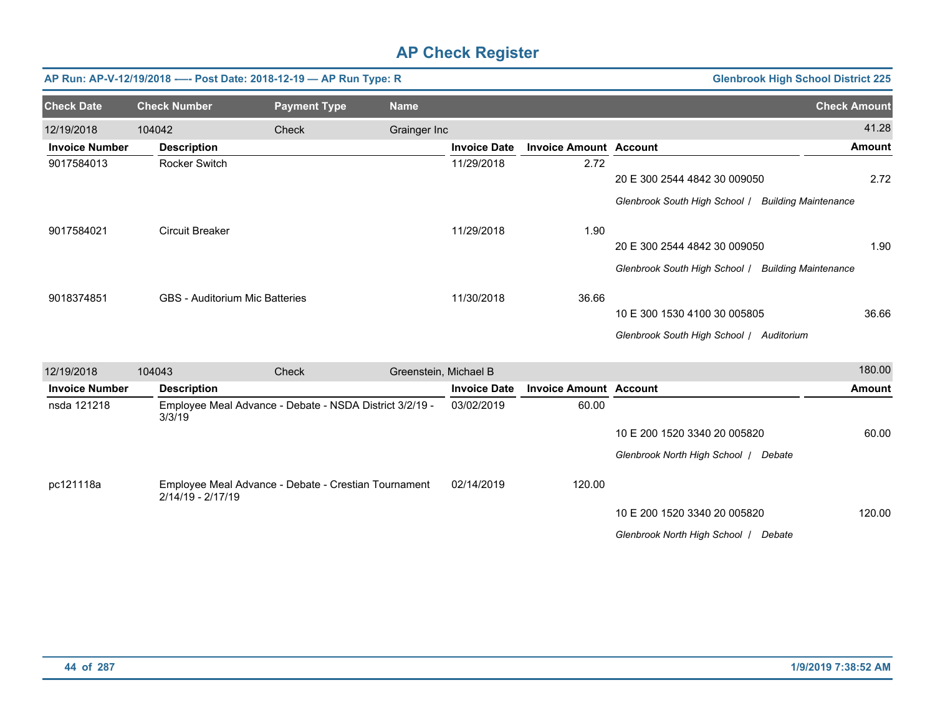|                       |                                       | AP Run: AP-V-12/19/2018 ---- Post Date: 2018-12-19 - AP Run Type: R |                       |                     |                               |                                                    | <b>Glenbrook High School District 225</b> |
|-----------------------|---------------------------------------|---------------------------------------------------------------------|-----------------------|---------------------|-------------------------------|----------------------------------------------------|-------------------------------------------|
| <b>Check Date</b>     | <b>Check Number</b>                   | <b>Payment Type</b>                                                 | <b>Name</b>           |                     |                               |                                                    | <b>Check Amount</b>                       |
| 12/19/2018            | 104042                                | <b>Check</b>                                                        | Grainger Inc          |                     |                               |                                                    | 41.28                                     |
| <b>Invoice Number</b> | <b>Description</b>                    |                                                                     |                       | <b>Invoice Date</b> | <b>Invoice Amount Account</b> |                                                    | Amount                                    |
| 9017584013            | <b>Rocker Switch</b>                  |                                                                     |                       | 11/29/2018          | 2.72                          |                                                    |                                           |
|                       |                                       |                                                                     |                       |                     |                               | 20 E 300 2544 4842 30 009050                       | 2.72                                      |
|                       |                                       |                                                                     |                       |                     |                               | Glenbrook South High School   Building Maintenance |                                           |
| 9017584021            | <b>Circuit Breaker</b>                |                                                                     |                       | 11/29/2018          | 1.90                          |                                                    |                                           |
|                       |                                       |                                                                     |                       |                     |                               | 20 E 300 2544 4842 30 009050                       | 1.90                                      |
|                       |                                       |                                                                     |                       |                     |                               | Glenbrook South High School / Building Maintenance |                                           |
| 9018374851            | <b>GBS</b> - Auditorium Mic Batteries |                                                                     |                       | 11/30/2018          | 36.66                         |                                                    |                                           |
|                       |                                       |                                                                     |                       |                     |                               | 10 E 300 1530 4100 30 005805                       | 36.66                                     |
|                       |                                       |                                                                     |                       |                     |                               | Glenbrook South High School / Auditorium           |                                           |
| 12/19/2018            | 104043                                | <b>Check</b>                                                        | Greenstein, Michael B |                     |                               |                                                    | 180.00                                    |
| <b>Invoice Number</b> | <b>Description</b>                    |                                                                     |                       | <b>Invoice Date</b> | <b>Invoice Amount Account</b> |                                                    | <b>Amount</b>                             |
| nsda 121218           | 3/3/19                                | Employee Meal Advance - Debate - NSDA District 3/2/19 -             |                       | 03/02/2019          | 60.00                         |                                                    |                                           |
|                       |                                       |                                                                     |                       |                     |                               | 10 E 200 1520 3340 20 005820                       | 60.00                                     |
|                       |                                       |                                                                     |                       |                     |                               | Glenbrook North High School   Debate               |                                           |
| pc121118a             |                                       | Employee Meal Advance - Debate - Crestian Tournament                |                       | 02/14/2019          | 120.00                        |                                                    |                                           |
|                       | 2/14/19 - 2/17/19                     |                                                                     |                       |                     |                               | 10 E 200 1520 3340 20 005820                       | 120.00                                    |
|                       |                                       |                                                                     |                       |                     |                               | Glenbrook North High School   Debate               |                                           |
|                       |                                       |                                                                     |                       |                     |                               |                                                    |                                           |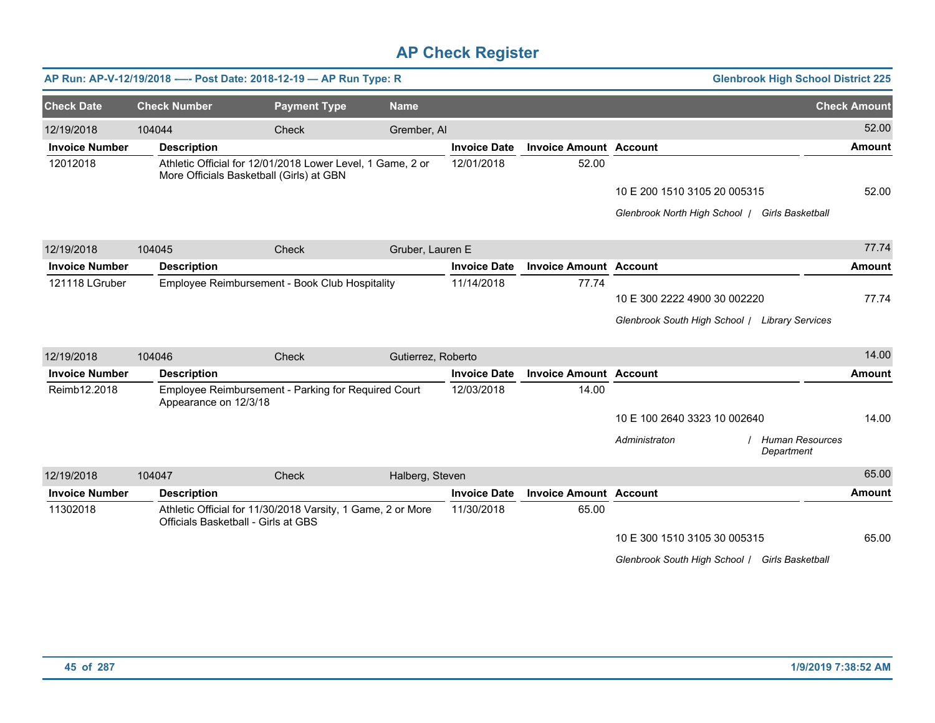|                       |                       | AP Run: AP-V-12/19/2018 ---- Post Date: 2018-12-19 - AP Run Type: R                                    |                    |                     |                               |                                                | <b>Glenbrook High School District 225</b> |
|-----------------------|-----------------------|--------------------------------------------------------------------------------------------------------|--------------------|---------------------|-------------------------------|------------------------------------------------|-------------------------------------------|
| <b>Check Date</b>     | <b>Check Number</b>   | <b>Payment Type</b>                                                                                    | <b>Name</b>        |                     |                               |                                                | <b>Check Amount</b>                       |
| 12/19/2018            | 104044                | Check                                                                                                  | Grember, Al        |                     |                               |                                                | 52.00                                     |
| <b>Invoice Number</b> | <b>Description</b>    |                                                                                                        |                    | <b>Invoice Date</b> | <b>Invoice Amount Account</b> |                                                | <b>Amount</b>                             |
| 12012018              |                       | Athletic Official for 12/01/2018 Lower Level, 1 Game, 2 or<br>More Officials Basketball (Girls) at GBN |                    | 12/01/2018          | 52.00                         |                                                |                                           |
|                       |                       |                                                                                                        |                    |                     |                               | 10 E 200 1510 3105 20 005315                   | 52.00                                     |
|                       |                       |                                                                                                        |                    |                     |                               | Glenbrook North High School   Girls Basketball |                                           |
| 12/19/2018            | 104045                | Check                                                                                                  | Gruber, Lauren E   |                     |                               |                                                | 77.74                                     |
| <b>Invoice Number</b> | <b>Description</b>    |                                                                                                        |                    | <b>Invoice Date</b> | <b>Invoice Amount Account</b> |                                                | <b>Amount</b>                             |
| 121118 LGruber        |                       | Employee Reimbursement - Book Club Hospitality                                                         |                    | 11/14/2018          | 77.74                         |                                                |                                           |
|                       |                       |                                                                                                        |                    |                     |                               | 10 E 300 2222 4900 30 002220                   | 77.74                                     |
|                       |                       |                                                                                                        |                    |                     |                               | Glenbrook South High School   Library Services |                                           |
| 12/19/2018            | 104046                | Check                                                                                                  | Gutierrez, Roberto |                     |                               |                                                | 14.00                                     |
| <b>Invoice Number</b> | <b>Description</b>    |                                                                                                        |                    | <b>Invoice Date</b> | <b>Invoice Amount Account</b> |                                                | <b>Amount</b>                             |
| Reimb12.2018          | Appearance on 12/3/18 | Employee Reimbursement - Parking for Required Court                                                    |                    | 12/03/2018          | 14.00                         |                                                |                                           |
|                       |                       |                                                                                                        |                    |                     |                               | 10 E 100 2640 3323 10 002640                   | 14.00                                     |
|                       |                       |                                                                                                        |                    |                     |                               | Administraton<br>Department                    | <b>Human Resources</b>                    |
| 12/19/2018            | 104047                | Check                                                                                                  | Halberg, Steven    |                     |                               |                                                | 65.00                                     |
| <b>Invoice Number</b> | <b>Description</b>    |                                                                                                        |                    | <b>Invoice Date</b> | <b>Invoice Amount Account</b> |                                                | Amount                                    |
| 11302018              |                       | Athletic Official for 11/30/2018 Varsity, 1 Game, 2 or More<br>Officials Basketball - Girls at GBS     |                    | 11/30/2018          | 65.00                         |                                                |                                           |
|                       |                       |                                                                                                        |                    |                     |                               | 10 E 300 1510 3105 30 005315                   | 65.00                                     |
|                       |                       |                                                                                                        |                    |                     |                               | Glenbrook South High School / Girls Basketball |                                           |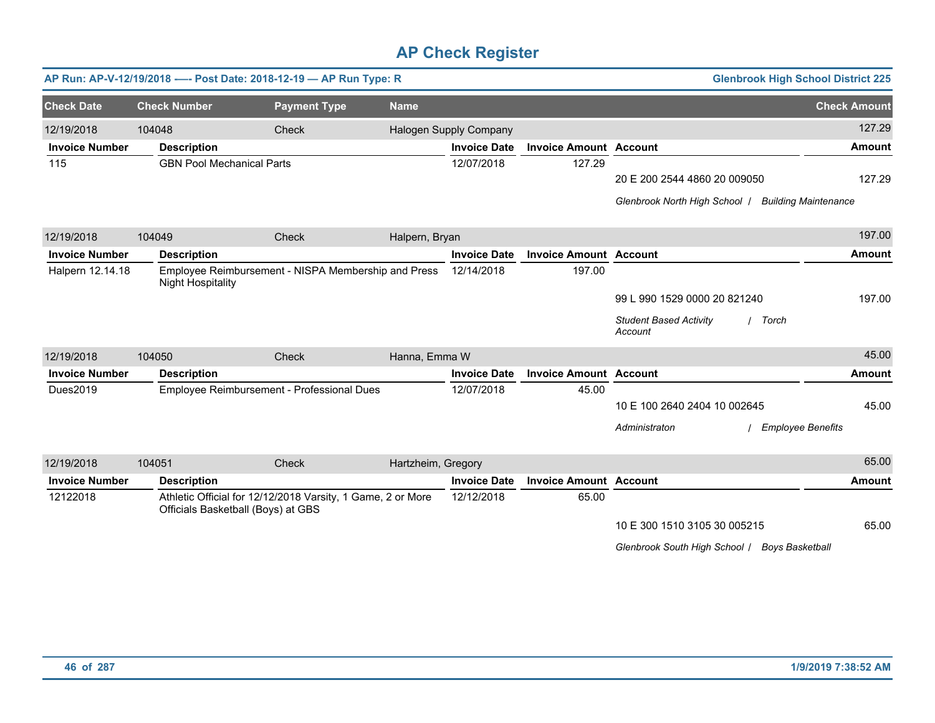|                       | AP Run: AP-V-12/19/2018 ---- Post Date: 2018-12-19 - AP Run Type: R<br><b>Glenbrook High School District 225</b> |                                                                                                   |                    |                        |                               |                                                   |                             |  |  |  |
|-----------------------|------------------------------------------------------------------------------------------------------------------|---------------------------------------------------------------------------------------------------|--------------------|------------------------|-------------------------------|---------------------------------------------------|-----------------------------|--|--|--|
| <b>Check Date</b>     | <b>Check Number</b>                                                                                              | <b>Payment Type</b>                                                                               | <b>Name</b>        |                        |                               |                                                   | <b>Check Amount</b>         |  |  |  |
| 12/19/2018            | 104048                                                                                                           | Check                                                                                             |                    | Halogen Supply Company |                               |                                                   | 127.29                      |  |  |  |
| <b>Invoice Number</b> | <b>Description</b>                                                                                               |                                                                                                   |                    | <b>Invoice Date</b>    | <b>Invoice Amount Account</b> |                                                   | <b>Amount</b>               |  |  |  |
| 115                   | <b>GBN Pool Mechanical Parts</b>                                                                                 |                                                                                                   |                    | 12/07/2018             | 127.29                        |                                                   |                             |  |  |  |
|                       |                                                                                                                  |                                                                                                   |                    |                        |                               | 20 E 200 2544 4860 20 009050                      | 127.29                      |  |  |  |
|                       |                                                                                                                  |                                                                                                   |                    |                        |                               | Glenbrook North High School /                     | <b>Building Maintenance</b> |  |  |  |
| 12/19/2018            | 104049                                                                                                           | Check                                                                                             | Halpern, Bryan     |                        |                               |                                                   | 197.00                      |  |  |  |
| <b>Invoice Number</b> | <b>Description</b>                                                                                               |                                                                                                   |                    | <b>Invoice Date</b>    | <b>Invoice Amount Account</b> |                                                   | <b>Amount</b>               |  |  |  |
| Halpern 12.14.18      | <b>Night Hospitality</b>                                                                                         | Employee Reimbursement - NISPA Membership and Press                                               |                    | 12/14/2018             | 197.00                        |                                                   |                             |  |  |  |
|                       |                                                                                                                  |                                                                                                   |                    |                        |                               | 99 L 990 1529 0000 20 821240                      | 197.00                      |  |  |  |
|                       |                                                                                                                  |                                                                                                   |                    |                        |                               | <b>Student Based Activity</b><br>Torch<br>Account |                             |  |  |  |
| 12/19/2018            | 104050                                                                                                           | Check                                                                                             | Hanna, Emma W      |                        |                               |                                                   | 45.00                       |  |  |  |
| <b>Invoice Number</b> | <b>Description</b>                                                                                               |                                                                                                   |                    | <b>Invoice Date</b>    | <b>Invoice Amount Account</b> |                                                   | <b>Amount</b>               |  |  |  |
| Dues2019              |                                                                                                                  | Employee Reimbursement - Professional Dues                                                        |                    | 12/07/2018             | 45.00                         |                                                   |                             |  |  |  |
|                       |                                                                                                                  |                                                                                                   |                    |                        |                               | 10 E 100 2640 2404 10 002645                      | 45.00                       |  |  |  |
|                       |                                                                                                                  |                                                                                                   |                    |                        |                               | Administraton<br><b>Employee Benefits</b>         |                             |  |  |  |
| 12/19/2018            | 104051                                                                                                           | Check                                                                                             | Hartzheim, Gregory |                        |                               |                                                   | 65.00                       |  |  |  |
| <b>Invoice Number</b> | <b>Description</b>                                                                                               |                                                                                                   |                    | <b>Invoice Date</b>    | <b>Invoice Amount Account</b> |                                                   | <b>Amount</b>               |  |  |  |
| 12122018              |                                                                                                                  | Athletic Official for 12/12/2018 Varsity, 1 Game, 2 or More<br>Officials Basketball (Boys) at GBS |                    | 12/12/2018             | 65.00                         |                                                   |                             |  |  |  |
|                       |                                                                                                                  |                                                                                                   |                    |                        |                               | 10 E 300 1510 3105 30 005215                      | 65.00                       |  |  |  |
|                       |                                                                                                                  |                                                                                                   |                    |                        |                               | Glenbrook South High School / Boys Basketball     |                             |  |  |  |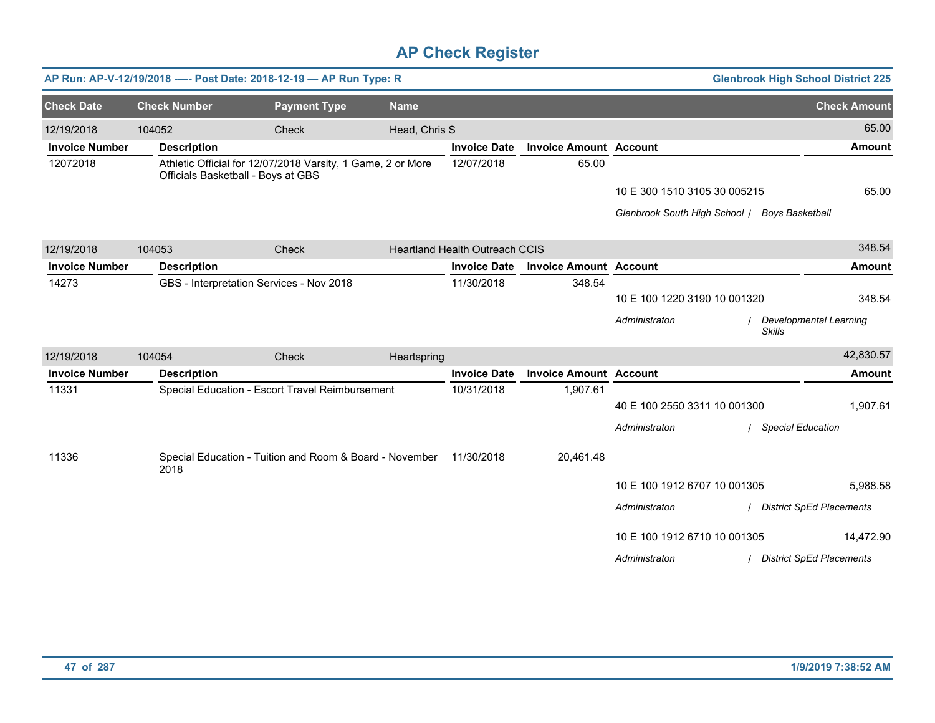|                       |                     | AP Run: AP-V-12/19/2018 ---- Post Date: 2018-12-19 - AP Run Type: R                               |               |                                       |                               |                                               | <b>Glenbrook High School District 225</b> |
|-----------------------|---------------------|---------------------------------------------------------------------------------------------------|---------------|---------------------------------------|-------------------------------|-----------------------------------------------|-------------------------------------------|
| <b>Check Date</b>     | <b>Check Number</b> | <b>Payment Type</b>                                                                               | <b>Name</b>   |                                       |                               |                                               | <b>Check Amount</b>                       |
| 12/19/2018            | 104052              | Check                                                                                             | Head, Chris S |                                       |                               |                                               | 65.00                                     |
| <b>Invoice Number</b> | <b>Description</b>  |                                                                                                   |               | <b>Invoice Date</b>                   | <b>Invoice Amount Account</b> |                                               | <b>Amount</b>                             |
| 12072018              |                     | Athletic Official for 12/07/2018 Varsity, 1 Game, 2 or More<br>Officials Basketball - Boys at GBS |               | 12/07/2018                            | 65.00                         |                                               |                                           |
|                       |                     |                                                                                                   |               |                                       |                               | 10 E 300 1510 3105 30 005215                  | 65.00                                     |
|                       |                     |                                                                                                   |               |                                       |                               | Glenbrook South High School / Boys Basketball |                                           |
| 12/19/2018            | 104053              | Check                                                                                             |               | <b>Heartland Health Outreach CCIS</b> |                               |                                               | 348.54                                    |
| <b>Invoice Number</b> | <b>Description</b>  |                                                                                                   |               | <b>Invoice Date</b>                   | <b>Invoice Amount Account</b> |                                               | <b>Amount</b>                             |
| 14273                 |                     | GBS - Interpretation Services - Nov 2018                                                          |               | 11/30/2018                            | 348.54                        |                                               |                                           |
|                       |                     |                                                                                                   |               |                                       |                               | 10 E 100 1220 3190 10 001320                  | 348.54                                    |
|                       |                     |                                                                                                   |               |                                       |                               | Administraton                                 | Developmental Learning<br><b>Skills</b>   |
| 12/19/2018            | 104054              | Check                                                                                             | Heartspring   |                                       |                               |                                               | 42,830.57                                 |
| <b>Invoice Number</b> | <b>Description</b>  |                                                                                                   |               | <b>Invoice Date</b>                   | <b>Invoice Amount Account</b> |                                               | <b>Amount</b>                             |
| 11331                 |                     | Special Education - Escort Travel Reimbursement                                                   |               | 10/31/2018                            | 1,907.61                      |                                               |                                           |
|                       |                     |                                                                                                   |               |                                       |                               | 40 E 100 2550 3311 10 001300                  | 1,907.61                                  |
|                       |                     |                                                                                                   |               |                                       |                               | Administraton                                 | <b>Special Education</b>                  |
| 11336                 | 2018                | Special Education - Tuition and Room & Board - November 11/30/2018                                |               |                                       | 20,461.48                     |                                               |                                           |
|                       |                     |                                                                                                   |               |                                       |                               | 10 E 100 1912 6707 10 001305                  | 5,988.58                                  |
|                       |                     |                                                                                                   |               |                                       |                               | Administraton                                 | / District SpEd Placements                |
|                       |                     |                                                                                                   |               |                                       |                               | 10 E 100 1912 6710 10 001305                  | 14,472.90                                 |
|                       |                     |                                                                                                   |               |                                       |                               | Administraton                                 | / District SpEd Placements                |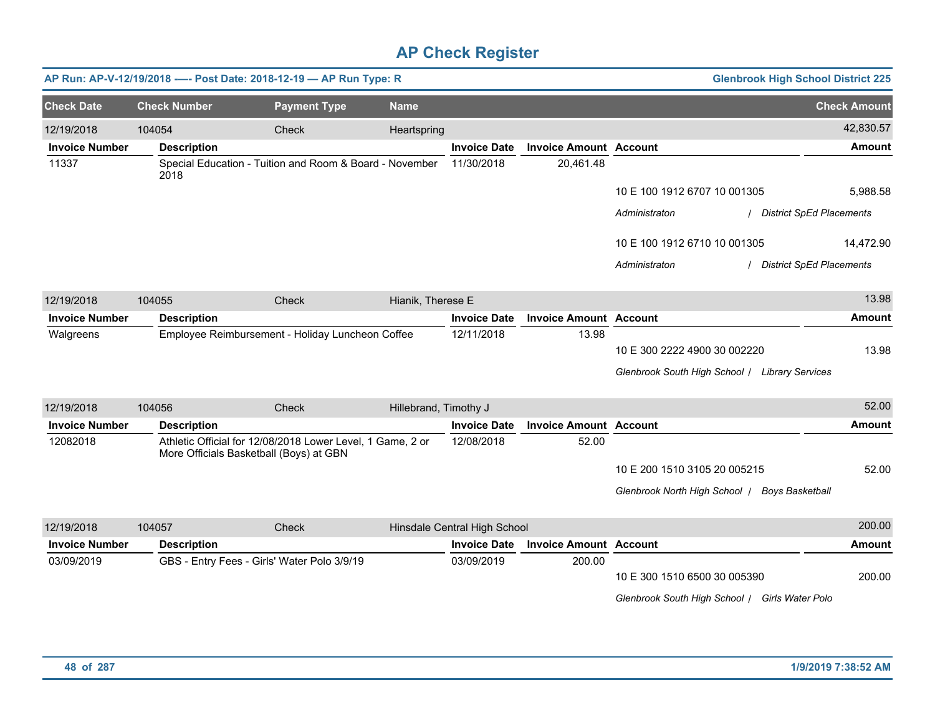|                       |                     | AP Run: AP-V-12/19/2018 ---- Post Date: 2018-12-19 - AP Run Type: R                                   |                       |                              |                               |                                                | <b>Glenbrook High School District 225</b> |
|-----------------------|---------------------|-------------------------------------------------------------------------------------------------------|-----------------------|------------------------------|-------------------------------|------------------------------------------------|-------------------------------------------|
| <b>Check Date</b>     | <b>Check Number</b> | <b>Payment Type</b>                                                                                   | <b>Name</b>           |                              |                               |                                                | <b>Check Amount</b>                       |
| 12/19/2018            | 104054              | Check                                                                                                 | Heartspring           |                              |                               |                                                | 42,830.57                                 |
| <b>Invoice Number</b> | <b>Description</b>  |                                                                                                       |                       | <b>Invoice Date</b>          | <b>Invoice Amount Account</b> |                                                | <b>Amount</b>                             |
| 11337                 | 2018                | Special Education - Tuition and Room & Board - November                                               |                       | 11/30/2018                   | 20,461.48                     |                                                |                                           |
|                       |                     |                                                                                                       |                       |                              |                               | 10 E 100 1912 6707 10 001305                   | 5,988.58                                  |
|                       |                     |                                                                                                       |                       |                              |                               | Administraton                                  | <b>District SpEd Placements</b>           |
|                       |                     |                                                                                                       |                       |                              |                               | 10 E 100 1912 6710 10 001305                   | 14,472.90                                 |
|                       |                     |                                                                                                       |                       |                              |                               | Administraton                                  | <b>District SpEd Placements</b>           |
| 12/19/2018            | 104055              | Check                                                                                                 | Hianik, Therese E     |                              |                               |                                                | 13.98                                     |
| <b>Invoice Number</b> | <b>Description</b>  |                                                                                                       |                       | <b>Invoice Date</b>          | <b>Invoice Amount</b>         | <b>Account</b>                                 | <b>Amount</b>                             |
| Walgreens             |                     | Employee Reimbursement - Holiday Luncheon Coffee                                                      |                       | 12/11/2018                   | 13.98                         |                                                |                                           |
|                       |                     |                                                                                                       |                       |                              |                               | 10 E 300 2222 4900 30 002220                   | 13.98                                     |
|                       |                     |                                                                                                       |                       |                              |                               | Glenbrook South High School   Library Services |                                           |
| 12/19/2018            | 104056              | Check                                                                                                 | Hillebrand, Timothy J |                              |                               |                                                | 52.00                                     |
| <b>Invoice Number</b> | <b>Description</b>  |                                                                                                       |                       | <b>Invoice Date</b>          | <b>Invoice Amount Account</b> |                                                | <b>Amount</b>                             |
| 12082018              |                     | Athletic Official for 12/08/2018 Lower Level, 1 Game, 2 or<br>More Officials Basketball (Boys) at GBN |                       | 12/08/2018                   | 52.00                         |                                                |                                           |
|                       |                     |                                                                                                       |                       |                              |                               | 10 E 200 1510 3105 20 005215                   | 52.00                                     |
|                       |                     |                                                                                                       |                       |                              |                               | Glenbrook North High School   Boys Basketball  |                                           |
| 12/19/2018            | 104057              | Check                                                                                                 |                       | Hinsdale Central High School |                               |                                                | 200.00                                    |
| <b>Invoice Number</b> | <b>Description</b>  |                                                                                                       |                       | <b>Invoice Date</b>          | <b>Invoice Amount Account</b> |                                                | <b>Amount</b>                             |
| 03/09/2019            |                     | GBS - Entry Fees - Girls' Water Polo 3/9/19                                                           |                       | 03/09/2019                   | 200.00                        |                                                |                                           |
|                       |                     |                                                                                                       |                       |                              |                               | 10 E 300 1510 6500 30 005390                   | 200.00                                    |
|                       |                     |                                                                                                       |                       |                              |                               | Glenbrook South High School / Girls Water Polo |                                           |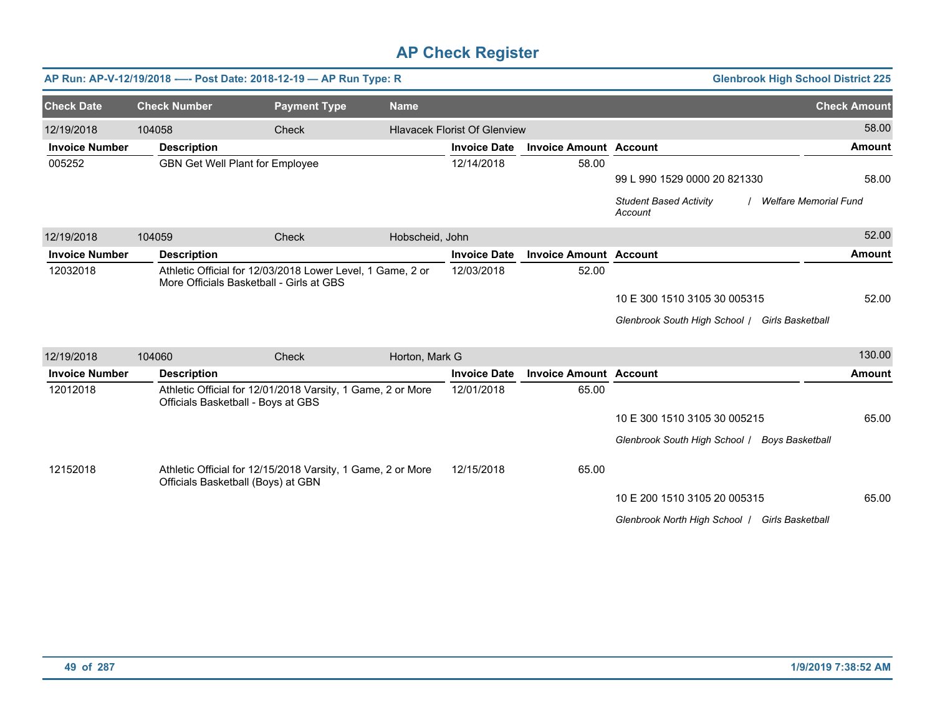|                       |                     | AP Run: AP-V-12/19/2018 ---- Post Date: 2018-12-19 - AP Run Type: R                                    |                 |                                     |                               | <b>Glenbrook High School District 225</b>                                |                     |
|-----------------------|---------------------|--------------------------------------------------------------------------------------------------------|-----------------|-------------------------------------|-------------------------------|--------------------------------------------------------------------------|---------------------|
| <b>Check Date</b>     | <b>Check Number</b> | <b>Payment Type</b>                                                                                    | <b>Name</b>     |                                     |                               |                                                                          | <b>Check Amount</b> |
| 12/19/2018            | 104058              | Check                                                                                                  |                 | <b>Hlavacek Florist Of Glenview</b> |                               |                                                                          | 58.00               |
| <b>Invoice Number</b> | <b>Description</b>  |                                                                                                        |                 | <b>Invoice Date</b>                 | <b>Invoice Amount Account</b> |                                                                          | Amount              |
| 005252                |                     | <b>GBN Get Well Plant for Employee</b>                                                                 |                 | 12/14/2018                          | 58.00                         |                                                                          |                     |
|                       |                     |                                                                                                        |                 |                                     |                               | 99 L 990 1529 0000 20 821330                                             | 58.00               |
|                       |                     |                                                                                                        |                 |                                     |                               | <b>Student Based Activity</b><br><b>Welfare Memorial Fund</b><br>Account |                     |
| 12/19/2018            | 104059              | Check                                                                                                  | Hobscheid, John |                                     |                               |                                                                          | 52.00               |
| <b>Invoice Number</b> | <b>Description</b>  |                                                                                                        |                 | <b>Invoice Date</b>                 | <b>Invoice Amount Account</b> |                                                                          | <b>Amount</b>       |
| 12032018              |                     | Athletic Official for 12/03/2018 Lower Level, 1 Game, 2 or<br>More Officials Basketball - Girls at GBS |                 | 12/03/2018                          | 52.00                         |                                                                          |                     |
|                       |                     |                                                                                                        |                 |                                     |                               | 10 E 300 1510 3105 30 005315                                             | 52.00               |
|                       |                     |                                                                                                        |                 |                                     |                               | Glenbrook South High School / Girls Basketball                           |                     |
|                       |                     |                                                                                                        |                 |                                     |                               |                                                                          |                     |
| 12/19/2018            | 104060              | Check                                                                                                  | Horton, Mark G  |                                     |                               |                                                                          | 130.00              |
| <b>Invoice Number</b> | <b>Description</b>  |                                                                                                        |                 | <b>Invoice Date</b>                 | <b>Invoice Amount Account</b> |                                                                          | <b>Amount</b>       |
| 12012018              |                     | Athletic Official for 12/01/2018 Varsity, 1 Game, 2 or More<br>Officials Basketball - Boys at GBS      |                 | 12/01/2018                          | 65.00                         |                                                                          |                     |
|                       |                     |                                                                                                        |                 |                                     |                               | 10 E 300 1510 3105 30 005215                                             | 65.00               |
|                       |                     |                                                                                                        |                 |                                     |                               | Glenbrook South High School / Boys Basketball                            |                     |
| 12152018              |                     | Athletic Official for 12/15/2018 Varsity, 1 Game, 2 or More<br>Officials Basketball (Boys) at GBN      |                 | 12/15/2018                          | 65.00                         |                                                                          |                     |
|                       |                     |                                                                                                        |                 |                                     |                               | 10 E 200 1510 3105 20 005315                                             | 65.00               |
|                       |                     |                                                                                                        |                 |                                     |                               | Glenbrook North High School / Girls Basketball                           |                     |
|                       |                     |                                                                                                        |                 |                                     |                               |                                                                          |                     |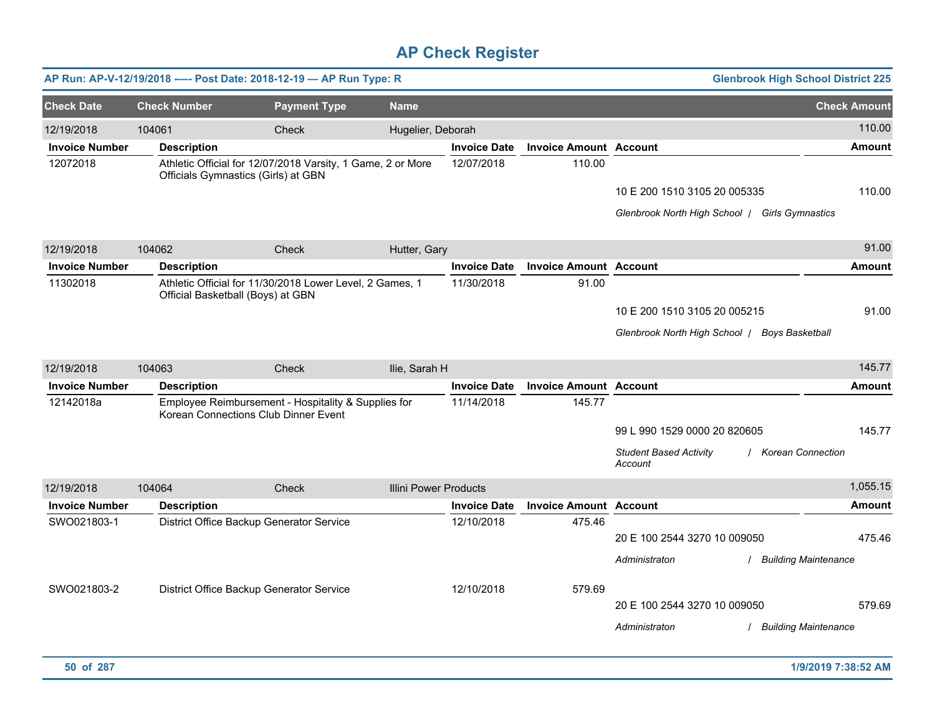|                       |                     | AP Run: AP-V-12/19/2018 ---- Post Date: 2018-12-19 - AP Run Type: R                                |                              |                     |                               | <b>Glenbrook High School District 225</b>                                                       |                     |
|-----------------------|---------------------|----------------------------------------------------------------------------------------------------|------------------------------|---------------------|-------------------------------|-------------------------------------------------------------------------------------------------|---------------------|
| <b>Check Date</b>     | <b>Check Number</b> | <b>Payment Type</b>                                                                                | <b>Name</b>                  |                     |                               |                                                                                                 | <b>Check Amount</b> |
| 12/19/2018            | 104061              | Check                                                                                              | Hugelier, Deborah            |                     |                               |                                                                                                 | 110.00              |
| <b>Invoice Number</b> | <b>Description</b>  |                                                                                                    |                              | <b>Invoice Date</b> | <b>Invoice Amount Account</b> |                                                                                                 | <b>Amount</b>       |
| 12072018              |                     | Athletic Official for 12/07/2018 Varsity, 1 Game, 2 or More<br>Officials Gymnastics (Girls) at GBN |                              | 12/07/2018          | 110.00                        | 10 E 200 1510 3105 20 005335<br>Glenbrook North High School   Girls Gymnastics                  | 110.00              |
| 12/19/2018            | 104062              | Check                                                                                              | Hutter, Gary                 |                     |                               |                                                                                                 | 91.00               |
| <b>Invoice Number</b> | <b>Description</b>  |                                                                                                    |                              | <b>Invoice Date</b> | <b>Invoice Amount Account</b> |                                                                                                 | <b>Amount</b>       |
| 11302018              |                     | Athletic Official for 11/30/2018 Lower Level, 2 Games, 1<br>Official Basketball (Boys) at GBN      |                              | 11/30/2018          | 91.00                         | 10 E 200 1510 3105 20 005215<br>Glenbrook North High School   Boys Basketball                   | 91.00               |
| 12/19/2018            | 104063              | Check                                                                                              | Ilie, Sarah H                |                     |                               |                                                                                                 | 145.77              |
| <b>Invoice Number</b> | <b>Description</b>  |                                                                                                    |                              | <b>Invoice Date</b> | <b>Invoice Amount Account</b> |                                                                                                 | <b>Amount</b>       |
| 12142018a             |                     | Employee Reimbursement - Hospitality & Supplies for<br>Korean Connections Club Dinner Event        |                              | 11/14/2018          | 145.77                        | 99 L 990 1529 0000 20 820605<br><b>Student Based Activity</b><br>/ Korean Connection<br>Account | 145.77              |
| 12/19/2018            | 104064              | <b>Check</b>                                                                                       | <b>Illini Power Products</b> |                     |                               |                                                                                                 | 1,055.15            |
| <b>Invoice Number</b> | <b>Description</b>  |                                                                                                    |                              | <b>Invoice Date</b> | <b>Invoice Amount Account</b> |                                                                                                 | <b>Amount</b>       |
| SWO021803-1           |                     | District Office Backup Generator Service                                                           |                              | 12/10/2018          | 475.46                        | 20 E 100 2544 3270 10 009050<br>Administraton<br><b>Building Maintenance</b>                    | 475.46              |
| SWO021803-2           |                     | District Office Backup Generator Service                                                           |                              | 12/10/2018          | 579.69                        | 20 E 100 2544 3270 10 009050<br>Administraton<br>/ Building Maintenance                         | 579.69              |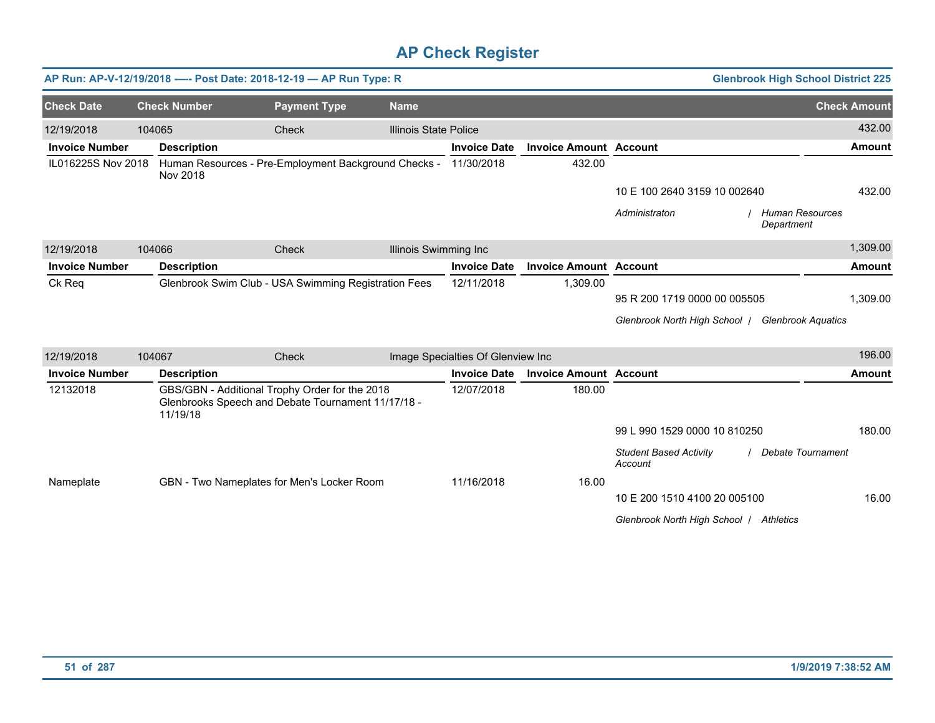|                       |        |                     | AP Run: AP-V-12/19/2018 ---- Post Date: 2018-12-19 - AP Run Type: R                                  |                              |                                   |                               |                                          | <b>Glenbrook High School District 225</b> |
|-----------------------|--------|---------------------|------------------------------------------------------------------------------------------------------|------------------------------|-----------------------------------|-------------------------------|------------------------------------------|-------------------------------------------|
| <b>Check Date</b>     |        | <b>Check Number</b> | <b>Payment Type</b>                                                                                  | <b>Name</b>                  |                                   |                               |                                          | <b>Check Amount</b>                       |
| 12/19/2018            | 104065 |                     | Check                                                                                                | <b>Illinois State Police</b> |                                   |                               |                                          | 432.00                                    |
| <b>Invoice Number</b> |        | <b>Description</b>  |                                                                                                      |                              | <b>Invoice Date</b>               | <b>Invoice Amount Account</b> |                                          | <b>Amount</b>                             |
| IL016225S Nov 2018    |        | Nov 2018            | Human Resources - Pre-Employment Background Checks -                                                 |                              | 11/30/2018                        | 432.00                        |                                          |                                           |
|                       |        |                     |                                                                                                      |                              |                                   |                               | 10 E 100 2640 3159 10 002640             | 432.00                                    |
|                       |        |                     |                                                                                                      |                              |                                   |                               | Administraton                            | Human Resources<br>Department             |
| 12/19/2018            | 104066 |                     | Check                                                                                                | Illinois Swimming Inc        |                                   |                               |                                          | 1,309.00                                  |
| <b>Invoice Number</b> |        | <b>Description</b>  |                                                                                                      |                              | <b>Invoice Date</b>               | <b>Invoice Amount Account</b> |                                          | <b>Amount</b>                             |
| Ck Req                |        |                     | Glenbrook Swim Club - USA Swimming Registration Fees                                                 |                              | 12/11/2018                        | 1,309.00                      |                                          |                                           |
|                       |        |                     |                                                                                                      |                              |                                   |                               | 95 R 200 1719 0000 00 005505             | 1,309.00                                  |
|                       |        |                     |                                                                                                      |                              |                                   |                               | Glenbrook North High School /            | <b>Glenbrook Aquatics</b>                 |
| 12/19/2018            | 104067 |                     | Check                                                                                                |                              | Image Specialties Of Glenview Inc |                               |                                          | 196.00                                    |
| <b>Invoice Number</b> |        | <b>Description</b>  |                                                                                                      |                              | <b>Invoice Date</b>               | <b>Invoice Amount Account</b> |                                          | <b>Amount</b>                             |
| 12132018              |        | 11/19/18            | GBS/GBN - Additional Trophy Order for the 2018<br>Glenbrooks Speech and Debate Tournament 11/17/18 - |                              | 12/07/2018                        | 180.00                        |                                          |                                           |
|                       |        |                     |                                                                                                      |                              |                                   |                               | 99 L 990 1529 0000 10 810250             | 180.00                                    |
|                       |        |                     |                                                                                                      |                              |                                   |                               | <b>Student Based Activity</b><br>Account | Debate Tournament                         |
| Nameplate             |        |                     | GBN - Two Nameplates for Men's Locker Room                                                           |                              | 11/16/2018                        | 16.00                         |                                          |                                           |
|                       |        |                     |                                                                                                      |                              |                                   |                               | 10 E 200 1510 4100 20 005100             | 16.00                                     |
|                       |        |                     |                                                                                                      |                              |                                   |                               | Glenbrook North High School / Athletics  |                                           |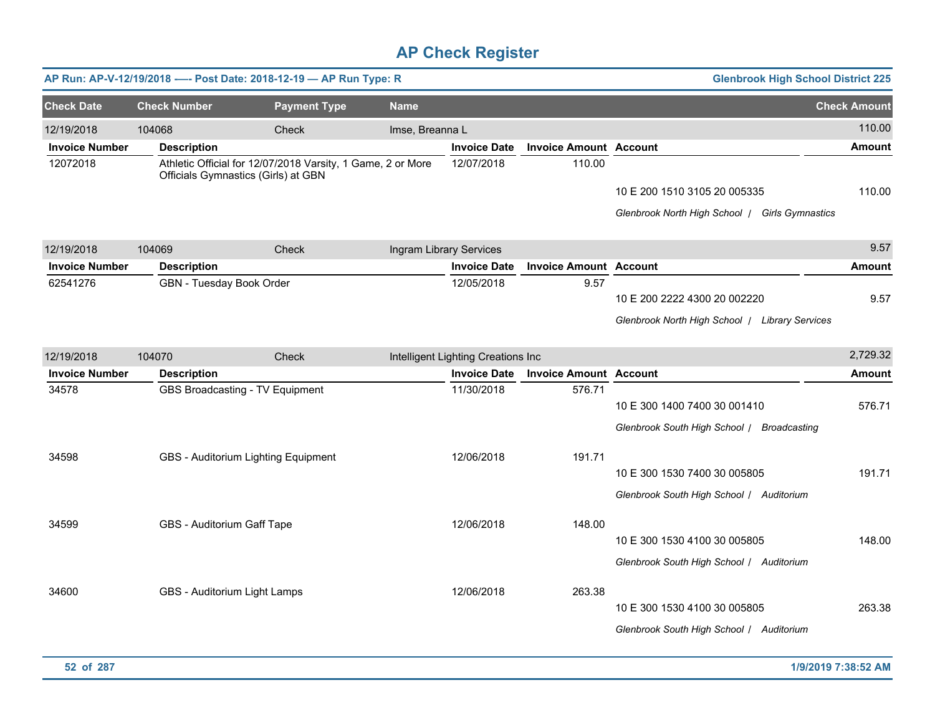|                       |                              | AP Run: AP-V-12/19/2018 ---- Post Date: 2018-12-19 - AP Run Type: R                                |                 |                                    |                               | <b>Glenbrook High School District 225</b>                                      |                     |
|-----------------------|------------------------------|----------------------------------------------------------------------------------------------------|-----------------|------------------------------------|-------------------------------|--------------------------------------------------------------------------------|---------------------|
| <b>Check Date</b>     | <b>Check Number</b>          | <b>Payment Type</b>                                                                                | <b>Name</b>     |                                    |                               |                                                                                | <b>Check Amount</b> |
| 12/19/2018            | 104068                       | Check                                                                                              | Imse, Breanna L |                                    |                               |                                                                                | 110.00              |
| <b>Invoice Number</b> | <b>Description</b>           |                                                                                                    |                 | <b>Invoice Date</b>                | <b>Invoice Amount Account</b> |                                                                                | <b>Amount</b>       |
| 12072018              |                              | Athletic Official for 12/07/2018 Varsity, 1 Game, 2 or More<br>Officials Gymnastics (Girls) at GBN |                 | 12/07/2018                         | 110.00                        | 10 E 200 1510 3105 20 005335<br>Glenbrook North High School   Girls Gymnastics | 110.00              |
| 12/19/2018            | 104069                       | Check                                                                                              |                 | Ingram Library Services            |                               |                                                                                | 9.57                |
| <b>Invoice Number</b> | <b>Description</b>           |                                                                                                    |                 | <b>Invoice Date</b>                | <b>Invoice Amount Account</b> |                                                                                | <b>Amount</b>       |
| 62541276              | GBN - Tuesday Book Order     |                                                                                                    |                 | 12/05/2018                         | 9.57                          | 10 E 200 2222 4300 20 002220<br>Glenbrook North High School / Library Services | 9.57                |
| 12/19/2018            | 104070                       | <b>Check</b>                                                                                       |                 | Intelligent Lighting Creations Inc |                               |                                                                                | 2,729.32            |
| <b>Invoice Number</b> | <b>Description</b>           |                                                                                                    |                 | <b>Invoice Date</b>                | <b>Invoice Amount Account</b> |                                                                                | <b>Amount</b>       |
| 34578                 |                              | GBS Broadcasting - TV Equipment                                                                    |                 | 11/30/2018                         | 576.71                        | 10 E 300 1400 7400 30 001410<br>Glenbrook South High School   Broadcasting     | 576.71              |
| 34598                 |                              | GBS - Auditorium Lighting Equipment                                                                |                 | 12/06/2018                         | 191.71                        | 10 E 300 1530 7400 30 005805<br>Glenbrook South High School   Auditorium       | 191.71              |
| 34599                 | GBS - Auditorium Gaff Tape   |                                                                                                    |                 | 12/06/2018                         | 148.00                        | 10 E 300 1530 4100 30 005805<br>Glenbrook South High School   Auditorium       | 148.00              |
| 34600                 | GBS - Auditorium Light Lamps |                                                                                                    |                 | 12/06/2018                         | 263.38                        | 10 E 300 1530 4100 30 005805<br>Glenbrook South High School / Auditorium       | 263.38              |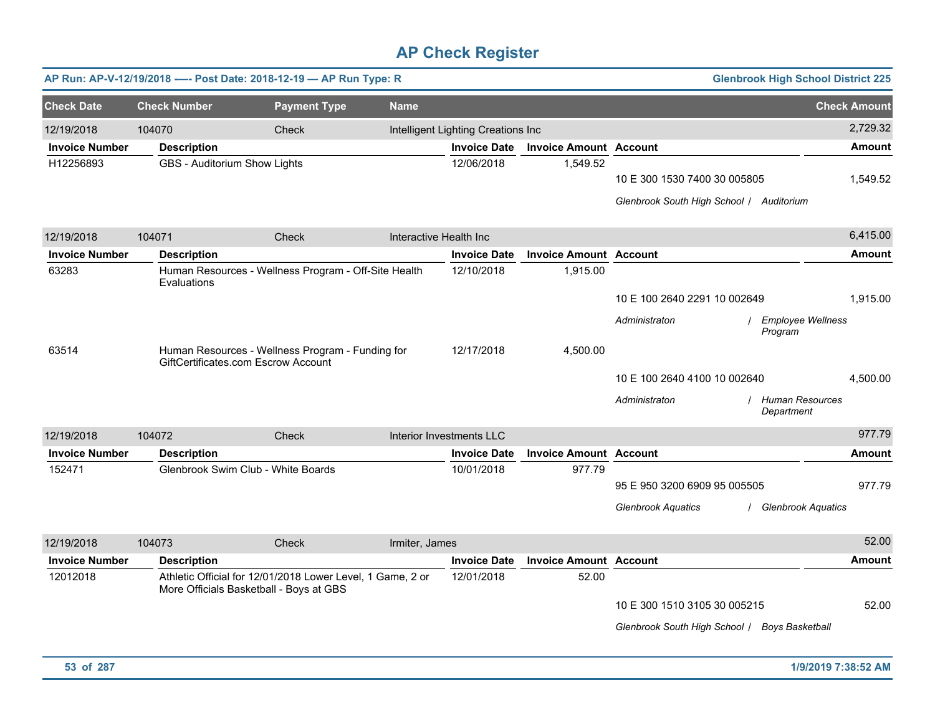|                       |                     | AP Run: AP-V-12/19/2018 ---- Post Date: 2018-12-19 - AP Run Type: R                                   |                        |                                    |                               |                                                                          | <b>Glenbrook High School District 225</b> |                     |
|-----------------------|---------------------|-------------------------------------------------------------------------------------------------------|------------------------|------------------------------------|-------------------------------|--------------------------------------------------------------------------|-------------------------------------------|---------------------|
| <b>Check Date</b>     | <b>Check Number</b> | <b>Payment Type</b>                                                                                   | <b>Name</b>            |                                    |                               |                                                                          |                                           | <b>Check Amount</b> |
| 12/19/2018            | 104070              | Check                                                                                                 |                        | Intelligent Lighting Creations Inc |                               |                                                                          |                                           | 2,729.32            |
| <b>Invoice Number</b> | <b>Description</b>  |                                                                                                       |                        | <b>Invoice Date</b>                | <b>Invoice Amount Account</b> |                                                                          |                                           | <b>Amount</b>       |
| H12256893             |                     | GBS - Auditorium Show Lights                                                                          |                        | 12/06/2018                         | 1,549.52                      | 10 E 300 1530 7400 30 005805<br>Glenbrook South High School   Auditorium |                                           | 1,549.52            |
| 12/19/2018            | 104071              | Check                                                                                                 | Interactive Health Inc |                                    |                               |                                                                          |                                           | 6,415.00            |
| <b>Invoice Number</b> | <b>Description</b>  |                                                                                                       |                        | <b>Invoice Date</b>                | <b>Invoice Amount Account</b> |                                                                          |                                           | <b>Amount</b>       |
| 63283                 | Evaluations         | Human Resources - Wellness Program - Off-Site Health                                                  |                        | 12/10/2018                         | 1,915.00                      |                                                                          |                                           |                     |
|                       |                     |                                                                                                       |                        |                                    |                               | 10 E 100 2640 2291 10 002649                                             |                                           | 1,915.00            |
|                       |                     |                                                                                                       |                        |                                    |                               | Administraton                                                            | <b>Employee Wellness</b><br>Program       |                     |
| 63514                 |                     | Human Resources - Wellness Program - Funding for<br>GiftCertificates.com Escrow Account               |                        | 12/17/2018                         | 4,500.00                      |                                                                          |                                           |                     |
|                       |                     |                                                                                                       |                        |                                    |                               | 10 E 100 2640 4100 10 002640                                             |                                           | 4,500.00            |
|                       |                     |                                                                                                       |                        |                                    |                               | Administraton                                                            | <b>Human Resources</b><br>Department      |                     |
| 12/19/2018            | 104072              | Check                                                                                                 |                        | Interior Investments LLC           |                               |                                                                          |                                           | 977.79              |
| <b>Invoice Number</b> | <b>Description</b>  |                                                                                                       |                        | <b>Invoice Date</b>                | <b>Invoice Amount Account</b> |                                                                          |                                           | Amount              |
| 152471                |                     | Glenbrook Swim Club - White Boards                                                                    |                        | 10/01/2018                         | 977.79                        | 95 E 950 3200 6909 95 005505                                             |                                           | 977.79              |
|                       |                     |                                                                                                       |                        |                                    |                               | <b>Glenbrook Aquatics</b>                                                | / Glenbrook Aquatics                      |                     |
| 12/19/2018            | 104073              | Check                                                                                                 | Irmiter, James         |                                    |                               |                                                                          |                                           | 52.00               |
| <b>Invoice Number</b> | <b>Description</b>  |                                                                                                       |                        | <b>Invoice Date</b>                | <b>Invoice Amount Account</b> |                                                                          |                                           | <b>Amount</b>       |
| 12012018              |                     | Athletic Official for 12/01/2018 Lower Level, 1 Game, 2 or<br>More Officials Basketball - Boys at GBS |                        | 12/01/2018                         | 52.00                         |                                                                          |                                           |                     |
|                       |                     |                                                                                                       |                        |                                    |                               | 10 E 300 1510 3105 30 005215                                             |                                           | 52.00               |
|                       |                     |                                                                                                       |                        |                                    |                               | Glenbrook South High School / Boys Basketball                            |                                           |                     |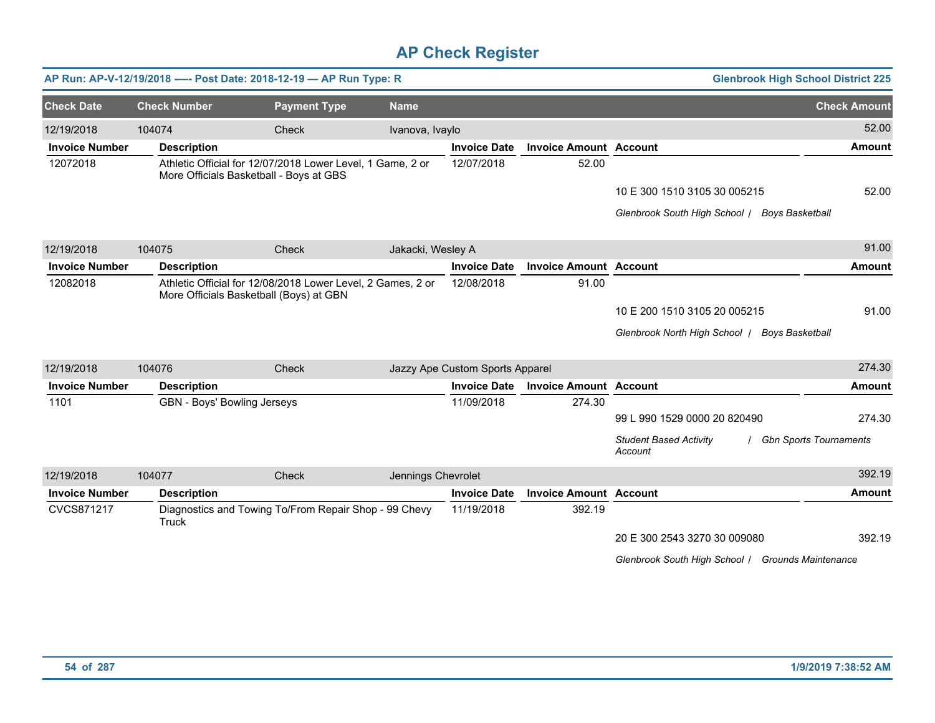|                       |                     | AP Run: AP-V-12/19/2018 ---- Post Date: 2018-12-19 - AP Run Type: R                                    |                    |                                 |                               | <b>Glenbrook High School District 225</b>               |                               |
|-----------------------|---------------------|--------------------------------------------------------------------------------------------------------|--------------------|---------------------------------|-------------------------------|---------------------------------------------------------|-------------------------------|
| <b>Check Date</b>     | <b>Check Number</b> | <b>Payment Type</b>                                                                                    | <b>Name</b>        |                                 |                               |                                                         | <b>Check Amount</b>           |
| 12/19/2018            | 104074              | Check                                                                                                  | Ivanova, Ivaylo    |                                 |                               |                                                         | 52.00                         |
| <b>Invoice Number</b> | <b>Description</b>  |                                                                                                        |                    | <b>Invoice Date</b>             | <b>Invoice Amount Account</b> |                                                         | <b>Amount</b>                 |
| 12072018              |                     | Athletic Official for 12/07/2018 Lower Level, 1 Game, 2 or<br>More Officials Basketball - Boys at GBS  |                    | 12/07/2018                      | 52.00                         |                                                         |                               |
|                       |                     |                                                                                                        |                    |                                 |                               | 10 E 300 1510 3105 30 005215                            | 52.00                         |
|                       |                     |                                                                                                        |                    |                                 |                               | Glenbrook South High School   Boys Basketball           |                               |
| 12/19/2018            | 104075              | Check                                                                                                  | Jakacki, Wesley A  |                                 |                               |                                                         | 91.00                         |
| <b>Invoice Number</b> | <b>Description</b>  |                                                                                                        |                    | <b>Invoice Date</b>             | <b>Invoice Amount Account</b> |                                                         | <b>Amount</b>                 |
| 12082018              |                     | Athletic Official for 12/08/2018 Lower Level, 2 Games, 2 or<br>More Officials Basketball (Boys) at GBN |                    | 12/08/2018                      | 91.00                         |                                                         |                               |
|                       |                     |                                                                                                        |                    |                                 |                               | 10 E 200 1510 3105 20 005215                            | 91.00                         |
|                       |                     |                                                                                                        |                    |                                 |                               | Glenbrook North High School  <br><b>Boys Basketball</b> |                               |
| 12/19/2018            | 104076              | Check                                                                                                  |                    | Jazzy Ape Custom Sports Apparel |                               |                                                         | 274.30                        |
| <b>Invoice Number</b> | <b>Description</b>  |                                                                                                        |                    | <b>Invoice Date</b>             | <b>Invoice Amount Account</b> |                                                         | <b>Amount</b>                 |
| 1101                  |                     | GBN - Boys' Bowling Jerseys                                                                            |                    | 11/09/2018                      | 274.30                        |                                                         |                               |
|                       |                     |                                                                                                        |                    |                                 |                               | 99 L 990 1529 0000 20 820490                            | 274.30                        |
|                       |                     |                                                                                                        |                    |                                 |                               | <b>Student Based Activity</b><br>Account                | <b>Gbn Sports Tournaments</b> |
| 12/19/2018            | 104077              | Check                                                                                                  | Jennings Chevrolet |                                 |                               |                                                         | 392.19                        |
| <b>Invoice Number</b> | <b>Description</b>  |                                                                                                        |                    | <b>Invoice Date</b>             | <b>Invoice Amount Account</b> |                                                         | <b>Amount</b>                 |
| CVCS871217            | Truck               | Diagnostics and Towing To/From Repair Shop - 99 Chevy                                                  |                    | 11/19/2018                      | 392.19                        |                                                         |                               |
|                       |                     |                                                                                                        |                    |                                 |                               | 20 E 300 2543 3270 30 009080                            | 392.19                        |
|                       |                     |                                                                                                        |                    |                                 |                               | Glenbrook South High School / Grounds Maintenance       |                               |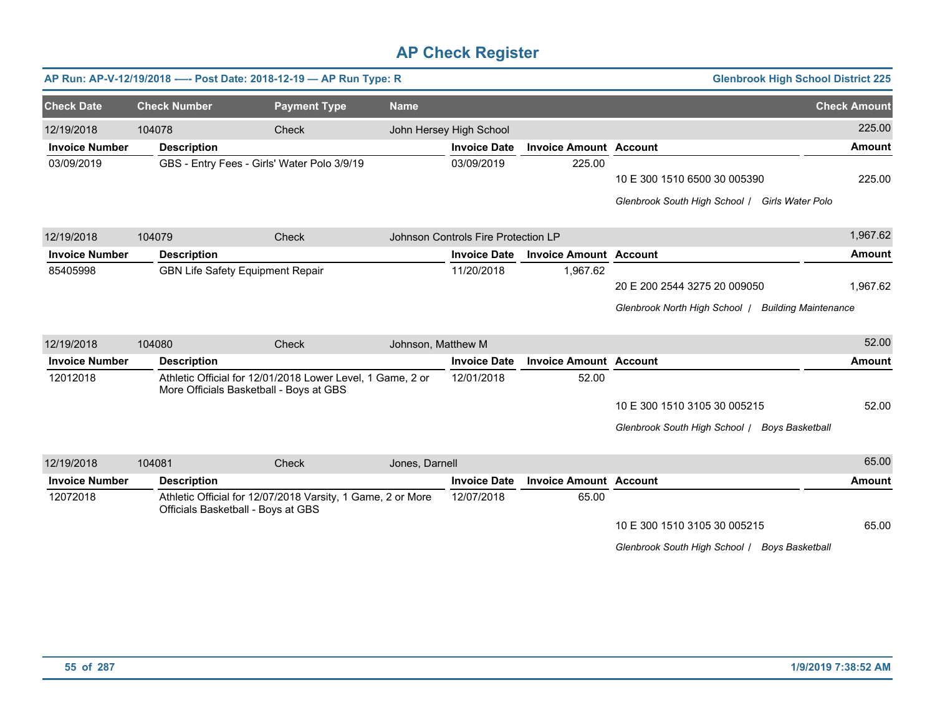|                       |        |                                             | AP Run: AP-V-12/19/2018 ---- Post Date: 2018-12-19 - AP Run Type: R |                    |                                     |                               | <b>Glenbrook High School District 225</b>          |                     |
|-----------------------|--------|---------------------------------------------|---------------------------------------------------------------------|--------------------|-------------------------------------|-------------------------------|----------------------------------------------------|---------------------|
| <b>Check Date</b>     |        | <b>Check Number</b>                         | <b>Payment Type</b>                                                 | <b>Name</b>        |                                     |                               |                                                    | <b>Check Amount</b> |
| 12/19/2018            | 104078 |                                             | Check                                                               |                    | John Hersey High School             |                               |                                                    | 225.00              |
| <b>Invoice Number</b> |        | <b>Description</b>                          |                                                                     |                    | <b>Invoice Date</b>                 | <b>Invoice Amount Account</b> |                                                    | <b>Amount</b>       |
| 03/09/2019            |        | GBS - Entry Fees - Girls' Water Polo 3/9/19 |                                                                     |                    | 03/09/2019                          | 225.00                        |                                                    |                     |
|                       |        |                                             |                                                                     |                    |                                     |                               | 10 E 300 1510 6500 30 005390                       | 225.00              |
|                       |        |                                             |                                                                     |                    |                                     |                               | Glenbrook South High School   Girls Water Polo     |                     |
| 12/19/2018            | 104079 |                                             | Check                                                               |                    | Johnson Controls Fire Protection LP |                               |                                                    | 1,967.62            |
| <b>Invoice Number</b> |        | <b>Description</b>                          |                                                                     |                    | <b>Invoice Date</b>                 | <b>Invoice Amount Account</b> |                                                    | <b>Amount</b>       |
| 85405998              |        | <b>GBN Life Safety Equipment Repair</b>     |                                                                     |                    | 11/20/2018                          | 1,967.62                      |                                                    |                     |
|                       |        |                                             |                                                                     |                    |                                     |                               | 20 E 200 2544 3275 20 009050                       | 1,967.62            |
|                       |        |                                             |                                                                     |                    |                                     |                               | Glenbrook North High School   Building Maintenance |                     |
| 12/19/2018            | 104080 |                                             | Check                                                               | Johnson, Matthew M |                                     |                               |                                                    | 52.00               |
| <b>Invoice Number</b> |        | <b>Description</b>                          |                                                                     |                    | <b>Invoice Date</b>                 | <b>Invoice Amount Account</b> |                                                    | <b>Amount</b>       |
| 12012018              |        | More Officials Basketball - Boys at GBS     | Athletic Official for 12/01/2018 Lower Level, 1 Game, 2 or          |                    | 12/01/2018                          | 52.00                         |                                                    |                     |
|                       |        |                                             |                                                                     |                    |                                     |                               | 10 E 300 1510 3105 30 005215                       | 52.00               |
|                       |        |                                             |                                                                     |                    |                                     |                               | Glenbrook South High School / Boys Basketball      |                     |
| 12/19/2018            | 104081 |                                             | Check                                                               | Jones, Darnell     |                                     |                               |                                                    | 65.00               |
| <b>Invoice Number</b> |        | <b>Description</b>                          |                                                                     |                    | <b>Invoice Date</b>                 | <b>Invoice Amount Account</b> |                                                    | <b>Amount</b>       |
| 12072018              |        | Officials Basketball - Boys at GBS          | Athletic Official for 12/07/2018 Varsity, 1 Game, 2 or More         |                    | 12/07/2018                          | 65.00                         |                                                    |                     |
|                       |        |                                             |                                                                     |                    |                                     |                               | 10 E 300 1510 3105 30 005215                       | 65.00               |
|                       |        |                                             |                                                                     |                    |                                     |                               | Glenbrook South High School / Boys Basketball      |                     |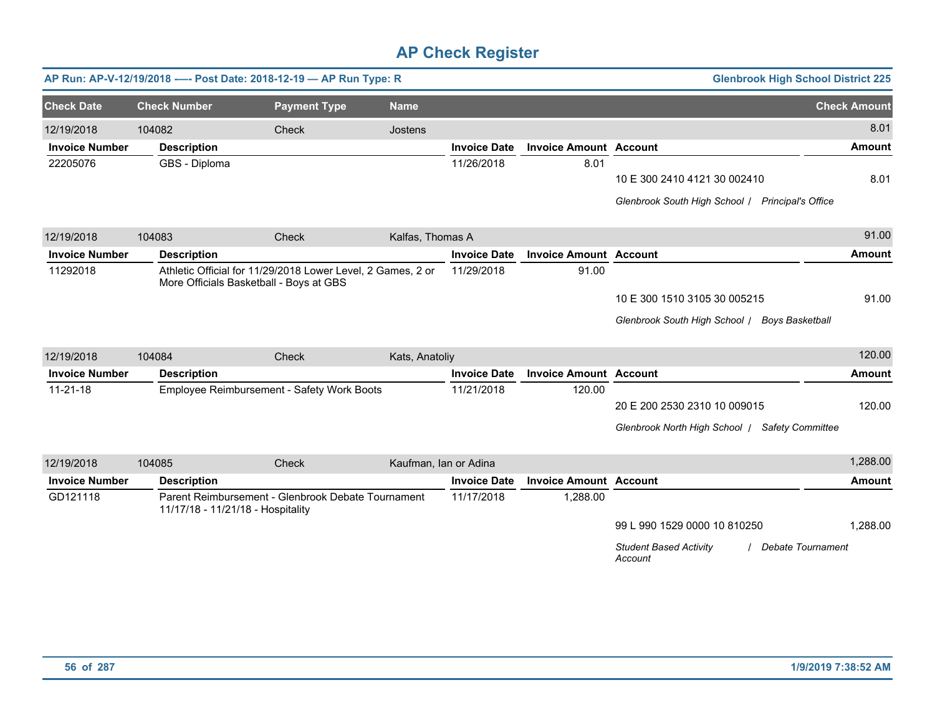|                       |                     | AP Run: AP-V-12/19/2018 ---- Post Date: 2018-12-19 - AP Run Type: R                                    |                       |                     |                               | <b>Glenbrook High School District 225</b>                            |                     |
|-----------------------|---------------------|--------------------------------------------------------------------------------------------------------|-----------------------|---------------------|-------------------------------|----------------------------------------------------------------------|---------------------|
| <b>Check Date</b>     | <b>Check Number</b> | <b>Payment Type</b>                                                                                    | <b>Name</b>           |                     |                               |                                                                      | <b>Check Amount</b> |
| 12/19/2018            | 104082              | Check                                                                                                  | Jostens               |                     |                               |                                                                      | 8.01                |
| <b>Invoice Number</b> | <b>Description</b>  |                                                                                                        |                       | <b>Invoice Date</b> | <b>Invoice Amount Account</b> |                                                                      | <b>Amount</b>       |
| 22205076              | GBS - Diploma       |                                                                                                        |                       | 11/26/2018          | 8.01                          |                                                                      |                     |
|                       |                     |                                                                                                        |                       |                     |                               | 10 E 300 2410 4121 30 002410                                         | 8.01                |
|                       |                     |                                                                                                        |                       |                     |                               | Glenbrook South High School / Principal's Office                     |                     |
| 12/19/2018            | 104083              | Check                                                                                                  | Kalfas, Thomas A      |                     |                               |                                                                      | 91.00               |
| <b>Invoice Number</b> | <b>Description</b>  |                                                                                                        |                       | <b>Invoice Date</b> | <b>Invoice Amount Account</b> |                                                                      | <b>Amount</b>       |
| 11292018              |                     | Athletic Official for 11/29/2018 Lower Level, 2 Games, 2 or<br>More Officials Basketball - Boys at GBS |                       | 11/29/2018          | 91.00                         |                                                                      |                     |
|                       |                     |                                                                                                        |                       |                     |                               | 10 E 300 1510 3105 30 005215                                         | 91.00               |
|                       |                     |                                                                                                        |                       |                     |                               | Glenbrook South High School / Boys Basketball                        |                     |
| 12/19/2018            | 104084              | Check                                                                                                  | Kats, Anatoliy        |                     |                               |                                                                      | 120.00              |
| <b>Invoice Number</b> | <b>Description</b>  |                                                                                                        |                       | <b>Invoice Date</b> | <b>Invoice Amount Account</b> |                                                                      | <b>Amount</b>       |
| $11 - 21 - 18$        |                     | Employee Reimbursement - Safety Work Boots                                                             |                       | 11/21/2018          | 120.00                        |                                                                      |                     |
|                       |                     |                                                                                                        |                       |                     |                               | 20 E 200 2530 2310 10 009015                                         | 120.00              |
|                       |                     |                                                                                                        |                       |                     |                               | Glenbrook North High School   Safety Committee                       |                     |
| 12/19/2018            | 104085              | Check                                                                                                  | Kaufman, Ian or Adina |                     |                               |                                                                      | 1,288.00            |
| <b>Invoice Number</b> | <b>Description</b>  |                                                                                                        |                       | <b>Invoice Date</b> | <b>Invoice Amount Account</b> |                                                                      | <b>Amount</b>       |
| GD121118              |                     | Parent Reimbursement - Glenbrook Debate Tournament<br>11/17/18 - 11/21/18 - Hospitality                |                       | 11/17/2018          | 1,288.00                      |                                                                      |                     |
|                       |                     |                                                                                                        |                       |                     |                               | 99 L 990 1529 0000 10 810250                                         | 1.288.00            |
|                       |                     |                                                                                                        |                       |                     |                               | <b>Student Based Activity</b><br><b>Debate Tournament</b><br>Account |                     |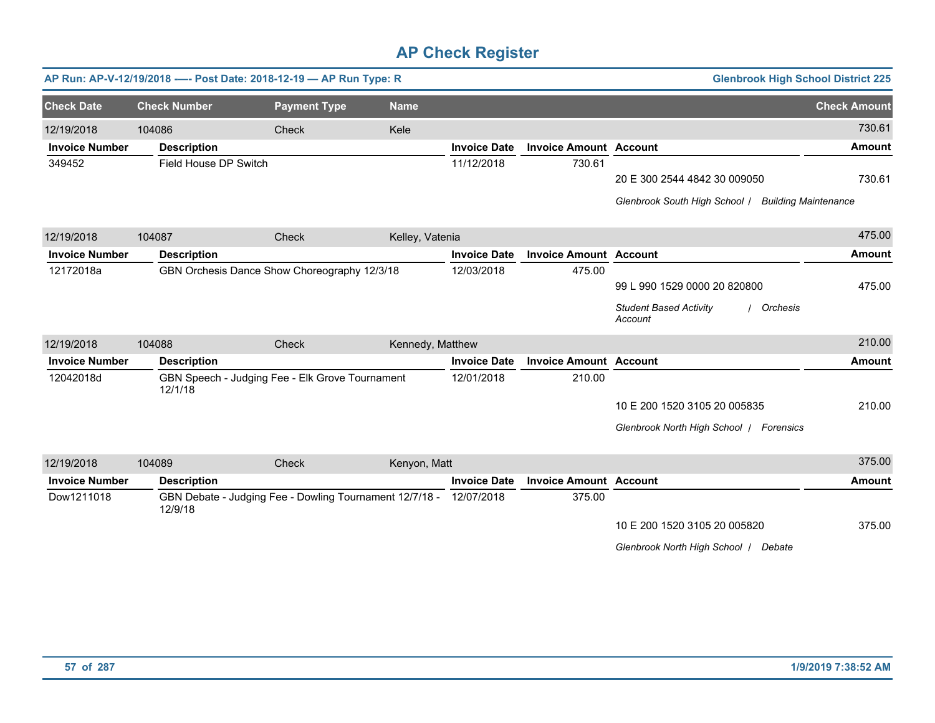|                       |                       | AP Run: AP-V-12/19/2018 ---- Post Date: 2018-12-19 - AP Run Type: R |                  |                     |                               | <b>Glenbrook High School District 225</b>            |                             |
|-----------------------|-----------------------|---------------------------------------------------------------------|------------------|---------------------|-------------------------------|------------------------------------------------------|-----------------------------|
| <b>Check Date</b>     | <b>Check Number</b>   | <b>Payment Type</b>                                                 | <b>Name</b>      |                     |                               |                                                      | <b>Check Amount</b>         |
| 12/19/2018            | 104086                | <b>Check</b>                                                        | Kele             |                     |                               |                                                      | 730.61                      |
| <b>Invoice Number</b> | <b>Description</b>    |                                                                     |                  | <b>Invoice Date</b> | <b>Invoice Amount Account</b> |                                                      | <b>Amount</b>               |
| 349452                | Field House DP Switch |                                                                     |                  | 11/12/2018          | 730.61                        |                                                      |                             |
|                       |                       |                                                                     |                  |                     |                               | 20 E 300 2544 4842 30 009050                         | 730.61                      |
|                       |                       |                                                                     |                  |                     |                               | Glenbrook South High School /                        | <b>Building Maintenance</b> |
| 12/19/2018            | 104087                | Check                                                               | Kelley, Vatenia  |                     |                               |                                                      | 475.00                      |
| <b>Invoice Number</b> | <b>Description</b>    |                                                                     |                  | <b>Invoice Date</b> | <b>Invoice Amount Account</b> |                                                      | <b>Amount</b>               |
| 12172018a             |                       | GBN Orchesis Dance Show Choreography 12/3/18                        |                  | 12/03/2018          | 475.00                        |                                                      |                             |
|                       |                       |                                                                     |                  |                     |                               | 99 L 990 1529 0000 20 820800                         | 475.00                      |
|                       |                       |                                                                     |                  |                     |                               | <b>Student Based Activity</b><br>Orchesis<br>Account |                             |
| 12/19/2018            | 104088                | Check                                                               | Kennedy, Matthew |                     |                               |                                                      | 210.00                      |
| <b>Invoice Number</b> | <b>Description</b>    |                                                                     |                  | <b>Invoice Date</b> | <b>Invoice Amount Account</b> |                                                      | <b>Amount</b>               |
| 12042018d             | 12/1/18               | GBN Speech - Judging Fee - Elk Grove Tournament                     |                  | 12/01/2018          | 210.00                        |                                                      |                             |
|                       |                       |                                                                     |                  |                     |                               | 10 E 200 1520 3105 20 005835                         | 210.00                      |
|                       |                       |                                                                     |                  |                     |                               | Glenbrook North High School   Forensics              |                             |
| 12/19/2018            | 104089                | Check                                                               | Kenyon, Matt     |                     |                               |                                                      | 375.00                      |
| <b>Invoice Number</b> | <b>Description</b>    |                                                                     |                  | <b>Invoice Date</b> | <b>Invoice Amount Account</b> |                                                      | <b>Amount</b>               |
| Dow1211018            | 12/9/18               | GBN Debate - Judging Fee - Dowling Tournament 12/7/18 -             |                  | 12/07/2018          | 375.00                        |                                                      |                             |
|                       |                       |                                                                     |                  |                     |                               | 10 E 200 1520 3105 20 005820                         | 375.00                      |
|                       |                       |                                                                     |                  |                     |                               | Glenbrook North High School / Debate                 |                             |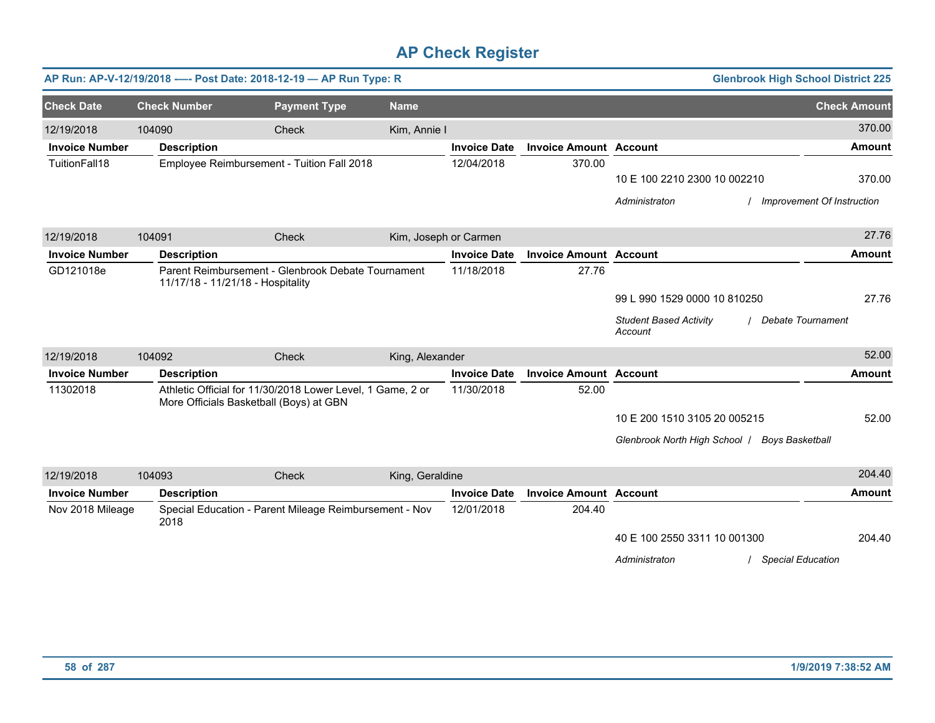|                       |                     | AP Run: AP-V-12/19/2018 ---- Post Date: 2018-12-19 - AP Run Type: R                                   |                 |                       |                               |                                               | <b>Glenbrook High School District 225</b> |
|-----------------------|---------------------|-------------------------------------------------------------------------------------------------------|-----------------|-----------------------|-------------------------------|-----------------------------------------------|-------------------------------------------|
| <b>Check Date</b>     | <b>Check Number</b> | <b>Payment Type</b>                                                                                   | <b>Name</b>     |                       |                               |                                               | <b>Check Amount</b>                       |
| 12/19/2018            | 104090              | Check                                                                                                 | Kim, Annie I    |                       |                               |                                               | 370.00                                    |
| <b>Invoice Number</b> | <b>Description</b>  |                                                                                                       |                 | <b>Invoice Date</b>   | <b>Invoice Amount Account</b> |                                               | <b>Amount</b>                             |
| TuitionFall18         |                     | Employee Reimbursement - Tuition Fall 2018                                                            |                 | 12/04/2018            | 370.00                        |                                               |                                           |
|                       |                     |                                                                                                       |                 |                       |                               | 10 E 100 2210 2300 10 002210                  | 370.00                                    |
|                       |                     |                                                                                                       |                 |                       |                               | Administraton                                 | Improvement Of Instruction                |
| 12/19/2018            | 104091              | Check                                                                                                 |                 | Kim, Joseph or Carmen |                               |                                               | 27.76                                     |
| <b>Invoice Number</b> | <b>Description</b>  |                                                                                                       |                 | <b>Invoice Date</b>   | <b>Invoice Amount Account</b> |                                               | <b>Amount</b>                             |
| GD121018e             |                     | Parent Reimbursement - Glenbrook Debate Tournament<br>11/17/18 - 11/21/18 - Hospitality               |                 | 11/18/2018            | 27.76                         |                                               |                                           |
|                       |                     |                                                                                                       |                 |                       |                               | 99 L 990 1529 0000 10 810250                  | 27.76                                     |
|                       |                     |                                                                                                       |                 |                       |                               | <b>Student Based Activity</b><br>Account      | / Debate Tournament                       |
| 12/19/2018            | 104092              | Check                                                                                                 | King, Alexander |                       |                               |                                               | 52.00                                     |
| <b>Invoice Number</b> | <b>Description</b>  |                                                                                                       |                 | <b>Invoice Date</b>   | <b>Invoice Amount Account</b> |                                               | <b>Amount</b>                             |
| 11302018              |                     | Athletic Official for 11/30/2018 Lower Level, 1 Game, 2 or<br>More Officials Basketball (Boys) at GBN |                 | 11/30/2018            | 52.00                         |                                               |                                           |
|                       |                     |                                                                                                       |                 |                       |                               | 10 E 200 1510 3105 20 005215                  | 52.00                                     |
|                       |                     |                                                                                                       |                 |                       |                               | Glenbrook North High School   Boys Basketball |                                           |
| 12/19/2018            | 104093              | Check                                                                                                 | King, Geraldine |                       |                               |                                               | 204.40                                    |
| <b>Invoice Number</b> | <b>Description</b>  |                                                                                                       |                 | <b>Invoice Date</b>   | <b>Invoice Amount Account</b> |                                               | <b>Amount</b>                             |
| Nov 2018 Mileage      | 2018                | Special Education - Parent Mileage Reimbursement - Nov                                                |                 | 12/01/2018            | 204.40                        |                                               |                                           |
|                       |                     |                                                                                                       |                 |                       |                               | 40 E 100 2550 3311 10 001300                  | 204.40                                    |
|                       |                     |                                                                                                       |                 |                       |                               | Administraton                                 | <b>Special Education</b>                  |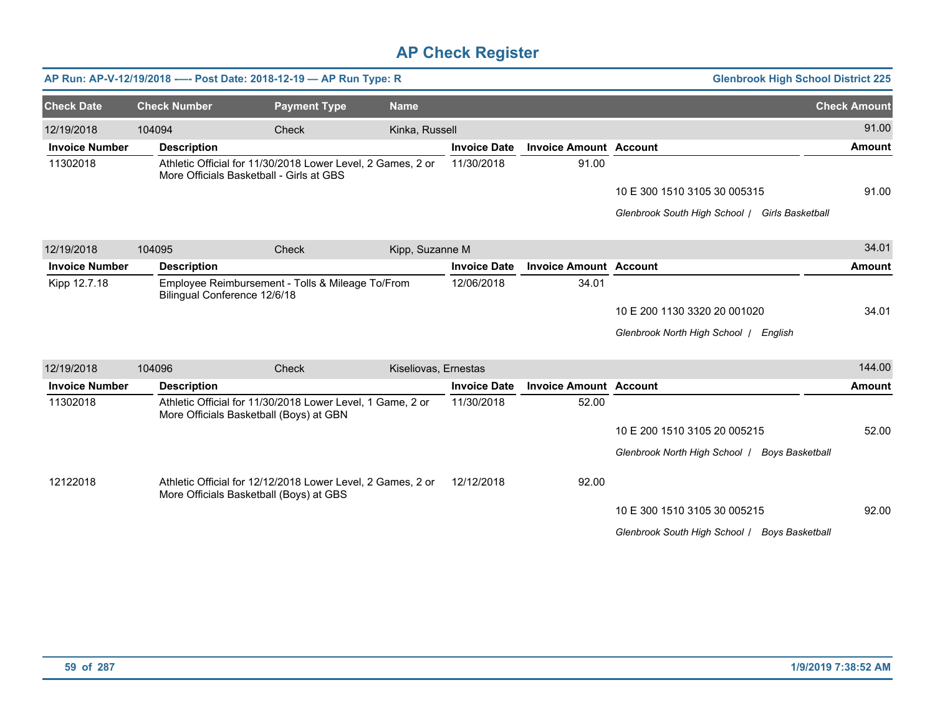|                       |                     | AP Run: AP-V-12/19/2018 ---- Post Date: 2018-12-19 - AP Run Type: R                                     |                      |                     |                               | <b>Glenbrook High School District 225</b>               |                     |
|-----------------------|---------------------|---------------------------------------------------------------------------------------------------------|----------------------|---------------------|-------------------------------|---------------------------------------------------------|---------------------|
| <b>Check Date</b>     | <b>Check Number</b> | <b>Payment Type</b>                                                                                     | <b>Name</b>          |                     |                               |                                                         | <b>Check Amount</b> |
| 12/19/2018            | 104094              | Check                                                                                                   | Kinka, Russell       |                     |                               |                                                         | 91.00               |
| <b>Invoice Number</b> | <b>Description</b>  |                                                                                                         |                      | <b>Invoice Date</b> | <b>Invoice Amount Account</b> |                                                         | Amount              |
| 11302018              |                     | Athletic Official for 11/30/2018 Lower Level, 2 Games, 2 or<br>More Officials Basketball - Girls at GBS |                      | 11/30/2018          | 91.00                         |                                                         |                     |
|                       |                     |                                                                                                         |                      |                     |                               | 10 E 300 1510 3105 30 005315                            | 91.00               |
|                       |                     |                                                                                                         |                      |                     |                               | Glenbrook South High School / Girls Basketball          |                     |
| 12/19/2018            | 104095              | <b>Check</b>                                                                                            | Kipp, Suzanne M      |                     |                               |                                                         | 34.01               |
| <b>Invoice Number</b> | <b>Description</b>  |                                                                                                         |                      | <b>Invoice Date</b> | <b>Invoice Amount Account</b> |                                                         | <b>Amount</b>       |
| Kipp 12.7.18          |                     | Employee Reimbursement - Tolls & Mileage To/From<br>Bilingual Conference 12/6/18                        |                      | 12/06/2018          | 34.01                         |                                                         |                     |
|                       |                     |                                                                                                         |                      |                     |                               | 10 E 200 1130 3320 20 001020                            | 34.01               |
|                       |                     |                                                                                                         |                      |                     |                               | Glenbrook North High School   English                   |                     |
| 12/19/2018            | 104096              | <b>Check</b>                                                                                            | Kiseliovas, Ernestas |                     |                               |                                                         | 144.00              |
| <b>Invoice Number</b> | <b>Description</b>  |                                                                                                         |                      | <b>Invoice Date</b> | <b>Invoice Amount Account</b> |                                                         | <b>Amount</b>       |
| 11302018              |                     | Athletic Official for 11/30/2018 Lower Level, 1 Game, 2 or<br>More Officials Basketball (Boys) at GBN   |                      | 11/30/2018          | 52.00                         |                                                         |                     |
|                       |                     |                                                                                                         |                      |                     |                               | 10 E 200 1510 3105 20 005215                            | 52.00               |
|                       |                     |                                                                                                         |                      |                     |                               | Glenbrook North High School /<br><b>Boys Basketball</b> |                     |
| 12122018              |                     | Athletic Official for 12/12/2018 Lower Level, 2 Games, 2 or<br>More Officials Basketball (Boys) at GBS  |                      | 12/12/2018          | 92.00                         |                                                         |                     |
|                       |                     |                                                                                                         |                      |                     |                               | 10 E 300 1510 3105 30 005215                            | 92.00               |
|                       |                     |                                                                                                         |                      |                     |                               | Glenbrook South High School   Boys Basketball           |                     |
|                       |                     |                                                                                                         |                      |                     |                               |                                                         |                     |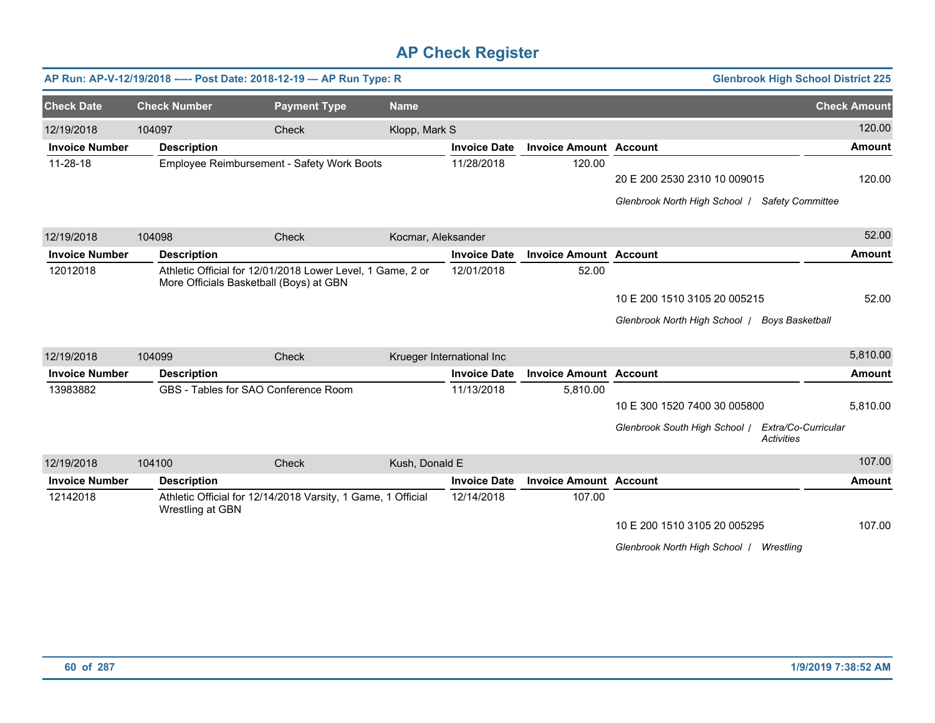|                       |        |                                         | AP Run: AP-V-12/19/2018 ---- Post Date: 2018-12-19 - AP Run Type: R |                    |                           |                               |                                                | <b>Glenbrook High School District 225</b> |                     |
|-----------------------|--------|-----------------------------------------|---------------------------------------------------------------------|--------------------|---------------------------|-------------------------------|------------------------------------------------|-------------------------------------------|---------------------|
| <b>Check Date</b>     |        | <b>Check Number</b>                     | <b>Payment Type</b>                                                 | <b>Name</b>        |                           |                               |                                                |                                           | <b>Check Amount</b> |
| 12/19/2018            | 104097 |                                         | Check                                                               | Klopp, Mark S      |                           |                               |                                                |                                           | 120.00              |
| <b>Invoice Number</b> |        | <b>Description</b>                      |                                                                     |                    | <b>Invoice Date</b>       | <b>Invoice Amount Account</b> |                                                |                                           | <b>Amount</b>       |
| 11-28-18              |        |                                         | Employee Reimbursement - Safety Work Boots                          |                    | 11/28/2018                | 120.00                        |                                                |                                           |                     |
|                       |        |                                         |                                                                     |                    |                           |                               | 20 E 200 2530 2310 10 009015                   |                                           | 120.00              |
|                       |        |                                         |                                                                     |                    |                           |                               | Glenbrook North High School   Safety Committee |                                           |                     |
| 12/19/2018            | 104098 |                                         | Check                                                               | Kocmar, Aleksander |                           |                               |                                                |                                           | 52.00               |
| <b>Invoice Number</b> |        | <b>Description</b>                      |                                                                     |                    | <b>Invoice Date</b>       | <b>Invoice Amount Account</b> |                                                |                                           | <b>Amount</b>       |
| 12012018              |        | More Officials Basketball (Boys) at GBN | Athletic Official for 12/01/2018 Lower Level, 1 Game, 2 or          |                    | 12/01/2018                | 52.00                         |                                                |                                           |                     |
|                       |        |                                         |                                                                     |                    |                           |                               | 10 E 200 1510 3105 20 005215                   |                                           | 52.00               |
|                       |        |                                         |                                                                     |                    |                           |                               | Glenbrook North High School   Boys Basketball  |                                           |                     |
| 12/19/2018            | 104099 |                                         | <b>Check</b>                                                        |                    | Krueger International Inc |                               |                                                |                                           | 5,810.00            |
| <b>Invoice Number</b> |        | <b>Description</b>                      |                                                                     |                    | <b>Invoice Date</b>       | <b>Invoice Amount Account</b> |                                                |                                           | <b>Amount</b>       |
| 13983882              |        | GBS - Tables for SAO Conference Room    |                                                                     |                    | 11/13/2018                | 5,810.00                      |                                                |                                           |                     |
|                       |        |                                         |                                                                     |                    |                           |                               | 10 E 300 1520 7400 30 005800                   |                                           | 5,810.00            |
|                       |        |                                         |                                                                     |                    |                           |                               | Glenbrook South High School /                  | Extra/Co-Curricular<br><b>Activities</b>  |                     |
| 12/19/2018            | 104100 |                                         | Check                                                               | Kush, Donald E     |                           |                               |                                                |                                           | 107.00              |
| <b>Invoice Number</b> |        | <b>Description</b>                      |                                                                     |                    | <b>Invoice Date</b>       | <b>Invoice Amount Account</b> |                                                |                                           | <b>Amount</b>       |
| 12142018              |        | Wrestling at GBN                        | Athletic Official for 12/14/2018 Varsity, 1 Game, 1 Official        |                    | 12/14/2018                | 107.00                        |                                                |                                           |                     |
|                       |        |                                         |                                                                     |                    |                           |                               | 10 E 200 1510 3105 20 005295                   |                                           | 107.00              |
|                       |        |                                         |                                                                     |                    |                           |                               | Glenbrook North High School /                  | Wrestling                                 |                     |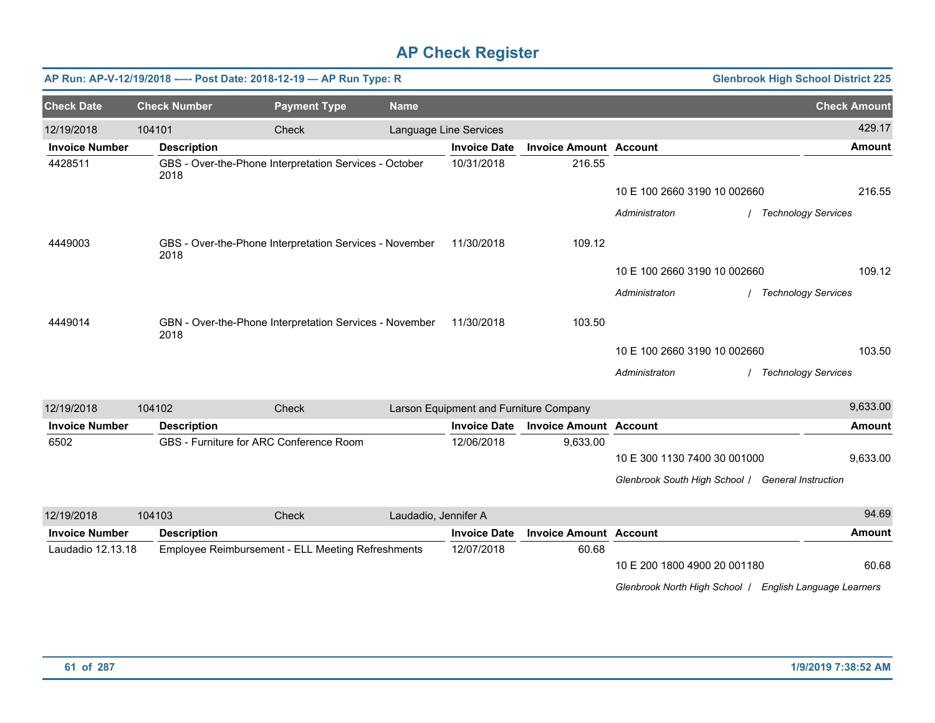|                       |                     | AP Run: AP-V-12/19/2018 ---- Post Date: 2018-12-19 - AP Run Type: R |                      |                                        |                               |                              |                                                   | <b>Glenbrook High School District 225</b> |
|-----------------------|---------------------|---------------------------------------------------------------------|----------------------|----------------------------------------|-------------------------------|------------------------------|---------------------------------------------------|-------------------------------------------|
| <b>Check Date</b>     | <b>Check Number</b> | <b>Payment Type</b>                                                 | <b>Name</b>          |                                        |                               |                              |                                                   | <b>Check Amount</b>                       |
| 12/19/2018            | 104101              | Check                                                               |                      | Language Line Services                 |                               |                              |                                                   | 429.17                                    |
| <b>Invoice Number</b> | <b>Description</b>  |                                                                     |                      | <b>Invoice Date</b>                    | <b>Invoice Amount Account</b> |                              |                                                   | <b>Amount</b>                             |
| 4428511               | 2018                | GBS - Over-the-Phone Interpretation Services - October              |                      | 10/31/2018                             | 216.55                        |                              |                                                   |                                           |
|                       |                     |                                                                     |                      |                                        |                               | 10 E 100 2660 3190 10 002660 |                                                   | 216.55                                    |
|                       |                     |                                                                     |                      |                                        |                               | Administraton                |                                                   | <b>Technology Services</b>                |
| 4449003               | 2018                | GBS - Over-the-Phone Interpretation Services - November             |                      | 11/30/2018                             | 109.12                        |                              |                                                   |                                           |
|                       |                     |                                                                     |                      |                                        |                               | 10 E 100 2660 3190 10 002660 |                                                   | 109.12                                    |
|                       |                     |                                                                     |                      |                                        |                               | Administraton                |                                                   | / Technology Services                     |
| 4449014               | 2018                | GBN - Over-the-Phone Interpretation Services - November             |                      | 11/30/2018                             | 103.50                        |                              |                                                   |                                           |
|                       |                     |                                                                     |                      |                                        |                               | 10 E 100 2660 3190 10 002660 |                                                   | 103.50                                    |
|                       |                     |                                                                     |                      |                                        |                               | Administraton                |                                                   | / Technology Services                     |
| 12/19/2018            | 104102              | Check                                                               |                      | Larson Equipment and Furniture Company |                               |                              |                                                   | 9,633.00                                  |
| <b>Invoice Number</b> | <b>Description</b>  |                                                                     |                      | <b>Invoice Date</b>                    | <b>Invoice Amount Account</b> |                              |                                                   | Amount                                    |
| 6502                  |                     | GBS - Furniture for ARC Conference Room                             |                      | 12/06/2018                             | 9,633.00                      |                              |                                                   |                                           |
|                       |                     |                                                                     |                      |                                        |                               | 10 E 300 1130 7400 30 001000 |                                                   | 9,633.00                                  |
|                       |                     |                                                                     |                      |                                        |                               |                              | Glenbrook South High School / General Instruction |                                           |
| 12/19/2018            | 104103              | Check                                                               | Laudadio, Jennifer A |                                        |                               |                              |                                                   | 94.69                                     |
| <b>Invoice Number</b> | <b>Description</b>  |                                                                     |                      | <b>Invoice Date</b>                    | <b>Invoice Amount Account</b> |                              |                                                   | <b>Amount</b>                             |
| Laudadio 12.13.18     |                     | Employee Reimbursement - ELL Meeting Refreshments                   |                      | 12/07/2018                             | 60.68                         |                              |                                                   |                                           |
|                       |                     |                                                                     |                      |                                        |                               | 10 E 200 1800 4900 20 001180 |                                                   | 60.68                                     |

*Glenbrook North High School* / *English Language Learners*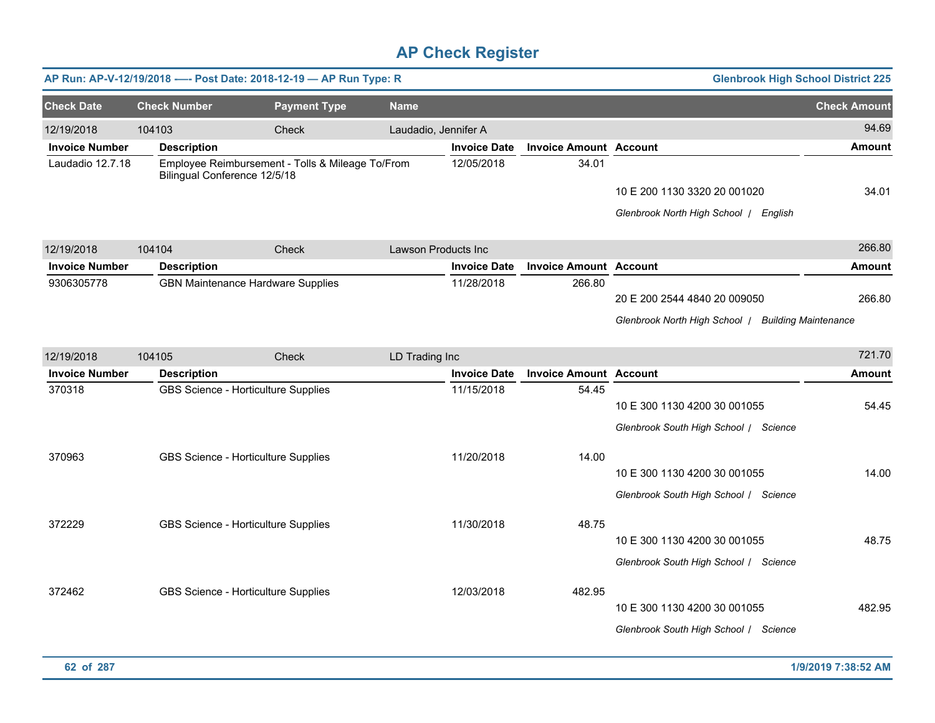|                       |                              | AP Run: AP-V-12/19/2018 ---- Post Date: 2018-12-19 - AP Run Type: R |                      |                     |                               | <b>Glenbrook High School District 225</b>                                          |                     |
|-----------------------|------------------------------|---------------------------------------------------------------------|----------------------|---------------------|-------------------------------|------------------------------------------------------------------------------------|---------------------|
| <b>Check Date</b>     | <b>Check Number</b>          | <b>Payment Type</b>                                                 | <b>Name</b>          |                     |                               |                                                                                    | <b>Check Amount</b> |
| 12/19/2018            | 104103                       | Check                                                               | Laudadio, Jennifer A |                     |                               |                                                                                    | 94.69               |
| <b>Invoice Number</b> | <b>Description</b>           |                                                                     |                      | <b>Invoice Date</b> | <b>Invoice Amount Account</b> |                                                                                    | <b>Amount</b>       |
| Laudadio 12.7.18      | Bilingual Conference 12/5/18 | Employee Reimbursement - Tolls & Mileage To/From                    |                      | 12/05/2018          | 34.01                         | 10 E 200 1130 3320 20 001020<br>Glenbrook North High School   English              | 34.01               |
| 12/19/2018            | 104104                       | Check                                                               | Lawson Products Inc  |                     |                               |                                                                                    | 266.80              |
| <b>Invoice Number</b> | <b>Description</b>           |                                                                     |                      | <b>Invoice Date</b> | <b>Invoice Amount</b>         | <b>Account</b>                                                                     | Amount              |
| 9306305778            |                              | <b>GBN Maintenance Hardware Supplies</b>                            |                      | 11/28/2018          | 266.80                        | 20 E 200 2544 4840 20 009050<br>Glenbrook North High School / Building Maintenance | 266.80              |
| 12/19/2018            | 104105                       | Check                                                               | LD Trading Inc       |                     |                               |                                                                                    | 721.70              |
| <b>Invoice Number</b> | <b>Description</b>           |                                                                     |                      | <b>Invoice Date</b> | <b>Invoice Amount Account</b> |                                                                                    | Amount              |
| 370318                |                              | GBS Science - Horticulture Supplies                                 |                      | 11/15/2018          | 54.45                         | 10 E 300 1130 4200 30 001055<br>Glenbrook South High School / Science              | 54.45               |
| 370963                |                              | GBS Science - Horticulture Supplies                                 |                      | 11/20/2018          | 14.00                         | 10 E 300 1130 4200 30 001055<br>Glenbrook South High School / Science              | 14.00               |
| 372229                |                              | GBS Science - Horticulture Supplies                                 |                      | 11/30/2018          | 48.75                         | 10 E 300 1130 4200 30 001055<br>Glenbrook South High School / Science              | 48.75               |
| 372462                |                              | GBS Science - Horticulture Supplies                                 |                      | 12/03/2018          | 482.95                        | 10 E 300 1130 4200 30 001055<br>Glenbrook South High School / Science              | 482.95              |
|                       |                              |                                                                     |                      |                     |                               |                                                                                    |                     |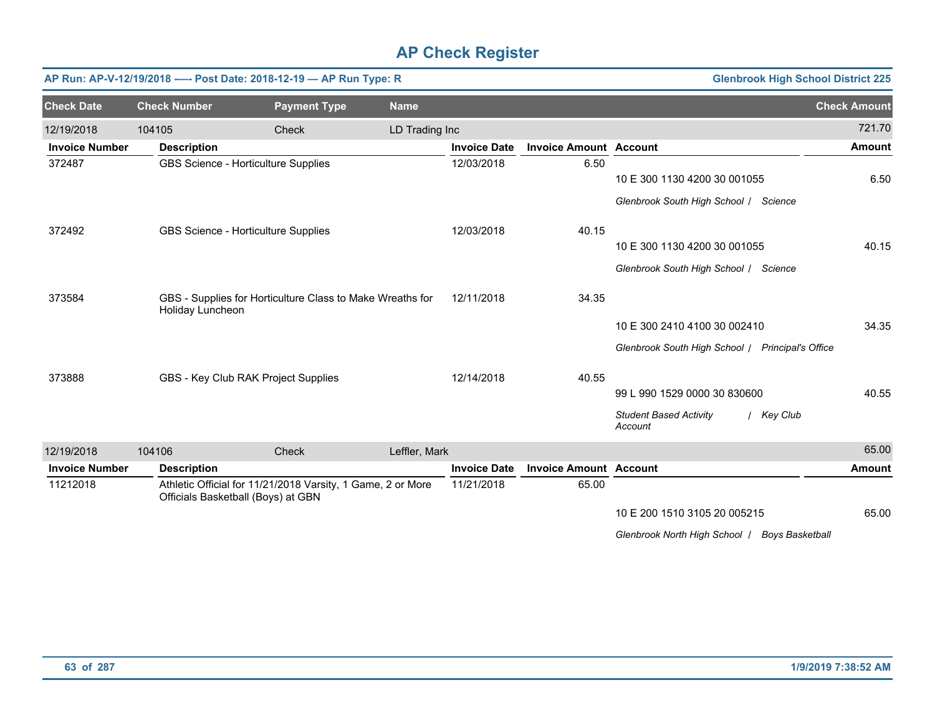| AP Run: AP-V-12/19/2018 ---- Post Date: 2018-12-19 - AP Run Type: R |        |                                                                                                   |                     |                |                     |                               |                                                                       | <b>Glenbrook High School District 225</b> |
|---------------------------------------------------------------------|--------|---------------------------------------------------------------------------------------------------|---------------------|----------------|---------------------|-------------------------------|-----------------------------------------------------------------------|-------------------------------------------|
| <b>Check Date</b>                                                   |        | <b>Check Number</b>                                                                               | <b>Payment Type</b> | <b>Name</b>    |                     |                               |                                                                       | <b>Check Amount</b>                       |
| 12/19/2018                                                          | 104105 |                                                                                                   | Check               | LD Trading Inc |                     |                               |                                                                       | 721.70                                    |
| <b>Invoice Number</b>                                               |        | <b>Description</b>                                                                                |                     |                | <b>Invoice Date</b> | <b>Invoice Amount Account</b> |                                                                       | <b>Amount</b>                             |
| 372487                                                              |        | GBS Science - Horticulture Supplies                                                               |                     |                | 12/03/2018          | 6.50                          | 10 E 300 1130 4200 30 001055                                          | 6.50                                      |
|                                                                     |        |                                                                                                   |                     |                |                     |                               | Glenbrook South High School / Science                                 |                                           |
| 372492                                                              |        | GBS Science - Horticulture Supplies                                                               |                     |                | 12/03/2018          | 40.15                         | 10 E 300 1130 4200 30 001055<br>Glenbrook South High School / Science | 40.15                                     |
| 373584                                                              |        | GBS - Supplies for Horticulture Class to Make Wreaths for<br>Holiday Luncheon                     |                     |                | 12/11/2018          | 34.35                         |                                                                       |                                           |
|                                                                     |        |                                                                                                   |                     |                |                     |                               | 10 E 300 2410 4100 30 002410                                          | 34.35                                     |
|                                                                     |        |                                                                                                   |                     |                |                     |                               | Glenbrook South High School / Principal's Office                      |                                           |
| 373888                                                              |        | GBS - Key Club RAK Project Supplies                                                               |                     |                | 12/14/2018          | 40.55                         |                                                                       |                                           |
|                                                                     |        |                                                                                                   |                     |                |                     |                               | 99 L 990 1529 0000 30 830600                                          | 40.55                                     |
|                                                                     |        |                                                                                                   |                     |                |                     |                               | <b>Student Based Activity</b><br>Account                              | / Key Club                                |
| 12/19/2018                                                          | 104106 |                                                                                                   | Check               | Leffler, Mark  |                     |                               |                                                                       | 65.00                                     |
| <b>Invoice Number</b>                                               |        | <b>Description</b>                                                                                |                     |                | <b>Invoice Date</b> | <b>Invoice Amount Account</b> |                                                                       | <b>Amount</b>                             |
| 11212018                                                            |        | Athletic Official for 11/21/2018 Varsity, 1 Game, 2 or More<br>Officials Basketball (Boys) at GBN |                     |                | 11/21/2018          | 65.00                         |                                                                       |                                           |
|                                                                     |        |                                                                                                   |                     |                |                     |                               | 10 E 200 1510 3105 20 005215                                          | 65.00                                     |
|                                                                     |        |                                                                                                   |                     |                |                     |                               | Glenbrook North High School   Boys Basketball                         |                                           |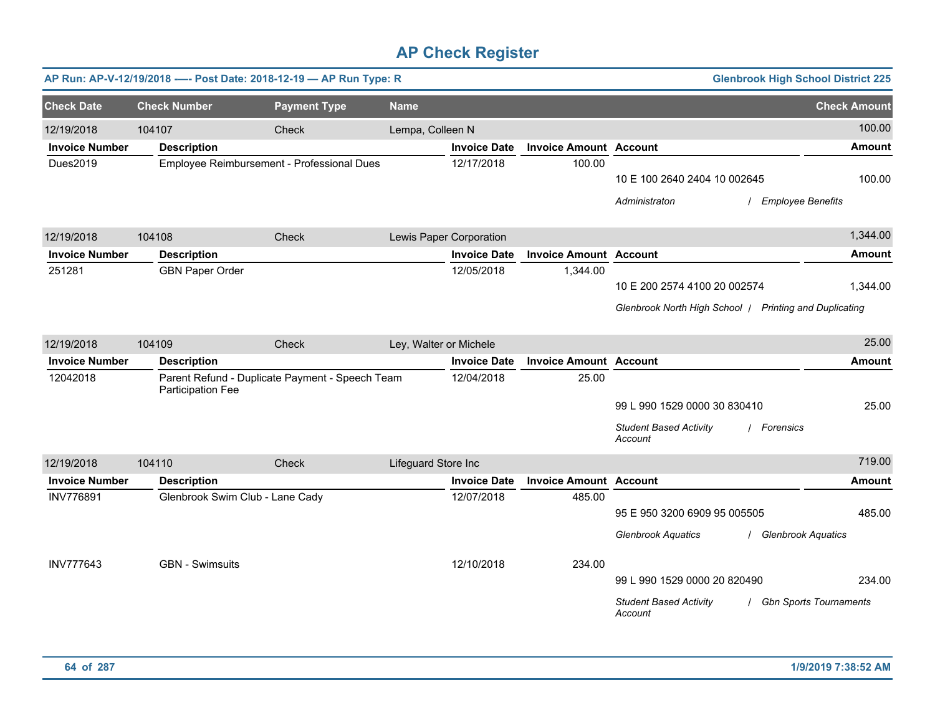|                       | AP Run: AP-V-12/19/2018 ---- Post Date: 2018-12-19 - AP Run Type: R  |                                            |                        |                         |                               |                                                        | <b>Glenbrook High School District 225</b> |
|-----------------------|----------------------------------------------------------------------|--------------------------------------------|------------------------|-------------------------|-------------------------------|--------------------------------------------------------|-------------------------------------------|
| <b>Check Date</b>     | <b>Check Number</b>                                                  | <b>Payment Type</b>                        | <b>Name</b>            |                         |                               |                                                        | <b>Check Amount</b>                       |
| 12/19/2018            | 104107                                                               | Check                                      | Lempa, Colleen N       |                         |                               |                                                        | 100.00                                    |
| <b>Invoice Number</b> | <b>Description</b>                                                   |                                            |                        | <b>Invoice Date</b>     | <b>Invoice Amount Account</b> |                                                        | <b>Amount</b>                             |
| Dues2019              |                                                                      | Employee Reimbursement - Professional Dues |                        | 12/17/2018              | 100.00                        | 10 E 100 2640 2404 10 002645<br>Administraton          | 100.00<br><b>Employee Benefits</b>        |
|                       |                                                                      |                                            |                        |                         |                               |                                                        |                                           |
| 12/19/2018            | 104108                                                               | Check                                      |                        | Lewis Paper Corporation |                               |                                                        | 1,344.00                                  |
| <b>Invoice Number</b> | <b>Description</b>                                                   |                                            |                        | <b>Invoice Date</b>     | <b>Invoice Amount Account</b> |                                                        | <b>Amount</b>                             |
| 251281                | <b>GBN Paper Order</b>                                               |                                            |                        | 12/05/2018              | 1,344.00                      | 10 E 200 2574 4100 20 002574                           | 1,344.00                                  |
|                       |                                                                      |                                            |                        |                         |                               | Glenbrook North High School   Printing and Duplicating |                                           |
| 12/19/2018            | 104109                                                               | Check                                      | Ley, Walter or Michele |                         |                               |                                                        | 25.00                                     |
| <b>Invoice Number</b> | <b>Description</b>                                                   |                                            |                        | <b>Invoice Date</b>     | <b>Invoice Amount Account</b> |                                                        | Amount                                    |
| 12042018              | Parent Refund - Duplicate Payment - Speech Team<br>Participation Fee |                                            |                        | 12/04/2018              | 25.00                         | 99 L 990 1529 0000 30 830410                           | 25.00                                     |
|                       |                                                                      |                                            |                        |                         |                               | <b>Student Based Activity</b><br>Account               | / Forensics                               |
| 12/19/2018            | 104110                                                               | Check                                      | Lifeguard Store Inc    |                         |                               |                                                        | 719.00                                    |
| <b>Invoice Number</b> | <b>Description</b>                                                   |                                            |                        | <b>Invoice Date</b>     | <b>Invoice Amount Account</b> |                                                        | <b>Amount</b>                             |
| INV776891             | Glenbrook Swim Club - Lane Cady                                      |                                            |                        | 12/07/2018              | 485.00                        | 95 E 950 3200 6909 95 005505                           | 485.00                                    |
|                       |                                                                      |                                            |                        |                         |                               | <b>Glenbrook Aquatics</b>                              | <b>Glenbrook Aquatics</b>                 |
| <b>INV777643</b>      | <b>GBN</b> - Swimsuits                                               |                                            |                        | 12/10/2018              | 234.00                        | 99 L 990 1529 0000 20 820490                           | 234.00                                    |
|                       |                                                                      |                                            |                        |                         |                               | <b>Student Based Activity</b><br>Account               | <b>Gbn Sports Tournaments</b>             |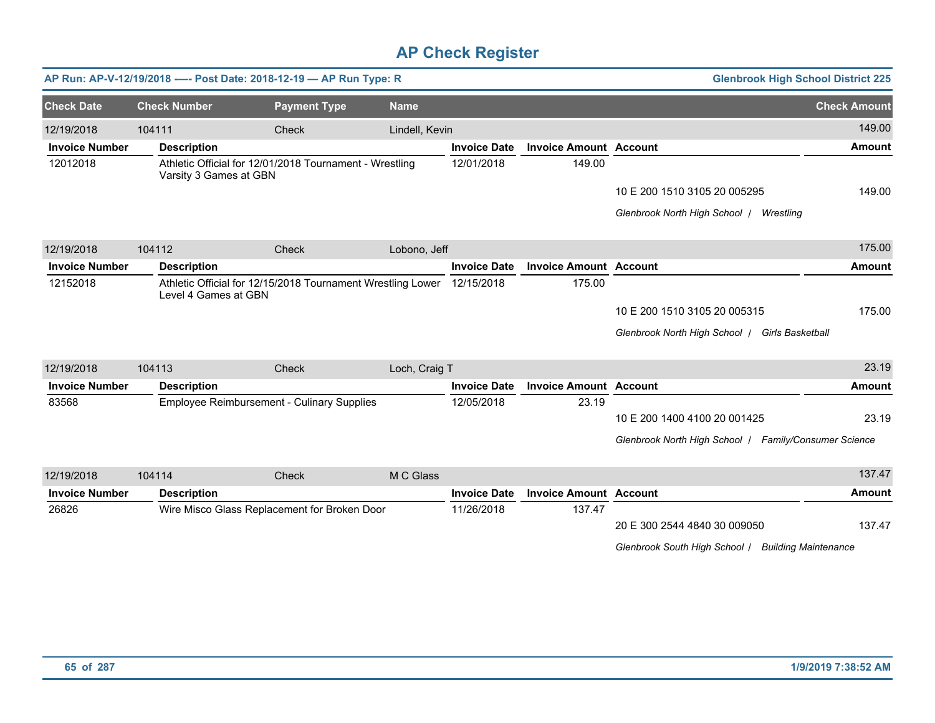|                       |        |                        | AP Run: AP-V-12/19/2018 ---- Post Date: 2018-12-19 - AP Run Type: R |                |                     |                               | <b>Glenbrook High School District 225</b>             |                             |
|-----------------------|--------|------------------------|---------------------------------------------------------------------|----------------|---------------------|-------------------------------|-------------------------------------------------------|-----------------------------|
| <b>Check Date</b>     |        | <b>Check Number</b>    | <b>Payment Type</b>                                                 | <b>Name</b>    |                     |                               |                                                       | <b>Check Amount</b>         |
| 12/19/2018            | 104111 |                        | Check                                                               | Lindell, Kevin |                     |                               |                                                       | 149.00                      |
| <b>Invoice Number</b> |        | <b>Description</b>     |                                                                     |                | <b>Invoice Date</b> | <b>Invoice Amount Account</b> |                                                       | <b>Amount</b>               |
| 12012018              |        | Varsity 3 Games at GBN | Athletic Official for 12/01/2018 Tournament - Wrestling             |                | 12/01/2018          | 149.00                        |                                                       |                             |
|                       |        |                        |                                                                     |                |                     |                               | 10 E 200 1510 3105 20 005295                          | 149.00                      |
|                       |        |                        |                                                                     |                |                     |                               | Glenbrook North High School   Wrestling               |                             |
| 12/19/2018            | 104112 |                        | Check                                                               | Lobono, Jeff   |                     |                               |                                                       | 175.00                      |
| <b>Invoice Number</b> |        | <b>Description</b>     |                                                                     |                | <b>Invoice Date</b> | <b>Invoice Amount Account</b> |                                                       | <b>Amount</b>               |
| 12152018              |        | Level 4 Games at GBN   | Athletic Official for 12/15/2018 Tournament Wrestling Lower         |                | 12/15/2018          | 175.00                        |                                                       |                             |
|                       |        |                        |                                                                     |                |                     |                               | 10 E 200 1510 3105 20 005315                          | 175.00                      |
|                       |        |                        |                                                                     |                |                     |                               | Glenbrook North High School   Girls Basketball        |                             |
| 12/19/2018            | 104113 |                        | Check                                                               | Loch, Craig T  |                     |                               |                                                       | 23.19                       |
| <b>Invoice Number</b> |        | <b>Description</b>     |                                                                     |                | <b>Invoice Date</b> | <b>Invoice Amount Account</b> |                                                       | <b>Amount</b>               |
| 83568                 |        |                        | <b>Employee Reimbursement - Culinary Supplies</b>                   |                | 12/05/2018          | 23.19                         |                                                       |                             |
|                       |        |                        |                                                                     |                |                     |                               | 10 E 200 1400 4100 20 001425                          | 23.19                       |
|                       |        |                        |                                                                     |                |                     |                               | Glenbrook North High School   Family/Consumer Science |                             |
| 12/19/2018            | 104114 |                        | Check                                                               | M C Glass      |                     |                               |                                                       | 137.47                      |
| <b>Invoice Number</b> |        | <b>Description</b>     |                                                                     |                | <b>Invoice Date</b> | <b>Invoice Amount Account</b> |                                                       | <b>Amount</b>               |
| 26826                 |        |                        | Wire Misco Glass Replacement for Broken Door                        |                | 11/26/2018          | 137.47                        |                                                       |                             |
|                       |        |                        |                                                                     |                |                     |                               | 20 E 300 2544 4840 30 009050                          | 137.47                      |
|                       |        |                        |                                                                     |                |                     |                               | Glenbrook South High School /                         | <b>Building Maintenance</b> |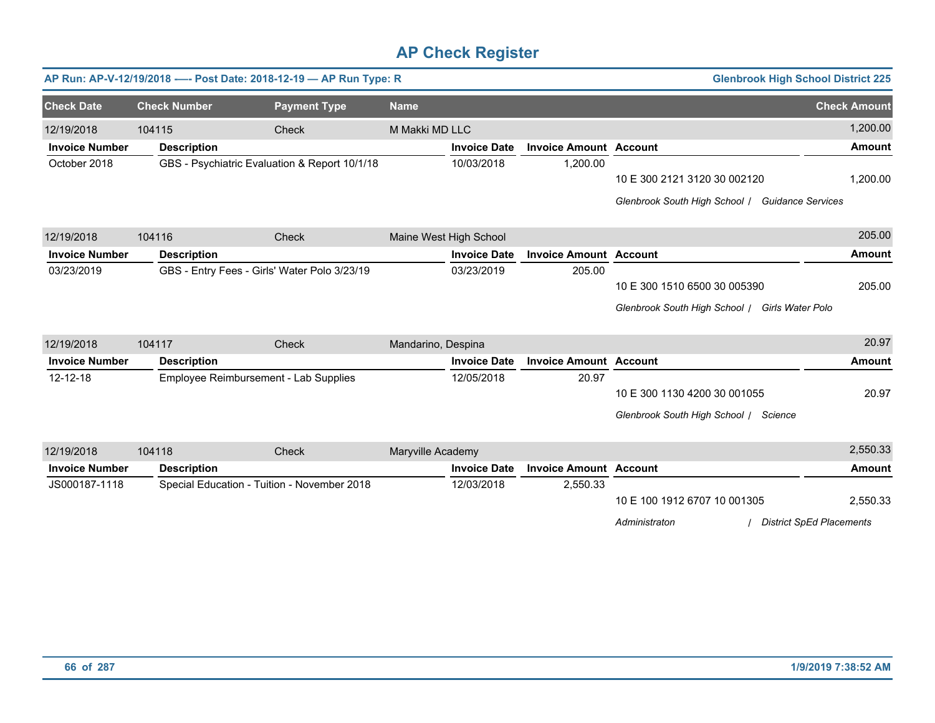|                       |        |                                       | AP Run: AP-V-12/19/2018 ---- Post Date: 2018-12-19 - AP Run Type: R |                    |                        |                               | <b>Glenbrook High School District 225</b>       |                     |
|-----------------------|--------|---------------------------------------|---------------------------------------------------------------------|--------------------|------------------------|-------------------------------|-------------------------------------------------|---------------------|
| <b>Check Date</b>     |        | <b>Check Number</b>                   | <b>Payment Type</b>                                                 | <b>Name</b>        |                        |                               |                                                 | <b>Check Amount</b> |
| 12/19/2018            | 104115 |                                       | <b>Check</b>                                                        | M Makki MD LLC     |                        |                               |                                                 | 1,200.00            |
| <b>Invoice Number</b> |        | <b>Description</b>                    |                                                                     |                    | <b>Invoice Date</b>    | <b>Invoice Amount Account</b> |                                                 | Amount              |
| October 2018          |        |                                       | GBS - Psychiatric Evaluation & Report 10/1/18                       |                    | 10/03/2018             | 1,200.00                      |                                                 |                     |
|                       |        |                                       |                                                                     |                    |                        |                               | 10 E 300 2121 3120 30 002120                    | 1,200.00            |
|                       |        |                                       |                                                                     |                    |                        |                               | Glenbrook South High School / Guidance Services |                     |
| 12/19/2018            | 104116 |                                       | Check                                                               |                    | Maine West High School |                               |                                                 | 205.00              |
| <b>Invoice Number</b> |        | <b>Description</b>                    |                                                                     |                    | <b>Invoice Date</b>    | <b>Invoice Amount Account</b> |                                                 | <b>Amount</b>       |
| 03/23/2019            |        |                                       | GBS - Entry Fees - Girls' Water Polo 3/23/19                        |                    | 03/23/2019             | 205.00                        |                                                 |                     |
|                       |        |                                       |                                                                     |                    |                        |                               | 10 E 300 1510 6500 30 005390                    | 205.00              |
|                       |        |                                       |                                                                     |                    |                        |                               | Glenbrook South High School / Girls Water Polo  |                     |
| 12/19/2018            | 104117 |                                       | Check                                                               | Mandarino, Despina |                        |                               |                                                 | 20.97               |
| <b>Invoice Number</b> |        | <b>Description</b>                    |                                                                     |                    | <b>Invoice Date</b>    | <b>Invoice Amount Account</b> |                                                 | <b>Amount</b>       |
| $12 - 12 - 18$        |        | Employee Reimbursement - Lab Supplies |                                                                     |                    | 12/05/2018             | 20.97                         |                                                 |                     |
|                       |        |                                       |                                                                     |                    |                        |                               | 10 E 300 1130 4200 30 001055                    | 20.97               |
|                       |        |                                       |                                                                     |                    |                        |                               | Glenbrook South High School / Science           |                     |
| 12/19/2018            | 104118 |                                       | Check                                                               | Maryville Academy  |                        |                               |                                                 | 2,550.33            |
| <b>Invoice Number</b> |        | <b>Description</b>                    |                                                                     |                    | <b>Invoice Date</b>    | <b>Invoice Amount Account</b> |                                                 | <b>Amount</b>       |
| JS000187-1118         |        |                                       | Special Education - Tuition - November 2018                         |                    | 12/03/2018             | 2,550.33                      |                                                 |                     |
|                       |        |                                       |                                                                     |                    |                        |                               | $10.5$ $100.1010.6707$ $10.001005$              | 2.550.22            |

10 E 100 1912 6707 10 001305 2,550.33

*Administraton* / *District SpEd Placements*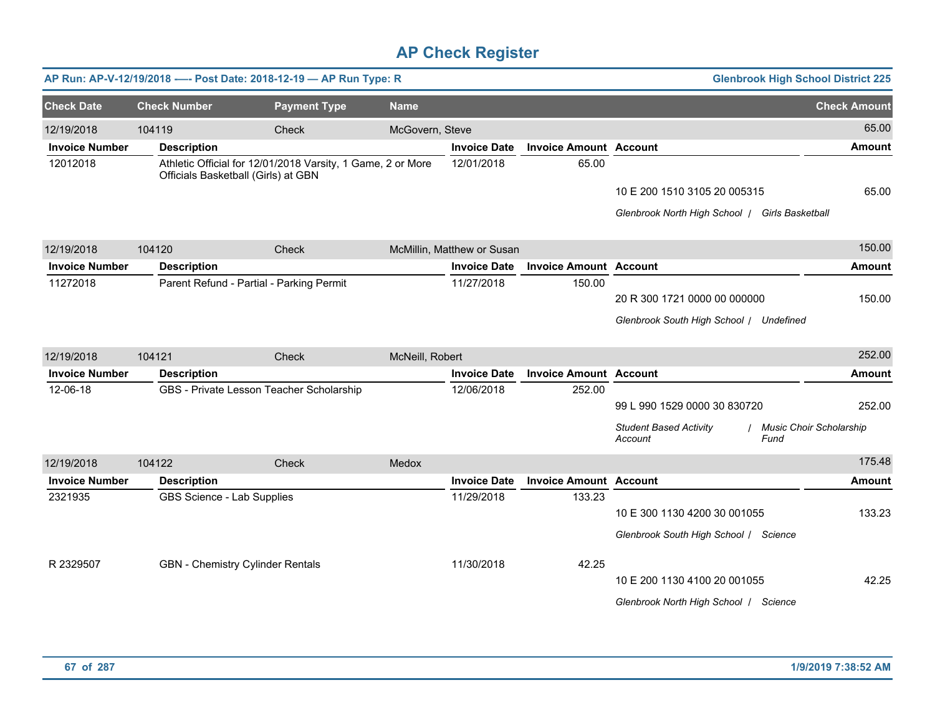|                       | AP Run: AP-V-12/19/2018 ---- Post Date: 2018-12-19 - AP Run Type: R |                                                             |                 |                            |                               | <b>Glenbrook High School District 225</b>                                          |                     |
|-----------------------|---------------------------------------------------------------------|-------------------------------------------------------------|-----------------|----------------------------|-------------------------------|------------------------------------------------------------------------------------|---------------------|
| <b>Check Date</b>     | <b>Check Number</b>                                                 | <b>Payment Type</b>                                         | <b>Name</b>     |                            |                               |                                                                                    | <b>Check Amount</b> |
| 12/19/2018            | 104119                                                              | Check                                                       | McGovern, Steve |                            |                               |                                                                                    | 65.00               |
| <b>Invoice Number</b> | <b>Description</b>                                                  |                                                             |                 | <b>Invoice Date</b>        | <b>Invoice Amount Account</b> |                                                                                    | <b>Amount</b>       |
| 12012018              | Officials Basketball (Girls) at GBN                                 | Athletic Official for 12/01/2018 Varsity, 1 Game, 2 or More |                 | 12/01/2018                 | 65.00                         |                                                                                    |                     |
|                       |                                                                     |                                                             |                 |                            |                               | 10 E 200 1510 3105 20 005315                                                       | 65.00               |
|                       |                                                                     |                                                             |                 |                            |                               | Glenbrook North High School   Girls Basketball                                     |                     |
| 12/19/2018            | 104120                                                              | <b>Check</b>                                                |                 | McMillin, Matthew or Susan |                               |                                                                                    | 150.00              |
| <b>Invoice Number</b> | <b>Description</b>                                                  |                                                             |                 | <b>Invoice Date</b>        | <b>Invoice Amount Account</b> |                                                                                    | <b>Amount</b>       |
| 11272018              | Parent Refund - Partial - Parking Permit                            |                                                             |                 | 11/27/2018                 | 150.00                        | 20 R 300 1721 0000 00 000000                                                       | 150.00              |
|                       |                                                                     |                                                             |                 |                            |                               | Glenbrook South High School / Undefined                                            |                     |
|                       |                                                                     |                                                             |                 |                            |                               |                                                                                    |                     |
| 12/19/2018            | 104121                                                              | Check                                                       | McNeill, Robert |                            |                               |                                                                                    | 252.00              |
| <b>Invoice Number</b> | <b>Description</b>                                                  |                                                             |                 | <b>Invoice Date</b>        | <b>Invoice Amount Account</b> |                                                                                    | <b>Amount</b>       |
| 12-06-18              | GBS - Private Lesson Teacher Scholarship                            |                                                             |                 | 12/06/2018                 | 252.00                        |                                                                                    |                     |
|                       |                                                                     |                                                             |                 |                            |                               | 99 L 990 1529 0000 30 830720                                                       | 252.00              |
|                       |                                                                     |                                                             |                 |                            |                               | <b>Student Based Activity</b><br><b>Music Choir Scholarship</b><br>Account<br>Fund |                     |
| 12/19/2018            | 104122                                                              | Check                                                       | Medox           |                            |                               |                                                                                    | 175.48              |
| <b>Invoice Number</b> | <b>Description</b>                                                  |                                                             |                 | <b>Invoice Date</b>        | <b>Invoice Amount Account</b> |                                                                                    | <b>Amount</b>       |
| 2321935               | GBS Science - Lab Supplies                                          |                                                             |                 | 11/29/2018                 | 133.23                        |                                                                                    |                     |
|                       |                                                                     |                                                             |                 |                            |                               | 10 E 300 1130 4200 30 001055                                                       | 133.23              |
|                       |                                                                     |                                                             |                 |                            |                               | Glenbrook South High School / Science                                              |                     |
| R 2329507             | GBN - Chemistry Cylinder Rentals                                    |                                                             |                 | 11/30/2018                 | 42.25                         |                                                                                    |                     |
|                       |                                                                     |                                                             |                 |                            |                               | 10 E 200 1130 4100 20 001055                                                       | 42.25               |
|                       |                                                                     |                                                             |                 |                            |                               | Glenbrook North High School / Science                                              |                     |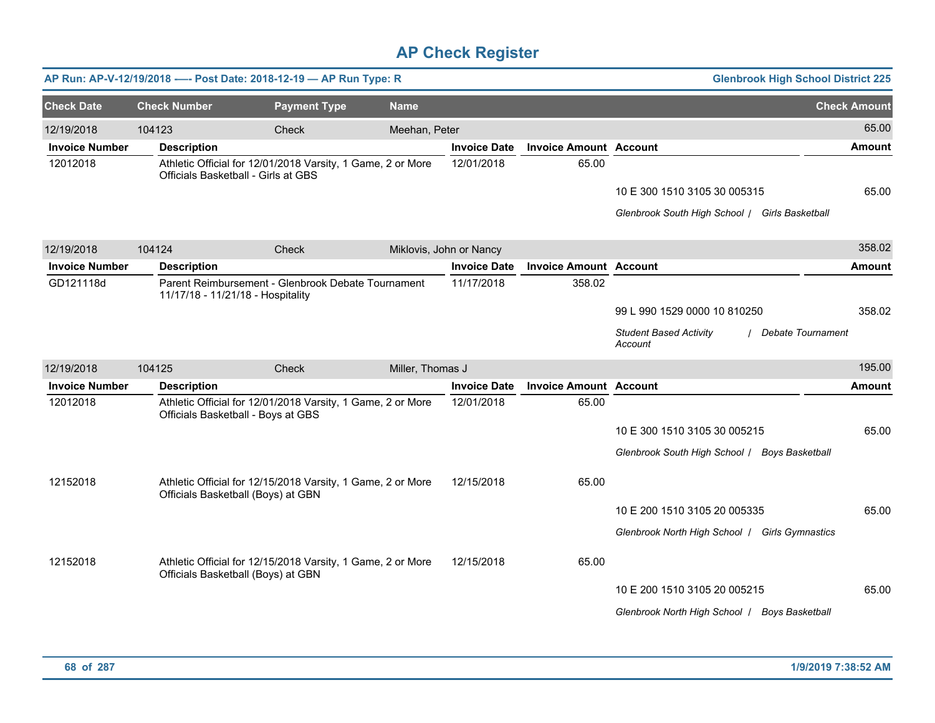|                       |                                     | AP Run: AP-V-12/19/2018 ---- Post Date: 2018-12-19 - AP Run Type: R |                  |                         |                               | <b>Glenbrook High School District 225</b>                            |                     |
|-----------------------|-------------------------------------|---------------------------------------------------------------------|------------------|-------------------------|-------------------------------|----------------------------------------------------------------------|---------------------|
| <b>Check Date</b>     | <b>Check Number</b>                 | <b>Payment Type</b>                                                 | <b>Name</b>      |                         |                               |                                                                      | <b>Check Amount</b> |
| 12/19/2018            | 104123                              | Check                                                               | Meehan, Peter    |                         |                               |                                                                      | 65.00               |
| <b>Invoice Number</b> | <b>Description</b>                  |                                                                     |                  | <b>Invoice Date</b>     | <b>Invoice Amount Account</b> |                                                                      | <b>Amount</b>       |
| 12012018              | Officials Basketball - Girls at GBS | Athletic Official for 12/01/2018 Varsity, 1 Game, 2 or More         |                  | 12/01/2018              | 65.00                         |                                                                      |                     |
|                       |                                     |                                                                     |                  |                         |                               | 10 E 300 1510 3105 30 005315                                         | 65.00               |
|                       |                                     |                                                                     |                  |                         |                               | Glenbrook South High School / Girls Basketball                       |                     |
| 12/19/2018            | 104124                              | Check                                                               |                  | Miklovis, John or Nancy |                               |                                                                      | 358.02              |
| <b>Invoice Number</b> | <b>Description</b>                  |                                                                     |                  | <b>Invoice Date</b>     | <b>Invoice Amount Account</b> |                                                                      | Amount              |
| GD121118d             | 11/17/18 - 11/21/18 - Hospitality   | Parent Reimbursement - Glenbrook Debate Tournament                  |                  | 11/17/2018              | 358.02                        |                                                                      |                     |
|                       |                                     |                                                                     |                  |                         |                               | 99 L 990 1529 0000 10 810250                                         | 358.02              |
|                       |                                     |                                                                     |                  |                         |                               | <b>Student Based Activity</b><br><b>Debate Tournament</b><br>Account |                     |
| 12/19/2018            | 104125                              | Check                                                               | Miller, Thomas J |                         |                               |                                                                      | 195.00              |
| <b>Invoice Number</b> | <b>Description</b>                  |                                                                     |                  | <b>Invoice Date</b>     | <b>Invoice Amount Account</b> |                                                                      | Amount              |
| 12012018              | Officials Basketball - Boys at GBS  | Athletic Official for 12/01/2018 Varsity, 1 Game, 2 or More         |                  | 12/01/2018              | 65.00                         |                                                                      |                     |
|                       |                                     |                                                                     |                  |                         |                               | 10 E 300 1510 3105 30 005215                                         | 65.00               |
|                       |                                     |                                                                     |                  |                         |                               | Glenbrook South High School   Boys Basketball                        |                     |
| 12152018              | Officials Basketball (Boys) at GBN  | Athletic Official for 12/15/2018 Varsity, 1 Game, 2 or More         |                  | 12/15/2018              | 65.00                         |                                                                      |                     |
|                       |                                     |                                                                     |                  |                         |                               | 10 E 200 1510 3105 20 005335                                         | 65.00               |
|                       |                                     |                                                                     |                  |                         |                               | Glenbrook North High School / Girls Gymnastics                       |                     |
| 12152018              | Officials Basketball (Boys) at GBN  | Athletic Official for 12/15/2018 Varsity, 1 Game, 2 or More         |                  | 12/15/2018              | 65.00                         |                                                                      |                     |
|                       |                                     |                                                                     |                  |                         |                               | 10 E 200 1510 3105 20 005215                                         | 65.00               |
|                       |                                     |                                                                     |                  |                         |                               | Glenbrook North High School   Boys Basketball                        |                     |
|                       |                                     |                                                                     |                  |                         |                               |                                                                      |                     |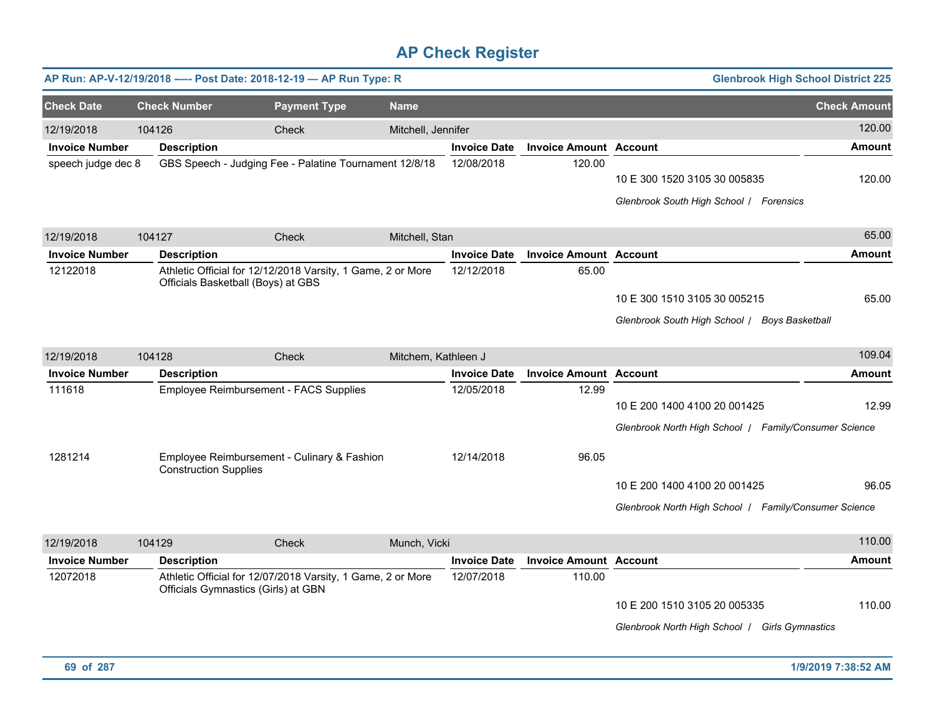|                       |                              | AP Run: AP-V-12/19/2018 ---- Post Date: 2018-12-19 - AP Run Type: R                                |                     |                     |                               | <b>Glenbrook High School District 225</b>                                             |                     |
|-----------------------|------------------------------|----------------------------------------------------------------------------------------------------|---------------------|---------------------|-------------------------------|---------------------------------------------------------------------------------------|---------------------|
| <b>Check Date</b>     | <b>Check Number</b>          | <b>Payment Type</b>                                                                                | <b>Name</b>         |                     |                               |                                                                                       | <b>Check Amount</b> |
| 12/19/2018            | 104126                       | Check                                                                                              | Mitchell, Jennifer  |                     |                               |                                                                                       | 120.00              |
| <b>Invoice Number</b> | <b>Description</b>           |                                                                                                    |                     | <b>Invoice Date</b> | <b>Invoice Amount Account</b> |                                                                                       | Amount              |
| speech judge dec 8    |                              | GBS Speech - Judging Fee - Palatine Tournament 12/8/18                                             |                     | 12/08/2018          | 120.00                        | 10 E 300 1520 3105 30 005835<br>Glenbrook South High School / Forensics               | 120.00              |
|                       |                              |                                                                                                    |                     |                     |                               |                                                                                       |                     |
| 12/19/2018            | 104127                       | Check                                                                                              | Mitchell, Stan      |                     |                               |                                                                                       | 65.00               |
| <b>Invoice Number</b> | <b>Description</b>           |                                                                                                    |                     | <b>Invoice Date</b> | <b>Invoice Amount Account</b> |                                                                                       | <b>Amount</b>       |
| 12122018              |                              | Athletic Official for 12/12/2018 Varsity, 1 Game, 2 or More<br>Officials Basketball (Boys) at GBS  |                     | 12/12/2018          | 65.00                         | 10 E 300 1510 3105 30 005215<br>Glenbrook South High School / Boys Basketball         | 65.00               |
| 12/19/2018            | 104128                       | Check                                                                                              | Mitchem, Kathleen J |                     |                               |                                                                                       | 109.04              |
| <b>Invoice Number</b> | <b>Description</b>           |                                                                                                    |                     | <b>Invoice Date</b> | <b>Invoice Amount Account</b> |                                                                                       | Amount              |
| 111618                |                              | Employee Reimbursement - FACS Supplies                                                             |                     | 12/05/2018          | 12.99                         | 10 E 200 1400 4100 20 001425<br>Glenbrook North High School   Family/Consumer Science | 12.99               |
| 1281214               | <b>Construction Supplies</b> | Employee Reimbursement - Culinary & Fashion                                                        |                     | 12/14/2018          | 96.05                         |                                                                                       |                     |
|                       |                              |                                                                                                    |                     |                     |                               | 10 E 200 1400 4100 20 001425                                                          | 96.05               |
|                       |                              |                                                                                                    |                     |                     |                               | Glenbrook North High School   Family/Consumer Science                                 |                     |
| 12/19/2018            | 104129                       | Check                                                                                              | Munch, Vicki        |                     |                               |                                                                                       | 110.00              |
| <b>Invoice Number</b> | <b>Description</b>           |                                                                                                    |                     | <b>Invoice Date</b> | <b>Invoice Amount Account</b> |                                                                                       | Amount              |
| 12072018              |                              | Athletic Official for 12/07/2018 Varsity, 1 Game, 2 or More<br>Officials Gymnastics (Girls) at GBN |                     | 12/07/2018          | 110.00                        | 10 E 200 1510 3105 20 005335<br>Glenbrook North High School   Girls Gymnastics        | 110.00              |
|                       |                              |                                                                                                    |                     |                     |                               |                                                                                       |                     |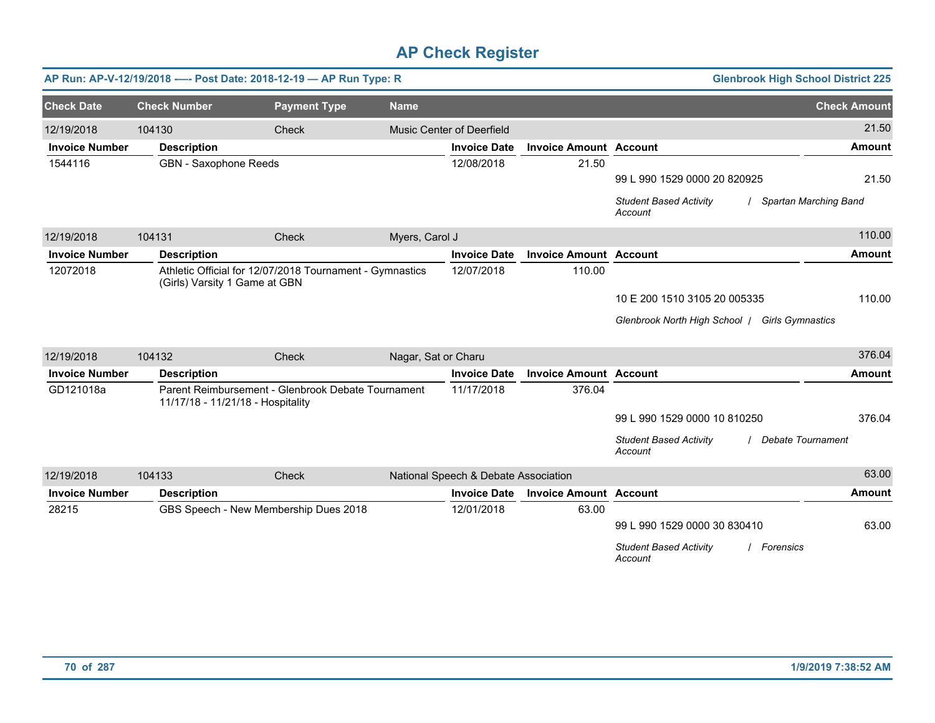|                       |                               | AP Run: AP-V-12/19/2018 ---- Post Date: 2018-12-19 - AP Run Type: R                     |                     |                                      |                               |                                                       | <b>Glenbrook High School District 225</b> |
|-----------------------|-------------------------------|-----------------------------------------------------------------------------------------|---------------------|--------------------------------------|-------------------------------|-------------------------------------------------------|-------------------------------------------|
| <b>Check Date</b>     | <b>Check Number</b>           | <b>Payment Type</b>                                                                     | <b>Name</b>         |                                      |                               |                                                       | <b>Check Amount</b>                       |
| 12/19/2018            | 104130                        | Check                                                                                   |                     | Music Center of Deerfield            |                               |                                                       | 21.50                                     |
| <b>Invoice Number</b> | <b>Description</b>            |                                                                                         |                     | <b>Invoice Date</b>                  | <b>Invoice Amount Account</b> |                                                       | <b>Amount</b>                             |
| 1544116               | <b>GBN</b> - Saxophone Reeds  |                                                                                         |                     | 12/08/2018                           | 21.50                         | 99 L 990 1529 0000 20 820925                          | 21.50                                     |
|                       |                               |                                                                                         |                     |                                      |                               | <b>Student Based Activity</b><br>Account              | Spartan Marching Band                     |
| 12/19/2018            | 104131                        | Check                                                                                   | Myers, Carol J      |                                      |                               |                                                       | 110.00                                    |
| <b>Invoice Number</b> | <b>Description</b>            |                                                                                         |                     | <b>Invoice Date</b>                  | <b>Invoice Amount Account</b> |                                                       | <b>Amount</b>                             |
| 12072018              | (Girls) Varsity 1 Game at GBN | Athletic Official for 12/07/2018 Tournament - Gymnastics                                |                     | 12/07/2018                           | 110.00                        |                                                       |                                           |
|                       |                               |                                                                                         |                     |                                      |                               | 10 E 200 1510 3105 20 005335                          | 110.00                                    |
|                       |                               |                                                                                         |                     |                                      |                               | Glenbrook North High School   Girls Gymnastics        |                                           |
| 12/19/2018            | 104132                        | Check                                                                                   | Nagar, Sat or Charu |                                      |                               |                                                       | 376.04                                    |
| <b>Invoice Number</b> | <b>Description</b>            |                                                                                         |                     | <b>Invoice Date</b>                  | <b>Invoice Amount Account</b> |                                                       | <b>Amount</b>                             |
| GD121018a             |                               | Parent Reimbursement - Glenbrook Debate Tournament<br>11/17/18 - 11/21/18 - Hospitality |                     | 11/17/2018                           | 376.04                        |                                                       |                                           |
|                       |                               |                                                                                         |                     |                                      |                               | 99 L 990 1529 0000 10 810250                          | 376.04                                    |
|                       |                               |                                                                                         |                     |                                      |                               | <b>Student Based Activity</b><br>Account              | <b>Debate Tournament</b>                  |
| 12/19/2018            | 104133                        | Check                                                                                   |                     | National Speech & Debate Association |                               |                                                       | 63.00                                     |
| <b>Invoice Number</b> | <b>Description</b>            |                                                                                         |                     | <b>Invoice Date</b>                  | <b>Invoice Amount Account</b> |                                                       | <b>Amount</b>                             |
| 28215                 |                               | GBS Speech - New Membership Dues 2018                                                   |                     | 12/01/2018                           | 63.00                         |                                                       |                                           |
|                       |                               |                                                                                         |                     |                                      |                               | 99 L 990 1529 0000 30 830410                          | 63.00                                     |
|                       |                               |                                                                                         |                     |                                      |                               | <b>Student Based Activity</b><br>Forensics<br>Account |                                           |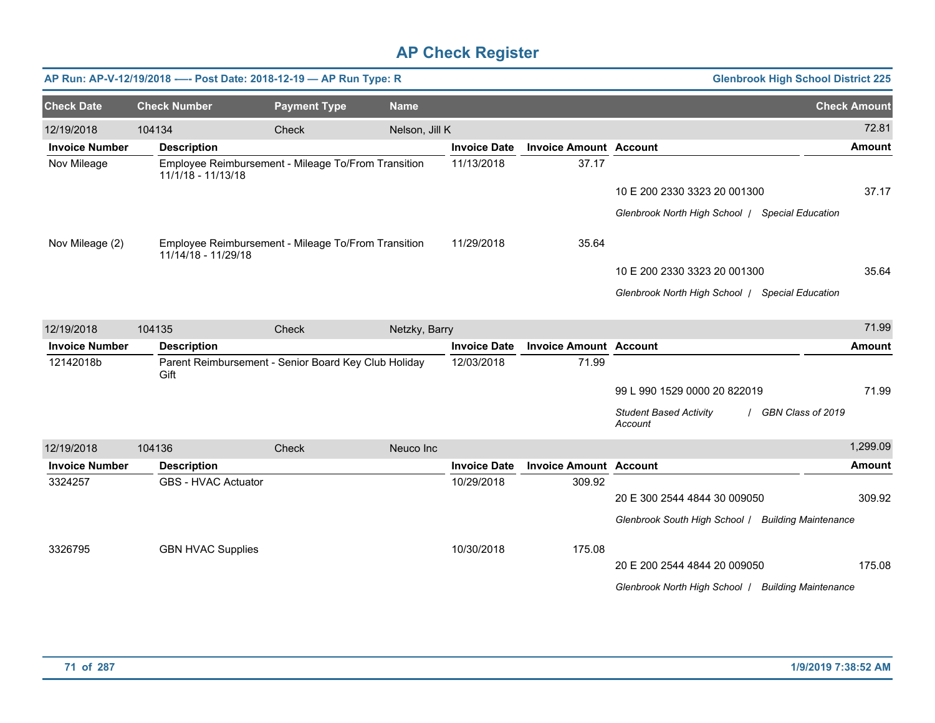|                       |                     |                            | AP Run: AP-V-12/19/2018 ---- Post Date: 2018-12-19 - AP Run Type: R |                |                     |                               |                                                    | <b>Glenbrook High School District 225</b> |
|-----------------------|---------------------|----------------------------|---------------------------------------------------------------------|----------------|---------------------|-------------------------------|----------------------------------------------------|-------------------------------------------|
| <b>Check Date</b>     | <b>Check Number</b> |                            | <b>Payment Type</b>                                                 | <b>Name</b>    |                     |                               |                                                    | <b>Check Amount</b>                       |
| 12/19/2018            | 104134              |                            | Check                                                               | Nelson, Jill K |                     |                               |                                                    | 72.81                                     |
| <b>Invoice Number</b> | <b>Description</b>  |                            |                                                                     |                | <b>Invoice Date</b> | <b>Invoice Amount Account</b> |                                                    | Amount                                    |
| Nov Mileage           | 11/1/18 - 11/13/18  |                            | Employee Reimbursement - Mileage To/From Transition                 |                | 11/13/2018          | 37.17                         |                                                    |                                           |
|                       |                     |                            |                                                                     |                |                     |                               | 10 E 200 2330 3323 20 001300                       | 37.17                                     |
|                       |                     |                            |                                                                     |                |                     |                               | Glenbrook North High School / Special Education    |                                           |
| Nov Mileage (2)       |                     | 11/14/18 - 11/29/18        | Employee Reimbursement - Mileage To/From Transition                 |                | 11/29/2018          | 35.64                         |                                                    |                                           |
|                       |                     |                            |                                                                     |                |                     |                               | 10 E 200 2330 3323 20 001300                       | 35.64                                     |
|                       |                     |                            |                                                                     |                |                     |                               | Glenbrook North High School   Special Education    |                                           |
| 12/19/2018            | 104135              |                            | Check                                                               | Netzky, Barry  |                     |                               |                                                    | 71.99                                     |
| <b>Invoice Number</b> | <b>Description</b>  |                            |                                                                     |                | <b>Invoice Date</b> | <b>Invoice Amount Account</b> |                                                    | <b>Amount</b>                             |
| 12142018b             | Gift                |                            | Parent Reimbursement - Senior Board Key Club Holiday                |                | 12/03/2018          | 71.99                         |                                                    |                                           |
|                       |                     |                            |                                                                     |                |                     |                               | 99 L 990 1529 0000 20 822019                       | 71.99                                     |
|                       |                     |                            |                                                                     |                |                     |                               | <b>Student Based Activity</b><br>Account           | GBN Class of 2019                         |
| 12/19/2018            | 104136              |                            | Check                                                               | Neuco Inc      |                     |                               |                                                    | 1,299.09                                  |
| <b>Invoice Number</b> | <b>Description</b>  |                            |                                                                     |                | <b>Invoice Date</b> | <b>Invoice Amount Account</b> |                                                    | Amount                                    |
| 3324257               |                     | <b>GBS - HVAC Actuator</b> |                                                                     |                | 10/29/2018          | 309.92                        |                                                    |                                           |
|                       |                     |                            |                                                                     |                |                     |                               | 20 E 300 2544 4844 30 009050                       | 309.92                                    |
|                       |                     |                            |                                                                     |                |                     |                               | Glenbrook South High School / Building Maintenance |                                           |
| 3326795               |                     | <b>GBN HVAC Supplies</b>   |                                                                     |                | 10/30/2018          | 175.08                        |                                                    |                                           |
|                       |                     |                            |                                                                     |                |                     |                               | 20 E 200 2544 4844 20 009050                       | 175.08                                    |
|                       |                     |                            |                                                                     |                |                     |                               | Glenbrook North High School   Building Maintenance |                                           |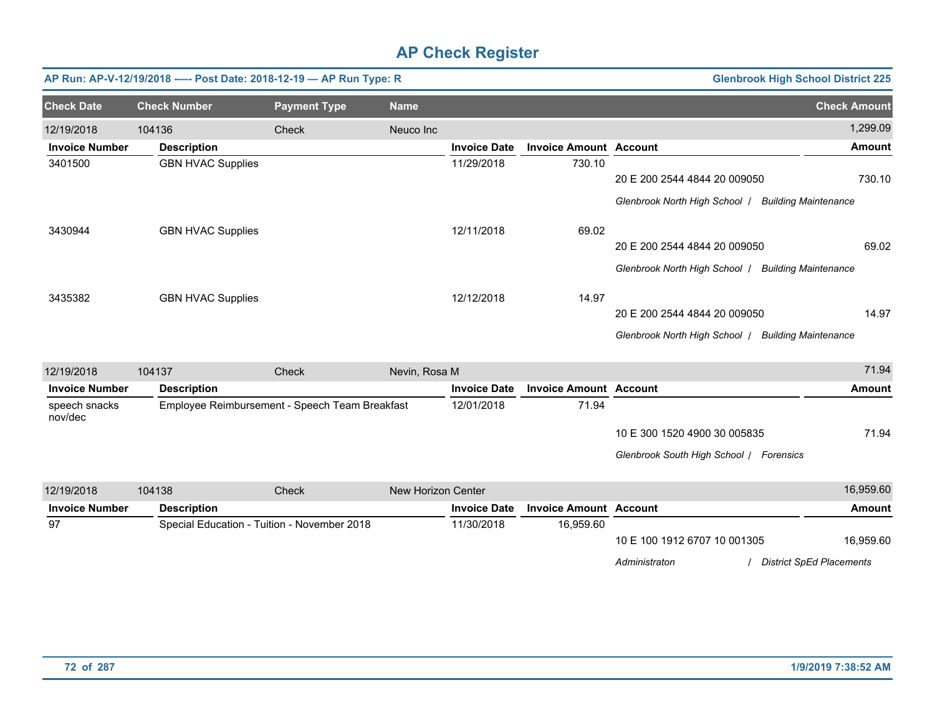|                          |                          | AP Run: AP-V-12/19/2018 ---- Post Date: 2018-12-19 - AP Run Type: R |                    |                     |                               |                                                    | <b>Glenbrook High School District 225</b> |
|--------------------------|--------------------------|---------------------------------------------------------------------|--------------------|---------------------|-------------------------------|----------------------------------------------------|-------------------------------------------|
| <b>Check Date</b>        | <b>Check Number</b>      | <b>Payment Type</b>                                                 | <b>Name</b>        |                     |                               |                                                    | <b>Check Amount</b>                       |
| 12/19/2018               | 104136                   | Check                                                               | Neuco Inc          |                     |                               |                                                    | 1,299.09                                  |
| <b>Invoice Number</b>    | <b>Description</b>       |                                                                     |                    | <b>Invoice Date</b> | <b>Invoice Amount Account</b> |                                                    | <b>Amount</b>                             |
| 3401500                  | <b>GBN HVAC Supplies</b> |                                                                     |                    | 11/29/2018          | 730.10                        |                                                    |                                           |
|                          |                          |                                                                     |                    |                     |                               | 20 E 200 2544 4844 20 009050                       | 730.10                                    |
|                          |                          |                                                                     |                    |                     |                               | Glenbrook North High School   Building Maintenance |                                           |
| 3430944                  | <b>GBN HVAC Supplies</b> |                                                                     |                    | 12/11/2018          | 69.02                         |                                                    |                                           |
|                          |                          |                                                                     |                    |                     |                               | 20 E 200 2544 4844 20 009050                       | 69.02                                     |
|                          |                          |                                                                     |                    |                     |                               | Glenbrook North High School   Building Maintenance |                                           |
| 3435382                  | <b>GBN HVAC Supplies</b> |                                                                     |                    | 12/12/2018          | 14.97                         |                                                    |                                           |
|                          |                          |                                                                     |                    |                     |                               | 20 E 200 2544 4844 20 009050                       | 14.97                                     |
|                          |                          |                                                                     |                    |                     |                               | Glenbrook North High School   Building Maintenance |                                           |
| 12/19/2018               | 104137                   | Check                                                               | Nevin, Rosa M      |                     |                               |                                                    | 71.94                                     |
| <b>Invoice Number</b>    | <b>Description</b>       |                                                                     |                    | <b>Invoice Date</b> | <b>Invoice Amount Account</b> |                                                    | <b>Amount</b>                             |
| speech snacks<br>nov/dec |                          | Employee Reimbursement - Speech Team Breakfast                      |                    | 12/01/2018          | 71.94                         |                                                    |                                           |
|                          |                          |                                                                     |                    |                     |                               | 10 E 300 1520 4900 30 005835                       | 71.94                                     |
|                          |                          |                                                                     |                    |                     |                               | Glenbrook South High School / Forensics            |                                           |
| 12/19/2018               | 104138                   | Check                                                               | New Horizon Center |                     |                               |                                                    | 16,959.60                                 |
| <b>Invoice Number</b>    | <b>Description</b>       |                                                                     |                    | <b>Invoice Date</b> | <b>Invoice Amount Account</b> |                                                    | <b>Amount</b>                             |
| 97                       |                          | Special Education - Tuition - November 2018                         |                    | 11/30/2018          | 16,959.60                     |                                                    |                                           |
|                          |                          |                                                                     |                    |                     |                               | 10 E 100 1912 6707 10 001305                       | 16,959.60                                 |
|                          |                          |                                                                     |                    |                     |                               | Administraton                                      | <b>District SpEd Placements</b>           |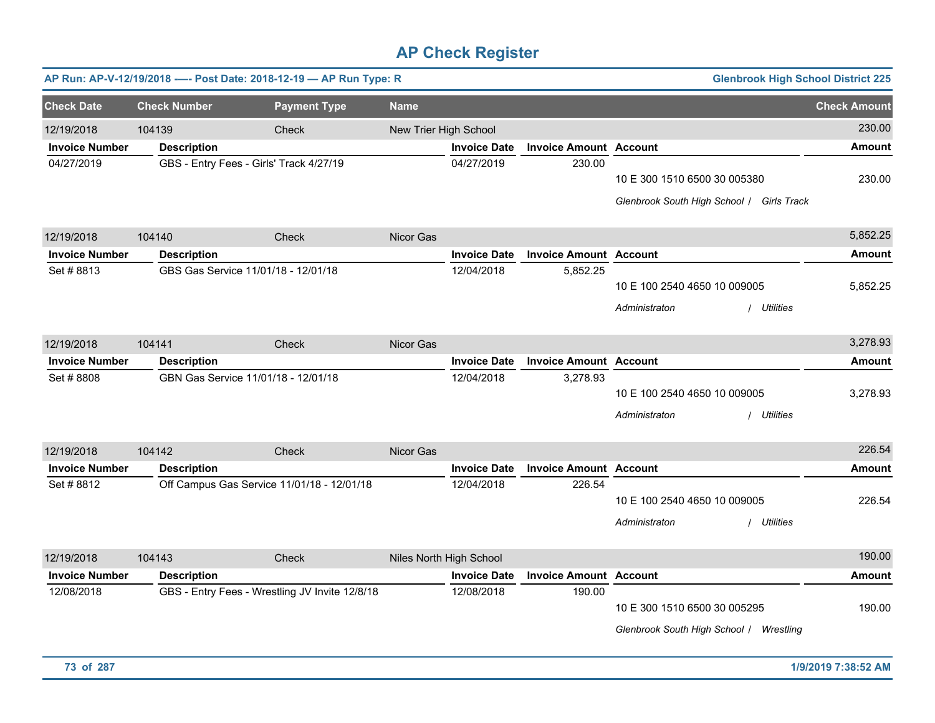|                       |                     | AP Run: AP-V-12/19/2018 ---- Post Date: 2018-12-19 - AP Run Type: R |                       |                         |                               |                                               | <b>Glenbrook High School District 225</b> |                     |
|-----------------------|---------------------|---------------------------------------------------------------------|-----------------------|-------------------------|-------------------------------|-----------------------------------------------|-------------------------------------------|---------------------|
| <b>Check Date</b>     | <b>Check Number</b> | <b>Payment Type</b>                                                 | <b>Name</b>           |                         |                               |                                               |                                           | <b>Check Amount</b> |
| 12/19/2018            | 104139              | Check                                                               | New Trier High School |                         |                               |                                               |                                           | 230.00              |
| <b>Invoice Number</b> | <b>Description</b>  |                                                                     |                       | <b>Invoice Date</b>     | <b>Invoice Amount Account</b> |                                               |                                           | <b>Amount</b>       |
| 04/27/2019            |                     | GBS - Entry Fees - Girls' Track 4/27/19                             |                       | 04/27/2019              | 230.00                        | 10 E 300 1510 6500 30 005380                  | Glenbrook South High School / Girls Track | 230.00              |
| 12/19/2018            | 104140              | Check                                                               | Nicor Gas             |                         |                               |                                               |                                           | 5,852.25            |
| <b>Invoice Number</b> | <b>Description</b>  |                                                                     |                       | <b>Invoice Date</b>     | <b>Invoice Amount Account</b> |                                               |                                           | <b>Amount</b>       |
| Set #8813             |                     | GBS Gas Service 11/01/18 - 12/01/18                                 |                       | 12/04/2018              | 5,852.25                      | 10 E 100 2540 4650 10 009005<br>Administraton | / Utilities                               | 5,852.25            |
| 12/19/2018            | 104141              | Check                                                               | Nicor Gas             |                         |                               |                                               |                                           | 3,278.93            |
| <b>Invoice Number</b> | <b>Description</b>  |                                                                     |                       | <b>Invoice Date</b>     | <b>Invoice Amount Account</b> |                                               |                                           | Amount              |
| Set #8808             |                     | GBN Gas Service 11/01/18 - 12/01/18                                 |                       | 12/04/2018              | 3,278.93                      | 10 E 100 2540 4650 10 009005<br>Administraton | / Utilities                               | 3,278.93            |
| 12/19/2018            | 104142              | Check                                                               | Nicor Gas             |                         |                               |                                               |                                           | 226.54              |
| <b>Invoice Number</b> | <b>Description</b>  |                                                                     |                       | <b>Invoice Date</b>     | <b>Invoice Amount</b>         | <b>Account</b>                                |                                           | <b>Amount</b>       |
| Set #8812             |                     | Off Campus Gas Service 11/01/18 - 12/01/18                          |                       | 12/04/2018              | 226.54                        | 10 E 100 2540 4650 10 009005<br>Administraton | Utilities                                 | 226.54              |
| 12/19/2018            | 104143              | Check                                                               |                       | Niles North High School |                               |                                               |                                           | 190.00              |
| <b>Invoice Number</b> | <b>Description</b>  |                                                                     |                       | <b>Invoice Date</b>     | <b>Invoice Amount</b>         | <b>Account</b>                                |                                           | <b>Amount</b>       |
| 12/08/2018            |                     | GBS - Entry Fees - Wrestling JV Invite 12/8/18                      |                       | 12/08/2018              | 190.00                        | 10 E 300 1510 6500 30 005295                  | Glenbrook South High School / Wrestling   | 190.00              |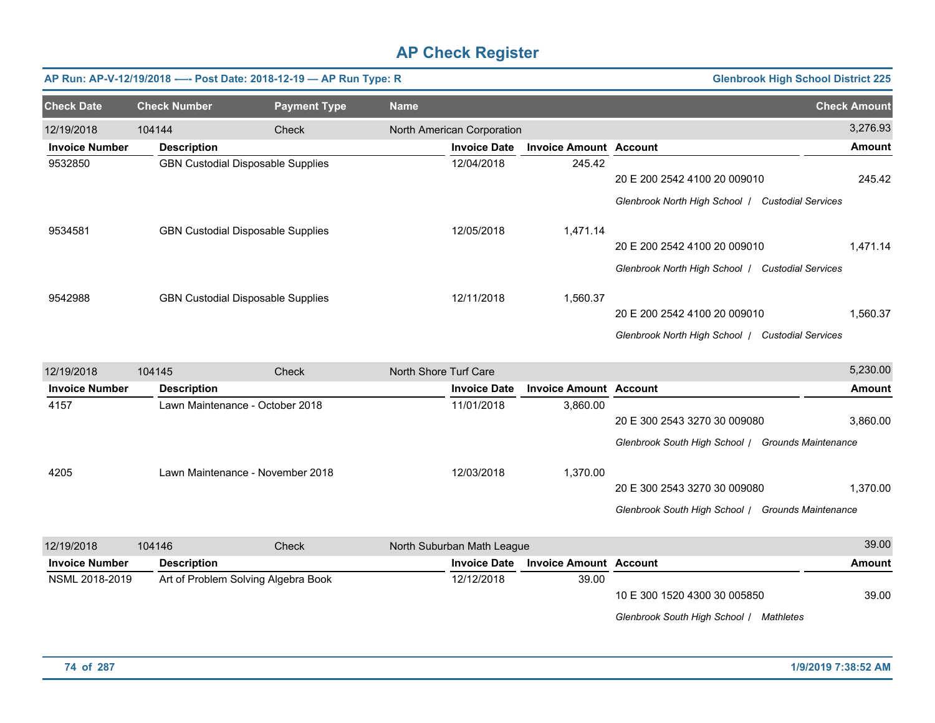|                       |                     | AP Run: AP-V-12/19/2018 ---- Post Date: 2018-12-19 - AP Run Type: R |                            |                               |                                                   | <b>Glenbrook High School District 225</b> |
|-----------------------|---------------------|---------------------------------------------------------------------|----------------------------|-------------------------------|---------------------------------------------------|-------------------------------------------|
| <b>Check Date</b>     | <b>Check Number</b> | <b>Payment Type</b>                                                 | <b>Name</b>                |                               |                                                   | <b>Check Amount</b>                       |
| 12/19/2018            | 104144              | Check                                                               | North American Corporation |                               |                                                   | 3,276.93                                  |
| <b>Invoice Number</b> | <b>Description</b>  |                                                                     | <b>Invoice Date</b>        | <b>Invoice Amount Account</b> |                                                   | <b>Amount</b>                             |
| 9532850               |                     | <b>GBN Custodial Disposable Supplies</b>                            | 12/04/2018                 | 245.42                        | 20 E 200 2542 4100 20 009010                      | 245.42                                    |
|                       |                     |                                                                     |                            |                               | Glenbrook North High School   Custodial Services  |                                           |
| 9534581               |                     | <b>GBN Custodial Disposable Supplies</b>                            | 12/05/2018                 | 1,471.14                      |                                                   |                                           |
|                       |                     |                                                                     |                            |                               | 20 E 200 2542 4100 20 009010                      | 1,471.14                                  |
|                       |                     |                                                                     |                            |                               | Glenbrook North High School   Custodial Services  |                                           |
| 9542988               |                     | <b>GBN Custodial Disposable Supplies</b>                            | 12/11/2018                 | 1,560.37                      |                                                   |                                           |
|                       |                     |                                                                     |                            |                               | 20 E 200 2542 4100 20 009010                      | 1,560.37                                  |
|                       |                     |                                                                     |                            |                               | Glenbrook North High School   Custodial Services  |                                           |
| 12/19/2018            | 104145              | Check                                                               | North Shore Turf Care      |                               |                                                   | 5,230.00                                  |
| <b>Invoice Number</b> | <b>Description</b>  |                                                                     | <b>Invoice Date</b>        | <b>Invoice Amount Account</b> |                                                   | <b>Amount</b>                             |
| 4157                  |                     | Lawn Maintenance - October 2018                                     | 11/01/2018                 | 3,860.00                      |                                                   |                                           |
|                       |                     |                                                                     |                            |                               | 20 E 300 2543 3270 30 009080                      | 3,860.00                                  |
|                       |                     |                                                                     |                            |                               | Glenbrook South High School / Grounds Maintenance |                                           |
| 4205                  |                     | Lawn Maintenance - November 2018                                    | 12/03/2018                 | 1,370.00                      |                                                   |                                           |
|                       |                     |                                                                     |                            |                               | 20 E 300 2543 3270 30 009080                      | 1,370.00                                  |
|                       |                     |                                                                     |                            |                               | Glenbrook South High School / Grounds Maintenance |                                           |
|                       |                     |                                                                     |                            |                               |                                                   |                                           |
| 12/19/2018            | 104146              | Check                                                               | North Suburban Math League |                               |                                                   | 39.00                                     |
| <b>Invoice Number</b> | <b>Description</b>  |                                                                     | <b>Invoice Date</b>        | <b>Invoice Amount Account</b> |                                                   | <b>Amount</b>                             |
| NSML 2018-2019        |                     | Art of Problem Solving Algebra Book                                 | 12/12/2018                 | 39.00                         | 10 E 300 1520 4300 30 005850                      | 39.00                                     |
|                       |                     |                                                                     |                            |                               | Glenbrook South High School / Mathletes           |                                           |
|                       |                     |                                                                     |                            |                               |                                                   |                                           |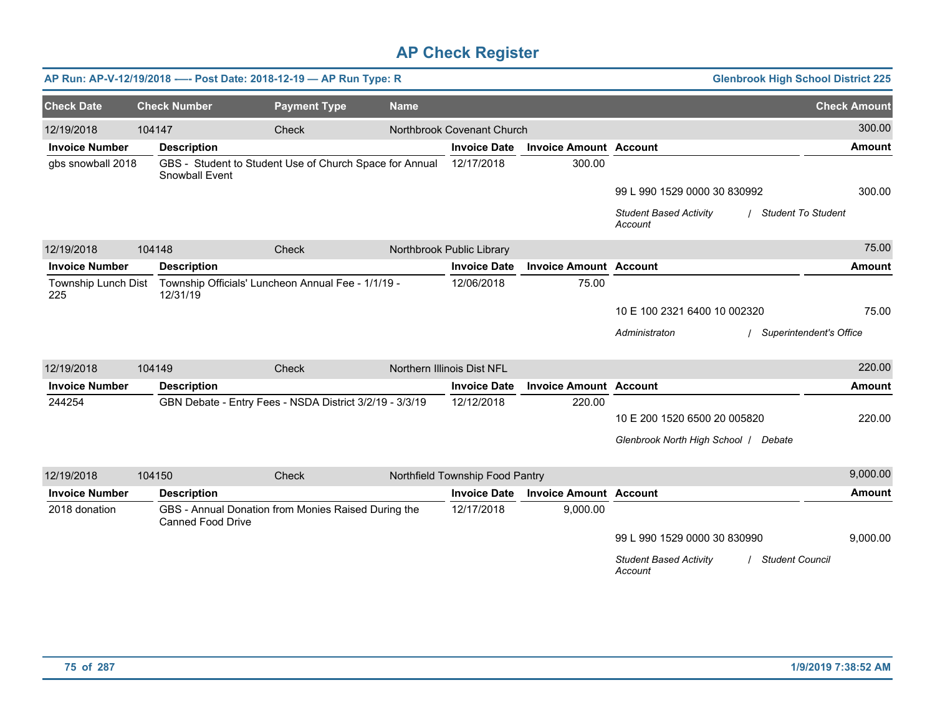|                            |        |                          | AP Run: AP-V-12/19/2018 ---- Post Date: 2018-12-19 - AP Run Type: R |             |                                 |                               | <b>Glenbrook High School District 225</b>                             |                     |
|----------------------------|--------|--------------------------|---------------------------------------------------------------------|-------------|---------------------------------|-------------------------------|-----------------------------------------------------------------------|---------------------|
| <b>Check Date</b>          |        | <b>Check Number</b>      | <b>Payment Type</b>                                                 | <b>Name</b> |                                 |                               |                                                                       | <b>Check Amount</b> |
| 12/19/2018                 | 104147 |                          | Check                                                               |             | Northbrook Covenant Church      |                               |                                                                       | 300.00              |
| <b>Invoice Number</b>      |        | <b>Description</b>       |                                                                     |             | <b>Invoice Date</b>             | <b>Invoice Amount Account</b> |                                                                       | <b>Amount</b>       |
| gbs snowball 2018          |        | Snowball Event           | GBS - Student to Student Use of Church Space for Annual             |             | 12/17/2018                      | 300.00                        |                                                                       |                     |
|                            |        |                          |                                                                     |             |                                 |                               | 99 L 990 1529 0000 30 830992                                          | 300.00              |
|                            |        |                          |                                                                     |             |                                 |                               | <b>Student Based Activity</b><br><b>Student To Student</b><br>Account |                     |
| 12/19/2018                 | 104148 |                          | Check                                                               |             | Northbrook Public Library       |                               |                                                                       | 75.00               |
| <b>Invoice Number</b>      |        | <b>Description</b>       |                                                                     |             | <b>Invoice Date</b>             | <b>Invoice Amount Account</b> |                                                                       | <b>Amount</b>       |
| Township Lunch Dist<br>225 |        | 12/31/19                 | Township Officials' Luncheon Annual Fee - 1/1/19 -                  |             | 12/06/2018                      | 75.00                         |                                                                       |                     |
|                            |        |                          |                                                                     |             |                                 |                               | 10 E 100 2321 6400 10 002320                                          | 75.00               |
|                            |        |                          |                                                                     |             |                                 |                               | Administraton<br>/ Superintendent's Office                            |                     |
| 12/19/2018                 | 104149 |                          | Check                                                               |             | Northern Illinois Dist NFL      |                               |                                                                       | 220.00              |
| <b>Invoice Number</b>      |        | <b>Description</b>       |                                                                     |             | <b>Invoice Date</b>             | <b>Invoice Amount Account</b> |                                                                       | <b>Amount</b>       |
| 244254                     |        |                          | GBN Debate - Entry Fees - NSDA District 3/2/19 - 3/3/19             |             | 12/12/2018                      | 220.00                        |                                                                       |                     |
|                            |        |                          |                                                                     |             |                                 |                               | 10 E 200 1520 6500 20 005820                                          | 220.00              |
|                            |        |                          |                                                                     |             |                                 |                               | Glenbrook North High School / Debate                                  |                     |
| 12/19/2018                 | 104150 |                          | Check                                                               |             | Northfield Township Food Pantry |                               |                                                                       | 9,000.00            |
| <b>Invoice Number</b>      |        | <b>Description</b>       |                                                                     |             | <b>Invoice Date</b>             | <b>Invoice Amount Account</b> |                                                                       | <b>Amount</b>       |
| 2018 donation              |        | <b>Canned Food Drive</b> | GBS - Annual Donation from Monies Raised During the                 |             | 12/17/2018                      | 9,000.00                      |                                                                       |                     |
|                            |        |                          |                                                                     |             |                                 |                               | 99 L 990 1529 0000 30 830990                                          | 9,000.00            |
|                            |        |                          |                                                                     |             |                                 |                               | <b>Student Based Activity</b><br><b>Student Council</b><br>Account    |                     |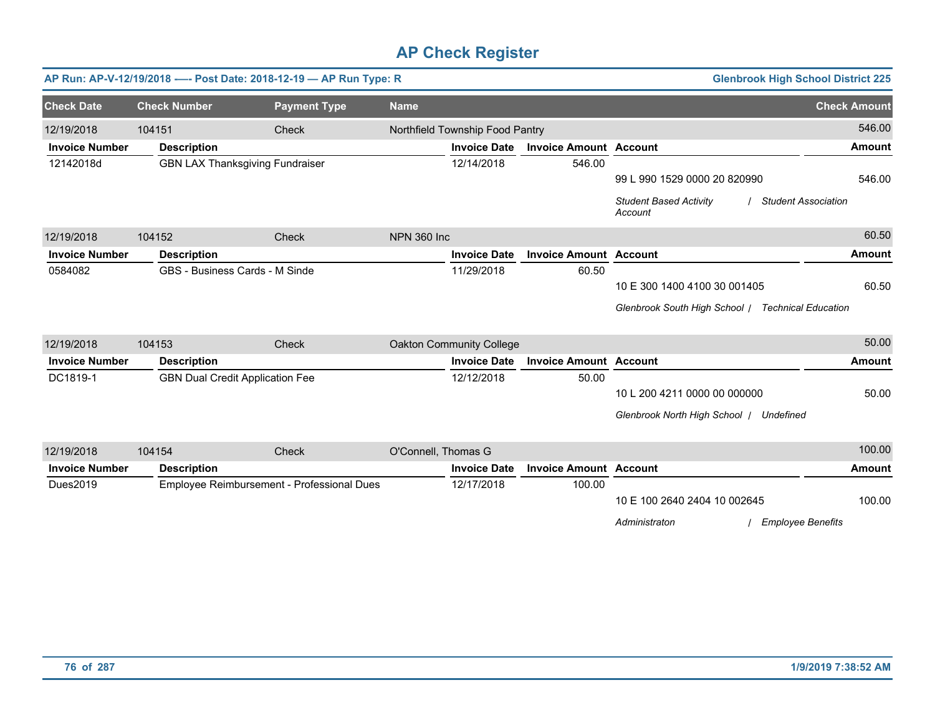|                       |                     | AP Run: AP-V-12/19/2018 ---- Post Date: 2018-12-19 -- AP Run Type: R |                    |                                 |                               |                                                                          | <b>Glenbrook High School District 225</b> |
|-----------------------|---------------------|----------------------------------------------------------------------|--------------------|---------------------------------|-------------------------------|--------------------------------------------------------------------------|-------------------------------------------|
| <b>Check Date</b>     | <b>Check Number</b> | <b>Payment Type</b>                                                  | <b>Name</b>        |                                 |                               |                                                                          | <b>Check Amount</b>                       |
| 12/19/2018            | 104151              | <b>Check</b>                                                         |                    | Northfield Township Food Pantry |                               |                                                                          | 546.00                                    |
| <b>Invoice Number</b> | <b>Description</b>  |                                                                      |                    | <b>Invoice Date</b>             | <b>Invoice Amount Account</b> |                                                                          | <b>Amount</b>                             |
| 12142018d             |                     | <b>GBN LAX Thanksgiving Fundraiser</b>                               |                    | 12/14/2018                      | 546.00                        | 99 L 990 1529 0000 20 820990<br><b>Student Based Activity</b><br>Account | 546.00<br><b>Student Association</b>      |
| 12/19/2018            | 104152              | Check                                                                | <b>NPN 360 Inc</b> |                                 |                               |                                                                          | 60.50                                     |
| <b>Invoice Number</b> | <b>Description</b>  |                                                                      |                    | <b>Invoice Date</b>             | <b>Invoice Amount Account</b> |                                                                          | <b>Amount</b>                             |
| 0584082               |                     | GBS - Business Cards - M Sinde                                       |                    | 11/29/2018                      | 60.50                         |                                                                          |                                           |
|                       |                     |                                                                      |                    |                                 |                               | 10 E 300 1400 4100 30 001405                                             | 60.50                                     |
|                       |                     |                                                                      |                    |                                 |                               | Glenbrook South High School / Technical Education                        |                                           |
| 12/19/2018            | 104153              | Check                                                                |                    | Oakton Community College        |                               |                                                                          | 50.00                                     |
| <b>Invoice Number</b> | <b>Description</b>  |                                                                      |                    | <b>Invoice Date</b>             | <b>Invoice Amount Account</b> |                                                                          | <b>Amount</b>                             |
| DC1819-1              |                     | <b>GBN Dual Credit Application Fee</b>                               |                    | 12/12/2018                      | 50.00                         |                                                                          |                                           |
|                       |                     |                                                                      |                    |                                 |                               | 10 L 200 4211 0000 00 000000                                             | 50.00                                     |
|                       |                     |                                                                      |                    |                                 |                               | Glenbrook North High School   Undefined                                  |                                           |
| 12/19/2018            | 104154              | Check                                                                |                    | O'Connell, Thomas G             |                               |                                                                          | 100.00                                    |
| <b>Invoice Number</b> | <b>Description</b>  |                                                                      |                    | <b>Invoice Date</b>             | <b>Invoice Amount Account</b> |                                                                          | <b>Amount</b>                             |
| Dues2019              |                     | Employee Reimbursement - Professional Dues                           |                    | 12/17/2018                      | 100.00                        |                                                                          |                                           |

10 E 100 2640 2404 10 002645 100.00

*Administraton* / *Employee Benefits*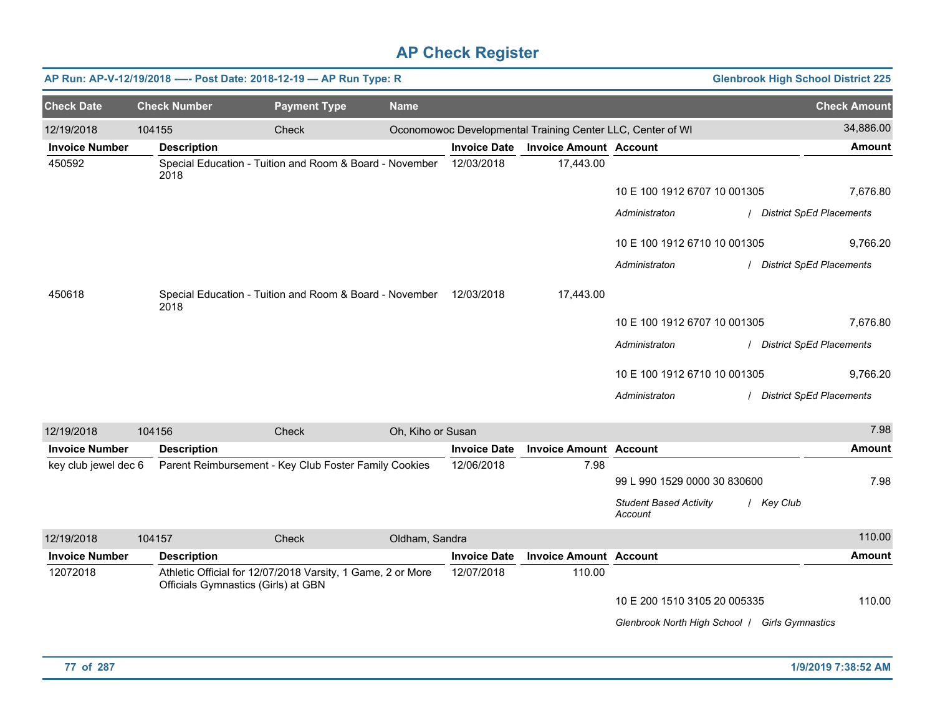|                       |        |                                     | AP Run: AP-V-12/19/2018 ---- Post Date: 2018-12-19 - AP Run Type: R |                   |                     |                                                            |                                                | <b>Glenbrook High School District 225</b> |
|-----------------------|--------|-------------------------------------|---------------------------------------------------------------------|-------------------|---------------------|------------------------------------------------------------|------------------------------------------------|-------------------------------------------|
| <b>Check Date</b>     |        | <b>Check Number</b>                 | <b>Payment Type</b>                                                 | <b>Name</b>       |                     |                                                            |                                                | <b>Check Amount</b>                       |
| 12/19/2018            | 104155 |                                     | Check                                                               |                   |                     | Oconomowoc Developmental Training Center LLC, Center of WI |                                                | 34,886.00                                 |
| <b>Invoice Number</b> |        | <b>Description</b>                  |                                                                     |                   | <b>Invoice Date</b> | <b>Invoice Amount Account</b>                              |                                                | <b>Amount</b>                             |
| 450592                |        | 2018                                | Special Education - Tuition and Room & Board - November             |                   | 12/03/2018          | 17,443.00                                                  |                                                |                                           |
|                       |        |                                     |                                                                     |                   |                     |                                                            | 10 E 100 1912 6707 10 001305                   | 7,676.80                                  |
|                       |        |                                     |                                                                     |                   |                     |                                                            | Administraton                                  | / District SpEd Placements                |
|                       |        |                                     |                                                                     |                   |                     |                                                            | 10 E 100 1912 6710 10 001305                   | 9,766.20                                  |
|                       |        |                                     |                                                                     |                   |                     |                                                            | Administraton                                  | / District SpEd Placements                |
| 450618                |        | 2018                                | Special Education - Tuition and Room & Board - November 12/03/2018  |                   |                     | 17,443.00                                                  |                                                |                                           |
|                       |        |                                     |                                                                     |                   |                     |                                                            | 10 E 100 1912 6707 10 001305                   | 7,676.80                                  |
|                       |        |                                     |                                                                     |                   |                     |                                                            | Administraton                                  | / District SpEd Placements                |
|                       |        |                                     |                                                                     |                   |                     |                                                            | 10 E 100 1912 6710 10 001305                   | 9,766.20                                  |
|                       |        |                                     |                                                                     |                   |                     |                                                            | Administraton                                  | / District SpEd Placements                |
| 12/19/2018            | 104156 |                                     | Check                                                               | Oh, Kiho or Susan |                     |                                                            |                                                | 7.98                                      |
| <b>Invoice Number</b> |        | <b>Description</b>                  |                                                                     |                   | <b>Invoice Date</b> | <b>Invoice Amount Account</b>                              |                                                | <b>Amount</b>                             |
| key club jewel dec 6  |        |                                     | Parent Reimbursement - Key Club Foster Family Cookies               |                   | 12/06/2018          | 7.98                                                       | 99 L 990 1529 0000 30 830600                   | 7.98                                      |
|                       |        |                                     |                                                                     |                   |                     |                                                            | <b>Student Based Activity</b><br>Account       | / Key Club                                |
| 12/19/2018            | 104157 |                                     | Check                                                               | Oldham, Sandra    |                     |                                                            |                                                | 110.00                                    |
| <b>Invoice Number</b> |        | <b>Description</b>                  |                                                                     |                   | <b>Invoice Date</b> | <b>Invoice Amount Account</b>                              |                                                | <b>Amount</b>                             |
| 12072018              |        | Officials Gymnastics (Girls) at GBN | Athletic Official for 12/07/2018 Varsity, 1 Game, 2 or More         |                   | 12/07/2018          | 110.00                                                     |                                                |                                           |
|                       |        |                                     |                                                                     |                   |                     |                                                            | 10 E 200 1510 3105 20 005335                   | 110.00                                    |
|                       |        |                                     |                                                                     |                   |                     |                                                            | Glenbrook North High School   Girls Gymnastics |                                           |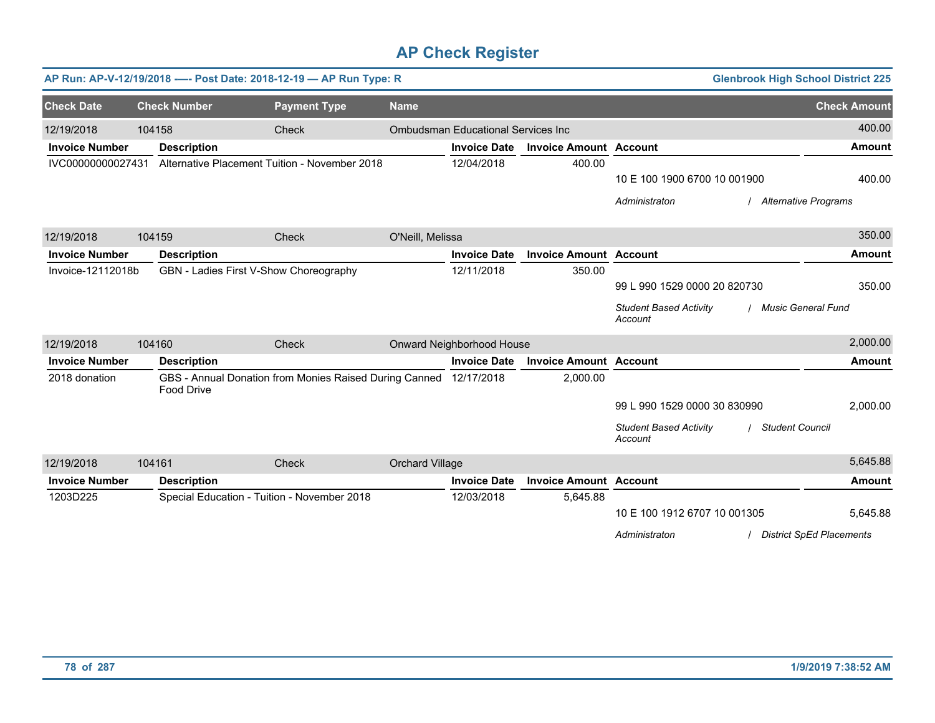|                       |        |                                             | AP Run: AP-V-12/19/2018 ---- Post Date: 2018-12-19 - AP Run Type: R |                  |                                           |                               | <b>Glenbrook High School District 225</b>                          |                                 |
|-----------------------|--------|---------------------------------------------|---------------------------------------------------------------------|------------------|-------------------------------------------|-------------------------------|--------------------------------------------------------------------|---------------------------------|
| <b>Check Date</b>     |        | <b>Check Number</b>                         | <b>Payment Type</b>                                                 | <b>Name</b>      |                                           |                               |                                                                    | <b>Check Amount</b>             |
| 12/19/2018            | 104158 |                                             | Check                                                               |                  | <b>Ombudsman Educational Services Inc</b> |                               |                                                                    | 400.00                          |
| <b>Invoice Number</b> |        | <b>Description</b>                          |                                                                     |                  | <b>Invoice Date</b>                       | <b>Invoice Amount Account</b> |                                                                    | <b>Amount</b>                   |
| IVC00000000027431     |        |                                             | Alternative Placement Tuition - November 2018                       |                  | 12/04/2018                                | 400.00                        |                                                                    |                                 |
|                       |        |                                             |                                                                     |                  |                                           |                               | 10 E 100 1900 6700 10 001900                                       | 400.00                          |
|                       |        |                                             |                                                                     |                  |                                           |                               | Administraton<br>/ Alternative Programs                            |                                 |
| 12/19/2018            | 104159 |                                             | Check                                                               | O'Neill, Melissa |                                           |                               |                                                                    | 350.00                          |
| <b>Invoice Number</b> |        | <b>Description</b>                          |                                                                     |                  | <b>Invoice Date</b>                       | <b>Invoice Amount Account</b> |                                                                    | <b>Amount</b>                   |
| Invoice-12112018b     |        | GBN - Ladies First V-Show Choreography      |                                                                     |                  | 12/11/2018                                | 350.00                        |                                                                    |                                 |
|                       |        |                                             |                                                                     |                  |                                           |                               | 99 L 990 1529 0000 20 820730                                       | 350.00                          |
|                       |        |                                             |                                                                     |                  |                                           |                               | / Music General Fund<br><b>Student Based Activity</b><br>Account   |                                 |
| 12/19/2018            | 104160 |                                             | Check                                                               |                  | Onward Neighborhood House                 |                               |                                                                    | 2,000.00                        |
| <b>Invoice Number</b> |        | <b>Description</b>                          |                                                                     |                  | <b>Invoice Date</b>                       | <b>Invoice Amount Account</b> |                                                                    | <b>Amount</b>                   |
| 2018 donation         |        | <b>Food Drive</b>                           | GBS - Annual Donation from Monies Raised During Canned              |                  | 12/17/2018                                | 2,000.00                      |                                                                    |                                 |
|                       |        |                                             |                                                                     |                  |                                           |                               | 99 L 990 1529 0000 30 830990                                       | 2,000.00                        |
|                       |        |                                             |                                                                     |                  |                                           |                               | <b>Student Based Activity</b><br><b>Student Council</b><br>Account |                                 |
| 12/19/2018            | 104161 |                                             | Check                                                               | Orchard Village  |                                           |                               |                                                                    | 5,645.88                        |
| <b>Invoice Number</b> |        | <b>Description</b>                          |                                                                     |                  | <b>Invoice Date</b>                       | <b>Invoice Amount Account</b> |                                                                    | <b>Amount</b>                   |
| 1203D225              |        | Special Education - Tuition - November 2018 |                                                                     |                  | 12/03/2018                                | 5,645.88                      |                                                                    |                                 |
|                       |        |                                             |                                                                     |                  |                                           |                               | 10 E 100 1912 6707 10 001305                                       | 5,645.88                        |
|                       |        |                                             |                                                                     |                  |                                           |                               | Administraton                                                      | <b>District SpEd Placements</b> |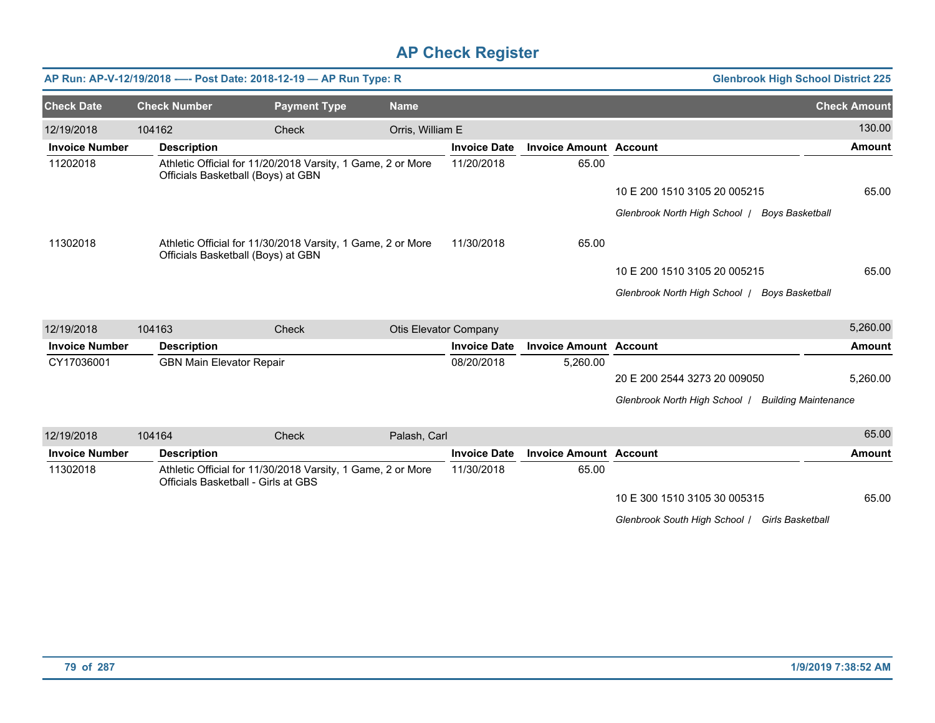|                       |        |                                     | AP Run: AP-V-12/19/2018 ---- Post Date: 2018-12-19 - AP Run Type: R |                              |                     |                               | <b>Glenbrook High School District 225</b>                    |                     |
|-----------------------|--------|-------------------------------------|---------------------------------------------------------------------|------------------------------|---------------------|-------------------------------|--------------------------------------------------------------|---------------------|
| <b>Check Date</b>     |        | <b>Check Number</b>                 | <b>Payment Type</b>                                                 | <b>Name</b>                  |                     |                               |                                                              | <b>Check Amount</b> |
| 12/19/2018            | 104162 |                                     | Check                                                               | Orris, William E             |                     |                               |                                                              | 130.00              |
| <b>Invoice Number</b> |        | <b>Description</b>                  |                                                                     |                              | <b>Invoice Date</b> | <b>Invoice Amount Account</b> |                                                              | <b>Amount</b>       |
| 11202018              |        | Officials Basketball (Boys) at GBN  | Athletic Official for 11/20/2018 Varsity, 1 Game, 2 or More         |                              | 11/20/2018          | 65.00                         |                                                              |                     |
|                       |        |                                     |                                                                     |                              |                     |                               | 10 E 200 1510 3105 20 005215                                 | 65.00               |
|                       |        |                                     |                                                                     |                              |                     |                               | Glenbrook North High School /<br><b>Boys Basketball</b>      |                     |
| 11302018              |        | Officials Basketball (Boys) at GBN  | Athletic Official for 11/30/2018 Varsity, 1 Game, 2 or More         |                              | 11/30/2018          | 65.00                         |                                                              |                     |
|                       |        |                                     |                                                                     |                              |                     |                               | 10 E 200 1510 3105 20 005215                                 | 65.00               |
|                       |        |                                     |                                                                     |                              |                     |                               | Glenbrook North High School /<br>Boys Basketball             |                     |
| 12/19/2018            | 104163 |                                     | <b>Check</b>                                                        | <b>Otis Elevator Company</b> |                     |                               |                                                              | 5,260.00            |
| <b>Invoice Number</b> |        | <b>Description</b>                  |                                                                     |                              | <b>Invoice Date</b> | <b>Invoice Amount Account</b> |                                                              | <b>Amount</b>       |
| CY17036001            |        | <b>GBN Main Elevator Repair</b>     |                                                                     |                              | 08/20/2018          | 5,260.00                      |                                                              |                     |
|                       |        |                                     |                                                                     |                              |                     |                               | 20 E 200 2544 3273 20 009050                                 | 5,260.00            |
|                       |        |                                     |                                                                     |                              |                     |                               | Glenbrook North High School /<br><b>Building Maintenance</b> |                     |
| 12/19/2018            | 104164 |                                     | Check                                                               | Palash, Carl                 |                     |                               |                                                              | 65.00               |
| <b>Invoice Number</b> |        | <b>Description</b>                  |                                                                     |                              | <b>Invoice Date</b> | <b>Invoice Amount Account</b> |                                                              | <b>Amount</b>       |
| 11302018              |        | Officials Basketball - Girls at GBS | Athletic Official for 11/30/2018 Varsity, 1 Game, 2 or More         |                              | 11/30/2018          | 65.00                         |                                                              |                     |
|                       |        |                                     |                                                                     |                              |                     |                               | 10 E 300 1510 3105 30 005315                                 | 65.00               |

*Glenbrook South High School* / *Girls Basketball*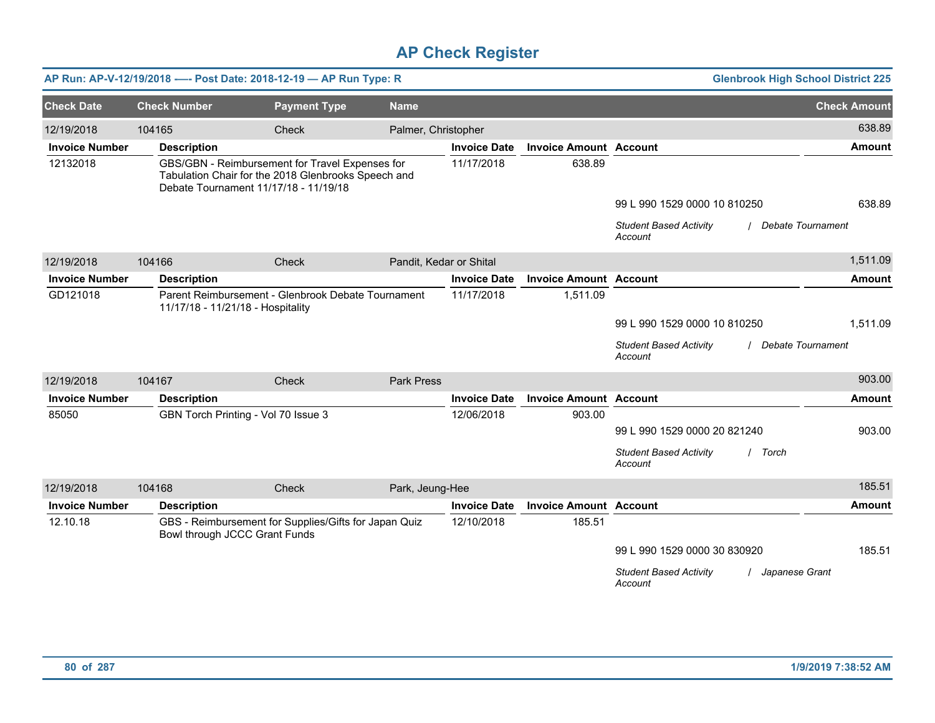|                       |                     | AP Run: AP-V-12/19/2018 ---- Post Date: 2018-12-19 - AP Run Type: R                                                                             |                         |                     |                               | <b>Glenbrook High School District 225</b>                            |                     |
|-----------------------|---------------------|-------------------------------------------------------------------------------------------------------------------------------------------------|-------------------------|---------------------|-------------------------------|----------------------------------------------------------------------|---------------------|
| <b>Check Date</b>     | <b>Check Number</b> | <b>Payment Type</b>                                                                                                                             | <b>Name</b>             |                     |                               |                                                                      | <b>Check Amount</b> |
| 12/19/2018            | 104165              | Check                                                                                                                                           | Palmer, Christopher     |                     |                               |                                                                      | 638.89              |
| <b>Invoice Number</b> | <b>Description</b>  |                                                                                                                                                 |                         | <b>Invoice Date</b> | <b>Invoice Amount Account</b> |                                                                      | <b>Amount</b>       |
| 12132018              |                     | GBS/GBN - Reimbursement for Travel Expenses for<br>Tabulation Chair for the 2018 Glenbrooks Speech and<br>Debate Tournament 11/17/18 - 11/19/18 |                         | 11/17/2018          | 638.89                        |                                                                      |                     |
|                       |                     |                                                                                                                                                 |                         |                     |                               | 99 L 990 1529 0000 10 810250                                         | 638.89              |
|                       |                     |                                                                                                                                                 |                         |                     |                               | <b>Student Based Activity</b><br>Debate Tournament<br>Account        |                     |
| 12/19/2018            | 104166              | Check                                                                                                                                           | Pandit, Kedar or Shital |                     |                               |                                                                      | 1,511.09            |
| <b>Invoice Number</b> | <b>Description</b>  |                                                                                                                                                 |                         | <b>Invoice Date</b> | <b>Invoice Amount Account</b> |                                                                      | <b>Amount</b>       |
| GD121018              |                     | Parent Reimbursement - Glenbrook Debate Tournament<br>11/17/18 - 11/21/18 - Hospitality                                                         |                         | 11/17/2018          | 1,511.09                      |                                                                      |                     |
|                       |                     |                                                                                                                                                 |                         |                     |                               | 99 L 990 1529 0000 10 810250                                         | 1,511.09            |
|                       |                     |                                                                                                                                                 |                         |                     |                               | <b>Student Based Activity</b><br><b>Debate Tournament</b><br>Account |                     |
| 12/19/2018            | 104167              | Check                                                                                                                                           | <b>Park Press</b>       |                     |                               |                                                                      | 903.00              |
| <b>Invoice Number</b> | <b>Description</b>  |                                                                                                                                                 |                         | <b>Invoice Date</b> | <b>Invoice Amount Account</b> |                                                                      | <b>Amount</b>       |
| 85050                 |                     | GBN Torch Printing - Vol 70 Issue 3                                                                                                             |                         | 12/06/2018          | 903.00                        |                                                                      |                     |
|                       |                     |                                                                                                                                                 |                         |                     |                               | 99 L 990 1529 0000 20 821240                                         | 903.00              |
|                       |                     |                                                                                                                                                 |                         |                     |                               | <b>Student Based Activity</b><br>/ Torch<br>Account                  |                     |
| 12/19/2018            | 104168              | Check                                                                                                                                           | Park, Jeung-Hee         |                     |                               |                                                                      | 185.51              |
| <b>Invoice Number</b> | <b>Description</b>  |                                                                                                                                                 |                         | <b>Invoice Date</b> | <b>Invoice Amount Account</b> |                                                                      | <b>Amount</b>       |
| 12.10.18              |                     | GBS - Reimbursement for Supplies/Gifts for Japan Quiz<br>Bowl through JCCC Grant Funds                                                          |                         | 12/10/2018          | 185.51                        |                                                                      |                     |
|                       |                     |                                                                                                                                                 |                         |                     |                               | 99 L 990 1529 0000 30 830920                                         | 185.51              |
|                       |                     |                                                                                                                                                 |                         |                     |                               | <b>Student Based Activity</b><br>Japanese Grant<br>Account           |                     |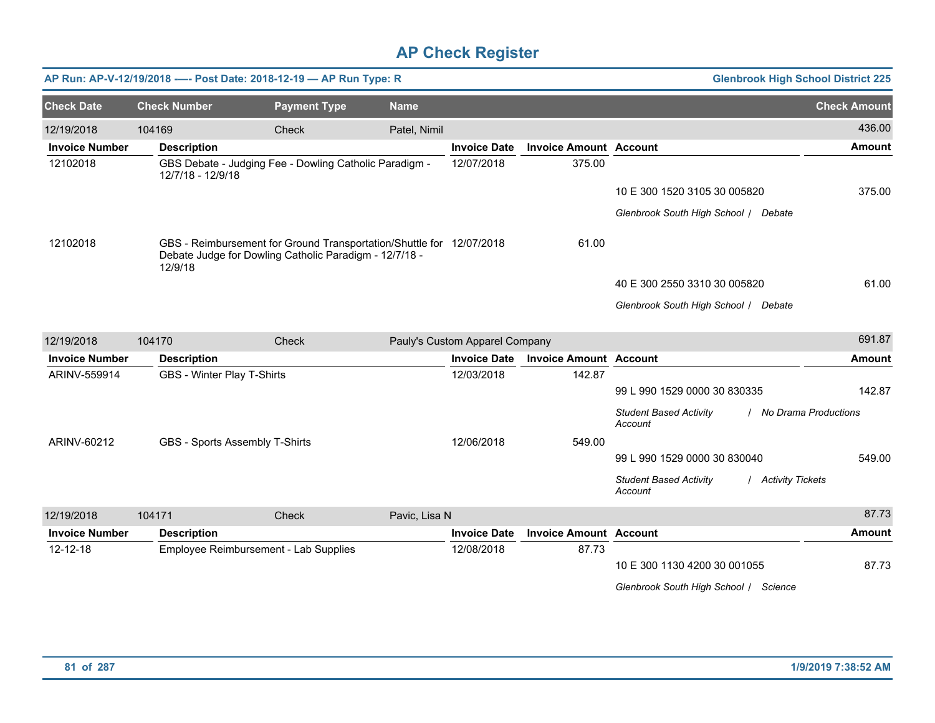|                       | AP Run: AP-V-12/19/2018 ---- Post Date: 2018-12-19 - AP Run Type: R |                                                                                                                                |               |                                |                               | <b>Glenbrook High School District 225</b>                          |                     |
|-----------------------|---------------------------------------------------------------------|--------------------------------------------------------------------------------------------------------------------------------|---------------|--------------------------------|-------------------------------|--------------------------------------------------------------------|---------------------|
| <b>Check Date</b>     | <b>Check Number</b>                                                 | <b>Payment Type</b>                                                                                                            | <b>Name</b>   |                                |                               |                                                                    | <b>Check Amount</b> |
| 12/19/2018            | 104169                                                              | Check                                                                                                                          | Patel, Nimil  |                                |                               |                                                                    | 436.00              |
| <b>Invoice Number</b> | <b>Description</b>                                                  |                                                                                                                                |               | <b>Invoice Date</b>            | <b>Invoice Amount Account</b> |                                                                    | <b>Amount</b>       |
| 12102018              | 12/7/18 - 12/9/18                                                   | GBS Debate - Judging Fee - Dowling Catholic Paradigm -                                                                         |               | 12/07/2018                     | 375.00                        |                                                                    |                     |
|                       |                                                                     |                                                                                                                                |               |                                |                               | 10 E 300 1520 3105 30 005820                                       | 375.00              |
|                       |                                                                     |                                                                                                                                |               |                                |                               | Glenbrook South High School / Debate                               |                     |
| 12102018              | 12/9/18                                                             | GBS - Reimbursement for Ground Transportation/Shuttle for 12/07/2018<br>Debate Judge for Dowling Catholic Paradigm - 12/7/18 - |               |                                | 61.00                         |                                                                    |                     |
|                       |                                                                     |                                                                                                                                |               |                                |                               | 40 E 300 2550 3310 30 005820                                       | 61.00               |
|                       |                                                                     |                                                                                                                                |               |                                |                               | Glenbrook South High School / Debate                               |                     |
| 12/19/2018            | 104170                                                              | <b>Check</b>                                                                                                                   |               | Pauly's Custom Apparel Company |                               |                                                                    | 691.87              |
| <b>Invoice Number</b> | <b>Description</b>                                                  |                                                                                                                                |               | <b>Invoice Date</b>            | <b>Invoice Amount Account</b> |                                                                    | <b>Amount</b>       |
| ARINV-559914          | <b>GBS - Winter Play T-Shirts</b>                                   |                                                                                                                                |               | 12/03/2018                     | 142.87                        | 99 L 990 1529 0000 30 830335                                       | 142.87              |
|                       |                                                                     |                                                                                                                                |               |                                |                               | <b>Student Based Activity</b><br>/ No Drama Productions<br>Account |                     |
| ARINV-60212           | GBS - Sports Assembly T-Shirts                                      |                                                                                                                                |               | 12/06/2018                     | 549.00                        |                                                                    |                     |
|                       |                                                                     |                                                                                                                                |               |                                |                               | 99 L 990 1529 0000 30 830040                                       | 549.00              |
|                       |                                                                     |                                                                                                                                |               |                                |                               | <b>Student Based Activity</b><br>/ Activity Tickets<br>Account     |                     |
| 12/19/2018            | 104171                                                              | Check                                                                                                                          | Pavic, Lisa N |                                |                               |                                                                    | 87.73               |
| <b>Invoice Number</b> | <b>Description</b>                                                  |                                                                                                                                |               | <b>Invoice Date</b>            | <b>Invoice Amount Account</b> |                                                                    | <b>Amount</b>       |
| 12-12-18              | Employee Reimbursement - Lab Supplies                               |                                                                                                                                |               | 12/08/2018                     | 87.73                         | 10 E 300 1130 4200 30 001055                                       | 87.73               |
|                       |                                                                     |                                                                                                                                |               |                                |                               | Glenbrook South High School / Science                              |                     |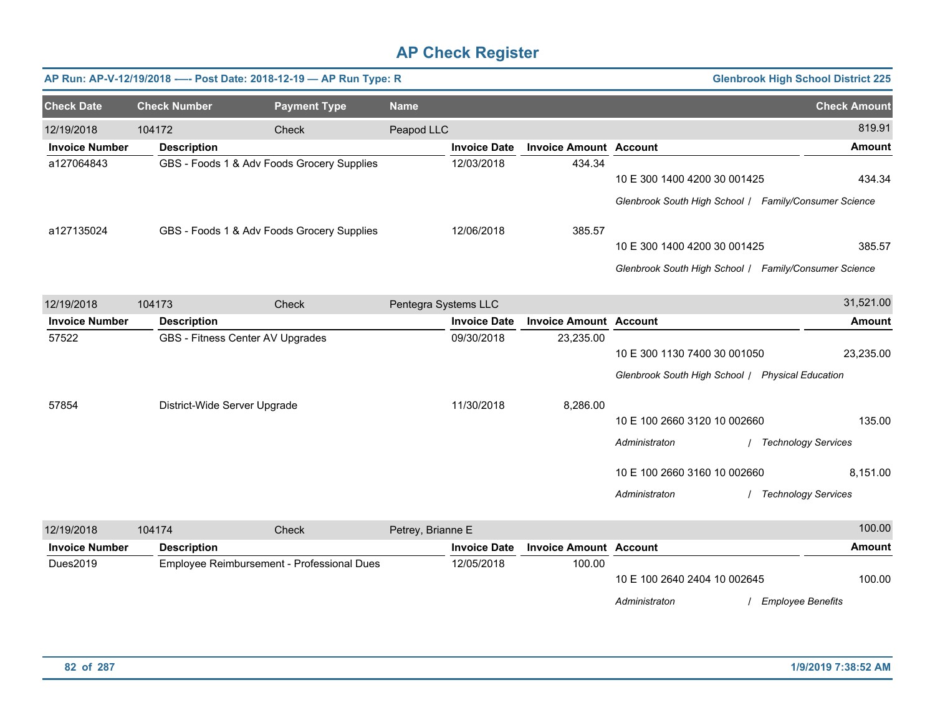|                       |                              | AP Run: AP-V-12/19/2018 ---- Post Date: 2018-12-19 - AP Run Type: R |                      |                     |                               |                                                       | <b>Glenbrook High School District 225</b> |
|-----------------------|------------------------------|---------------------------------------------------------------------|----------------------|---------------------|-------------------------------|-------------------------------------------------------|-------------------------------------------|
| <b>Check Date</b>     | <b>Check Number</b>          | <b>Payment Type</b>                                                 | <b>Name</b>          |                     |                               |                                                       | <b>Check Amount</b>                       |
| 12/19/2018            | 104172                       | Check                                                               | Peapod LLC           |                     |                               |                                                       | 819.91                                    |
| <b>Invoice Number</b> | <b>Description</b>           |                                                                     |                      | <b>Invoice Date</b> | <b>Invoice Amount Account</b> |                                                       | <b>Amount</b>                             |
| a127064843            |                              | GBS - Foods 1 & Adv Foods Grocery Supplies                          |                      | 12/03/2018          | 434.34                        |                                                       |                                           |
|                       |                              |                                                                     |                      |                     |                               | 10 E 300 1400 4200 30 001425                          | 434.34                                    |
|                       |                              |                                                                     |                      |                     |                               | Glenbrook South High School / Family/Consumer Science |                                           |
| a127135024            |                              | GBS - Foods 1 & Adv Foods Grocery Supplies                          |                      | 12/06/2018          | 385.57                        |                                                       |                                           |
|                       |                              |                                                                     |                      |                     |                               | 10 E 300 1400 4200 30 001425                          | 385.57                                    |
|                       |                              |                                                                     |                      |                     |                               | Glenbrook South High School / Family/Consumer Science |                                           |
| 12/19/2018            | 104173                       | Check                                                               | Pentegra Systems LLC |                     |                               |                                                       | 31,521.00                                 |
| <b>Invoice Number</b> | <b>Description</b>           |                                                                     |                      | <b>Invoice Date</b> | <b>Invoice Amount Account</b> |                                                       | <b>Amount</b>                             |
| 57522                 |                              | GBS - Fitness Center AV Upgrades                                    |                      | 09/30/2018          | 23,235.00                     |                                                       |                                           |
|                       |                              |                                                                     |                      |                     |                               | 10 E 300 1130 7400 30 001050                          | 23,235.00                                 |
|                       |                              |                                                                     |                      |                     |                               | Glenbrook South High School / Physical Education      |                                           |
| 57854                 | District-Wide Server Upgrade |                                                                     |                      | 11/30/2018          | 8,286.00                      |                                                       |                                           |
|                       |                              |                                                                     |                      |                     |                               | 10 E 100 2660 3120 10 002660                          | 135.00                                    |
|                       |                              |                                                                     |                      |                     |                               | Administraton                                         | <b>Technology Services</b>                |
|                       |                              |                                                                     |                      |                     |                               | 10 E 100 2660 3160 10 002660                          | 8,151.00                                  |
|                       |                              |                                                                     |                      |                     |                               | Administraton                                         | / Technology Services                     |
| 12/19/2018            | 104174                       | Check                                                               | Petrey, Brianne E    |                     |                               |                                                       | 100.00                                    |
| <b>Invoice Number</b> | <b>Description</b>           |                                                                     |                      | <b>Invoice Date</b> | <b>Invoice Amount Account</b> |                                                       | <b>Amount</b>                             |
| Dues2019              |                              | Employee Reimbursement - Professional Dues                          |                      | 12/05/2018          | 100.00                        |                                                       |                                           |
|                       |                              |                                                                     |                      |                     |                               | 10 E 100 2640 2404 10 002645                          | 100.00                                    |
|                       |                              |                                                                     |                      |                     |                               | Administraton                                         | <b>Employee Benefits</b>                  |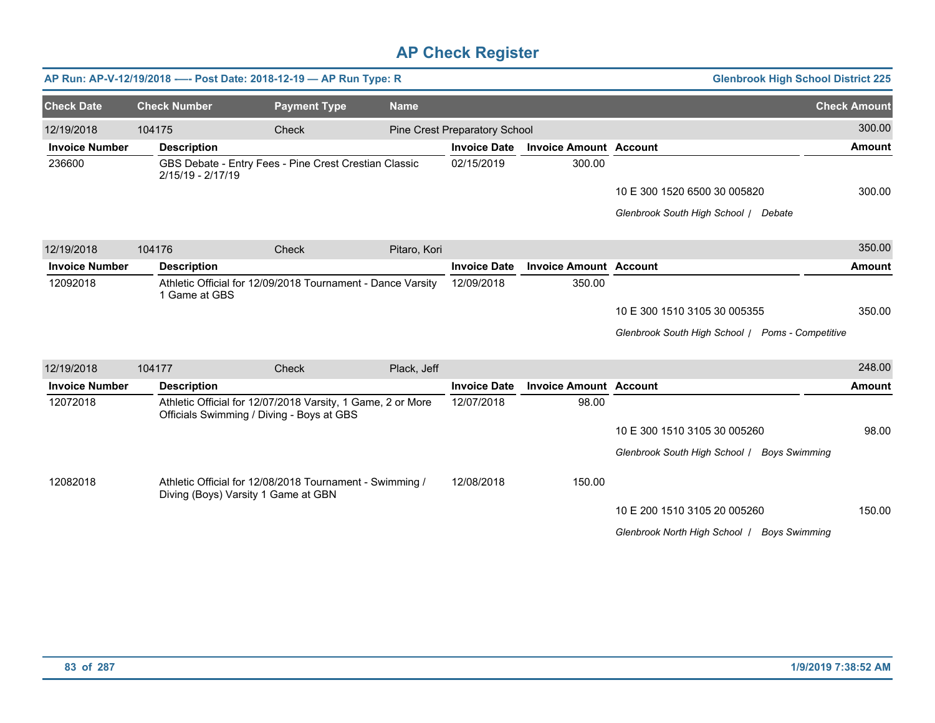|                       |                     |                                     | AP Run: AP-V-12/19/2018 ---- Post Date: 2018-12-19 - AP Run Type: R                                      |              |                               |                               | <b>Glenbrook High School District 225</b>             |                     |
|-----------------------|---------------------|-------------------------------------|----------------------------------------------------------------------------------------------------------|--------------|-------------------------------|-------------------------------|-------------------------------------------------------|---------------------|
| <b>Check Date</b>     | <b>Check Number</b> |                                     | <b>Payment Type</b>                                                                                      | <b>Name</b>  |                               |                               |                                                       | <b>Check Amount</b> |
| 12/19/2018            | 104175              |                                     | Check                                                                                                    |              | Pine Crest Preparatory School |                               |                                                       | 300.00              |
| <b>Invoice Number</b> |                     | <b>Description</b>                  |                                                                                                          |              | <b>Invoice Date</b>           | <b>Invoice Amount Account</b> |                                                       | <b>Amount</b>       |
| 236600                |                     | 2/15/19 - 2/17/19                   | GBS Debate - Entry Fees - Pine Crest Crestian Classic                                                    |              | 02/15/2019                    | 300.00                        |                                                       |                     |
|                       |                     |                                     |                                                                                                          |              |                               |                               | 10 E 300 1520 6500 30 005820                          | 300.00              |
|                       |                     |                                     |                                                                                                          |              |                               |                               | Glenbrook South High School / Debate                  |                     |
| 12/19/2018            | 104176              |                                     | Check                                                                                                    | Pitaro, Kori |                               |                               |                                                       | 350.00              |
| <b>Invoice Number</b> |                     | <b>Description</b>                  |                                                                                                          |              | <b>Invoice Date</b>           | <b>Invoice Amount Account</b> |                                                       | <b>Amount</b>       |
| 12092018              |                     | 1 Game at GBS                       | Athletic Official for 12/09/2018 Tournament - Dance Varsity                                              |              | 12/09/2018                    | 350.00                        |                                                       |                     |
|                       |                     |                                     |                                                                                                          |              |                               |                               | 10 E 300 1510 3105 30 005355                          | 350.00              |
|                       |                     |                                     |                                                                                                          |              |                               |                               | Glenbrook South High School   Poms - Competitive      |                     |
| 12/19/2018            | 104177              |                                     | Check                                                                                                    | Plack, Jeff  |                               |                               |                                                       | 248.00              |
| <b>Invoice Number</b> |                     | <b>Description</b>                  |                                                                                                          |              | <b>Invoice Date</b>           | <b>Invoice Amount Account</b> |                                                       | Amount              |
| 12072018              |                     |                                     | Athletic Official for 12/07/2018 Varsity, 1 Game, 2 or More<br>Officials Swimming / Diving - Boys at GBS |              | 12/07/2018                    | 98.00                         |                                                       |                     |
|                       |                     |                                     |                                                                                                          |              |                               |                               | 10 E 300 1510 3105 30 005260                          | 98.00               |
|                       |                     |                                     |                                                                                                          |              |                               |                               | Glenbrook South High School   Boys Swimming           |                     |
| 12082018              |                     | Diving (Boys) Varsity 1 Game at GBN | Athletic Official for 12/08/2018 Tournament - Swimming /                                                 |              | 12/08/2018                    | 150.00                        |                                                       |                     |
|                       |                     |                                     |                                                                                                          |              |                               |                               | 10 E 200 1510 3105 20 005260                          | 150.00              |
|                       |                     |                                     |                                                                                                          |              |                               |                               | Glenbrook North High School /<br><b>Boys Swimming</b> |                     |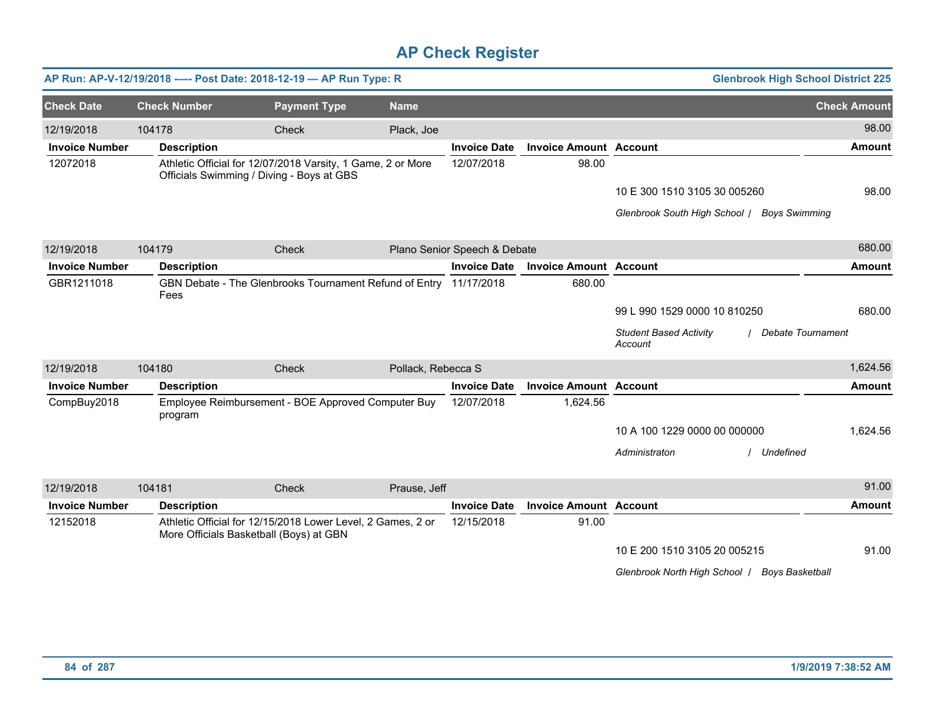|                       |                     | AP Run: AP-V-12/19/2018 ---- Post Date: 2018-12-19 - AP Run Type: R                                      |                    |                              |                               | <b>Glenbrook High School District 225</b>     |                     |
|-----------------------|---------------------|----------------------------------------------------------------------------------------------------------|--------------------|------------------------------|-------------------------------|-----------------------------------------------|---------------------|
| <b>Check Date</b>     | <b>Check Number</b> | <b>Payment Type</b>                                                                                      | <b>Name</b>        |                              |                               |                                               | <b>Check Amount</b> |
| 12/19/2018            | 104178              | Check                                                                                                    | Plack, Joe         |                              |                               |                                               | 98.00               |
| <b>Invoice Number</b> | <b>Description</b>  |                                                                                                          |                    | <b>Invoice Date</b>          | <b>Invoice Amount Account</b> |                                               | <b>Amount</b>       |
| 12072018              |                     | Athletic Official for 12/07/2018 Varsity, 1 Game, 2 or More<br>Officials Swimming / Diving - Boys at GBS |                    | 12/07/2018                   | 98.00                         |                                               |                     |
|                       |                     |                                                                                                          |                    |                              |                               | 10 E 300 1510 3105 30 005260                  | 98.00               |
|                       |                     |                                                                                                          |                    |                              |                               | Glenbrook South High School / Boys Swimming   |                     |
| 12/19/2018            | 104179              | Check                                                                                                    |                    | Plano Senior Speech & Debate |                               |                                               | 680.00              |
| <b>Invoice Number</b> | <b>Description</b>  |                                                                                                          |                    | <b>Invoice Date</b>          | <b>Invoice Amount Account</b> |                                               | <b>Amount</b>       |
| GBR1211018            | Fees                | GBN Debate - The Glenbrooks Tournament Refund of Entry 11/17/2018                                        |                    |                              | 680.00                        |                                               |                     |
|                       |                     |                                                                                                          |                    |                              |                               | 99 L 990 1529 0000 10 810250                  | 680.00              |
|                       |                     |                                                                                                          |                    |                              |                               | <b>Student Based Activity</b><br>Account      | Debate Tournament   |
| 12/19/2018            | 104180              | Check                                                                                                    | Pollack, Rebecca S |                              |                               |                                               | 1,624.56            |
| <b>Invoice Number</b> | <b>Description</b>  |                                                                                                          |                    | <b>Invoice Date</b>          | <b>Invoice Amount Account</b> |                                               | <b>Amount</b>       |
| CompBuy2018           | program             | Employee Reimbursement - BOE Approved Computer Buy                                                       |                    | 12/07/2018                   | 1,624.56                      |                                               |                     |
|                       |                     |                                                                                                          |                    |                              |                               | 10 A 100 1229 0000 00 000000                  | 1,624.56            |
|                       |                     |                                                                                                          |                    |                              |                               | Administraton<br>/ Undefined                  |                     |
| 12/19/2018            | 104181              | Check                                                                                                    | Prause, Jeff       |                              |                               |                                               | 91.00               |
| <b>Invoice Number</b> | <b>Description</b>  |                                                                                                          |                    | <b>Invoice Date</b>          | <b>Invoice Amount Account</b> |                                               | Amount              |
| 12152018              |                     | Athletic Official for 12/15/2018 Lower Level, 2 Games, 2 or<br>More Officials Basketball (Boys) at GBN   |                    | 12/15/2018                   | 91.00                         |                                               |                     |
|                       |                     |                                                                                                          |                    |                              |                               | 10 E 200 1510 3105 20 005215                  | 91.00               |
|                       |                     |                                                                                                          |                    |                              |                               | Glenbrook North High School   Boys Basketball |                     |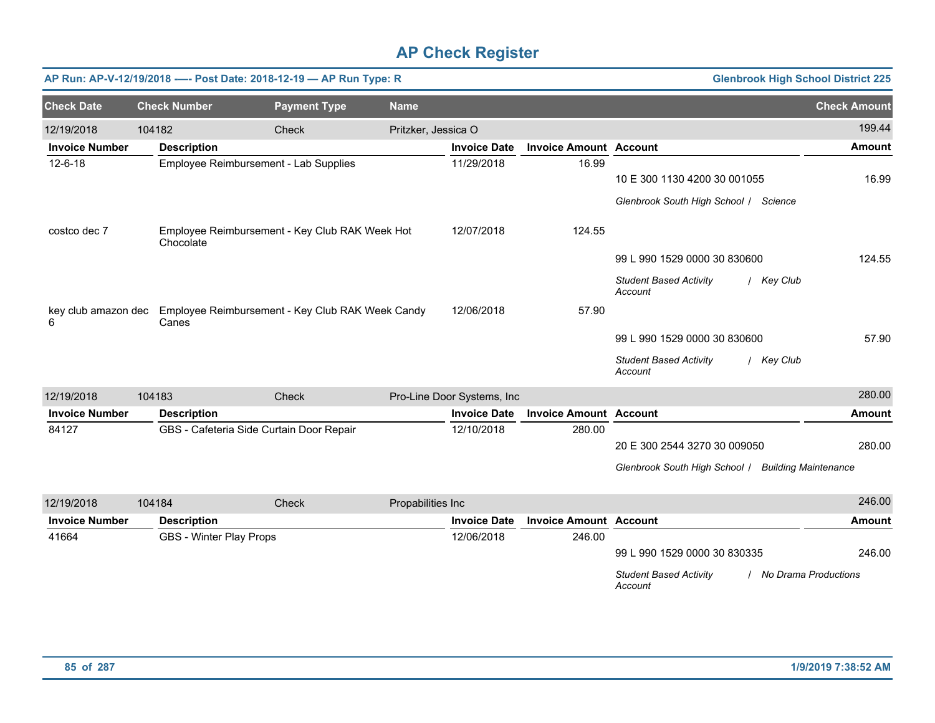|                       |        |                                          | AP Run: AP-V-12/19/2018 ---- Post Date: 2018-12-19 - AP Run Type: R  |                     |                            |                               | <b>Glenbrook High School District 225</b>              |                     |
|-----------------------|--------|------------------------------------------|----------------------------------------------------------------------|---------------------|----------------------------|-------------------------------|--------------------------------------------------------|---------------------|
| <b>Check Date</b>     |        | <b>Check Number</b>                      | <b>Payment Type</b>                                                  | <b>Name</b>         |                            |                               |                                                        | <b>Check Amount</b> |
| 12/19/2018            | 104182 |                                          | Check                                                                | Pritzker, Jessica O |                            |                               |                                                        | 199.44              |
| <b>Invoice Number</b> |        | <b>Description</b>                       |                                                                      |                     | <b>Invoice Date</b>        | <b>Invoice Amount Account</b> |                                                        | Amount              |
| $12 - 6 - 18$         |        | Employee Reimbursement - Lab Supplies    |                                                                      |                     | 11/29/2018                 | 16.99                         | 10 E 300 1130 4200 30 001055                           | 16.99               |
|                       |        |                                          |                                                                      |                     |                            |                               | Glenbrook South High School / Science                  |                     |
| costco dec 7          |        | Chocolate                                | Employee Reimbursement - Key Club RAK Week Hot                       |                     | 12/07/2018                 | 124.55                        |                                                        |                     |
|                       |        |                                          |                                                                      |                     |                            |                               | 99 L 990 1529 0000 30 830600                           | 124.55              |
|                       |        |                                          |                                                                      |                     |                            |                               | <b>Student Based Activity</b><br>/ Key Club<br>Account |                     |
| 6                     |        | Canes                                    | key club amazon dec Employee Reimbursement - Key Club RAK Week Candy |                     | 12/06/2018                 | 57.90                         |                                                        |                     |
|                       |        |                                          |                                                                      |                     |                            |                               | 99 L 990 1529 0000 30 830600                           | 57.90               |
|                       |        |                                          |                                                                      |                     |                            |                               | <b>Student Based Activity</b><br>/ Key Club<br>Account |                     |
| 12/19/2018            | 104183 |                                          | Check                                                                |                     | Pro-Line Door Systems, Inc |                               |                                                        | 280.00              |
| <b>Invoice Number</b> |        | <b>Description</b>                       |                                                                      |                     | <b>Invoice Date</b>        | <b>Invoice Amount Account</b> |                                                        | <b>Amount</b>       |
| 84127                 |        | GBS - Cafeteria Side Curtain Door Repair |                                                                      |                     | 12/10/2018                 | 280.00                        |                                                        |                     |
|                       |        |                                          |                                                                      |                     |                            |                               | 20 E 300 2544 3270 30 009050                           | 280.00              |
|                       |        |                                          |                                                                      |                     |                            |                               | Glenbrook South High School   Building Maintenance     |                     |
| 12/19/2018            | 104184 |                                          | Check                                                                | Propabilities Inc   |                            |                               |                                                        | 246.00              |
| <b>Invoice Number</b> |        | <b>Description</b>                       |                                                                      |                     | <b>Invoice Date</b>        | <b>Invoice Amount Account</b> |                                                        | Amount              |
| 41664                 |        | <b>GBS - Winter Play Props</b>           |                                                                      |                     | 12/06/2018                 | 246.00                        |                                                        |                     |
|                       |        |                                          |                                                                      |                     |                            |                               | 99 L 990 1529 0000 30 830335                           | 246.00              |

*Student Based Activity Account* / *No Drama Productions*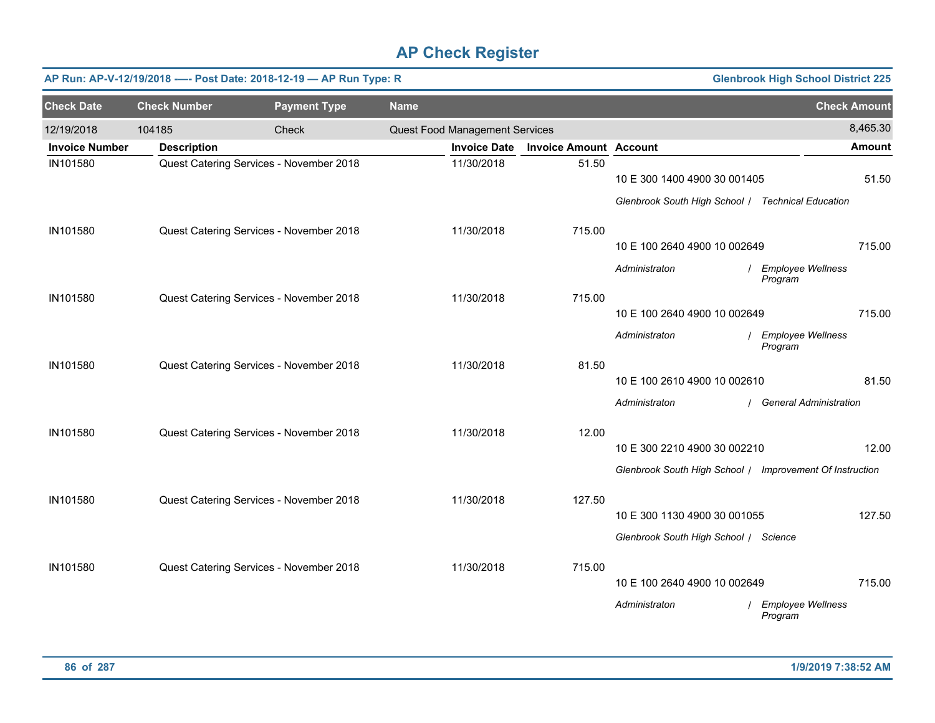|                       |                     | AP Run: AP-V-12/19/2018 ---- Post Date: 2018-12-19 - AP Run Type: R |             |                                |                               |                                                          | <b>Glenbrook High School District 225</b> |                     |
|-----------------------|---------------------|---------------------------------------------------------------------|-------------|--------------------------------|-------------------------------|----------------------------------------------------------|-------------------------------------------|---------------------|
| <b>Check Date</b>     | <b>Check Number</b> | <b>Payment Type</b>                                                 | <b>Name</b> |                                |                               |                                                          |                                           | <b>Check Amount</b> |
| 12/19/2018            | 104185              | Check                                                               |             | Quest Food Management Services |                               |                                                          |                                           | 8,465.30            |
| <b>Invoice Number</b> | <b>Description</b>  |                                                                     |             | <b>Invoice Date</b>            | <b>Invoice Amount Account</b> |                                                          |                                           | <b>Amount</b>       |
| IN101580              |                     | Quest Catering Services - November 2018                             |             | 11/30/2018                     | 51.50                         | 10 E 300 1400 4900 30 001405                             |                                           | 51.50               |
|                       |                     |                                                                     |             |                                |                               | Glenbrook South High School / Technical Education        |                                           |                     |
| IN101580              |                     | Quest Catering Services - November 2018                             |             | 11/30/2018                     | 715.00                        |                                                          |                                           |                     |
|                       |                     |                                                                     |             |                                |                               | 10 E 100 2640 4900 10 002649                             |                                           | 715.00              |
|                       |                     |                                                                     |             |                                |                               | Administraton                                            | <b>Employee Wellness</b><br>Program       |                     |
| IN101580              |                     | Quest Catering Services - November 2018                             |             | 11/30/2018                     | 715.00                        |                                                          |                                           |                     |
|                       |                     |                                                                     |             |                                |                               | 10 E 100 2640 4900 10 002649                             |                                           | 715.00              |
|                       |                     |                                                                     |             |                                |                               | Administraton                                            | Employee Wellness<br>Program              |                     |
| IN101580              |                     | Quest Catering Services - November 2018                             |             | 11/30/2018                     | 81.50                         | 10 E 100 2610 4900 10 002610                             |                                           | 81.50               |
|                       |                     |                                                                     |             |                                |                               |                                                          |                                           |                     |
|                       |                     |                                                                     |             |                                |                               | Administraton                                            | <b>General Administration</b>             |                     |
| IN101580              |                     | Quest Catering Services - November 2018                             |             | 11/30/2018                     | 12.00                         |                                                          |                                           |                     |
|                       |                     |                                                                     |             |                                |                               | 10 E 300 2210 4900 30 002210                             |                                           | 12.00               |
|                       |                     |                                                                     |             |                                |                               | Glenbrook South High School / Improvement Of Instruction |                                           |                     |
| IN101580              |                     | Quest Catering Services - November 2018                             |             | 11/30/2018                     | 127.50                        |                                                          |                                           |                     |
|                       |                     |                                                                     |             |                                |                               | 10 E 300 1130 4900 30 001055                             |                                           | 127.50              |
|                       |                     |                                                                     |             |                                |                               | Glenbrook South High School / Science                    |                                           |                     |
| IN101580              |                     | Quest Catering Services - November 2018                             |             | 11/30/2018                     | 715.00                        |                                                          |                                           |                     |
|                       |                     |                                                                     |             |                                |                               | 10 E 100 2640 4900 10 002649                             |                                           | 715.00              |
|                       |                     |                                                                     |             |                                |                               | Administraton                                            | <b>Employee Wellness</b><br>Program       |                     |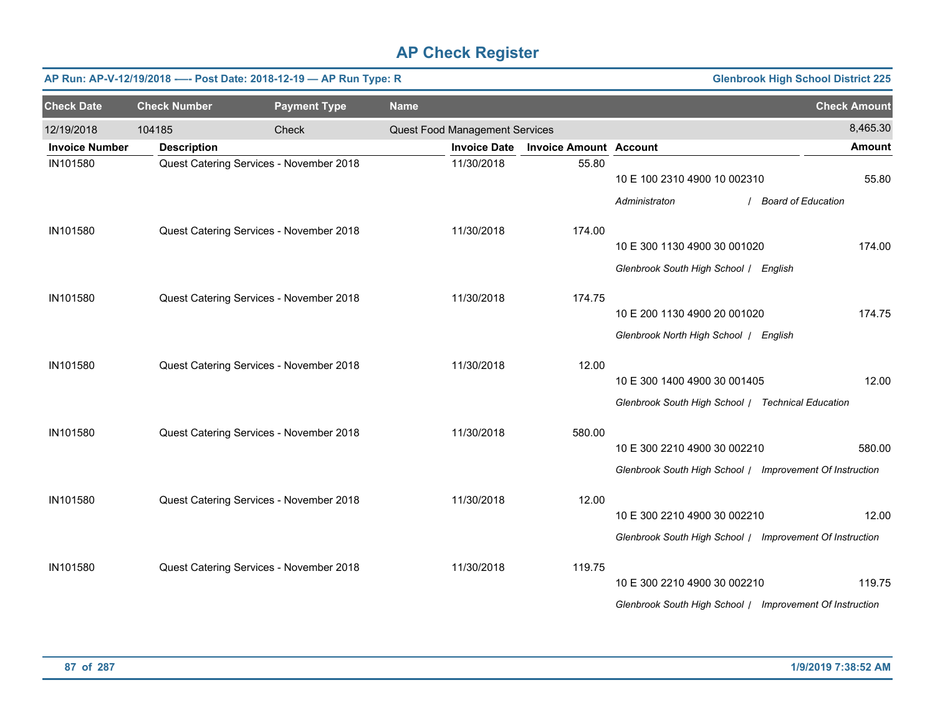|                       |                     | AP Run: AP-V-12/19/2018 ---- Post Date: 2018-12-19 - AP Run Type: R |             |                                |                               |                                                          | <b>Glenbrook High School District 225</b> |                     |
|-----------------------|---------------------|---------------------------------------------------------------------|-------------|--------------------------------|-------------------------------|----------------------------------------------------------|-------------------------------------------|---------------------|
| <b>Check Date</b>     | <b>Check Number</b> | <b>Payment Type</b>                                                 | <b>Name</b> |                                |                               |                                                          |                                           | <b>Check Amount</b> |
| 12/19/2018            | 104185              | Check                                                               |             | Quest Food Management Services |                               |                                                          |                                           | 8,465.30            |
| <b>Invoice Number</b> | <b>Description</b>  |                                                                     |             | <b>Invoice Date</b>            | <b>Invoice Amount Account</b> |                                                          |                                           | <b>Amount</b>       |
| IN101580              |                     | Quest Catering Services - November 2018                             |             | 11/30/2018                     | 55.80                         | 10 E 100 2310 4900 10 002310                             |                                           | 55.80               |
|                       |                     |                                                                     |             |                                |                               | Administraton                                            | / Board of Education                      |                     |
| IN101580              |                     | Quest Catering Services - November 2018                             |             | 11/30/2018                     | 174.00                        |                                                          |                                           |                     |
|                       |                     |                                                                     |             |                                |                               | 10 E 300 1130 4900 30 001020                             |                                           | 174.00              |
|                       |                     |                                                                     |             |                                |                               | Glenbrook South High School / English                    |                                           |                     |
| IN101580              |                     | Quest Catering Services - November 2018                             |             | 11/30/2018                     | 174.75                        |                                                          |                                           |                     |
|                       |                     |                                                                     |             |                                |                               | 10 E 200 1130 4900 20 001020                             |                                           | 174.75              |
|                       |                     |                                                                     |             |                                |                               | Glenbrook North High School / English                    |                                           |                     |
| IN101580              |                     | Quest Catering Services - November 2018                             |             | 11/30/2018                     | 12.00                         |                                                          |                                           |                     |
|                       |                     |                                                                     |             |                                |                               | 10 E 300 1400 4900 30 001405                             |                                           | 12.00               |
|                       |                     |                                                                     |             |                                |                               | Glenbrook South High School / Technical Education        |                                           |                     |
| IN101580              |                     | Quest Catering Services - November 2018                             |             | 11/30/2018                     | 580.00                        |                                                          |                                           |                     |
|                       |                     |                                                                     |             |                                |                               | 10 E 300 2210 4900 30 002210                             |                                           | 580.00              |
|                       |                     |                                                                     |             |                                |                               | Glenbrook South High School / Improvement Of Instruction |                                           |                     |
| IN101580              |                     | Quest Catering Services - November 2018                             |             | 11/30/2018                     | 12.00                         |                                                          |                                           |                     |
|                       |                     |                                                                     |             |                                |                               | 10 E 300 2210 4900 30 002210                             |                                           | 12.00               |
|                       |                     |                                                                     |             |                                |                               | Glenbrook South High School / Improvement Of Instruction |                                           |                     |
| IN101580              |                     | Quest Catering Services - November 2018                             |             | 11/30/2018                     | 119.75                        |                                                          |                                           |                     |
|                       |                     |                                                                     |             |                                |                               | 10 E 300 2210 4900 30 002210                             |                                           | 119.75              |
|                       |                     |                                                                     |             |                                |                               | Glenbrook South High School / Improvement Of Instruction |                                           |                     |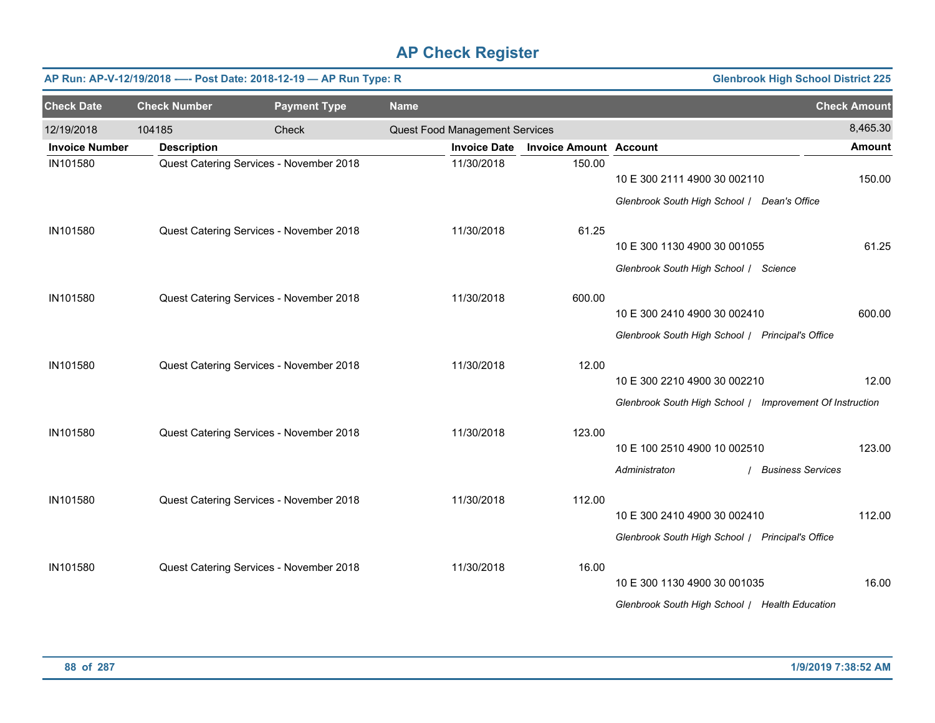|                       |                     | AP Run: AP-V-12/19/2018 ---- Post Date: 2018-12-19 - AP Run Type: R |             |                                |                               |                                                          | <b>Glenbrook High School District 225</b> |
|-----------------------|---------------------|---------------------------------------------------------------------|-------------|--------------------------------|-------------------------------|----------------------------------------------------------|-------------------------------------------|
| <b>Check Date</b>     | <b>Check Number</b> | <b>Payment Type</b>                                                 | <b>Name</b> |                                |                               |                                                          | <b>Check Amount</b>                       |
| 12/19/2018            | 104185              | Check                                                               |             | Quest Food Management Services |                               |                                                          | 8,465.30                                  |
| <b>Invoice Number</b> | <b>Description</b>  |                                                                     |             | <b>Invoice Date</b>            | <b>Invoice Amount Account</b> |                                                          | <b>Amount</b>                             |
| IN101580              |                     | Quest Catering Services - November 2018                             |             | 11/30/2018                     | 150.00                        | 10 E 300 2111 4900 30 002110                             | 150.00                                    |
|                       |                     |                                                                     |             |                                |                               | Glenbrook South High School / Dean's Office              |                                           |
| IN101580              |                     | Quest Catering Services - November 2018                             |             | 11/30/2018                     | 61.25                         |                                                          |                                           |
|                       |                     |                                                                     |             |                                |                               | 10 E 300 1130 4900 30 001055                             | 61.25                                     |
|                       |                     |                                                                     |             |                                |                               | Glenbrook South High School / Science                    |                                           |
| IN101580              |                     | Quest Catering Services - November 2018                             |             | 11/30/2018                     | 600.00                        |                                                          |                                           |
|                       |                     |                                                                     |             |                                |                               | 10 E 300 2410 4900 30 002410                             | 600.00                                    |
|                       |                     |                                                                     |             |                                |                               | Glenbrook South High School / Principal's Office         |                                           |
| IN101580              |                     | Quest Catering Services - November 2018                             |             | 11/30/2018                     | 12.00                         |                                                          |                                           |
|                       |                     |                                                                     |             |                                |                               | 10 E 300 2210 4900 30 002210                             | 12.00                                     |
|                       |                     |                                                                     |             |                                |                               | Glenbrook South High School / Improvement Of Instruction |                                           |
| IN101580              |                     | Quest Catering Services - November 2018                             |             | 11/30/2018                     | 123.00                        |                                                          |                                           |
|                       |                     |                                                                     |             |                                |                               | 10 E 100 2510 4900 10 002510                             | 123.00                                    |
|                       |                     |                                                                     |             |                                |                               | Administraton                                            | <b>Business Services</b>                  |
|                       |                     |                                                                     |             |                                |                               |                                                          |                                           |
| IN101580              |                     | Quest Catering Services - November 2018                             |             | 11/30/2018                     | 112.00                        | 10 E 300 2410 4900 30 002410                             | 112.00                                    |
|                       |                     |                                                                     |             |                                |                               |                                                          |                                           |
|                       |                     |                                                                     |             |                                |                               | Glenbrook South High School / Principal's Office         |                                           |
| IN101580              |                     | Quest Catering Services - November 2018                             |             | 11/30/2018                     | 16.00                         |                                                          |                                           |
|                       |                     |                                                                     |             |                                |                               | 10 E 300 1130 4900 30 001035                             | 16.00                                     |
|                       |                     |                                                                     |             |                                |                               | Glenbrook South High School / Health Education           |                                           |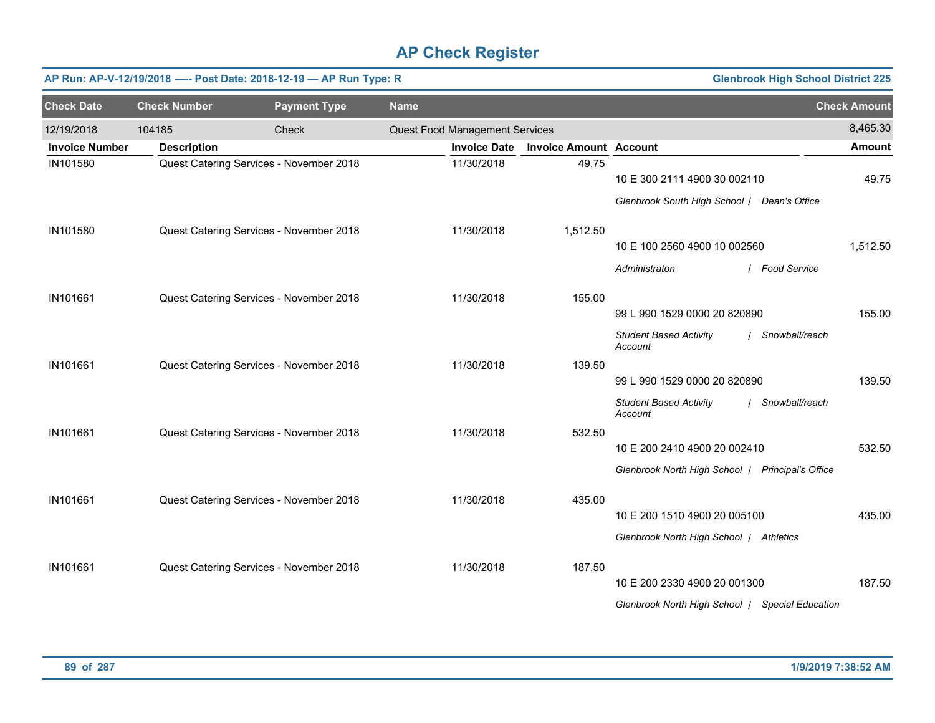|                       |                     | AP Run: AP-V-12/19/2018 ---- Post Date: 2018-12-19 - AP Run Type: R |             |                                |                               |                                                                                             | <b>Glenbrook High School District 225</b> |
|-----------------------|---------------------|---------------------------------------------------------------------|-------------|--------------------------------|-------------------------------|---------------------------------------------------------------------------------------------|-------------------------------------------|
| <b>Check Date</b>     | <b>Check Number</b> | <b>Payment Type</b>                                                 | <b>Name</b> |                                |                               |                                                                                             | <b>Check Amount</b>                       |
| 12/19/2018            | 104185              | Check                                                               |             | Quest Food Management Services |                               |                                                                                             | 8,465.30                                  |
| <b>Invoice Number</b> | <b>Description</b>  |                                                                     |             | <b>Invoice Date</b>            | <b>Invoice Amount Account</b> |                                                                                             | <b>Amount</b>                             |
| IN101580              |                     | Quest Catering Services - November 2018                             |             | 11/30/2018                     | 49.75                         | 10 E 300 2111 4900 30 002110<br>Glenbrook South High School / Dean's Office                 | 49.75                                     |
| IN101580              |                     | Quest Catering Services - November 2018                             |             | 11/30/2018                     | 1,512.50                      | 10 E 100 2560 4900 10 002560<br>Administraton                                               | 1,512.50<br>/ Food Service                |
| IN101661              |                     | Quest Catering Services - November 2018                             |             | 11/30/2018                     | 155.00                        | 99 L 990 1529 0000 20 820890<br><b>Student Based Activity</b><br>Account                    | 155.00<br>/ Snowball/reach                |
| IN101661              |                     | Quest Catering Services - November 2018                             |             | 11/30/2018                     | 139.50                        | 99 L 990 1529 0000 20 820890<br><b>Student Based Activity</b>                               | 139.50<br>/ Snowball/reach                |
| IN101661              |                     | Quest Catering Services - November 2018                             |             | 11/30/2018                     | 532.50                        | Account<br>10 E 200 2410 4900 20 002410<br>Glenbrook North High School   Principal's Office | 532.50                                    |
| IN101661              |                     | Quest Catering Services - November 2018                             |             | 11/30/2018                     | 435.00                        | 10 E 200 1510 4900 20 005100<br>Glenbrook North High School   Athletics                     | 435.00                                    |
| IN101661              |                     | Quest Catering Services - November 2018                             |             | 11/30/2018                     | 187.50                        | 10 E 200 2330 4900 20 001300<br>Glenbrook North High School   Special Education             | 187.50                                    |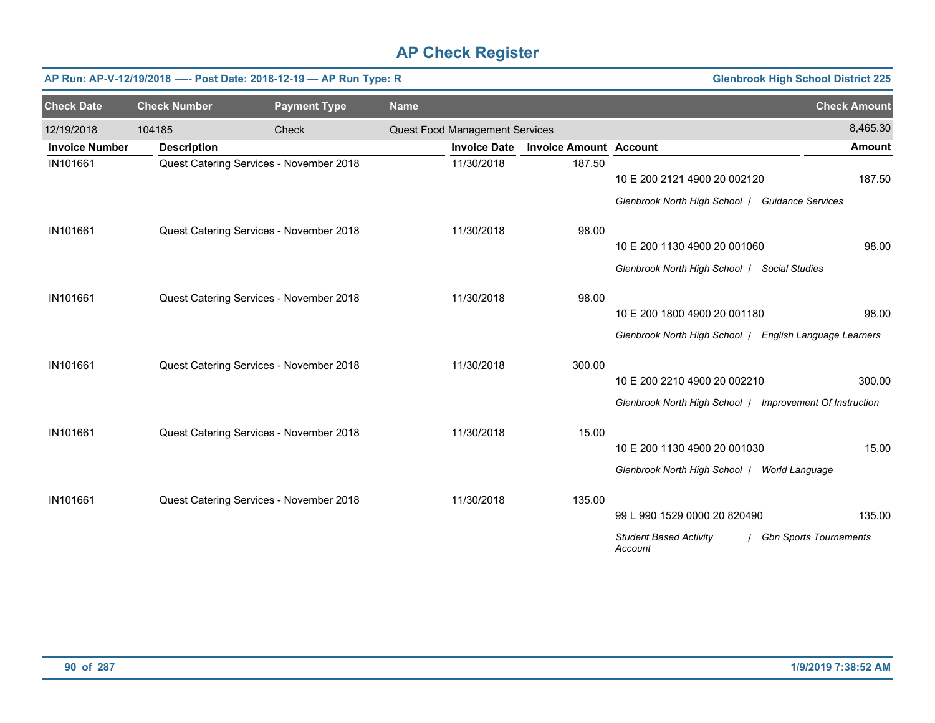|                       |                     | AP Run: AP-V-12/19/2018 ---- Post Date: 2018-12-19 - AP Run Type: R |                                |                               |                                                          | <b>Glenbrook High School District 225</b> |
|-----------------------|---------------------|---------------------------------------------------------------------|--------------------------------|-------------------------------|----------------------------------------------------------|-------------------------------------------|
| <b>Check Date</b>     | <b>Check Number</b> | <b>Payment Type</b>                                                 | <b>Name</b>                    |                               |                                                          | <b>Check Amount</b>                       |
| 12/19/2018            | 104185              | Check                                                               | Quest Food Management Services |                               |                                                          | 8,465.30                                  |
| <b>Invoice Number</b> | <b>Description</b>  |                                                                     | <b>Invoice Date</b>            | <b>Invoice Amount Account</b> |                                                          | <b>Amount</b>                             |
| IN101661              |                     | Quest Catering Services - November 2018                             | 11/30/2018                     | 187.50                        |                                                          |                                           |
|                       |                     |                                                                     |                                |                               | 10 E 200 2121 4900 20 002120                             | 187.50                                    |
|                       |                     |                                                                     |                                |                               | Glenbrook North High School   Guidance Services          |                                           |
| IN101661              |                     | Quest Catering Services - November 2018                             | 11/30/2018                     | 98.00                         |                                                          |                                           |
|                       |                     |                                                                     |                                |                               | 10 E 200 1130 4900 20 001060                             | 98.00                                     |
|                       |                     |                                                                     |                                |                               | Glenbrook North High School   Social Studies             |                                           |
| IN101661              |                     | Quest Catering Services - November 2018                             | 11/30/2018                     | 98.00                         |                                                          |                                           |
|                       |                     |                                                                     |                                |                               | 10 E 200 1800 4900 20 001180                             | 98.00                                     |
|                       |                     |                                                                     |                                |                               | Glenbrook North High School / English Language Learners  |                                           |
| IN101661              |                     | Quest Catering Services - November 2018                             | 11/30/2018                     | 300.00                        |                                                          |                                           |
|                       |                     |                                                                     |                                |                               | 10 E 200 2210 4900 20 002210                             | 300.00                                    |
|                       |                     |                                                                     |                                |                               | Glenbrook North High School   Improvement Of Instruction |                                           |
| IN101661              |                     | Quest Catering Services - November 2018                             | 11/30/2018                     | 15.00                         |                                                          |                                           |
|                       |                     |                                                                     |                                |                               | 10 E 200 1130 4900 20 001030                             | 15.00                                     |
|                       |                     |                                                                     |                                |                               | Glenbrook North High School   World Language             |                                           |
| IN101661              |                     | Quest Catering Services - November 2018                             | 11/30/2018                     | 135.00                        |                                                          |                                           |
|                       |                     |                                                                     |                                |                               | 99 L 990 1529 0000 20 820490                             | 135.00                                    |
|                       |                     |                                                                     |                                |                               | <b>Student Based Activity</b><br>Account                 | <b>Gbn Sports Tournaments</b>             |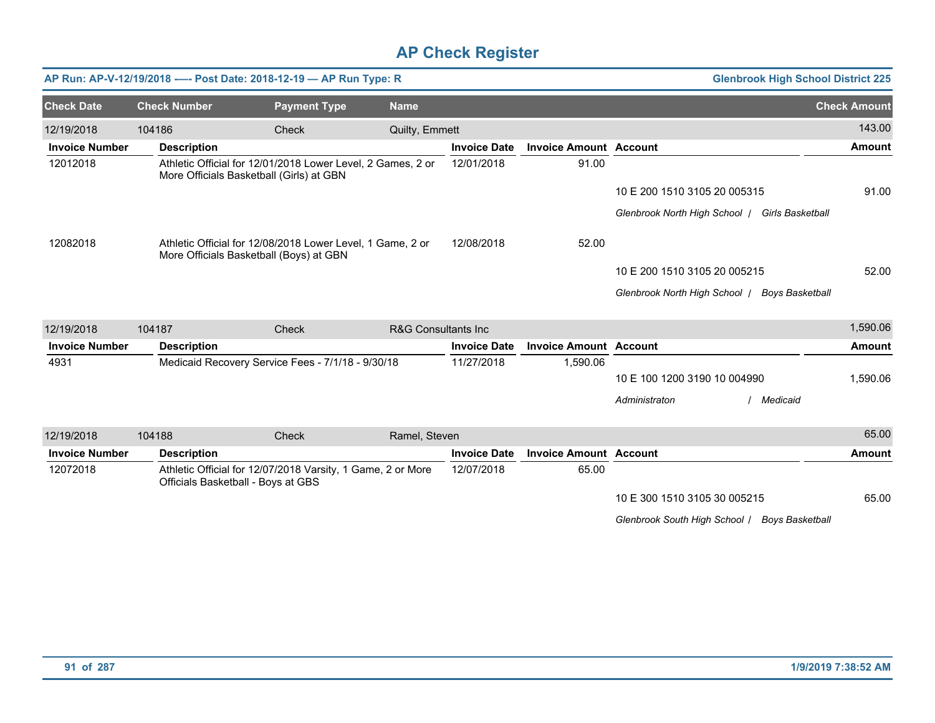|                       |                     | AP Run: AP-V-12/19/2018 ---- Post Date: 2018-12-19 - AP Run Type: R                                     |                                 |                     |                               |                              | <b>Glenbrook High School District 225</b>     |                     |
|-----------------------|---------------------|---------------------------------------------------------------------------------------------------------|---------------------------------|---------------------|-------------------------------|------------------------------|-----------------------------------------------|---------------------|
| <b>Check Date</b>     | <b>Check Number</b> | <b>Payment Type</b>                                                                                     | <b>Name</b>                     |                     |                               |                              |                                               | <b>Check Amount</b> |
| 12/19/2018            | 104186              | Check                                                                                                   | Quilty, Emmett                  |                     |                               |                              |                                               | 143.00              |
| <b>Invoice Number</b> | <b>Description</b>  |                                                                                                         |                                 | <b>Invoice Date</b> | <b>Invoice Amount Account</b> |                              |                                               | <b>Amount</b>       |
| 12012018              |                     | Athletic Official for 12/01/2018 Lower Level, 2 Games, 2 or<br>More Officials Basketball (Girls) at GBN |                                 | 12/01/2018          | 91.00                         |                              |                                               |                     |
|                       |                     |                                                                                                         |                                 |                     |                               | 10 E 200 1510 3105 20 005315 |                                               | 91.00               |
|                       |                     |                                                                                                         |                                 |                     |                               | Glenbrook North High School  | <b>Girls Basketball</b>                       |                     |
| 12082018              |                     | Athletic Official for 12/08/2018 Lower Level, 1 Game, 2 or<br>More Officials Basketball (Boys) at GBN   |                                 | 12/08/2018          | 52.00                         |                              |                                               |                     |
|                       |                     |                                                                                                         |                                 |                     |                               | 10 E 200 1510 3105 20 005215 |                                               | 52.00               |
|                       |                     |                                                                                                         |                                 |                     |                               |                              | Glenbrook North High School   Boys Basketball |                     |
| 12/19/2018            | 104187              | Check                                                                                                   | <b>R&amp;G Consultants Inc.</b> |                     |                               |                              |                                               | 1,590.06            |
| <b>Invoice Number</b> | <b>Description</b>  |                                                                                                         |                                 | <b>Invoice Date</b> | <b>Invoice Amount Account</b> |                              |                                               | <b>Amount</b>       |
| 4931                  |                     | Medicaid Recovery Service Fees - 7/1/18 - 9/30/18                                                       |                                 | 11/27/2018          | 1,590.06                      |                              |                                               |                     |
|                       |                     |                                                                                                         |                                 |                     |                               | 10 E 100 1200 3190 10 004990 |                                               | 1,590.06            |
|                       |                     |                                                                                                         |                                 |                     |                               | Administraton                | Medicaid                                      |                     |
| 12/19/2018            | 104188              | Check                                                                                                   | Ramel, Steven                   |                     |                               |                              |                                               | 65.00               |
| <b>Invoice Number</b> | <b>Description</b>  |                                                                                                         |                                 | <b>Invoice Date</b> | <b>Invoice Amount Account</b> |                              |                                               | <b>Amount</b>       |
| 12072018              |                     | Athletic Official for 12/07/2018 Varsity, 1 Game, 2 or More<br>Officials Basketball - Boys at GBS       |                                 | 12/07/2018          | 65.00                         |                              |                                               |                     |
|                       |                     |                                                                                                         |                                 |                     |                               | 10 E 300 1510 3105 30 005215 |                                               | 65.00               |

*Glenbrook South High School* / *Boys Basketball*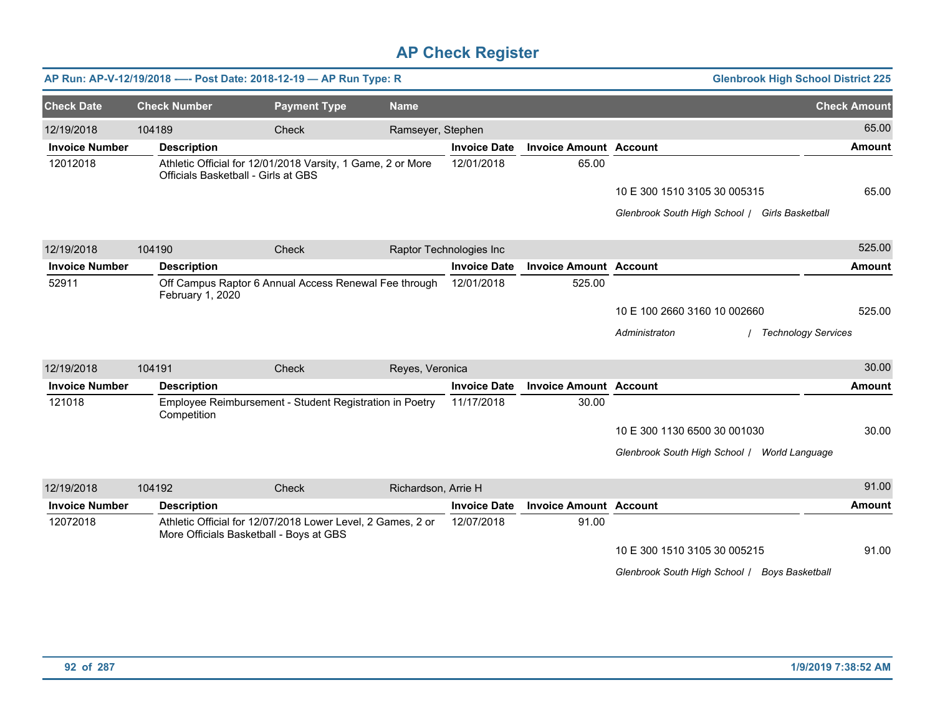|                       |                     | AP Run: AP-V-12/19/2018 ---- Post Date: 2018-12-19 - AP Run Type: R                                    |                     |                         |                               | <b>Glenbrook High School District 225</b>      |                     |
|-----------------------|---------------------|--------------------------------------------------------------------------------------------------------|---------------------|-------------------------|-------------------------------|------------------------------------------------|---------------------|
| <b>Check Date</b>     | <b>Check Number</b> | <b>Payment Type</b>                                                                                    | <b>Name</b>         |                         |                               |                                                | <b>Check Amount</b> |
| 12/19/2018            | 104189              | <b>Check</b>                                                                                           | Ramseyer, Stephen   |                         |                               |                                                | 65.00               |
| <b>Invoice Number</b> | <b>Description</b>  |                                                                                                        |                     | <b>Invoice Date</b>     | <b>Invoice Amount Account</b> |                                                | <b>Amount</b>       |
| 12012018              |                     | Athletic Official for 12/01/2018 Varsity, 1 Game, 2 or More<br>Officials Basketball - Girls at GBS     |                     | 12/01/2018              | 65.00                         |                                                |                     |
|                       |                     |                                                                                                        |                     |                         |                               | 10 E 300 1510 3105 30 005315                   | 65.00               |
|                       |                     |                                                                                                        |                     |                         |                               | Glenbrook South High School / Girls Basketball |                     |
| 12/19/2018            | 104190              | Check                                                                                                  |                     | Raptor Technologies Inc |                               |                                                | 525.00              |
| <b>Invoice Number</b> | <b>Description</b>  |                                                                                                        |                     | <b>Invoice Date</b>     | <b>Invoice Amount Account</b> |                                                | <b>Amount</b>       |
| 52911                 | February 1, 2020    | Off Campus Raptor 6 Annual Access Renewal Fee through                                                  |                     | 12/01/2018              | 525.00                        |                                                |                     |
|                       |                     |                                                                                                        |                     |                         |                               | 10 E 100 2660 3160 10 002660                   | 525.00              |
|                       |                     |                                                                                                        |                     |                         |                               | Administraton<br>/ Technology Services         |                     |
| 12/19/2018            | 104191              | Check                                                                                                  | Reyes, Veronica     |                         |                               |                                                | 30.00               |
| <b>Invoice Number</b> | <b>Description</b>  |                                                                                                        |                     | <b>Invoice Date</b>     | <b>Invoice Amount Account</b> |                                                | <b>Amount</b>       |
| 121018                | Competition         | Employee Reimbursement - Student Registration in Poetry                                                |                     | 11/17/2018              | 30.00                         |                                                |                     |
|                       |                     |                                                                                                        |                     |                         |                               | 10 E 300 1130 6500 30 001030                   | 30.00               |
|                       |                     |                                                                                                        |                     |                         |                               | Glenbrook South High School / World Language   |                     |
| 12/19/2018            | 104192              | Check                                                                                                  | Richardson, Arrie H |                         |                               |                                                | 91.00               |
| <b>Invoice Number</b> | <b>Description</b>  |                                                                                                        |                     | <b>Invoice Date</b>     | <b>Invoice Amount Account</b> |                                                | <b>Amount</b>       |
| 12072018              |                     | Athletic Official for 12/07/2018 Lower Level, 2 Games, 2 or<br>More Officials Basketball - Boys at GBS |                     | 12/07/2018              | 91.00                         |                                                |                     |
|                       |                     |                                                                                                        |                     |                         |                               | 10 E 300 1510 3105 30 005215                   | 91.00               |
|                       |                     |                                                                                                        |                     |                         |                               | Glenbrook South High School / Boys Basketball  |                     |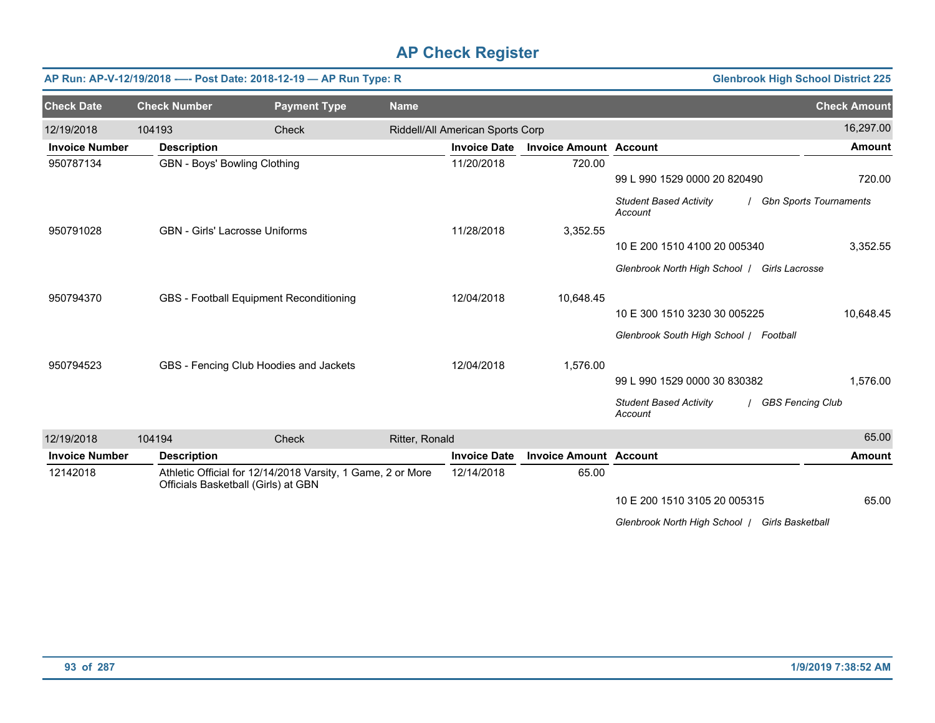|                       |                                       | AP Run: AP-V-12/19/2018 ---- Post Date: 2018-12-19 - AP Run Type: R                                |                |                                  |                               | <b>Glenbrook High School District 225</b>                           |                          |
|-----------------------|---------------------------------------|----------------------------------------------------------------------------------------------------|----------------|----------------------------------|-------------------------------|---------------------------------------------------------------------|--------------------------|
| <b>Check Date</b>     | <b>Check Number</b>                   | <b>Payment Type</b>                                                                                | <b>Name</b>    |                                  |                               |                                                                     | <b>Check Amount</b>      |
| 12/19/2018            | 104193                                | Check                                                                                              |                | Riddell/All American Sports Corp |                               |                                                                     | 16,297.00                |
| <b>Invoice Number</b> | <b>Description</b>                    |                                                                                                    |                | <b>Invoice Date</b>              | <b>Invoice Amount Account</b> |                                                                     | <b>Amount</b>            |
| 950787134             | GBN - Boys' Bowling Clothing          |                                                                                                    |                | 11/20/2018                       | 720.00                        |                                                                     |                          |
|                       |                                       |                                                                                                    |                |                                  |                               | 99 L 990 1529 0000 20 820490                                        | 720.00                   |
|                       |                                       |                                                                                                    |                |                                  |                               | <b>Student Based Activity</b><br>Account                            | / Gbn Sports Tournaments |
| 950791028             | <b>GBN</b> - Girls' Lacrosse Uniforms |                                                                                                    |                | 11/28/2018                       | 3,352.55                      |                                                                     |                          |
|                       |                                       |                                                                                                    |                |                                  |                               | 10 E 200 1510 4100 20 005340                                        | 3,352.55                 |
|                       |                                       |                                                                                                    |                |                                  |                               | Glenbrook North High School /<br>Girls Lacrosse                     |                          |
| 950794370             |                                       | GBS - Football Equipment Reconditioning                                                            |                | 12/04/2018                       | 10,648.45                     |                                                                     |                          |
|                       |                                       |                                                                                                    |                |                                  |                               | 10 E 300 1510 3230 30 005225                                        | 10.648.45                |
|                       |                                       |                                                                                                    |                |                                  |                               | Glenbrook South High School / Football                              |                          |
| 950794523             |                                       | GBS - Fencing Club Hoodies and Jackets                                                             |                | 12/04/2018                       | 1,576.00                      |                                                                     |                          |
|                       |                                       |                                                                                                    |                |                                  |                               | 99 L 990 1529 0000 30 830382                                        | 1,576.00                 |
|                       |                                       |                                                                                                    |                |                                  |                               | <b>Student Based Activity</b><br><b>GBS Fencing Club</b><br>Account |                          |
| 12/19/2018            | 104194                                | Check                                                                                              | Ritter, Ronald |                                  |                               |                                                                     | 65.00                    |
| <b>Invoice Number</b> | <b>Description</b>                    |                                                                                                    |                | <b>Invoice Date</b>              | <b>Invoice Amount Account</b> |                                                                     | <b>Amount</b>            |
| 12142018              |                                       | Athletic Official for 12/14/2018 Varsity, 1 Game, 2 or More<br>Officials Basketball (Girls) at GBN |                | 12/14/2018                       | 65.00                         |                                                                     |                          |
|                       |                                       |                                                                                                    |                |                                  |                               | 10 E 200 1510 3105 20 005315                                        | 65.00                    |
|                       |                                       |                                                                                                    |                |                                  |                               | Glenbrook North High School   Girls Basketball                      |                          |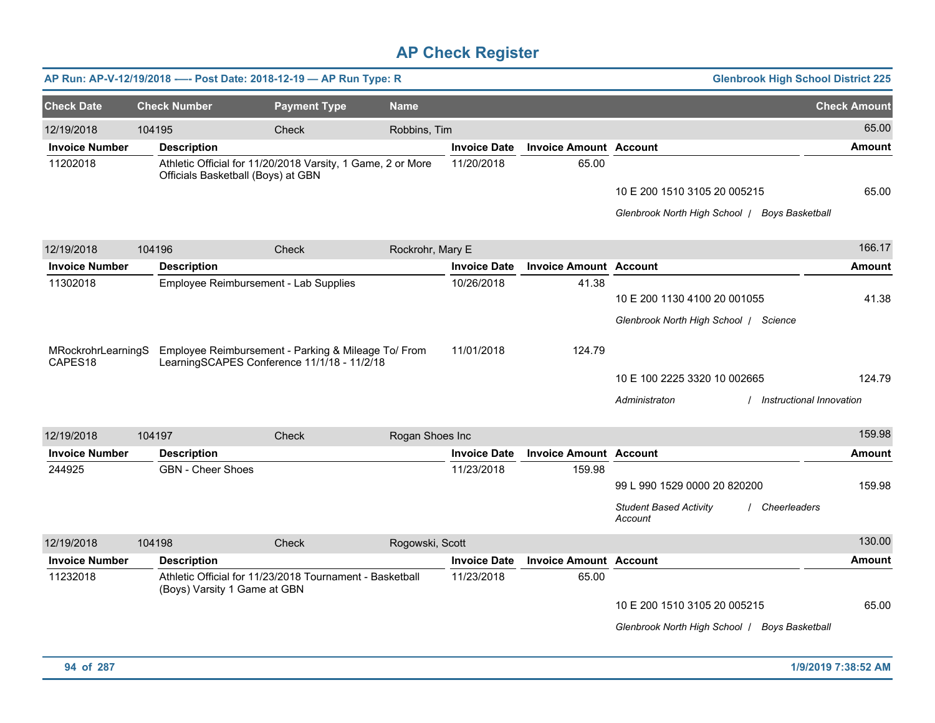|                                           |        |                                       | AP Run: AP-V-12/19/2018 ---- Post Date: 2018-12-19 - AP Run Type: R                                |                  |                     |                               | <b>Glenbrook High School District 225</b>                                                |                     |
|-------------------------------------------|--------|---------------------------------------|----------------------------------------------------------------------------------------------------|------------------|---------------------|-------------------------------|------------------------------------------------------------------------------------------|---------------------|
| <b>Check Date</b>                         |        | <b>Check Number</b>                   | <b>Payment Type</b>                                                                                | <b>Name</b>      |                     |                               |                                                                                          | <b>Check Amount</b> |
| 12/19/2018                                | 104195 |                                       | Check                                                                                              | Robbins, Tim     |                     |                               |                                                                                          | 65.00               |
| <b>Invoice Number</b>                     |        | <b>Description</b>                    |                                                                                                    |                  | <b>Invoice Date</b> | <b>Invoice Amount Account</b> |                                                                                          | Amount              |
| 11202018                                  |        | Officials Basketball (Boys) at GBN    | Athletic Official for 11/20/2018 Varsity, 1 Game, 2 or More                                        |                  | 11/20/2018          | 65.00                         | 10 E 200 1510 3105 20 005215<br>Glenbrook North High School   Boys Basketball            | 65.00               |
| 12/19/2018                                |        | 104196                                | Check                                                                                              | Rockrohr, Mary E |                     |                               |                                                                                          | 166.17              |
| <b>Invoice Number</b>                     |        | <b>Description</b>                    |                                                                                                    |                  | <b>Invoice Date</b> | <b>Invoice Amount Account</b> |                                                                                          | <b>Amount</b>       |
| 11302018                                  |        | Employee Reimbursement - Lab Supplies |                                                                                                    |                  | 10/26/2018          | 41.38                         | 10 E 200 1130 4100 20 001055<br>Glenbrook North High School / Science                    | 41.38               |
| MRockrohrLearningS<br>CAPES <sub>18</sub> |        |                                       | Employee Reimbursement - Parking & Mileage To/ From<br>LearningSCAPES Conference 11/1/18 - 11/2/18 |                  | 11/01/2018          | 124.79                        | 10 E 100 2225 3320 10 002665<br>/ Instructional Innovation<br>Administraton              | 124.79              |
| 12/19/2018                                | 104197 |                                       | Check                                                                                              | Rogan Shoes Inc  |                     |                               |                                                                                          | 159.98              |
| <b>Invoice Number</b>                     |        | <b>Description</b>                    |                                                                                                    |                  | <b>Invoice Date</b> | <b>Invoice Amount Account</b> |                                                                                          | <b>Amount</b>       |
| 244925                                    |        | <b>GBN</b> - Cheer Shoes              |                                                                                                    |                  | 11/23/2018          | 159.98                        | 99 L 990 1529 0000 20 820200<br><b>Student Based Activity</b><br>Cheerleaders<br>Account | 159.98              |
| 12/19/2018                                | 104198 |                                       | <b>Check</b>                                                                                       | Rogowski, Scott  |                     |                               |                                                                                          | 130.00              |
| <b>Invoice Number</b>                     |        | <b>Description</b>                    |                                                                                                    |                  | <b>Invoice Date</b> | <b>Invoice Amount Account</b> |                                                                                          | <b>Amount</b>       |
| 11232018                                  |        | (Boys) Varsity 1 Game at GBN          | Athletic Official for 11/23/2018 Tournament - Basketball                                           |                  | 11/23/2018          | 65.00                         | 10 E 200 1510 3105 20 005215<br>Glenbrook North High School   Boys Basketball            | 65.00               |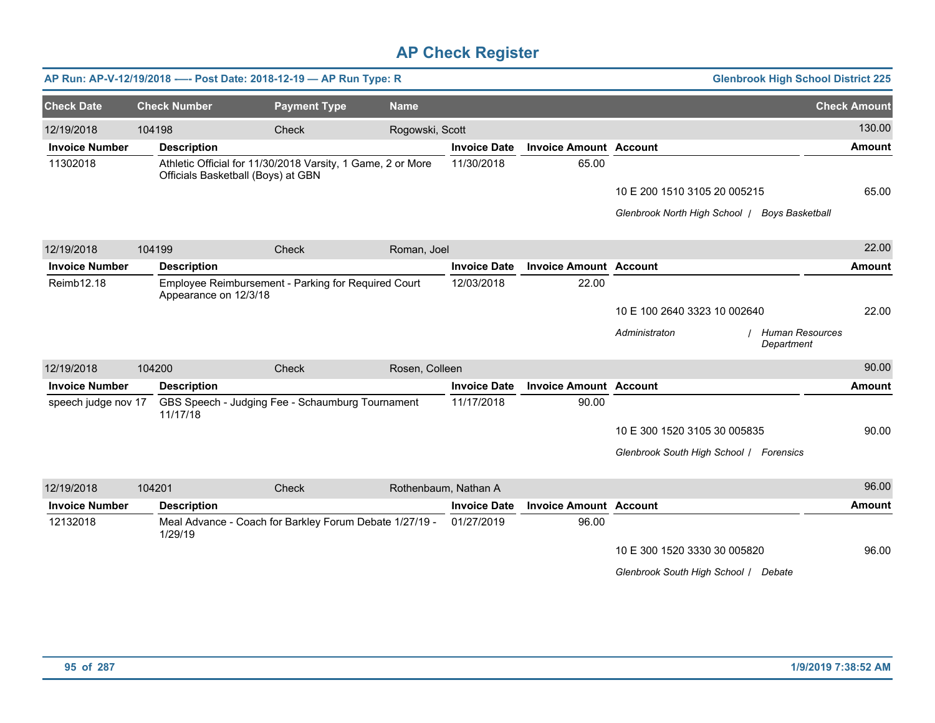|                       |        |                                    | AP Run: AP-V-12/19/2018 ---- Post Date: 2018-12-19 - AP Run Type: R |                      |                     |                               |                                               | <b>Glenbrook High School District 225</b> |
|-----------------------|--------|------------------------------------|---------------------------------------------------------------------|----------------------|---------------------|-------------------------------|-----------------------------------------------|-------------------------------------------|
| <b>Check Date</b>     |        | <b>Check Number</b>                | <b>Payment Type</b>                                                 | <b>Name</b>          |                     |                               |                                               | <b>Check Amount</b>                       |
| 12/19/2018            | 104198 |                                    | Check                                                               | Rogowski, Scott      |                     |                               |                                               | 130.00                                    |
| <b>Invoice Number</b> |        | <b>Description</b>                 |                                                                     |                      | <b>Invoice Date</b> | <b>Invoice Amount Account</b> |                                               | <b>Amount</b>                             |
| 11302018              |        | Officials Basketball (Boys) at GBN | Athletic Official for 11/30/2018 Varsity, 1 Game, 2 or More         |                      | 11/30/2018          | 65.00                         |                                               |                                           |
|                       |        |                                    |                                                                     |                      |                     |                               | 10 E 200 1510 3105 20 005215                  | 65.00                                     |
|                       |        |                                    |                                                                     |                      |                     |                               | Glenbrook North High School   Boys Basketball |                                           |
| 12/19/2018            | 104199 |                                    | Check                                                               | Roman, Joel          |                     |                               |                                               | 22.00                                     |
| <b>Invoice Number</b> |        | <b>Description</b>                 |                                                                     |                      | <b>Invoice Date</b> | <b>Invoice Amount Account</b> |                                               | <b>Amount</b>                             |
| Reimb12.18            |        | Appearance on 12/3/18              | Employee Reimbursement - Parking for Required Court                 |                      | 12/03/2018          | 22.00                         |                                               |                                           |
|                       |        |                                    |                                                                     |                      |                     |                               | 10 E 100 2640 3323 10 002640                  | 22.00                                     |
|                       |        |                                    |                                                                     |                      |                     |                               | Administraton<br>Department                   | Human Resources                           |
| 12/19/2018            | 104200 |                                    | Check                                                               | Rosen, Colleen       |                     |                               |                                               | 90.00                                     |
| <b>Invoice Number</b> |        | <b>Description</b>                 |                                                                     |                      | <b>Invoice Date</b> | <b>Invoice Amount Account</b> |                                               | <b>Amount</b>                             |
| speech judge nov 17   |        | 11/17/18                           | GBS Speech - Judging Fee - Schaumburg Tournament                    |                      | 11/17/2018          | 90.00                         |                                               |                                           |
|                       |        |                                    |                                                                     |                      |                     |                               | 10 E 300 1520 3105 30 005835                  | 90.00                                     |
|                       |        |                                    |                                                                     |                      |                     |                               | Glenbrook South High School / Forensics       |                                           |
| 12/19/2018            | 104201 |                                    | Check                                                               | Rothenbaum, Nathan A |                     |                               |                                               | 96.00                                     |
| <b>Invoice Number</b> |        | <b>Description</b>                 |                                                                     |                      | <b>Invoice Date</b> | <b>Invoice Amount Account</b> |                                               | Amount                                    |
| 12132018              |        | 1/29/19                            | Meal Advance - Coach for Barkley Forum Debate 1/27/19 -             |                      | 01/27/2019          | 96.00                         |                                               |                                           |
|                       |        |                                    |                                                                     |                      |                     |                               | 10 E 300 1520 3330 30 005820                  | 96.00                                     |
|                       |        |                                    |                                                                     |                      |                     |                               | Glenbrook South High School / Debate          |                                           |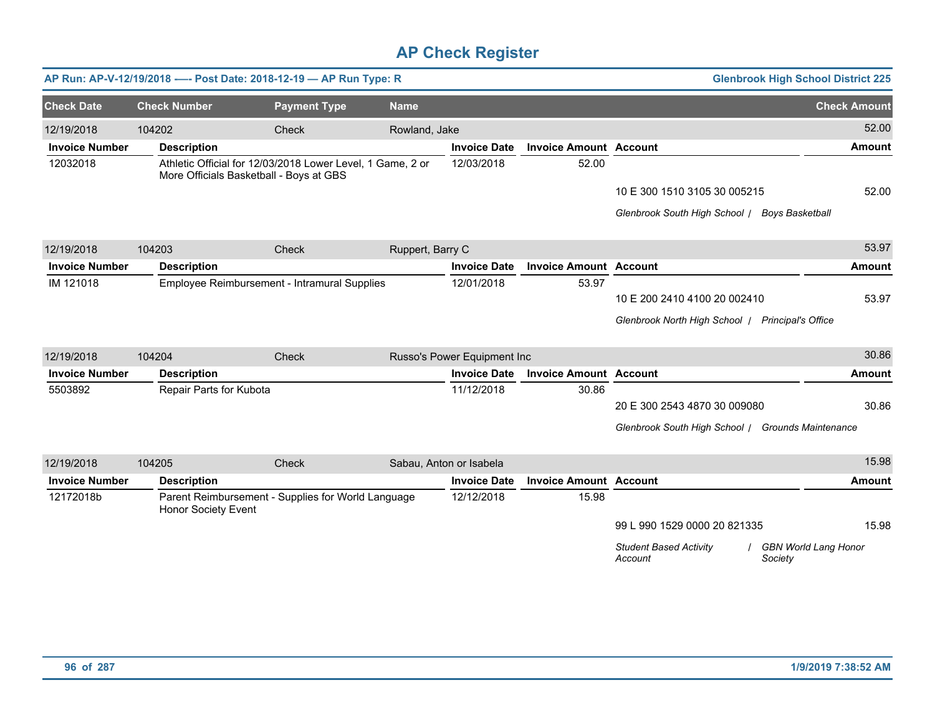|                       |                         | AP Run: AP-V-12/19/2018 ---- Post Date: 2018-12-19 - AP Run Type: R                                   |                  |                             |                               |                                                   | <b>Glenbrook High School District 225</b> |
|-----------------------|-------------------------|-------------------------------------------------------------------------------------------------------|------------------|-----------------------------|-------------------------------|---------------------------------------------------|-------------------------------------------|
| <b>Check Date</b>     | <b>Check Number</b>     | <b>Payment Type</b>                                                                                   | <b>Name</b>      |                             |                               |                                                   | <b>Check Amount</b>                       |
| 12/19/2018            | 104202                  | Check                                                                                                 | Rowland, Jake    |                             |                               |                                                   | 52.00                                     |
| <b>Invoice Number</b> | <b>Description</b>      |                                                                                                       |                  | <b>Invoice Date</b>         | <b>Invoice Amount Account</b> |                                                   | <b>Amount</b>                             |
| 12032018              |                         | Athletic Official for 12/03/2018 Lower Level, 1 Game, 2 or<br>More Officials Basketball - Boys at GBS |                  | 12/03/2018                  | 52.00                         |                                                   |                                           |
|                       |                         |                                                                                                       |                  |                             |                               | 10 E 300 1510 3105 30 005215                      | 52.00                                     |
|                       |                         |                                                                                                       |                  |                             |                               | Glenbrook South High School / Boys Basketball     |                                           |
| 12/19/2018            | 104203                  | Check                                                                                                 | Ruppert, Barry C |                             |                               |                                                   | 53.97                                     |
| <b>Invoice Number</b> | <b>Description</b>      |                                                                                                       |                  | <b>Invoice Date</b>         | <b>Invoice Amount Account</b> |                                                   | <b>Amount</b>                             |
| IM 121018             |                         | Employee Reimbursement - Intramural Supplies                                                          |                  | 12/01/2018                  | 53.97                         |                                                   |                                           |
|                       |                         |                                                                                                       |                  |                             |                               | 10 E 200 2410 4100 20 002410                      | 53.97                                     |
|                       |                         |                                                                                                       |                  |                             |                               | Glenbrook North High School   Principal's Office  |                                           |
| 12/19/2018            | 104204                  | Check                                                                                                 |                  | Russo's Power Equipment Inc |                               |                                                   | 30.86                                     |
| <b>Invoice Number</b> | <b>Description</b>      |                                                                                                       |                  | <b>Invoice Date</b>         | <b>Invoice Amount Account</b> |                                                   | <b>Amount</b>                             |
| 5503892               | Repair Parts for Kubota |                                                                                                       |                  | 11/12/2018                  | 30.86                         |                                                   |                                           |
|                       |                         |                                                                                                       |                  |                             |                               | 20 E 300 2543 4870 30 009080                      | 30.86                                     |
|                       |                         |                                                                                                       |                  |                             |                               | Glenbrook South High School / Grounds Maintenance |                                           |
| 12/19/2018            | 104205                  | Check                                                                                                 |                  | Sabau, Anton or Isabela     |                               |                                                   | 15.98                                     |
| <b>Invoice Number</b> | <b>Description</b>      |                                                                                                       |                  | <b>Invoice Date</b>         | <b>Invoice Amount Account</b> |                                                   | <b>Amount</b>                             |
| 12172018b             | Honor Society Event     | Parent Reimbursement - Supplies for World Language                                                    |                  | 12/12/2018                  | 15.98                         |                                                   |                                           |
|                       |                         |                                                                                                       |                  |                             |                               | 99 L 990 1529 0000 20 821335                      | 15.98                                     |
|                       |                         |                                                                                                       |                  |                             |                               | <b>Student Based Activity</b><br>Account          | <b>GBN World Lang Honor</b><br>Society    |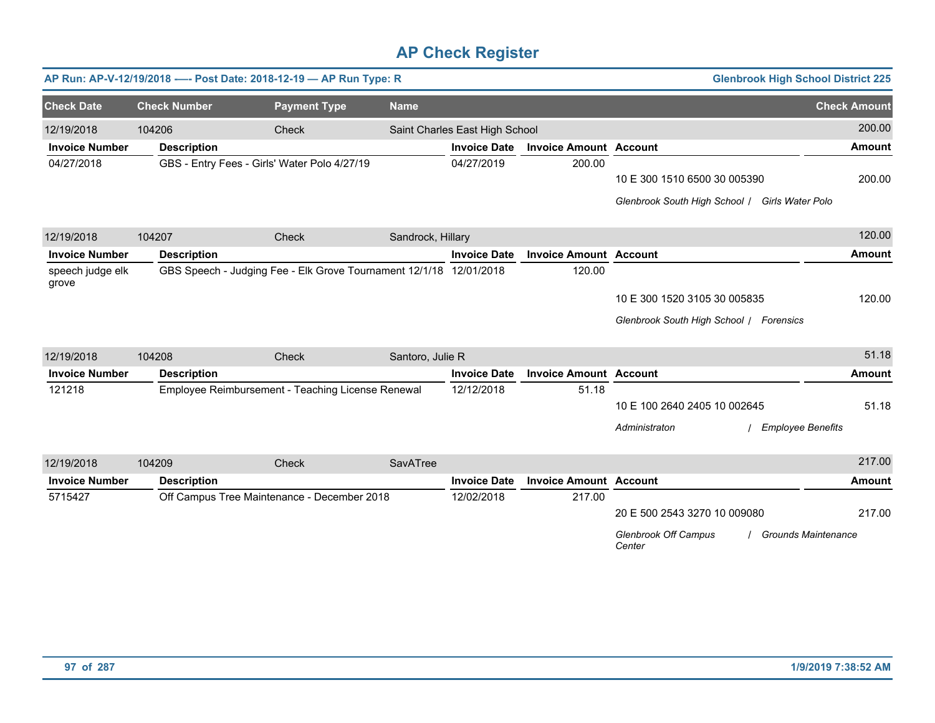|                           |                     | AP Run: AP-V-12/19/2018 ---- Post Date: 2018-12-19 - AP Run Type: R |                   |                                |                               | <b>Glenbrook High School District 225</b>      |                            |
|---------------------------|---------------------|---------------------------------------------------------------------|-------------------|--------------------------------|-------------------------------|------------------------------------------------|----------------------------|
| <b>Check Date</b>         | <b>Check Number</b> | <b>Payment Type</b>                                                 | <b>Name</b>       |                                |                               |                                                | <b>Check Amount</b>        |
| 12/19/2018                | 104206              | Check                                                               |                   | Saint Charles East High School |                               |                                                | 200.00                     |
| <b>Invoice Number</b>     | <b>Description</b>  |                                                                     |                   | <b>Invoice Date</b>            | <b>Invoice Amount Account</b> |                                                | <b>Amount</b>              |
| 04/27/2018                |                     | GBS - Entry Fees - Girls' Water Polo 4/27/19                        |                   | 04/27/2019                     | 200.00                        |                                                |                            |
|                           |                     |                                                                     |                   |                                |                               | 10 E 300 1510 6500 30 005390                   | 200.00                     |
|                           |                     |                                                                     |                   |                                |                               | Glenbrook South High School / Girls Water Polo |                            |
| 12/19/2018                | 104207              | Check                                                               | Sandrock, Hillary |                                |                               |                                                | 120.00                     |
| <b>Invoice Number</b>     | <b>Description</b>  |                                                                     |                   | <b>Invoice Date</b>            | <b>Invoice Amount Account</b> |                                                | <b>Amount</b>              |
| speech judge elk<br>grove |                     | GBS Speech - Judging Fee - Elk Grove Tournament 12/1/18 12/01/2018  |                   |                                | 120.00                        |                                                |                            |
|                           |                     |                                                                     |                   |                                |                               | 10 E 300 1520 3105 30 005835                   | 120.00                     |
|                           |                     |                                                                     |                   |                                |                               | Glenbrook South High School   Forensics        |                            |
| 12/19/2018                | 104208              | Check                                                               | Santoro, Julie R  |                                |                               |                                                | 51.18                      |
| <b>Invoice Number</b>     | <b>Description</b>  |                                                                     |                   | <b>Invoice Date</b>            | <b>Invoice Amount Account</b> |                                                | <b>Amount</b>              |
| 121218                    |                     | Employee Reimbursement - Teaching License Renewal                   |                   | 12/12/2018                     | 51.18                         |                                                |                            |
|                           |                     |                                                                     |                   |                                |                               | 10 E 100 2640 2405 10 002645                   | 51.18                      |
|                           |                     |                                                                     |                   |                                |                               | Administraton<br><b>Employee Benefits</b>      |                            |
| 12/19/2018                | 104209              | Check                                                               | SavATree          |                                |                               |                                                | 217.00                     |
| <b>Invoice Number</b>     | <b>Description</b>  |                                                                     |                   | <b>Invoice Date</b>            | <b>Invoice Amount Account</b> |                                                | <b>Amount</b>              |
| 5715427                   |                     | Off Campus Tree Maintenance - December 2018                         |                   | 12/02/2018                     | 217.00                        |                                                |                            |
|                           |                     |                                                                     |                   |                                |                               | 20 E 500 2543 3270 10 009080                   | 217.00                     |
|                           |                     |                                                                     |                   |                                |                               | <b>Glenbrook Off Campus</b><br>Center          | <b>Grounds Maintenance</b> |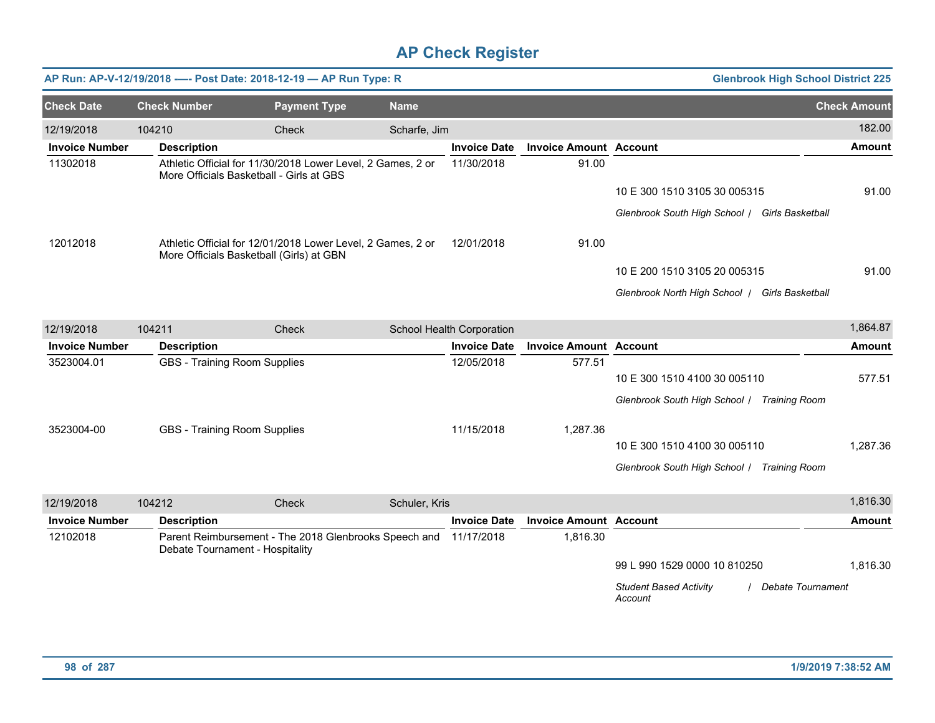|                       |                     | AP Run: AP-V-12/19/2018 ---- Post Date: 2018-12-19 - AP Run Type: R                                     |               |                           |                               | <b>Glenbrook High School District 225</b>                     |                     |
|-----------------------|---------------------|---------------------------------------------------------------------------------------------------------|---------------|---------------------------|-------------------------------|---------------------------------------------------------------|---------------------|
| <b>Check Date</b>     | <b>Check Number</b> | <b>Payment Type</b>                                                                                     | <b>Name</b>   |                           |                               |                                                               | <b>Check Amount</b> |
| 12/19/2018            | 104210              | Check                                                                                                   | Scharfe, Jim  |                           |                               |                                                               | 182.00              |
| <b>Invoice Number</b> | <b>Description</b>  |                                                                                                         |               | <b>Invoice Date</b>       | <b>Invoice Amount Account</b> |                                                               | <b>Amount</b>       |
| 11302018              |                     | Athletic Official for 11/30/2018 Lower Level, 2 Games, 2 or<br>More Officials Basketball - Girls at GBS |               | 11/30/2018                | 91.00                         |                                                               |                     |
|                       |                     |                                                                                                         |               |                           |                               | 10 E 300 1510 3105 30 005315                                  | 91.00               |
|                       |                     |                                                                                                         |               |                           |                               | Glenbrook South High School / Girls Basketball                |                     |
| 12012018              |                     | Athletic Official for 12/01/2018 Lower Level, 2 Games, 2 or<br>More Officials Basketball (Girls) at GBN |               | 12/01/2018                | 91.00                         |                                                               |                     |
|                       |                     |                                                                                                         |               |                           |                               | 10 E 200 1510 3105 20 005315                                  | 91.00               |
|                       |                     |                                                                                                         |               |                           |                               | Glenbrook North High School   Girls Basketball                |                     |
| 12/19/2018            | 104211              | Check                                                                                                   |               | School Health Corporation |                               |                                                               | 1,864.87            |
| <b>Invoice Number</b> | <b>Description</b>  |                                                                                                         |               | <b>Invoice Date</b>       | <b>Invoice Amount Account</b> |                                                               | <b>Amount</b>       |
| 3523004.01            |                     | <b>GBS - Training Room Supplies</b>                                                                     |               | 12/05/2018                | 577.51                        |                                                               |                     |
|                       |                     |                                                                                                         |               |                           |                               | 10 E 300 1510 4100 30 005110                                  | 577.51              |
|                       |                     |                                                                                                         |               |                           |                               | Glenbrook South High School   Training Room                   |                     |
| 3523004-00            |                     | <b>GBS - Training Room Supplies</b>                                                                     |               | 11/15/2018                | 1,287.36                      |                                                               |                     |
|                       |                     |                                                                                                         |               |                           |                               | 10 E 300 1510 4100 30 005110                                  | 1,287.36            |
|                       |                     |                                                                                                         |               |                           |                               | Glenbrook South High School   Training Room                   |                     |
| 12/19/2018            | 104212              | Check                                                                                                   | Schuler, Kris |                           |                               |                                                               | 1,816.30            |
| <b>Invoice Number</b> | <b>Description</b>  |                                                                                                         |               | <b>Invoice Date</b>       | <b>Invoice Amount Account</b> |                                                               | <b>Amount</b>       |
| 12102018              |                     | Parent Reimbursement - The 2018 Glenbrooks Speech and<br>Debate Tournament - Hospitality                |               | 11/17/2018                | 1,816.30                      |                                                               |                     |
|                       |                     |                                                                                                         |               |                           |                               | 99 L 990 1529 0000 10 810250                                  | 1,816.30            |
|                       |                     |                                                                                                         |               |                           |                               | <b>Student Based Activity</b><br>Debate Tournament<br>Account |                     |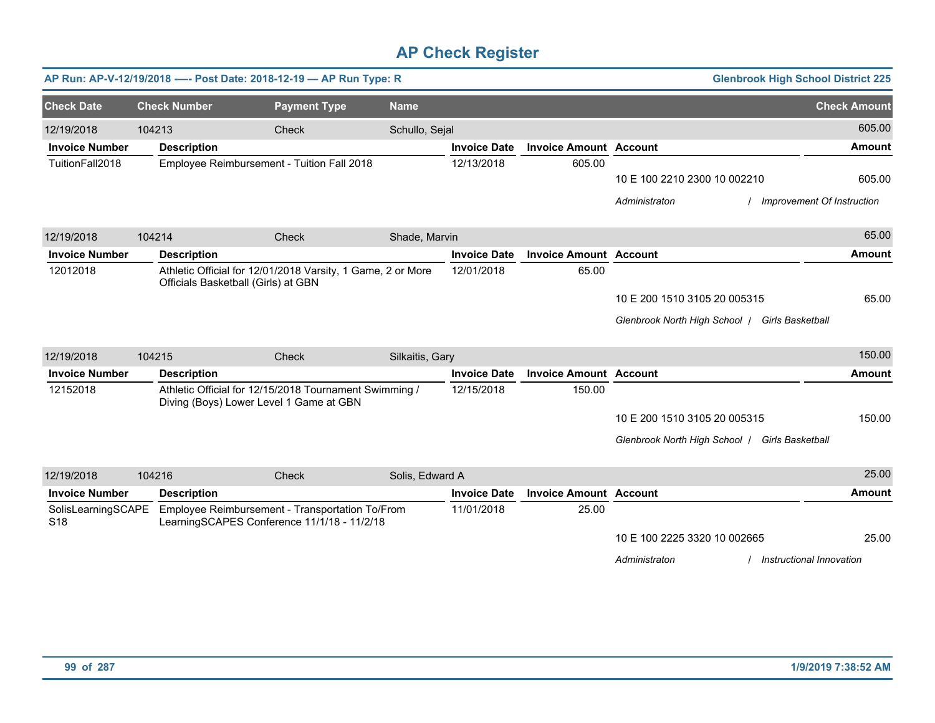|                                       |        |                                         | AP Run: AP-V-12/19/2018 ---- Post Date: 2018-12-19 - AP Run Type: R                            |                 |                     |                               |                                                | <b>Glenbrook High School District 225</b> |
|---------------------------------------|--------|-----------------------------------------|------------------------------------------------------------------------------------------------|-----------------|---------------------|-------------------------------|------------------------------------------------|-------------------------------------------|
| <b>Check Date</b>                     |        | <b>Check Number</b>                     | <b>Payment Type</b>                                                                            | <b>Name</b>     |                     |                               |                                                | <b>Check Amount</b>                       |
| 12/19/2018                            | 104213 |                                         | Check                                                                                          | Schullo, Sejal  |                     |                               |                                                | 605.00                                    |
| <b>Invoice Number</b>                 |        | <b>Description</b>                      |                                                                                                |                 | <b>Invoice Date</b> | <b>Invoice Amount Account</b> |                                                | <b>Amount</b>                             |
| TuitionFall2018                       |        |                                         | Employee Reimbursement - Tuition Fall 2018                                                     |                 | 12/13/2018          | 605.00                        |                                                |                                           |
|                                       |        |                                         |                                                                                                |                 |                     |                               | 10 E 100 2210 2300 10 002210                   | 605.00                                    |
|                                       |        |                                         |                                                                                                |                 |                     |                               | Administraton                                  | Improvement Of Instruction                |
| 12/19/2018                            | 104214 |                                         | Check                                                                                          | Shade, Marvin   |                     |                               |                                                | 65.00                                     |
| <b>Invoice Number</b>                 |        | <b>Description</b>                      |                                                                                                |                 | <b>Invoice Date</b> | <b>Invoice Amount Account</b> |                                                | <b>Amount</b>                             |
| 12012018                              |        | Officials Basketball (Girls) at GBN     | Athletic Official for 12/01/2018 Varsity, 1 Game, 2 or More                                    |                 | 12/01/2018          | 65.00                         |                                                |                                           |
|                                       |        |                                         |                                                                                                |                 |                     |                               | 10 E 200 1510 3105 20 005315                   | 65.00                                     |
|                                       |        |                                         |                                                                                                |                 |                     |                               | Glenbrook North High School   Girls Basketball |                                           |
| 12/19/2018                            | 104215 |                                         | <b>Check</b>                                                                                   | Silkaitis, Gary |                     |                               |                                                | 150.00                                    |
| <b>Invoice Number</b>                 |        | <b>Description</b>                      |                                                                                                |                 | <b>Invoice Date</b> | <b>Invoice Amount Account</b> |                                                | Amount                                    |
| 12152018                              |        | Diving (Boys) Lower Level 1 Game at GBN | Athletic Official for 12/15/2018 Tournament Swimming /                                         |                 | 12/15/2018          | 150.00                        |                                                |                                           |
|                                       |        |                                         |                                                                                                |                 |                     |                               | 10 E 200 1510 3105 20 005315                   | 150.00                                    |
|                                       |        |                                         |                                                                                                |                 |                     |                               | Glenbrook North High School   Girls Basketball |                                           |
|                                       |        |                                         |                                                                                                |                 |                     |                               |                                                |                                           |
| 12/19/2018                            | 104216 |                                         | Check                                                                                          | Solis, Edward A |                     |                               |                                                | 25.00                                     |
| <b>Invoice Number</b>                 |        | <b>Description</b>                      |                                                                                                |                 | <b>Invoice Date</b> | <b>Invoice Amount Account</b> |                                                | <b>Amount</b>                             |
| SolisLearningSCAPE<br>S <sub>18</sub> |        |                                         | Employee Reimbursement - Transportation To/From<br>LearningSCAPES Conference 11/1/18 - 11/2/18 |                 | 11/01/2018          | 25.00                         |                                                |                                           |
|                                       |        |                                         |                                                                                                |                 |                     |                               | 10 E 100 2225 3320 10 002665                   | 25.00                                     |
|                                       |        |                                         |                                                                                                |                 |                     |                               | Administraton                                  | Instructional Innovation                  |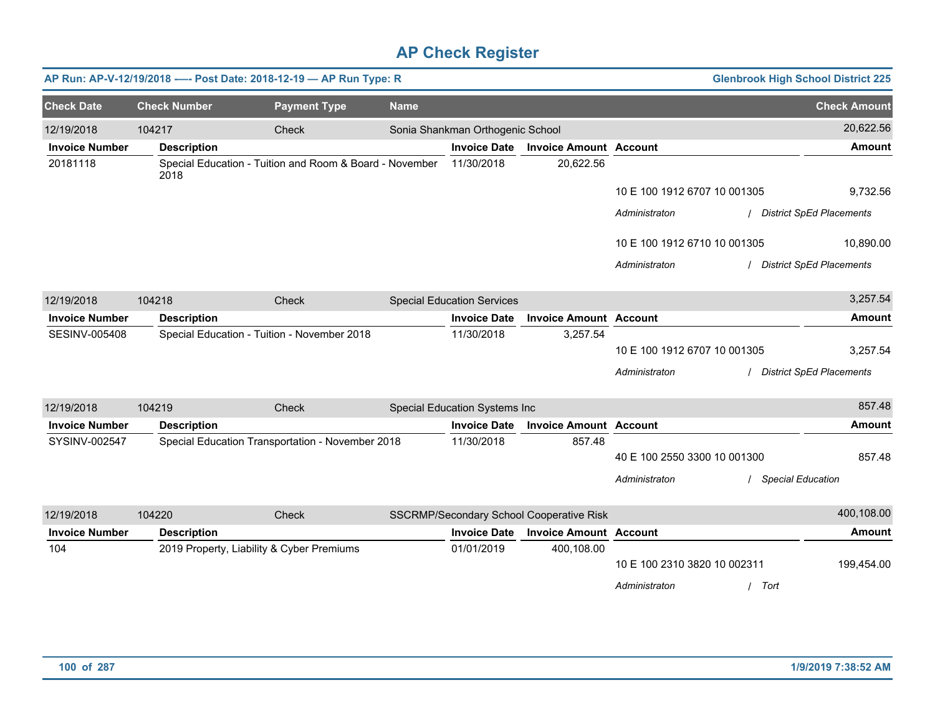|                       |                     | AP Run: AP-V-12/19/2018 ---- Post Date: 2018-12-19 - AP Run Type: R |             |                                   |                                          |                              | <b>Glenbrook High School District 225</b> |                                 |
|-----------------------|---------------------|---------------------------------------------------------------------|-------------|-----------------------------------|------------------------------------------|------------------------------|-------------------------------------------|---------------------------------|
| <b>Check Date</b>     | <b>Check Number</b> | <b>Payment Type</b>                                                 | <b>Name</b> |                                   |                                          |                              |                                           | <b>Check Amount</b>             |
| 12/19/2018            | 104217              | Check                                                               |             | Sonia Shankman Orthogenic School  |                                          |                              |                                           | 20,622.56                       |
| <b>Invoice Number</b> | <b>Description</b>  |                                                                     |             | <b>Invoice Date</b>               | <b>Invoice Amount Account</b>            |                              |                                           | <b>Amount</b>                   |
| 20181118              | 2018                | Special Education - Tuition and Room & Board - November             |             | 11/30/2018                        | 20,622.56                                |                              |                                           |                                 |
|                       |                     |                                                                     |             |                                   |                                          | 10 E 100 1912 6707 10 001305 |                                           | 9,732.56                        |
|                       |                     |                                                                     |             |                                   |                                          | Administraton                |                                           | / District SpEd Placements      |
|                       |                     |                                                                     |             |                                   |                                          | 10 E 100 1912 6710 10 001305 |                                           | 10,890.00                       |
|                       |                     |                                                                     |             |                                   |                                          | Administraton                |                                           | <b>District SpEd Placements</b> |
| 12/19/2018            | 104218              | Check                                                               |             | <b>Special Education Services</b> |                                          |                              |                                           | 3,257.54                        |
| <b>Invoice Number</b> | <b>Description</b>  |                                                                     |             | <b>Invoice Date</b>               | <b>Invoice Amount Account</b>            |                              |                                           | Amount                          |
| <b>SESINV-005408</b>  |                     | Special Education - Tuition - November 2018                         |             | 11/30/2018                        | 3,257.54                                 |                              |                                           |                                 |
|                       |                     |                                                                     |             |                                   |                                          | 10 E 100 1912 6707 10 001305 |                                           | 3,257.54                        |
|                       |                     |                                                                     |             |                                   |                                          | Administraton                |                                           | / District SpEd Placements      |
| 12/19/2018            | 104219              | Check                                                               |             | Special Education Systems Inc     |                                          |                              |                                           | 857.48                          |
| <b>Invoice Number</b> | <b>Description</b>  |                                                                     |             | <b>Invoice Date</b>               | <b>Invoice Amount Account</b>            |                              |                                           | <b>Amount</b>                   |
| SYSINV-002547         |                     | Special Education Transportation - November 2018                    |             | 11/30/2018                        | 857.48                                   |                              |                                           |                                 |
|                       |                     |                                                                     |             |                                   |                                          | 40 E 100 2550 3300 10 001300 |                                           | 857.48                          |
|                       |                     |                                                                     |             |                                   |                                          | Administraton                | <b>Special Education</b>                  |                                 |
| 12/19/2018            | 104220              | Check                                                               |             |                                   | SSCRMP/Secondary School Cooperative Risk |                              |                                           | 400,108.00                      |
| <b>Invoice Number</b> | <b>Description</b>  |                                                                     |             | <b>Invoice Date</b>               | <b>Invoice Amount Account</b>            |                              |                                           | Amount                          |
| 104                   |                     | 2019 Property, Liability & Cyber Premiums                           |             | 01/01/2019                        | 400,108.00                               | 10 E 100 2310 3820 10 002311 |                                           | 199,454.00                      |
|                       |                     |                                                                     |             |                                   |                                          |                              |                                           |                                 |
|                       |                     |                                                                     |             |                                   |                                          | Administraton                | / Tort                                    |                                 |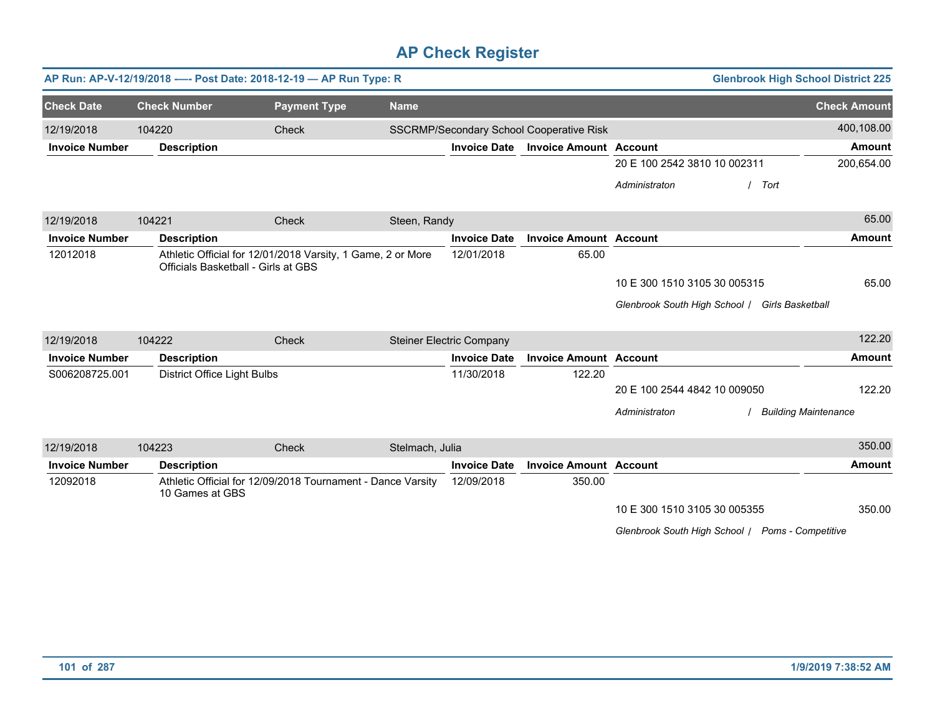|                       |                                     | AP Run: AP-V-12/19/2018 ---- Post Date: 2018-12-19 - AP Run Type: R |                 |                                 |                                          | <b>Glenbrook High School District 225</b>        |      |                             |
|-----------------------|-------------------------------------|---------------------------------------------------------------------|-----------------|---------------------------------|------------------------------------------|--------------------------------------------------|------|-----------------------------|
| <b>Check Date</b>     | <b>Check Number</b>                 | <b>Payment Type</b>                                                 | <b>Name</b>     |                                 |                                          |                                                  |      | <b>Check Amount</b>         |
| 12/19/2018            | 104220                              | Check                                                               |                 |                                 | SSCRMP/Secondary School Cooperative Risk |                                                  |      | 400,108.00                  |
| <b>Invoice Number</b> | <b>Description</b>                  |                                                                     |                 | <b>Invoice Date</b>             | <b>Invoice Amount Account</b>            |                                                  |      | <b>Amount</b>               |
|                       |                                     |                                                                     |                 |                                 |                                          | 20 E 100 2542 3810 10 002311                     |      | 200,654.00                  |
|                       |                                     |                                                                     |                 |                                 |                                          | Administraton                                    | Tort |                             |
| 12/19/2018            | 104221                              | Check                                                               | Steen, Randy    |                                 |                                          |                                                  |      | 65.00                       |
| <b>Invoice Number</b> | <b>Description</b>                  |                                                                     |                 | <b>Invoice Date</b>             | <b>Invoice Amount Account</b>            |                                                  |      | <b>Amount</b>               |
| 12012018              | Officials Basketball - Girls at GBS | Athletic Official for 12/01/2018 Varsity, 1 Game, 2 or More         |                 | 12/01/2018                      | 65.00                                    |                                                  |      |                             |
|                       |                                     |                                                                     |                 |                                 |                                          | 10 E 300 1510 3105 30 005315                     |      | 65.00                       |
|                       |                                     |                                                                     |                 |                                 |                                          | Glenbrook South High School / Girls Basketball   |      |                             |
| 12/19/2018            | 104222                              | <b>Check</b>                                                        |                 | <b>Steiner Electric Company</b> |                                          |                                                  |      | 122.20                      |
| <b>Invoice Number</b> | <b>Description</b>                  |                                                                     |                 | <b>Invoice Date</b>             | <b>Invoice Amount Account</b>            |                                                  |      | <b>Amount</b>               |
| S006208725.001        | <b>District Office Light Bulbs</b>  |                                                                     |                 | 11/30/2018                      | 122.20                                   |                                                  |      |                             |
|                       |                                     |                                                                     |                 |                                 |                                          | 20 E 100 2544 4842 10 009050                     |      | 122.20                      |
|                       |                                     |                                                                     |                 |                                 |                                          | Administraton                                    |      | <b>Building Maintenance</b> |
| 12/19/2018            | 104223                              | Check                                                               | Stelmach, Julia |                                 |                                          |                                                  |      | 350.00                      |
| <b>Invoice Number</b> | <b>Description</b>                  |                                                                     |                 | <b>Invoice Date</b>             | <b>Invoice Amount Account</b>            |                                                  |      | <b>Amount</b>               |
| 12092018              | 10 Games at GBS                     | Athletic Official for 12/09/2018 Tournament - Dance Varsity         |                 | 12/09/2018                      | 350.00                                   |                                                  |      |                             |
|                       |                                     |                                                                     |                 |                                 |                                          | 10 E 300 1510 3105 30 005355                     |      | 350.00                      |
|                       |                                     |                                                                     |                 |                                 |                                          | Glenbrook South High School   Poms - Competitive |      |                             |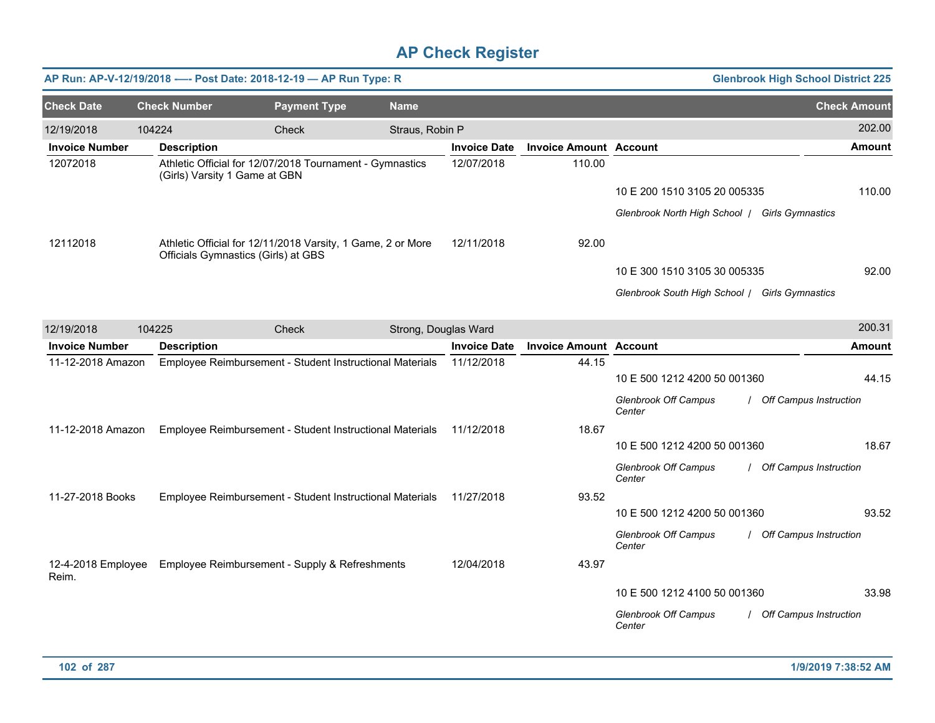|                       |                               | AP Run: AP-V-12/19/2018 ---- Post Date: 2018-12-19 -- AP Run Type: R                               |                      |                     |                               |                               | <b>Glenbrook High School District 225</b> |                     |
|-----------------------|-------------------------------|----------------------------------------------------------------------------------------------------|----------------------|---------------------|-------------------------------|-------------------------------|-------------------------------------------|---------------------|
| <b>Check Date</b>     | <b>Check Number</b>           | <b>Payment Type</b>                                                                                | <b>Name</b>          |                     |                               |                               |                                           | <b>Check Amount</b> |
| 12/19/2018            | 104224                        | Check                                                                                              | Straus, Robin P      |                     |                               |                               |                                           | 202.00              |
| <b>Invoice Number</b> | <b>Description</b>            |                                                                                                    |                      | <b>Invoice Date</b> | <b>Invoice Amount Account</b> |                               |                                           | Amount              |
| 12072018              | (Girls) Varsity 1 Game at GBN | Athletic Official for 12/07/2018 Tournament - Gymnastics                                           |                      | 12/07/2018          | 110.00                        |                               |                                           |                     |
|                       |                               |                                                                                                    |                      |                     |                               | 10 E 200 1510 3105 20 005335  |                                           | 110.00              |
|                       |                               |                                                                                                    |                      |                     |                               | Glenbrook North High School / | <b>Girls Gymnastics</b>                   |                     |
| 12112018              |                               | Athletic Official for 12/11/2018 Varsity, 1 Game, 2 or More<br>Officials Gymnastics (Girls) at GBS |                      | 12/11/2018          | 92.00                         |                               |                                           |                     |
|                       |                               |                                                                                                    |                      |                     |                               | 10 E 300 1510 3105 30 005335  |                                           | 92.00               |
|                       |                               |                                                                                                    |                      |                     |                               | Glenbrook South High School / | <b>Girls Gymnastics</b>                   |                     |
| 12/19/2018            | 104225                        | Check                                                                                              | Strong, Douglas Ward |                     |                               |                               |                                           | 200.31              |
| <b>Invoice Number</b> | <b>Description</b>            |                                                                                                    |                      | <b>Invoice Date</b> | Invoice Amount Account        |                               |                                           | Amount              |

| <b>Invoice Number</b>       | <b>Description</b>                                       | <b>Invoice Date</b> | <b>Invoice Amount Account</b> | Amount                                                                 |
|-----------------------------|----------------------------------------------------------|---------------------|-------------------------------|------------------------------------------------------------------------|
| 11-12-2018 Amazon           | Employee Reimbursement - Student Instructional Materials | 11/12/2018          | 44.15                         |                                                                        |
|                             |                                                          |                     |                               | 44.15<br>10 E 500 1212 4200 50 001360                                  |
|                             |                                                          |                     |                               | <b>Off Campus Instruction</b><br>Glenbrook Off Campus<br>Center        |
| 11-12-2018 Amazon           | Employee Reimbursement - Student Instructional Materials | 11/12/2018          | 18.67                         |                                                                        |
|                             |                                                          |                     |                               | 10 E 500 1212 4200 50 001360<br>18.67                                  |
|                             |                                                          |                     |                               | Glenbrook Off Campus<br><b>Off Campus Instruction</b><br>Center        |
| 11-27-2018 Books            | Employee Reimbursement - Student Instructional Materials | 11/27/2018          | 93.52                         |                                                                        |
|                             |                                                          |                     |                               | 10 E 500 1212 4200 50 001360<br>93.52                                  |
|                             |                                                          |                     |                               | <b>Glenbrook Off Campus</b><br><b>Off Campus Instruction</b><br>Center |
| 12-4-2018 Employee<br>Reim. | Employee Reimbursement - Supply & Refreshments           | 12/04/2018          | 43.97                         |                                                                        |
|                             |                                                          |                     |                               | 10 E 500 1212 4100 50 001360<br>33.98                                  |
|                             |                                                          |                     |                               | <b>Glenbrook Off Campus</b><br>Off Campus Instruction<br>Center        |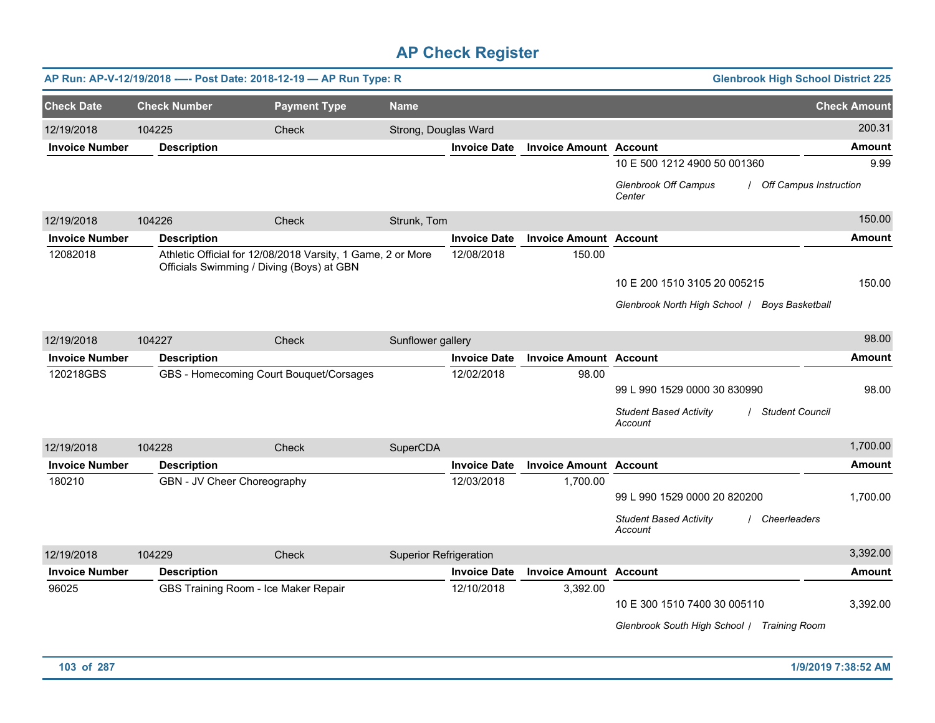|                       |                                      | AP Run: AP-V-12/19/2018 ---- Post Date: 2018-12-19 - AP Run Type: R                                      |                               |                     |                               | <b>Glenbrook High School District 225</b>                              |                     |
|-----------------------|--------------------------------------|----------------------------------------------------------------------------------------------------------|-------------------------------|---------------------|-------------------------------|------------------------------------------------------------------------|---------------------|
| <b>Check Date</b>     | <b>Check Number</b>                  | <b>Payment Type</b>                                                                                      | <b>Name</b>                   |                     |                               |                                                                        | <b>Check Amount</b> |
| 12/19/2018            | 104225                               | Check                                                                                                    | Strong, Douglas Ward          |                     |                               |                                                                        | 200.31              |
| <b>Invoice Number</b> | <b>Description</b>                   |                                                                                                          |                               | <b>Invoice Date</b> | <b>Invoice Amount Account</b> |                                                                        | Amount              |
|                       |                                      |                                                                                                          |                               |                     |                               | 10 E 500 1212 4900 50 001360                                           | 9.99                |
|                       |                                      |                                                                                                          |                               |                     |                               | <b>Glenbrook Off Campus</b><br><b>Off Campus Instruction</b><br>Center |                     |
| 12/19/2018            | 104226                               | <b>Check</b>                                                                                             | Strunk, Tom                   |                     |                               |                                                                        | 150.00              |
| <b>Invoice Number</b> | <b>Description</b>                   |                                                                                                          |                               | <b>Invoice Date</b> | <b>Invoice Amount Account</b> |                                                                        | <b>Amount</b>       |
| 12082018              |                                      | Athletic Official for 12/08/2018 Varsity, 1 Game, 2 or More<br>Officials Swimming / Diving (Boys) at GBN |                               | 12/08/2018          | 150.00                        |                                                                        |                     |
|                       |                                      |                                                                                                          |                               |                     |                               | 10 E 200 1510 3105 20 005215                                           | 150.00              |
|                       |                                      |                                                                                                          |                               |                     |                               | Glenbrook North High School   Boys Basketball                          |                     |
|                       |                                      |                                                                                                          |                               |                     |                               |                                                                        |                     |
| 12/19/2018            | 104227                               | Check                                                                                                    | Sunflower gallery             |                     |                               |                                                                        | 98.00               |
| <b>Invoice Number</b> | <b>Description</b>                   |                                                                                                          |                               | <b>Invoice Date</b> | <b>Invoice Amount Account</b> |                                                                        | <b>Amount</b>       |
| 120218GBS             |                                      | GBS - Homecoming Court Bouquet/Corsages                                                                  |                               | 12/02/2018          | 98.00                         |                                                                        |                     |
|                       |                                      |                                                                                                          |                               |                     |                               | 99 L 990 1529 0000 30 830990                                           | 98.00               |
|                       |                                      |                                                                                                          |                               |                     |                               | <b>Student Based Activity</b><br><b>Student Council</b><br>Account     |                     |
| 12/19/2018            | 104228                               | Check                                                                                                    | SuperCDA                      |                     |                               |                                                                        | 1,700.00            |
| <b>Invoice Number</b> | <b>Description</b>                   |                                                                                                          |                               | <b>Invoice Date</b> | <b>Invoice Amount Account</b> |                                                                        | <b>Amount</b>       |
| 180210                | GBN - JV Cheer Choreography          |                                                                                                          |                               | 12/03/2018          | 1,700.00                      |                                                                        |                     |
|                       |                                      |                                                                                                          |                               |                     |                               | 99 L 990 1529 0000 20 820200                                           | 1,700.00            |
|                       |                                      |                                                                                                          |                               |                     |                               | <b>Student Based Activity</b><br>Cheerleaders<br>Account               |                     |
| 12/19/2018            | 104229                               | Check                                                                                                    | <b>Superior Refrigeration</b> |                     |                               |                                                                        | 3,392.00            |
| <b>Invoice Number</b> | <b>Description</b>                   |                                                                                                          |                               | <b>Invoice Date</b> | <b>Invoice Amount Account</b> |                                                                        | Amount              |
| 96025                 | GBS Training Room - Ice Maker Repair |                                                                                                          |                               | 12/10/2018          | 3,392.00                      |                                                                        |                     |
|                       |                                      |                                                                                                          |                               |                     |                               | 10 E 300 1510 7400 30 005110                                           | 3,392.00            |
|                       |                                      |                                                                                                          |                               |                     |                               | Glenbrook South High School   Training Room                            |                     |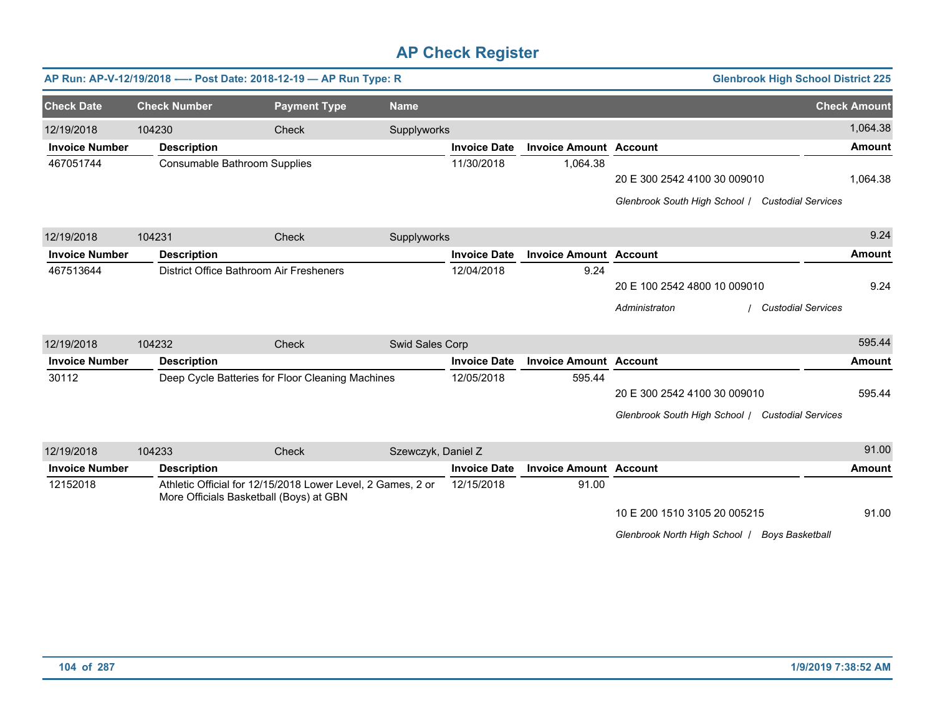|                       |                     | AP Run: AP-V-12/19/2018 ---- Post Date: 2018-12-19 - AP Run Type: R                                    |                    |                     |                               | <b>Glenbrook High School District 225</b>        |                     |
|-----------------------|---------------------|--------------------------------------------------------------------------------------------------------|--------------------|---------------------|-------------------------------|--------------------------------------------------|---------------------|
| <b>Check Date</b>     | <b>Check Number</b> | <b>Payment Type</b>                                                                                    | <b>Name</b>        |                     |                               |                                                  | <b>Check Amount</b> |
| 12/19/2018            | 104230              | Check                                                                                                  | Supplyworks        |                     |                               |                                                  | 1,064.38            |
| <b>Invoice Number</b> | <b>Description</b>  |                                                                                                        |                    | <b>Invoice Date</b> | <b>Invoice Amount Account</b> |                                                  | <b>Amount</b>       |
| 467051744             |                     | Consumable Bathroom Supplies                                                                           |                    | 11/30/2018          | 1,064.38                      |                                                  |                     |
|                       |                     |                                                                                                        |                    |                     |                               | 20 E 300 2542 4100 30 009010                     | 1,064.38            |
|                       |                     |                                                                                                        |                    |                     |                               | Glenbrook South High School / Custodial Services |                     |
| 12/19/2018            | 104231              | Check                                                                                                  | Supplyworks        |                     |                               |                                                  | 9.24                |
| <b>Invoice Number</b> | <b>Description</b>  |                                                                                                        |                    | <b>Invoice Date</b> | <b>Invoice Amount Account</b> |                                                  | Amount              |
| 467513644             |                     | District Office Bathroom Air Fresheners                                                                |                    | 12/04/2018          | 9.24                          |                                                  |                     |
|                       |                     |                                                                                                        |                    |                     |                               | 20 E 100 2542 4800 10 009010                     | 9.24                |
|                       |                     |                                                                                                        |                    |                     |                               | <b>Custodial Services</b><br>Administraton       |                     |
| 12/19/2018            | 104232              | Check                                                                                                  | Swid Sales Corp    |                     |                               |                                                  | 595.44              |
| <b>Invoice Number</b> | <b>Description</b>  |                                                                                                        |                    | <b>Invoice Date</b> | <b>Invoice Amount Account</b> |                                                  | <b>Amount</b>       |
| 30112                 |                     | Deep Cycle Batteries for Floor Cleaning Machines                                                       |                    | 12/05/2018          | 595.44                        |                                                  |                     |
|                       |                     |                                                                                                        |                    |                     |                               | 20 E 300 2542 4100 30 009010                     | 595.44              |
|                       |                     |                                                                                                        |                    |                     |                               | Glenbrook South High School / Custodial Services |                     |
| 12/19/2018            | 104233              | Check                                                                                                  | Szewczyk, Daniel Z |                     |                               |                                                  | 91.00               |
| <b>Invoice Number</b> | <b>Description</b>  |                                                                                                        |                    | <b>Invoice Date</b> | <b>Invoice Amount Account</b> |                                                  | <b>Amount</b>       |
| 12152018              |                     | Athletic Official for 12/15/2018 Lower Level, 2 Games, 2 or<br>More Officials Basketball (Boys) at GBN |                    | 12/15/2018          | 91.00                         |                                                  |                     |
|                       |                     |                                                                                                        |                    |                     |                               | 10 E 200 1510 3105 20 005215                     | 91.00               |

*Glenbrook North High School* / *Boys Basketball*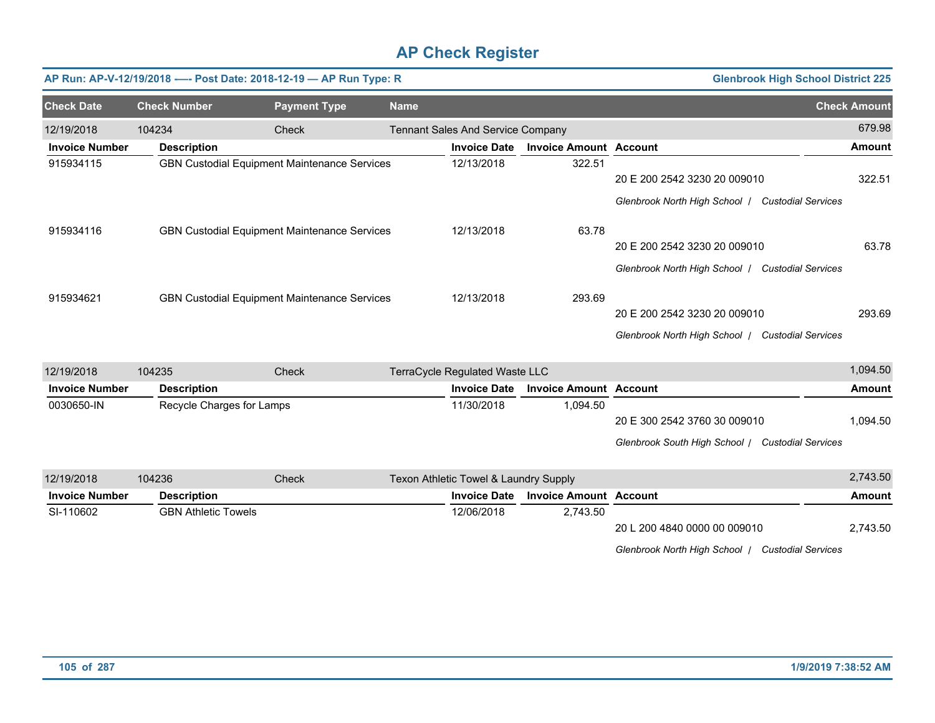|                       |                            | AP Run: AP-V-12/19/2018 ---- Post Date: 2018-12-19 - AP Run Type: R |             |                                          |                               | <b>Glenbrook High School District 225</b>                  |                     |
|-----------------------|----------------------------|---------------------------------------------------------------------|-------------|------------------------------------------|-------------------------------|------------------------------------------------------------|---------------------|
| <b>Check Date</b>     | <b>Check Number</b>        | <b>Payment Type</b>                                                 | <b>Name</b> |                                          |                               |                                                            | <b>Check Amount</b> |
| 12/19/2018            | 104234                     | Check                                                               |             | <b>Tennant Sales And Service Company</b> |                               |                                                            | 679.98              |
| <b>Invoice Number</b> | <b>Description</b>         |                                                                     |             | <b>Invoice Date</b>                      | <b>Invoice Amount Account</b> |                                                            | <b>Amount</b>       |
| 915934115             |                            | <b>GBN Custodial Equipment Maintenance Services</b>                 |             | 12/13/2018                               | 322.51                        |                                                            |                     |
|                       |                            |                                                                     |             |                                          |                               | 20 E 200 2542 3230 20 009010                               | 322.51              |
|                       |                            |                                                                     |             |                                          |                               | Glenbrook North High School / Custodial Services           |                     |
| 915934116             |                            | GBN Custodial Equipment Maintenance Services                        |             | 12/13/2018                               | 63.78                         |                                                            |                     |
|                       |                            |                                                                     |             |                                          |                               | 20 E 200 2542 3230 20 009010                               | 63.78               |
|                       |                            |                                                                     |             |                                          |                               | Glenbrook North High School   Custodial Services           |                     |
| 915934621             |                            | <b>GBN Custodial Equipment Maintenance Services</b>                 |             | 12/13/2018                               | 293.69                        |                                                            |                     |
|                       |                            |                                                                     |             |                                          |                               | 20 E 200 2542 3230 20 009010                               | 293.69              |
|                       |                            |                                                                     |             |                                          |                               | Glenbrook North High School   Custodial Services           |                     |
| 12/19/2018            | 104235                     | Check                                                               |             | TerraCycle Regulated Waste LLC           |                               |                                                            | 1,094.50            |
| <b>Invoice Number</b> | <b>Description</b>         |                                                                     |             | <b>Invoice Date</b>                      | <b>Invoice Amount Account</b> |                                                            | <b>Amount</b>       |
| 0030650-IN            | Recycle Charges for Lamps  |                                                                     |             | 11/30/2018                               | 1,094.50                      |                                                            |                     |
|                       |                            |                                                                     |             |                                          |                               | 20 E 300 2542 3760 30 009010                               | 1,094.50            |
|                       |                            |                                                                     |             |                                          |                               | Glenbrook South High School / Custodial Services           |                     |
| 12/19/2018            | 104236                     | Check                                                               |             | Texon Athletic Towel & Laundry Supply    |                               |                                                            | 2,743.50            |
| <b>Invoice Number</b> | <b>Description</b>         |                                                                     |             | <b>Invoice Date</b>                      | <b>Invoice Amount Account</b> |                                                            | <b>Amount</b>       |
| SI-110602             | <b>GBN Athletic Towels</b> |                                                                     |             | 12/06/2018                               | 2,743.50                      |                                                            |                     |
|                       |                            |                                                                     |             |                                          |                               | 20 L 200 4840 0000 00 009010                               | 2,743.50            |
|                       |                            |                                                                     |             |                                          |                               | Glenbrook North High School  <br><b>Custodial Services</b> |                     |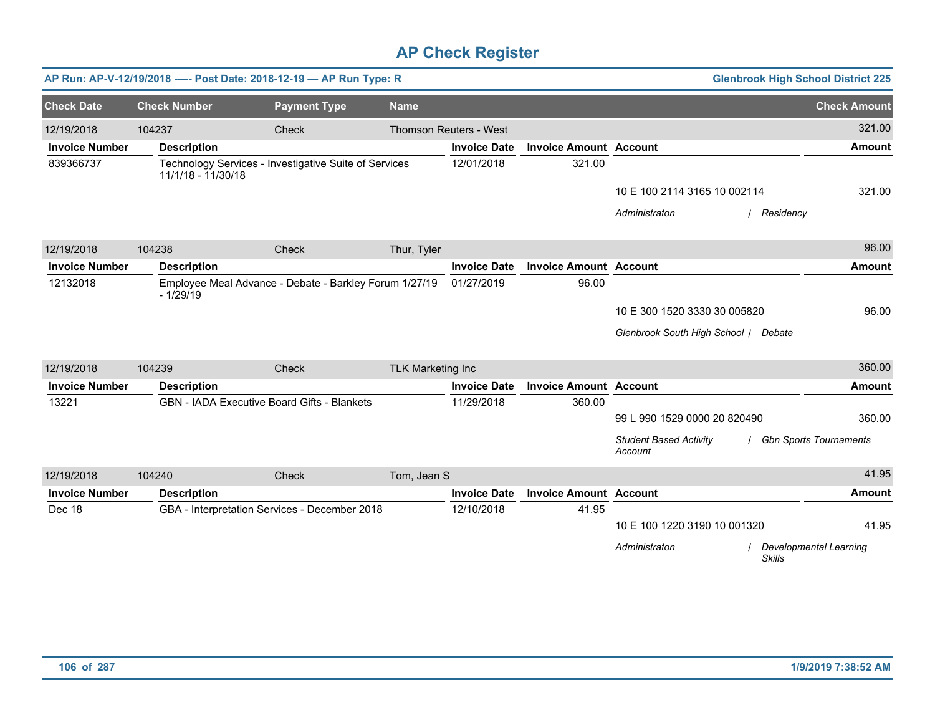|                       |                                                                             | AP Run: AP-V-12/19/2018 ---- Post Date: 2018-12-19 - AP Run Type: R |                          |                        |                               | <b>Glenbrook High School District 225</b> |                               |
|-----------------------|-----------------------------------------------------------------------------|---------------------------------------------------------------------|--------------------------|------------------------|-------------------------------|-------------------------------------------|-------------------------------|
| <b>Check Date</b>     | <b>Check Number</b>                                                         | <b>Payment Type</b>                                                 | <b>Name</b>              |                        |                               |                                           | <b>Check Amount</b>           |
| 12/19/2018            | 104237                                                                      | Check                                                               |                          | Thomson Reuters - West |                               |                                           | 321.00                        |
| <b>Invoice Number</b> | <b>Description</b>                                                          |                                                                     |                          | <b>Invoice Date</b>    | <b>Invoice Amount Account</b> |                                           | <b>Amount</b>                 |
| 839366737             | Technology Services - Investigative Suite of Services<br>11/1/18 - 11/30/18 |                                                                     |                          | 12/01/2018             | 321.00                        |                                           |                               |
|                       |                                                                             |                                                                     |                          |                        |                               | 10 E 100 2114 3165 10 002114              | 321.00                        |
|                       |                                                                             |                                                                     |                          |                        |                               | Administraton<br>/ Residency              |                               |
| 12/19/2018            | 104238                                                                      | Check                                                               | Thur, Tyler              |                        |                               |                                           | 96.00                         |
| <b>Invoice Number</b> | <b>Description</b>                                                          |                                                                     |                          | <b>Invoice Date</b>    | <b>Invoice Amount Account</b> |                                           | <b>Amount</b>                 |
| 12132018              | Employee Meal Advance - Debate - Barkley Forum 1/27/19<br>$-1/29/19$        |                                                                     |                          | 01/27/2019             | 96.00                         |                                           |                               |
|                       |                                                                             |                                                                     |                          |                        |                               | 10 E 300 1520 3330 30 005820              | 96.00                         |
|                       |                                                                             |                                                                     |                          |                        |                               | Glenbrook South High School / Debate      |                               |
| 12/19/2018            | 104239                                                                      | Check                                                               | <b>TLK Marketing Inc</b> |                        |                               |                                           | 360.00                        |
| <b>Invoice Number</b> | <b>Description</b>                                                          |                                                                     |                          | <b>Invoice Date</b>    | <b>Invoice Amount Account</b> |                                           | <b>Amount</b>                 |
| 13221                 |                                                                             | <b>GBN - IADA Executive Board Gifts - Blankets</b>                  |                          | 11/29/2018             | 360.00                        |                                           |                               |
|                       |                                                                             |                                                                     |                          |                        |                               | 99 L 990 1529 0000 20 820490              | 360.00                        |
|                       |                                                                             |                                                                     |                          |                        |                               | <b>Student Based Activity</b><br>Account  | <b>Gbn Sports Tournaments</b> |
| 12/19/2018            | 104240                                                                      | Check                                                               | Tom, Jean S              |                        |                               |                                           | 41.95                         |
| <b>Invoice Number</b> | <b>Description</b>                                                          |                                                                     |                          | <b>Invoice Date</b>    | <b>Invoice Amount Account</b> |                                           | <b>Amount</b>                 |
| Dec 18                |                                                                             | GBA - Interpretation Services - December 2018                       |                          | 12/10/2018             | 41.95                         |                                           |                               |
|                       |                                                                             |                                                                     |                          |                        |                               | 10 E 100 1220 3190 10 001320              | 41.95                         |
|                       |                                                                             |                                                                     |                          |                        |                               | Administraton<br><b>Skills</b>            | Developmental Learning        |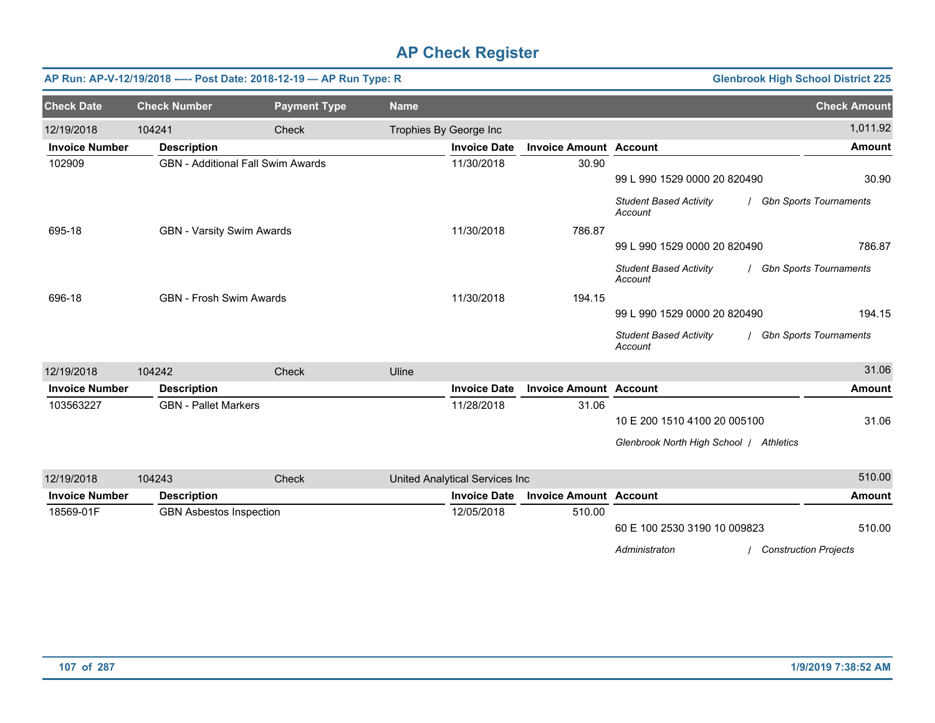|                       |                                  | AP Run: AP-V-12/19/2018 ---- Post Date: 2018-12-19 - AP Run Type: R |             |                                |                               | <b>Glenbrook High School District 225</b>     |                               |
|-----------------------|----------------------------------|---------------------------------------------------------------------|-------------|--------------------------------|-------------------------------|-----------------------------------------------|-------------------------------|
| <b>Check Date</b>     | <b>Check Number</b>              | <b>Payment Type</b>                                                 | <b>Name</b> |                                |                               |                                               | <b>Check Amount</b>           |
| 12/19/2018            | 104241                           | <b>Check</b>                                                        |             | Trophies By George Inc         |                               |                                               | 1,011.92                      |
| <b>Invoice Number</b> | <b>Description</b>               |                                                                     |             | <b>Invoice Date</b>            | <b>Invoice Amount Account</b> |                                               | <b>Amount</b>                 |
| 102909                |                                  | <b>GBN</b> - Additional Fall Swim Awards                            |             | 11/30/2018                     | 30.90                         |                                               |                               |
|                       |                                  |                                                                     |             |                                |                               | 99 L 990 1529 0000 20 820490                  | 30.90                         |
|                       |                                  |                                                                     |             |                                |                               | <b>Student Based Activity</b><br>Account      | <b>Gbn Sports Tournaments</b> |
| 695-18                | <b>GBN - Varsity Swim Awards</b> |                                                                     |             | 11/30/2018                     | 786.87                        |                                               |                               |
|                       |                                  |                                                                     |             |                                |                               | 99 L 990 1529 0000 20 820490                  | 786.87                        |
|                       |                                  |                                                                     |             |                                |                               | <b>Student Based Activity</b><br>Account      | <b>Gbn Sports Tournaments</b> |
| 696-18                | <b>GBN - Frosh Swim Awards</b>   |                                                                     |             | 11/30/2018                     | 194.15                        |                                               |                               |
|                       |                                  |                                                                     |             |                                |                               | 99 L 990 1529 0000 20 820490                  | 194.15                        |
|                       |                                  |                                                                     |             |                                |                               | <b>Student Based Activity</b><br>Account      | / Gbn Sports Tournaments      |
| 12/19/2018            | 104242                           | Check                                                               | Uline       |                                |                               |                                               | 31.06                         |
| <b>Invoice Number</b> | <b>Description</b>               |                                                                     |             | <b>Invoice Date</b>            | <b>Invoice Amount Account</b> |                                               | <b>Amount</b>                 |
| 103563227             | <b>GBN</b> - Pallet Markers      |                                                                     |             | 11/28/2018                     | 31.06                         |                                               |                               |
|                       |                                  |                                                                     |             |                                |                               | 10 E 200 1510 4100 20 005100                  | 31.06                         |
|                       |                                  |                                                                     |             |                                |                               | Glenbrook North High School / Athletics       |                               |
| 12/19/2018            | 104243                           | Check                                                               |             | United Analytical Services Inc |                               |                                               | 510.00                        |
| <b>Invoice Number</b> | <b>Description</b>               |                                                                     |             | <b>Invoice Date</b>            | <b>Invoice Amount Account</b> |                                               | <b>Amount</b>                 |
| 18569-01F             | <b>GBN Asbestos Inspection</b>   |                                                                     |             | 12/05/2018                     | 510.00                        |                                               |                               |
|                       |                                  |                                                                     |             |                                |                               | 60 E 100 2530 3190 10 009823                  | 510.00                        |
|                       |                                  |                                                                     |             |                                |                               | Administraton<br><b>Construction Projects</b> |                               |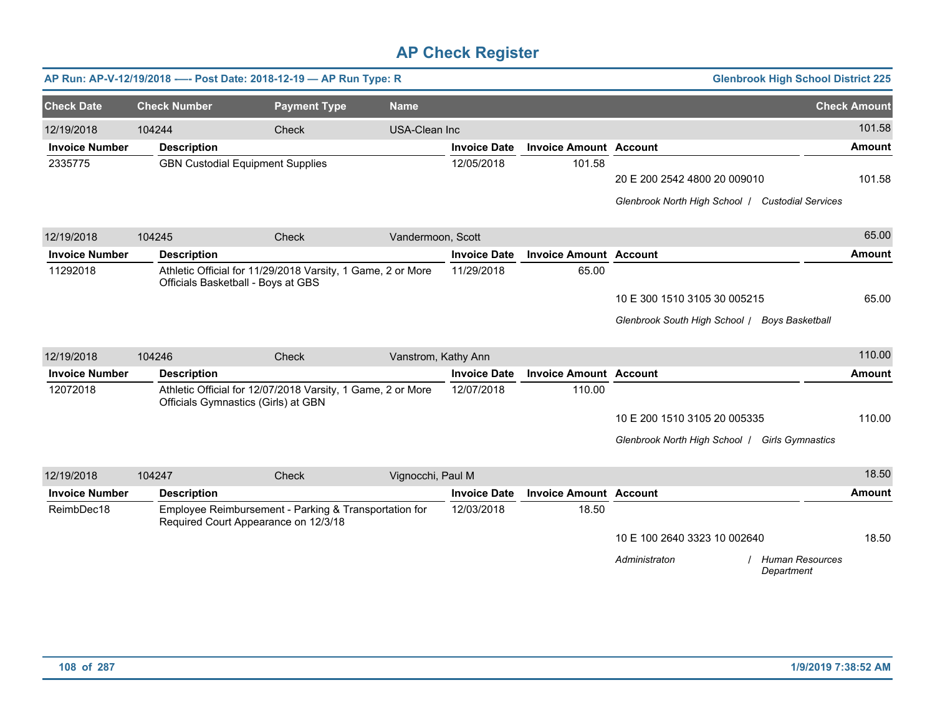|                       |                                    | AP Run: AP-V-12/19/2018 ---- Post Date: 2018-12-19 - AP Run Type: R                                |                      |                     |                               |                                                  | <b>Glenbrook High School District 225</b> |               |
|-----------------------|------------------------------------|----------------------------------------------------------------------------------------------------|----------------------|---------------------|-------------------------------|--------------------------------------------------|-------------------------------------------|---------------|
| <b>Check Date</b>     | <b>Check Number</b>                | <b>Payment Type</b>                                                                                | <b>Name</b>          |                     |                               |                                                  | <b>Check Amount</b>                       |               |
| 12/19/2018            | 104244                             | Check                                                                                              | <b>USA-Clean Inc</b> |                     |                               |                                                  |                                           | 101.58        |
| <b>Invoice Number</b> | <b>Description</b>                 |                                                                                                    |                      | <b>Invoice Date</b> | <b>Invoice Amount Account</b> |                                                  |                                           | <b>Amount</b> |
| 2335775               |                                    | <b>GBN Custodial Equipment Supplies</b>                                                            |                      | 12/05/2018          | 101.58                        | 20 E 200 2542 4800 20 009010                     |                                           | 101.58        |
|                       |                                    |                                                                                                    |                      |                     |                               | Glenbrook North High School / Custodial Services |                                           |               |
| 12/19/2018            | 104245                             | Check                                                                                              | Vandermoon, Scott    |                     |                               |                                                  |                                           | 65.00         |
| <b>Invoice Number</b> | <b>Description</b>                 |                                                                                                    |                      | <b>Invoice Date</b> | <b>Invoice Amount Account</b> |                                                  |                                           | <b>Amount</b> |
| 11292018              | Officials Basketball - Boys at GBS | Athletic Official for 11/29/2018 Varsity, 1 Game, 2 or More                                        |                      | 11/29/2018          | 65.00                         |                                                  |                                           |               |
|                       |                                    |                                                                                                    |                      |                     |                               | 10 E 300 1510 3105 30 005215                     |                                           | 65.00         |
|                       |                                    |                                                                                                    |                      |                     |                               | Glenbrook South High School /                    | <b>Boys Basketball</b>                    |               |
| 12/19/2018            | 104246                             | Check                                                                                              | Vanstrom, Kathy Ann  |                     |                               |                                                  |                                           | 110.00        |
| <b>Invoice Number</b> | <b>Description</b>                 |                                                                                                    |                      | <b>Invoice Date</b> | <b>Invoice Amount Account</b> |                                                  |                                           | <b>Amount</b> |
| 12072018              |                                    | Athletic Official for 12/07/2018 Varsity, 1 Game, 2 or More<br>Officials Gymnastics (Girls) at GBN |                      | 12/07/2018          | 110.00                        |                                                  |                                           |               |
|                       |                                    |                                                                                                    |                      |                     |                               | 10 E 200 1510 3105 20 005335                     |                                           | 110.00        |
|                       |                                    |                                                                                                    |                      |                     |                               | Glenbrook North High School   Girls Gymnastics   |                                           |               |
| 12/19/2018            | 104247                             | Check                                                                                              | Vignocchi, Paul M    |                     |                               |                                                  |                                           | 18.50         |
| <b>Invoice Number</b> | <b>Description</b>                 |                                                                                                    |                      | <b>Invoice Date</b> | <b>Invoice Amount Account</b> |                                                  |                                           | <b>Amount</b> |
| ReimbDec18            |                                    | Employee Reimbursement - Parking & Transportation for<br>Required Court Appearance on 12/3/18      |                      | 12/03/2018          | 18.50                         |                                                  |                                           |               |
|                       |                                    |                                                                                                    |                      |                     |                               | 10 E 100 2640 3323 10 002640                     |                                           | 18.50         |
|                       |                                    |                                                                                                    |                      |                     |                               | Administraton                                    | <b>Human Resources</b><br>Department      |               |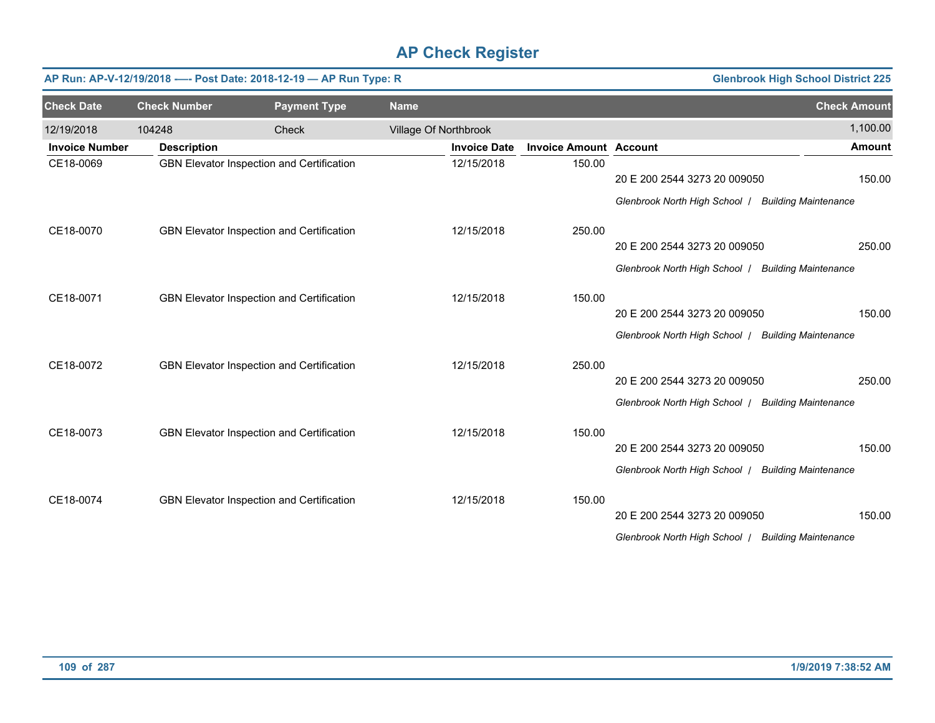|                       |                     | AP Run: AP-V-12/19/2018 ---- Post Date: 2018-12-19 - AP Run Type: R |                       |                               |                                                    | <b>Glenbrook High School District 225</b> |
|-----------------------|---------------------|---------------------------------------------------------------------|-----------------------|-------------------------------|----------------------------------------------------|-------------------------------------------|
| <b>Check Date</b>     | <b>Check Number</b> | <b>Payment Type</b>                                                 | <b>Name</b>           |                               |                                                    | <b>Check Amount</b>                       |
| 12/19/2018            | 104248              | <b>Check</b>                                                        | Village Of Northbrook |                               |                                                    | 1,100.00                                  |
| <b>Invoice Number</b> | <b>Description</b>  |                                                                     | <b>Invoice Date</b>   | <b>Invoice Amount Account</b> |                                                    | <b>Amount</b>                             |
| CE18-0069             |                     | GBN Elevator Inspection and Certification                           | 12/15/2018            | 150.00                        | 20 E 200 2544 3273 20 009050                       | 150.00                                    |
|                       |                     |                                                                     |                       |                               | Glenbrook North High School   Building Maintenance |                                           |
| CE18-0070             |                     | GBN Elevator Inspection and Certification                           | 12/15/2018            | 250.00                        |                                                    |                                           |
|                       |                     |                                                                     |                       |                               | 20 E 200 2544 3273 20 009050                       | 250.00                                    |
|                       |                     |                                                                     |                       |                               | Glenbrook North High School   Building Maintenance |                                           |
| CE18-0071             |                     | GBN Elevator Inspection and Certification                           | 12/15/2018            | 150.00                        |                                                    |                                           |
|                       |                     |                                                                     |                       |                               | 20 E 200 2544 3273 20 009050                       | 150.00                                    |
|                       |                     |                                                                     |                       |                               | Glenbrook North High School   Building Maintenance |                                           |
| CE18-0072             |                     | GBN Elevator Inspection and Certification                           | 12/15/2018            | 250.00                        |                                                    |                                           |
|                       |                     |                                                                     |                       |                               | 20 E 200 2544 3273 20 009050                       | 250.00                                    |
|                       |                     |                                                                     |                       |                               | Glenbrook North High School   Building Maintenance |                                           |
| CE18-0073             |                     | GBN Elevator Inspection and Certification                           | 12/15/2018            | 150.00                        |                                                    |                                           |
|                       |                     |                                                                     |                       |                               | 20 E 200 2544 3273 20 009050                       | 150.00                                    |
|                       |                     |                                                                     |                       |                               | Glenbrook North High School   Building Maintenance |                                           |
| CE18-0074             |                     | GBN Elevator Inspection and Certification                           | 12/15/2018            | 150.00                        |                                                    |                                           |
|                       |                     |                                                                     |                       |                               | 20 E 200 2544 3273 20 009050                       | 150.00                                    |
|                       |                     |                                                                     |                       |                               | Glenbrook North High School   Building Maintenance |                                           |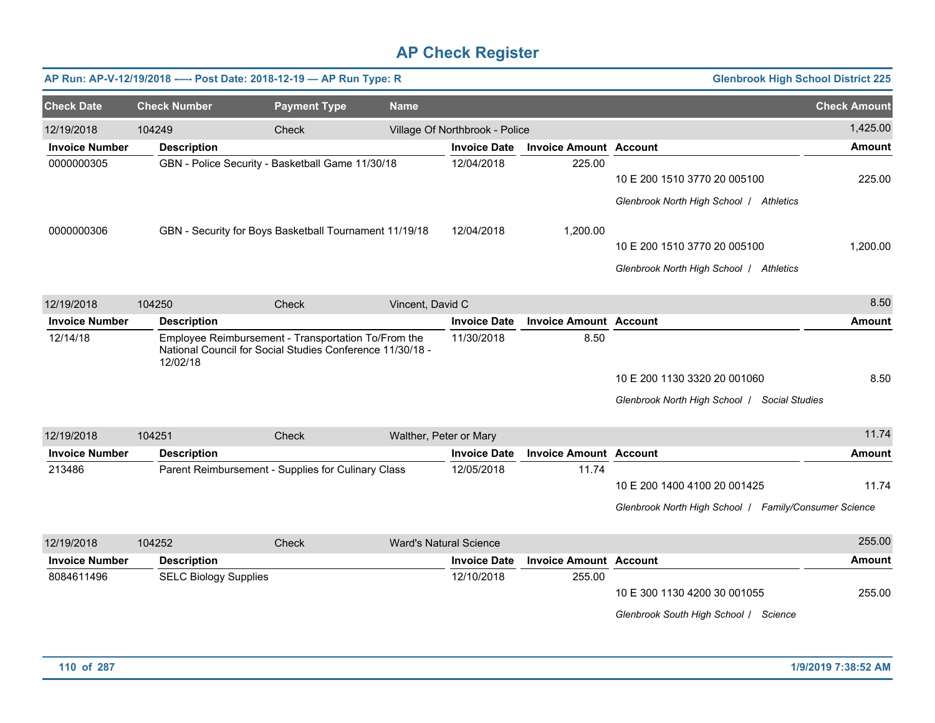|                       |                              | AP Run: AP-V-12/19/2018 ---- Post Date: 2018-12-19 - AP Run Type: R                                              |                               |                                |                               | <b>Glenbrook High School District 225</b>                                             |                     |
|-----------------------|------------------------------|------------------------------------------------------------------------------------------------------------------|-------------------------------|--------------------------------|-------------------------------|---------------------------------------------------------------------------------------|---------------------|
| <b>Check Date</b>     | <b>Check Number</b>          | <b>Payment Type</b>                                                                                              | <b>Name</b>                   |                                |                               |                                                                                       | <b>Check Amount</b> |
| 12/19/2018            | 104249                       | Check                                                                                                            |                               | Village Of Northbrook - Police |                               |                                                                                       | 1,425.00            |
| <b>Invoice Number</b> | <b>Description</b>           |                                                                                                                  |                               | <b>Invoice Date</b>            | <b>Invoice Amount Account</b> |                                                                                       | <b>Amount</b>       |
| 0000000305            |                              | GBN - Police Security - Basketball Game 11/30/18                                                                 |                               | 12/04/2018                     | 225.00                        | 10 E 200 1510 3770 20 005100<br>Glenbrook North High School / Athletics               | 225.00              |
| 0000000306            |                              | GBN - Security for Boys Basketball Tournament 11/19/18                                                           |                               | 12/04/2018                     | 1,200.00                      | 10 E 200 1510 3770 20 005100<br>Glenbrook North High School / Athletics               | 1,200.00            |
| 12/19/2018            | 104250                       | Check                                                                                                            | Vincent, David C              |                                |                               |                                                                                       | 8.50                |
| <b>Invoice Number</b> | <b>Description</b>           |                                                                                                                  |                               | <b>Invoice Date</b>            | <b>Invoice Amount Account</b> |                                                                                       | <b>Amount</b>       |
| 12/14/18              | 12/02/18                     | Employee Reimbursement - Transportation To/From the<br>National Council for Social Studies Conference 11/30/18 - |                               | 11/30/2018                     | 8.50                          | 10 E 200 1130 3320 20 001060<br>Glenbrook North High School   Social Studies          | 8.50                |
| 12/19/2018            | 104251                       | Check                                                                                                            | Walther, Peter or Mary        |                                |                               |                                                                                       | 11.74               |
| <b>Invoice Number</b> | <b>Description</b>           |                                                                                                                  |                               | <b>Invoice Date</b>            | <b>Invoice Amount Account</b> |                                                                                       | <b>Amount</b>       |
| 213486                |                              | Parent Reimbursement - Supplies for Culinary Class                                                               |                               | 12/05/2018                     | 11.74                         | 10 E 200 1400 4100 20 001425<br>Glenbrook North High School   Family/Consumer Science | 11.74               |
| 12/19/2018            | 104252                       | Check                                                                                                            | <b>Ward's Natural Science</b> |                                |                               |                                                                                       | 255.00              |
| <b>Invoice Number</b> | <b>Description</b>           |                                                                                                                  |                               | <b>Invoice Date</b>            | <b>Invoice Amount Account</b> |                                                                                       | <b>Amount</b>       |
| 8084611496            | <b>SELC Biology Supplies</b> |                                                                                                                  |                               | 12/10/2018                     | 255.00                        | 10 E 300 1130 4200 30 001055<br>Glenbrook South High School / Science                 | 255.00              |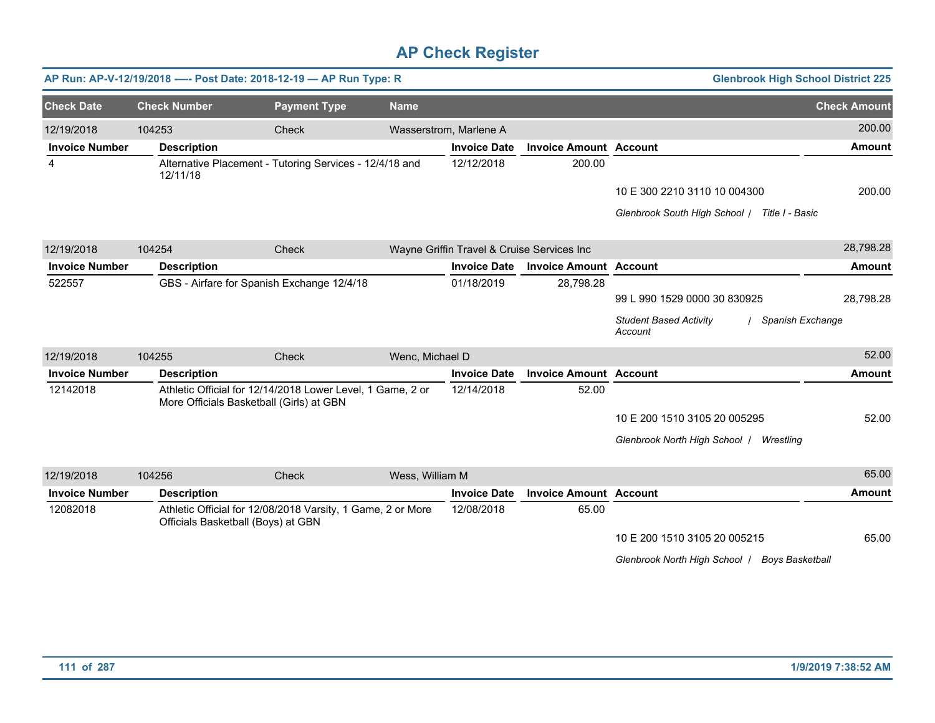|                       |                                    | AP Run: AP-V-12/19/2018 ---- Post Date: 2018-12-19 - AP Run Type: R                                    |                 |                                            |                               | <b>Glenbrook High School District 225</b>                    |                     |
|-----------------------|------------------------------------|--------------------------------------------------------------------------------------------------------|-----------------|--------------------------------------------|-------------------------------|--------------------------------------------------------------|---------------------|
| <b>Check Date</b>     | <b>Check Number</b>                | <b>Payment Type</b>                                                                                    | <b>Name</b>     |                                            |                               |                                                              | <b>Check Amount</b> |
| 12/19/2018            | 104253                             | Check                                                                                                  |                 | Wasserstrom, Marlene A                     |                               |                                                              | 200.00              |
| <b>Invoice Number</b> | <b>Description</b>                 |                                                                                                        |                 | <b>Invoice Date</b>                        | <b>Invoice Amount Account</b> |                                                              | <b>Amount</b>       |
| 4                     | 12/11/18                           | Alternative Placement - Tutoring Services - 12/4/18 and                                                |                 | 12/12/2018                                 | 200.00                        |                                                              |                     |
|                       |                                    |                                                                                                        |                 |                                            |                               | 10 E 300 2210 3110 10 004300                                 | 200.00              |
|                       |                                    |                                                                                                        |                 |                                            |                               | Glenbrook South High School   Title I - Basic                |                     |
| 12/19/2018            | 104254                             | Check                                                                                                  |                 | Wayne Griffin Travel & Cruise Services Inc |                               |                                                              | 28,798.28           |
| <b>Invoice Number</b> | <b>Description</b>                 |                                                                                                        |                 | <b>Invoice Date</b>                        | <b>Invoice Amount Account</b> |                                                              | <b>Amount</b>       |
| 522557                |                                    | GBS - Airfare for Spanish Exchange 12/4/18                                                             |                 | 01/18/2019                                 | 28,798.28                     |                                                              |                     |
|                       |                                    |                                                                                                        |                 |                                            |                               | 99 L 990 1529 0000 30 830925                                 | 28,798.28           |
|                       |                                    |                                                                                                        |                 |                                            |                               | <b>Student Based Activity</b><br>Spanish Exchange<br>Account |                     |
| 12/19/2018            | 104255                             | Check                                                                                                  | Wenc, Michael D |                                            |                               |                                                              | 52.00               |
| <b>Invoice Number</b> | <b>Description</b>                 |                                                                                                        |                 | <b>Invoice Date</b>                        | <b>Invoice Amount Account</b> |                                                              | <b>Amount</b>       |
| 12142018              |                                    | Athletic Official for 12/14/2018 Lower Level, 1 Game, 2 or<br>More Officials Basketball (Girls) at GBN |                 | 12/14/2018                                 | 52.00                         |                                                              |                     |
|                       |                                    |                                                                                                        |                 |                                            |                               | 10 E 200 1510 3105 20 005295                                 | 52.00               |
|                       |                                    |                                                                                                        |                 |                                            |                               | Glenbrook North High School   Wrestling                      |                     |
| 12/19/2018            | 104256                             | Check                                                                                                  | Wess, William M |                                            |                               |                                                              | 65.00               |
| <b>Invoice Number</b> | <b>Description</b>                 |                                                                                                        |                 | <b>Invoice Date</b>                        | <b>Invoice Amount Account</b> |                                                              | <b>Amount</b>       |
| 12082018              | Officials Basketball (Boys) at GBN | Athletic Official for 12/08/2018 Varsity, 1 Game, 2 or More                                            |                 | 12/08/2018                                 | 65.00                         |                                                              |                     |
|                       |                                    |                                                                                                        |                 |                                            |                               | 10 E 200 1510 3105 20 005215                                 | 65.00               |
|                       |                                    |                                                                                                        |                 |                                            |                               | Glenbrook North High School   Boys Basketball                |                     |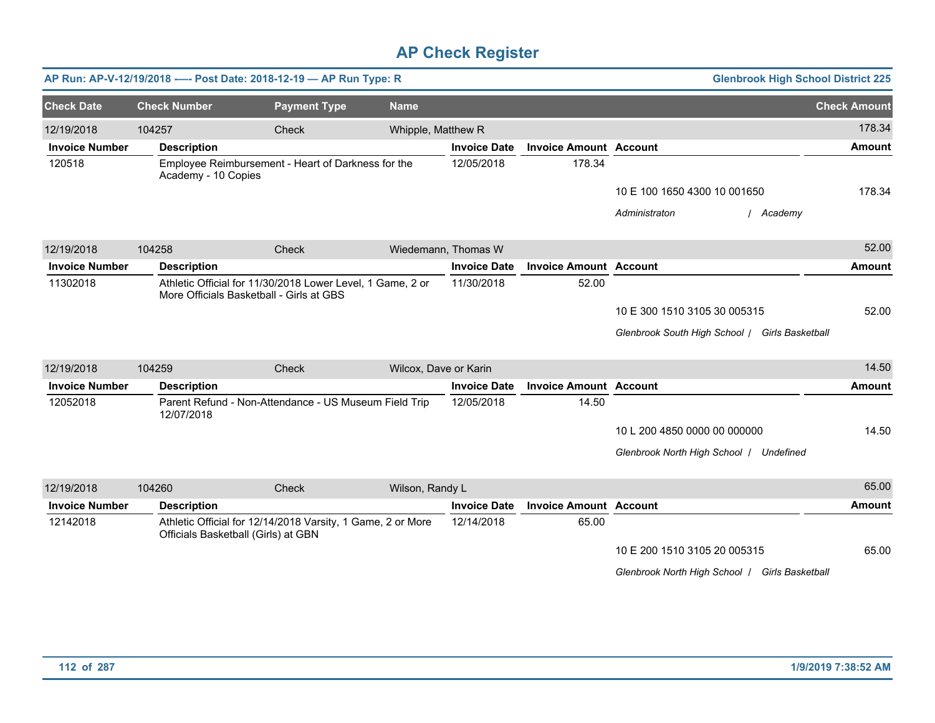|                       |                     | AP Run: AP-V-12/19/2018 ---- Post Date: 2018-12-19 - AP Run Type: R                                    |                       |                     |                               | <b>Glenbrook High School District 225</b>      |                     |
|-----------------------|---------------------|--------------------------------------------------------------------------------------------------------|-----------------------|---------------------|-------------------------------|------------------------------------------------|---------------------|
| <b>Check Date</b>     | <b>Check Number</b> | <b>Payment Type</b>                                                                                    | <b>Name</b>           |                     |                               |                                                | <b>Check Amount</b> |
| 12/19/2018            | 104257              | <b>Check</b>                                                                                           | Whipple, Matthew R    |                     |                               |                                                | 178.34              |
| <b>Invoice Number</b> | <b>Description</b>  |                                                                                                        |                       | <b>Invoice Date</b> | <b>Invoice Amount Account</b> |                                                | <b>Amount</b>       |
| 120518                | Academy - 10 Copies | Employee Reimbursement - Heart of Darkness for the                                                     |                       | 12/05/2018          | 178.34                        |                                                |                     |
|                       |                     |                                                                                                        |                       |                     |                               | 10 E 100 1650 4300 10 001650                   | 178.34              |
|                       |                     |                                                                                                        |                       |                     |                               | Administraton<br>/ Academy                     |                     |
| 12/19/2018            | 104258              | Check                                                                                                  |                       | Wiedemann, Thomas W |                               |                                                | 52.00               |
| <b>Invoice Number</b> | <b>Description</b>  |                                                                                                        |                       | <b>Invoice Date</b> | <b>Invoice Amount Account</b> |                                                | <b>Amount</b>       |
| 11302018              |                     | Athletic Official for 11/30/2018 Lower Level, 1 Game, 2 or<br>More Officials Basketball - Girls at GBS |                       | 11/30/2018          | 52.00                         |                                                |                     |
|                       |                     |                                                                                                        |                       |                     |                               | 10 E 300 1510 3105 30 005315                   | 52.00               |
|                       |                     |                                                                                                        |                       |                     |                               | Glenbrook South High School / Girls Basketball |                     |
| 12/19/2018            | 104259              | Check                                                                                                  | Wilcox, Dave or Karin |                     |                               |                                                | 14.50               |
| <b>Invoice Number</b> | <b>Description</b>  |                                                                                                        |                       | <b>Invoice Date</b> | <b>Invoice Amount Account</b> |                                                | <b>Amount</b>       |
| 12052018              | 12/07/2018          | Parent Refund - Non-Attendance - US Museum Field Trip                                                  |                       | 12/05/2018          | 14.50                         |                                                |                     |
|                       |                     |                                                                                                        |                       |                     |                               | 10 L 200 4850 0000 00 000000                   | 14.50               |
|                       |                     |                                                                                                        |                       |                     |                               | Glenbrook North High School   Undefined        |                     |
| 12/19/2018            | 104260              | Check                                                                                                  | Wilson, Randy L       |                     |                               |                                                | 65.00               |
| <b>Invoice Number</b> | <b>Description</b>  |                                                                                                        |                       | <b>Invoice Date</b> | <b>Invoice Amount Account</b> |                                                | <b>Amount</b>       |
| 12142018              |                     | Athletic Official for 12/14/2018 Varsity, 1 Game, 2 or More<br>Officials Basketball (Girls) at GBN     |                       | 12/14/2018          | 65.00                         |                                                |                     |
|                       |                     |                                                                                                        |                       |                     |                               | 10 E 200 1510 3105 20 005315                   | 65.00               |
|                       |                     |                                                                                                        |                       |                     |                               | Glenbrook North High School   Girls Basketball |                     |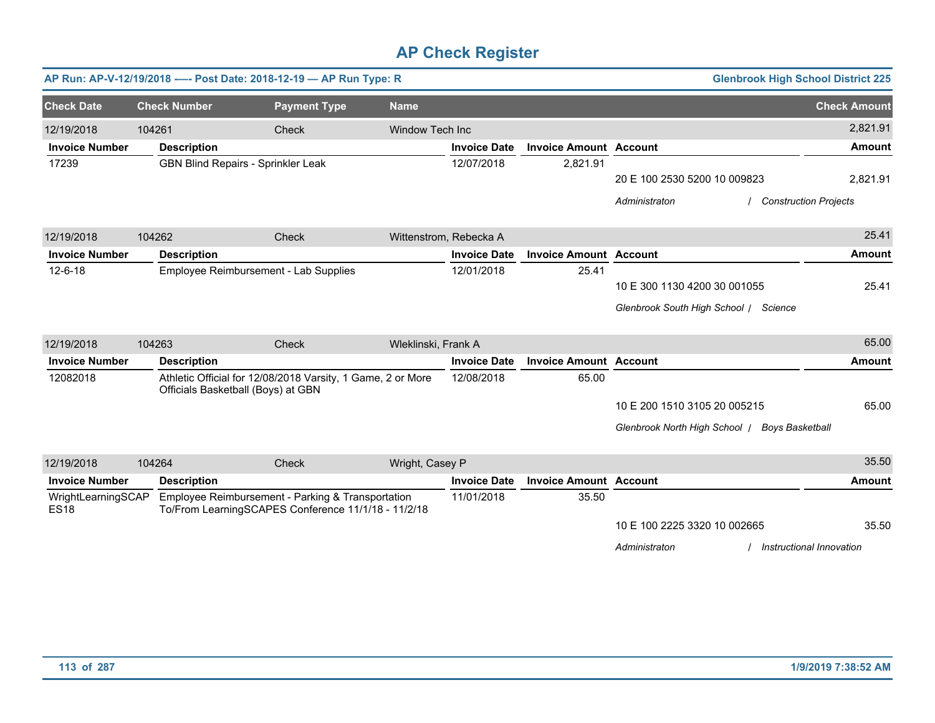|                                   |        |                                       | AP Run: AP-V-12/19/2018 ---- Post Date: 2018-12-19 - AP Run Type: R                                      |                        |                     |                               | <b>Glenbrook High School District 225</b>               |                          |
|-----------------------------------|--------|---------------------------------------|----------------------------------------------------------------------------------------------------------|------------------------|---------------------|-------------------------------|---------------------------------------------------------|--------------------------|
| <b>Check Date</b>                 |        | <b>Check Number</b>                   | <b>Payment Type</b>                                                                                      | <b>Name</b>            |                     |                               |                                                         | <b>Check Amount</b>      |
| 12/19/2018                        | 104261 |                                       | Check                                                                                                    | Window Tech Inc        |                     |                               |                                                         | 2,821.91                 |
| <b>Invoice Number</b>             |        | <b>Description</b>                    |                                                                                                          |                        | <b>Invoice Date</b> | <b>Invoice Amount Account</b> |                                                         | <b>Amount</b>            |
| 17239                             |        | GBN Blind Repairs - Sprinkler Leak    |                                                                                                          |                        | 12/07/2018          | 2,821.91                      |                                                         |                          |
|                                   |        |                                       |                                                                                                          |                        |                     |                               | 20 E 100 2530 5200 10 009823                            | 2,821.91                 |
|                                   |        |                                       |                                                                                                          |                        |                     |                               | <b>Construction Projects</b><br>Administraton           |                          |
| 12/19/2018                        | 104262 |                                       | Check                                                                                                    | Wittenstrom, Rebecka A |                     |                               |                                                         | 25.41                    |
| <b>Invoice Number</b>             |        | <b>Description</b>                    |                                                                                                          |                        | <b>Invoice Date</b> | <b>Invoice Amount Account</b> |                                                         | <b>Amount</b>            |
| $12 - 6 - 18$                     |        | Employee Reimbursement - Lab Supplies |                                                                                                          |                        | 12/01/2018          | 25.41                         |                                                         |                          |
|                                   |        |                                       |                                                                                                          |                        |                     |                               | 10 E 300 1130 4200 30 001055                            | 25.41                    |
|                                   |        |                                       |                                                                                                          |                        |                     |                               | Glenbrook South High School / Science                   |                          |
| 12/19/2018                        | 104263 |                                       | Check                                                                                                    | Wleklinski, Frank A    |                     |                               |                                                         | 65.00                    |
| <b>Invoice Number</b>             |        | <b>Description</b>                    |                                                                                                          |                        | <b>Invoice Date</b> | <b>Invoice Amount Account</b> |                                                         | <b>Amount</b>            |
| 12082018                          |        | Officials Basketball (Boys) at GBN    | Athletic Official for 12/08/2018 Varsity, 1 Game, 2 or More                                              |                        | 12/08/2018          | 65.00                         |                                                         |                          |
|                                   |        |                                       |                                                                                                          |                        |                     |                               | 10 E 200 1510 3105 20 005215                            | 65.00                    |
|                                   |        |                                       |                                                                                                          |                        |                     |                               | Glenbrook North High School /<br><b>Boys Basketball</b> |                          |
| 12/19/2018                        | 104264 |                                       | Check                                                                                                    | Wright, Casey P        |                     |                               |                                                         | 35.50                    |
| <b>Invoice Number</b>             |        | <b>Description</b>                    |                                                                                                          |                        | <b>Invoice Date</b> | <b>Invoice Amount Account</b> |                                                         | <b>Amount</b>            |
| WrightLearningSCAP<br><b>ES18</b> |        |                                       | Employee Reimbursement - Parking & Transportation<br>To/From LearningSCAPES Conference 11/1/18 - 11/2/18 |                        | 11/01/2018          | 35.50                         |                                                         |                          |
|                                   |        |                                       |                                                                                                          |                        |                     |                               | 10 E 100 2225 3320 10 002665                            | 35.50                    |
|                                   |        |                                       |                                                                                                          |                        |                     |                               | Administraton                                           | Instructional Innovation |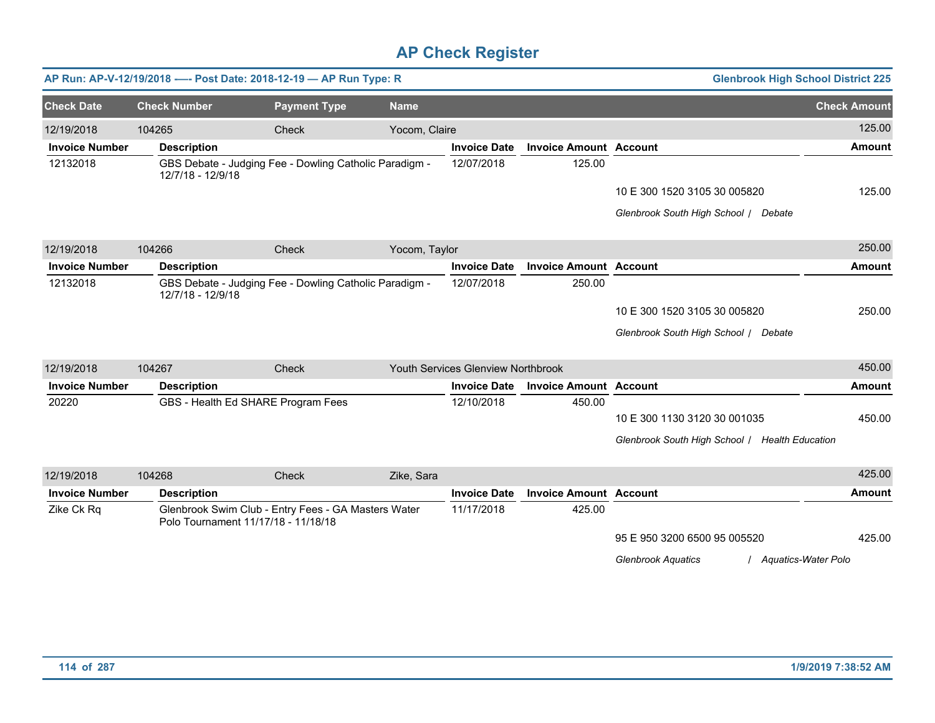|                       |                     | AP Run: AP-V-12/19/2018 ---- Post Date: 2018-12-19 - AP Run Type: R                        |               |                                    |                               |                                                    | <b>Glenbrook High School District 225</b> |
|-----------------------|---------------------|--------------------------------------------------------------------------------------------|---------------|------------------------------------|-------------------------------|----------------------------------------------------|-------------------------------------------|
| <b>Check Date</b>     | <b>Check Number</b> | <b>Payment Type</b>                                                                        | <b>Name</b>   |                                    |                               |                                                    | <b>Check Amount</b>                       |
| 12/19/2018            | 104265              | Check                                                                                      | Yocom, Claire |                                    |                               |                                                    | 125.00                                    |
| <b>Invoice Number</b> | <b>Description</b>  |                                                                                            |               | <b>Invoice Date</b>                | <b>Invoice Amount Account</b> |                                                    | <b>Amount</b>                             |
| 12132018              | 12/7/18 - 12/9/18   | GBS Debate - Judging Fee - Dowling Catholic Paradigm -                                     |               | 12/07/2018                         | 125.00                        |                                                    |                                           |
|                       |                     |                                                                                            |               |                                    |                               | 10 E 300 1520 3105 30 005820                       | 125.00                                    |
|                       |                     |                                                                                            |               |                                    |                               | Glenbrook South High School / Debate               |                                           |
| 12/19/2018            | 104266              | Check                                                                                      | Yocom, Taylor |                                    |                               |                                                    | 250.00                                    |
| <b>Invoice Number</b> | <b>Description</b>  |                                                                                            |               | <b>Invoice Date</b>                | <b>Invoice Amount Account</b> |                                                    | <b>Amount</b>                             |
| 12132018              | 12/7/18 - 12/9/18   | GBS Debate - Judging Fee - Dowling Catholic Paradigm -                                     |               | 12/07/2018                         | 250.00                        |                                                    |                                           |
|                       |                     |                                                                                            |               |                                    |                               | 10 E 300 1520 3105 30 005820                       | 250.00                                    |
|                       |                     |                                                                                            |               |                                    |                               | Glenbrook South High School / Debate               |                                           |
| 12/19/2018            | 104267              | Check                                                                                      |               | Youth Services Glenview Northbrook |                               |                                                    | 450.00                                    |
| <b>Invoice Number</b> | <b>Description</b>  |                                                                                            |               | <b>Invoice Date</b>                | <b>Invoice Amount Account</b> |                                                    | <b>Amount</b>                             |
| 20220                 |                     | GBS - Health Ed SHARE Program Fees                                                         |               | 12/10/2018                         | 450.00                        |                                                    |                                           |
|                       |                     |                                                                                            |               |                                    |                               | 10 E 300 1130 3120 30 001035                       | 450.00                                    |
|                       |                     |                                                                                            |               |                                    |                               | Glenbrook South High School / Health Education     |                                           |
| 12/19/2018            | 104268              | <b>Check</b>                                                                               | Zike, Sara    |                                    |                               |                                                    | 425.00                                    |
| <b>Invoice Number</b> | <b>Description</b>  |                                                                                            |               | <b>Invoice Date</b>                | <b>Invoice Amount Account</b> |                                                    | <b>Amount</b>                             |
| Zike Ck Rq            |                     | Glenbrook Swim Club - Entry Fees - GA Masters Water<br>Polo Tournament 11/17/18 - 11/18/18 |               | 11/17/2018                         | 425.00                        |                                                    |                                           |
|                       |                     |                                                                                            |               |                                    |                               | 95 E 950 3200 6500 95 005520                       | 425.00                                    |
|                       |                     |                                                                                            |               |                                    |                               | <b>Glenbrook Aquatics</b><br>/ Aquatics-Water Polo |                                           |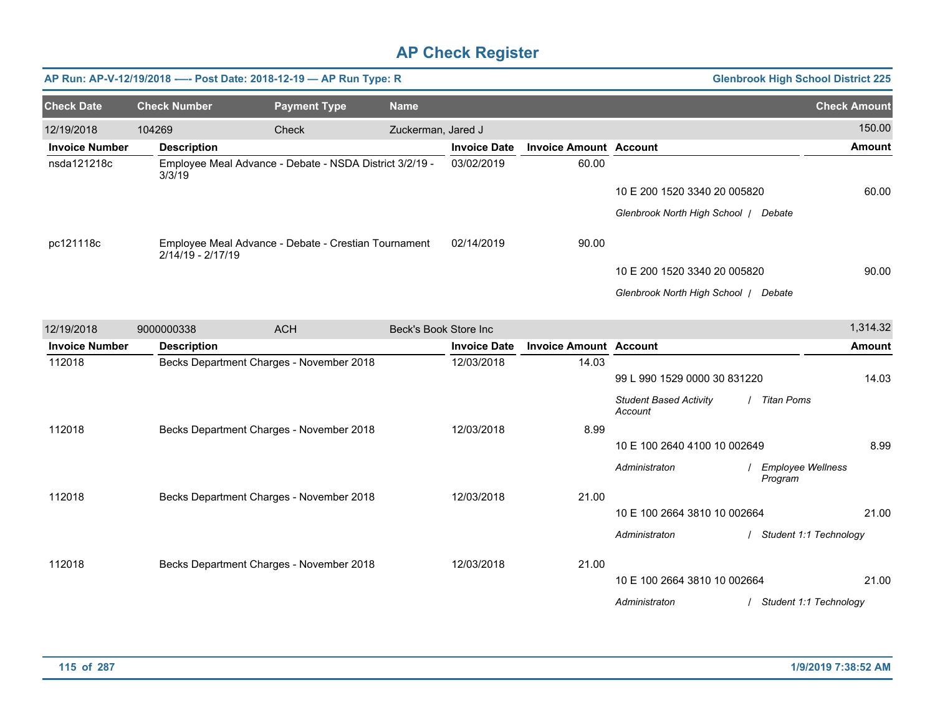|                       |                     | AP Run: AP-V-12/19/2018 ---- Post Date: 2018-12-19 - AP Run Type: R |                       |                     |                               |                                          |                                     | <b>Glenbrook High School District 225</b> |
|-----------------------|---------------------|---------------------------------------------------------------------|-----------------------|---------------------|-------------------------------|------------------------------------------|-------------------------------------|-------------------------------------------|
| <b>Check Date</b>     | <b>Check Number</b> | <b>Payment Type</b>                                                 | <b>Name</b>           |                     |                               |                                          |                                     | <b>Check Amount</b>                       |
| 12/19/2018            | 104269              | Check                                                               | Zuckerman, Jared J    |                     |                               |                                          |                                     | 150.00                                    |
| <b>Invoice Number</b> | <b>Description</b>  |                                                                     |                       | <b>Invoice Date</b> | <b>Invoice Amount Account</b> |                                          |                                     | <b>Amount</b>                             |
| nsda121218c           | 3/3/19              | Employee Meal Advance - Debate - NSDA District 3/2/19 -             |                       | 03/02/2019          | 60.00                         |                                          |                                     |                                           |
|                       |                     |                                                                     |                       |                     |                               | 10 E 200 1520 3340 20 005820             |                                     | 60.00                                     |
|                       |                     |                                                                     |                       |                     |                               | Glenbrook North High School   Debate     |                                     |                                           |
| pc121118c             | 2/14/19 - 2/17/19   | Employee Meal Advance - Debate - Crestian Tournament                |                       | 02/14/2019          | 90.00                         |                                          |                                     |                                           |
|                       |                     |                                                                     |                       |                     |                               | 10 E 200 1520 3340 20 005820             |                                     | 90.00                                     |
|                       |                     |                                                                     |                       |                     |                               | Glenbrook North High School   Debate     |                                     |                                           |
| 12/19/2018            | 9000000338          | <b>ACH</b>                                                          | Beck's Book Store Inc |                     |                               |                                          |                                     | 1,314.32                                  |
| <b>Invoice Number</b> | <b>Description</b>  |                                                                     |                       | <b>Invoice Date</b> | <b>Invoice Amount Account</b> |                                          |                                     | <b>Amount</b>                             |
| 112018                |                     | Becks Department Charges - November 2018                            |                       | 12/03/2018          | 14.03                         |                                          |                                     |                                           |
|                       |                     |                                                                     |                       |                     |                               | 99 L 990 1529 0000 30 831220             |                                     | 14.03                                     |
|                       |                     |                                                                     |                       |                     |                               | <b>Student Based Activity</b><br>Account | / Titan Poms                        |                                           |
| 112018                |                     | Becks Department Charges - November 2018                            |                       | 12/03/2018          | 8.99                          |                                          |                                     |                                           |
|                       |                     |                                                                     |                       |                     |                               | 10 E 100 2640 4100 10 002649             |                                     | 8.99                                      |
|                       |                     |                                                                     |                       |                     |                               | Administraton                            | <b>Employee Wellness</b><br>Program |                                           |
| 112018                |                     | Becks Department Charges - November 2018                            |                       | 12/03/2018          | 21.00                         |                                          |                                     |                                           |
|                       |                     |                                                                     |                       |                     |                               | 10 E 100 2664 3810 10 002664             |                                     | 21.00                                     |
|                       |                     |                                                                     |                       |                     |                               | Administraton                            | / Student 1:1 Technology            |                                           |
| 112018                |                     | Becks Department Charges - November 2018                            |                       | 12/03/2018          | 21.00                         |                                          |                                     |                                           |
|                       |                     |                                                                     |                       |                     |                               | 10 E 100 2664 3810 10 002664             |                                     | 21.00                                     |
|                       |                     |                                                                     |                       |                     |                               | Administraton                            |                                     | Student 1:1 Technology                    |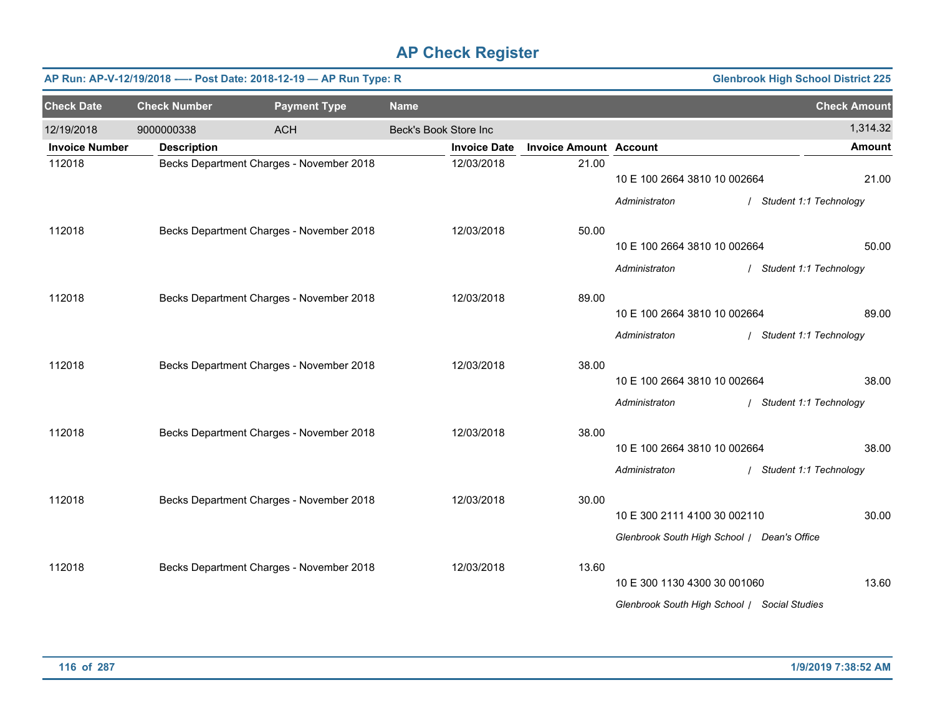|                       |                     | AP Run: AP-V-12/19/2018 ---- Post Date: 2018-12-19 - AP Run Type: R |                       |                     |                               |                                              | <b>Glenbrook High School District 225</b> |
|-----------------------|---------------------|---------------------------------------------------------------------|-----------------------|---------------------|-------------------------------|----------------------------------------------|-------------------------------------------|
| <b>Check Date</b>     | <b>Check Number</b> | <b>Payment Type</b>                                                 | <b>Name</b>           |                     |                               |                                              | <b>Check Amount</b>                       |
| 12/19/2018            | 9000000338          | <b>ACH</b>                                                          | Beck's Book Store Inc |                     |                               |                                              | 1,314.32                                  |
| <b>Invoice Number</b> | <b>Description</b>  |                                                                     |                       | <b>Invoice Date</b> | <b>Invoice Amount Account</b> |                                              | <b>Amount</b>                             |
| 112018                |                     | Becks Department Charges - November 2018                            |                       | 12/03/2018          | 21.00                         | 10 E 100 2664 3810 10 002664                 | 21.00                                     |
|                       |                     |                                                                     |                       |                     |                               | Administraton                                | / Student 1:1 Technology                  |
| 112018                |                     | Becks Department Charges - November 2018                            |                       | 12/03/2018          | 50.00                         | 10 E 100 2664 3810 10 002664                 | 50.00                                     |
|                       |                     |                                                                     |                       |                     |                               | Administraton                                | / Student 1:1 Technology                  |
| 112018                |                     | Becks Department Charges - November 2018                            |                       | 12/03/2018          | 89.00                         | 10 E 100 2664 3810 10 002664                 | 89.00                                     |
|                       |                     |                                                                     |                       |                     |                               |                                              |                                           |
|                       |                     |                                                                     |                       |                     |                               | Administraton                                | / Student 1:1 Technology                  |
| 112018                |                     | Becks Department Charges - November 2018                            |                       | 12/03/2018          | 38.00                         |                                              |                                           |
|                       |                     |                                                                     |                       |                     |                               | 10 E 100 2664 3810 10 002664                 | 38.00                                     |
|                       |                     |                                                                     |                       |                     |                               | Administraton                                | / Student 1:1 Technology                  |
| 112018                |                     | Becks Department Charges - November 2018                            |                       | 12/03/2018          | 38.00                         |                                              |                                           |
|                       |                     |                                                                     |                       |                     |                               | 10 E 100 2664 3810 10 002664                 | 38.00                                     |
|                       |                     |                                                                     |                       |                     |                               | Administraton                                | / Student 1:1 Technology                  |
| 112018                |                     | Becks Department Charges - November 2018                            |                       | 12/03/2018          | 30.00                         |                                              |                                           |
|                       |                     |                                                                     |                       |                     |                               | 10 E 300 2111 4100 30 002110                 | 30.00                                     |
|                       |                     |                                                                     |                       |                     |                               | Glenbrook South High School / Dean's Office  |                                           |
| 112018                |                     | Becks Department Charges - November 2018                            |                       | 12/03/2018          | 13.60                         |                                              |                                           |
|                       |                     |                                                                     |                       |                     |                               | 10 E 300 1130 4300 30 001060                 | 13.60                                     |
|                       |                     |                                                                     |                       |                     |                               | Glenbrook South High School / Social Studies |                                           |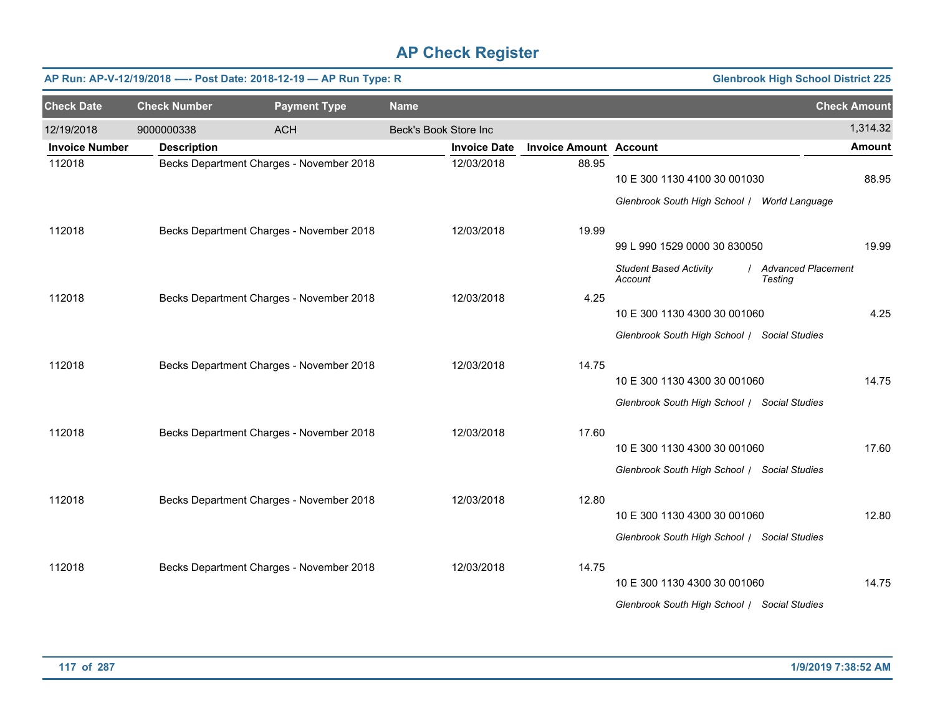|                       |                     | AP Run: AP-V-12/19/2018 ---- Post Date: 2018-12-19 - AP Run Type: R |                       |                     |                               |                                                                              | <b>Glenbrook High School District 225</b> |          |
|-----------------------|---------------------|---------------------------------------------------------------------|-----------------------|---------------------|-------------------------------|------------------------------------------------------------------------------|-------------------------------------------|----------|
| <b>Check Date</b>     | <b>Check Number</b> | <b>Payment Type</b>                                                 | <b>Name</b>           |                     |                               |                                                                              | <b>Check Amount</b>                       |          |
| 12/19/2018            | 9000000338          | <b>ACH</b>                                                          | Beck's Book Store Inc |                     |                               |                                                                              |                                           | 1,314.32 |
| <b>Invoice Number</b> | <b>Description</b>  |                                                                     |                       | <b>Invoice Date</b> | <b>Invoice Amount Account</b> |                                                                              |                                           | Amount   |
| 112018                |                     | Becks Department Charges - November 2018                            |                       | 12/03/2018          | 88.95                         | 10 E 300 1130 4100 30 001030<br>Glenbrook South High School / World Language |                                           | 88.95    |
| 112018                |                     | Becks Department Charges - November 2018                            |                       | 12/03/2018          | 19.99                         | 99 L 990 1529 0000 30 830050                                                 |                                           | 19.99    |
|                       |                     |                                                                     |                       |                     |                               | <b>Student Based Activity</b><br>Account                                     | / Advanced Placement<br>Testing           |          |
| 112018                |                     | Becks Department Charges - November 2018                            |                       | 12/03/2018          | 4.25                          | 10 E 300 1130 4300 30 001060<br>Glenbrook South High School / Social Studies |                                           | 4.25     |
| 112018                |                     | Becks Department Charges - November 2018                            |                       | 12/03/2018          | 14.75                         | 10 E 300 1130 4300 30 001060<br>Glenbrook South High School / Social Studies |                                           | 14.75    |
| 112018                |                     | Becks Department Charges - November 2018                            |                       | 12/03/2018          | 17.60                         | 10 E 300 1130 4300 30 001060<br>Glenbrook South High School / Social Studies |                                           | 17.60    |
| 112018                |                     | Becks Department Charges - November 2018                            |                       | 12/03/2018          | 12.80                         | 10 E 300 1130 4300 30 001060<br>Glenbrook South High School / Social Studies |                                           | 12.80    |
| 112018                |                     | Becks Department Charges - November 2018                            |                       | 12/03/2018          | 14.75                         | 10 E 300 1130 4300 30 001060<br>Glenbrook South High School / Social Studies |                                           | 14.75    |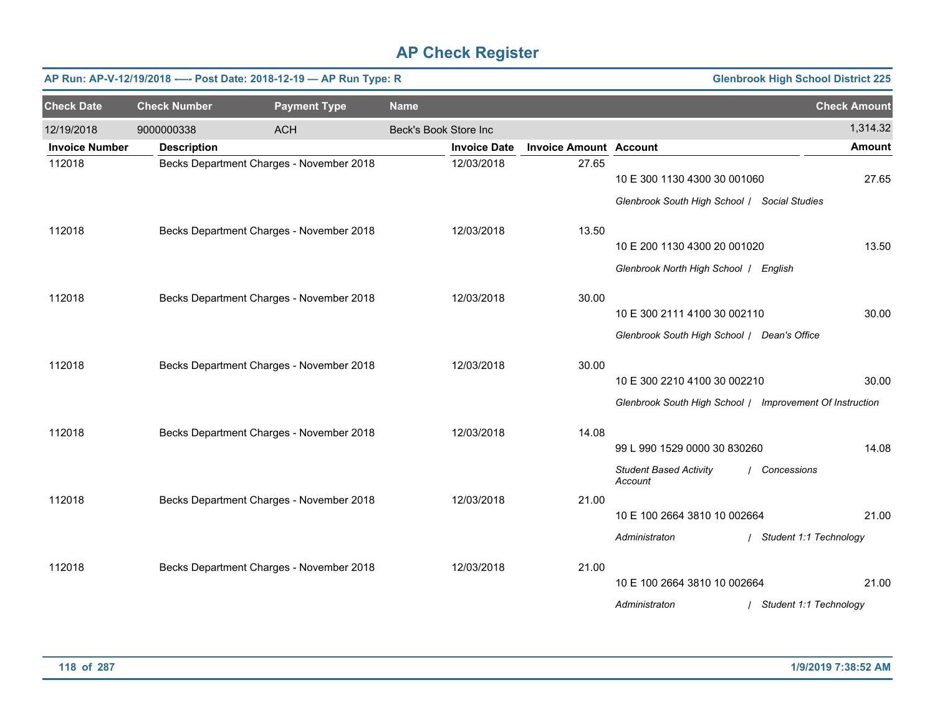|                       |                     | AP Run: AP-V-12/19/2018 ---- Post Date: 2018-12-19 - AP Run Type: R |                       |                     |                               |                                                          | <b>Glenbrook High School District 225</b> |
|-----------------------|---------------------|---------------------------------------------------------------------|-----------------------|---------------------|-------------------------------|----------------------------------------------------------|-------------------------------------------|
| <b>Check Date</b>     | <b>Check Number</b> | <b>Payment Type</b>                                                 | <b>Name</b>           |                     |                               |                                                          | <b>Check Amount</b>                       |
| 12/19/2018            | 9000000338          | <b>ACH</b>                                                          | Beck's Book Store Inc |                     |                               |                                                          | 1,314.32                                  |
| <b>Invoice Number</b> | <b>Description</b>  |                                                                     |                       | <b>Invoice Date</b> | <b>Invoice Amount Account</b> |                                                          | <b>Amount</b>                             |
| 112018                |                     | Becks Department Charges - November 2018                            |                       | 12/03/2018          | 27.65                         | 10 E 300 1130 4300 30 001060                             | 27.65                                     |
|                       |                     |                                                                     |                       |                     |                               | Glenbrook South High School / Social Studies             |                                           |
| 112018                |                     | Becks Department Charges - November 2018                            |                       | 12/03/2018          | 13.50                         |                                                          |                                           |
|                       |                     |                                                                     |                       |                     |                               | 10 E 200 1130 4300 20 001020                             | 13.50                                     |
|                       |                     |                                                                     |                       |                     |                               | Glenbrook North High School   English                    |                                           |
| 112018                |                     | Becks Department Charges - November 2018                            |                       | 12/03/2018          | 30.00                         |                                                          |                                           |
|                       |                     |                                                                     |                       |                     |                               | 10 E 300 2111 4100 30 002110                             | 30.00                                     |
|                       |                     |                                                                     |                       |                     |                               | Glenbrook South High School / Dean's Office              |                                           |
| 112018                |                     | Becks Department Charges - November 2018                            |                       | 12/03/2018          | 30.00                         |                                                          |                                           |
|                       |                     |                                                                     |                       |                     |                               | 10 E 300 2210 4100 30 002210                             | 30.00                                     |
|                       |                     |                                                                     |                       |                     |                               | Glenbrook South High School / Improvement Of Instruction |                                           |
| 112018                |                     | Becks Department Charges - November 2018                            |                       | 12/03/2018          | 14.08                         |                                                          |                                           |
|                       |                     |                                                                     |                       |                     |                               | 99 L 990 1529 0000 30 830260                             | 14.08                                     |
|                       |                     |                                                                     |                       |                     |                               | <b>Student Based Activity</b><br>Account                 | / Concessions                             |
| 112018                |                     | Becks Department Charges - November 2018                            |                       | 12/03/2018          | 21.00                         |                                                          |                                           |
|                       |                     |                                                                     |                       |                     |                               | 10 E 100 2664 3810 10 002664                             | 21.00                                     |
|                       |                     |                                                                     |                       |                     |                               | Administraton                                            | / Student 1:1 Technology                  |
| 112018                |                     | Becks Department Charges - November 2018                            |                       | 12/03/2018          | 21.00                         |                                                          |                                           |
|                       |                     |                                                                     |                       |                     |                               | 10 E 100 2664 3810 10 002664                             | 21.00                                     |
|                       |                     |                                                                     |                       |                     |                               | Administraton                                            | Student 1:1 Technology                    |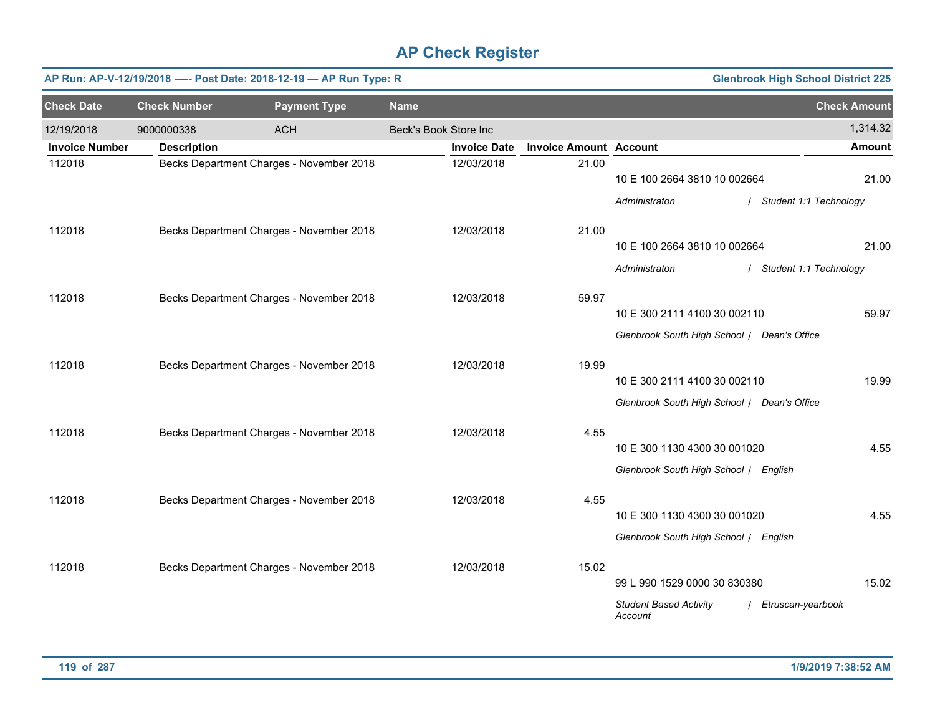|                       |                     | AP Run: AP-V-12/19/2018 ---- Post Date: 2018-12-19 - AP Run Type: R |                       |                     |                               |                                             | <b>Glenbrook High School District 225</b> |
|-----------------------|---------------------|---------------------------------------------------------------------|-----------------------|---------------------|-------------------------------|---------------------------------------------|-------------------------------------------|
| <b>Check Date</b>     | <b>Check Number</b> | <b>Payment Type</b>                                                 | <b>Name</b>           |                     |                               |                                             | <b>Check Amount</b>                       |
| 12/19/2018            | 9000000338          | <b>ACH</b>                                                          | Beck's Book Store Inc |                     |                               |                                             | 1,314.32                                  |
| <b>Invoice Number</b> | <b>Description</b>  |                                                                     |                       | <b>Invoice Date</b> | <b>Invoice Amount Account</b> |                                             | <b>Amount</b>                             |
| 112018                |                     | Becks Department Charges - November 2018                            |                       | 12/03/2018          | 21.00                         | 10 E 100 2664 3810 10 002664                | 21.00                                     |
|                       |                     |                                                                     |                       |                     |                               | Administraton                               | / Student 1:1 Technology                  |
| 112018                |                     | Becks Department Charges - November 2018                            |                       | 12/03/2018          | 21.00                         |                                             |                                           |
|                       |                     |                                                                     |                       |                     |                               | 10 E 100 2664 3810 10 002664                | 21.00                                     |
|                       |                     |                                                                     |                       |                     |                               | Administraton                               | / Student 1:1 Technology                  |
| 112018                |                     | Becks Department Charges - November 2018                            |                       | 12/03/2018          | 59.97                         |                                             |                                           |
|                       |                     |                                                                     |                       |                     |                               | 10 E 300 2111 4100 30 002110                | 59.97                                     |
|                       |                     |                                                                     |                       |                     |                               | Glenbrook South High School / Dean's Office |                                           |
| 112018                |                     | Becks Department Charges - November 2018                            |                       | 12/03/2018          | 19.99                         |                                             |                                           |
|                       |                     |                                                                     |                       |                     |                               | 10 E 300 2111 4100 30 002110                | 19.99                                     |
|                       |                     |                                                                     |                       |                     |                               | Glenbrook South High School / Dean's Office |                                           |
| 112018                |                     | Becks Department Charges - November 2018                            |                       | 12/03/2018          | 4.55                          | 10 E 300 1130 4300 30 001020                | 4.55                                      |
|                       |                     |                                                                     |                       |                     |                               | Glenbrook South High School / English       |                                           |
|                       |                     |                                                                     |                       |                     |                               |                                             |                                           |
| 112018                |                     | Becks Department Charges - November 2018                            |                       | 12/03/2018          | 4.55                          |                                             |                                           |
|                       |                     |                                                                     |                       |                     |                               | 10 E 300 1130 4300 30 001020                | 4.55                                      |
|                       |                     |                                                                     |                       |                     |                               | Glenbrook South High School / English       |                                           |
| 112018                |                     | Becks Department Charges - November 2018                            |                       | 12/03/2018          | 15.02                         |                                             |                                           |
|                       |                     |                                                                     |                       |                     |                               | 99 L 990 1529 0000 30 830380                | 15.02                                     |
|                       |                     |                                                                     |                       |                     |                               | <b>Student Based Activity</b><br>Account    | / Etruscan-yearbook                       |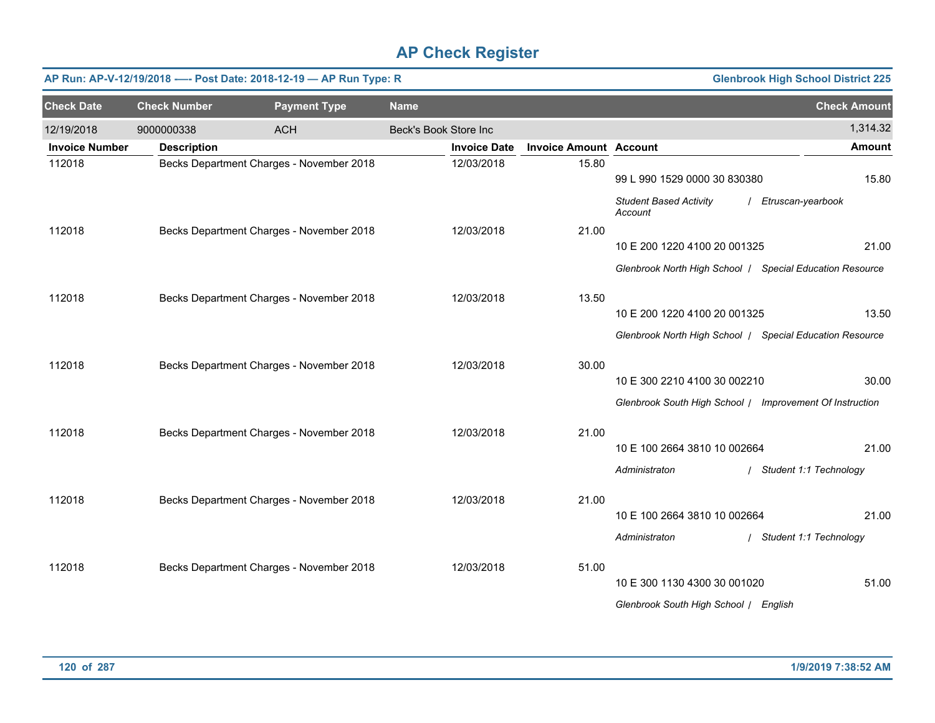| <b>Check Date</b><br><b>Check Number</b><br><b>Payment Type</b><br><b>Name</b>                            | <b>Check Amount</b> |
|-----------------------------------------------------------------------------------------------------------|---------------------|
|                                                                                                           |                     |
| Beck's Book Store Inc<br>12/19/2018<br>9000000338<br><b>ACH</b>                                           | 1,314.32            |
| <b>Invoice Number</b><br><b>Invoice Amount Account</b><br><b>Description</b><br><b>Invoice Date</b>       | <b>Amount</b>       |
| Becks Department Charges - November 2018<br>15.80<br>112018<br>12/03/2018<br>99 L 990 1529 0000 30 830380 | 15.80               |
| <b>Student Based Activity</b><br>/ Etruscan-yearbook<br>Account                                           |                     |
| 112018<br>Becks Department Charges - November 2018<br>12/03/2018<br>21.00                                 |                     |
| 10 E 200 1220 4100 20 001325                                                                              | 21.00               |
| Glenbrook North High School   Special Education Resource                                                  |                     |
| 13.50<br>112018<br>Becks Department Charges - November 2018<br>12/03/2018                                 |                     |
| 10 E 200 1220 4100 20 001325                                                                              | 13.50               |
| Glenbrook North High School   Special Education Resource                                                  |                     |
| 112018<br>Becks Department Charges - November 2018<br>12/03/2018<br>30.00                                 |                     |
| 10 E 300 2210 4100 30 002210                                                                              | 30.00               |
| Glenbrook South High School / Improvement Of Instruction                                                  |                     |
| Becks Department Charges - November 2018<br>21.00<br>112018<br>12/03/2018                                 |                     |
| 10 E 100 2664 3810 10 002664                                                                              | 21.00               |
| Administraton<br>/ Student 1:1 Technology                                                                 |                     |
| 112018<br>Becks Department Charges - November 2018<br>12/03/2018<br>21.00                                 |                     |
| 10 E 100 2664 3810 10 002664                                                                              | 21.00               |
| Administraton<br>/ Student 1:1 Technology                                                                 |                     |
| 12/03/2018<br>51.00<br>112018<br>Becks Department Charges - November 2018                                 |                     |
| 10 E 300 1130 4300 30 001020                                                                              | 51.00               |
| Glenbrook South High School   English                                                                     |                     |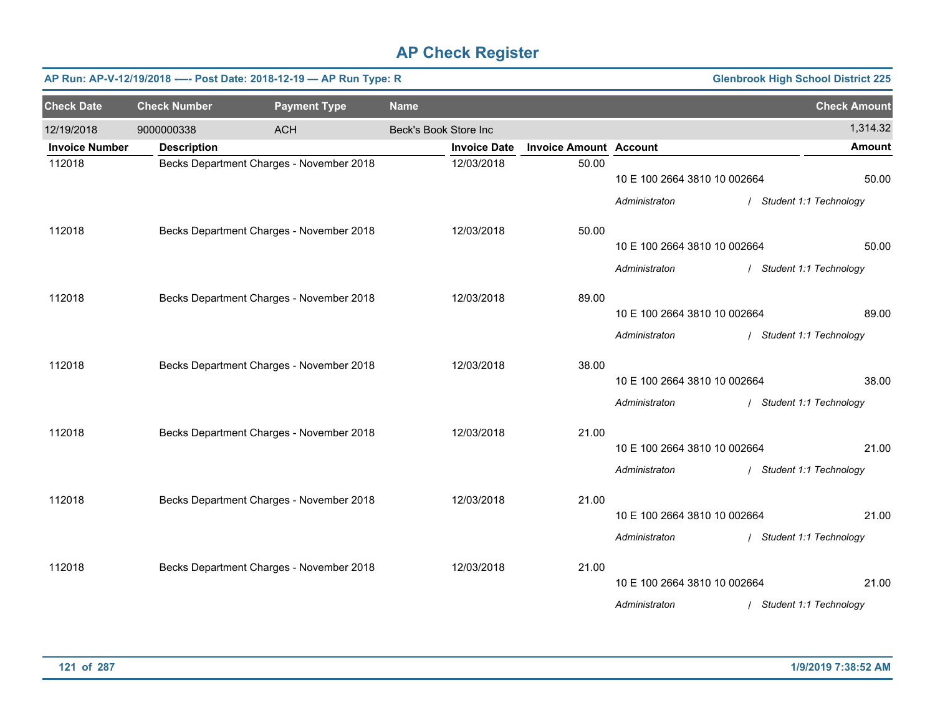|                       | AP Run: AP-V-12/19/2018 ---- Post Date: 2018-12-19 - AP Run Type: R<br><b>Glenbrook High School District 225</b> |                                          |                       |                     |                               |                              |  |                          |  |  |  |
|-----------------------|------------------------------------------------------------------------------------------------------------------|------------------------------------------|-----------------------|---------------------|-------------------------------|------------------------------|--|--------------------------|--|--|--|
| <b>Check Date</b>     | <b>Check Number</b>                                                                                              | <b>Payment Type</b>                      | <b>Name</b>           |                     |                               |                              |  | <b>Check Amount</b>      |  |  |  |
| 12/19/2018            | 9000000338                                                                                                       | <b>ACH</b>                               | Beck's Book Store Inc |                     |                               |                              |  | 1,314.32                 |  |  |  |
| <b>Invoice Number</b> | <b>Description</b>                                                                                               |                                          |                       | <b>Invoice Date</b> | <b>Invoice Amount Account</b> |                              |  | <b>Amount</b>            |  |  |  |
| 112018                |                                                                                                                  | Becks Department Charges - November 2018 |                       | 12/03/2018          | 50.00                         | 10 E 100 2664 3810 10 002664 |  | 50.00                    |  |  |  |
|                       |                                                                                                                  |                                          |                       |                     |                               | Administraton                |  | / Student 1:1 Technology |  |  |  |
| 112018                |                                                                                                                  | Becks Department Charges - November 2018 |                       | 12/03/2018          | 50.00                         |                              |  |                          |  |  |  |
|                       |                                                                                                                  |                                          |                       |                     |                               | 10 E 100 2664 3810 10 002664 |  | 50.00                    |  |  |  |
|                       |                                                                                                                  |                                          |                       |                     |                               | Administraton                |  | / Student 1:1 Technology |  |  |  |
| 112018                |                                                                                                                  | Becks Department Charges - November 2018 |                       | 12/03/2018          | 89.00                         |                              |  |                          |  |  |  |
|                       |                                                                                                                  |                                          |                       |                     |                               | 10 E 100 2664 3810 10 002664 |  | 89.00                    |  |  |  |
|                       |                                                                                                                  |                                          |                       |                     |                               | Administraton                |  | / Student 1:1 Technology |  |  |  |
| 112018                |                                                                                                                  | Becks Department Charges - November 2018 |                       | 12/03/2018          | 38.00                         |                              |  |                          |  |  |  |
|                       |                                                                                                                  |                                          |                       |                     |                               | 10 E 100 2664 3810 10 002664 |  | 38.00                    |  |  |  |
|                       |                                                                                                                  |                                          |                       |                     |                               | Administraton                |  | / Student 1:1 Technology |  |  |  |
| 112018                |                                                                                                                  | Becks Department Charges - November 2018 |                       | 12/03/2018          | 21.00                         |                              |  |                          |  |  |  |
|                       |                                                                                                                  |                                          |                       |                     |                               | 10 E 100 2664 3810 10 002664 |  | 21.00                    |  |  |  |
|                       |                                                                                                                  |                                          |                       |                     |                               | Administraton                |  | / Student 1:1 Technology |  |  |  |
| 112018                |                                                                                                                  | Becks Department Charges - November 2018 |                       | 12/03/2018          | 21.00                         |                              |  |                          |  |  |  |
|                       |                                                                                                                  |                                          |                       |                     |                               | 10 E 100 2664 3810 10 002664 |  | 21.00                    |  |  |  |
|                       |                                                                                                                  |                                          |                       |                     |                               | Administraton                |  | / Student 1:1 Technology |  |  |  |
| 112018                |                                                                                                                  | Becks Department Charges - November 2018 |                       | 12/03/2018          | 21.00                         |                              |  |                          |  |  |  |
|                       |                                                                                                                  |                                          |                       |                     |                               | 10 E 100 2664 3810 10 002664 |  | 21.00                    |  |  |  |
|                       |                                                                                                                  |                                          |                       |                     |                               | Administraton                |  | / Student 1:1 Technology |  |  |  |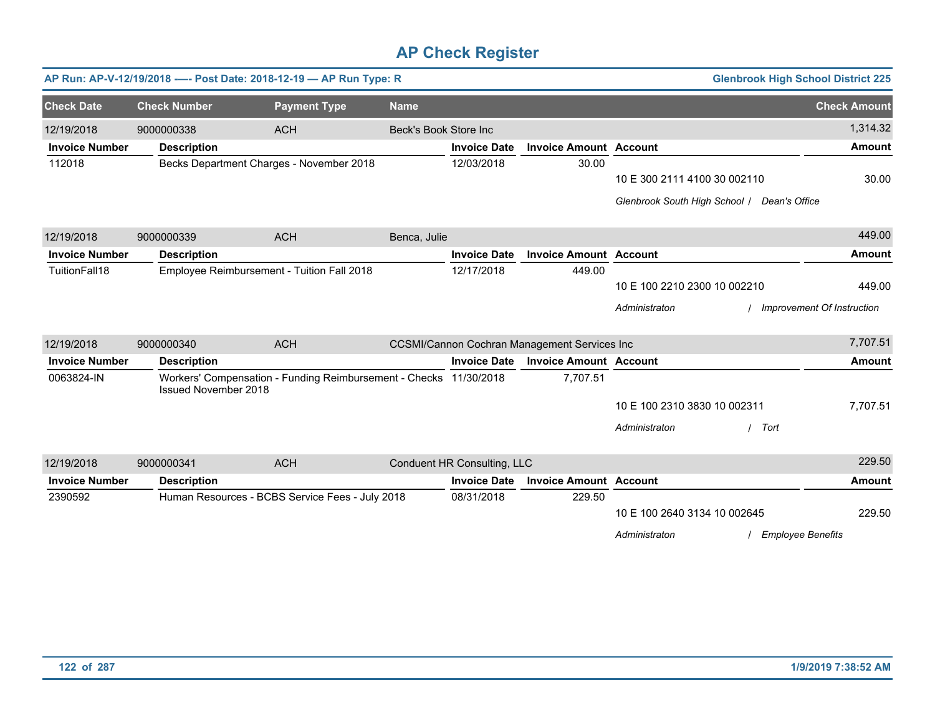|                       |                             | AP Run: AP-V-12/19/2018 ---- Post Date: 2018-12-19 - AP Run Type: R |                       |                             |                                                     |                              | <b>Glenbrook High School District 225</b>   |                            |
|-----------------------|-----------------------------|---------------------------------------------------------------------|-----------------------|-----------------------------|-----------------------------------------------------|------------------------------|---------------------------------------------|----------------------------|
| <b>Check Date</b>     | <b>Check Number</b>         | <b>Payment Type</b>                                                 | <b>Name</b>           |                             |                                                     |                              |                                             | <b>Check Amount</b>        |
| 12/19/2018            | 9000000338                  | <b>ACH</b>                                                          | Beck's Book Store Inc |                             |                                                     |                              |                                             | 1,314.32                   |
| <b>Invoice Number</b> | <b>Description</b>          |                                                                     |                       | <b>Invoice Date</b>         | <b>Invoice Amount Account</b>                       |                              |                                             | <b>Amount</b>              |
| 112018                |                             | Becks Department Charges - November 2018                            |                       | 12/03/2018                  | 30.00                                               |                              |                                             |                            |
|                       |                             |                                                                     |                       |                             |                                                     | 10 E 300 2111 4100 30 002110 |                                             | 30.00                      |
|                       |                             |                                                                     |                       |                             |                                                     |                              | Glenbrook South High School   Dean's Office |                            |
| 12/19/2018            | 9000000339                  | <b>ACH</b>                                                          | Benca, Julie          |                             |                                                     |                              |                                             | 449.00                     |
| <b>Invoice Number</b> | <b>Description</b>          |                                                                     |                       | <b>Invoice Date</b>         | <b>Invoice Amount Account</b>                       |                              |                                             | <b>Amount</b>              |
| TuitionFall18         |                             | Employee Reimbursement - Tuition Fall 2018                          |                       | 12/17/2018                  | 449.00                                              |                              |                                             |                            |
|                       |                             |                                                                     |                       |                             |                                                     | 10 E 100 2210 2300 10 002210 |                                             | 449.00                     |
|                       |                             |                                                                     |                       |                             |                                                     | Administraton                |                                             | Improvement Of Instruction |
| 12/19/2018            | 9000000340                  | <b>ACH</b>                                                          |                       |                             | <b>CCSMI/Cannon Cochran Management Services Inc</b> |                              |                                             | 7,707.51                   |
| <b>Invoice Number</b> | <b>Description</b>          |                                                                     |                       | <b>Invoice Date</b>         | <b>Invoice Amount Account</b>                       |                              |                                             | <b>Amount</b>              |
| 0063824-IN            | <b>Issued November 2018</b> | Workers' Compensation - Funding Reimbursement - Checks 11/30/2018   |                       |                             | 7,707.51                                            |                              |                                             |                            |
|                       |                             |                                                                     |                       |                             |                                                     | 10 E 100 2310 3830 10 002311 |                                             | 7,707.51                   |
|                       |                             |                                                                     |                       |                             |                                                     | Administraton                | Tort                                        |                            |
| 12/19/2018            | 9000000341                  | <b>ACH</b>                                                          |                       | Conduent HR Consulting, LLC |                                                     |                              |                                             | 229.50                     |
| <b>Invoice Number</b> | <b>Description</b>          |                                                                     |                       | <b>Invoice Date</b>         | <b>Invoice Amount Account</b>                       |                              |                                             | <b>Amount</b>              |
| 2390592               |                             | Human Resources - BCBS Service Fees - July 2018                     |                       | 08/31/2018                  | 229.50                                              |                              |                                             |                            |
|                       |                             |                                                                     |                       |                             |                                                     | 10 E 100 2640 3134 10 002645 |                                             | 229.50                     |
|                       |                             |                                                                     |                       |                             |                                                     | Administraton                | <b>Employee Benefits</b>                    |                            |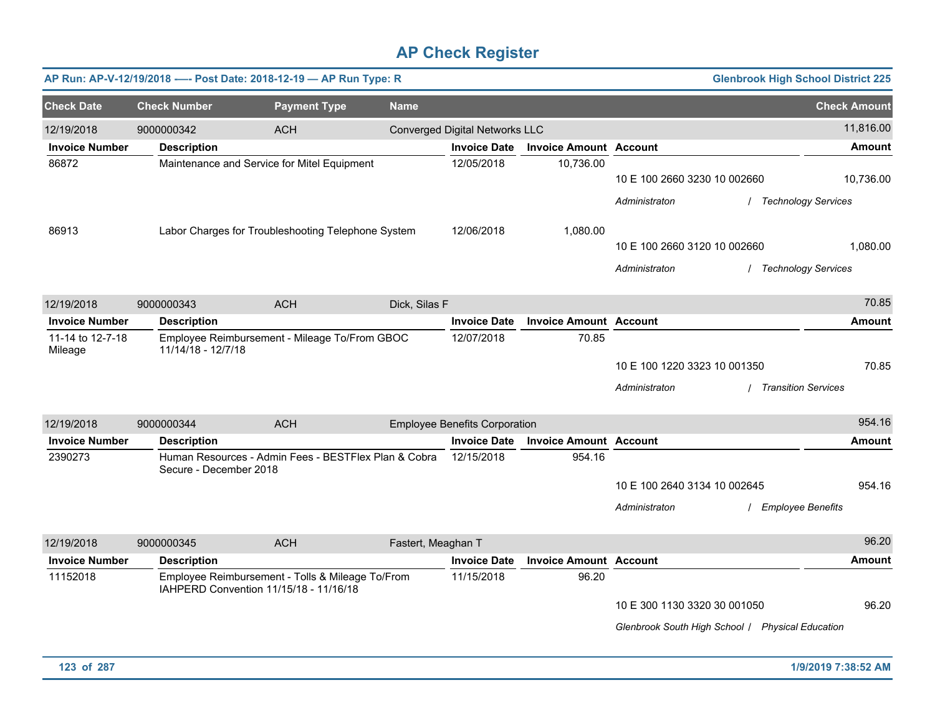|                             |                     | AP Run: AP-V-12/19/2018 ---- Post Date: 2018-12-19 - AP Run Type: R                        |             |                                      |                               |                                                  | <b>Glenbrook High School District 225</b> |
|-----------------------------|---------------------|--------------------------------------------------------------------------------------------|-------------|--------------------------------------|-------------------------------|--------------------------------------------------|-------------------------------------------|
| <b>Check Date</b>           | <b>Check Number</b> | <b>Payment Type</b>                                                                        | <b>Name</b> |                                      |                               |                                                  | <b>Check Amount</b>                       |
| 12/19/2018                  | 9000000342          | <b>ACH</b>                                                                                 |             | Converged Digital Networks LLC       |                               |                                                  | 11,816.00                                 |
| <b>Invoice Number</b>       | <b>Description</b>  |                                                                                            |             | <b>Invoice Date</b>                  | <b>Invoice Amount Account</b> |                                                  | <b>Amount</b>                             |
| 86872                       |                     | Maintenance and Service for Mitel Equipment                                                |             | 12/05/2018                           | 10,736.00                     | 10 E 100 2660 3230 10 002660                     | 10,736.00                                 |
|                             |                     |                                                                                            |             |                                      |                               | Administraton                                    | <b>Technology Services</b>                |
|                             |                     |                                                                                            |             |                                      |                               |                                                  |                                           |
| 86913                       |                     | Labor Charges for Troubleshooting Telephone System                                         |             | 12/06/2018                           | 1,080.00                      |                                                  |                                           |
|                             |                     |                                                                                            |             |                                      |                               | 10 E 100 2660 3120 10 002660                     | 1,080.00                                  |
|                             |                     |                                                                                            |             |                                      |                               | Administraton                                    | / Technology Services                     |
|                             |                     |                                                                                            |             |                                      |                               |                                                  |                                           |
| 12/19/2018                  | 9000000343          | <b>ACH</b>                                                                                 |             | Dick, Silas F                        |                               |                                                  | 70.85                                     |
| <b>Invoice Number</b>       | <b>Description</b>  |                                                                                            |             | <b>Invoice Date</b>                  | <b>Invoice Amount Account</b> |                                                  | <b>Amount</b>                             |
| 11-14 to 12-7-18<br>Mileage | 11/14/18 - 12/7/18  | Employee Reimbursement - Mileage To/From GBOC                                              |             | 12/07/2018                           | 70.85                         |                                                  |                                           |
|                             |                     |                                                                                            |             |                                      |                               | 10 E 100 1220 3323 10 001350                     | 70.85                                     |
|                             |                     |                                                                                            |             |                                      |                               | Administraton                                    | <b>Transition Services</b>                |
|                             |                     |                                                                                            |             |                                      |                               |                                                  | 954.16                                    |
| 12/19/2018                  | 9000000344          | <b>ACH</b>                                                                                 |             | <b>Employee Benefits Corporation</b> |                               |                                                  |                                           |
| <b>Invoice Number</b>       | <b>Description</b>  |                                                                                            |             | <b>Invoice Date</b>                  | <b>Invoice Amount Account</b> |                                                  | <b>Amount</b>                             |
| 2390273                     |                     | Human Resources - Admin Fees - BESTFlex Plan & Cobra<br>Secure - December 2018             |             | 12/15/2018                           | 954.16                        |                                                  |                                           |
|                             |                     |                                                                                            |             |                                      |                               | 10 E 100 2640 3134 10 002645                     | 954.16                                    |
|                             |                     |                                                                                            |             |                                      |                               | Administraton                                    | <b>Employee Benefits</b>                  |
|                             |                     |                                                                                            |             |                                      |                               |                                                  |                                           |
| 12/19/2018                  | 9000000345          | <b>ACH</b>                                                                                 |             | Fastert, Meaghan T                   |                               |                                                  | 96.20                                     |
| <b>Invoice Number</b>       | <b>Description</b>  |                                                                                            |             | <b>Invoice Date</b>                  | <b>Invoice Amount Account</b> |                                                  | <b>Amount</b>                             |
| 11152018                    |                     | Employee Reimbursement - Tolls & Mileage To/From<br>IAHPERD Convention 11/15/18 - 11/16/18 |             | 11/15/2018                           | 96.20                         |                                                  |                                           |
|                             |                     |                                                                                            |             |                                      |                               | 10 E 300 1130 3320 30 001050                     | 96.20                                     |
|                             |                     |                                                                                            |             |                                      |                               | Glenbrook South High School   Physical Education |                                           |
|                             |                     |                                                                                            |             |                                      |                               |                                                  |                                           |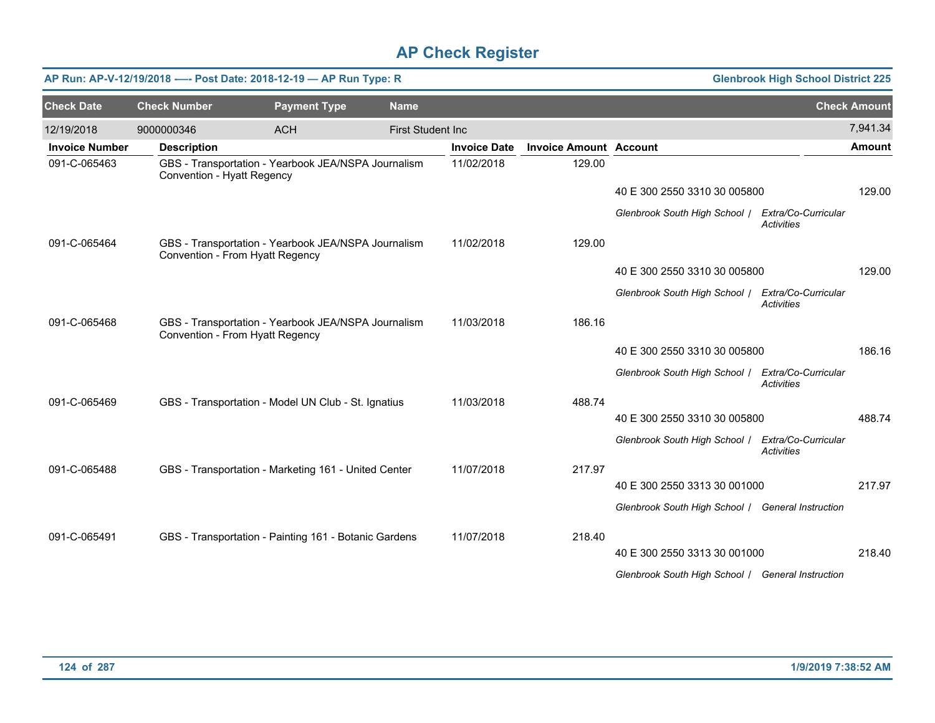|                       |                            | AP Run: AP-V-12/19/2018 ---- Post Date: 2018-12-19 - AP Run Type: R                    |                          |                     |                               |                                                   | <b>Glenbrook High School District 225</b> |                     |
|-----------------------|----------------------------|----------------------------------------------------------------------------------------|--------------------------|---------------------|-------------------------------|---------------------------------------------------|-------------------------------------------|---------------------|
| <b>Check Date</b>     | <b>Check Number</b>        | <b>Payment Type</b>                                                                    | <b>Name</b>              |                     |                               |                                                   |                                           | <b>Check Amount</b> |
| 12/19/2018            | 9000000346                 | <b>ACH</b>                                                                             | <b>First Student Inc</b> |                     |                               |                                                   |                                           | 7,941.34            |
| <b>Invoice Number</b> | <b>Description</b>         |                                                                                        |                          | <b>Invoice Date</b> | <b>Invoice Amount Account</b> |                                                   |                                           | <b>Amount</b>       |
| 091-C-065463          | Convention - Hyatt Regency | GBS - Transportation - Yearbook JEA/NSPA Journalism                                    |                          | 11/02/2018          | 129.00                        |                                                   |                                           |                     |
|                       |                            |                                                                                        |                          |                     |                               | 40 E 300 2550 3310 30 005800                      |                                           | 129.00              |
|                       |                            |                                                                                        |                          |                     |                               | Glenbrook South High School /                     | Extra/Co-Curricular<br>Activities         |                     |
| 091-C-065464          |                            | GBS - Transportation - Yearbook JEA/NSPA Journalism<br>Convention - From Hyatt Regency |                          | 11/02/2018          | 129.00                        |                                                   |                                           |                     |
|                       |                            |                                                                                        |                          |                     |                               | 40 E 300 2550 3310 30 005800                      |                                           | 129.00              |
|                       |                            |                                                                                        |                          |                     |                               | Glenbrook South High School / Extra/Co-Curricular | <b>Activities</b>                         |                     |
| 091-C-065468          |                            | GBS - Transportation - Yearbook JEA/NSPA Journalism<br>Convention - From Hyatt Regency |                          | 11/03/2018          | 186.16                        |                                                   |                                           |                     |
|                       |                            |                                                                                        |                          |                     |                               | 40 E 300 2550 3310 30 005800                      |                                           | 186.16              |
|                       |                            |                                                                                        |                          |                     |                               | Glenbrook South High School / Extra/Co-Curricular | <b>Activities</b>                         |                     |
| 091-C-065469          |                            | GBS - Transportation - Model UN Club - St. Ignatius                                    |                          | 11/03/2018          | 488.74                        |                                                   |                                           |                     |
|                       |                            |                                                                                        |                          |                     |                               | 40 E 300 2550 3310 30 005800                      |                                           | 488.74              |
|                       |                            |                                                                                        |                          |                     |                               | Glenbrook South High School /                     | Extra/Co-Curricular<br><b>Activities</b>  |                     |
| 091-C-065488          |                            | GBS - Transportation - Marketing 161 - United Center                                   |                          | 11/07/2018          | 217.97                        |                                                   |                                           |                     |
|                       |                            |                                                                                        |                          |                     |                               | 40 E 300 2550 3313 30 001000                      |                                           | 217.97              |
|                       |                            |                                                                                        |                          |                     |                               | Glenbrook South High School / General Instruction |                                           |                     |
| 091-C-065491          |                            | GBS - Transportation - Painting 161 - Botanic Gardens                                  |                          | 11/07/2018          | 218.40                        |                                                   |                                           |                     |
|                       |                            |                                                                                        |                          |                     |                               | 40 E 300 2550 3313 30 001000                      |                                           | 218.40              |
|                       |                            |                                                                                        |                          |                     |                               | Glenbrook South High School / General Instruction |                                           |                     |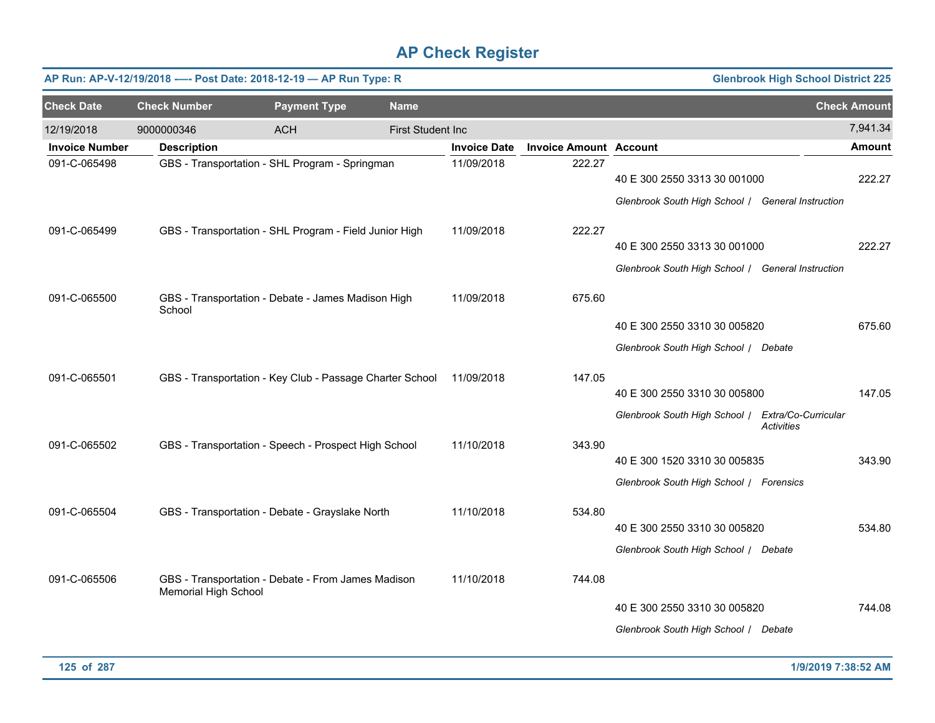|                       |                      | AP Run: AP-V-12/19/2018 ---- Post Date: 2018-12-19 - AP Run Type: R |                          |                     |                               |                                                                                   | <b>Glenbrook High School District 225</b> |                     |
|-----------------------|----------------------|---------------------------------------------------------------------|--------------------------|---------------------|-------------------------------|-----------------------------------------------------------------------------------|-------------------------------------------|---------------------|
| <b>Check Date</b>     | <b>Check Number</b>  | <b>Payment Type</b>                                                 | <b>Name</b>              |                     |                               |                                                                                   |                                           | <b>Check Amount</b> |
| 12/19/2018            | 9000000346           | <b>ACH</b>                                                          | <b>First Student Inc</b> |                     |                               |                                                                                   |                                           | 7,941.34            |
| <b>Invoice Number</b> | <b>Description</b>   |                                                                     |                          | <b>Invoice Date</b> | <b>Invoice Amount Account</b> |                                                                                   |                                           | <b>Amount</b>       |
| 091-C-065498          |                      | GBS - Transportation - SHL Program - Springman                      |                          | 11/09/2018          | 222.27                        | 40 E 300 2550 3313 30 001000<br>Glenbrook South High School / General Instruction |                                           | 222.27              |
| 091-C-065499          |                      | GBS - Transportation - SHL Program - Field Junior High              |                          | 11/09/2018          | 222.27                        | 40 E 300 2550 3313 30 001000                                                      |                                           | 222.27              |
|                       |                      |                                                                     |                          |                     |                               | Glenbrook South High School / General Instruction                                 |                                           |                     |
| 091-C-065500          | School               | GBS - Transportation - Debate - James Madison High                  |                          | 11/09/2018          | 675.60                        |                                                                                   |                                           |                     |
|                       |                      |                                                                     |                          |                     |                               | 40 E 300 2550 3310 30 005820                                                      |                                           | 675.60              |
|                       |                      |                                                                     |                          |                     |                               | Glenbrook South High School / Debate                                              |                                           |                     |
| 091-C-065501          |                      | GBS - Transportation - Key Club - Passage Charter School            |                          | 11/09/2018          | 147.05                        |                                                                                   |                                           |                     |
|                       |                      |                                                                     |                          |                     |                               | 40 E 300 2550 3310 30 005800                                                      |                                           | 147.05              |
|                       |                      |                                                                     |                          |                     |                               | Glenbrook South High School / Extra/Co-Curricular                                 | Activities                                |                     |
| 091-C-065502          |                      | GBS - Transportation - Speech - Prospect High School                |                          | 11/10/2018          | 343.90                        | 40 E 300 1520 3310 30 005835                                                      |                                           | 343.90              |
|                       |                      |                                                                     |                          |                     |                               |                                                                                   |                                           |                     |
|                       |                      |                                                                     |                          |                     |                               | Glenbrook South High School / Forensics                                           |                                           |                     |
| 091-C-065504          |                      | GBS - Transportation - Debate - Grayslake North                     |                          | 11/10/2018          | 534.80                        | 40 E 300 2550 3310 30 005820                                                      |                                           | 534.80              |
|                       |                      |                                                                     |                          |                     |                               |                                                                                   |                                           |                     |
|                       |                      |                                                                     |                          |                     |                               | Glenbrook South High School / Debate                                              |                                           |                     |
| 091-C-065506          | Memorial High School | GBS - Transportation - Debate - From James Madison                  |                          | 11/10/2018          | 744.08                        |                                                                                   |                                           |                     |
|                       |                      |                                                                     |                          |                     |                               | 40 E 300 2550 3310 30 005820                                                      |                                           | 744.08              |
|                       |                      |                                                                     |                          |                     |                               | Glenbrook South High School / Debate                                              |                                           |                     |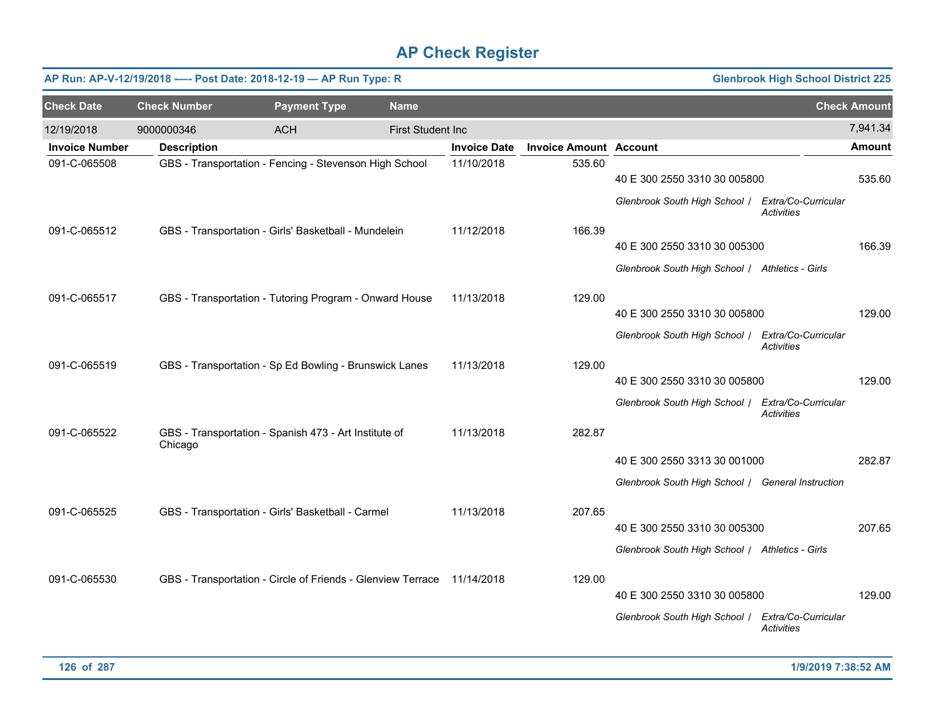|                       |                     | AP Run: AP-V-12/19/2018 ---- Post Date: 2018-12-19 - AP Run Type: R    |                          |                     |                               |                                                   | <b>Glenbrook High School District 225</b> |                     |
|-----------------------|---------------------|------------------------------------------------------------------------|--------------------------|---------------------|-------------------------------|---------------------------------------------------|-------------------------------------------|---------------------|
| <b>Check Date</b>     | <b>Check Number</b> | <b>Payment Type</b>                                                    | <b>Name</b>              |                     |                               |                                                   |                                           | <b>Check Amount</b> |
| 12/19/2018            | 9000000346          | <b>ACH</b>                                                             | <b>First Student Inc</b> |                     |                               |                                                   |                                           | 7,941.34            |
| <b>Invoice Number</b> | <b>Description</b>  |                                                                        |                          | <b>Invoice Date</b> | <b>Invoice Amount Account</b> |                                                   |                                           | Amount              |
| 091-C-065508          |                     | GBS - Transportation - Fencing - Stevenson High School                 |                          | 11/10/2018          | 535.60                        | 40 E 300 2550 3310 30 005800                      |                                           | 535.60              |
|                       |                     |                                                                        |                          |                     |                               | Glenbrook South High School   Extra/Co-Curricular | <b>Activities</b>                         |                     |
| 091-C-065512          |                     | GBS - Transportation - Girls' Basketball - Mundelein                   |                          | 11/12/2018          | 166.39                        |                                                   |                                           |                     |
|                       |                     |                                                                        |                          |                     |                               | 40 E 300 2550 3310 30 005300                      |                                           | 166.39              |
|                       |                     |                                                                        |                          |                     |                               | Glenbrook South High School / Athletics - Girls   |                                           |                     |
| 091-C-065517          |                     | GBS - Transportation - Tutoring Program - Onward House                 |                          | 11/13/2018          | 129.00                        |                                                   |                                           |                     |
|                       |                     |                                                                        |                          |                     |                               | 40 E 300 2550 3310 30 005800                      |                                           | 129.00              |
|                       |                     |                                                                        |                          |                     |                               | Glenbrook South High School /                     | Extra/Co-Curricular<br>Activities         |                     |
| 091-C-065519          |                     | GBS - Transportation - Sp Ed Bowling - Brunswick Lanes                 |                          | 11/13/2018          | 129.00                        |                                                   |                                           |                     |
|                       |                     |                                                                        |                          |                     |                               | 40 E 300 2550 3310 30 005800                      |                                           | 129.00              |
|                       |                     |                                                                        |                          |                     |                               | Glenbrook South High School   Extra/Co-Curricular | <b>Activities</b>                         |                     |
| 091-C-065522          | Chicago             | GBS - Transportation - Spanish 473 - Art Institute of                  |                          | 11/13/2018          | 282.87                        |                                                   |                                           |                     |
|                       |                     |                                                                        |                          |                     |                               | 40 E 300 2550 3313 30 001000                      |                                           | 282.87              |
|                       |                     |                                                                        |                          |                     |                               | Glenbrook South High School / General Instruction |                                           |                     |
| 091-C-065525          |                     | GBS - Transportation - Girls' Basketball - Carmel                      |                          | 11/13/2018          | 207.65                        |                                                   |                                           |                     |
|                       |                     |                                                                        |                          |                     |                               | 40 E 300 2550 3310 30 005300                      |                                           | 207.65              |
|                       |                     |                                                                        |                          |                     |                               | Glenbrook South High School / Athletics - Girls   |                                           |                     |
| 091-C-065530          |                     | GBS - Transportation - Circle of Friends - Glenview Terrace 11/14/2018 |                          |                     | 129.00                        |                                                   |                                           |                     |
|                       |                     |                                                                        |                          |                     |                               | 40 E 300 2550 3310 30 005800                      |                                           | 129.00              |
|                       |                     |                                                                        |                          |                     |                               | Glenbrook South High School /                     | Extra/Co-Curricular<br><b>Activities</b>  |                     |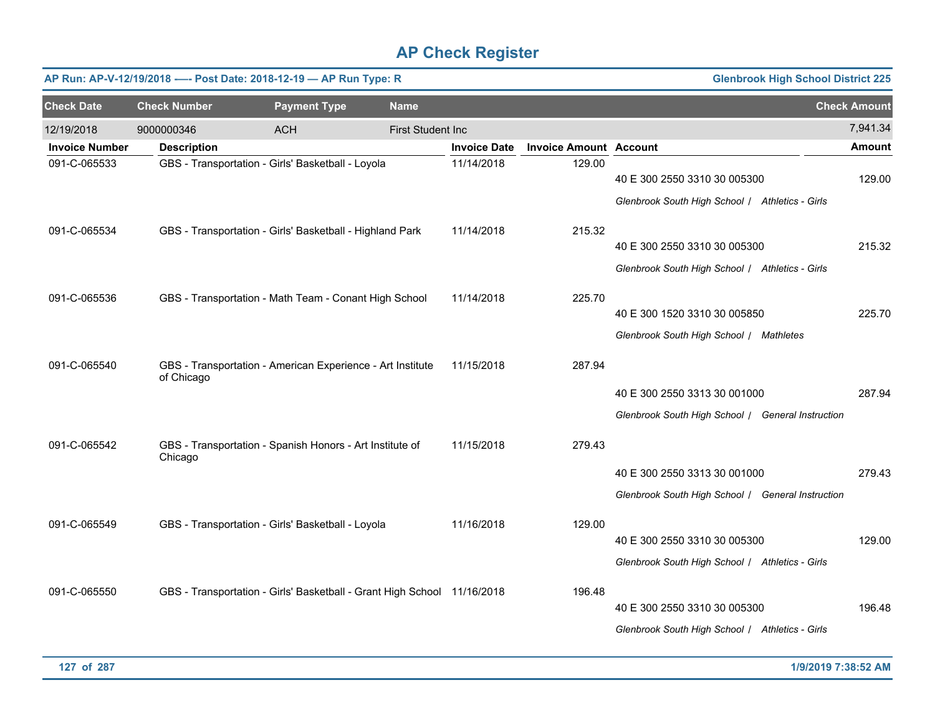|                       |                     | AP Run: AP-V-12/19/2018 ---- Post Date: 2018-12-19 - AP Run Type: R     |                          |                     |                               | <b>Glenbrook High School District 225</b>                                         |                     |
|-----------------------|---------------------|-------------------------------------------------------------------------|--------------------------|---------------------|-------------------------------|-----------------------------------------------------------------------------------|---------------------|
| <b>Check Date</b>     | <b>Check Number</b> | <b>Payment Type</b>                                                     | <b>Name</b>              |                     |                               |                                                                                   | <b>Check Amount</b> |
| 12/19/2018            | 9000000346          | <b>ACH</b>                                                              | <b>First Student Inc</b> |                     |                               |                                                                                   | 7,941.34            |
| <b>Invoice Number</b> | <b>Description</b>  |                                                                         |                          | <b>Invoice Date</b> | <b>Invoice Amount Account</b> |                                                                                   | <b>Amount</b>       |
| 091-C-065533          |                     | GBS - Transportation - Girls' Basketball - Loyola                       |                          | 11/14/2018          | 129.00                        | 40 E 300 2550 3310 30 005300<br>Glenbrook South High School / Athletics - Girls   | 129.00              |
| 091-C-065534          |                     | GBS - Transportation - Girls' Basketball - Highland Park                |                          | 11/14/2018          | 215.32                        | 40 E 300 2550 3310 30 005300<br>Glenbrook South High School / Athletics - Girls   | 215.32              |
| 091-C-065536          |                     | GBS - Transportation - Math Team - Conant High School                   |                          | 11/14/2018          | 225.70                        | 40 E 300 1520 3310 30 005850<br>Glenbrook South High School / Mathletes           | 225.70              |
| 091-C-065540          | of Chicago          | GBS - Transportation - American Experience - Art Institute              |                          | 11/15/2018          | 287.94                        | 40 E 300 2550 3313 30 001000<br>Glenbrook South High School / General Instruction | 287.94              |
| 091-C-065542          | Chicago             | GBS - Transportation - Spanish Honors - Art Institute of                |                          | 11/15/2018          | 279.43                        | 40 E 300 2550 3313 30 001000<br>Glenbrook South High School / General Instruction | 279.43              |
| 091-C-065549          |                     | GBS - Transportation - Girls' Basketball - Loyola                       |                          | 11/16/2018          | 129.00                        | 40 E 300 2550 3310 30 005300<br>Glenbrook South High School / Athletics - Girls   | 129.00              |
| 091-C-065550          |                     | GBS - Transportation - Girls' Basketball - Grant High School 11/16/2018 |                          |                     | 196.48                        | 40 E 300 2550 3310 30 005300<br>Glenbrook South High School / Athletics - Girls   | 196.48              |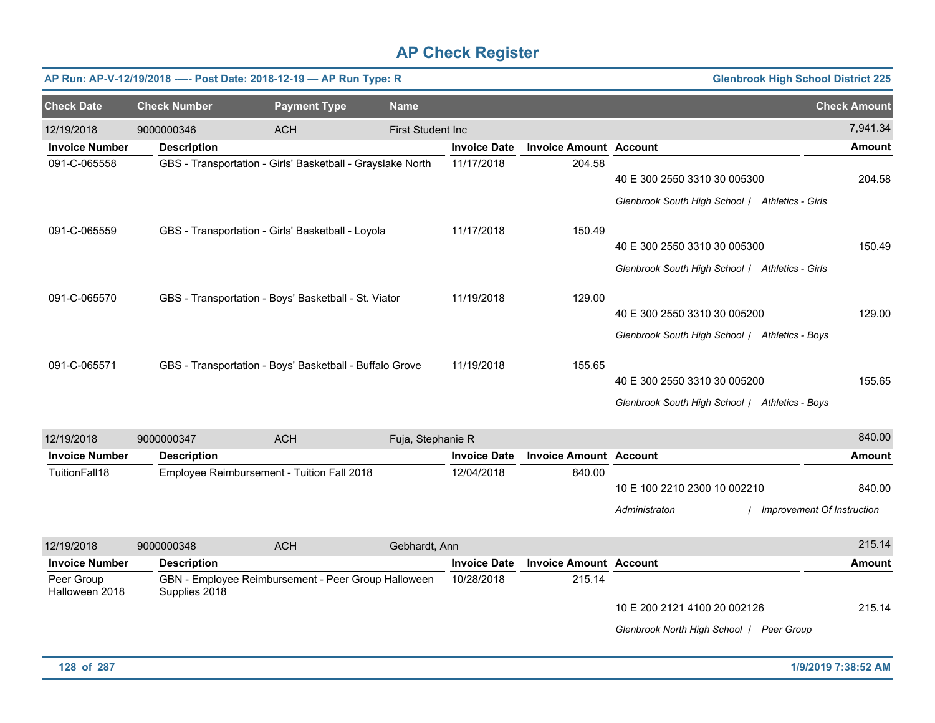|                       | AP Run: AP-V-12/19/2018 ---- Post Date: 2018-12-19 - AP Run Type: R |                                                            |                          |                     |                               | <b>Glenbrook High School District 225</b>       |                     |
|-----------------------|---------------------------------------------------------------------|------------------------------------------------------------|--------------------------|---------------------|-------------------------------|-------------------------------------------------|---------------------|
| <b>Check Date</b>     | <b>Check Number</b>                                                 | <b>Payment Type</b>                                        | <b>Name</b>              |                     |                               |                                                 | <b>Check Amount</b> |
| 12/19/2018            | 9000000346                                                          | <b>ACH</b>                                                 | <b>First Student Inc</b> |                     |                               |                                                 | 7,941.34            |
| <b>Invoice Number</b> | <b>Description</b>                                                  |                                                            |                          | <b>Invoice Date</b> | <b>Invoice Amount Account</b> |                                                 | <b>Amount</b>       |
| 091-C-065558          |                                                                     | GBS - Transportation - Girls' Basketball - Grayslake North |                          | 11/17/2018          | 204.58                        |                                                 |                     |
|                       |                                                                     |                                                            |                          |                     |                               | 40 E 300 2550 3310 30 005300                    | 204.58              |
|                       |                                                                     |                                                            |                          |                     |                               | Glenbrook South High School   Athletics - Girls |                     |
| 091-C-065559          |                                                                     | GBS - Transportation - Girls' Basketball - Loyola          |                          | 11/17/2018          | 150.49                        |                                                 |                     |
|                       |                                                                     |                                                            |                          |                     |                               | 40 E 300 2550 3310 30 005300                    | 150.49              |
|                       |                                                                     |                                                            |                          |                     |                               | Glenbrook South High School   Athletics - Girls |                     |
| 091-C-065570          |                                                                     | GBS - Transportation - Boys' Basketball - St. Viator       |                          | 11/19/2018          | 129.00                        |                                                 |                     |
|                       |                                                                     |                                                            |                          |                     |                               | 40 E 300 2550 3310 30 005200                    | 129.00              |
|                       |                                                                     |                                                            |                          |                     |                               | Glenbrook South High School / Athletics - Boys  |                     |
| 091-C-065571          |                                                                     | GBS - Transportation - Boys' Basketball - Buffalo Grove    |                          | 11/19/2018          | 155.65                        |                                                 |                     |
|                       |                                                                     |                                                            |                          |                     |                               | 40 E 300 2550 3310 30 005200                    | 155.65              |
|                       |                                                                     |                                                            |                          |                     |                               | Glenbrook South High School / Athletics - Boys  |                     |

| 12/19/2018                   | 9000000347         | <b>ACH</b>                                          | Fuja, Stephanie R |                     |                               |                                               | 840.00                               |
|------------------------------|--------------------|-----------------------------------------------------|-------------------|---------------------|-------------------------------|-----------------------------------------------|--------------------------------------|
| <b>Invoice Number</b>        | <b>Description</b> |                                                     |                   | <b>Invoice Date</b> | <b>Invoice Amount Account</b> |                                               | Amount                               |
| TuitionFall18                |                    | Employee Reimbursement - Tuition Fall 2018          |                   | 12/04/2018          | 840.00                        | 10 E 100 2210 2300 10 002210<br>Administraton | 840.00<br>Improvement Of Instruction |
| 12/19/2018                   | 9000000348         | <b>ACH</b>                                          | Gebhardt, Ann     |                     |                               |                                               | 215.14                               |
| <b>Invoice Number</b>        | <b>Description</b> |                                                     |                   | <b>Invoice Date</b> | <b>Invoice Amount Account</b> |                                               | <b>Amount</b>                        |
| Peer Group<br>Halloween 2018 | Supplies 2018      | GBN - Employee Reimbursement - Peer Group Halloween |                   | 10/28/2018          | 215.14                        |                                               |                                      |
|                              |                    |                                                     |                   |                     |                               | 10 E 200 2121 4100 20 002126                  | 215.14                               |
|                              |                    |                                                     |                   |                     |                               | Glenbrook North High School /                 | <b>Peer Group</b>                    |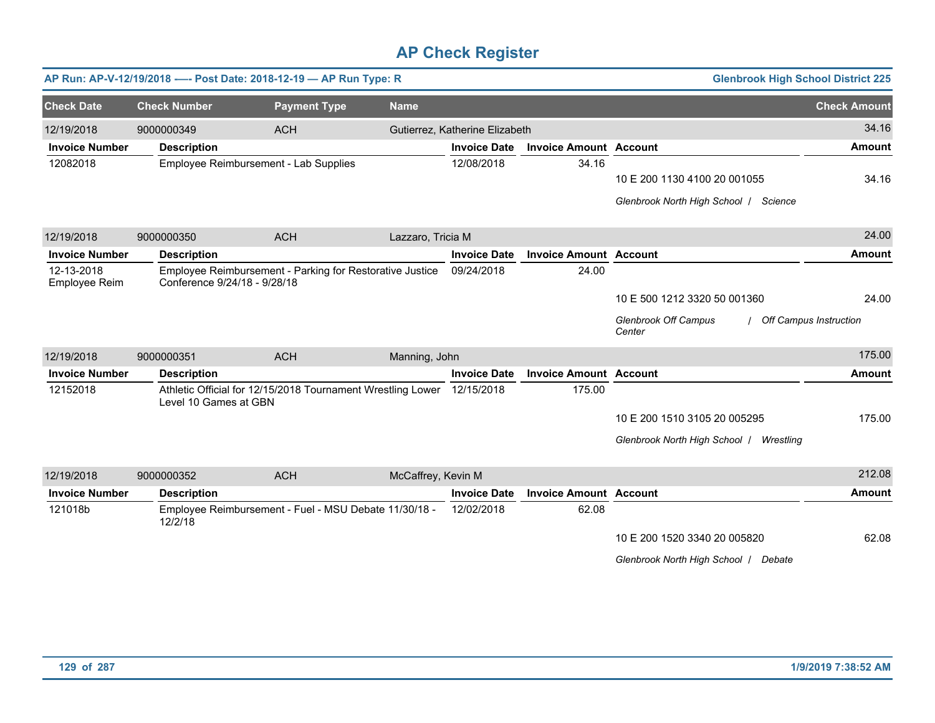|                             |                              | AP Run: AP-V-12/19/2018 ---- Post Date: 2018-12-19 - AP Run Type: R |                    |                                |                               | <b>Glenbrook High School District 225</b>                       |                     |
|-----------------------------|------------------------------|---------------------------------------------------------------------|--------------------|--------------------------------|-------------------------------|-----------------------------------------------------------------|---------------------|
| <b>Check Date</b>           | <b>Check Number</b>          | <b>Payment Type</b>                                                 | <b>Name</b>        |                                |                               |                                                                 | <b>Check Amount</b> |
| 12/19/2018                  | 9000000349                   | <b>ACH</b>                                                          |                    | Gutierrez, Katherine Elizabeth |                               |                                                                 | 34.16               |
| <b>Invoice Number</b>       | <b>Description</b>           |                                                                     |                    | <b>Invoice Date</b>            | <b>Invoice Amount Account</b> |                                                                 | <b>Amount</b>       |
| 12082018                    |                              | Employee Reimbursement - Lab Supplies                               |                    | 12/08/2018                     | 34.16                         | 10 E 200 1130 4100 20 001055                                    | 34.16               |
|                             |                              |                                                                     |                    |                                |                               | Glenbrook North High School   Science                           |                     |
| 12/19/2018                  | 9000000350                   | <b>ACH</b>                                                          | Lazzaro, Tricia M  |                                |                               |                                                                 | 24.00               |
| <b>Invoice Number</b>       | <b>Description</b>           |                                                                     |                    | <b>Invoice Date</b>            | <b>Invoice Amount Account</b> |                                                                 | <b>Amount</b>       |
| 12-13-2018<br>Employee Reim | Conference 9/24/18 - 9/28/18 | Employee Reimbursement - Parking for Restorative Justice            |                    | 09/24/2018                     | 24.00                         |                                                                 |                     |
|                             |                              |                                                                     |                    |                                |                               | 10 E 500 1212 3320 50 001360                                    | 24.00               |
|                             |                              |                                                                     |                    |                                |                               | <b>Glenbrook Off Campus</b><br>Off Campus Instruction<br>Center |                     |
| 12/19/2018                  | 9000000351                   | <b>ACH</b>                                                          | Manning, John      |                                |                               |                                                                 | 175.00              |
| <b>Invoice Number</b>       | <b>Description</b>           |                                                                     |                    | <b>Invoice Date</b>            | <b>Invoice Amount Account</b> |                                                                 | <b>Amount</b>       |
| 12152018                    | Level 10 Games at GBN        | Athletic Official for 12/15/2018 Tournament Wrestling Lower         |                    | 12/15/2018                     | 175.00                        |                                                                 |                     |
|                             |                              |                                                                     |                    |                                |                               | 10 E 200 1510 3105 20 005295                                    | 175.00              |
|                             |                              |                                                                     |                    |                                |                               | Glenbrook North High School   Wrestling                         |                     |
| 12/19/2018                  | 9000000352                   | <b>ACH</b>                                                          | McCaffrey, Kevin M |                                |                               |                                                                 | 212.08              |
| <b>Invoice Number</b>       | <b>Description</b>           |                                                                     |                    | <b>Invoice Date</b>            | <b>Invoice Amount Account</b> |                                                                 | <b>Amount</b>       |
| 121018b                     | 12/2/18                      | Employee Reimbursement - Fuel - MSU Debate 11/30/18 -               |                    | 12/02/2018                     | 62.08                         |                                                                 |                     |
|                             |                              |                                                                     |                    |                                |                               | 10 E 200 1520 3340 20 005820                                    | 62.08               |
|                             |                              |                                                                     |                    |                                |                               | Glenbrook North High School   Debate                            |                     |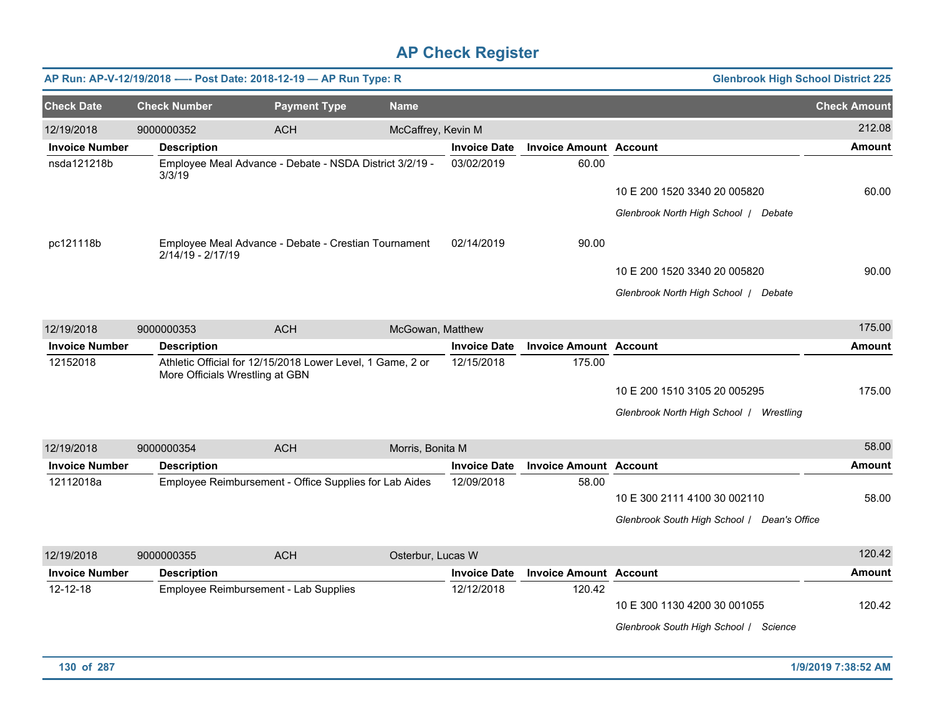|                       |                     | AP Run: AP-V-12/19/2018 ---- Post Date: 2018-12-19 - AP Run Type: R                           |                    |                     |                               | <b>Glenbrook High School District 225</b>   |                     |
|-----------------------|---------------------|-----------------------------------------------------------------------------------------------|--------------------|---------------------|-------------------------------|---------------------------------------------|---------------------|
| <b>Check Date</b>     | <b>Check Number</b> | <b>Payment Type</b>                                                                           | <b>Name</b>        |                     |                               |                                             | <b>Check Amount</b> |
| 12/19/2018            | 9000000352          | <b>ACH</b>                                                                                    | McCaffrey, Kevin M |                     |                               |                                             | 212.08              |
| <b>Invoice Number</b> | <b>Description</b>  |                                                                                               |                    | <b>Invoice Date</b> | <b>Invoice Amount Account</b> |                                             | <b>Amount</b>       |
| nsda121218b           | 3/3/19              | Employee Meal Advance - Debate - NSDA District 3/2/19 -                                       |                    | 03/02/2019          | 60.00                         |                                             |                     |
|                       |                     |                                                                                               |                    |                     |                               | 10 E 200 1520 3340 20 005820                | 60.00               |
|                       |                     |                                                                                               |                    |                     |                               | Glenbrook North High School / Debate        |                     |
| pc121118b             | 2/14/19 - 2/17/19   | Employee Meal Advance - Debate - Crestian Tournament                                          |                    | 02/14/2019          | 90.00                         |                                             |                     |
|                       |                     |                                                                                               |                    |                     |                               | 10 E 200 1520 3340 20 005820                | 90.00               |
|                       |                     |                                                                                               |                    |                     |                               | Glenbrook North High School   Debate        |                     |
| 12/19/2018            | 9000000353          | <b>ACH</b>                                                                                    | McGowan, Matthew   |                     |                               |                                             | 175.00              |
| <b>Invoice Number</b> | <b>Description</b>  |                                                                                               |                    | <b>Invoice Date</b> | <b>Invoice Amount Account</b> |                                             | <b>Amount</b>       |
| 12152018              |                     | Athletic Official for 12/15/2018 Lower Level, 1 Game, 2 or<br>More Officials Wrestling at GBN |                    | 12/15/2018          | 175.00                        |                                             |                     |
|                       |                     |                                                                                               |                    |                     |                               | 10 E 200 1510 3105 20 005295                | 175.00              |
|                       |                     |                                                                                               |                    |                     |                               | Glenbrook North High School   Wrestling     |                     |
| 12/19/2018            | 9000000354          | <b>ACH</b>                                                                                    | Morris, Bonita M   |                     |                               |                                             | 58.00               |
| <b>Invoice Number</b> | <b>Description</b>  |                                                                                               |                    | <b>Invoice Date</b> | <b>Invoice Amount Account</b> |                                             | <b>Amount</b>       |
| 12112018a             |                     | Employee Reimbursement - Office Supplies for Lab Aides                                        |                    | 12/09/2018          | 58.00                         |                                             |                     |
|                       |                     |                                                                                               |                    |                     |                               | 10 E 300 2111 4100 30 002110                | 58.00               |
|                       |                     |                                                                                               |                    |                     |                               | Glenbrook South High School / Dean's Office |                     |
| 12/19/2018            | 9000000355          | <b>ACH</b>                                                                                    | Osterbur, Lucas W  |                     |                               |                                             | 120.42              |
| <b>Invoice Number</b> | <b>Description</b>  |                                                                                               |                    | <b>Invoice Date</b> | <b>Invoice Amount Account</b> |                                             | Amount              |
| 12-12-18              |                     | Employee Reimbursement - Lab Supplies                                                         |                    | 12/12/2018          | 120.42                        | 10 E 300 1130 4200 30 001055                | 120.42              |
|                       |                     |                                                                                               |                    |                     |                               |                                             |                     |
|                       |                     |                                                                                               |                    |                     |                               | Glenbrook South High School / Science       |                     |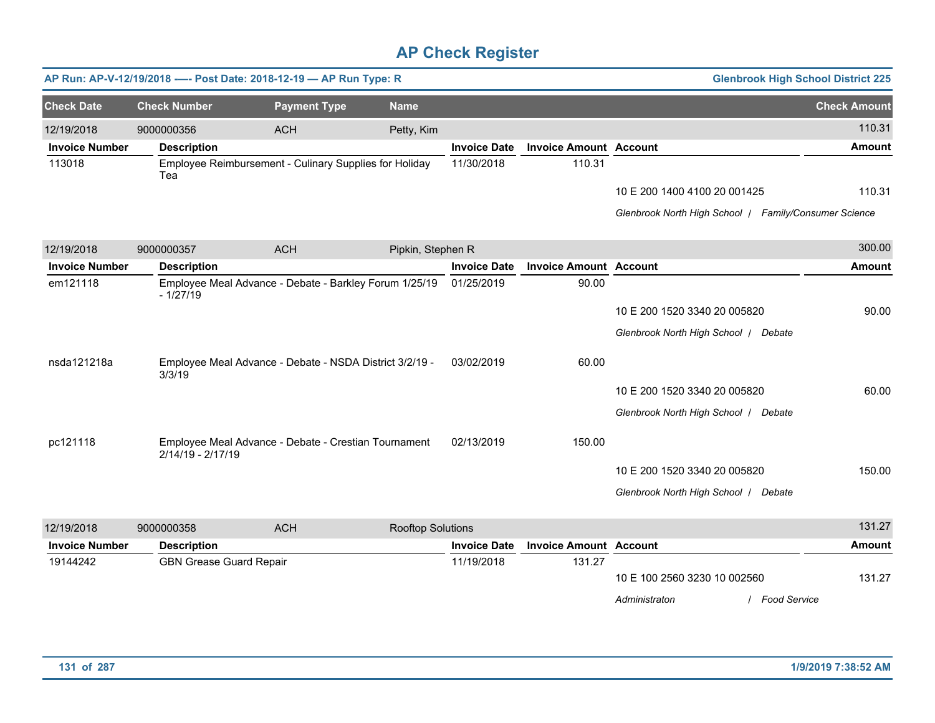|                       |                                | AP Run: AP-V-12/19/2018 ---- Post Date: 2018-12-19 - AP Run Type: R |                          |                     |                               |                                                       | <b>Glenbrook High School District 225</b> |
|-----------------------|--------------------------------|---------------------------------------------------------------------|--------------------------|---------------------|-------------------------------|-------------------------------------------------------|-------------------------------------------|
| <b>Check Date</b>     | <b>Check Number</b>            | <b>Payment Type</b>                                                 | <b>Name</b>              |                     |                               |                                                       | <b>Check Amount</b>                       |
| 12/19/2018            | 9000000356                     | <b>ACH</b>                                                          | Petty, Kim               |                     |                               |                                                       | 110.31                                    |
| <b>Invoice Number</b> | <b>Description</b>             |                                                                     |                          | <b>Invoice Date</b> | <b>Invoice Amount Account</b> |                                                       | <b>Amount</b>                             |
| 113018                | Tea                            | Employee Reimbursement - Culinary Supplies for Holiday              |                          | 11/30/2018          | 110.31                        |                                                       |                                           |
|                       |                                |                                                                     |                          |                     |                               | 10 E 200 1400 4100 20 001425                          | 110.31                                    |
|                       |                                |                                                                     |                          |                     |                               | Glenbrook North High School / Family/Consumer Science |                                           |
| 12/19/2018            | 9000000357                     | <b>ACH</b>                                                          | Pipkin, Stephen R        |                     |                               |                                                       | 300.00                                    |
| <b>Invoice Number</b> | <b>Description</b>             |                                                                     |                          | <b>Invoice Date</b> | <b>Invoice Amount Account</b> |                                                       | <b>Amount</b>                             |
| em121118              | $-1/27/19$                     | Employee Meal Advance - Debate - Barkley Forum 1/25/19              |                          | 01/25/2019          | 90.00                         |                                                       |                                           |
|                       |                                |                                                                     |                          |                     |                               | 10 E 200 1520 3340 20 005820                          | 90.00                                     |
|                       |                                |                                                                     |                          |                     |                               | Glenbrook North High School   Debate                  |                                           |
| nsda121218a           | 3/3/19                         | Employee Meal Advance - Debate - NSDA District 3/2/19 -             |                          | 03/02/2019          | 60.00                         |                                                       |                                           |
|                       |                                |                                                                     |                          |                     |                               | 10 E 200 1520 3340 20 005820                          | 60.00                                     |
|                       |                                |                                                                     |                          |                     |                               | Glenbrook North High School   Debate                  |                                           |
| pc121118              | 2/14/19 - 2/17/19              | Employee Meal Advance - Debate - Crestian Tournament                |                          | 02/13/2019          | 150.00                        |                                                       |                                           |
|                       |                                |                                                                     |                          |                     |                               | 10 E 200 1520 3340 20 005820                          | 150.00                                    |
|                       |                                |                                                                     |                          |                     |                               | Glenbrook North High School   Debate                  |                                           |
| 12/19/2018            | 9000000358                     | <b>ACH</b>                                                          | <b>Rooftop Solutions</b> |                     |                               |                                                       | 131.27                                    |
| <b>Invoice Number</b> | <b>Description</b>             |                                                                     |                          | <b>Invoice Date</b> | <b>Invoice Amount Account</b> |                                                       | <b>Amount</b>                             |
| 19144242              | <b>GBN Grease Guard Repair</b> |                                                                     |                          | 11/19/2018          | 131.27                        | 10 E 100 2560 3230 10 002560                          | 131.27                                    |
|                       |                                |                                                                     |                          |                     |                               | / Food Service<br>Administraton                       |                                           |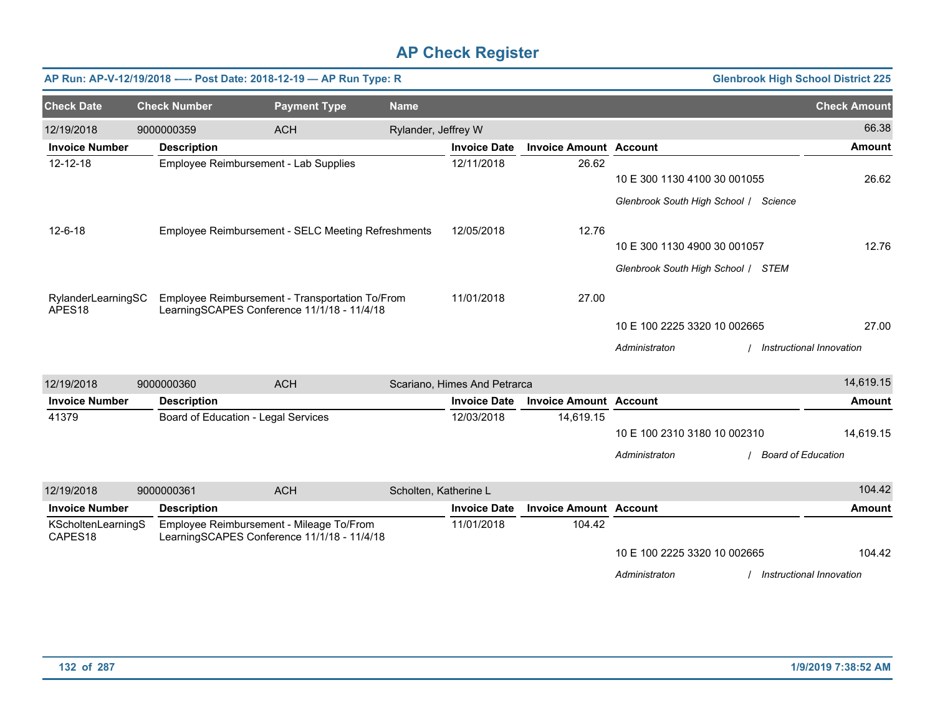|                                          |                     | AP Run: AP-V-12/19/2018 ---- Post Date: 2018-12-19 - AP Run Type: R                            |                     |                              |                               |                                    |                                       | <b>Glenbrook High School District 225</b> |
|------------------------------------------|---------------------|------------------------------------------------------------------------------------------------|---------------------|------------------------------|-------------------------------|------------------------------------|---------------------------------------|-------------------------------------------|
| <b>Check Date</b>                        | <b>Check Number</b> | <b>Payment Type</b>                                                                            | <b>Name</b>         |                              |                               |                                    |                                       | <b>Check Amount</b>                       |
| 12/19/2018                               | 9000000359          | <b>ACH</b>                                                                                     | Rylander, Jeffrey W |                              |                               |                                    |                                       | 66.38                                     |
| <b>Invoice Number</b>                    | <b>Description</b>  |                                                                                                |                     | <b>Invoice Date</b>          | <b>Invoice Amount Account</b> |                                    |                                       | <b>Amount</b>                             |
| $12 - 12 - 18$                           |                     | Employee Reimbursement - Lab Supplies                                                          |                     | 12/11/2018                   | 26.62                         | 10 E 300 1130 4100 30 001055       |                                       | 26.62                                     |
|                                          |                     |                                                                                                |                     |                              |                               |                                    | Glenbrook South High School / Science |                                           |
| $12 - 6 - 18$                            |                     | Employee Reimbursement - SELC Meeting Refreshments                                             |                     | 12/05/2018                   | 12.76                         |                                    |                                       |                                           |
|                                          |                     |                                                                                                |                     |                              |                               | 10 E 300 1130 4900 30 001057       |                                       | 12.76                                     |
|                                          |                     |                                                                                                |                     |                              |                               | Glenbrook South High School / STEM |                                       |                                           |
| RylanderLearningSC<br>APES <sub>18</sub> |                     | Employee Reimbursement - Transportation To/From<br>LearningSCAPES Conference 11/1/18 - 11/4/18 |                     | 11/01/2018                   | 27.00                         |                                    |                                       |                                           |
|                                          |                     |                                                                                                |                     |                              |                               | 10 E 100 2225 3320 10 002665       |                                       | 27.00                                     |
|                                          |                     |                                                                                                |                     |                              |                               | Administraton                      |                                       | Instructional Innovation                  |
| 12/19/2018                               | 9000000360          | <b>ACH</b>                                                                                     |                     | Scariano, Himes And Petrarca |                               |                                    |                                       | 14,619.15                                 |
| <b>Invoice Number</b>                    | <b>Description</b>  |                                                                                                |                     | <b>Invoice Date</b>          | <b>Invoice Amount Account</b> |                                    |                                       | <b>Amount</b>                             |
| 41379                                    |                     | Board of Education - Legal Services                                                            |                     | 12/03/2018                   | 14,619.15                     | 10 E 100 2310 3180 10 002310       |                                       | 14.619.15                                 |
|                                          |                     |                                                                                                |                     |                              |                               | Administraton                      |                                       | <b>Board of Education</b>                 |
| 12/19/2018                               | 9000000361          | <b>ACH</b>                                                                                     |                     | Scholten, Katherine L        |                               |                                    |                                       | 104.42                                    |
| <b>Invoice Number</b>                    | <b>Description</b>  |                                                                                                |                     | <b>Invoice Date</b>          | <b>Invoice Amount Account</b> |                                    |                                       | <b>Amount</b>                             |
| KScholtenLearningS<br>CAPES18            |                     | Employee Reimbursement - Mileage To/From<br>LearningSCAPES Conference 11/1/18 - 11/4/18        |                     | 11/01/2018                   | 104.42                        |                                    |                                       |                                           |
|                                          |                     |                                                                                                |                     |                              |                               | 10 E 100 2225 3320 10 002665       |                                       | 104.42                                    |
|                                          |                     |                                                                                                |                     |                              |                               | Administraton                      |                                       | Instructional Innovation                  |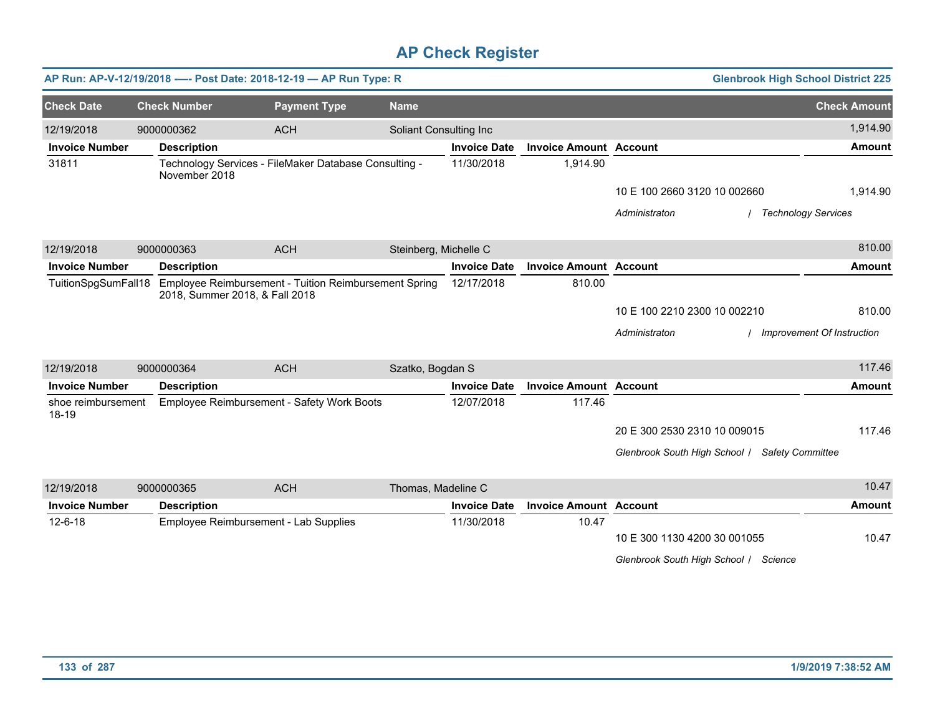|                             |                                | AP Run: AP-V-12/19/2018 ---- Post Date: 2018-12-19 - AP Run Type: R |                        |                     |                               | <b>Glenbrook High School District 225</b>      |                            |
|-----------------------------|--------------------------------|---------------------------------------------------------------------|------------------------|---------------------|-------------------------------|------------------------------------------------|----------------------------|
| <b>Check Date</b>           | <b>Check Number</b>            | <b>Payment Type</b>                                                 | <b>Name</b>            |                     |                               |                                                | <b>Check Amount</b>        |
| 12/19/2018                  | 9000000362                     | <b>ACH</b>                                                          | Soliant Consulting Inc |                     |                               |                                                | 1,914.90                   |
| <b>Invoice Number</b>       | <b>Description</b>             |                                                                     |                        | <b>Invoice Date</b> | <b>Invoice Amount Account</b> |                                                | Amount                     |
| 31811                       | November 2018                  | Technology Services - FileMaker Database Consulting -               |                        | 11/30/2018          | 1,914.90                      |                                                |                            |
|                             |                                |                                                                     |                        |                     |                               | 10 E 100 2660 3120 10 002660                   | 1,914.90                   |
|                             |                                |                                                                     |                        |                     |                               | Administraton<br><b>Technology Services</b>    |                            |
| 12/19/2018                  | 9000000363                     | <b>ACH</b>                                                          | Steinberg, Michelle C  |                     |                               |                                                | 810.00                     |
| <b>Invoice Number</b>       | <b>Description</b>             |                                                                     |                        | <b>Invoice Date</b> | <b>Invoice Amount Account</b> |                                                | <b>Amount</b>              |
| TuitionSpgSumFall18         | 2018, Summer 2018, & Fall 2018 | Employee Reimbursement - Tuition Reimbursement Spring               |                        | 12/17/2018          | 810.00                        |                                                |                            |
|                             |                                |                                                                     |                        |                     |                               | 10 E 100 2210 2300 10 002210                   | 810.00                     |
|                             |                                |                                                                     |                        |                     |                               | Administraton                                  | Improvement Of Instruction |
| 12/19/2018                  | 9000000364                     | <b>ACH</b>                                                          | Szatko, Bogdan S       |                     |                               |                                                | 117.46                     |
| <b>Invoice Number</b>       | <b>Description</b>             |                                                                     |                        | <b>Invoice Date</b> | <b>Invoice Amount Account</b> |                                                | <b>Amount</b>              |
| shoe reimbursement<br>18-19 |                                | Employee Reimbursement - Safety Work Boots                          |                        | 12/07/2018          | 117.46                        |                                                |                            |
|                             |                                |                                                                     |                        |                     |                               | 20 E 300 2530 2310 10 009015                   | 117.46                     |
|                             |                                |                                                                     |                        |                     |                               | Glenbrook South High School / Safety Committee |                            |
| 12/19/2018                  | 9000000365                     | <b>ACH</b>                                                          | Thomas, Madeline C     |                     |                               |                                                | 10.47                      |
| <b>Invoice Number</b>       | <b>Description</b>             |                                                                     |                        | <b>Invoice Date</b> | <b>Invoice Amount Account</b> |                                                | <b>Amount</b>              |
| $12 - 6 - 18$               |                                | Employee Reimbursement - Lab Supplies                               |                        | 11/30/2018          | 10.47                         |                                                |                            |
|                             |                                |                                                                     |                        |                     |                               | 10 E 300 1130 4200 30 001055                   | 10.47                      |
|                             |                                |                                                                     |                        |                     |                               | Glenbrook South High School / Science          |                            |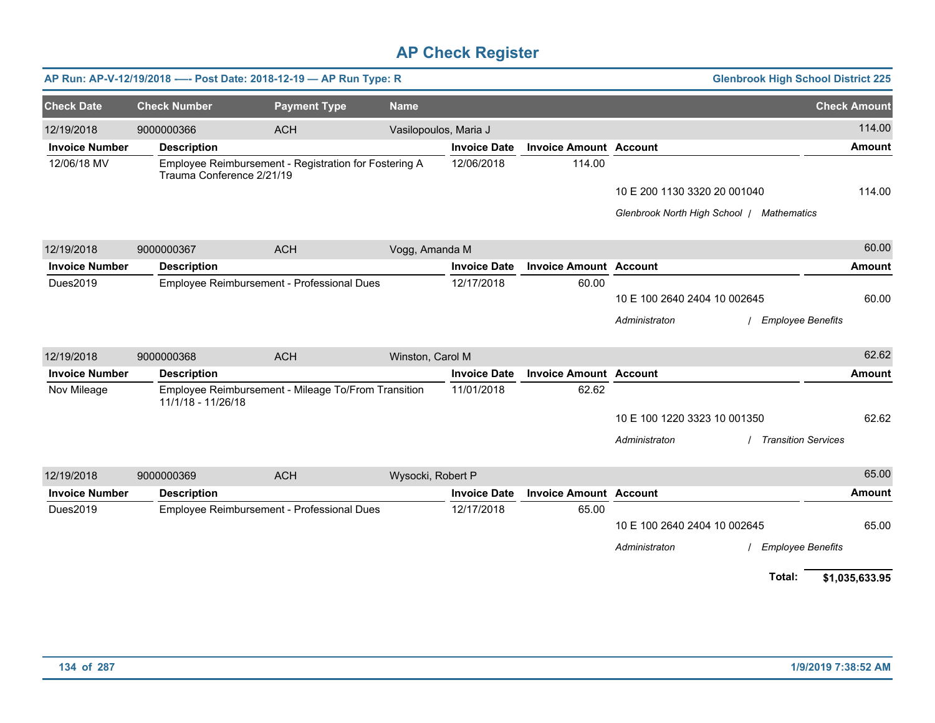|                       |                           | AP Run: AP-V-12/19/2018 ---- Post Date: 2018-12-19 - AP Run Type: R |                       |                     |                               |                                           | <b>Glenbrook High School District 225</b> |
|-----------------------|---------------------------|---------------------------------------------------------------------|-----------------------|---------------------|-------------------------------|-------------------------------------------|-------------------------------------------|
| <b>Check Date</b>     | <b>Check Number</b>       | <b>Payment Type</b>                                                 | <b>Name</b>           |                     |                               |                                           | <b>Check Amount</b>                       |
| 12/19/2018            | 9000000366                | <b>ACH</b>                                                          | Vasilopoulos, Maria J |                     |                               |                                           | 114.00                                    |
| <b>Invoice Number</b> | <b>Description</b>        |                                                                     |                       | <b>Invoice Date</b> | <b>Invoice Amount Account</b> |                                           | <b>Amount</b>                             |
| 12/06/18 MV           | Trauma Conference 2/21/19 | Employee Reimbursement - Registration for Fostering A               |                       | 12/06/2018          | 114.00                        |                                           |                                           |
|                       |                           |                                                                     |                       |                     |                               | 10 E 200 1130 3320 20 001040              | 114.00                                    |
|                       |                           |                                                                     |                       |                     |                               | Glenbrook North High School / Mathematics |                                           |
| 12/19/2018            | 9000000367                | <b>ACH</b>                                                          | Vogg, Amanda M        |                     |                               |                                           | 60.00                                     |
| <b>Invoice Number</b> | <b>Description</b>        |                                                                     |                       | <b>Invoice Date</b> | <b>Invoice Amount Account</b> |                                           | <b>Amount</b>                             |
| Dues2019              |                           | Employee Reimbursement - Professional Dues                          |                       | 12/17/2018          | 60.00                         |                                           |                                           |
|                       |                           |                                                                     |                       |                     |                               | 10 E 100 2640 2404 10 002645              | 60.00                                     |
|                       |                           |                                                                     |                       |                     |                               | Administraton                             | <b>Employee Benefits</b>                  |
| 12/19/2018            | 9000000368                | <b>ACH</b>                                                          | Winston, Carol M      |                     |                               |                                           | 62.62                                     |
| <b>Invoice Number</b> | <b>Description</b>        |                                                                     |                       | <b>Invoice Date</b> | <b>Invoice Amount Account</b> |                                           | <b>Amount</b>                             |
| Nov Mileage           | 11/1/18 - 11/26/18        | Employee Reimbursement - Mileage To/From Transition                 |                       | 11/01/2018          | 62.62                         |                                           |                                           |
|                       |                           |                                                                     |                       |                     |                               | 10 E 100 1220 3323 10 001350              | 62.62                                     |
|                       |                           |                                                                     |                       |                     |                               | Administraton                             | <b>Transition Services</b>                |
| 12/19/2018            | 9000000369                | <b>ACH</b>                                                          | Wysocki, Robert P     |                     |                               |                                           | 65.00                                     |
| <b>Invoice Number</b> | <b>Description</b>        |                                                                     |                       | <b>Invoice Date</b> | <b>Invoice Amount Account</b> |                                           | <b>Amount</b>                             |
| Dues2019              |                           | Employee Reimbursement - Professional Dues                          |                       | 12/17/2018          | 65.00                         |                                           |                                           |
|                       |                           |                                                                     |                       |                     |                               | 10 E 100 2640 2404 10 002645              | 65.00                                     |
|                       |                           |                                                                     |                       |                     |                               | Administraton                             | <b>Employee Benefits</b>                  |
|                       |                           |                                                                     |                       |                     |                               |                                           | Total:<br>\$1,035,633.95                  |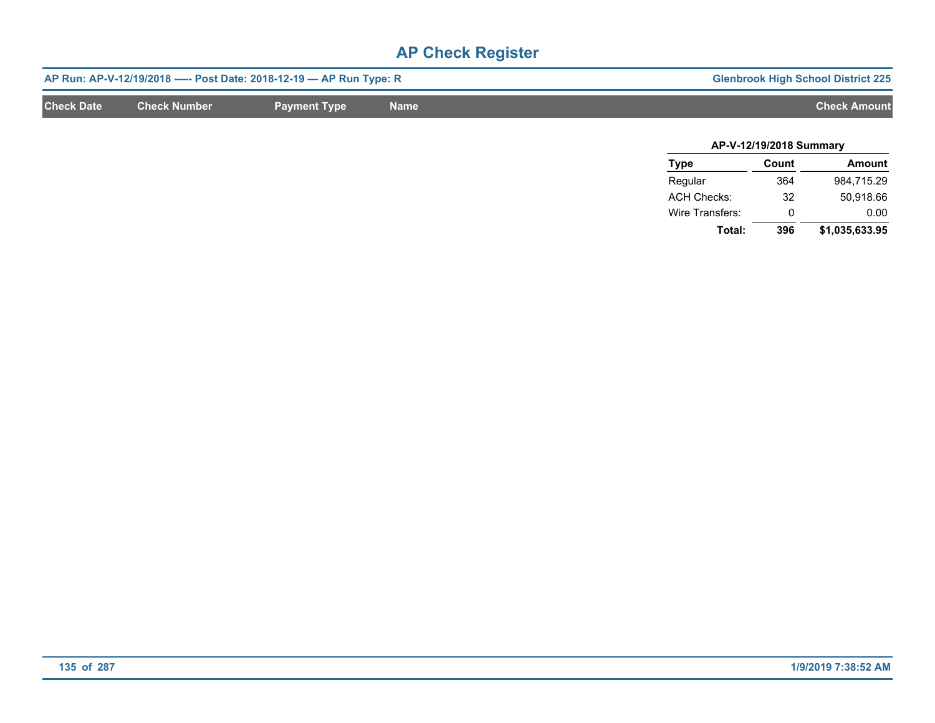|                   |                     | AP Run: AP-V-12/19/2018 ---- Post Date: 2018-12-19 -- AP Run Type: R |             | <b>Glenbrook High School District 225</b> |
|-------------------|---------------------|----------------------------------------------------------------------|-------------|-------------------------------------------|
| <b>Check Date</b> | <b>Check Number</b> | <b>Payment Type</b>                                                  | <b>Name</b> | <b>Check Amount</b>                       |
|                   |                     |                                                                      |             |                                           |

| AP-V-12/19/2018 Summary |       |                |  |  |  |  |  |  |
|-------------------------|-------|----------------|--|--|--|--|--|--|
| <b>Type</b>             | Count | Amount         |  |  |  |  |  |  |
| Regular                 | 364   | 984,715.29     |  |  |  |  |  |  |
| <b>ACH Checks:</b>      | 32    | 50.918.66      |  |  |  |  |  |  |
| Wire Transfers:         | O     | 0.00           |  |  |  |  |  |  |
| Total:                  | 396   | \$1,035,633.95 |  |  |  |  |  |  |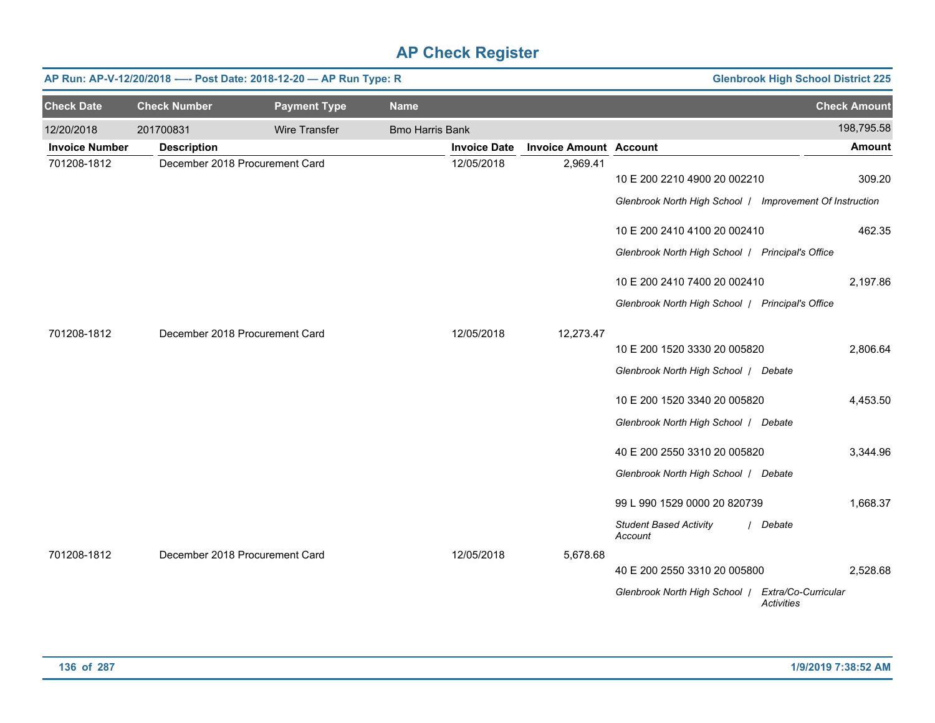|                       |                     | AP Run: AP-V-12/20/2018 ---- Post Date: 2018-12-20 - AP Run Type: R |                        |                     |                               |                                                                                          | <b>Glenbrook High School District 225</b> |                     |
|-----------------------|---------------------|---------------------------------------------------------------------|------------------------|---------------------|-------------------------------|------------------------------------------------------------------------------------------|-------------------------------------------|---------------------|
| <b>Check Date</b>     | <b>Check Number</b> | <b>Payment Type</b>                                                 | <b>Name</b>            |                     |                               |                                                                                          |                                           | <b>Check Amount</b> |
| 12/20/2018            | 201700831           | Wire Transfer                                                       | <b>Bmo Harris Bank</b> |                     |                               |                                                                                          |                                           | 198,795.58          |
| <b>Invoice Number</b> | <b>Description</b>  |                                                                     |                        | <b>Invoice Date</b> | <b>Invoice Amount Account</b> |                                                                                          |                                           | <b>Amount</b>       |
| 701208-1812           |                     | December 2018 Procurement Card                                      |                        | 12/05/2018          | 2,969.41                      | 10 E 200 2210 4900 20 002210<br>Glenbrook North High School   Improvement Of Instruction |                                           | 309.20              |
|                       |                     |                                                                     |                        |                     |                               | 10 E 200 2410 4100 20 002410                                                             |                                           | 462.35              |
|                       |                     |                                                                     |                        |                     |                               | Glenbrook North High School   Principal's Office                                         |                                           |                     |
|                       |                     |                                                                     |                        |                     |                               | 10 E 200 2410 7400 20 002410                                                             |                                           | 2,197.86            |
|                       |                     |                                                                     |                        |                     |                               | Glenbrook North High School   Principal's Office                                         |                                           |                     |
| 701208-1812           |                     | December 2018 Procurement Card                                      |                        | 12/05/2018          | 12,273.47                     |                                                                                          |                                           |                     |
|                       |                     |                                                                     |                        |                     |                               | 10 E 200 1520 3330 20 005820                                                             |                                           | 2,806.64            |
|                       |                     |                                                                     |                        |                     |                               | Glenbrook North High School   Debate                                                     |                                           |                     |
|                       |                     |                                                                     |                        |                     |                               | 10 E 200 1520 3340 20 005820                                                             |                                           | 4,453.50            |
|                       |                     |                                                                     |                        |                     |                               | Glenbrook North High School / Debate                                                     |                                           |                     |
|                       |                     |                                                                     |                        |                     |                               | 40 E 200 2550 3310 20 005820                                                             |                                           | 3,344.96            |
|                       |                     |                                                                     |                        |                     |                               | Glenbrook North High School / Debate                                                     |                                           |                     |
|                       |                     |                                                                     |                        |                     |                               | 99 L 990 1529 0000 20 820739                                                             |                                           | 1,668.37            |
|                       |                     |                                                                     |                        |                     |                               | <b>Student Based Activity</b><br>Account                                                 | / Debate                                  |                     |
| 701208-1812           |                     | December 2018 Procurement Card                                      |                        | 12/05/2018          | 5,678.68                      | 40 E 200 2550 3310 20 005800                                                             |                                           | 2,528.68            |
|                       |                     |                                                                     |                        |                     |                               | Glenbrook North High School /                                                            | Extra/Co-Curricular<br><b>Activities</b>  |                     |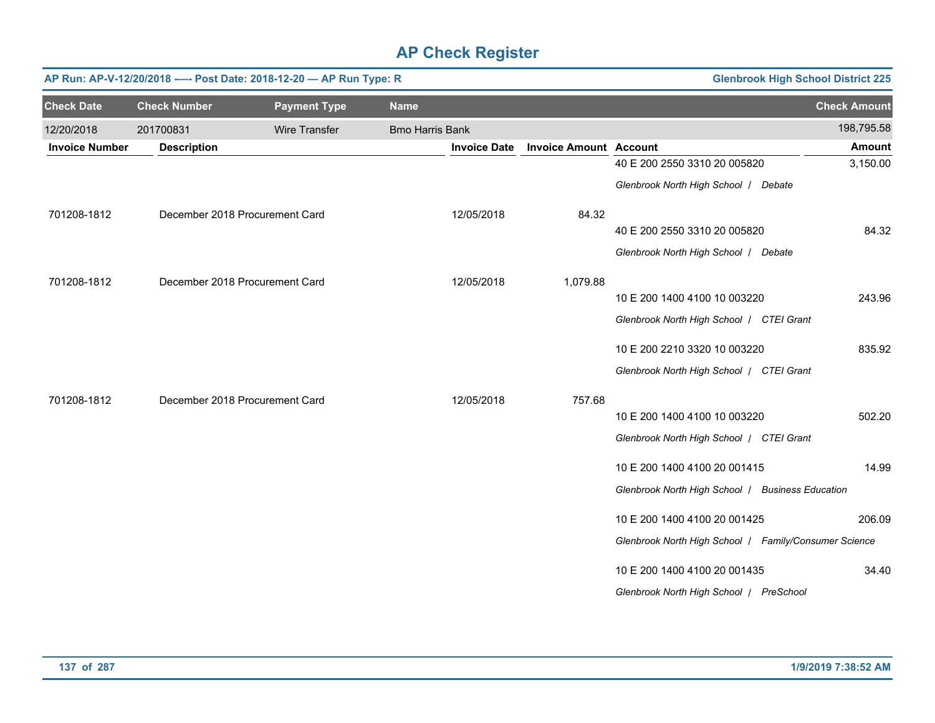|                       |                     | AP Run: AP-V-12/20/2018 ---- Post Date: 2018-12-20 - AP Run Type: R |                        |                     | <b>Glenbrook High School District 225</b> |                                                       |                     |  |
|-----------------------|---------------------|---------------------------------------------------------------------|------------------------|---------------------|-------------------------------------------|-------------------------------------------------------|---------------------|--|
| <b>Check Date</b>     | <b>Check Number</b> | <b>Payment Type</b>                                                 | <b>Name</b>            |                     |                                           |                                                       | <b>Check Amount</b> |  |
| 12/20/2018            | 201700831           | <b>Wire Transfer</b>                                                | <b>Bmo Harris Bank</b> |                     |                                           |                                                       | 198,795.58          |  |
| <b>Invoice Number</b> | <b>Description</b>  |                                                                     |                        | <b>Invoice Date</b> | <b>Invoice Amount Account</b>             |                                                       | <b>Amount</b>       |  |
|                       |                     |                                                                     |                        |                     |                                           | 40 E 200 2550 3310 20 005820                          | 3,150.00            |  |
|                       |                     |                                                                     |                        |                     |                                           | Glenbrook North High School / Debate                  |                     |  |
| 701208-1812           |                     | December 2018 Procurement Card                                      |                        | 12/05/2018          | 84.32                                     |                                                       |                     |  |
|                       |                     |                                                                     |                        |                     |                                           | 40 E 200 2550 3310 20 005820                          | 84.32               |  |
|                       |                     |                                                                     |                        |                     |                                           | Glenbrook North High School / Debate                  |                     |  |
| 701208-1812           |                     | December 2018 Procurement Card                                      |                        | 12/05/2018          | 1,079.88                                  |                                                       |                     |  |
|                       |                     |                                                                     |                        |                     |                                           | 10 E 200 1400 4100 10 003220                          | 243.96              |  |
|                       |                     |                                                                     |                        |                     |                                           | Glenbrook North High School   CTEI Grant              |                     |  |
|                       |                     |                                                                     |                        |                     |                                           | 10 E 200 2210 3320 10 003220                          | 835.92              |  |
|                       |                     |                                                                     |                        |                     |                                           | Glenbrook North High School   CTEI Grant              |                     |  |
| 701208-1812           |                     | December 2018 Procurement Card                                      |                        | 12/05/2018          | 757.68                                    |                                                       |                     |  |
|                       |                     |                                                                     |                        |                     |                                           | 10 E 200 1400 4100 10 003220                          | 502.20              |  |
|                       |                     |                                                                     |                        |                     |                                           | Glenbrook North High School   CTEI Grant              |                     |  |
|                       |                     |                                                                     |                        |                     |                                           | 10 E 200 1400 4100 20 001415                          | 14.99               |  |
|                       |                     |                                                                     |                        |                     |                                           | Glenbrook North High School   Business Education      |                     |  |
|                       |                     |                                                                     |                        |                     |                                           | 10 E 200 1400 4100 20 001425                          | 206.09              |  |
|                       |                     |                                                                     |                        |                     |                                           | Glenbrook North High School   Family/Consumer Science |                     |  |
|                       |                     |                                                                     |                        |                     |                                           | 10 E 200 1400 4100 20 001435                          | 34.40               |  |
|                       |                     |                                                                     |                        |                     |                                           | Glenbrook North High School   PreSchool               |                     |  |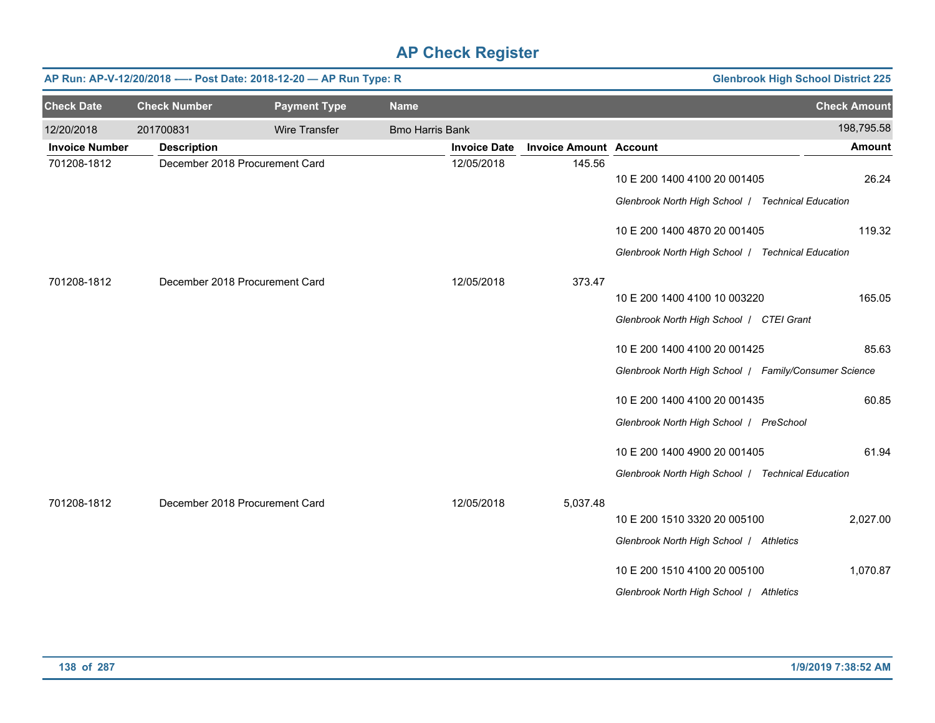|                       |                     | AP Run: AP-V-12/20/2018 ---- Post Date: 2018-12-20 - AP Run Type: R |                        |                     | <b>Glenbrook High School District 225</b> |                                                                                                                               |                     |
|-----------------------|---------------------|---------------------------------------------------------------------|------------------------|---------------------|-------------------------------------------|-------------------------------------------------------------------------------------------------------------------------------|---------------------|
| <b>Check Date</b>     | <b>Check Number</b> | <b>Payment Type</b>                                                 | <b>Name</b>            |                     |                                           |                                                                                                                               | <b>Check Amount</b> |
| 12/20/2018            | 201700831           | Wire Transfer                                                       | <b>Bmo Harris Bank</b> |                     |                                           |                                                                                                                               | 198,795.58          |
| <b>Invoice Number</b> | <b>Description</b>  |                                                                     |                        | <b>Invoice Date</b> | <b>Invoice Amount Account</b>             |                                                                                                                               | <b>Amount</b>       |
| 701208-1812           |                     | December 2018 Procurement Card                                      |                        | 12/05/2018          | 145.56                                    | 10 E 200 1400 4100 20 001405<br>Glenbrook North High School / Technical Education                                             | 26.24               |
|                       |                     |                                                                     |                        |                     |                                           | 10 E 200 1400 4870 20 001405                                                                                                  | 119.32              |
| 701208-1812           |                     | December 2018 Procurement Card                                      |                        | 12/05/2018          | 373.47                                    | Glenbrook North High School / Technical Education<br>10 E 200 1400 4100 10 003220<br>Glenbrook North High School   CTEI Grant | 165.05              |
|                       |                     |                                                                     |                        |                     |                                           | 10 E 200 1400 4100 20 001425<br>Glenbrook North High School   Family/Consumer Science                                         | 85.63               |
|                       |                     |                                                                     |                        |                     |                                           | 10 E 200 1400 4100 20 001435<br>Glenbrook North High School   PreSchool                                                       | 60.85               |
|                       |                     |                                                                     |                        |                     |                                           | 10 E 200 1400 4900 20 001405<br>Glenbrook North High School / Technical Education                                             | 61.94               |
| 701208-1812           |                     | December 2018 Procurement Card                                      |                        | 12/05/2018          | 5,037.48                                  | 10 E 200 1510 3320 20 005100<br>Glenbrook North High School   Athletics                                                       | 2,027.00            |
|                       |                     |                                                                     |                        |                     |                                           | 10 E 200 1510 4100 20 005100<br>Glenbrook North High School   Athletics                                                       | 1,070.87            |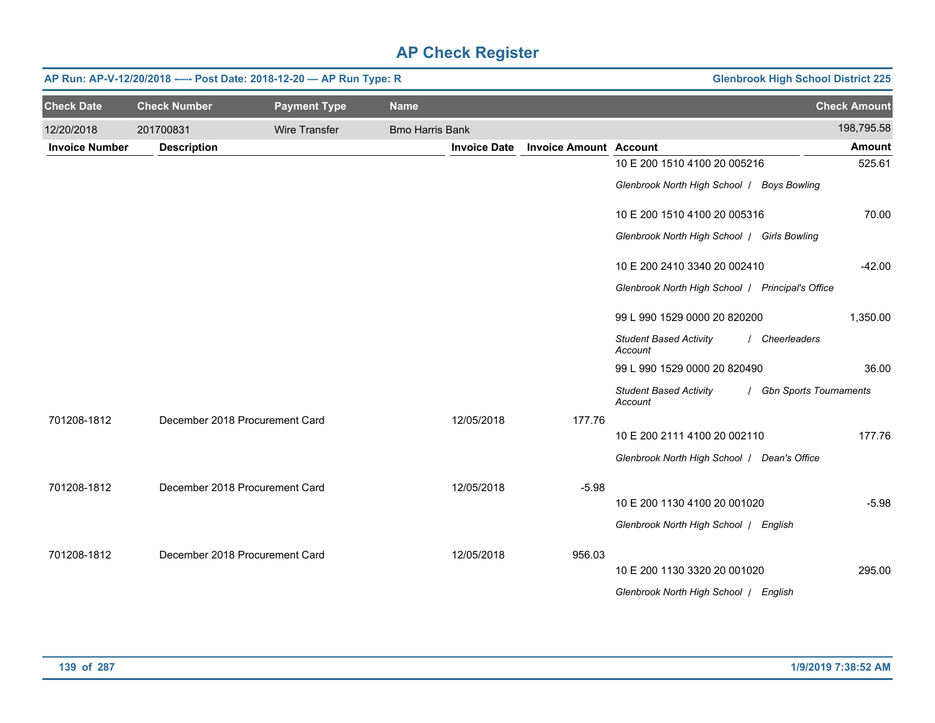|                       | AP Run: AP-V-12/20/2018 ---- Post Date: 2018-12-20 - AP Run Type: R | <b>Glenbrook High School District 225</b> |                        |                     |                               |                                                  |                          |
|-----------------------|---------------------------------------------------------------------|-------------------------------------------|------------------------|---------------------|-------------------------------|--------------------------------------------------|--------------------------|
| <b>Check Date</b>     | <b>Check Number</b>                                                 | <b>Payment Type</b>                       | <b>Name</b>            |                     |                               |                                                  | <b>Check Amount</b>      |
| 12/20/2018            | 201700831                                                           | Wire Transfer                             | <b>Bmo Harris Bank</b> |                     |                               |                                                  | 198,795.58               |
| <b>Invoice Number</b> | <b>Description</b>                                                  |                                           |                        | <b>Invoice Date</b> | <b>Invoice Amount Account</b> |                                                  | <b>Amount</b>            |
|                       |                                                                     |                                           |                        |                     |                               | 10 E 200 1510 4100 20 005216                     | 525.61                   |
|                       |                                                                     |                                           |                        |                     |                               | Glenbrook North High School   Boys Bowling       |                          |
|                       |                                                                     |                                           |                        |                     |                               | 10 E 200 1510 4100 20 005316                     | 70.00                    |
|                       |                                                                     |                                           |                        |                     |                               | Glenbrook North High School   Girls Bowling      |                          |
|                       |                                                                     |                                           |                        |                     |                               | 10 E 200 2410 3340 20 002410                     | $-42.00$                 |
|                       |                                                                     |                                           |                        |                     |                               | Glenbrook North High School   Principal's Office |                          |
|                       |                                                                     |                                           |                        |                     |                               | 99 L 990 1529 0000 20 820200                     | 1,350.00                 |
|                       |                                                                     |                                           |                        |                     |                               | <b>Student Based Activity</b><br>Account         | / Cheerleaders           |
|                       |                                                                     |                                           |                        |                     |                               | 99 L 990 1529 0000 20 820490                     | 36.00                    |
|                       |                                                                     |                                           |                        |                     |                               | <b>Student Based Activity</b><br>Account         | / Gbn Sports Tournaments |
| 701208-1812           |                                                                     | December 2018 Procurement Card            |                        | 12/05/2018          | 177.76                        |                                                  |                          |
|                       |                                                                     |                                           |                        |                     |                               | 10 E 200 2111 4100 20 002110                     | 177.76                   |
|                       |                                                                     |                                           |                        |                     |                               | Glenbrook North High School   Dean's Office      |                          |
| 701208-1812           |                                                                     | December 2018 Procurement Card            |                        | 12/05/2018          | $-5.98$                       |                                                  |                          |
|                       |                                                                     |                                           |                        |                     |                               | 10 E 200 1130 4100 20 001020                     | $-5.98$                  |
|                       |                                                                     |                                           |                        |                     |                               | Glenbrook North High School   English            |                          |
| 701208-1812           |                                                                     | December 2018 Procurement Card            |                        | 12/05/2018          | 956.03                        |                                                  |                          |
|                       |                                                                     |                                           |                        |                     |                               | 10 E 200 1130 3320 20 001020                     | 295.00                   |
|                       |                                                                     |                                           |                        |                     |                               | Glenbrook North High School   English            |                          |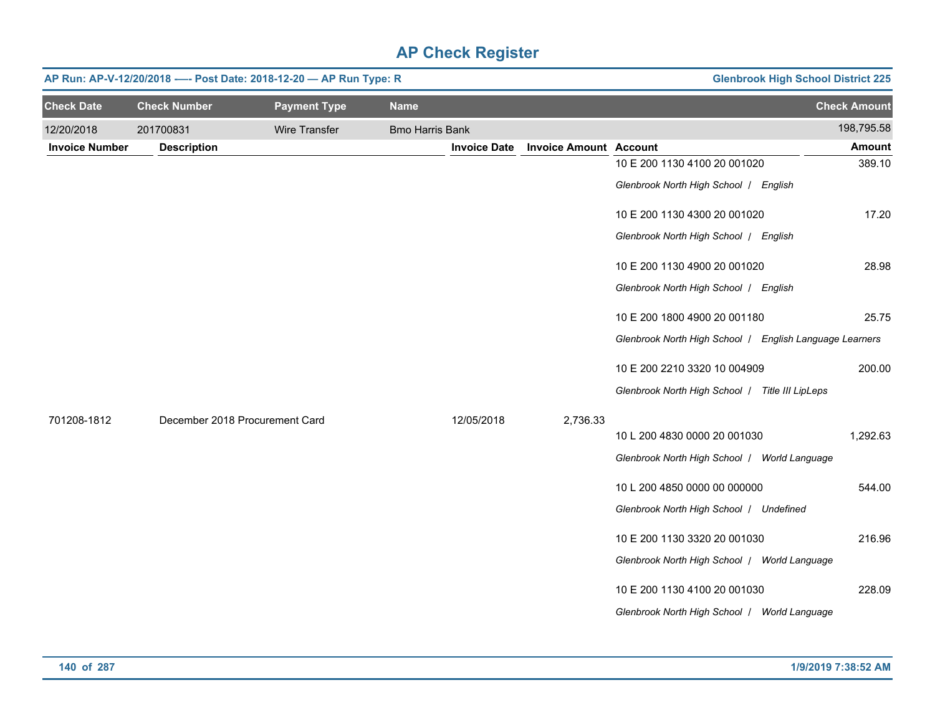|                       | AP Run: AP-V-12/20/2018 ---- Post Date: 2018-12-20 - AP Run Type: R |                      | <b>Glenbrook High School District 225</b> |                     |                               |                                                         |                     |
|-----------------------|---------------------------------------------------------------------|----------------------|-------------------------------------------|---------------------|-------------------------------|---------------------------------------------------------|---------------------|
| <b>Check Date</b>     | <b>Check Number</b>                                                 | <b>Payment Type</b>  | <b>Name</b>                               |                     |                               |                                                         | <b>Check Amount</b> |
| 12/20/2018            | 201700831                                                           | <b>Wire Transfer</b> | <b>Bmo Harris Bank</b>                    |                     |                               |                                                         | 198,795.58          |
| <b>Invoice Number</b> | <b>Description</b>                                                  |                      |                                           | <b>Invoice Date</b> | <b>Invoice Amount Account</b> |                                                         | <b>Amount</b>       |
|                       |                                                                     |                      |                                           |                     |                               | 10 E 200 1130 4100 20 001020                            | 389.10              |
|                       |                                                                     |                      |                                           |                     |                               | Glenbrook North High School / English                   |                     |
|                       |                                                                     |                      |                                           |                     |                               | 10 E 200 1130 4300 20 001020                            | 17.20               |
|                       |                                                                     |                      |                                           |                     |                               | Glenbrook North High School / English                   |                     |
|                       |                                                                     |                      |                                           |                     |                               | 10 E 200 1130 4900 20 001020                            | 28.98               |
|                       |                                                                     |                      |                                           |                     |                               | Glenbrook North High School / English                   |                     |
|                       |                                                                     |                      |                                           |                     |                               | 10 E 200 1800 4900 20 001180                            | 25.75               |
|                       |                                                                     |                      |                                           |                     |                               | Glenbrook North High School / English Language Learners |                     |
|                       |                                                                     |                      |                                           |                     |                               | 10 E 200 2210 3320 10 004909                            | 200.00              |
|                       |                                                                     |                      |                                           |                     |                               | Glenbrook North High School / Title III LipLeps         |                     |
| 701208-1812           | December 2018 Procurement Card                                      |                      |                                           | 12/05/2018          | 2,736.33                      |                                                         |                     |
|                       |                                                                     |                      |                                           |                     |                               | 10 L 200 4830 0000 20 001030                            | 1,292.63            |
|                       |                                                                     |                      |                                           |                     |                               | Glenbrook North High School / World Language            |                     |
|                       |                                                                     |                      |                                           |                     |                               | 10 L 200 4850 0000 00 000000                            | 544.00              |
|                       |                                                                     |                      |                                           |                     |                               | Glenbrook North High School / Undefined                 |                     |
|                       |                                                                     |                      |                                           |                     |                               | 10 E 200 1130 3320 20 001030                            | 216.96              |
|                       |                                                                     |                      |                                           |                     |                               | Glenbrook North High School / World Language            |                     |
|                       |                                                                     |                      |                                           |                     |                               | 10 E 200 1130 4100 20 001030                            | 228.09              |
|                       |                                                                     |                      |                                           |                     |                               | Glenbrook North High School / World Language            |                     |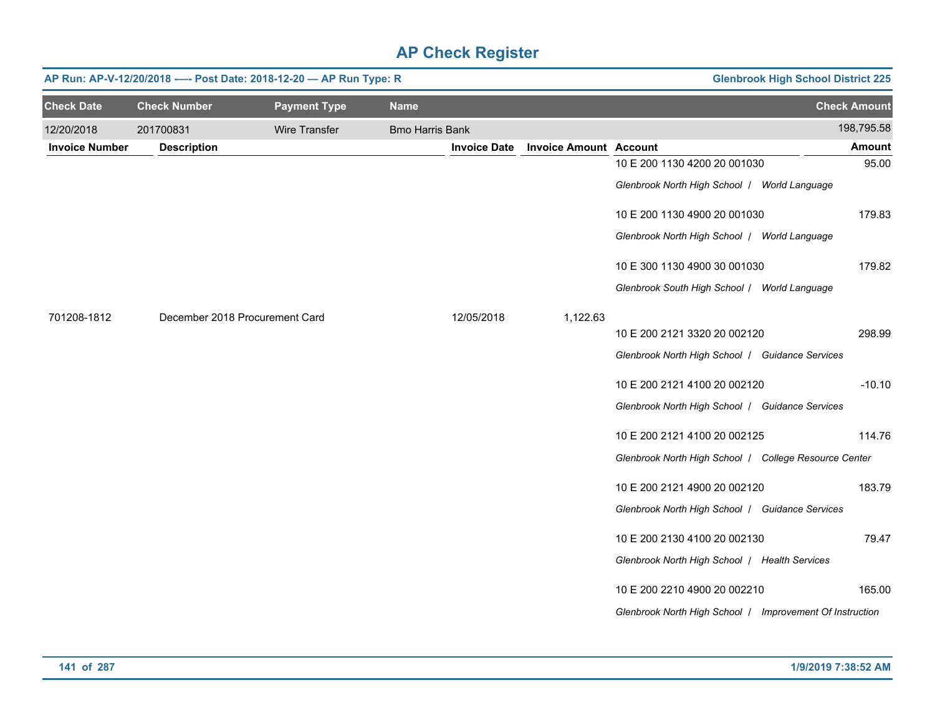| AP Run: AP-V-12/20/2018 ---- Post Date: 2018-12-20 - AP Run Type: R<br><b>Glenbrook High School District 225</b> |                                |                      |                        |                     |                               |                                                          |                     |  |  |  |
|------------------------------------------------------------------------------------------------------------------|--------------------------------|----------------------|------------------------|---------------------|-------------------------------|----------------------------------------------------------|---------------------|--|--|--|
| <b>Check Date</b>                                                                                                | <b>Check Number</b>            | <b>Payment Type</b>  | <b>Name</b>            |                     |                               |                                                          | <b>Check Amount</b> |  |  |  |
| 12/20/2018                                                                                                       | 201700831                      | <b>Wire Transfer</b> | <b>Bmo Harris Bank</b> |                     |                               |                                                          | 198,795.58          |  |  |  |
| <b>Invoice Number</b>                                                                                            | <b>Description</b>             |                      |                        | <b>Invoice Date</b> | <b>Invoice Amount Account</b> |                                                          | <b>Amount</b>       |  |  |  |
|                                                                                                                  |                                |                      |                        |                     |                               | 10 E 200 1130 4200 20 001030                             | 95.00               |  |  |  |
|                                                                                                                  |                                |                      |                        |                     |                               | Glenbrook North High School / World Language             |                     |  |  |  |
|                                                                                                                  |                                |                      |                        |                     |                               | 10 E 200 1130 4900 20 001030                             | 179.83              |  |  |  |
|                                                                                                                  |                                |                      |                        |                     |                               | Glenbrook North High School / World Language             |                     |  |  |  |
|                                                                                                                  |                                |                      |                        |                     |                               | 10 E 300 1130 4900 30 001030                             | 179.82              |  |  |  |
|                                                                                                                  |                                |                      |                        |                     |                               | Glenbrook South High School / World Language             |                     |  |  |  |
| 701208-1812                                                                                                      | December 2018 Procurement Card |                      |                        | 12/05/2018          | 1,122.63                      |                                                          |                     |  |  |  |
|                                                                                                                  |                                |                      |                        |                     |                               | 10 E 200 2121 3320 20 002120                             | 298.99              |  |  |  |
|                                                                                                                  |                                |                      |                        |                     |                               | Glenbrook North High School / Guidance Services          |                     |  |  |  |
|                                                                                                                  |                                |                      |                        |                     |                               | 10 E 200 2121 4100 20 002120                             | $-10.10$            |  |  |  |
|                                                                                                                  |                                |                      |                        |                     |                               | Glenbrook North High School   Guidance Services          |                     |  |  |  |
|                                                                                                                  |                                |                      |                        |                     |                               | 10 E 200 2121 4100 20 002125                             | 114.76              |  |  |  |
|                                                                                                                  |                                |                      |                        |                     |                               | Glenbrook North High School   College Resource Center    |                     |  |  |  |
|                                                                                                                  |                                |                      |                        |                     |                               | 10 E 200 2121 4900 20 002120                             | 183.79              |  |  |  |
|                                                                                                                  |                                |                      |                        |                     |                               | Glenbrook North High School / Guidance Services          |                     |  |  |  |
|                                                                                                                  |                                |                      |                        |                     |                               | 10 E 200 2130 4100 20 002130                             | 79.47               |  |  |  |
|                                                                                                                  |                                |                      |                        |                     |                               | Glenbrook North High School / Health Services            |                     |  |  |  |
|                                                                                                                  |                                |                      |                        |                     |                               | 10 E 200 2210 4900 20 002210                             | 165.00              |  |  |  |
|                                                                                                                  |                                |                      |                        |                     |                               | Glenbrook North High School   Improvement Of Instruction |                     |  |  |  |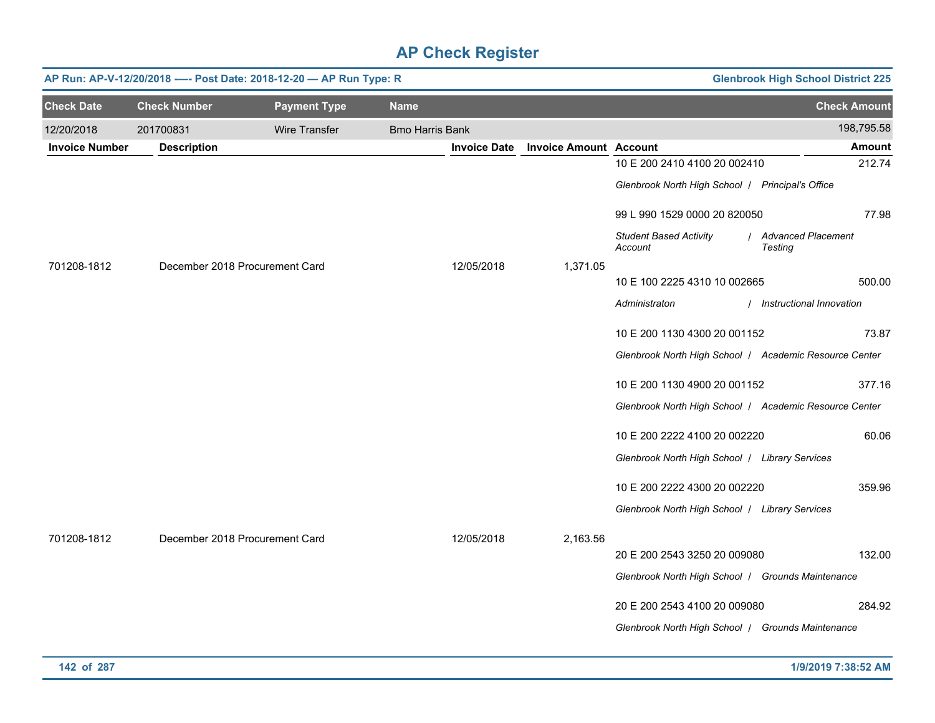| AP Run: AP-V-12/20/2018 ---- Post Date: 2018-12-20 - AP Run Type: R<br><b>Glenbrook High School District 225</b> |                                |                                |                        |                     |                               |                                                        |                                 |  |  |  |
|------------------------------------------------------------------------------------------------------------------|--------------------------------|--------------------------------|------------------------|---------------------|-------------------------------|--------------------------------------------------------|---------------------------------|--|--|--|
| <b>Check Date</b>                                                                                                | <b>Check Number</b>            | <b>Payment Type</b>            | <b>Name</b>            |                     |                               |                                                        | <b>Check Amount</b>             |  |  |  |
| 12/20/2018                                                                                                       | 201700831                      | Wire Transfer                  | <b>Bmo Harris Bank</b> |                     |                               |                                                        | 198,795.58                      |  |  |  |
| <b>Invoice Number</b>                                                                                            | <b>Description</b>             |                                |                        | <b>Invoice Date</b> | <b>Invoice Amount Account</b> |                                                        | <b>Amount</b>                   |  |  |  |
|                                                                                                                  |                                |                                |                        |                     |                               | 10 E 200 2410 4100 20 002410                           | 212.74                          |  |  |  |
|                                                                                                                  |                                |                                |                        |                     |                               | Glenbrook North High School   Principal's Office       |                                 |  |  |  |
|                                                                                                                  |                                |                                |                        |                     |                               | 99 L 990 1529 0000 20 820050                           | 77.98                           |  |  |  |
|                                                                                                                  |                                |                                |                        |                     |                               | <b>Student Based Activity</b><br>Account               | / Advanced Placement<br>Testing |  |  |  |
| 701208-1812                                                                                                      |                                | December 2018 Procurement Card |                        | 12/05/2018          | 1,371.05                      |                                                        |                                 |  |  |  |
|                                                                                                                  |                                |                                |                        |                     |                               | 10 E 100 2225 4310 10 002665                           | 500.00                          |  |  |  |
|                                                                                                                  |                                |                                |                        |                     |                               | Administraton                                          | / Instructional Innovation      |  |  |  |
|                                                                                                                  |                                |                                |                        |                     |                               | 10 E 200 1130 4300 20 001152                           | 73.87                           |  |  |  |
|                                                                                                                  |                                |                                |                        |                     |                               | Glenbrook North High School / Academic Resource Center |                                 |  |  |  |
|                                                                                                                  |                                |                                |                        |                     |                               | 10 E 200 1130 4900 20 001152                           | 377.16                          |  |  |  |
|                                                                                                                  |                                |                                |                        |                     |                               | Glenbrook North High School   Academic Resource Center |                                 |  |  |  |
|                                                                                                                  |                                |                                |                        |                     |                               | 10 E 200 2222 4100 20 002220                           | 60.06                           |  |  |  |
|                                                                                                                  |                                |                                |                        |                     |                               | Glenbrook North High School   Library Services         |                                 |  |  |  |
|                                                                                                                  |                                |                                |                        |                     |                               | 10 E 200 2222 4300 20 002220                           | 359.96                          |  |  |  |
|                                                                                                                  |                                |                                |                        |                     |                               | Glenbrook North High School   Library Services         |                                 |  |  |  |
| 701208-1812                                                                                                      | December 2018 Procurement Card |                                |                        | 12/05/2018          | 2,163.56                      |                                                        |                                 |  |  |  |
|                                                                                                                  |                                |                                |                        |                     |                               | 20 E 200 2543 3250 20 009080                           | 132.00                          |  |  |  |
|                                                                                                                  |                                |                                |                        |                     |                               | Glenbrook North High School   Grounds Maintenance      |                                 |  |  |  |
|                                                                                                                  |                                |                                |                        |                     |                               | 20 E 200 2543 4100 20 009080                           | 284.92                          |  |  |  |
|                                                                                                                  |                                |                                |                        |                     |                               | Glenbrook North High School   Grounds Maintenance      |                                 |  |  |  |
|                                                                                                                  |                                |                                |                        |                     |                               |                                                        |                                 |  |  |  |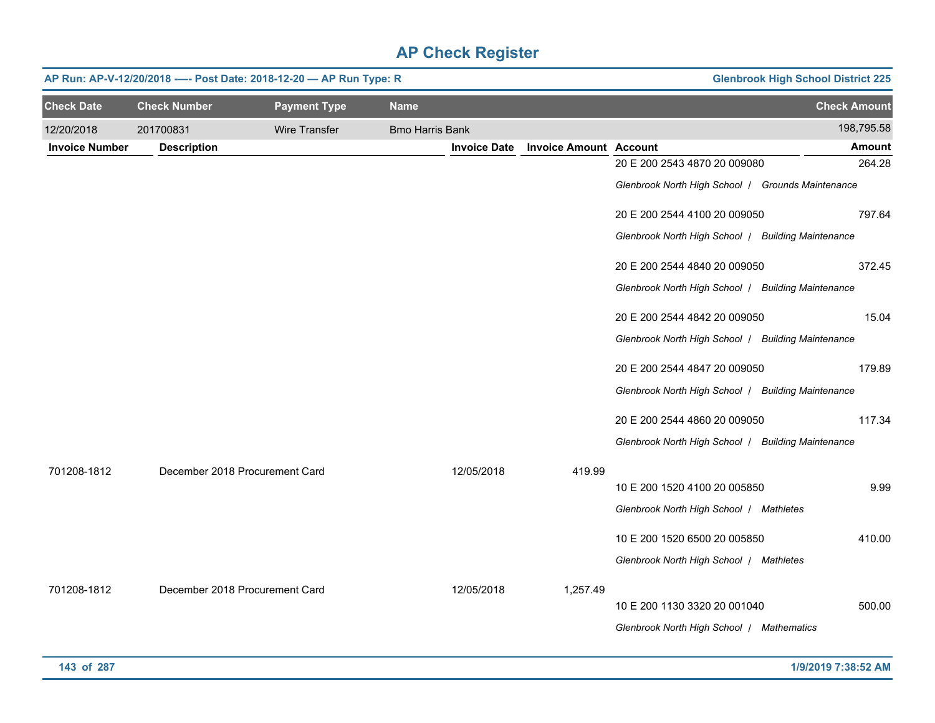|                       | <b>Glenbrook High School District 225</b><br>AP Run: AP-V-12/20/2018 ---- Post Date: 2018-12-20 - AP Run Type: R |                     |                        |                     |                               |                                                    |                     |  |  |  |
|-----------------------|------------------------------------------------------------------------------------------------------------------|---------------------|------------------------|---------------------|-------------------------------|----------------------------------------------------|---------------------|--|--|--|
| <b>Check Date</b>     | <b>Check Number</b>                                                                                              | <b>Payment Type</b> | <b>Name</b>            |                     |                               |                                                    | <b>Check Amount</b> |  |  |  |
| 12/20/2018            | 201700831                                                                                                        | Wire Transfer       | <b>Bmo Harris Bank</b> |                     |                               |                                                    | 198,795.58          |  |  |  |
| <b>Invoice Number</b> | <b>Description</b>                                                                                               |                     |                        | <b>Invoice Date</b> | <b>Invoice Amount Account</b> |                                                    | <b>Amount</b>       |  |  |  |
|                       |                                                                                                                  |                     |                        |                     |                               | 20 E 200 2543 4870 20 009080                       | 264.28              |  |  |  |
|                       |                                                                                                                  |                     |                        |                     |                               | Glenbrook North High School   Grounds Maintenance  |                     |  |  |  |
|                       |                                                                                                                  |                     |                        |                     |                               | 20 E 200 2544 4100 20 009050                       | 797.64              |  |  |  |
|                       |                                                                                                                  |                     |                        |                     |                               | Glenbrook North High School   Building Maintenance |                     |  |  |  |
|                       |                                                                                                                  |                     |                        |                     |                               | 20 E 200 2544 4840 20 009050                       | 372.45              |  |  |  |
|                       |                                                                                                                  |                     |                        |                     |                               | Glenbrook North High School   Building Maintenance |                     |  |  |  |
|                       |                                                                                                                  |                     |                        |                     |                               | 20 E 200 2544 4842 20 009050                       | 15.04               |  |  |  |
|                       |                                                                                                                  |                     |                        |                     |                               | Glenbrook North High School / Building Maintenance |                     |  |  |  |
|                       |                                                                                                                  |                     |                        |                     |                               | 20 E 200 2544 4847 20 009050                       | 179.89              |  |  |  |
|                       |                                                                                                                  |                     |                        |                     |                               | Glenbrook North High School   Building Maintenance |                     |  |  |  |
|                       |                                                                                                                  |                     |                        |                     |                               | 20 E 200 2544 4860 20 009050                       | 117.34              |  |  |  |
|                       |                                                                                                                  |                     |                        |                     |                               | Glenbrook North High School   Building Maintenance |                     |  |  |  |
| 701208-1812           | December 2018 Procurement Card                                                                                   |                     |                        | 12/05/2018          | 419.99                        |                                                    |                     |  |  |  |
|                       |                                                                                                                  |                     |                        |                     |                               | 10 E 200 1520 4100 20 005850                       | 9.99                |  |  |  |
|                       |                                                                                                                  |                     |                        |                     |                               | Glenbrook North High School   Mathletes            |                     |  |  |  |
|                       |                                                                                                                  |                     |                        |                     |                               | 10 E 200 1520 6500 20 005850                       | 410.00              |  |  |  |
|                       |                                                                                                                  |                     |                        |                     |                               | Glenbrook North High School   Mathletes            |                     |  |  |  |
| 701208-1812           | December 2018 Procurement Card                                                                                   |                     |                        | 12/05/2018          | 1,257.49                      |                                                    |                     |  |  |  |
|                       |                                                                                                                  |                     |                        |                     |                               | 10 E 200 1130 3320 20 001040                       | 500.00              |  |  |  |
|                       |                                                                                                                  |                     |                        |                     |                               | Glenbrook North High School   Mathematics          |                     |  |  |  |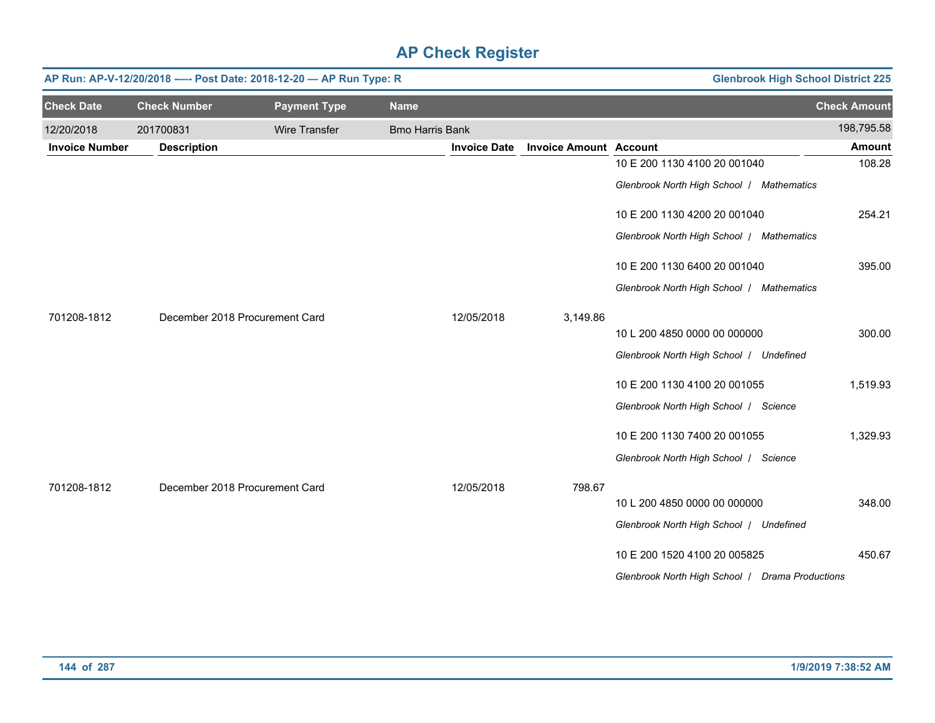|                       | AP Run: AP-V-12/20/2018 ---- Post Date: 2018-12-20 - AP Run Type: R |                                | <b>Glenbrook High School District 225</b> |                     |                               |                                                 |                     |
|-----------------------|---------------------------------------------------------------------|--------------------------------|-------------------------------------------|---------------------|-------------------------------|-------------------------------------------------|---------------------|
| <b>Check Date</b>     | <b>Check Number</b>                                                 | <b>Payment Type</b>            | <b>Name</b>                               |                     |                               |                                                 | <b>Check Amount</b> |
| 12/20/2018            | 201700831                                                           | <b>Wire Transfer</b>           | <b>Bmo Harris Bank</b>                    |                     |                               |                                                 | 198,795.58          |
| <b>Invoice Number</b> | <b>Description</b>                                                  |                                |                                           | <b>Invoice Date</b> | <b>Invoice Amount Account</b> |                                                 | <b>Amount</b>       |
|                       |                                                                     |                                |                                           |                     |                               | 10 E 200 1130 4100 20 001040                    | 108.28              |
|                       |                                                                     |                                |                                           |                     |                               | Glenbrook North High School / Mathematics       |                     |
|                       |                                                                     |                                |                                           |                     |                               | 10 E 200 1130 4200 20 001040                    | 254.21              |
|                       |                                                                     |                                |                                           |                     |                               | Glenbrook North High School / Mathematics       |                     |
|                       |                                                                     |                                |                                           |                     |                               | 10 E 200 1130 6400 20 001040                    | 395.00              |
|                       |                                                                     |                                |                                           |                     |                               | Glenbrook North High School / Mathematics       |                     |
| 701208-1812           |                                                                     | December 2018 Procurement Card |                                           | 12/05/2018          | 3,149.86                      |                                                 |                     |
|                       |                                                                     |                                |                                           |                     |                               | 10 L 200 4850 0000 00 000000                    | 300.00              |
|                       |                                                                     |                                |                                           |                     |                               | Glenbrook North High School / Undefined         |                     |
|                       |                                                                     |                                |                                           |                     |                               | 10 E 200 1130 4100 20 001055                    | 1,519.93            |
|                       |                                                                     |                                |                                           |                     |                               | Glenbrook North High School   Science           |                     |
|                       |                                                                     |                                |                                           |                     |                               | 10 E 200 1130 7400 20 001055                    | 1,329.93            |
|                       |                                                                     |                                |                                           |                     |                               | Glenbrook North High School   Science           |                     |
| 701208-1812           |                                                                     | December 2018 Procurement Card |                                           | 12/05/2018          | 798.67                        |                                                 |                     |
|                       |                                                                     |                                |                                           |                     |                               | 10 L 200 4850 0000 00 000000                    | 348.00              |
|                       |                                                                     |                                |                                           |                     |                               | Glenbrook North High School   Undefined         |                     |
|                       |                                                                     |                                |                                           |                     |                               | 10 E 200 1520 4100 20 005825                    | 450.67              |
|                       |                                                                     |                                |                                           |                     |                               | Glenbrook North High School   Drama Productions |                     |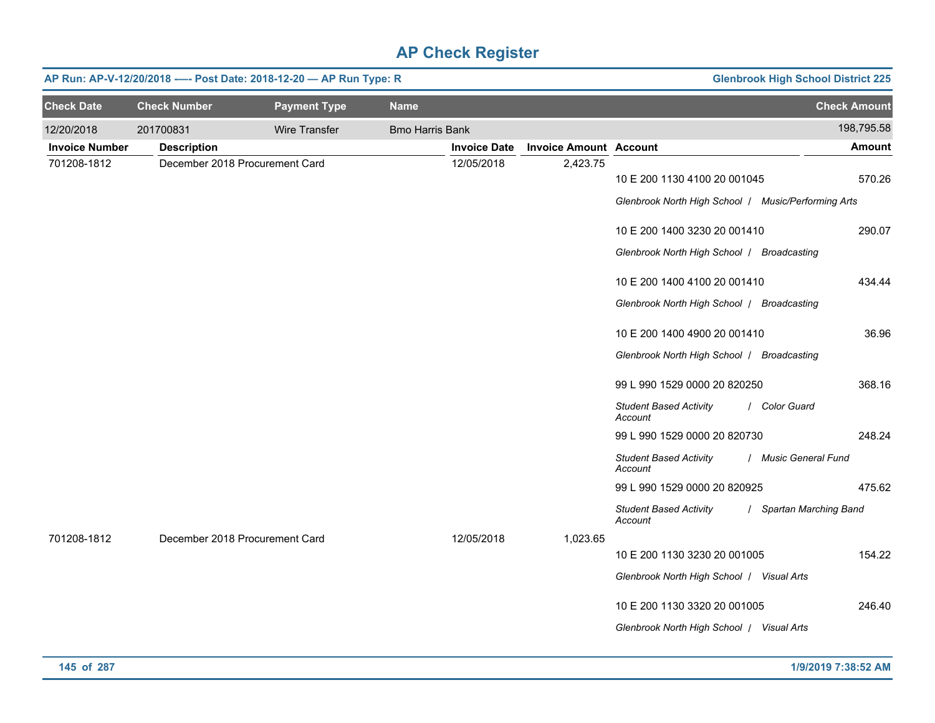|                       | AP Run: AP-V-12/20/2018 ---- Post Date: 2018-12-20 - AP Run Type: R |                     | <b>Glenbrook High School District 225</b> |                     |                               |                                                                                     |                         |
|-----------------------|---------------------------------------------------------------------|---------------------|-------------------------------------------|---------------------|-------------------------------|-------------------------------------------------------------------------------------|-------------------------|
| <b>Check Date</b>     | <b>Check Number</b>                                                 | <b>Payment Type</b> | <b>Name</b>                               |                     |                               |                                                                                     | <b>Check Amount</b>     |
| 12/20/2018            | 201700831                                                           | Wire Transfer       | <b>Bmo Harris Bank</b>                    |                     |                               |                                                                                     | 198,795.58              |
| <b>Invoice Number</b> | <b>Description</b>                                                  |                     |                                           | <b>Invoice Date</b> | <b>Invoice Amount Account</b> |                                                                                     | <b>Amount</b>           |
| 701208-1812           | December 2018 Procurement Card                                      |                     |                                           | 12/05/2018          | 2,423.75                      | 10 E 200 1130 4100 20 001045<br>Glenbrook North High School   Music/Performing Arts | 570.26                  |
|                       |                                                                     |                     |                                           |                     |                               | 10 E 200 1400 3230 20 001410<br>Glenbrook North High School   Broadcasting          | 290.07                  |
|                       |                                                                     |                     |                                           |                     |                               | 10 E 200 1400 4100 20 001410<br>Glenbrook North High School   Broadcasting          | 434.44                  |
|                       |                                                                     |                     |                                           |                     |                               | 10 E 200 1400 4900 20 001410<br>Glenbrook North High School   Broadcasting          | 36.96                   |
|                       |                                                                     |                     |                                           |                     |                               | 99 L 990 1529 0000 20 820250                                                        | 368.16                  |
|                       |                                                                     |                     |                                           |                     |                               | <b>Student Based Activity</b><br>Account                                            | / Color Guard           |
|                       |                                                                     |                     |                                           |                     |                               | 99 L 990 1529 0000 20 820730                                                        | 248.24                  |
|                       |                                                                     |                     |                                           |                     |                               | <b>Student Based Activity</b><br>Account                                            | / Music General Fund    |
|                       |                                                                     |                     |                                           |                     |                               | 99 L 990 1529 0000 20 820925                                                        | 475.62                  |
|                       |                                                                     |                     |                                           |                     |                               | <b>Student Based Activity</b><br>Account                                            | / Spartan Marching Band |
| 701208-1812           | December 2018 Procurement Card                                      |                     |                                           | 12/05/2018          | 1,023.65                      |                                                                                     |                         |
|                       |                                                                     |                     |                                           |                     |                               | 10 E 200 1130 3230 20 001005                                                        | 154.22                  |
|                       |                                                                     |                     |                                           |                     |                               | Glenbrook North High School   Visual Arts                                           |                         |
|                       |                                                                     |                     |                                           |                     |                               | 10 E 200 1130 3320 20 001005                                                        | 246.40                  |
|                       |                                                                     |                     |                                           |                     |                               | Glenbrook North High School / Visual Arts                                           |                         |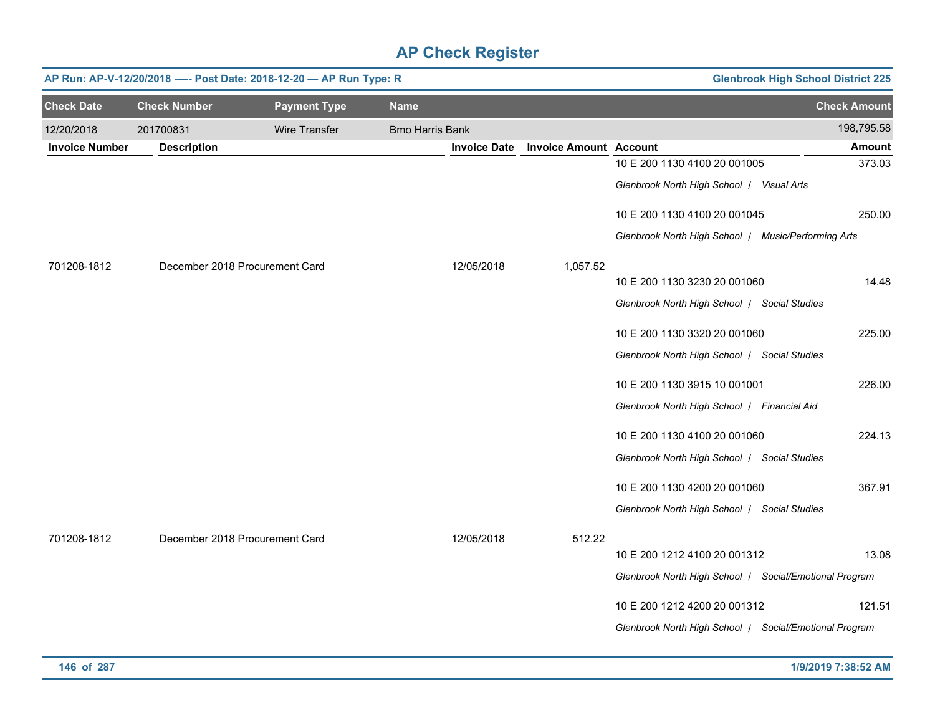|                       | AP Run: AP-V-12/20/2018 ---- Post Date: 2018-12-20 - AP Run Type: R<br><b>Glenbrook High School District 225</b> |                     |                        |                     |                               |                                                        |                     |  |  |  |
|-----------------------|------------------------------------------------------------------------------------------------------------------|---------------------|------------------------|---------------------|-------------------------------|--------------------------------------------------------|---------------------|--|--|--|
| <b>Check Date</b>     | <b>Check Number</b>                                                                                              | <b>Payment Type</b> | <b>Name</b>            |                     |                               |                                                        | <b>Check Amount</b> |  |  |  |
| 12/20/2018            | 201700831                                                                                                        | Wire Transfer       | <b>Bmo Harris Bank</b> |                     |                               |                                                        | 198,795.58          |  |  |  |
| <b>Invoice Number</b> | <b>Description</b>                                                                                               |                     |                        | <b>Invoice Date</b> | <b>Invoice Amount Account</b> |                                                        | <b>Amount</b>       |  |  |  |
|                       |                                                                                                                  |                     |                        |                     |                               | 10 E 200 1130 4100 20 001005                           | 373.03              |  |  |  |
|                       |                                                                                                                  |                     |                        |                     |                               | Glenbrook North High School / Visual Arts              |                     |  |  |  |
|                       |                                                                                                                  |                     |                        |                     |                               | 10 E 200 1130 4100 20 001045                           | 250.00              |  |  |  |
|                       |                                                                                                                  |                     |                        |                     |                               | Glenbrook North High School   Music/Performing Arts    |                     |  |  |  |
| 701208-1812           | December 2018 Procurement Card                                                                                   |                     |                        | 12/05/2018          | 1,057.52                      |                                                        |                     |  |  |  |
|                       |                                                                                                                  |                     |                        |                     |                               | 10 E 200 1130 3230 20 001060                           | 14.48               |  |  |  |
|                       |                                                                                                                  |                     |                        |                     |                               | Glenbrook North High School   Social Studies           |                     |  |  |  |
|                       |                                                                                                                  |                     |                        |                     |                               | 10 E 200 1130 3320 20 001060                           | 225.00              |  |  |  |
|                       |                                                                                                                  |                     |                        |                     |                               | Glenbrook North High School   Social Studies           |                     |  |  |  |
|                       |                                                                                                                  |                     |                        |                     |                               | 10 E 200 1130 3915 10 001001                           | 226.00              |  |  |  |
|                       |                                                                                                                  |                     |                        |                     |                               | Glenbrook North High School   Financial Aid            |                     |  |  |  |
|                       |                                                                                                                  |                     |                        |                     |                               | 10 E 200 1130 4100 20 001060                           | 224.13              |  |  |  |
|                       |                                                                                                                  |                     |                        |                     |                               | Glenbrook North High School   Social Studies           |                     |  |  |  |
|                       |                                                                                                                  |                     |                        |                     |                               | 10 E 200 1130 4200 20 001060                           | 367.91              |  |  |  |
|                       |                                                                                                                  |                     |                        |                     |                               | Glenbrook North High School   Social Studies           |                     |  |  |  |
| 701208-1812           | December 2018 Procurement Card                                                                                   |                     |                        | 12/05/2018          | 512.22                        |                                                        |                     |  |  |  |
|                       |                                                                                                                  |                     |                        |                     |                               | 10 E 200 1212 4100 20 001312                           | 13.08               |  |  |  |
|                       |                                                                                                                  |                     |                        |                     |                               | Glenbrook North High School   Social/Emotional Program |                     |  |  |  |
|                       |                                                                                                                  |                     |                        |                     |                               | 10 E 200 1212 4200 20 001312                           | 121.51              |  |  |  |
|                       |                                                                                                                  |                     |                        |                     |                               | Glenbrook North High School   Social/Emotional Program |                     |  |  |  |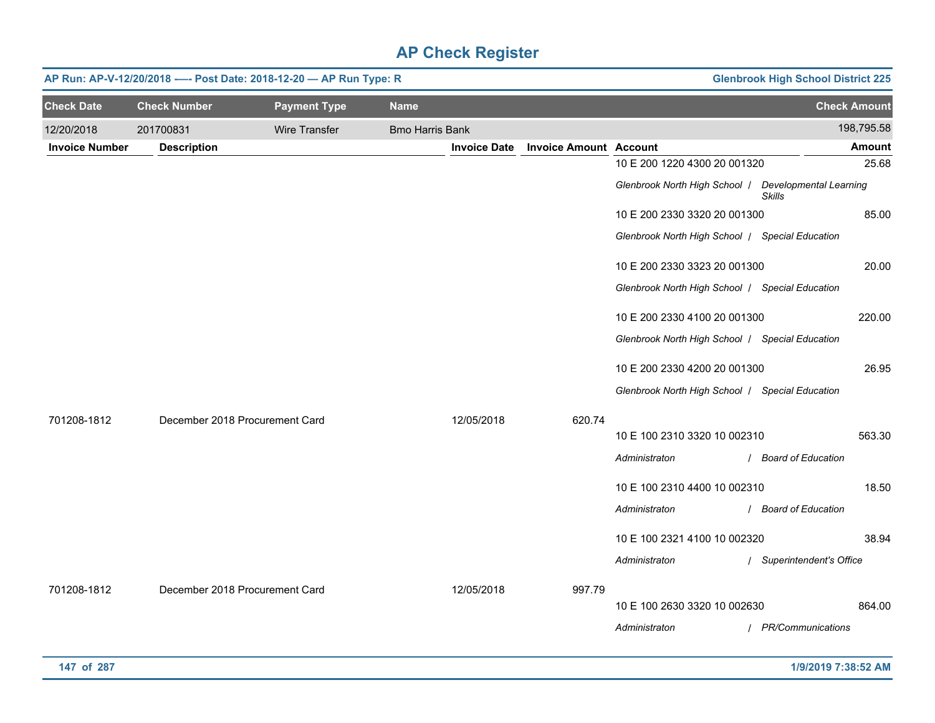|                       | <b>Glenbrook High School District 225</b><br>AP Run: AP-V-12/20/2018 ---- Post Date: 2018-12-20 - AP Run Type: R |                     |                        |                     |                               |                                                 |                                         |  |  |  |
|-----------------------|------------------------------------------------------------------------------------------------------------------|---------------------|------------------------|---------------------|-------------------------------|-------------------------------------------------|-----------------------------------------|--|--|--|
| <b>Check Date</b>     | <b>Check Number</b>                                                                                              | <b>Payment Type</b> | <b>Name</b>            |                     |                               |                                                 | <b>Check Amount</b>                     |  |  |  |
| 12/20/2018            | 201700831                                                                                                        | Wire Transfer       | <b>Bmo Harris Bank</b> |                     |                               |                                                 | 198,795.58                              |  |  |  |
| <b>Invoice Number</b> | <b>Description</b>                                                                                               |                     |                        | <b>Invoice Date</b> | <b>Invoice Amount Account</b> |                                                 | <b>Amount</b>                           |  |  |  |
|                       |                                                                                                                  |                     |                        |                     |                               | 10 E 200 1220 4300 20 001320                    | 25.68                                   |  |  |  |
|                       |                                                                                                                  |                     |                        |                     |                               | Glenbrook North High School /                   | Developmental Learning<br><b>Skills</b> |  |  |  |
|                       |                                                                                                                  |                     |                        |                     |                               | 10 E 200 2330 3320 20 001300                    | 85.00                                   |  |  |  |
|                       |                                                                                                                  |                     |                        |                     |                               | Glenbrook North High School / Special Education |                                         |  |  |  |
|                       |                                                                                                                  |                     |                        |                     |                               | 10 E 200 2330 3323 20 001300                    | 20.00                                   |  |  |  |
|                       |                                                                                                                  |                     |                        |                     |                               | Glenbrook North High School / Special Education |                                         |  |  |  |
|                       |                                                                                                                  |                     |                        |                     |                               | 10 E 200 2330 4100 20 001300                    | 220.00                                  |  |  |  |
|                       |                                                                                                                  |                     |                        |                     |                               | Glenbrook North High School / Special Education |                                         |  |  |  |
|                       |                                                                                                                  |                     |                        |                     |                               | 10 E 200 2330 4200 20 001300                    | 26.95                                   |  |  |  |
|                       |                                                                                                                  |                     |                        |                     |                               | Glenbrook North High School / Special Education |                                         |  |  |  |
|                       |                                                                                                                  |                     |                        |                     |                               |                                                 |                                         |  |  |  |
| 701208-1812           | December 2018 Procurement Card                                                                                   |                     |                        | 12/05/2018          | 620.74                        | 10 E 100 2310 3320 10 002310                    | 563.30                                  |  |  |  |
|                       |                                                                                                                  |                     |                        |                     |                               | Administraton                                   | / Board of Education                    |  |  |  |
|                       |                                                                                                                  |                     |                        |                     |                               |                                                 |                                         |  |  |  |
|                       |                                                                                                                  |                     |                        |                     |                               | 10 E 100 2310 4400 10 002310                    | 18.50                                   |  |  |  |
|                       |                                                                                                                  |                     |                        |                     |                               | Administraton                                   | / Board of Education                    |  |  |  |
|                       |                                                                                                                  |                     |                        |                     |                               | 10 E 100 2321 4100 10 002320                    | 38.94                                   |  |  |  |
|                       |                                                                                                                  |                     |                        |                     |                               | Administraton                                   | / Superintendent's Office               |  |  |  |
|                       |                                                                                                                  |                     |                        |                     |                               |                                                 |                                         |  |  |  |
| 701208-1812           | December 2018 Procurement Card                                                                                   |                     |                        | 12/05/2018          | 997.79                        | 10 E 100 2630 3320 10 002630                    | 864.00                                  |  |  |  |
|                       |                                                                                                                  |                     |                        |                     |                               | Administraton                                   | / PR/Communications                     |  |  |  |
|                       |                                                                                                                  |                     |                        |                     |                               |                                                 |                                         |  |  |  |
| 147 of 287            |                                                                                                                  |                     |                        |                     |                               |                                                 | 1/9/2019 7:38:52 AM                     |  |  |  |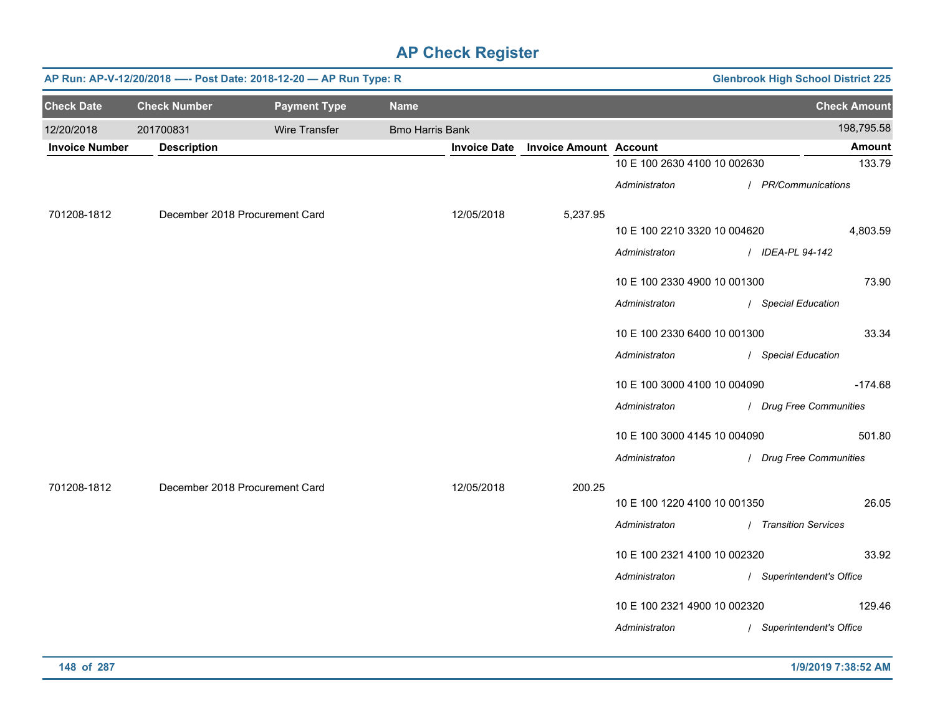|                       | AP Run: AP-V-12/20/2018 ---- Post Date: 2018-12-20 - AP Run Type: R<br><b>Glenbrook High School District 225</b> |                                |                        |                               |                              |  |                           |  |  |  |
|-----------------------|------------------------------------------------------------------------------------------------------------------|--------------------------------|------------------------|-------------------------------|------------------------------|--|---------------------------|--|--|--|
| <b>Check Date</b>     | <b>Check Number</b>                                                                                              | <b>Payment Type</b>            | <b>Name</b>            |                               |                              |  | <b>Check Amount</b>       |  |  |  |
| 12/20/2018            | 201700831                                                                                                        | Wire Transfer                  | <b>Bmo Harris Bank</b> |                               |                              |  | 198,795.58                |  |  |  |
| <b>Invoice Number</b> | <b>Description</b>                                                                                               |                                | <b>Invoice Date</b>    | <b>Invoice Amount Account</b> |                              |  | Amount                    |  |  |  |
|                       |                                                                                                                  |                                |                        |                               | 10 E 100 2630 4100 10 002630 |  | 133.79                    |  |  |  |
|                       |                                                                                                                  |                                |                        |                               | Administraton                |  | / PR/Communications       |  |  |  |
| 701208-1812           |                                                                                                                  | December 2018 Procurement Card | 12/05/2018             | 5,237.95                      |                              |  |                           |  |  |  |
|                       |                                                                                                                  |                                |                        |                               | 10 E 100 2210 3320 10 004620 |  | 4,803.59                  |  |  |  |
|                       |                                                                                                                  |                                |                        |                               | Administraton                |  | / IDEA-PL 94-142          |  |  |  |
|                       |                                                                                                                  |                                |                        |                               | 10 E 100 2330 4900 10 001300 |  | 73.90                     |  |  |  |
|                       |                                                                                                                  |                                |                        |                               | Administraton                |  | / Special Education       |  |  |  |
|                       |                                                                                                                  |                                |                        |                               | 10 E 100 2330 6400 10 001300 |  | 33.34                     |  |  |  |
|                       |                                                                                                                  |                                |                        |                               | Administraton                |  | / Special Education       |  |  |  |
|                       |                                                                                                                  |                                |                        |                               | 10 E 100 3000 4100 10 004090 |  | $-174.68$                 |  |  |  |
|                       |                                                                                                                  |                                |                        |                               | Administraton                |  | / Drug Free Communities   |  |  |  |
|                       |                                                                                                                  |                                |                        |                               | 10 E 100 3000 4145 10 004090 |  | 501.80                    |  |  |  |
|                       |                                                                                                                  |                                |                        |                               | Administraton                |  | / Drug Free Communities   |  |  |  |
| 701208-1812           |                                                                                                                  | December 2018 Procurement Card | 12/05/2018             | 200.25                        |                              |  |                           |  |  |  |
|                       |                                                                                                                  |                                |                        |                               | 10 E 100 1220 4100 10 001350 |  | 26.05                     |  |  |  |
|                       |                                                                                                                  |                                |                        |                               | Administraton                |  | / Transition Services     |  |  |  |
|                       |                                                                                                                  |                                |                        |                               | 10 E 100 2321 4100 10 002320 |  | 33.92                     |  |  |  |
|                       |                                                                                                                  |                                |                        |                               | Administraton                |  | / Superintendent's Office |  |  |  |
|                       |                                                                                                                  |                                |                        |                               | 10 E 100 2321 4900 10 002320 |  | 129.46                    |  |  |  |
|                       |                                                                                                                  |                                |                        |                               | Administraton                |  | / Superintendent's Office |  |  |  |
|                       |                                                                                                                  |                                |                        |                               |                              |  |                           |  |  |  |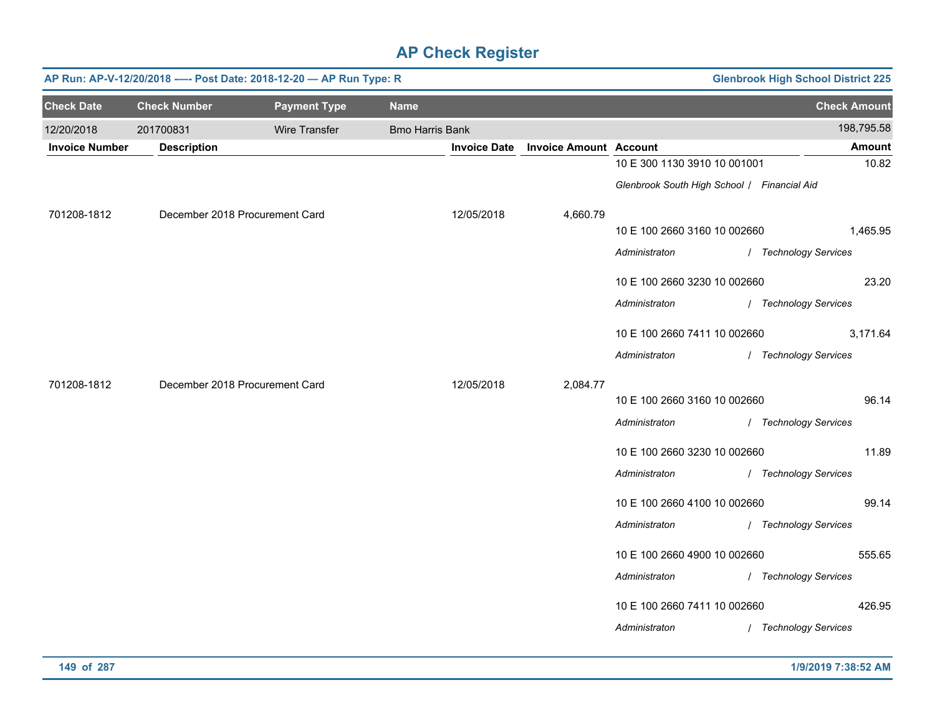|                       |                     | AP Run: AP-V-12/20/2018 ---- Post Date: 2018-12-20 - AP Run Type: R |                        |                     |                               |                                             | <b>Glenbrook High School District 225</b> |
|-----------------------|---------------------|---------------------------------------------------------------------|------------------------|---------------------|-------------------------------|---------------------------------------------|-------------------------------------------|
| <b>Check Date</b>     | <b>Check Number</b> | <b>Payment Type</b>                                                 | <b>Name</b>            |                     |                               |                                             | <b>Check Amount</b>                       |
| 12/20/2018            | 201700831           | <b>Wire Transfer</b>                                                | <b>Bmo Harris Bank</b> |                     |                               |                                             | 198,795.58                                |
| <b>Invoice Number</b> | <b>Description</b>  |                                                                     |                        | <b>Invoice Date</b> | <b>Invoice Amount Account</b> |                                             | <b>Amount</b>                             |
|                       |                     |                                                                     |                        |                     |                               | 10 E 300 1130 3910 10 001001                | 10.82                                     |
|                       |                     |                                                                     |                        |                     |                               | Glenbrook South High School / Financial Aid |                                           |
| 701208-1812           |                     | December 2018 Procurement Card                                      |                        | 12/05/2018          | 4,660.79                      |                                             |                                           |
|                       |                     |                                                                     |                        |                     |                               | 10 E 100 2660 3160 10 002660                | 1,465.95                                  |
|                       |                     |                                                                     |                        |                     |                               | Administraton                               | / Technology Services                     |
|                       |                     |                                                                     |                        |                     |                               | 10 E 100 2660 3230 10 002660                | 23.20                                     |
|                       |                     |                                                                     |                        |                     |                               | Administraton                               | / Technology Services                     |
|                       |                     |                                                                     |                        |                     |                               | 10 E 100 2660 7411 10 002660                | 3,171.64                                  |
|                       |                     |                                                                     |                        |                     |                               | Administraton                               | / Technology Services                     |
| 701208-1812           |                     | December 2018 Procurement Card                                      |                        | 12/05/2018          | 2,084.77                      |                                             |                                           |
|                       |                     |                                                                     |                        |                     |                               | 10 E 100 2660 3160 10 002660                | 96.14                                     |
|                       |                     |                                                                     |                        |                     |                               | Administraton                               | / Technology Services                     |
|                       |                     |                                                                     |                        |                     |                               | 10 E 100 2660 3230 10 002660                | 11.89                                     |
|                       |                     |                                                                     |                        |                     |                               | Administraton                               | / Technology Services                     |
|                       |                     |                                                                     |                        |                     |                               | 10 E 100 2660 4100 10 002660                | 99.14                                     |
|                       |                     |                                                                     |                        |                     |                               | Administraton                               | / Technology Services                     |
|                       |                     |                                                                     |                        |                     |                               | 10 E 100 2660 4900 10 002660                | 555.65                                    |
|                       |                     |                                                                     |                        |                     |                               | Administraton                               | / Technology Services                     |
|                       |                     |                                                                     |                        |                     |                               | 10 E 100 2660 7411 10 002660                | 426.95                                    |
|                       |                     |                                                                     |                        |                     |                               | Administraton                               | / Technology Services                     |
|                       |                     |                                                                     |                        |                     |                               |                                             |                                           |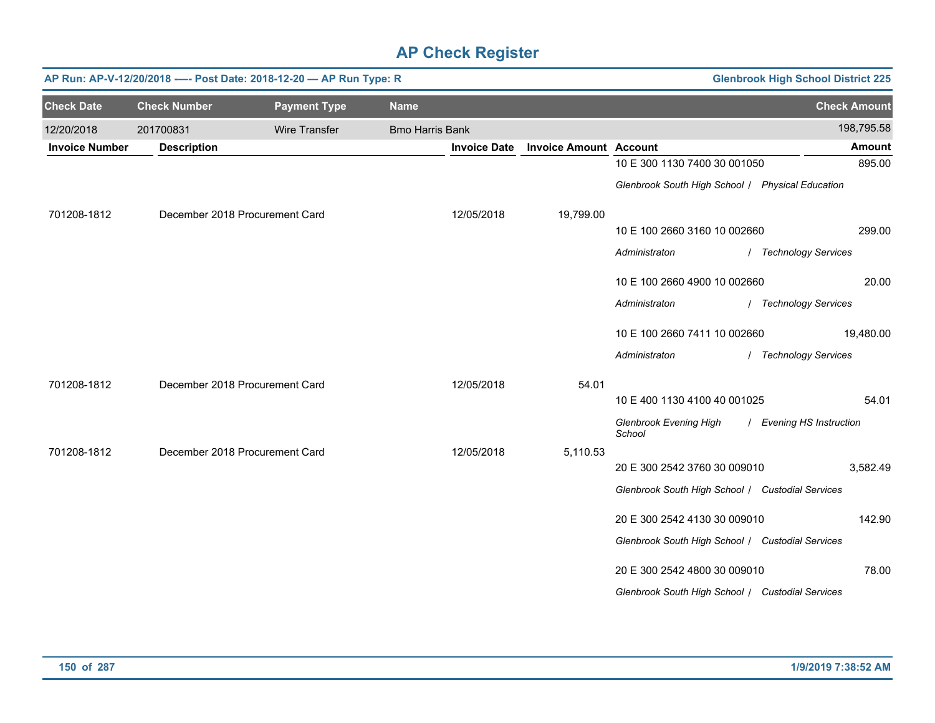|                       |                                | AP Run: AP-V-12/20/2018 ---- Post Date: 2018-12-20 - AP Run Type: R |                        |                     | <b>Glenbrook High School District 225</b> |                                                  |                          |
|-----------------------|--------------------------------|---------------------------------------------------------------------|------------------------|---------------------|-------------------------------------------|--------------------------------------------------|--------------------------|
| <b>Check Date</b>     | <b>Check Number</b>            | <b>Payment Type</b>                                                 | <b>Name</b>            |                     |                                           |                                                  | <b>Check Amount</b>      |
| 12/20/2018            | 201700831                      | <b>Wire Transfer</b>                                                | <b>Bmo Harris Bank</b> |                     |                                           |                                                  | 198,795.58               |
| <b>Invoice Number</b> | <b>Description</b>             |                                                                     |                        | <b>Invoice Date</b> | <b>Invoice Amount Account</b>             |                                                  | <b>Amount</b>            |
|                       |                                |                                                                     |                        |                     |                                           | 10 E 300 1130 7400 30 001050                     | 895.00                   |
|                       |                                |                                                                     |                        |                     |                                           | Glenbrook South High School / Physical Education |                          |
| 701208-1812           | December 2018 Procurement Card |                                                                     |                        | 12/05/2018          | 19,799.00                                 |                                                  |                          |
|                       |                                |                                                                     |                        |                     |                                           | 10 E 100 2660 3160 10 002660                     | 299.00                   |
|                       |                                |                                                                     |                        |                     |                                           | Administraton                                    | / Technology Services    |
|                       |                                |                                                                     |                        |                     |                                           | 10 E 100 2660 4900 10 002660                     | 20.00                    |
|                       |                                |                                                                     |                        |                     |                                           | Administraton                                    | / Technology Services    |
|                       |                                |                                                                     |                        |                     |                                           | 10 E 100 2660 7411 10 002660                     | 19,480.00                |
|                       |                                |                                                                     |                        |                     |                                           | Administraton                                    | / Technology Services    |
| 701208-1812           | December 2018 Procurement Card |                                                                     |                        | 12/05/2018          | 54.01                                     |                                                  |                          |
|                       |                                |                                                                     |                        |                     |                                           | 10 E 400 1130 4100 40 001025                     | 54.01                    |
|                       |                                |                                                                     |                        |                     |                                           | Glenbrook Evening High<br>School                 | / Evening HS Instruction |
| 701208-1812           | December 2018 Procurement Card |                                                                     |                        | 12/05/2018          | 5,110.53                                  |                                                  |                          |
|                       |                                |                                                                     |                        |                     |                                           | 20 E 300 2542 3760 30 009010                     | 3,582.49                 |
|                       |                                |                                                                     |                        |                     |                                           | Glenbrook South High School / Custodial Services |                          |
|                       |                                |                                                                     |                        |                     |                                           | 20 E 300 2542 4130 30 009010                     | 142.90                   |
|                       |                                |                                                                     |                        |                     |                                           | Glenbrook South High School / Custodial Services |                          |
|                       |                                |                                                                     |                        |                     |                                           | 20 E 300 2542 4800 30 009010                     | 78.00                    |
|                       |                                |                                                                     |                        |                     |                                           | Glenbrook South High School / Custodial Services |                          |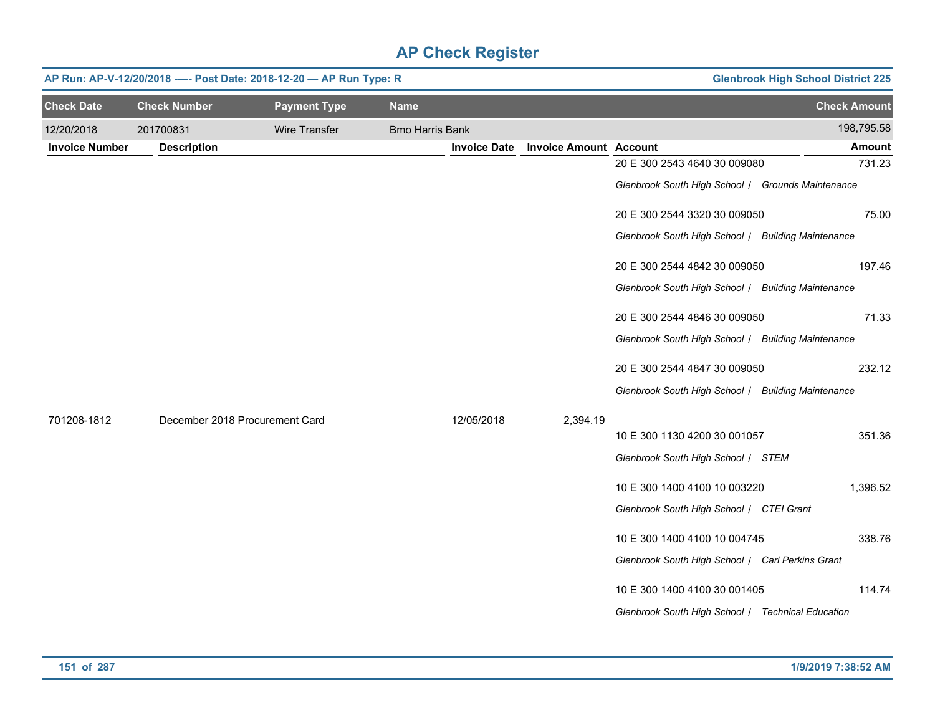|                       | <b>Glenbrook High School District 225</b><br>AP Run: AP-V-12/20/2018 ---- Post Date: 2018-12-20 - AP Run Type: R |                     |                        |                     |                               |                                                    |                     |  |  |
|-----------------------|------------------------------------------------------------------------------------------------------------------|---------------------|------------------------|---------------------|-------------------------------|----------------------------------------------------|---------------------|--|--|
| <b>Check Date</b>     | <b>Check Number</b>                                                                                              | <b>Payment Type</b> | <b>Name</b>            |                     |                               |                                                    | <b>Check Amount</b> |  |  |
| 12/20/2018            | 201700831                                                                                                        | Wire Transfer       | <b>Bmo Harris Bank</b> |                     |                               |                                                    | 198,795.58          |  |  |
| <b>Invoice Number</b> | <b>Description</b>                                                                                               |                     |                        | <b>Invoice Date</b> | <b>Invoice Amount Account</b> |                                                    | Amount              |  |  |
|                       |                                                                                                                  |                     |                        |                     |                               | 20 E 300 2543 4640 30 009080                       | 731.23              |  |  |
|                       |                                                                                                                  |                     |                        |                     |                               | Glenbrook South High School / Grounds Maintenance  |                     |  |  |
|                       |                                                                                                                  |                     |                        |                     |                               | 20 E 300 2544 3320 30 009050                       | 75.00               |  |  |
|                       |                                                                                                                  |                     |                        |                     |                               | Glenbrook South High School / Building Maintenance |                     |  |  |
|                       |                                                                                                                  |                     |                        |                     |                               | 20 E 300 2544 4842 30 009050                       | 197.46              |  |  |
|                       |                                                                                                                  |                     |                        |                     |                               | Glenbrook South High School / Building Maintenance |                     |  |  |
|                       |                                                                                                                  |                     |                        |                     |                               | 20 E 300 2544 4846 30 009050                       | 71.33               |  |  |
|                       |                                                                                                                  |                     |                        |                     |                               | Glenbrook South High School / Building Maintenance |                     |  |  |
|                       |                                                                                                                  |                     |                        |                     |                               | 20 E 300 2544 4847 30 009050                       | 232.12              |  |  |
|                       |                                                                                                                  |                     |                        |                     |                               | Glenbrook South High School / Building Maintenance |                     |  |  |
| 701208-1812           | December 2018 Procurement Card                                                                                   |                     |                        | 12/05/2018          | 2,394.19                      |                                                    |                     |  |  |
|                       |                                                                                                                  |                     |                        |                     |                               | 10 E 300 1130 4200 30 001057                       | 351.36              |  |  |
|                       |                                                                                                                  |                     |                        |                     |                               | Glenbrook South High School / STEM                 |                     |  |  |
|                       |                                                                                                                  |                     |                        |                     |                               | 10 E 300 1400 4100 10 003220                       | 1,396.52            |  |  |
|                       |                                                                                                                  |                     |                        |                     |                               | Glenbrook South High School / CTEI Grant           |                     |  |  |
|                       |                                                                                                                  |                     |                        |                     |                               | 10 E 300 1400 4100 10 004745                       | 338.76              |  |  |
|                       |                                                                                                                  |                     |                        |                     |                               | Glenbrook South High School / Carl Perkins Grant   |                     |  |  |
|                       |                                                                                                                  |                     |                        |                     |                               | 10 E 300 1400 4100 30 001405                       | 114.74              |  |  |
|                       |                                                                                                                  |                     |                        |                     |                               | Glenbrook South High School / Technical Education  |                     |  |  |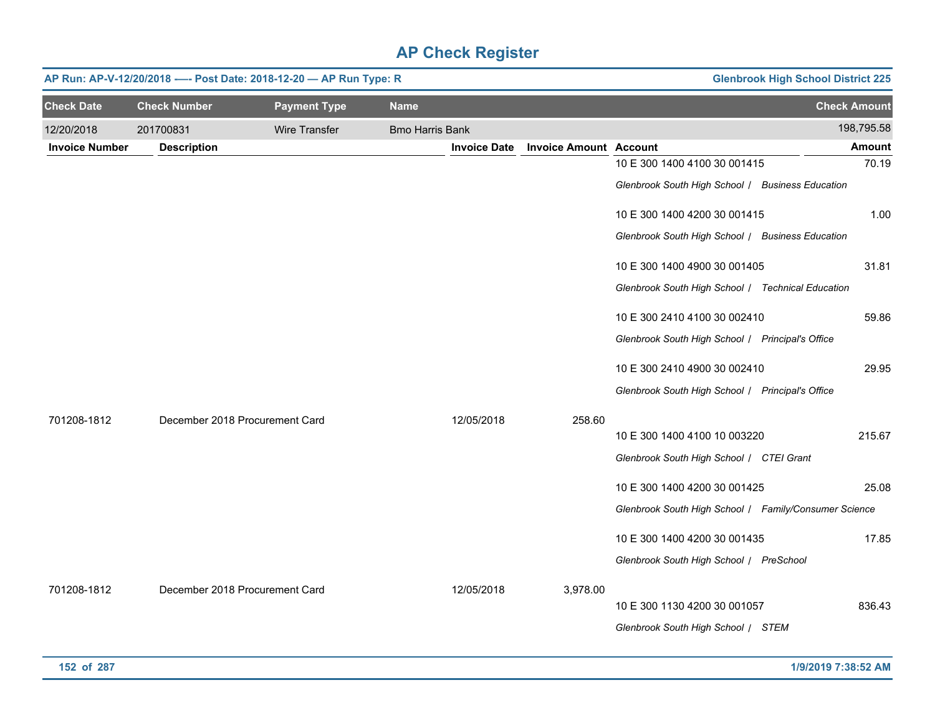|                       | AP Run: AP-V-12/20/2018 ---- Post Date: 2018-12-20 - AP Run Type: R<br><b>Glenbrook High School District 225</b> |                     |                        |                     |                               |                                                       |                     |  |  |  |
|-----------------------|------------------------------------------------------------------------------------------------------------------|---------------------|------------------------|---------------------|-------------------------------|-------------------------------------------------------|---------------------|--|--|--|
| <b>Check Date</b>     | <b>Check Number</b>                                                                                              | <b>Payment Type</b> | <b>Name</b>            |                     |                               |                                                       | <b>Check Amount</b> |  |  |  |
| 12/20/2018            | 201700831                                                                                                        | Wire Transfer       | <b>Bmo Harris Bank</b> |                     |                               |                                                       | 198,795.58          |  |  |  |
| <b>Invoice Number</b> | <b>Description</b>                                                                                               |                     |                        | <b>Invoice Date</b> | <b>Invoice Amount Account</b> |                                                       | <b>Amount</b>       |  |  |  |
|                       |                                                                                                                  |                     |                        |                     |                               | 10 E 300 1400 4100 30 001415                          | 70.19               |  |  |  |
|                       |                                                                                                                  |                     |                        |                     |                               | Glenbrook South High School / Business Education      |                     |  |  |  |
|                       |                                                                                                                  |                     |                        |                     |                               | 10 E 300 1400 4200 30 001415                          | 1.00                |  |  |  |
|                       |                                                                                                                  |                     |                        |                     |                               | Glenbrook South High School / Business Education      |                     |  |  |  |
|                       |                                                                                                                  |                     |                        |                     |                               | 10 E 300 1400 4900 30 001405                          | 31.81               |  |  |  |
|                       |                                                                                                                  |                     |                        |                     |                               | Glenbrook South High School / Technical Education     |                     |  |  |  |
|                       |                                                                                                                  |                     |                        |                     |                               | 10 E 300 2410 4100 30 002410                          | 59.86               |  |  |  |
|                       |                                                                                                                  |                     |                        |                     |                               | Glenbrook South High School / Principal's Office      |                     |  |  |  |
|                       |                                                                                                                  |                     |                        |                     |                               | 10 E 300 2410 4900 30 002410                          | 29.95               |  |  |  |
|                       |                                                                                                                  |                     |                        |                     |                               | Glenbrook South High School / Principal's Office      |                     |  |  |  |
| 701208-1812           | December 2018 Procurement Card                                                                                   |                     |                        | 12/05/2018          | 258.60                        |                                                       |                     |  |  |  |
|                       |                                                                                                                  |                     |                        |                     |                               | 10 E 300 1400 4100 10 003220                          | 215.67              |  |  |  |
|                       |                                                                                                                  |                     |                        |                     |                               | Glenbrook South High School / CTEI Grant              |                     |  |  |  |
|                       |                                                                                                                  |                     |                        |                     |                               | 10 E 300 1400 4200 30 001425                          | 25.08               |  |  |  |
|                       |                                                                                                                  |                     |                        |                     |                               | Glenbrook South High School   Family/Consumer Science |                     |  |  |  |
|                       |                                                                                                                  |                     |                        |                     |                               | 10 E 300 1400 4200 30 001435                          | 17.85               |  |  |  |
|                       |                                                                                                                  |                     |                        |                     |                               | Glenbrook South High School / PreSchool               |                     |  |  |  |
| 701208-1812           | December 2018 Procurement Card                                                                                   |                     |                        | 12/05/2018          | 3,978.00                      |                                                       |                     |  |  |  |
|                       |                                                                                                                  |                     |                        |                     |                               | 10 E 300 1130 4200 30 001057                          | 836.43              |  |  |  |
|                       |                                                                                                                  |                     |                        |                     |                               | Glenbrook South High School / STEM                    |                     |  |  |  |
|                       |                                                                                                                  |                     |                        |                     |                               |                                                       |                     |  |  |  |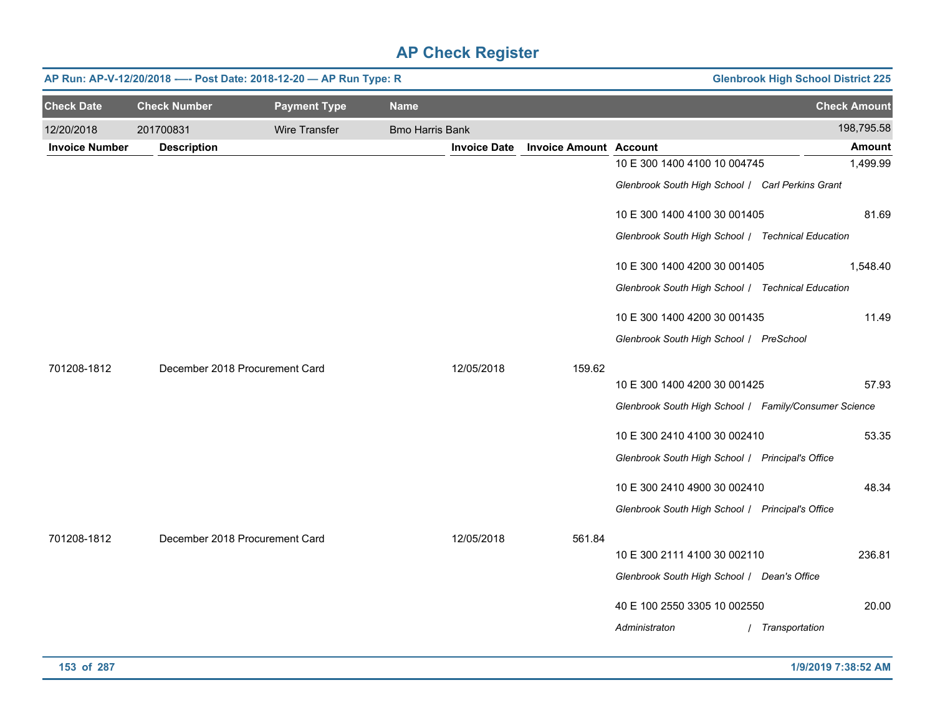|                       | <b>Glenbrook High School District 225</b><br>AP Run: AP-V-12/20/2018 ---- Post Date: 2018-12-20 - AP Run Type: R |                     |                        |                     |                               |                                                       |                     |  |  |  |
|-----------------------|------------------------------------------------------------------------------------------------------------------|---------------------|------------------------|---------------------|-------------------------------|-------------------------------------------------------|---------------------|--|--|--|
| <b>Check Date</b>     | <b>Check Number</b>                                                                                              | <b>Payment Type</b> | <b>Name</b>            |                     |                               |                                                       | <b>Check Amount</b> |  |  |  |
| 12/20/2018            | 201700831                                                                                                        | Wire Transfer       | <b>Bmo Harris Bank</b> |                     |                               |                                                       | 198,795.58          |  |  |  |
| <b>Invoice Number</b> | <b>Description</b>                                                                                               |                     |                        | <b>Invoice Date</b> | <b>Invoice Amount Account</b> |                                                       | Amount              |  |  |  |
|                       |                                                                                                                  |                     |                        |                     |                               | 10 E 300 1400 4100 10 004745                          | 1,499.99            |  |  |  |
|                       |                                                                                                                  |                     |                        |                     |                               | Glenbrook South High School / Carl Perkins Grant      |                     |  |  |  |
|                       |                                                                                                                  |                     |                        |                     |                               | 10 E 300 1400 4100 30 001405                          | 81.69               |  |  |  |
|                       |                                                                                                                  |                     |                        |                     |                               | Glenbrook South High School / Technical Education     |                     |  |  |  |
|                       |                                                                                                                  |                     |                        |                     |                               | 10 E 300 1400 4200 30 001405                          | 1,548.40            |  |  |  |
|                       |                                                                                                                  |                     |                        |                     |                               | Glenbrook South High School / Technical Education     |                     |  |  |  |
|                       |                                                                                                                  |                     |                        |                     |                               | 10 E 300 1400 4200 30 001435                          | 11.49               |  |  |  |
|                       |                                                                                                                  |                     |                        |                     |                               | Glenbrook South High School / PreSchool               |                     |  |  |  |
| 701208-1812           | December 2018 Procurement Card                                                                                   |                     |                        | 12/05/2018          | 159.62                        |                                                       |                     |  |  |  |
|                       |                                                                                                                  |                     |                        |                     |                               | 10 E 300 1400 4200 30 001425                          | 57.93               |  |  |  |
|                       |                                                                                                                  |                     |                        |                     |                               | Glenbrook South High School / Family/Consumer Science |                     |  |  |  |
|                       |                                                                                                                  |                     |                        |                     |                               | 10 E 300 2410 4100 30 002410                          | 53.35               |  |  |  |
|                       |                                                                                                                  |                     |                        |                     |                               | Glenbrook South High School   Principal's Office      |                     |  |  |  |
|                       |                                                                                                                  |                     |                        |                     |                               | 10 E 300 2410 4900 30 002410                          | 48.34               |  |  |  |
|                       |                                                                                                                  |                     |                        |                     |                               | Glenbrook South High School / Principal's Office      |                     |  |  |  |
| 701208-1812           | December 2018 Procurement Card                                                                                   |                     |                        | 12/05/2018          | 561.84                        |                                                       |                     |  |  |  |
|                       |                                                                                                                  |                     |                        |                     |                               | 10 E 300 2111 4100 30 002110                          | 236.81              |  |  |  |
|                       |                                                                                                                  |                     |                        |                     |                               | Glenbrook South High School / Dean's Office           |                     |  |  |  |
|                       |                                                                                                                  |                     |                        |                     |                               | 40 E 100 2550 3305 10 002550                          | 20.00               |  |  |  |
|                       |                                                                                                                  |                     |                        |                     |                               | Administraton                                         | / Transportation    |  |  |  |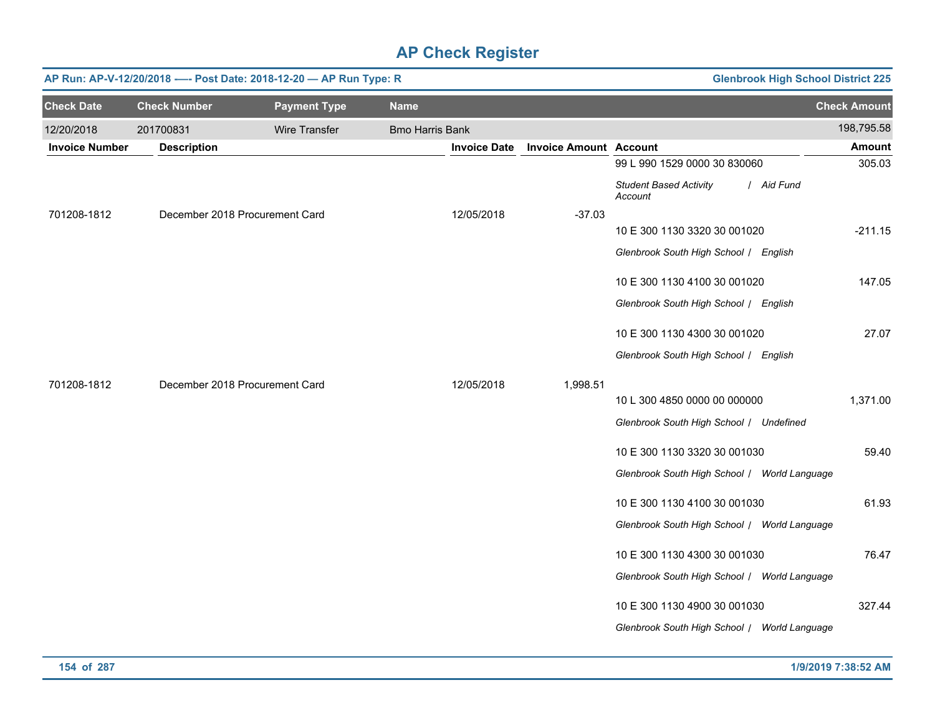|                       |                     | AP Run: AP-V-12/20/2018 ---- Post Date: 2018-12-20 - AP Run Type: R |                        |                     |                               | <b>Glenbrook High School District 225</b>              |                     |
|-----------------------|---------------------|---------------------------------------------------------------------|------------------------|---------------------|-------------------------------|--------------------------------------------------------|---------------------|
| <b>Check Date</b>     | <b>Check Number</b> | <b>Payment Type</b>                                                 | <b>Name</b>            |                     |                               |                                                        | <b>Check Amount</b> |
| 12/20/2018            | 201700831           | Wire Transfer                                                       | <b>Bmo Harris Bank</b> |                     |                               |                                                        | 198,795.58          |
| <b>Invoice Number</b> | <b>Description</b>  |                                                                     |                        | <b>Invoice Date</b> | <b>Invoice Amount Account</b> |                                                        | <b>Amount</b>       |
|                       |                     |                                                                     |                        |                     |                               | 99 L 990 1529 0000 30 830060                           | 305.03              |
|                       |                     |                                                                     |                        |                     |                               | <b>Student Based Activity</b><br>/ Aid Fund<br>Account |                     |
| 701208-1812           |                     | December 2018 Procurement Card                                      |                        | 12/05/2018          | $-37.03$                      |                                                        |                     |
|                       |                     |                                                                     |                        |                     |                               | 10 E 300 1130 3320 30 001020                           | $-211.15$           |
|                       |                     |                                                                     |                        |                     |                               | Glenbrook South High School / English                  |                     |
|                       |                     |                                                                     |                        |                     |                               | 10 E 300 1130 4100 30 001020                           | 147.05              |
|                       |                     |                                                                     |                        |                     |                               | Glenbrook South High School / English                  |                     |
|                       |                     |                                                                     |                        |                     |                               | 10 E 300 1130 4300 30 001020                           | 27.07               |
|                       |                     |                                                                     |                        |                     |                               | Glenbrook South High School / English                  |                     |
| 701208-1812           |                     | December 2018 Procurement Card                                      |                        | 12/05/2018          | 1,998.51                      |                                                        |                     |
|                       |                     |                                                                     |                        |                     |                               | 10 L 300 4850 0000 00 000000                           | 1,371.00            |
|                       |                     |                                                                     |                        |                     |                               | Glenbrook South High School / Undefined                |                     |
|                       |                     |                                                                     |                        |                     |                               | 10 E 300 1130 3320 30 001030                           | 59.40               |
|                       |                     |                                                                     |                        |                     |                               | Glenbrook South High School / World Language           |                     |
|                       |                     |                                                                     |                        |                     |                               | 10 E 300 1130 4100 30 001030                           | 61.93               |
|                       |                     |                                                                     |                        |                     |                               | Glenbrook South High School / World Language           |                     |
|                       |                     |                                                                     |                        |                     |                               | 10 E 300 1130 4300 30 001030                           | 76.47               |
|                       |                     |                                                                     |                        |                     |                               | Glenbrook South High School / World Language           |                     |
|                       |                     |                                                                     |                        |                     |                               | 10 E 300 1130 4900 30 001030                           | 327.44              |
|                       |                     |                                                                     |                        |                     |                               | Glenbrook South High School / World Language           |                     |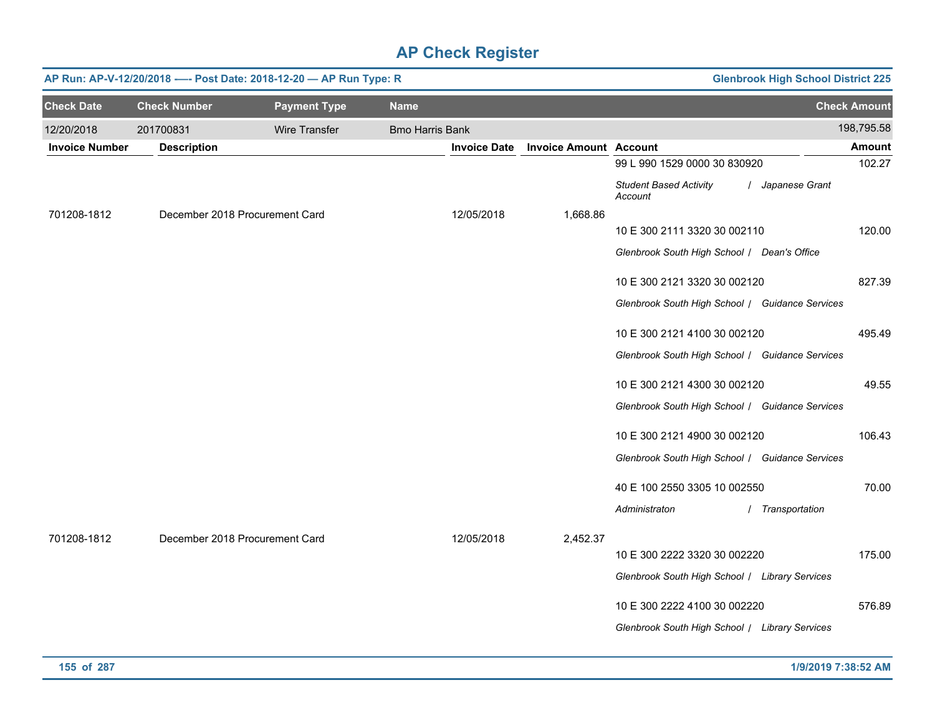|                       |                                | AP Run: AP-V-12/20/2018 ---- Post Date: 2018-12-20 - AP Run Type: R |                        | <b>Glenbrook High School District 225</b> |                                                              |                     |  |
|-----------------------|--------------------------------|---------------------------------------------------------------------|------------------------|-------------------------------------------|--------------------------------------------------------------|---------------------|--|
| <b>Check Date</b>     | <b>Check Number</b>            | <b>Payment Type</b>                                                 | <b>Name</b>            |                                           |                                                              | <b>Check Amount</b> |  |
| 12/20/2018            | 201700831                      | Wire Transfer                                                       | <b>Bmo Harris Bank</b> |                                           |                                                              | 198,795.58          |  |
| <b>Invoice Number</b> | <b>Description</b>             |                                                                     | <b>Invoice Date</b>    | <b>Invoice Amount Account</b>             |                                                              | <b>Amount</b>       |  |
|                       |                                |                                                                     |                        |                                           | 99 L 990 1529 0000 30 830920                                 | 102.27              |  |
|                       |                                |                                                                     |                        |                                           | / Japanese Grant<br><b>Student Based Activity</b><br>Account |                     |  |
| 701208-1812           | December 2018 Procurement Card |                                                                     | 12/05/2018             | 1,668.86                                  |                                                              |                     |  |
|                       |                                |                                                                     |                        |                                           | 10 E 300 2111 3320 30 002110                                 | 120.00              |  |
|                       |                                |                                                                     |                        |                                           | Glenbrook South High School / Dean's Office                  |                     |  |
|                       |                                |                                                                     |                        |                                           | 10 E 300 2121 3320 30 002120                                 | 827.39              |  |
|                       |                                |                                                                     |                        |                                           | Glenbrook South High School / Guidance Services              |                     |  |
|                       |                                |                                                                     |                        |                                           | 10 E 300 2121 4100 30 002120                                 | 495.49              |  |
|                       |                                |                                                                     |                        |                                           | Glenbrook South High School / Guidance Services              |                     |  |
|                       |                                |                                                                     |                        |                                           | 10 E 300 2121 4300 30 002120                                 | 49.55               |  |
|                       |                                |                                                                     |                        |                                           | Glenbrook South High School / Guidance Services              |                     |  |
|                       |                                |                                                                     |                        |                                           | 10 E 300 2121 4900 30 002120                                 | 106.43              |  |
|                       |                                |                                                                     |                        |                                           | Glenbrook South High School / Guidance Services              |                     |  |
|                       |                                |                                                                     |                        |                                           | 40 E 100 2550 3305 10 002550                                 | 70.00               |  |
|                       |                                |                                                                     |                        |                                           | Administraton<br>/ Transportation                            |                     |  |
| 701208-1812           | December 2018 Procurement Card |                                                                     | 12/05/2018             | 2,452.37                                  |                                                              |                     |  |
|                       |                                |                                                                     |                        |                                           | 10 E 300 2222 3320 30 002220                                 | 175.00              |  |
|                       |                                |                                                                     |                        |                                           | Glenbrook South High School / Library Services               |                     |  |
|                       |                                |                                                                     |                        |                                           | 10 E 300 2222 4100 30 002220                                 | 576.89              |  |
|                       |                                |                                                                     |                        |                                           | Glenbrook South High School / Library Services               |                     |  |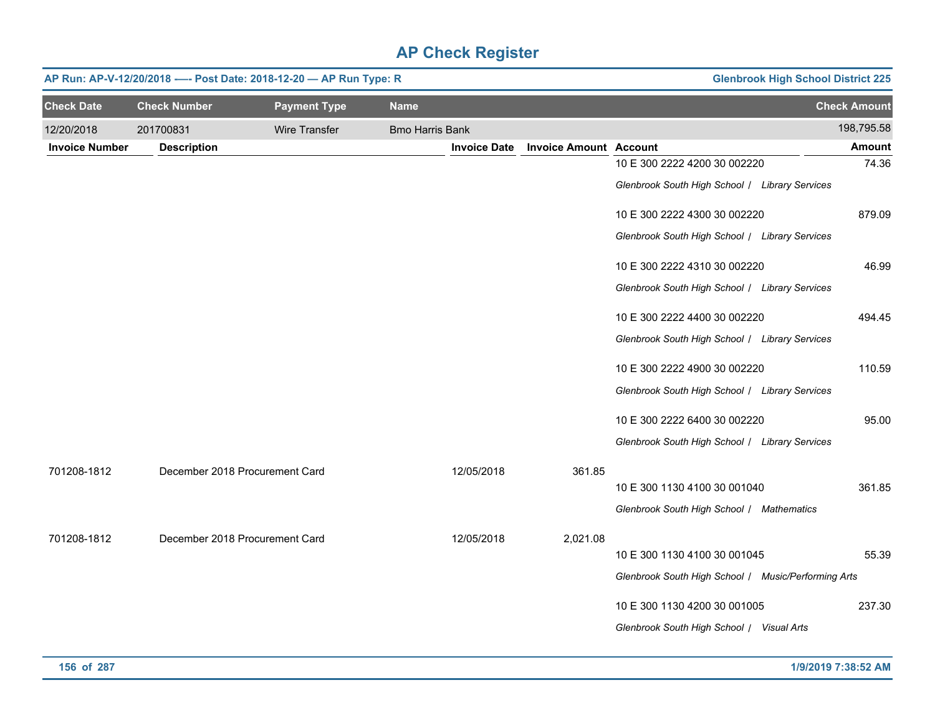|                       | <b>Glenbrook High School District 225</b><br>AP Run: AP-V-12/20/2018 ---- Post Date: 2018-12-20 - AP Run Type: R |                     |                        |                     |                               |                                                     |                     |  |  |  |
|-----------------------|------------------------------------------------------------------------------------------------------------------|---------------------|------------------------|---------------------|-------------------------------|-----------------------------------------------------|---------------------|--|--|--|
| <b>Check Date</b>     | <b>Check Number</b>                                                                                              | <b>Payment Type</b> | <b>Name</b>            |                     |                               |                                                     | <b>Check Amount</b> |  |  |  |
| 12/20/2018            | 201700831                                                                                                        | Wire Transfer       | <b>Bmo Harris Bank</b> |                     |                               |                                                     | 198,795.58          |  |  |  |
| <b>Invoice Number</b> | <b>Description</b>                                                                                               |                     |                        | <b>Invoice Date</b> | <b>Invoice Amount Account</b> |                                                     | <b>Amount</b>       |  |  |  |
|                       |                                                                                                                  |                     |                        |                     |                               | 10 E 300 2222 4200 30 002220                        | 74.36               |  |  |  |
|                       |                                                                                                                  |                     |                        |                     |                               | Glenbrook South High School / Library Services      |                     |  |  |  |
|                       |                                                                                                                  |                     |                        |                     |                               | 10 E 300 2222 4300 30 002220                        | 879.09              |  |  |  |
|                       |                                                                                                                  |                     |                        |                     |                               | Glenbrook South High School / Library Services      |                     |  |  |  |
|                       |                                                                                                                  |                     |                        |                     |                               | 10 E 300 2222 4310 30 002220                        | 46.99               |  |  |  |
|                       |                                                                                                                  |                     |                        |                     |                               | Glenbrook South High School / Library Services      |                     |  |  |  |
|                       |                                                                                                                  |                     |                        |                     |                               | 10 E 300 2222 4400 30 002220                        | 494.45              |  |  |  |
|                       |                                                                                                                  |                     |                        |                     |                               | Glenbrook South High School / Library Services      |                     |  |  |  |
|                       |                                                                                                                  |                     |                        |                     |                               | 10 E 300 2222 4900 30 002220                        | 110.59              |  |  |  |
|                       |                                                                                                                  |                     |                        |                     |                               | Glenbrook South High School / Library Services      |                     |  |  |  |
|                       |                                                                                                                  |                     |                        |                     |                               | 10 E 300 2222 6400 30 002220                        | 95.00               |  |  |  |
|                       |                                                                                                                  |                     |                        |                     |                               | Glenbrook South High School   Library Services      |                     |  |  |  |
| 701208-1812           | December 2018 Procurement Card                                                                                   |                     |                        | 12/05/2018          | 361.85                        |                                                     |                     |  |  |  |
|                       |                                                                                                                  |                     |                        |                     |                               | 10 E 300 1130 4100 30 001040                        | 361.85              |  |  |  |
|                       |                                                                                                                  |                     |                        |                     |                               | Glenbrook South High School / Mathematics           |                     |  |  |  |
| 701208-1812           | December 2018 Procurement Card                                                                                   |                     |                        | 12/05/2018          | 2,021.08                      |                                                     |                     |  |  |  |
|                       |                                                                                                                  |                     |                        |                     |                               | 10 E 300 1130 4100 30 001045                        | 55.39               |  |  |  |
|                       |                                                                                                                  |                     |                        |                     |                               | Glenbrook South High School / Music/Performing Arts |                     |  |  |  |
|                       |                                                                                                                  |                     |                        |                     |                               | 10 E 300 1130 4200 30 001005                        | 237.30              |  |  |  |
|                       |                                                                                                                  |                     |                        |                     |                               | Glenbrook South High School / Visual Arts           |                     |  |  |  |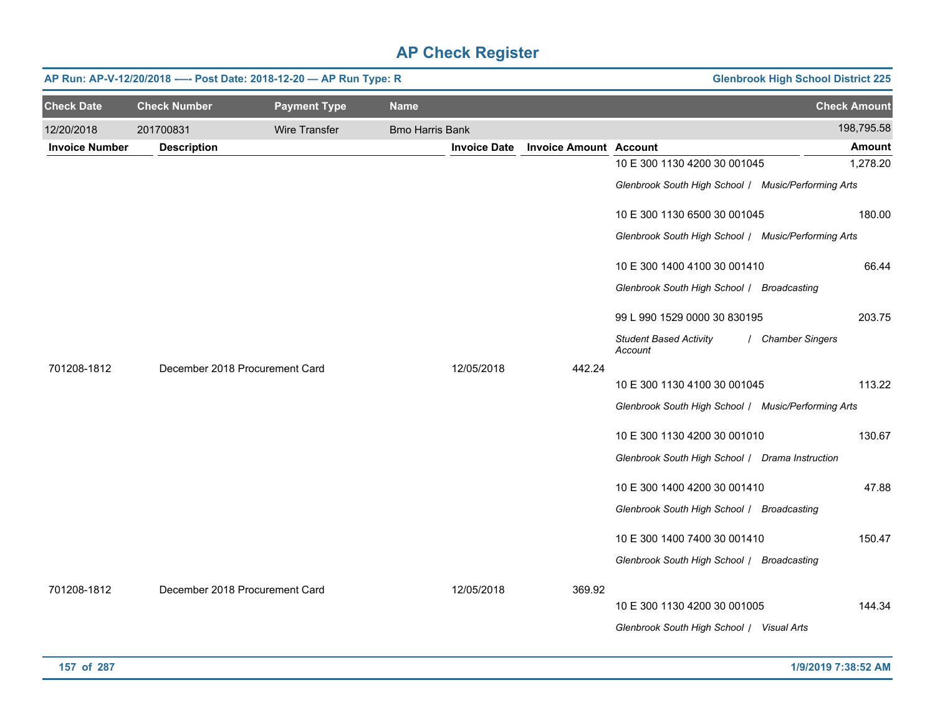|                       | <b>Glenbrook High School District 225</b><br>AP Run: AP-V-12/20/2018 ---- Post Date: 2018-12-20 - AP Run Type: R |                     |                        |                     |                               |                                                     |                     |  |  |  |  |
|-----------------------|------------------------------------------------------------------------------------------------------------------|---------------------|------------------------|---------------------|-------------------------------|-----------------------------------------------------|---------------------|--|--|--|--|
| <b>Check Date</b>     | <b>Check Number</b>                                                                                              | <b>Payment Type</b> | <b>Name</b>            |                     |                               |                                                     | <b>Check Amount</b> |  |  |  |  |
| 12/20/2018            | 201700831                                                                                                        | Wire Transfer       | <b>Bmo Harris Bank</b> |                     |                               |                                                     | 198,795.58          |  |  |  |  |
| <b>Invoice Number</b> | <b>Description</b>                                                                                               |                     |                        | <b>Invoice Date</b> | <b>Invoice Amount Account</b> |                                                     | <b>Amount</b>       |  |  |  |  |
|                       |                                                                                                                  |                     |                        |                     |                               | 10 E 300 1130 4200 30 001045                        | 1,278.20            |  |  |  |  |
|                       |                                                                                                                  |                     |                        |                     |                               | Glenbrook South High School / Music/Performing Arts |                     |  |  |  |  |
|                       |                                                                                                                  |                     |                        |                     |                               | 10 E 300 1130 6500 30 001045                        | 180.00              |  |  |  |  |
|                       |                                                                                                                  |                     |                        |                     |                               | Glenbrook South High School / Music/Performing Arts |                     |  |  |  |  |
|                       |                                                                                                                  |                     |                        |                     |                               | 10 E 300 1400 4100 30 001410                        | 66.44               |  |  |  |  |
|                       |                                                                                                                  |                     |                        |                     |                               | Glenbrook South High School / Broadcasting          |                     |  |  |  |  |
|                       |                                                                                                                  |                     |                        |                     |                               | 99 L 990 1529 0000 30 830195                        | 203.75              |  |  |  |  |
|                       |                                                                                                                  |                     |                        |                     |                               | <b>Student Based Activity</b><br>Account            | / Chamber Singers   |  |  |  |  |
| 701208-1812           | December 2018 Procurement Card                                                                                   |                     |                        | 12/05/2018          | 442.24                        |                                                     |                     |  |  |  |  |
|                       |                                                                                                                  |                     |                        |                     |                               | 10 E 300 1130 4100 30 001045                        | 113.22              |  |  |  |  |
|                       |                                                                                                                  |                     |                        |                     |                               | Glenbrook South High School / Music/Performing Arts |                     |  |  |  |  |
|                       |                                                                                                                  |                     |                        |                     |                               | 10 E 300 1130 4200 30 001010                        | 130.67              |  |  |  |  |
|                       |                                                                                                                  |                     |                        |                     |                               | Glenbrook South High School / Drama Instruction     |                     |  |  |  |  |
|                       |                                                                                                                  |                     |                        |                     |                               | 10 E 300 1400 4200 30 001410                        | 47.88               |  |  |  |  |
|                       |                                                                                                                  |                     |                        |                     |                               | Glenbrook South High School / Broadcasting          |                     |  |  |  |  |
|                       |                                                                                                                  |                     |                        |                     |                               | 10 E 300 1400 7400 30 001410                        | 150.47              |  |  |  |  |
|                       |                                                                                                                  |                     |                        |                     |                               | Glenbrook South High School   Broadcasting          |                     |  |  |  |  |
| 701208-1812           | December 2018 Procurement Card                                                                                   |                     |                        | 12/05/2018          | 369.92                        |                                                     |                     |  |  |  |  |
|                       |                                                                                                                  |                     |                        |                     |                               | 10 E 300 1130 4200 30 001005                        | 144.34              |  |  |  |  |
|                       |                                                                                                                  |                     |                        |                     |                               | Glenbrook South High School / Visual Arts           |                     |  |  |  |  |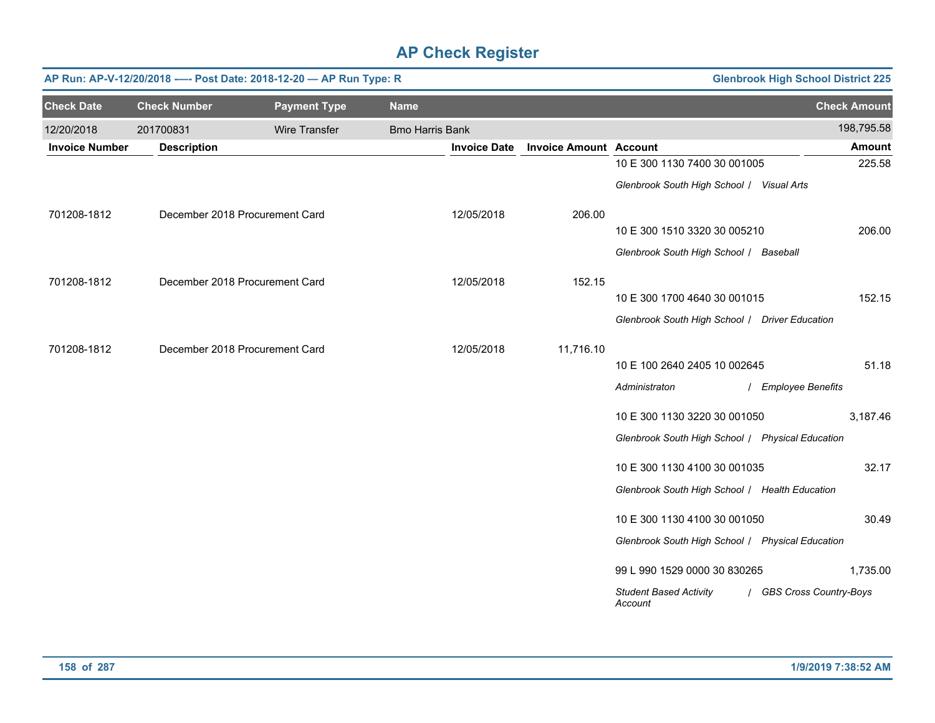|                       | AP Run: AP-V-12/20/2018 ---- Post Date: 2018-12-20 - AP Run Type: R<br><b>Glenbrook High School District 225</b> |                                |                        |                     |                               |                                                  |                          |  |  |  |  |  |
|-----------------------|------------------------------------------------------------------------------------------------------------------|--------------------------------|------------------------|---------------------|-------------------------------|--------------------------------------------------|--------------------------|--|--|--|--|--|
| <b>Check Date</b>     | <b>Check Number</b>                                                                                              | <b>Payment Type</b>            | <b>Name</b>            |                     |                               |                                                  | <b>Check Amount</b>      |  |  |  |  |  |
| 12/20/2018            | 201700831                                                                                                        | Wire Transfer                  | <b>Bmo Harris Bank</b> |                     |                               |                                                  | 198,795.58               |  |  |  |  |  |
| <b>Invoice Number</b> | <b>Description</b>                                                                                               |                                |                        | <b>Invoice Date</b> | <b>Invoice Amount Account</b> |                                                  | Amount                   |  |  |  |  |  |
|                       |                                                                                                                  |                                |                        |                     |                               | 10 E 300 1130 7400 30 001005                     | 225.58                   |  |  |  |  |  |
|                       |                                                                                                                  |                                |                        |                     |                               | Glenbrook South High School / Visual Arts        |                          |  |  |  |  |  |
| 701208-1812           |                                                                                                                  | December 2018 Procurement Card |                        | 12/05/2018          | 206.00                        |                                                  |                          |  |  |  |  |  |
|                       |                                                                                                                  |                                |                        |                     |                               | 10 E 300 1510 3320 30 005210                     | 206.00                   |  |  |  |  |  |
|                       |                                                                                                                  |                                |                        |                     |                               | Glenbrook South High School / Baseball           |                          |  |  |  |  |  |
| 701208-1812           |                                                                                                                  | December 2018 Procurement Card |                        | 12/05/2018          | 152.15                        |                                                  |                          |  |  |  |  |  |
|                       |                                                                                                                  |                                |                        |                     |                               | 10 E 300 1700 4640 30 001015                     | 152.15                   |  |  |  |  |  |
|                       |                                                                                                                  |                                |                        |                     |                               | Glenbrook South High School / Driver Education   |                          |  |  |  |  |  |
| 701208-1812           |                                                                                                                  | December 2018 Procurement Card |                        | 12/05/2018          | 11,716.10                     |                                                  |                          |  |  |  |  |  |
|                       |                                                                                                                  |                                |                        |                     |                               | 10 E 100 2640 2405 10 002645                     | 51.18                    |  |  |  |  |  |
|                       |                                                                                                                  |                                |                        |                     |                               | Administraton                                    | / Employee Benefits      |  |  |  |  |  |
|                       |                                                                                                                  |                                |                        |                     |                               | 10 E 300 1130 3220 30 001050                     | 3,187.46                 |  |  |  |  |  |
|                       |                                                                                                                  |                                |                        |                     |                               | Glenbrook South High School / Physical Education |                          |  |  |  |  |  |
|                       |                                                                                                                  |                                |                        |                     |                               | 10 E 300 1130 4100 30 001035                     | 32.17                    |  |  |  |  |  |
|                       |                                                                                                                  |                                |                        |                     |                               | Glenbrook South High School   Health Education   |                          |  |  |  |  |  |
|                       |                                                                                                                  |                                |                        |                     |                               | 10 E 300 1130 4100 30 001050                     | 30.49                    |  |  |  |  |  |
|                       |                                                                                                                  |                                |                        |                     |                               | Glenbrook South High School   Physical Education |                          |  |  |  |  |  |
|                       |                                                                                                                  |                                |                        |                     |                               | 99 L 990 1529 0000 30 830265                     | 1,735.00                 |  |  |  |  |  |
|                       |                                                                                                                  |                                |                        |                     |                               | <b>Student Based Activity</b><br>Account         | / GBS Cross Country-Boys |  |  |  |  |  |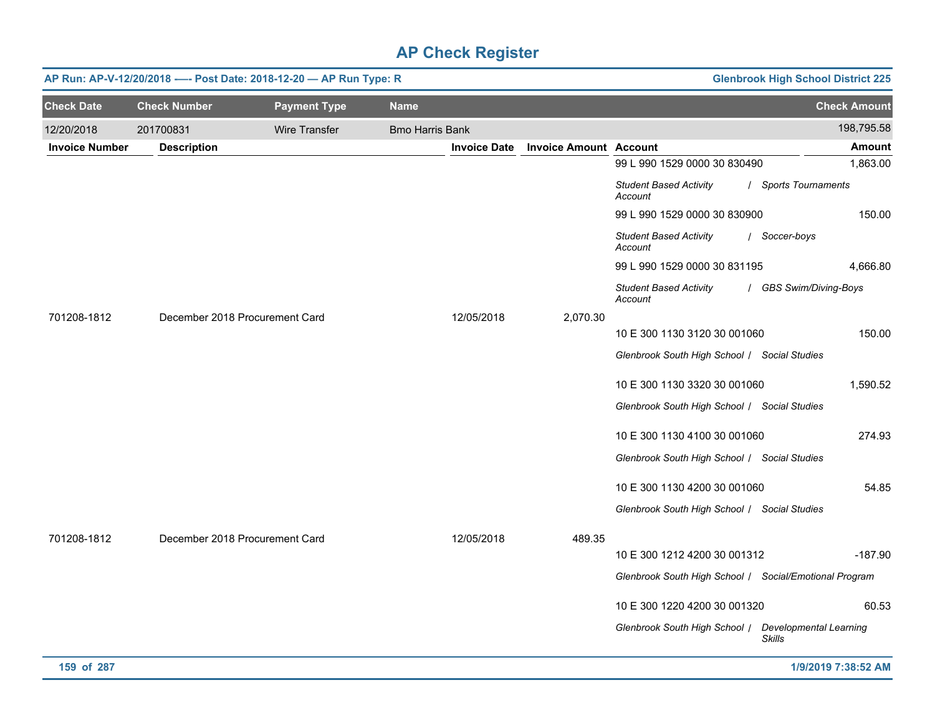|                       |                                | AP Run: AP-V-12/20/2018 ---- Post Date: 2018-12-20 - AP Run Type: R |                        |                     |                               |                                                        | <b>Glenbrook High School District 225</b> |
|-----------------------|--------------------------------|---------------------------------------------------------------------|------------------------|---------------------|-------------------------------|--------------------------------------------------------|-------------------------------------------|
| <b>Check Date</b>     | <b>Check Number</b>            | <b>Payment Type</b>                                                 | <b>Name</b>            |                     |                               |                                                        | <b>Check Amount</b>                       |
| 12/20/2018            | 201700831                      | Wire Transfer                                                       | <b>Bmo Harris Bank</b> |                     |                               |                                                        | 198,795.58                                |
| <b>Invoice Number</b> | <b>Description</b>             |                                                                     |                        | <b>Invoice Date</b> | <b>Invoice Amount Account</b> |                                                        | Amount                                    |
|                       |                                |                                                                     |                        |                     |                               | 99 L 990 1529 0000 30 830490                           | 1,863.00                                  |
|                       |                                |                                                                     |                        |                     |                               | <b>Student Based Activity</b><br>Account               | / Sports Tournaments                      |
|                       |                                |                                                                     |                        |                     |                               | 99 L 990 1529 0000 30 830900                           | 150.00                                    |
|                       |                                |                                                                     |                        |                     |                               | <b>Student Based Activity</b><br>Account               | / Soccer-boys                             |
|                       |                                |                                                                     |                        |                     |                               | 99 L 990 1529 0000 30 831195                           | 4,666.80                                  |
|                       |                                |                                                                     |                        |                     |                               | <b>Student Based Activity</b><br>Account               | / GBS Swim/Diving-Boys                    |
| 701208-1812           | December 2018 Procurement Card |                                                                     |                        | 12/05/2018          | 2,070.30                      |                                                        |                                           |
|                       |                                |                                                                     |                        |                     |                               | 10 E 300 1130 3120 30 001060                           | 150.00                                    |
|                       |                                |                                                                     |                        |                     |                               | Glenbrook South High School / Social Studies           |                                           |
|                       |                                |                                                                     |                        |                     |                               | 10 E 300 1130 3320 30 001060                           | 1,590.52                                  |
|                       |                                |                                                                     |                        |                     |                               | Glenbrook South High School / Social Studies           |                                           |
|                       |                                |                                                                     |                        |                     |                               | 10 E 300 1130 4100 30 001060                           | 274.93                                    |
|                       |                                |                                                                     |                        |                     |                               | Glenbrook South High School / Social Studies           |                                           |
|                       |                                |                                                                     |                        |                     |                               | 10 E 300 1130 4200 30 001060                           | 54.85                                     |
|                       |                                |                                                                     |                        |                     |                               | Glenbrook South High School / Social Studies           |                                           |
| 701208-1812           | December 2018 Procurement Card |                                                                     |                        | 12/05/2018          | 489.35                        |                                                        |                                           |
|                       |                                |                                                                     |                        |                     |                               | 10 E 300 1212 4200 30 001312                           | $-187.90$                                 |
|                       |                                |                                                                     |                        |                     |                               | Glenbrook South High School / Social/Emotional Program |                                           |
|                       |                                |                                                                     |                        |                     |                               | 10 E 300 1220 4200 30 001320                           | 60.53                                     |
|                       |                                |                                                                     |                        |                     |                               | Glenbrook South High School   Developmental Learning   | <b>Skills</b>                             |
| 159 of 287            |                                |                                                                     |                        |                     |                               |                                                        | 1/9/2019 7:38:52 AM                       |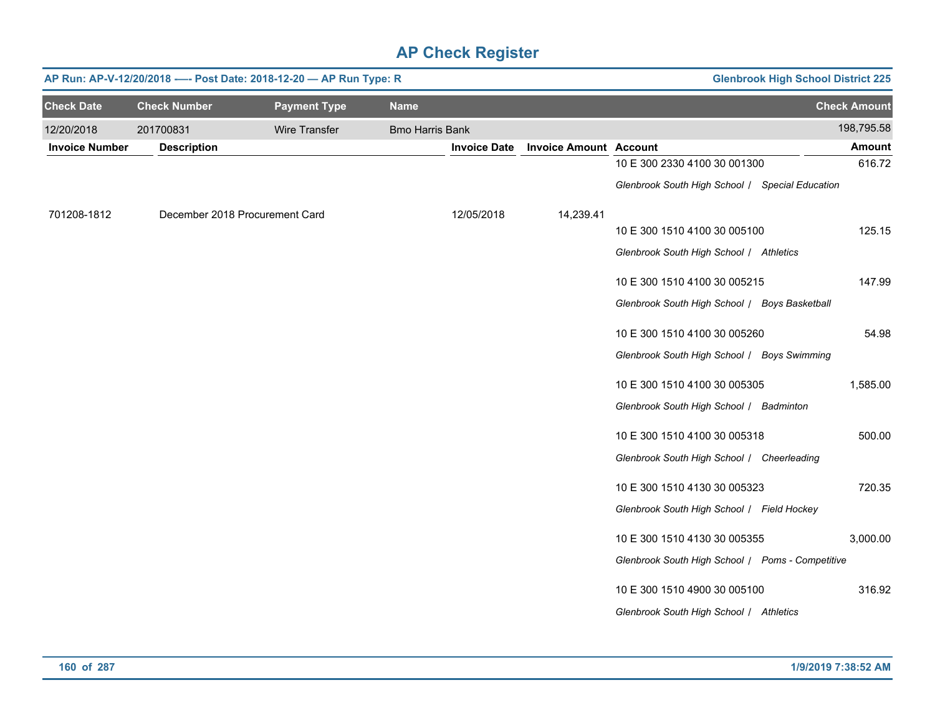|                       | AP Run: AP-V-12/20/2018 ---- Post Date: 2018-12-20 - AP Run Type: R<br><b>Glenbrook High School District 225</b> |                                |                        |                     |                               |                                                  |                     |  |  |  |  |
|-----------------------|------------------------------------------------------------------------------------------------------------------|--------------------------------|------------------------|---------------------|-------------------------------|--------------------------------------------------|---------------------|--|--|--|--|
| <b>Check Date</b>     | <b>Check Number</b>                                                                                              | <b>Payment Type</b>            | <b>Name</b>            |                     |                               |                                                  | <b>Check Amount</b> |  |  |  |  |
| 12/20/2018            | 201700831                                                                                                        | <b>Wire Transfer</b>           | <b>Bmo Harris Bank</b> |                     |                               |                                                  | 198,795.58          |  |  |  |  |
| <b>Invoice Number</b> | <b>Description</b>                                                                                               |                                |                        | <b>Invoice Date</b> | <b>Invoice Amount Account</b> |                                                  | <b>Amount</b>       |  |  |  |  |
|                       |                                                                                                                  |                                |                        |                     |                               | 10 E 300 2330 4100 30 001300                     | 616.72              |  |  |  |  |
|                       |                                                                                                                  |                                |                        |                     |                               | Glenbrook South High School / Special Education  |                     |  |  |  |  |
| 701208-1812           |                                                                                                                  | December 2018 Procurement Card |                        | 12/05/2018          | 14,239.41                     |                                                  |                     |  |  |  |  |
|                       |                                                                                                                  |                                |                        |                     |                               | 10 E 300 1510 4100 30 005100                     | 125.15              |  |  |  |  |
|                       |                                                                                                                  |                                |                        |                     |                               | Glenbrook South High School / Athletics          |                     |  |  |  |  |
|                       |                                                                                                                  |                                |                        |                     |                               | 10 E 300 1510 4100 30 005215                     | 147.99              |  |  |  |  |
|                       |                                                                                                                  |                                |                        |                     |                               | Glenbrook South High School / Boys Basketball    |                     |  |  |  |  |
|                       |                                                                                                                  |                                |                        |                     |                               | 10 E 300 1510 4100 30 005260                     | 54.98               |  |  |  |  |
|                       |                                                                                                                  |                                |                        |                     |                               | Glenbrook South High School / Boys Swimming      |                     |  |  |  |  |
|                       |                                                                                                                  |                                |                        |                     |                               | 10 E 300 1510 4100 30 005305                     | 1,585.00            |  |  |  |  |
|                       |                                                                                                                  |                                |                        |                     |                               | Glenbrook South High School   Badminton          |                     |  |  |  |  |
|                       |                                                                                                                  |                                |                        |                     |                               | 10 E 300 1510 4100 30 005318                     | 500.00              |  |  |  |  |
|                       |                                                                                                                  |                                |                        |                     |                               | Glenbrook South High School / Cheerleading       |                     |  |  |  |  |
|                       |                                                                                                                  |                                |                        |                     |                               | 10 E 300 1510 4130 30 005323                     | 720.35              |  |  |  |  |
|                       |                                                                                                                  |                                |                        |                     |                               | Glenbrook South High School   Field Hockey       |                     |  |  |  |  |
|                       |                                                                                                                  |                                |                        |                     |                               | 10 E 300 1510 4130 30 005355                     | 3,000.00            |  |  |  |  |
|                       |                                                                                                                  |                                |                        |                     |                               | Glenbrook South High School / Poms - Competitive |                     |  |  |  |  |
|                       |                                                                                                                  |                                |                        |                     |                               |                                                  |                     |  |  |  |  |
|                       |                                                                                                                  |                                |                        |                     |                               | 10 E 300 1510 4900 30 005100                     | 316.92              |  |  |  |  |
|                       |                                                                                                                  |                                |                        |                     |                               | Glenbrook South High School / Athletics          |                     |  |  |  |  |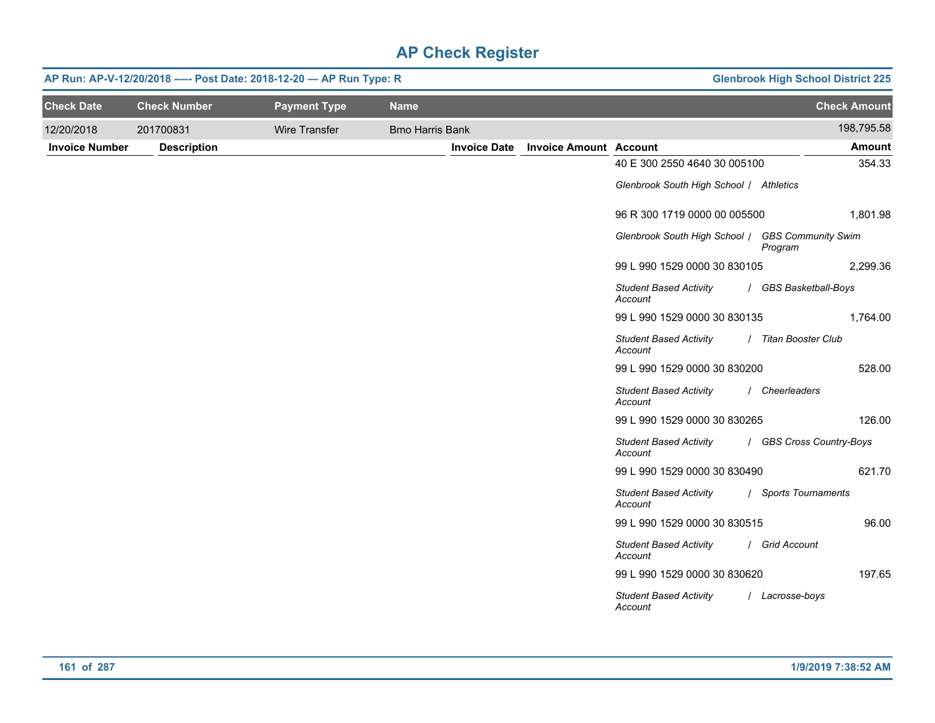|                       | AP Run: AP-V-12/20/2018 ---- Post Date: 2018-12-20 - AP Run Type: R |                      | <b>Glenbrook High School District 225</b> |                     |                               |                                                  |                          |
|-----------------------|---------------------------------------------------------------------|----------------------|-------------------------------------------|---------------------|-------------------------------|--------------------------------------------------|--------------------------|
| <b>Check Date</b>     | <b>Check Number</b>                                                 | <b>Payment Type</b>  | <b>Name</b>                               |                     |                               |                                                  | <b>Check Amount</b>      |
| 12/20/2018            | 201700831                                                           | <b>Wire Transfer</b> | <b>Bmo Harris Bank</b>                    |                     |                               |                                                  | 198,795.58               |
| <b>Invoice Number</b> | <b>Description</b>                                                  |                      |                                           | <b>Invoice Date</b> | <b>Invoice Amount Account</b> |                                                  | <b>Amount</b>            |
|                       |                                                                     |                      |                                           |                     |                               | 40 E 300 2550 4640 30 005100                     | 354.33                   |
|                       |                                                                     |                      |                                           |                     |                               | Glenbrook South High School / Athletics          |                          |
|                       |                                                                     |                      |                                           |                     |                               | 96 R 300 1719 0000 00 005500                     | 1,801.98                 |
|                       |                                                                     |                      |                                           |                     |                               | Glenbrook South High School / GBS Community Swim | Program                  |
|                       |                                                                     |                      |                                           |                     |                               | 99 L 990 1529 0000 30 830105                     | 2,299.36                 |
|                       |                                                                     |                      |                                           |                     |                               | <b>Student Based Activity</b><br>Account         | / GBS Basketball-Boys    |
|                       |                                                                     |                      |                                           |                     |                               | 99 L 990 1529 0000 30 830135                     | 1,764.00                 |
|                       |                                                                     |                      |                                           |                     |                               | <b>Student Based Activity</b><br>Account         | / Titan Booster Club     |
|                       |                                                                     |                      |                                           |                     |                               | 99 L 990 1529 0000 30 830200                     | 528.00                   |
|                       |                                                                     |                      |                                           |                     |                               | <b>Student Based Activity</b><br>Account         | / Cheerleaders           |
|                       |                                                                     |                      |                                           |                     |                               | 99 L 990 1529 0000 30 830265                     | 126.00                   |
|                       |                                                                     |                      |                                           |                     |                               | <b>Student Based Activity</b><br>Account         | / GBS Cross Country-Boys |
|                       |                                                                     |                      |                                           |                     |                               | 99 L 990 1529 0000 30 830490                     | 621.70                   |
|                       |                                                                     |                      |                                           |                     |                               | <b>Student Based Activity</b><br>Account         | / Sports Tournaments     |
|                       |                                                                     |                      |                                           |                     |                               | 99 L 990 1529 0000 30 830515                     | 96.00                    |
|                       |                                                                     |                      |                                           |                     |                               | <b>Student Based Activity</b><br>Account         | / Grid Account           |
|                       |                                                                     |                      |                                           |                     |                               | 99 L 990 1529 0000 30 830620                     | 197.65                   |
|                       |                                                                     |                      |                                           |                     |                               | <b>Student Based Activity</b><br>Account         | / Lacrosse-boys          |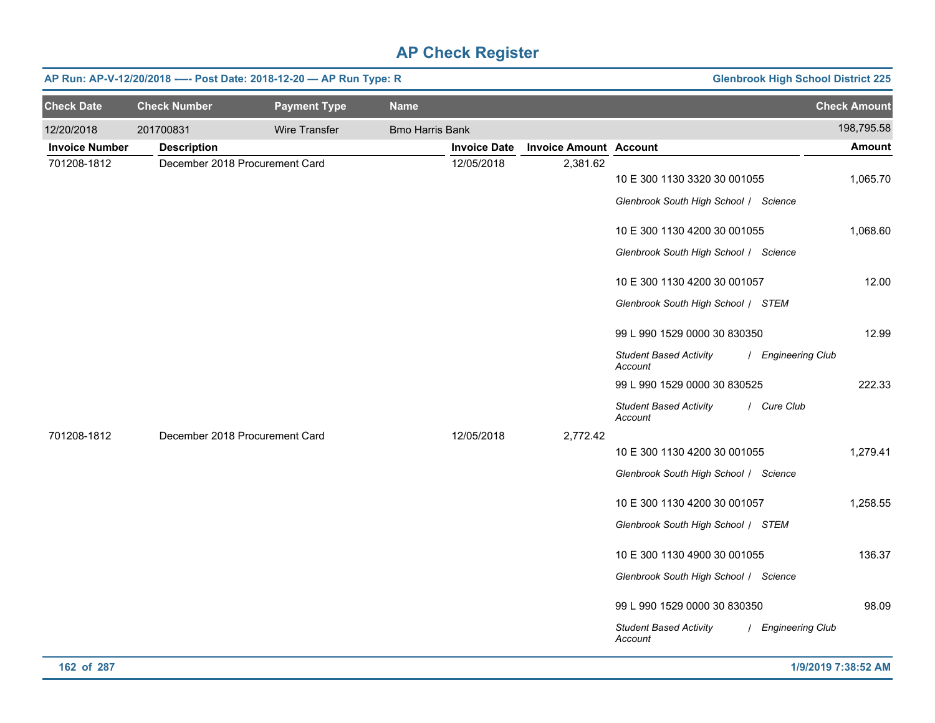|                       | AP Run: AP-V-12/20/2018 ---- Post Date: 2018-12-20 - AP Run Type: R |                     | <b>Glenbrook High School District 225</b> |                     |                               |                                                                          |                             |
|-----------------------|---------------------------------------------------------------------|---------------------|-------------------------------------------|---------------------|-------------------------------|--------------------------------------------------------------------------|-----------------------------|
| <b>Check Date</b>     | <b>Check Number</b>                                                 | <b>Payment Type</b> | <b>Name</b>                               |                     |                               |                                                                          | <b>Check Amount</b>         |
| 12/20/2018            | 201700831                                                           | Wire Transfer       | <b>Bmo Harris Bank</b>                    |                     |                               |                                                                          | 198,795.58                  |
| <b>Invoice Number</b> | <b>Description</b>                                                  |                     |                                           | <b>Invoice Date</b> | <b>Invoice Amount Account</b> |                                                                          | <b>Amount</b>               |
| 701208-1812           | December 2018 Procurement Card                                      |                     |                                           | 12/05/2018          | 2,381.62                      | 10 E 300 1130 3320 30 001055<br>Glenbrook South High School / Science    | 1,065.70                    |
|                       |                                                                     |                     |                                           |                     |                               | 10 E 300 1130 4200 30 001055<br>Glenbrook South High School / Science    | 1,068.60                    |
|                       |                                                                     |                     |                                           |                     |                               | 10 E 300 1130 4200 30 001057<br>Glenbrook South High School / STEM       | 12.00                       |
|                       |                                                                     |                     |                                           |                     |                               | 99 L 990 1529 0000 30 830350<br><b>Student Based Activity</b>            | 12.99<br>/ Engineering Club |
|                       |                                                                     |                     |                                           |                     |                               | Account<br>99 L 990 1529 0000 30 830525<br><b>Student Based Activity</b> | 222.33<br>/ Cure Club       |
| 701208-1812           | December 2018 Procurement Card                                      |                     |                                           | 12/05/2018          | 2,772.42                      | Account                                                                  |                             |
|                       |                                                                     |                     |                                           |                     |                               | 10 E 300 1130 4200 30 001055<br>Glenbrook South High School / Science    | 1,279.41                    |
|                       |                                                                     |                     |                                           |                     |                               | 10 E 300 1130 4200 30 001057<br>Glenbrook South High School / STEM       | 1,258.55                    |
|                       |                                                                     |                     |                                           |                     |                               | 10 E 300 1130 4900 30 001055<br>Glenbrook South High School / Science    | 136.37                      |
|                       |                                                                     |                     |                                           |                     |                               | 99 L 990 1529 0000 30 830350<br><b>Student Based Activity</b><br>Account | 98.09<br>/ Engineering Club |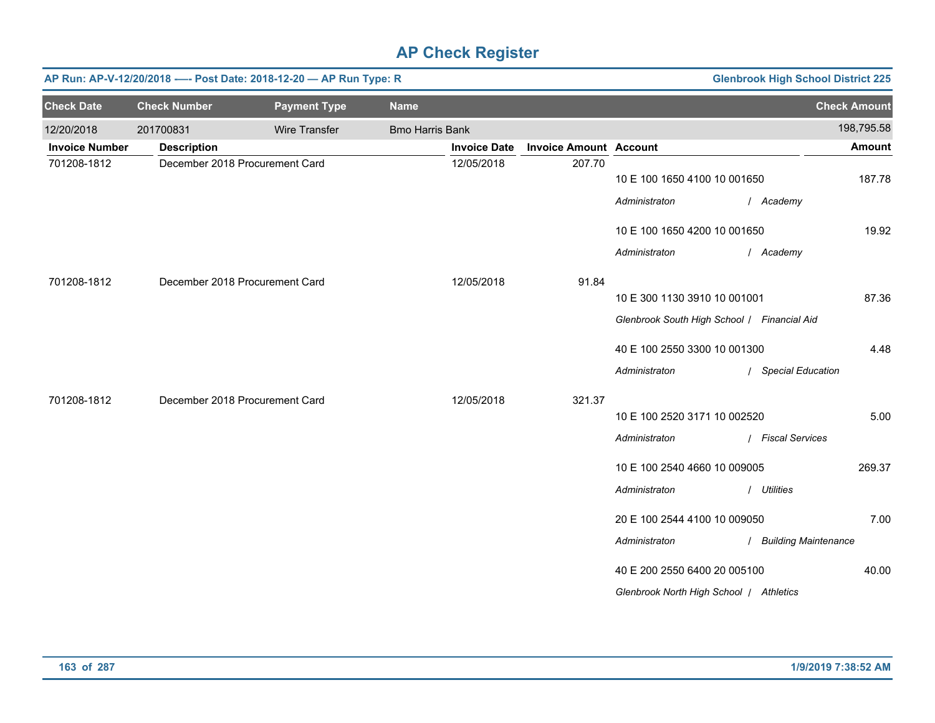|                       | AP Run: AP-V-12/20/2018 ---- Post Date: 2018-12-20 - AP Run Type: R<br><b>Glenbrook High School District 225</b> |                                |                        |                     |                               |                                             |                        |  |  |  |  |  |
|-----------------------|------------------------------------------------------------------------------------------------------------------|--------------------------------|------------------------|---------------------|-------------------------------|---------------------------------------------|------------------------|--|--|--|--|--|
| <b>Check Date</b>     | <b>Check Number</b>                                                                                              | <b>Payment Type</b>            | <b>Name</b>            |                     |                               |                                             | <b>Check Amount</b>    |  |  |  |  |  |
| 12/20/2018            | 201700831                                                                                                        | Wire Transfer                  | <b>Bmo Harris Bank</b> |                     |                               |                                             | 198,795.58             |  |  |  |  |  |
| <b>Invoice Number</b> | <b>Description</b>                                                                                               |                                |                        | <b>Invoice Date</b> | <b>Invoice Amount Account</b> |                                             | <b>Amount</b>          |  |  |  |  |  |
| 701208-1812           |                                                                                                                  | December 2018 Procurement Card |                        | 12/05/2018          | 207.70                        | 10 E 100 1650 4100 10 001650                | 187.78                 |  |  |  |  |  |
|                       |                                                                                                                  |                                |                        |                     |                               | Administraton                               | / Academy              |  |  |  |  |  |
|                       |                                                                                                                  |                                |                        |                     |                               | 10 E 100 1650 4200 10 001650                | 19.92                  |  |  |  |  |  |
|                       |                                                                                                                  |                                |                        |                     |                               | Administraton                               | / Academy              |  |  |  |  |  |
| 701208-1812           |                                                                                                                  | December 2018 Procurement Card |                        | 12/05/2018          | 91.84                         |                                             |                        |  |  |  |  |  |
|                       |                                                                                                                  |                                |                        |                     |                               | 10 E 300 1130 3910 10 001001                | 87.36                  |  |  |  |  |  |
|                       |                                                                                                                  |                                |                        |                     |                               | Glenbrook South High School / Financial Aid |                        |  |  |  |  |  |
|                       |                                                                                                                  |                                |                        |                     |                               | 40 E 100 2550 3300 10 001300                | 4.48                   |  |  |  |  |  |
|                       |                                                                                                                  |                                |                        |                     |                               | Administraton                               | / Special Education    |  |  |  |  |  |
| 701208-1812           |                                                                                                                  | December 2018 Procurement Card |                        | 12/05/2018          | 321.37                        |                                             |                        |  |  |  |  |  |
|                       |                                                                                                                  |                                |                        |                     |                               | 10 E 100 2520 3171 10 002520                | 5.00                   |  |  |  |  |  |
|                       |                                                                                                                  |                                |                        |                     |                               | Administraton                               | / Fiscal Services      |  |  |  |  |  |
|                       |                                                                                                                  |                                |                        |                     |                               | 10 E 100 2540 4660 10 009005                | 269.37                 |  |  |  |  |  |
|                       |                                                                                                                  |                                |                        |                     |                               | Administraton                               | / Utilities            |  |  |  |  |  |
|                       |                                                                                                                  |                                |                        |                     |                               | 20 E 100 2544 4100 10 009050                | 7.00                   |  |  |  |  |  |
|                       |                                                                                                                  |                                |                        |                     |                               | Administraton                               | / Building Maintenance |  |  |  |  |  |
|                       |                                                                                                                  |                                |                        |                     |                               | 40 E 200 2550 6400 20 005100                | 40.00                  |  |  |  |  |  |
|                       |                                                                                                                  |                                |                        |                     |                               | Glenbrook North High School / Athletics     |                        |  |  |  |  |  |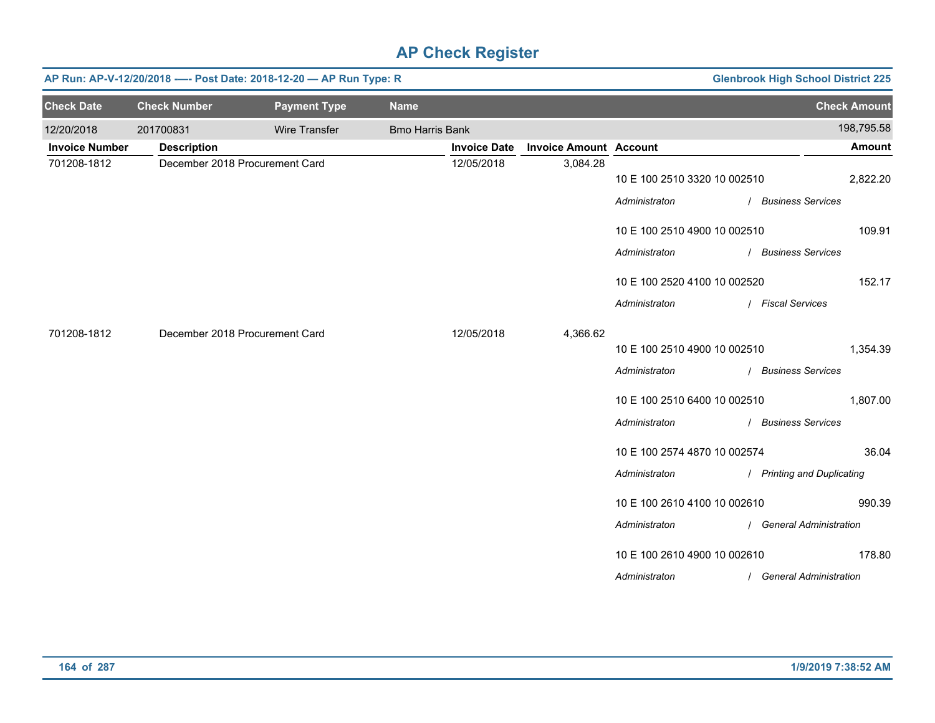| <b>Glenbrook High School District 225</b><br>AP Run: AP-V-12/20/2018 ---- Post Date: 2018-12-20 - AP Run Type: R |                                |                      |                        |                     |                               |                              |                            |  |  |  |
|------------------------------------------------------------------------------------------------------------------|--------------------------------|----------------------|------------------------|---------------------|-------------------------------|------------------------------|----------------------------|--|--|--|
| <b>Check Date</b>                                                                                                | <b>Check Number</b>            | <b>Payment Type</b>  | <b>Name</b>            |                     |                               |                              | <b>Check Amount</b>        |  |  |  |
| 12/20/2018                                                                                                       | 201700831                      | <b>Wire Transfer</b> | <b>Bmo Harris Bank</b> |                     |                               |                              | 198,795.58                 |  |  |  |
| <b>Invoice Number</b>                                                                                            | <b>Description</b>             |                      |                        | <b>Invoice Date</b> | <b>Invoice Amount Account</b> |                              | <b>Amount</b>              |  |  |  |
| 701208-1812                                                                                                      | December 2018 Procurement Card |                      |                        | 12/05/2018          | 3,084.28                      | 10 E 100 2510 3320 10 002510 | 2,822.20                   |  |  |  |
|                                                                                                                  |                                |                      |                        |                     |                               | Administraton                | / Business Services        |  |  |  |
|                                                                                                                  |                                |                      |                        |                     |                               | 10 E 100 2510 4900 10 002510 | 109.91                     |  |  |  |
|                                                                                                                  |                                |                      |                        |                     |                               | Administraton                | / Business Services        |  |  |  |
|                                                                                                                  |                                |                      |                        |                     |                               | 10 E 100 2520 4100 10 002520 | 152.17                     |  |  |  |
|                                                                                                                  |                                |                      |                        |                     |                               | Administraton                | / Fiscal Services          |  |  |  |
| 701208-1812                                                                                                      | December 2018 Procurement Card |                      |                        | 12/05/2018          | 4,366.62                      |                              |                            |  |  |  |
|                                                                                                                  |                                |                      |                        |                     |                               | 10 E 100 2510 4900 10 002510 | 1,354.39                   |  |  |  |
|                                                                                                                  |                                |                      |                        |                     |                               | Administraton                | / Business Services        |  |  |  |
|                                                                                                                  |                                |                      |                        |                     |                               | 10 E 100 2510 6400 10 002510 | 1,807.00                   |  |  |  |
|                                                                                                                  |                                |                      |                        |                     |                               | Administraton                | / Business Services        |  |  |  |
|                                                                                                                  |                                |                      |                        |                     |                               | 10 E 100 2574 4870 10 002574 | 36.04                      |  |  |  |
|                                                                                                                  |                                |                      |                        |                     |                               | Administraton                | / Printing and Duplicating |  |  |  |
|                                                                                                                  |                                |                      |                        |                     |                               | 10 E 100 2610 4100 10 002610 | 990.39                     |  |  |  |
|                                                                                                                  |                                |                      |                        |                     |                               | Administraton                | / General Administration   |  |  |  |
|                                                                                                                  |                                |                      |                        |                     |                               | 10 E 100 2610 4900 10 002610 | 178.80                     |  |  |  |
|                                                                                                                  |                                |                      |                        |                     |                               | Administraton                | / General Administration   |  |  |  |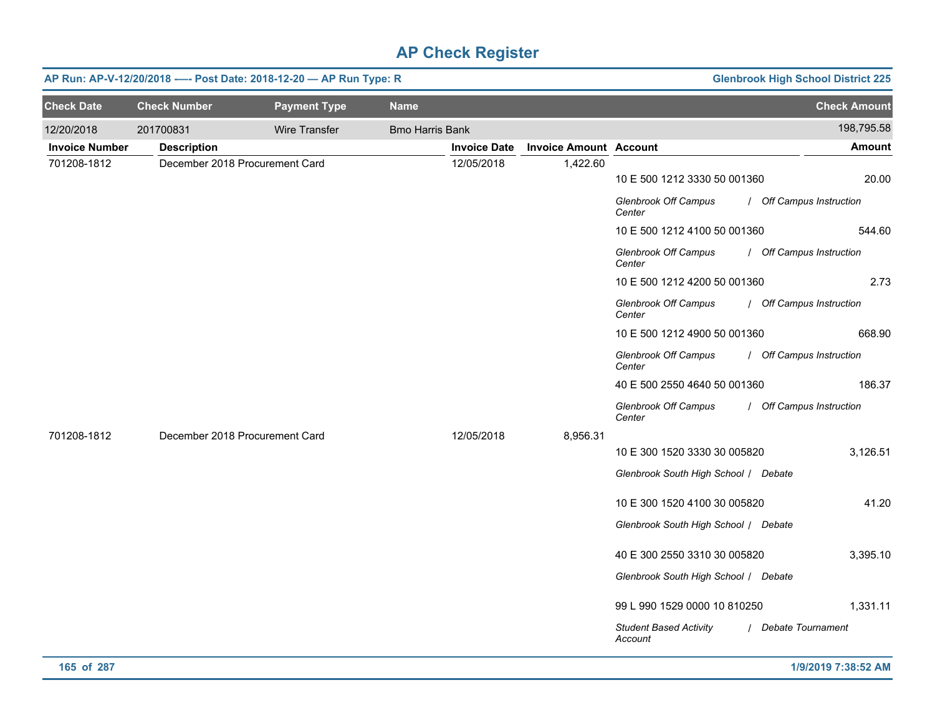|                       | AP Run: AP-V-12/20/2018 ---- Post Date: 2018-12-20 - AP Run Type: R |                      | <b>Glenbrook High School District 225</b> |                     |                               |                                          |                          |
|-----------------------|---------------------------------------------------------------------|----------------------|-------------------------------------------|---------------------|-------------------------------|------------------------------------------|--------------------------|
| <b>Check Date</b>     | <b>Check Number</b>                                                 | <b>Payment Type</b>  | <b>Name</b>                               |                     |                               |                                          | <b>Check Amount</b>      |
| 12/20/2018            | 201700831                                                           | <b>Wire Transfer</b> | <b>Bmo Harris Bank</b>                    |                     |                               |                                          | 198,795.58               |
| <b>Invoice Number</b> | <b>Description</b>                                                  |                      |                                           | <b>Invoice Date</b> | <b>Invoice Amount Account</b> |                                          | Amount                   |
| 701208-1812           | December 2018 Procurement Card                                      |                      |                                           | 12/05/2018          | 1,422.60                      |                                          |                          |
|                       |                                                                     |                      |                                           |                     |                               | 10 E 500 1212 3330 50 001360             | 20.00                    |
|                       |                                                                     |                      |                                           |                     |                               | Glenbrook Off Campus<br>Center           | / Off Campus Instruction |
|                       |                                                                     |                      |                                           |                     |                               | 10 E 500 1212 4100 50 001360             | 544.60                   |
|                       |                                                                     |                      |                                           |                     |                               | <b>Glenbrook Off Campus</b><br>Center    | / Off Campus Instruction |
|                       |                                                                     |                      |                                           |                     |                               | 10 E 500 1212 4200 50 001360             | 2.73                     |
|                       |                                                                     |                      |                                           |                     |                               | <b>Glenbrook Off Campus</b><br>Center    | / Off Campus Instruction |
|                       |                                                                     |                      |                                           |                     |                               | 10 E 500 1212 4900 50 001360             | 668.90                   |
|                       |                                                                     |                      |                                           |                     |                               | <b>Glenbrook Off Campus</b><br>Center    | / Off Campus Instruction |
|                       |                                                                     |                      |                                           |                     |                               | 40 E 500 2550 4640 50 001360             | 186.37                   |
|                       |                                                                     |                      |                                           |                     |                               | <b>Glenbrook Off Campus</b><br>Center    | / Off Campus Instruction |
| 701208-1812           | December 2018 Procurement Card                                      |                      |                                           | 12/05/2018          | 8,956.31                      |                                          |                          |
|                       |                                                                     |                      |                                           |                     |                               | 10 E 300 1520 3330 30 005820             | 3,126.51                 |
|                       |                                                                     |                      |                                           |                     |                               | Glenbrook South High School / Debate     |                          |
|                       |                                                                     |                      |                                           |                     |                               | 10 E 300 1520 4100 30 005820             | 41.20                    |
|                       |                                                                     |                      |                                           |                     |                               | Glenbrook South High School / Debate     |                          |
|                       |                                                                     |                      |                                           |                     |                               | 40 E 300 2550 3310 30 005820             | 3,395.10                 |
|                       |                                                                     |                      |                                           |                     |                               | Glenbrook South High School / Debate     |                          |
|                       |                                                                     |                      |                                           |                     |                               |                                          |                          |
|                       |                                                                     |                      |                                           |                     |                               | 99 L 990 1529 0000 10 810250             | 1,331.11                 |
|                       |                                                                     |                      |                                           |                     |                               | <b>Student Based Activity</b><br>Account | / Debate Tournament      |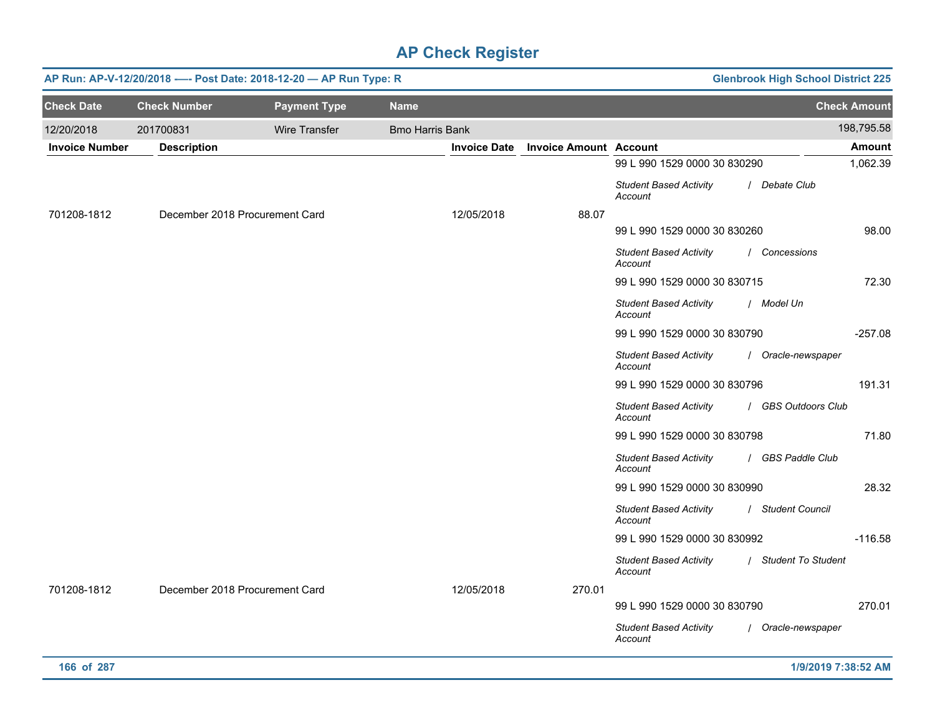|                       | AP Run: AP-V-12/20/2018 ---- Post Date: 2018-12-20 - AP Run Type: R |                      | <b>Glenbrook High School District 225</b> |                     |                               |                                          |                      |                     |
|-----------------------|---------------------------------------------------------------------|----------------------|-------------------------------------------|---------------------|-------------------------------|------------------------------------------|----------------------|---------------------|
| <b>Check Date</b>     | <b>Check Number</b>                                                 | <b>Payment Type</b>  | <b>Name</b>                               |                     |                               |                                          |                      | <b>Check Amount</b> |
| 12/20/2018            | 201700831                                                           | <b>Wire Transfer</b> | <b>Bmo Harris Bank</b>                    |                     |                               |                                          |                      | 198,795.58          |
| <b>Invoice Number</b> | <b>Description</b>                                                  |                      |                                           | <b>Invoice Date</b> | <b>Invoice Amount Account</b> |                                          |                      | <b>Amount</b>       |
|                       |                                                                     |                      |                                           |                     |                               | 99 L 990 1529 0000 30 830290             |                      | 1,062.39            |
|                       |                                                                     |                      |                                           |                     |                               | <b>Student Based Activity</b><br>Account | / Debate Club        |                     |
| 701208-1812           | December 2018 Procurement Card                                      |                      | 12/05/2018                                |                     | 88.07                         |                                          |                      |                     |
|                       |                                                                     |                      |                                           |                     |                               | 99 L 990 1529 0000 30 830260             |                      | 98.00               |
|                       |                                                                     |                      |                                           |                     |                               | <b>Student Based Activity</b><br>Account | Concessions          |                     |
|                       |                                                                     |                      |                                           |                     |                               | 99 L 990 1529 0000 30 830715             |                      | 72.30               |
|                       |                                                                     |                      |                                           |                     |                               | <b>Student Based Activity</b><br>Account | / Model Un           |                     |
|                       |                                                                     |                      |                                           |                     |                               | 99 L 990 1529 0000 30 830790             |                      | $-257.08$           |
|                       |                                                                     |                      |                                           |                     |                               | <b>Student Based Activity</b><br>Account | / Oracle-newspaper   |                     |
|                       |                                                                     |                      |                                           |                     |                               | 99 L 990 1529 0000 30 830796             |                      | 191.31              |
|                       |                                                                     |                      |                                           |                     |                               | <b>Student Based Activity</b><br>Account | / GBS Outdoors Club  |                     |
|                       |                                                                     |                      |                                           |                     |                               | 99 L 990 1529 0000 30 830798             |                      | 71.80               |
|                       |                                                                     |                      |                                           |                     |                               | <b>Student Based Activity</b><br>Account | / GBS Paddle Club    |                     |
|                       |                                                                     |                      |                                           |                     |                               | 99 L 990 1529 0000 30 830990             |                      | 28.32               |
|                       |                                                                     |                      |                                           |                     |                               | <b>Student Based Activity</b><br>Account | / Student Council    |                     |
|                       |                                                                     |                      |                                           |                     |                               | 99 L 990 1529 0000 30 830992             |                      | $-116.58$           |
|                       |                                                                     |                      |                                           |                     |                               | <b>Student Based Activity</b><br>Account | / Student To Student |                     |
| 701208-1812           | December 2018 Procurement Card                                      |                      | 12/05/2018                                |                     | 270.01                        |                                          |                      |                     |
|                       |                                                                     |                      |                                           |                     |                               | 99 L 990 1529 0000 30 830790             |                      | 270.01              |
|                       |                                                                     |                      |                                           |                     |                               | <b>Student Based Activity</b><br>Account | / Oracle-newspaper   |                     |
| 166 of 287            |                                                                     |                      |                                           |                     |                               |                                          | 1/9/2019 7:38:52 AM  |                     |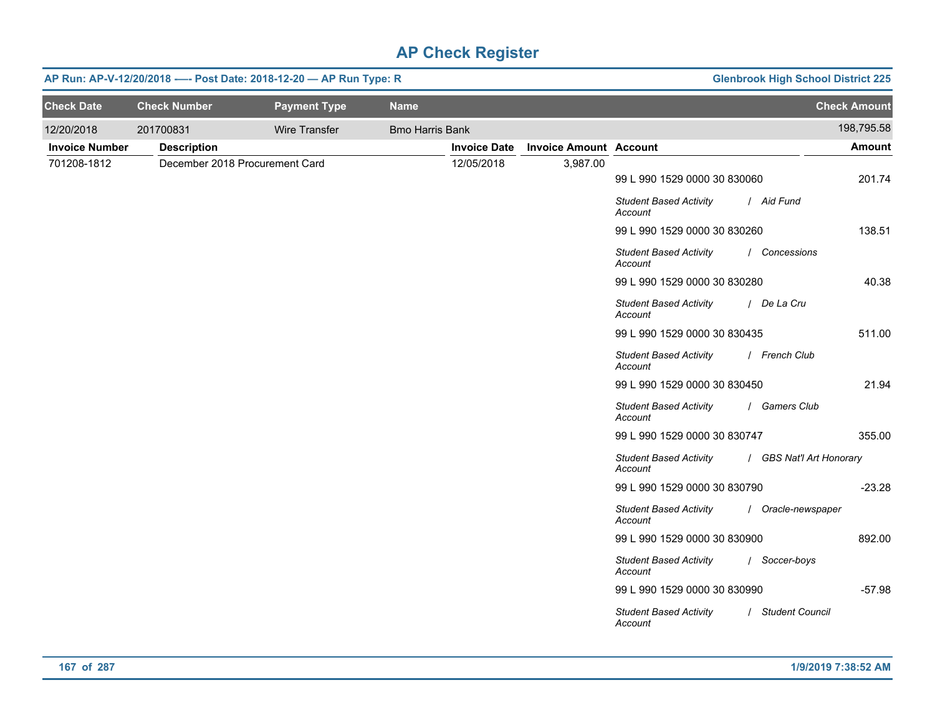|                       | AP Run: AP-V-12/20/2018 ---- Post Date: 2018-12-20 - AP Run Type: R |                     | <b>Glenbrook High School District 225</b> |                     |                               |                                          |                          |                     |
|-----------------------|---------------------------------------------------------------------|---------------------|-------------------------------------------|---------------------|-------------------------------|------------------------------------------|--------------------------|---------------------|
| <b>Check Date</b>     | <b>Check Number</b>                                                 | <b>Payment Type</b> | <b>Name</b>                               |                     |                               |                                          |                          | <b>Check Amount</b> |
| 12/20/2018            | 201700831                                                           | Wire Transfer       | <b>Bmo Harris Bank</b>                    |                     |                               |                                          |                          | 198,795.58          |
| <b>Invoice Number</b> | <b>Description</b>                                                  |                     |                                           | <b>Invoice Date</b> | <b>Invoice Amount Account</b> |                                          |                          | <b>Amount</b>       |
| 701208-1812           | December 2018 Procurement Card                                      |                     |                                           | 12/05/2018          | 3,987.00                      |                                          |                          |                     |
|                       |                                                                     |                     |                                           |                     |                               | 99 L 990 1529 0000 30 830060             |                          | 201.74              |
|                       |                                                                     |                     |                                           |                     |                               | <b>Student Based Activity</b><br>Account | / Aid Fund               |                     |
|                       |                                                                     |                     |                                           |                     |                               | 99 L 990 1529 0000 30 830260             |                          | 138.51              |
|                       |                                                                     |                     |                                           |                     |                               | <b>Student Based Activity</b><br>Account | / Concessions            |                     |
|                       |                                                                     |                     |                                           |                     |                               | 99 L 990 1529 0000 30 830280             |                          | 40.38               |
|                       |                                                                     |                     |                                           |                     |                               | <b>Student Based Activity</b><br>Account | / De La Cru              |                     |
|                       |                                                                     |                     |                                           |                     |                               | 99 L 990 1529 0000 30 830435             |                          | 511.00              |
|                       |                                                                     |                     |                                           |                     |                               | <b>Student Based Activity</b><br>Account | / French Club            |                     |
|                       |                                                                     |                     |                                           |                     |                               | 99 L 990 1529 0000 30 830450             |                          | 21.94               |
|                       |                                                                     |                     |                                           |                     |                               | <b>Student Based Activity</b><br>Account | / Gamers Club            |                     |
|                       |                                                                     |                     |                                           |                     |                               | 99 L 990 1529 0000 30 830747             |                          | 355.00              |
|                       |                                                                     |                     |                                           |                     |                               | <b>Student Based Activity</b><br>Account | / GBS Nat'l Art Honorary |                     |
|                       |                                                                     |                     |                                           |                     |                               | 99 L 990 1529 0000 30 830790             |                          | $-23.28$            |
|                       |                                                                     |                     |                                           |                     |                               | <b>Student Based Activity</b><br>Account | / Oracle-newspaper       |                     |
|                       |                                                                     |                     |                                           |                     |                               | 99 L 990 1529 0000 30 830900             |                          | 892.00              |
|                       |                                                                     |                     |                                           |                     |                               | <b>Student Based Activity</b><br>Account | / Soccer-boys            |                     |
|                       |                                                                     |                     |                                           |                     |                               | 99 L 990 1529 0000 30 830990             |                          | $-57.98$            |
|                       |                                                                     |                     |                                           |                     |                               | <b>Student Based Activity</b><br>Account | / Student Council        |                     |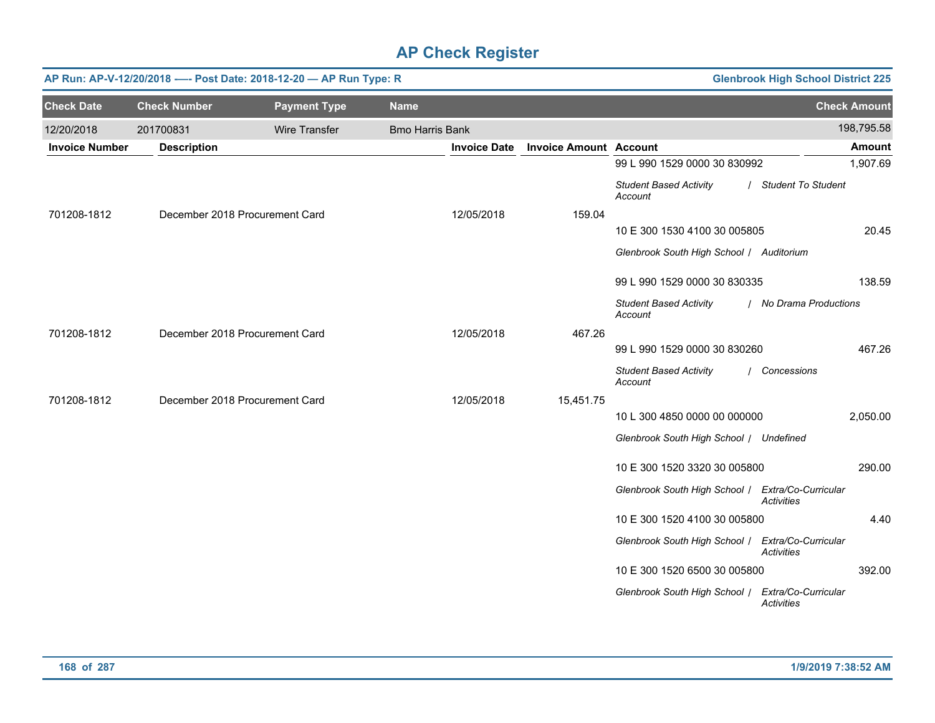|                       | AP Run: AP-V-12/20/2018 ---- Post Date: 2018-12-20 - AP Run Type: R<br><b>Glenbrook High School District 225</b> |                     |                        |                     |                               |                                                   |                                          |  |  |  |
|-----------------------|------------------------------------------------------------------------------------------------------------------|---------------------|------------------------|---------------------|-------------------------------|---------------------------------------------------|------------------------------------------|--|--|--|
| <b>Check Date</b>     | <b>Check Number</b>                                                                                              | <b>Payment Type</b> | <b>Name</b>            |                     |                               |                                                   | <b>Check Amount</b>                      |  |  |  |
| 12/20/2018            | 201700831                                                                                                        | Wire Transfer       | <b>Bmo Harris Bank</b> |                     |                               |                                                   | 198,795.58                               |  |  |  |
| <b>Invoice Number</b> | <b>Description</b>                                                                                               |                     |                        | <b>Invoice Date</b> | <b>Invoice Amount Account</b> |                                                   | <b>Amount</b>                            |  |  |  |
|                       |                                                                                                                  |                     |                        |                     |                               | 99 L 990 1529 0000 30 830992                      | 1,907.69                                 |  |  |  |
|                       |                                                                                                                  |                     |                        |                     |                               | <b>Student Based Activity</b><br>Account          | / Student To Student                     |  |  |  |
| 701208-1812           | December 2018 Procurement Card                                                                                   |                     |                        | 12/05/2018          | 159.04                        |                                                   |                                          |  |  |  |
|                       |                                                                                                                  |                     |                        |                     |                               | 10 E 300 1530 4100 30 005805                      | 20.45                                    |  |  |  |
|                       |                                                                                                                  |                     |                        |                     |                               | Glenbrook South High School   Auditorium          |                                          |  |  |  |
|                       |                                                                                                                  |                     |                        |                     |                               | 99 L 990 1529 0000 30 830335                      | 138.59                                   |  |  |  |
|                       |                                                                                                                  |                     |                        |                     |                               | <b>Student Based Activity</b><br>Account          | / No Drama Productions                   |  |  |  |
| 701208-1812           | December 2018 Procurement Card                                                                                   |                     |                        | 12/05/2018          | 467.26                        |                                                   |                                          |  |  |  |
|                       |                                                                                                                  |                     |                        |                     |                               | 99 L 990 1529 0000 30 830260                      | 467.26                                   |  |  |  |
|                       |                                                                                                                  |                     |                        |                     |                               | <b>Student Based Activity</b><br>Account          | / Concessions                            |  |  |  |
| 701208-1812           | December 2018 Procurement Card                                                                                   |                     |                        | 12/05/2018          | 15,451.75                     |                                                   |                                          |  |  |  |
|                       |                                                                                                                  |                     |                        |                     |                               | 10 L 300 4850 0000 00 000000                      | 2,050.00                                 |  |  |  |
|                       |                                                                                                                  |                     |                        |                     |                               | Glenbrook South High School / Undefined           |                                          |  |  |  |
|                       |                                                                                                                  |                     |                        |                     |                               | 10 E 300 1520 3320 30 005800                      | 290.00                                   |  |  |  |
|                       |                                                                                                                  |                     |                        |                     |                               | Glenbrook South High School /                     | Extra/Co-Curricular<br><b>Activities</b> |  |  |  |
|                       |                                                                                                                  |                     |                        |                     |                               | 10 E 300 1520 4100 30 005800                      | 4.40                                     |  |  |  |
|                       |                                                                                                                  |                     |                        |                     |                               | Glenbrook South High School / Extra/Co-Curricular | <b>Activities</b>                        |  |  |  |
|                       |                                                                                                                  |                     |                        |                     |                               | 10 E 300 1520 6500 30 005800                      | 392.00                                   |  |  |  |
|                       |                                                                                                                  |                     |                        |                     |                               | Glenbrook South High School /                     | Extra/Co-Curricular<br>Activities        |  |  |  |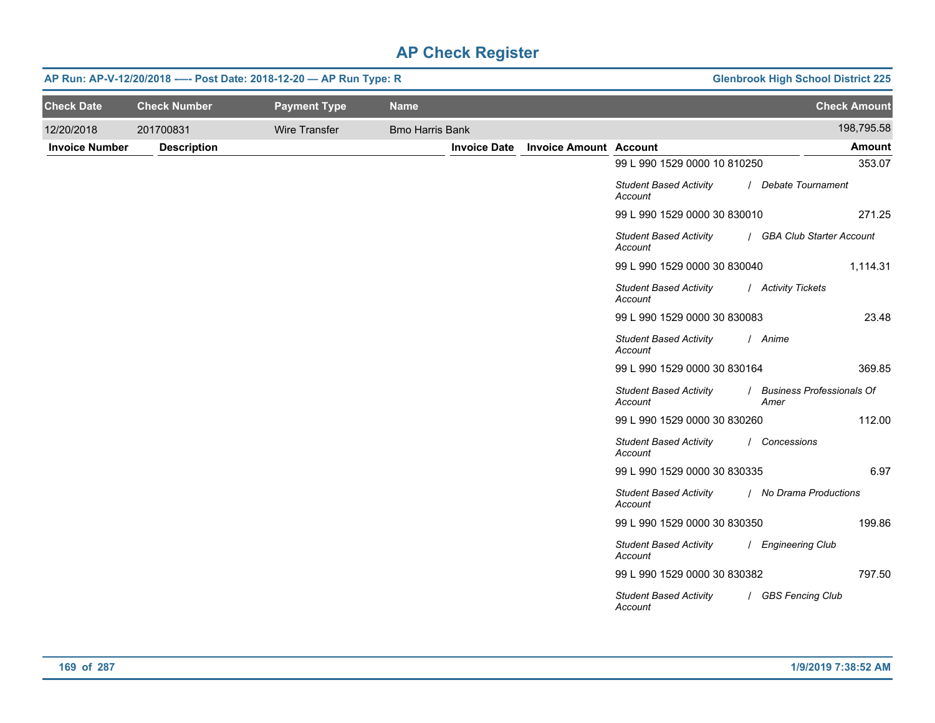| <b>Glenbrook High School District 225</b> |                                          | AP Run: AP-V-12/20/2018 ---- Post Date: 2018-12-20 - AP Run Type: R |                     |                        |                      |                     |                       |
|-------------------------------------------|------------------------------------------|---------------------------------------------------------------------|---------------------|------------------------|----------------------|---------------------|-----------------------|
| <b>Check Amount</b>                       |                                          |                                                                     |                     | <b>Name</b>            | <b>Payment Type</b>  | <b>Check Number</b> | <b>Check Date</b>     |
| 198,795.58                                |                                          |                                                                     |                     | <b>Bmo Harris Bank</b> | <b>Wire Transfer</b> | 201700831           | 12/20/2018            |
| Amount                                    |                                          | <b>Invoice Amount Account</b>                                       | <b>Invoice Date</b> |                        |                      | <b>Description</b>  | <b>Invoice Number</b> |
| 353.07                                    | 99 L 990 1529 0000 10 810250             |                                                                     |                     |                        |                      |                     |                       |
| / Debate Tournament                       | <b>Student Based Activity</b><br>Account |                                                                     |                     |                        |                      |                     |                       |
| 271.25                                    | 99 L 990 1529 0000 30 830010             |                                                                     |                     |                        |                      |                     |                       |
| / GBA Club Starter Account                | <b>Student Based Activity</b><br>Account |                                                                     |                     |                        |                      |                     |                       |
| 1,114.31                                  | 99 L 990 1529 0000 30 830040             |                                                                     |                     |                        |                      |                     |                       |
| / Activity Tickets                        | <b>Student Based Activity</b><br>Account |                                                                     |                     |                        |                      |                     |                       |
| 23.48                                     | 99 L 990 1529 0000 30 830083             |                                                                     |                     |                        |                      |                     |                       |
| / Anime                                   | <b>Student Based Activity</b><br>Account |                                                                     |                     |                        |                      |                     |                       |
| 369.85                                    | 99 L 990 1529 0000 30 830164             |                                                                     |                     |                        |                      |                     |                       |
| / Business Professionals Of<br>Amer       | <b>Student Based Activity</b><br>Account |                                                                     |                     |                        |                      |                     |                       |
| 112.00                                    | 99 L 990 1529 0000 30 830260             |                                                                     |                     |                        |                      |                     |                       |
| / Concessions                             | <b>Student Based Activity</b><br>Account |                                                                     |                     |                        |                      |                     |                       |
| 6.97                                      | 99 L 990 1529 0000 30 830335             |                                                                     |                     |                        |                      |                     |                       |
| / No Drama Productions                    | <b>Student Based Activity</b><br>Account |                                                                     |                     |                        |                      |                     |                       |
| 199.86                                    | 99 L 990 1529 0000 30 830350             |                                                                     |                     |                        |                      |                     |                       |
| / Engineering Club                        | <b>Student Based Activity</b><br>Account |                                                                     |                     |                        |                      |                     |                       |
| 797.50                                    | 99 L 990 1529 0000 30 830382             |                                                                     |                     |                        |                      |                     |                       |
| / GBS Fencing Club                        | <b>Student Based Activity</b><br>Account |                                                                     |                     |                        |                      |                     |                       |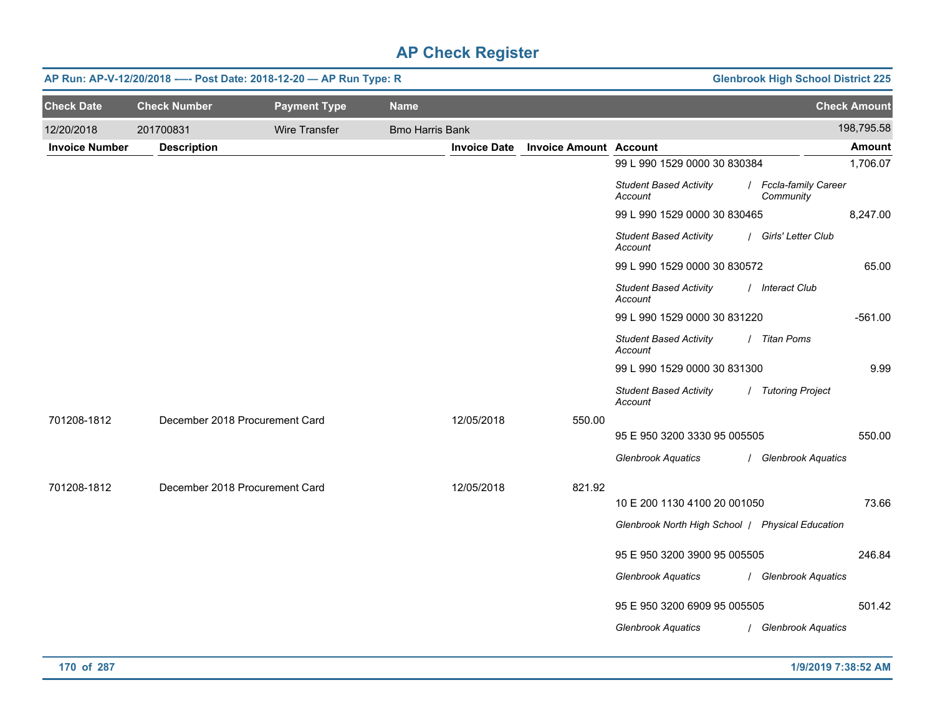|                       | AP Run: AP-V-12/20/2018 ---- Post Date: 2018-12-20 - AP Run Type: R |                      |                        |                     |                               |                                                  |  | <b>Glenbrook High School District 225</b> |                     |
|-----------------------|---------------------------------------------------------------------|----------------------|------------------------|---------------------|-------------------------------|--------------------------------------------------|--|-------------------------------------------|---------------------|
| <b>Check Date</b>     | <b>Check Number</b>                                                 | <b>Payment Type</b>  | <b>Name</b>            |                     |                               |                                                  |  |                                           | <b>Check Amount</b> |
| 12/20/2018            | 201700831                                                           | <b>Wire Transfer</b> | <b>Bmo Harris Bank</b> |                     |                               |                                                  |  |                                           | 198,795.58          |
| <b>Invoice Number</b> | <b>Description</b>                                                  |                      |                        | <b>Invoice Date</b> | <b>Invoice Amount Account</b> |                                                  |  |                                           | <b>Amount</b>       |
|                       |                                                                     |                      |                        |                     |                               | 99 L 990 1529 0000 30 830384                     |  |                                           | 1,706.07            |
|                       |                                                                     |                      |                        |                     |                               | <b>Student Based Activity</b><br>Account         |  | / Fccla-family Career<br>Community        |                     |
|                       |                                                                     |                      |                        |                     |                               | 99 L 990 1529 0000 30 830465                     |  |                                           | 8,247.00            |
|                       |                                                                     |                      |                        |                     |                               | <b>Student Based Activity</b><br>Account         |  | / Girls' Letter Club                      |                     |
|                       |                                                                     |                      |                        |                     |                               | 99 L 990 1529 0000 30 830572                     |  |                                           | 65.00               |
|                       |                                                                     |                      |                        |                     |                               | <b>Student Based Activity</b><br>Account         |  | / Interact Club                           |                     |
|                       |                                                                     |                      |                        |                     |                               | 99 L 990 1529 0000 30 831220                     |  |                                           | $-561.00$           |
|                       |                                                                     |                      |                        |                     |                               | <b>Student Based Activity</b><br>Account         |  | / Titan Poms                              |                     |
|                       |                                                                     |                      |                        |                     |                               | 99 L 990 1529 0000 30 831300                     |  |                                           | 9.99                |
|                       |                                                                     |                      |                        |                     |                               | <b>Student Based Activity</b><br>Account         |  | / Tutoring Project                        |                     |
| 701208-1812           | December 2018 Procurement Card                                      |                      |                        | 12/05/2018          | 550.00                        |                                                  |  |                                           |                     |
|                       |                                                                     |                      |                        |                     |                               | 95 E 950 3200 3330 95 005505                     |  |                                           | 550.00              |
|                       |                                                                     |                      |                        |                     |                               | <b>Glenbrook Aquatics</b>                        |  | / Glenbrook Aquatics                      |                     |
| 701208-1812           | December 2018 Procurement Card                                      |                      |                        | 12/05/2018          | 821.92                        |                                                  |  |                                           |                     |
|                       |                                                                     |                      |                        |                     |                               | 10 E 200 1130 4100 20 001050                     |  |                                           | 73.66               |
|                       |                                                                     |                      |                        |                     |                               | Glenbrook North High School   Physical Education |  |                                           |                     |
|                       |                                                                     |                      |                        |                     |                               |                                                  |  |                                           |                     |
|                       |                                                                     |                      |                        |                     |                               | 95 E 950 3200 3900 95 005505                     |  |                                           | 246.84              |
|                       |                                                                     |                      |                        |                     |                               | <b>Glenbrook Aquatics</b>                        |  | / Glenbrook Aquatics                      |                     |
|                       |                                                                     |                      |                        |                     |                               | 95 E 950 3200 6909 95 005505                     |  |                                           | 501.42              |
|                       |                                                                     |                      |                        |                     |                               | <b>Glenbrook Aquatics</b>                        |  | / Glenbrook Aquatics                      |                     |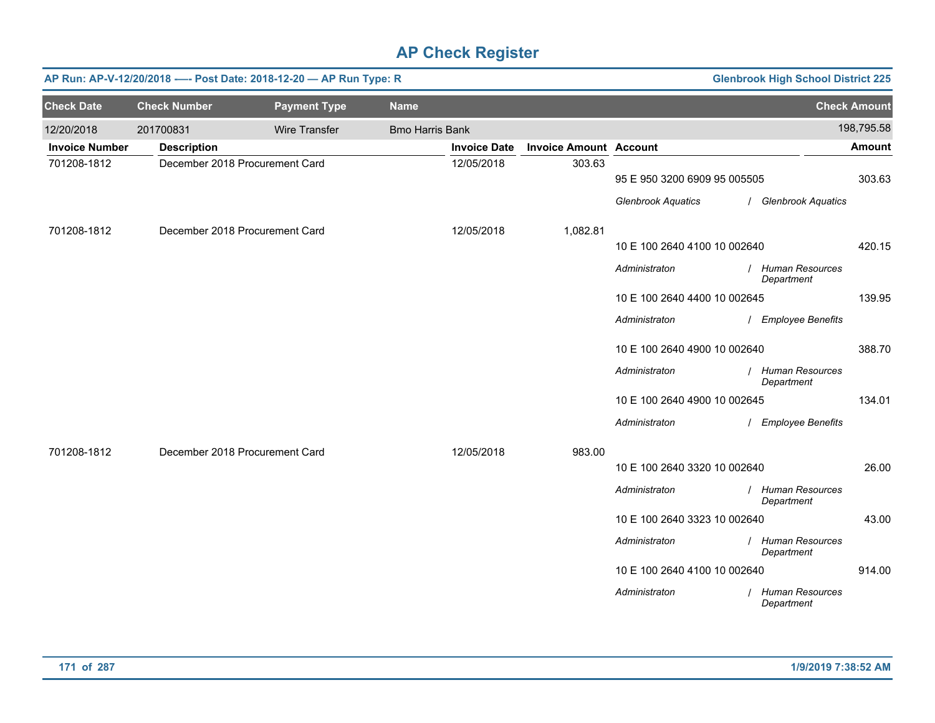|                       | <b>Glenbrook High School District 225</b><br>AP Run: AP-V-12/20/2018 ---- Post Date: 2018-12-20 - AP Run Type: R |                                |                        |                     |                               |                              |  |                                      |                     |
|-----------------------|------------------------------------------------------------------------------------------------------------------|--------------------------------|------------------------|---------------------|-------------------------------|------------------------------|--|--------------------------------------|---------------------|
| <b>Check Date</b>     | <b>Check Number</b>                                                                                              | <b>Payment Type</b>            | <b>Name</b>            |                     |                               |                              |  |                                      | <b>Check Amount</b> |
| 12/20/2018            | 201700831                                                                                                        | Wire Transfer                  | <b>Bmo Harris Bank</b> |                     |                               |                              |  |                                      | 198,795.58          |
| <b>Invoice Number</b> | <b>Description</b>                                                                                               |                                |                        | <b>Invoice Date</b> | <b>Invoice Amount Account</b> |                              |  |                                      | Amount              |
| 701208-1812           |                                                                                                                  | December 2018 Procurement Card |                        | 12/05/2018          | 303.63                        | 95 E 950 3200 6909 95 005505 |  |                                      | 303.63              |
|                       |                                                                                                                  |                                |                        |                     |                               | <b>Glenbrook Aquatics</b>    |  | / Glenbrook Aquatics                 |                     |
| 701208-1812           |                                                                                                                  | December 2018 Procurement Card |                        | 12/05/2018          | 1,082.81                      |                              |  |                                      |                     |
|                       |                                                                                                                  |                                |                        |                     |                               | 10 E 100 2640 4100 10 002640 |  |                                      | 420.15              |
|                       |                                                                                                                  |                                |                        |                     |                               | Administraton                |  | <b>Human Resources</b><br>Department |                     |
|                       |                                                                                                                  |                                |                        |                     |                               | 10 E 100 2640 4400 10 002645 |  |                                      | 139.95              |
|                       |                                                                                                                  |                                |                        |                     |                               | Administraton                |  | <b>Employee Benefits</b>             |                     |
|                       |                                                                                                                  |                                |                        |                     |                               | 10 E 100 2640 4900 10 002640 |  |                                      | 388.70              |
|                       |                                                                                                                  |                                |                        |                     |                               | Administraton                |  | / Human Resources<br>Department      |                     |
|                       |                                                                                                                  |                                |                        |                     |                               | 10 E 100 2640 4900 10 002645 |  |                                      | 134.01              |
|                       |                                                                                                                  |                                |                        |                     |                               | Administraton                |  | / Employee Benefits                  |                     |
| 701208-1812           |                                                                                                                  | December 2018 Procurement Card |                        | 12/05/2018          | 983.00                        |                              |  |                                      |                     |
|                       |                                                                                                                  |                                |                        |                     |                               | 10 E 100 2640 3320 10 002640 |  |                                      | 26.00               |
|                       |                                                                                                                  |                                |                        |                     |                               | Administraton                |  | / Human Resources<br>Department      |                     |
|                       |                                                                                                                  |                                |                        |                     |                               | 10 E 100 2640 3323 10 002640 |  |                                      | 43.00               |
|                       |                                                                                                                  |                                |                        |                     |                               | Administraton                |  | / Human Resources<br>Department      |                     |
|                       |                                                                                                                  |                                |                        |                     |                               | 10 E 100 2640 4100 10 002640 |  |                                      | 914.00              |
|                       |                                                                                                                  |                                |                        |                     |                               | Administraton                |  | <b>Human Resources</b><br>Department |                     |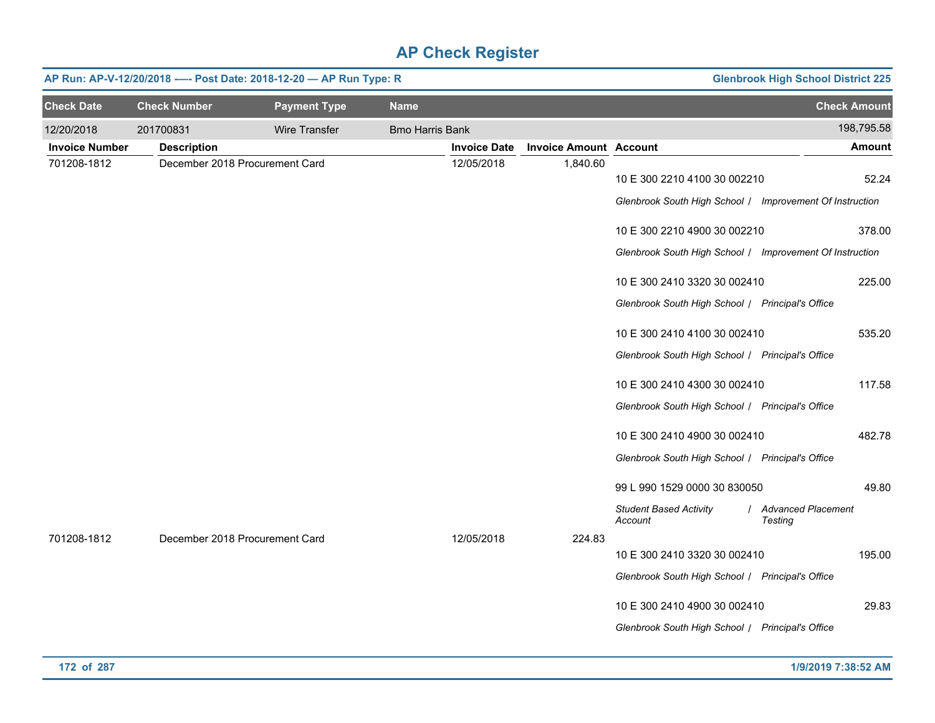|                       | AP Run: AP-V-12/20/2018 ---- Post Date: 2018-12-20 - AP Run Type: R<br><b>Glenbrook High School District 225</b> |                     |                        |                     |                               |                                                                                          |                                 |  |  |
|-----------------------|------------------------------------------------------------------------------------------------------------------|---------------------|------------------------|---------------------|-------------------------------|------------------------------------------------------------------------------------------|---------------------------------|--|--|
| <b>Check Date</b>     | <b>Check Number</b>                                                                                              | <b>Payment Type</b> | <b>Name</b>            |                     |                               |                                                                                          | <b>Check Amount</b>             |  |  |
| 12/20/2018            | 201700831                                                                                                        | Wire Transfer       | <b>Bmo Harris Bank</b> |                     |                               |                                                                                          | 198,795.58                      |  |  |
| <b>Invoice Number</b> | <b>Description</b>                                                                                               |                     |                        | <b>Invoice Date</b> | <b>Invoice Amount Account</b> |                                                                                          | <b>Amount</b>                   |  |  |
| 701208-1812           | December 2018 Procurement Card                                                                                   |                     |                        | 12/05/2018          | 1,840.60                      | 10 E 300 2210 4100 30 002210<br>Glenbrook South High School / Improvement Of Instruction | 52.24                           |  |  |
|                       |                                                                                                                  |                     |                        |                     |                               | 10 E 300 2210 4900 30 002210                                                             | 378.00                          |  |  |
|                       |                                                                                                                  |                     |                        |                     |                               | Glenbrook South High School / Improvement Of Instruction<br>10 E 300 2410 3320 30 002410 | 225.00                          |  |  |
|                       |                                                                                                                  |                     |                        |                     |                               | Glenbrook South High School / Principal's Office                                         |                                 |  |  |
|                       |                                                                                                                  |                     |                        |                     |                               | 10 E 300 2410 4100 30 002410<br>Glenbrook South High School / Principal's Office         | 535.20                          |  |  |
|                       |                                                                                                                  |                     |                        |                     |                               | 10 E 300 2410 4300 30 002410                                                             | 117.58                          |  |  |
|                       |                                                                                                                  |                     |                        |                     |                               | Glenbrook South High School / Principal's Office<br>10 E 300 2410 4900 30 002410         | 482.78                          |  |  |
|                       |                                                                                                                  |                     |                        |                     |                               | Glenbrook South High School / Principal's Office                                         |                                 |  |  |
|                       |                                                                                                                  |                     |                        |                     |                               | 99 L 990 1529 0000 30 830050                                                             | 49.80                           |  |  |
|                       |                                                                                                                  |                     |                        |                     |                               | <b>Student Based Activity</b><br>Account                                                 | / Advanced Placement<br>Testing |  |  |
| 701208-1812           | December 2018 Procurement Card                                                                                   |                     |                        | 12/05/2018          | 224.83                        | 10 E 300 2410 3320 30 002410                                                             | 195.00                          |  |  |
|                       |                                                                                                                  |                     |                        |                     |                               | Glenbrook South High School / Principal's Office                                         |                                 |  |  |
|                       |                                                                                                                  |                     |                        |                     |                               | 10 E 300 2410 4900 30 002410<br>Glenbrook South High School / Principal's Office         | 29.83                           |  |  |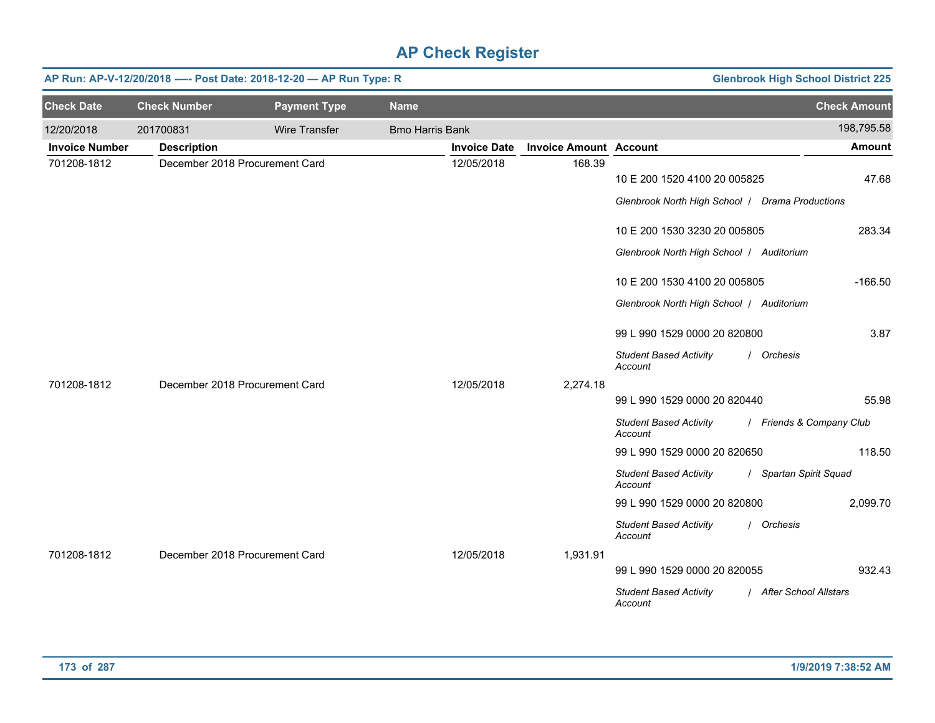|                       | AP Run: AP-V-12/20/2018 ---- Post Date: 2018-12-20 - AP Run Type: R<br><b>Glenbrook High School District 225</b> |                                |                        |                     |                               |                                                                                 |                          |  |  |
|-----------------------|------------------------------------------------------------------------------------------------------------------|--------------------------------|------------------------|---------------------|-------------------------------|---------------------------------------------------------------------------------|--------------------------|--|--|
| <b>Check Date</b>     | <b>Check Number</b>                                                                                              | <b>Payment Type</b>            | <b>Name</b>            |                     |                               |                                                                                 | <b>Check Amount</b>      |  |  |
| 12/20/2018            | 201700831                                                                                                        | Wire Transfer                  | <b>Bmo Harris Bank</b> |                     |                               |                                                                                 | 198,795.58               |  |  |
| <b>Invoice Number</b> | <b>Description</b>                                                                                               |                                |                        | <b>Invoice Date</b> | <b>Invoice Amount Account</b> |                                                                                 | <b>Amount</b>            |  |  |
| 701208-1812           |                                                                                                                  | December 2018 Procurement Card |                        | 12/05/2018          | 168.39                        | 10 E 200 1520 4100 20 005825<br>Glenbrook North High School   Drama Productions | 47.68                    |  |  |
|                       |                                                                                                                  |                                |                        |                     |                               | 10 E 200 1530 3230 20 005805                                                    | 283.34                   |  |  |
|                       |                                                                                                                  |                                |                        |                     |                               | Glenbrook North High School   Auditorium                                        |                          |  |  |
|                       |                                                                                                                  |                                |                        |                     |                               | 10 E 200 1530 4100 20 005805                                                    | $-166.50$                |  |  |
|                       |                                                                                                                  |                                |                        |                     |                               | Glenbrook North High School   Auditorium                                        |                          |  |  |
|                       |                                                                                                                  |                                |                        |                     |                               | 99 L 990 1529 0000 20 820800                                                    | 3.87                     |  |  |
|                       |                                                                                                                  |                                |                        |                     |                               | <b>Student Based Activity</b><br>Account                                        | / Orchesis               |  |  |
| 701208-1812           | December 2018 Procurement Card                                                                                   |                                |                        | 12/05/2018          | 2,274.18                      |                                                                                 |                          |  |  |
|                       |                                                                                                                  |                                |                        |                     |                               | 99 L 990 1529 0000 20 820440                                                    | 55.98                    |  |  |
|                       |                                                                                                                  |                                |                        |                     |                               | <b>Student Based Activity</b><br>Account                                        | / Friends & Company Club |  |  |
|                       |                                                                                                                  |                                |                        |                     |                               | 99 L 990 1529 0000 20 820650                                                    | 118.50                   |  |  |
|                       |                                                                                                                  |                                |                        |                     |                               | <b>Student Based Activity</b><br>Account                                        | / Spartan Spirit Squad   |  |  |
|                       |                                                                                                                  |                                |                        |                     |                               | 99 L 990 1529 0000 20 820800                                                    | 2,099.70                 |  |  |
|                       |                                                                                                                  |                                |                        |                     |                               | <b>Student Based Activity</b><br>Account                                        | / Orchesis               |  |  |
| 701208-1812           | December 2018 Procurement Card                                                                                   |                                |                        | 12/05/2018          | 1,931.91                      |                                                                                 |                          |  |  |
|                       |                                                                                                                  |                                |                        |                     |                               | 99 L 990 1529 0000 20 820055                                                    | 932.43                   |  |  |
|                       |                                                                                                                  |                                |                        |                     |                               | <b>Student Based Activity</b><br>Account                                        | / After School Allstars  |  |  |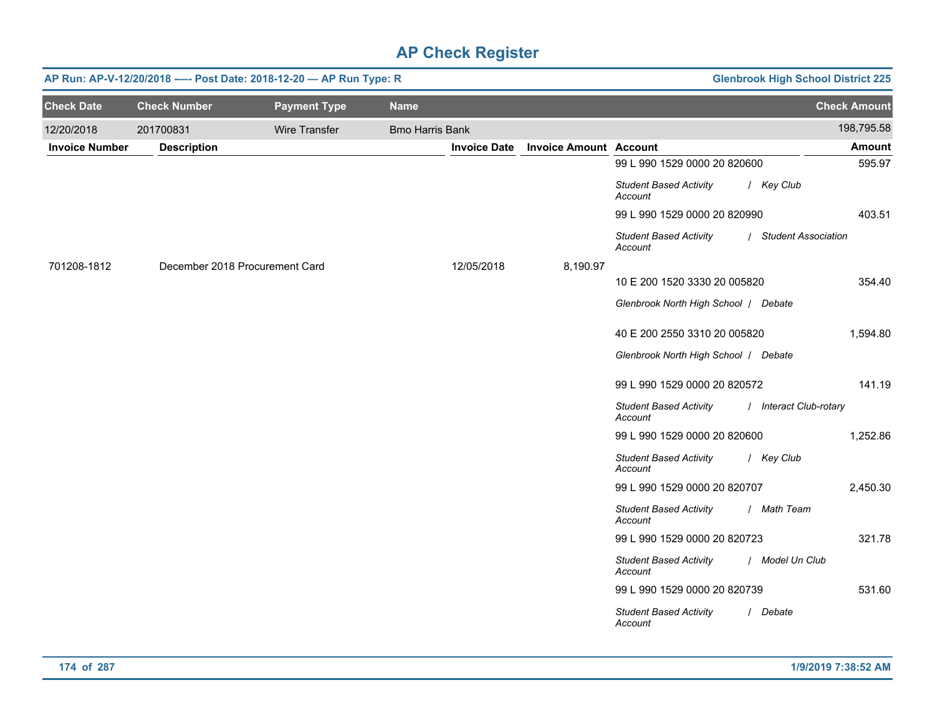|                       |                     | AP Run: AP-V-12/20/2018 ---- Post Date: 2018-12-20 - AP Run Type: R |                        |                     |                               |                                          | <b>Glenbrook High School District 225</b> |
|-----------------------|---------------------|---------------------------------------------------------------------|------------------------|---------------------|-------------------------------|------------------------------------------|-------------------------------------------|
| <b>Check Date</b>     | <b>Check Number</b> | <b>Payment Type</b>                                                 | <b>Name</b>            |                     |                               |                                          | <b>Check Amount</b>                       |
| 12/20/2018            | 201700831           | Wire Transfer                                                       | <b>Bmo Harris Bank</b> |                     |                               |                                          | 198,795.58                                |
| <b>Invoice Number</b> | <b>Description</b>  |                                                                     |                        | <b>Invoice Date</b> | <b>Invoice Amount Account</b> |                                          | <b>Amount</b>                             |
|                       |                     |                                                                     |                        |                     |                               | 99 L 990 1529 0000 20 820600             | 595.97                                    |
|                       |                     |                                                                     |                        |                     |                               | <b>Student Based Activity</b><br>Account | / Key Club                                |
|                       |                     |                                                                     |                        |                     |                               | 99 L 990 1529 0000 20 820990             | 403.51                                    |
|                       |                     |                                                                     |                        |                     |                               | <b>Student Based Activity</b><br>Account | / Student Association                     |
| 701208-1812           |                     | December 2018 Procurement Card                                      |                        | 12/05/2018          | 8,190.97                      |                                          |                                           |
|                       |                     |                                                                     |                        |                     |                               | 10 E 200 1520 3330 20 005820             | 354.40                                    |
|                       |                     |                                                                     |                        |                     |                               | Glenbrook North High School / Debate     |                                           |
|                       |                     |                                                                     |                        |                     |                               | 40 E 200 2550 3310 20 005820             | 1,594.80                                  |
|                       |                     |                                                                     |                        |                     |                               | Glenbrook North High School / Debate     |                                           |
|                       |                     |                                                                     |                        |                     |                               | 99 L 990 1529 0000 20 820572             | 141.19                                    |
|                       |                     |                                                                     |                        |                     |                               | <b>Student Based Activity</b><br>Account | / Interact Club-rotary                    |
|                       |                     |                                                                     |                        |                     |                               | 99 L 990 1529 0000 20 820600             | 1,252.86                                  |
|                       |                     |                                                                     |                        |                     |                               | <b>Student Based Activity</b><br>Account | / Key Club                                |
|                       |                     |                                                                     |                        |                     |                               | 99 L 990 1529 0000 20 820707             | 2,450.30                                  |
|                       |                     |                                                                     |                        |                     |                               | <b>Student Based Activity</b><br>Account | / Math Team                               |
|                       |                     |                                                                     |                        |                     |                               | 99 L 990 1529 0000 20 820723             | 321.78                                    |
|                       |                     |                                                                     |                        |                     |                               | <b>Student Based Activity</b><br>Account | / Model Un Club                           |
|                       |                     |                                                                     |                        |                     |                               | 99 L 990 1529 0000 20 820739             | 531.60                                    |
|                       |                     |                                                                     |                        |                     |                               | <b>Student Based Activity</b><br>Account | / Debate                                  |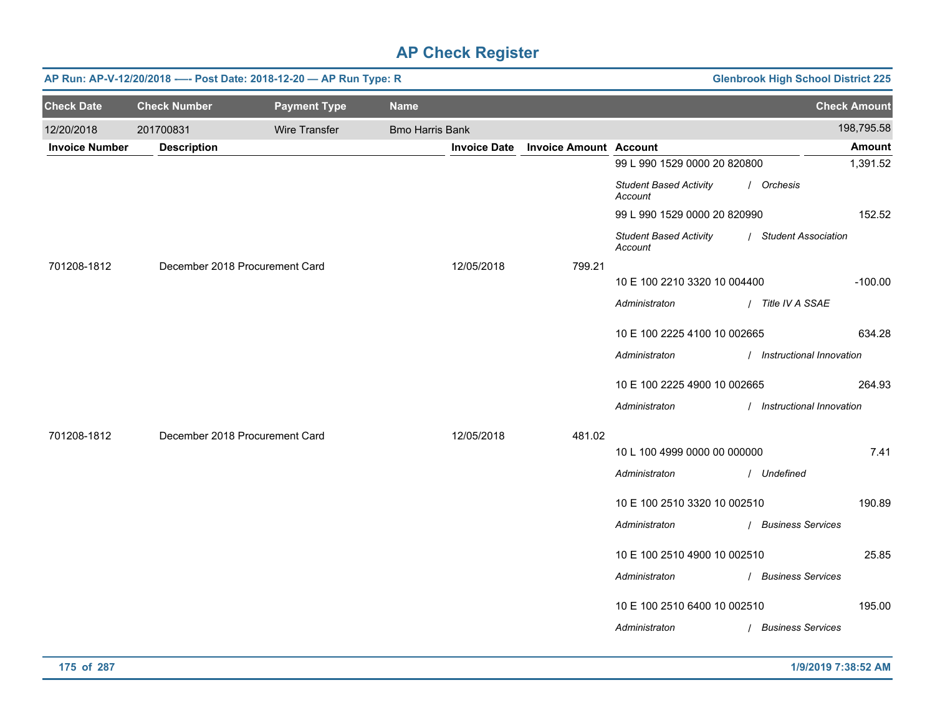|                       | <b>Glenbrook High School District 225</b><br>AP Run: AP-V-12/20/2018 ---- Post Date: 2018-12-20 - AP Run Type: R |                      |                        |                     |                               |                                          |             |                            |  |
|-----------------------|------------------------------------------------------------------------------------------------------------------|----------------------|------------------------|---------------------|-------------------------------|------------------------------------------|-------------|----------------------------|--|
| <b>Check Date</b>     | <b>Check Number</b>                                                                                              | <b>Payment Type</b>  | <b>Name</b>            |                     |                               |                                          |             | <b>Check Amount</b>        |  |
| 12/20/2018            | 201700831                                                                                                        | <b>Wire Transfer</b> | <b>Bmo Harris Bank</b> |                     |                               |                                          |             | 198,795.58                 |  |
| <b>Invoice Number</b> | <b>Description</b>                                                                                               |                      |                        | <b>Invoice Date</b> | <b>Invoice Amount Account</b> |                                          |             | Amount                     |  |
|                       |                                                                                                                  |                      |                        |                     |                               | 99 L 990 1529 0000 20 820800             |             | 1,391.52                   |  |
|                       |                                                                                                                  |                      |                        |                     |                               | <b>Student Based Activity</b><br>Account | / Orchesis  |                            |  |
|                       |                                                                                                                  |                      |                        |                     |                               | 99 L 990 1529 0000 20 820990             |             | 152.52                     |  |
|                       |                                                                                                                  |                      |                        |                     |                               | <b>Student Based Activity</b><br>Account |             | / Student Association      |  |
| 701208-1812           | December 2018 Procurement Card                                                                                   |                      |                        | 12/05/2018          | 799.21                        |                                          |             |                            |  |
|                       |                                                                                                                  |                      |                        |                     |                               | 10 E 100 2210 3320 10 004400             |             | $-100.00$                  |  |
|                       |                                                                                                                  |                      |                        |                     |                               | Administraton                            |             | / Title IV A SSAE          |  |
|                       |                                                                                                                  |                      |                        |                     |                               | 10 E 100 2225 4100 10 002665             |             | 634.28                     |  |
|                       |                                                                                                                  |                      |                        |                     |                               | Administraton                            |             | / Instructional Innovation |  |
|                       |                                                                                                                  |                      |                        |                     |                               | 10 E 100 2225 4900 10 002665             |             | 264.93                     |  |
|                       |                                                                                                                  |                      |                        |                     |                               | Administraton                            |             | / Instructional Innovation |  |
| 701208-1812           | December 2018 Procurement Card                                                                                   |                      |                        | 12/05/2018          | 481.02                        |                                          |             |                            |  |
|                       |                                                                                                                  |                      |                        |                     |                               | 10 L 100 4999 0000 00 000000             |             | 7.41                       |  |
|                       |                                                                                                                  |                      |                        |                     |                               | Administraton                            | / Undefined |                            |  |
|                       |                                                                                                                  |                      |                        |                     |                               | 10 E 100 2510 3320 10 002510             |             | 190.89                     |  |
|                       |                                                                                                                  |                      |                        |                     |                               | Administraton                            |             | / Business Services        |  |
|                       |                                                                                                                  |                      |                        |                     |                               | 10 E 100 2510 4900 10 002510             |             | 25.85                      |  |
|                       |                                                                                                                  |                      |                        |                     |                               | Administraton                            |             | / Business Services        |  |
|                       |                                                                                                                  |                      |                        |                     |                               |                                          |             |                            |  |
|                       |                                                                                                                  |                      |                        |                     |                               | 10 E 100 2510 6400 10 002510             |             | 195.00                     |  |
|                       |                                                                                                                  |                      |                        |                     |                               | Administraton                            |             | / Business Services        |  |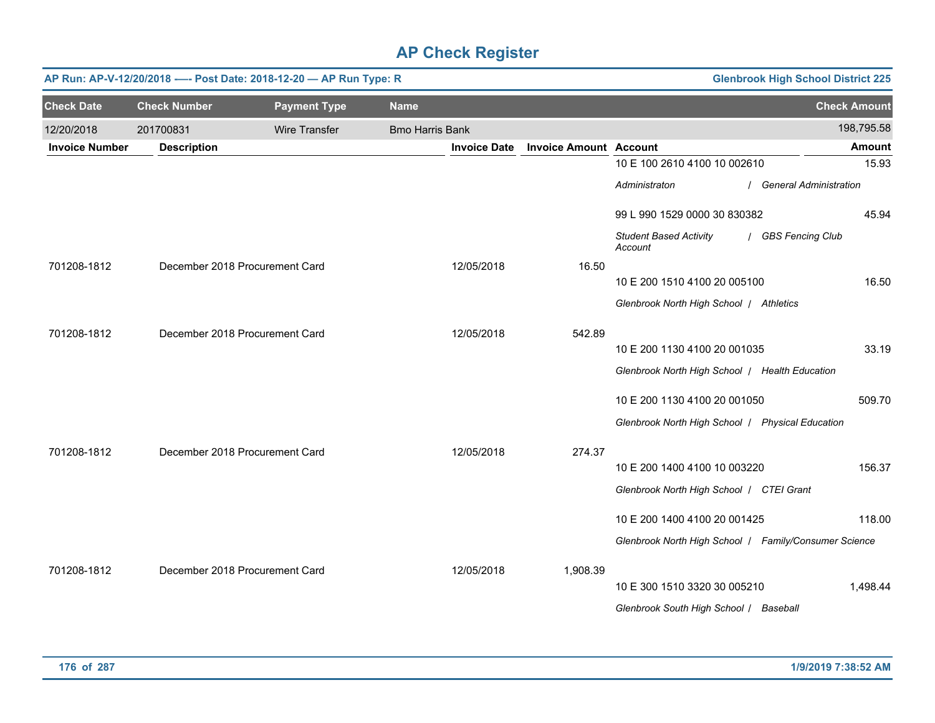|                       | AP Run: AP-V-12/20/2018 ---- Post Date: 2018-12-20 - AP Run Type: R<br><b>Glenbrook High School District 225</b> |                                |                        |                     |                               |                                                       |                          |  |  |
|-----------------------|------------------------------------------------------------------------------------------------------------------|--------------------------------|------------------------|---------------------|-------------------------------|-------------------------------------------------------|--------------------------|--|--|
| <b>Check Date</b>     | <b>Check Number</b>                                                                                              | <b>Payment Type</b>            | <b>Name</b>            |                     |                               |                                                       | <b>Check Amount</b>      |  |  |
| 12/20/2018            | 201700831                                                                                                        | Wire Transfer                  | <b>Bmo Harris Bank</b> |                     |                               |                                                       | 198,795.58               |  |  |
| <b>Invoice Number</b> | <b>Description</b>                                                                                               |                                |                        | <b>Invoice Date</b> | <b>Invoice Amount Account</b> |                                                       | <b>Amount</b>            |  |  |
|                       |                                                                                                                  |                                |                        |                     |                               | 10 E 100 2610 4100 10 002610                          | 15.93                    |  |  |
|                       |                                                                                                                  |                                |                        |                     |                               | Administraton                                         | / General Administration |  |  |
|                       |                                                                                                                  |                                |                        |                     |                               | 99 L 990 1529 0000 30 830382                          | 45.94                    |  |  |
|                       |                                                                                                                  |                                |                        |                     |                               | <b>Student Based Activity</b><br>Account              | / GBS Fencing Club       |  |  |
| 701208-1812           |                                                                                                                  | December 2018 Procurement Card |                        | 12/05/2018          | 16.50                         |                                                       | 16.50                    |  |  |
|                       |                                                                                                                  |                                |                        |                     |                               | 10 E 200 1510 4100 20 005100                          |                          |  |  |
|                       |                                                                                                                  |                                |                        |                     |                               | Glenbrook North High School / Athletics               |                          |  |  |
| 701208-1812           |                                                                                                                  | December 2018 Procurement Card |                        | 12/05/2018          | 542.89                        |                                                       |                          |  |  |
|                       |                                                                                                                  |                                |                        |                     |                               | 10 E 200 1130 4100 20 001035                          | 33.19                    |  |  |
|                       |                                                                                                                  |                                |                        |                     |                               | Glenbrook North High School   Health Education        |                          |  |  |
|                       |                                                                                                                  |                                |                        |                     |                               | 10 E 200 1130 4100 20 001050                          | 509.70                   |  |  |
|                       |                                                                                                                  |                                |                        |                     |                               | Glenbrook North High School   Physical Education      |                          |  |  |
| 701208-1812           |                                                                                                                  | December 2018 Procurement Card |                        | 12/05/2018          | 274.37                        |                                                       |                          |  |  |
|                       |                                                                                                                  |                                |                        |                     |                               | 10 E 200 1400 4100 10 003220                          | 156.37                   |  |  |
|                       |                                                                                                                  |                                |                        |                     |                               | Glenbrook North High School   CTEI Grant              |                          |  |  |
|                       |                                                                                                                  |                                |                        |                     |                               | 10 E 200 1400 4100 20 001425                          | 118.00                   |  |  |
|                       |                                                                                                                  |                                |                        |                     |                               | Glenbrook North High School   Family/Consumer Science |                          |  |  |
| 701208-1812           |                                                                                                                  | December 2018 Procurement Card |                        | 12/05/2018          | 1,908.39                      |                                                       |                          |  |  |
|                       |                                                                                                                  |                                |                        |                     |                               | 10 E 300 1510 3320 30 005210                          | 1,498.44                 |  |  |
|                       |                                                                                                                  |                                |                        |                     |                               | Glenbrook South High School / Baseball                |                          |  |  |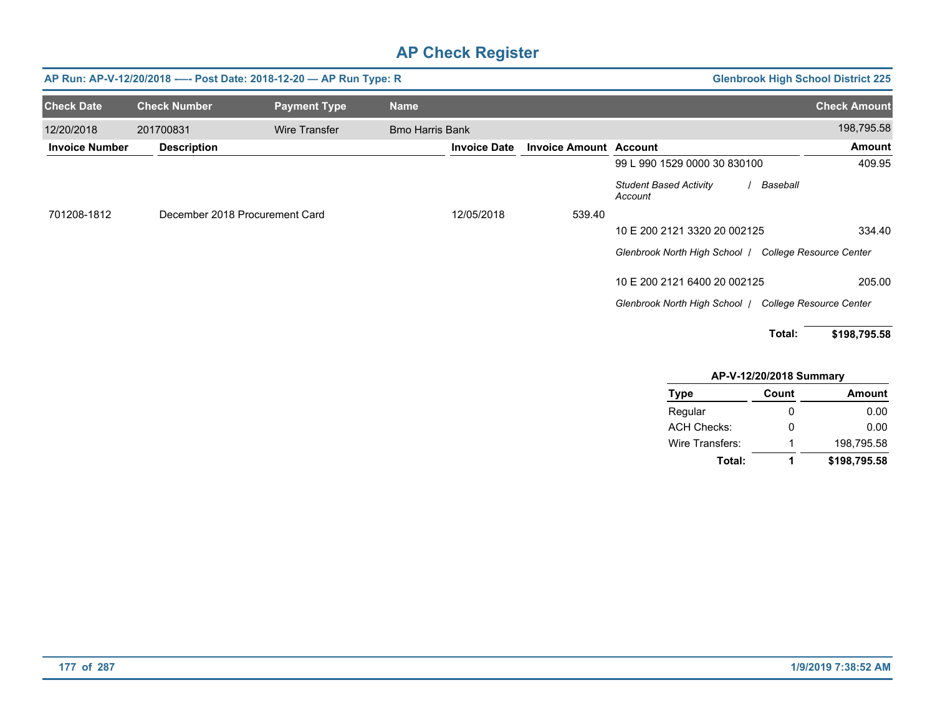|                       | AP Run: AP-V-12/20/2018 ---- Post Date: 2018-12-20 - AP Run Type: R | <b>Glenbrook High School District 225</b> |                        |                               |                                                      |                                |
|-----------------------|---------------------------------------------------------------------|-------------------------------------------|------------------------|-------------------------------|------------------------------------------------------|--------------------------------|
| <b>Check Date</b>     | <b>Check Number</b>                                                 | <b>Payment Type</b>                       | <b>Name</b>            |                               |                                                      | <b>Check Amount</b>            |
| 12/20/2018            | 201700831                                                           | Wire Transfer                             | <b>Bmo Harris Bank</b> |                               |                                                      | 198,795.58                     |
| <b>Invoice Number</b> | <b>Description</b>                                                  |                                           | <b>Invoice Date</b>    | <b>Invoice Amount Account</b> |                                                      | <b>Amount</b>                  |
|                       |                                                                     |                                           |                        |                               | 99 L 990 1529 0000 30 830100                         | 409.95                         |
|                       |                                                                     |                                           |                        |                               | <b>Student Based Activity</b><br>Baseball<br>Account |                                |
| 701208-1812           | December 2018 Procurement Card                                      |                                           | 12/05/2018             | 539.40                        |                                                      |                                |
|                       |                                                                     |                                           |                        |                               | 10 E 200 2121 3320 20 002125                         | 334.40                         |
|                       |                                                                     |                                           |                        |                               | Glenbrook North High School /                        | <b>College Resource Center</b> |
|                       |                                                                     |                                           |                        |                               | 10 E 200 2121 6400 20 002125                         | 205.00                         |
|                       |                                                                     |                                           |                        |                               | Glenbrook North High School /                        | <b>College Resource Center</b> |
|                       |                                                                     |                                           |                        |                               | Total:                                               | \$198,795.58                   |

| AP-V-12/20/2018 Summary |       |               |  |  |  |  |  |  |
|-------------------------|-------|---------------|--|--|--|--|--|--|
| <b>Type</b>             | Count | <b>Amount</b> |  |  |  |  |  |  |
| Regular                 | O     | 0.00          |  |  |  |  |  |  |
| <b>ACH Checks:</b>      | 0     | 0.00          |  |  |  |  |  |  |
| Wire Transfers:         | 1     | 198,795.58    |  |  |  |  |  |  |
| Total:                  | 1     | \$198,795.58  |  |  |  |  |  |  |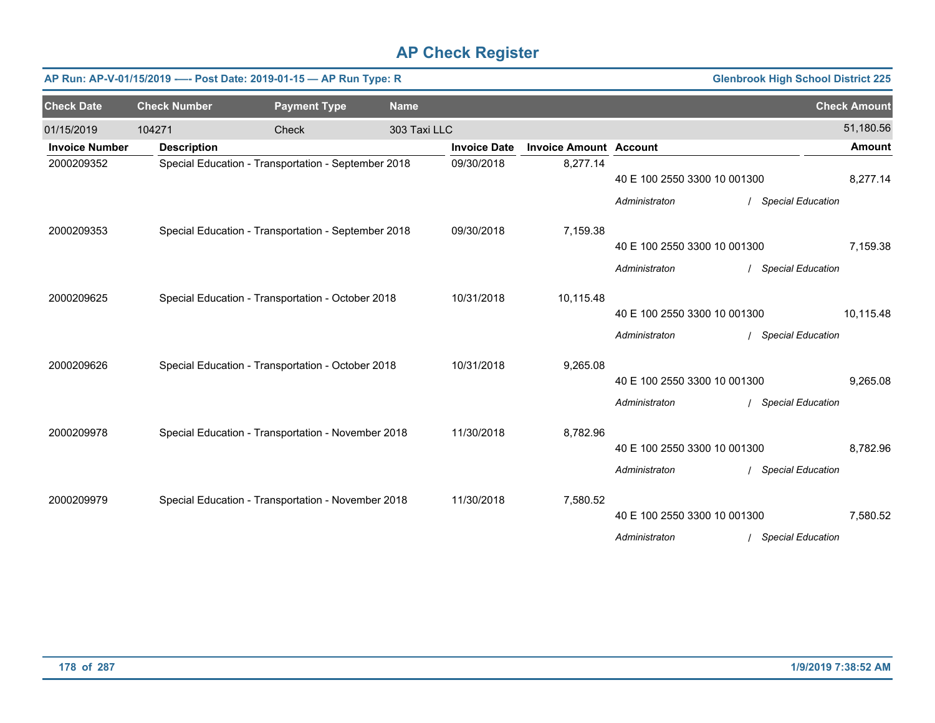| <b>Glenbrook High School District 225</b><br>AP Run: AP-V-01/15/2019 ---- Post Date: 2019-01-15 - AP Run Type: R |                                                     |                                                     |              |                     |                               |                              |                          |                     |
|------------------------------------------------------------------------------------------------------------------|-----------------------------------------------------|-----------------------------------------------------|--------------|---------------------|-------------------------------|------------------------------|--------------------------|---------------------|
| <b>Check Date</b>                                                                                                | <b>Check Number</b>                                 | <b>Payment Type</b>                                 | <b>Name</b>  |                     |                               |                              |                          | <b>Check Amount</b> |
| 01/15/2019                                                                                                       | 104271                                              | Check                                               | 303 Taxi LLC |                     |                               |                              |                          | 51,180.56           |
| <b>Invoice Number</b>                                                                                            | <b>Description</b>                                  |                                                     |              | <b>Invoice Date</b> | <b>Invoice Amount Account</b> |                              |                          | <b>Amount</b>       |
| 2000209352                                                                                                       |                                                     | Special Education - Transportation - September 2018 |              | 09/30/2018          | 8,277.14                      | 40 E 100 2550 3300 10 001300 |                          | 8,277.14            |
|                                                                                                                  |                                                     |                                                     |              |                     |                               | Administraton                | <b>Special Education</b> |                     |
| 2000209353                                                                                                       | Special Education - Transportation - September 2018 |                                                     |              | 09/30/2018          | 7,159.38                      |                              |                          |                     |
|                                                                                                                  |                                                     |                                                     |              |                     |                               | 40 E 100 2550 3300 10 001300 |                          | 7,159.38            |
|                                                                                                                  |                                                     |                                                     |              |                     |                               | Administraton                | <b>Special Education</b> |                     |
| 2000209625                                                                                                       | Special Education - Transportation - October 2018   |                                                     |              | 10/31/2018          | 10,115.48                     |                              |                          |                     |
|                                                                                                                  |                                                     |                                                     |              |                     |                               | 40 E 100 2550 3300 10 001300 |                          | 10.115.48           |
|                                                                                                                  |                                                     |                                                     |              |                     |                               | Administraton                | <b>Special Education</b> |                     |
| 2000209626                                                                                                       |                                                     | Special Education - Transportation - October 2018   |              | 10/31/2018          | 9,265.08                      |                              |                          |                     |
|                                                                                                                  |                                                     |                                                     |              |                     |                               | 40 E 100 2550 3300 10 001300 |                          | 9,265.08            |
|                                                                                                                  |                                                     |                                                     |              |                     |                               | Administraton                | <b>Special Education</b> |                     |
| 2000209978                                                                                                       |                                                     | Special Education - Transportation - November 2018  |              | 11/30/2018          | 8,782.96                      |                              |                          |                     |
|                                                                                                                  |                                                     |                                                     |              |                     |                               | 40 E 100 2550 3300 10 001300 |                          | 8,782.96            |
|                                                                                                                  |                                                     |                                                     |              |                     |                               | Administraton                | <b>Special Education</b> |                     |
| 2000209979                                                                                                       |                                                     | Special Education - Transportation - November 2018  |              | 11/30/2018          | 7,580.52                      |                              |                          |                     |
|                                                                                                                  |                                                     |                                                     |              |                     |                               | 40 E 100 2550 3300 10 001300 |                          | 7,580.52            |
|                                                                                                                  |                                                     |                                                     |              |                     |                               | Administraton                | <b>Special Education</b> |                     |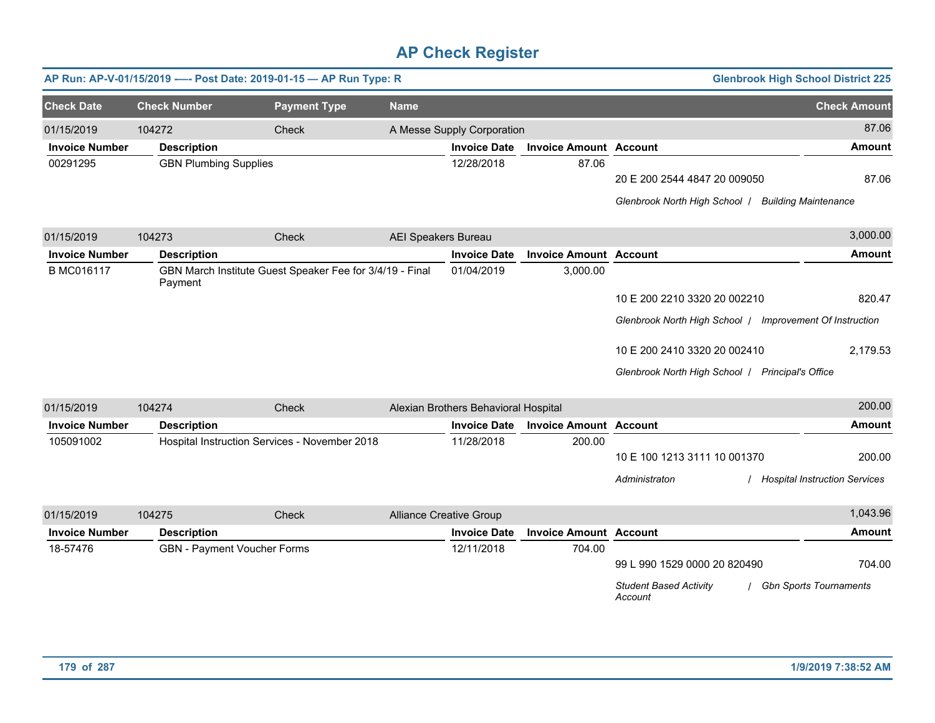|                       |                              | AP Run: AP-V-01/15/2019 ---- Post Date: 2019-01-15 - AP Run Type: R |                            |                                      |                               |                                                          | <b>Glenbrook High School District 225</b> |
|-----------------------|------------------------------|---------------------------------------------------------------------|----------------------------|--------------------------------------|-------------------------------|----------------------------------------------------------|-------------------------------------------|
| <b>Check Date</b>     | <b>Check Number</b>          | <b>Payment Type</b>                                                 | <b>Name</b>                |                                      |                               |                                                          | <b>Check Amount</b>                       |
| 01/15/2019            | 104272                       | Check                                                               |                            | A Messe Supply Corporation           |                               |                                                          | 87.06                                     |
| <b>Invoice Number</b> | <b>Description</b>           |                                                                     |                            | <b>Invoice Date</b>                  | <b>Invoice Amount Account</b> |                                                          | <b>Amount</b>                             |
| 00291295              | <b>GBN Plumbing Supplies</b> |                                                                     |                            | 12/28/2018                           | 87.06                         |                                                          |                                           |
|                       |                              |                                                                     |                            |                                      |                               | 20 E 200 2544 4847 20 009050                             | 87.06                                     |
|                       |                              |                                                                     |                            |                                      |                               | Glenbrook North High School   Building Maintenance       |                                           |
| 01/15/2019            | 104273                       | Check                                                               | <b>AEI Speakers Bureau</b> |                                      |                               |                                                          | 3,000.00                                  |
| <b>Invoice Number</b> | <b>Description</b>           |                                                                     |                            | <b>Invoice Date</b>                  | <b>Invoice Amount Account</b> |                                                          | <b>Amount</b>                             |
| B MC016117            | Payment                      | GBN March Institute Guest Speaker Fee for 3/4/19 - Final            |                            | 01/04/2019                           | 3,000.00                      |                                                          |                                           |
|                       |                              |                                                                     |                            |                                      |                               | 10 E 200 2210 3320 20 002210                             | 820.47                                    |
|                       |                              |                                                                     |                            |                                      |                               | Glenbrook North High School   Improvement Of Instruction |                                           |
|                       |                              |                                                                     |                            |                                      |                               | 10 E 200 2410 3320 20 002410                             | 2,179.53                                  |
|                       |                              |                                                                     |                            |                                      |                               | Glenbrook North High School   Principal's Office         |                                           |
| 01/15/2019            | 104274                       | Check                                                               |                            | Alexian Brothers Behavioral Hospital |                               |                                                          | 200.00                                    |
| <b>Invoice Number</b> | <b>Description</b>           |                                                                     |                            | <b>Invoice Date</b>                  | <b>Invoice Amount Account</b> |                                                          | <b>Amount</b>                             |
| 105091002             |                              | Hospital Instruction Services - November 2018                       |                            | 11/28/2018                           | 200.00                        |                                                          |                                           |
|                       |                              |                                                                     |                            |                                      |                               | 10 E 100 1213 3111 10 001370                             | 200.00                                    |
|                       |                              |                                                                     |                            |                                      |                               | Administraton                                            | / Hospital Instruction Services           |
| 01/15/2019            | 104275                       | Check                                                               |                            | <b>Alliance Creative Group</b>       |                               |                                                          | 1,043.96                                  |
| <b>Invoice Number</b> | <b>Description</b>           |                                                                     |                            | <b>Invoice Date</b>                  | <b>Invoice Amount Account</b> |                                                          | <b>Amount</b>                             |
| 18-57476              | GBN - Payment Voucher Forms  |                                                                     |                            | 12/11/2018                           | 704.00                        | 99 L 990 1529 0000 20 820490                             | 704.00                                    |
|                       |                              |                                                                     |                            |                                      |                               |                                                          |                                           |

*Student Based Activity Account* / *Gbn Sports Tournaments*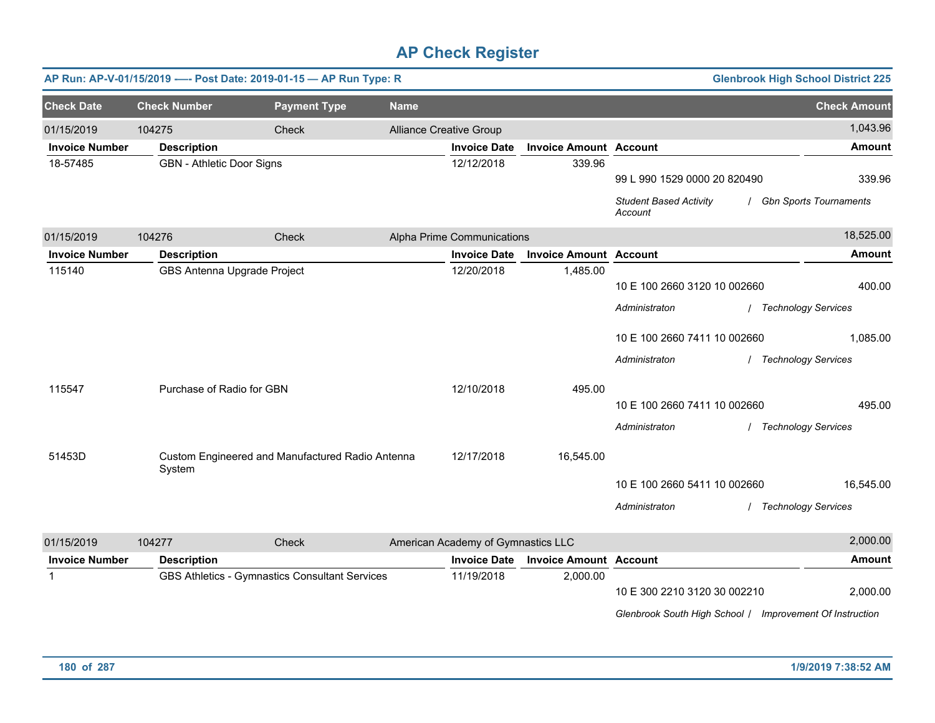|                       |                             | AP Run: AP-V-01/15/2019 ---- Post Date: 2019-01-15 - AP Run Type: R |             |                                    |                               |                                                          | <b>Glenbrook High School District 225</b> |
|-----------------------|-----------------------------|---------------------------------------------------------------------|-------------|------------------------------------|-------------------------------|----------------------------------------------------------|-------------------------------------------|
| <b>Check Date</b>     | <b>Check Number</b>         | <b>Payment Type</b>                                                 | <b>Name</b> |                                    |                               |                                                          | <b>Check Amount</b>                       |
| 01/15/2019            | 104275                      | Check                                                               |             | <b>Alliance Creative Group</b>     |                               |                                                          | 1,043.96                                  |
| <b>Invoice Number</b> | <b>Description</b>          |                                                                     |             | <b>Invoice Date</b>                | <b>Invoice Amount Account</b> |                                                          | <b>Amount</b>                             |
| 18-57485              | GBN - Athletic Door Signs   |                                                                     |             | 12/12/2018                         | 339.96                        | 99 L 990 1529 0000 20 820490                             | 339.96                                    |
|                       |                             |                                                                     |             |                                    |                               | <b>Student Based Activity</b><br>Account                 | / Gbn Sports Tournaments                  |
| 01/15/2019            | 104276                      | Check                                                               |             | Alpha Prime Communications         |                               |                                                          | 18,525.00                                 |
| <b>Invoice Number</b> | <b>Description</b>          |                                                                     |             | <b>Invoice Date</b>                | <b>Invoice Amount Account</b> |                                                          | <b>Amount</b>                             |
| 115140                | GBS Antenna Upgrade Project |                                                                     |             | 12/20/2018                         | 1,485.00                      | 10 E 100 2660 3120 10 002660                             | 400.00                                    |
|                       |                             |                                                                     |             |                                    |                               | Administraton                                            | / Technology Services                     |
|                       |                             |                                                                     |             |                                    |                               | 10 E 100 2660 7411 10 002660                             | 1,085.00                                  |
|                       |                             |                                                                     |             |                                    |                               | Administraton                                            | / Technology Services                     |
| 115547                | Purchase of Radio for GBN   |                                                                     |             | 12/10/2018                         | 495.00                        |                                                          |                                           |
|                       |                             |                                                                     |             |                                    |                               | 10 E 100 2660 7411 10 002660                             | 495.00                                    |
|                       |                             |                                                                     |             |                                    |                               | Administraton                                            | / Technology Services                     |
| 51453D                | System                      | Custom Engineered and Manufactured Radio Antenna                    |             | 12/17/2018                         | 16,545.00                     |                                                          |                                           |
|                       |                             |                                                                     |             |                                    |                               | 10 E 100 2660 5411 10 002660                             | 16,545.00                                 |
|                       |                             |                                                                     |             |                                    |                               | Administraton                                            | / Technology Services                     |
| 01/15/2019            | 104277                      | Check                                                               |             | American Academy of Gymnastics LLC |                               |                                                          | 2,000.00                                  |
| <b>Invoice Number</b> | <b>Description</b>          |                                                                     |             | <b>Invoice Date</b>                | <b>Invoice Amount Account</b> |                                                          | <b>Amount</b>                             |
| $\mathbf{1}$          |                             | GBS Athletics - Gymnastics Consultant Services                      |             | 11/19/2018                         | 2,000.00                      | 10 E 300 2210 3120 30 002210                             | 2,000.00                                  |
|                       |                             |                                                                     |             |                                    |                               | Glenbrook South High School / Improvement Of Instruction |                                           |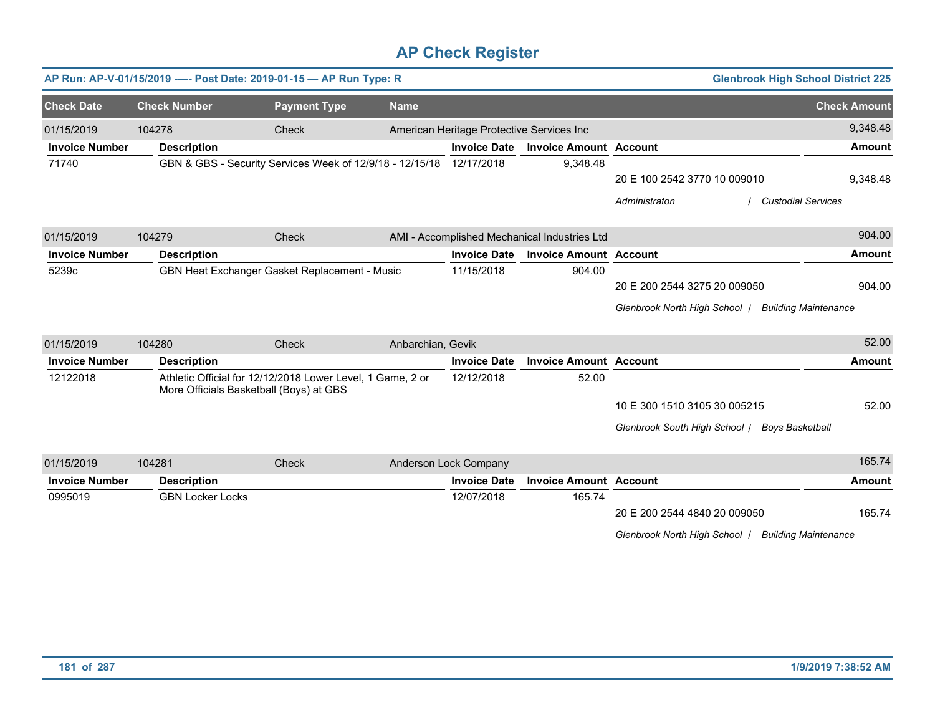|                       |                         | AP Run: AP-V-01/15/2019 ---- Post Date: 2019-01-15 - AP Run Type: R                                   |                   |                                           |                                              | <b>Glenbrook High School District 225</b>          |                     |
|-----------------------|-------------------------|-------------------------------------------------------------------------------------------------------|-------------------|-------------------------------------------|----------------------------------------------|----------------------------------------------------|---------------------|
| <b>Check Date</b>     | <b>Check Number</b>     | <b>Payment Type</b>                                                                                   | <b>Name</b>       |                                           |                                              |                                                    | <b>Check Amount</b> |
| 01/15/2019            | 104278                  | Check                                                                                                 |                   | American Heritage Protective Services Inc |                                              |                                                    | 9,348.48            |
| <b>Invoice Number</b> | <b>Description</b>      |                                                                                                       |                   | <b>Invoice Date</b>                       | <b>Invoice Amount Account</b>                |                                                    | <b>Amount</b>       |
| 71740                 |                         | GBN & GBS - Security Services Week of 12/9/18 - 12/15/18 12/17/2018                                   |                   |                                           | 9,348.48                                     |                                                    |                     |
|                       |                         |                                                                                                       |                   |                                           |                                              | 20 E 100 2542 3770 10 009010                       | 9,348.48            |
|                       |                         |                                                                                                       |                   |                                           |                                              | Administraton<br><b>Custodial Services</b>         |                     |
| 01/15/2019            | 104279                  | Check                                                                                                 |                   |                                           | AMI - Accomplished Mechanical Industries Ltd |                                                    | 904.00              |
| <b>Invoice Number</b> | <b>Description</b>      |                                                                                                       |                   | <b>Invoice Date</b>                       | <b>Invoice Amount Account</b>                |                                                    | <b>Amount</b>       |
| 5239c                 |                         | GBN Heat Exchanger Gasket Replacement - Music                                                         |                   | 11/15/2018                                | 904.00                                       |                                                    |                     |
|                       |                         |                                                                                                       |                   |                                           |                                              | 20 E 200 2544 3275 20 009050                       | 904.00              |
|                       |                         |                                                                                                       |                   |                                           |                                              | Glenbrook North High School   Building Maintenance |                     |
| 01/15/2019            | 104280                  | Check                                                                                                 | Anbarchian, Gevik |                                           |                                              |                                                    | 52.00               |
| <b>Invoice Number</b> | <b>Description</b>      |                                                                                                       |                   | <b>Invoice Date</b>                       | <b>Invoice Amount Account</b>                |                                                    | Amount              |
| 12122018              |                         | Athletic Official for 12/12/2018 Lower Level, 1 Game, 2 or<br>More Officials Basketball (Boys) at GBS |                   | 12/12/2018                                | 52.00                                        |                                                    |                     |
|                       |                         |                                                                                                       |                   |                                           |                                              | 10 E 300 1510 3105 30 005215                       | 52.00               |
|                       |                         |                                                                                                       |                   |                                           |                                              | Glenbrook South High School   Boys Basketball      |                     |
| 01/15/2019            | 104281                  | Check                                                                                                 |                   | Anderson Lock Company                     |                                              |                                                    | 165.74              |
| <b>Invoice Number</b> | <b>Description</b>      |                                                                                                       |                   | <b>Invoice Date</b>                       | <b>Invoice Amount Account</b>                |                                                    | <b>Amount</b>       |
| 0995019               | <b>GBN Locker Locks</b> |                                                                                                       |                   | 12/07/2018                                | 165.74                                       |                                                    |                     |
|                       |                         |                                                                                                       |                   |                                           |                                              | 20 E 200 2544 4840 20 009050                       | 165.74              |
|                       |                         |                                                                                                       |                   |                                           |                                              | Glenbrook North High School   Building Maintenance |                     |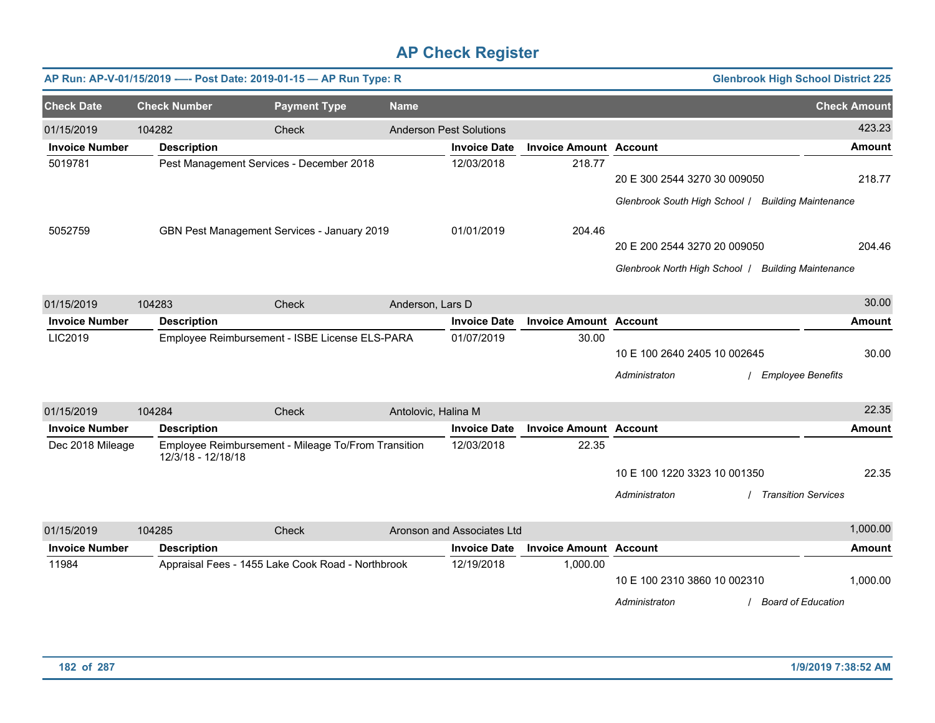|                       |                     | AP Run: AP-V-01/15/2019 ---- Post Date: 2019-01-15 - AP Run Type: R |                     |                                |                               |                                                    | <b>Glenbrook High School District 225</b> |                     |
|-----------------------|---------------------|---------------------------------------------------------------------|---------------------|--------------------------------|-------------------------------|----------------------------------------------------|-------------------------------------------|---------------------|
| <b>Check Date</b>     | <b>Check Number</b> | <b>Payment Type</b>                                                 | <b>Name</b>         |                                |                               |                                                    |                                           | <b>Check Amount</b> |
| 01/15/2019            | 104282              | Check                                                               |                     | <b>Anderson Pest Solutions</b> |                               |                                                    |                                           | 423.23              |
| <b>Invoice Number</b> | <b>Description</b>  |                                                                     |                     | <b>Invoice Date</b>            | <b>Invoice Amount Account</b> |                                                    |                                           | <b>Amount</b>       |
| 5019781               |                     | Pest Management Services - December 2018                            |                     | 12/03/2018                     | 218.77                        | 20 E 300 2544 3270 30 009050                       |                                           | 218.77              |
|                       |                     |                                                                     |                     |                                |                               | Glenbrook South High School / Building Maintenance |                                           |                     |
| 5052759               |                     | GBN Pest Management Services - January 2019                         |                     | 01/01/2019                     | 204.46                        |                                                    |                                           |                     |
|                       |                     |                                                                     |                     |                                |                               | 20 E 200 2544 3270 20 009050                       |                                           | 204.46              |
|                       |                     |                                                                     |                     |                                |                               | Glenbrook North High School   Building Maintenance |                                           |                     |
| 01/15/2019            | 104283              | Check                                                               | Anderson, Lars D    |                                |                               |                                                    |                                           | 30.00               |
| <b>Invoice Number</b> | <b>Description</b>  |                                                                     |                     | <b>Invoice Date</b>            | <b>Invoice Amount</b>         | <b>Account</b>                                     |                                           | <b>Amount</b>       |
| LIC2019               |                     | Employee Reimbursement - ISBE License ELS-PARA                      |                     | 01/07/2019                     | 30.00                         | 10 E 100 2640 2405 10 002645                       |                                           | 30.00               |
|                       |                     |                                                                     |                     |                                |                               | Administraton                                      | <b>Employee Benefits</b>                  |                     |
| 01/15/2019            | 104284              | Check                                                               | Antolovic, Halina M |                                |                               |                                                    |                                           | 22.35               |
| <b>Invoice Number</b> | <b>Description</b>  |                                                                     |                     | <b>Invoice Date</b>            | <b>Invoice Amount Account</b> |                                                    |                                           | <b>Amount</b>       |
| Dec 2018 Mileage      | 12/3/18 - 12/18/18  | Employee Reimbursement - Mileage To/From Transition                 |                     | 12/03/2018                     | 22.35                         |                                                    |                                           |                     |
|                       |                     |                                                                     |                     |                                |                               | 10 E 100 1220 3323 10 001350                       |                                           | 22.35               |
|                       |                     |                                                                     |                     |                                |                               | Administraton                                      | <b>Transition Services</b>                |                     |
| 01/15/2019            | 104285              | Check                                                               |                     | Aronson and Associates Ltd     |                               |                                                    |                                           | 1,000.00            |
| <b>Invoice Number</b> | <b>Description</b>  |                                                                     |                     | <b>Invoice Date</b>            | <b>Invoice Amount</b>         | <b>Account</b>                                     |                                           | Amount              |
| 11984                 |                     | Appraisal Fees - 1455 Lake Cook Road - Northbrook                   |                     | 12/19/2018                     | 1,000.00                      | 10 E 100 2310 3860 10 002310                       |                                           | 1,000.00            |
|                       |                     |                                                                     |                     |                                |                               | Administraton                                      | / Board of Education                      |                     |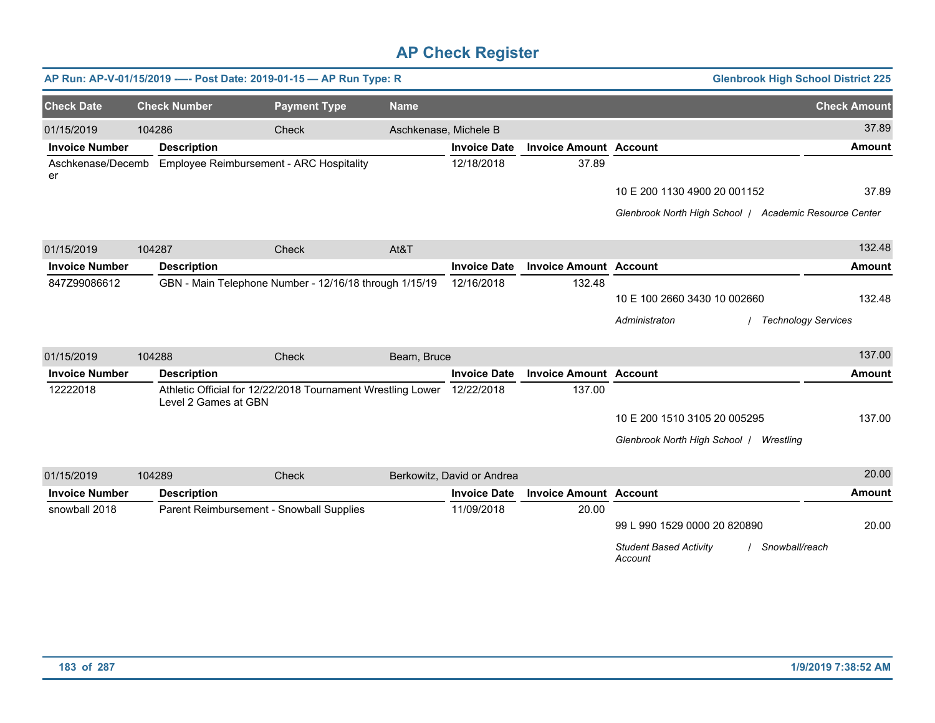|                         |                      | AP Run: AP-V-01/15/2019 ---- Post Date: 2019-01-15 - AP Run Type: R |                       |                            |                               | <b>Glenbrook High School District 225</b>                  |                     |
|-------------------------|----------------------|---------------------------------------------------------------------|-----------------------|----------------------------|-------------------------------|------------------------------------------------------------|---------------------|
| <b>Check Date</b>       | <b>Check Number</b>  | <b>Payment Type</b>                                                 | <b>Name</b>           |                            |                               |                                                            | <b>Check Amount</b> |
| 01/15/2019              | 104286               | Check                                                               | Aschkenase, Michele B |                            |                               |                                                            | 37.89               |
| <b>Invoice Number</b>   | <b>Description</b>   |                                                                     |                       | <b>Invoice Date</b>        | <b>Invoice Amount Account</b> |                                                            | <b>Amount</b>       |
| Aschkenase/Decemb<br>er |                      | <b>Employee Reimbursement - ARC Hospitality</b>                     |                       | 12/18/2018                 | 37.89                         |                                                            |                     |
|                         |                      |                                                                     |                       |                            |                               | 10 E 200 1130 4900 20 001152                               | 37.89               |
|                         |                      |                                                                     |                       |                            |                               | Glenbrook North High School / Academic Resource Center     |                     |
| 01/15/2019              | 104287               | Check                                                               | At&T                  |                            |                               |                                                            | 132.48              |
| <b>Invoice Number</b>   | <b>Description</b>   |                                                                     |                       | <b>Invoice Date</b>        | <b>Invoice Amount Account</b> |                                                            | <b>Amount</b>       |
| 847Z99086612            |                      | GBN - Main Telephone Number - 12/16/18 through 1/15/19              |                       | 12/16/2018                 | 132.48                        |                                                            |                     |
|                         |                      |                                                                     |                       |                            |                               | 10 E 100 2660 3430 10 002660                               | 132.48              |
|                         |                      |                                                                     |                       |                            |                               | <b>Technology Services</b><br>Administraton                |                     |
| 01/15/2019              | 104288               | Check                                                               | Beam, Bruce           |                            |                               |                                                            | 137.00              |
| <b>Invoice Number</b>   | <b>Description</b>   |                                                                     |                       | <b>Invoice Date</b>        | <b>Invoice Amount Account</b> |                                                            | <b>Amount</b>       |
| 12222018                | Level 2 Games at GBN | Athletic Official for 12/22/2018 Tournament Wrestling Lower         |                       | 12/22/2018                 | 137.00                        |                                                            |                     |
|                         |                      |                                                                     |                       |                            |                               | 10 E 200 1510 3105 20 005295                               | 137.00              |
|                         |                      |                                                                     |                       |                            |                               | Glenbrook North High School   Wrestling                    |                     |
| 01/15/2019              | 104289               | Check                                                               |                       | Berkowitz, David or Andrea |                               |                                                            | 20.00               |
| <b>Invoice Number</b>   | <b>Description</b>   |                                                                     |                       | <b>Invoice Date</b>        | <b>Invoice Amount Account</b> |                                                            | <b>Amount</b>       |
| snowball 2018           |                      | Parent Reimbursement - Snowball Supplies                            |                       | 11/09/2018                 | 20.00                         |                                                            |                     |
|                         |                      |                                                                     |                       |                            |                               | 99 L 990 1529 0000 20 820890                               | 20.00               |
|                         |                      |                                                                     |                       |                            |                               | <b>Student Based Activity</b><br>Snowball/reach<br>Account |                     |
|                         |                      |                                                                     |                       |                            |                               |                                                            |                     |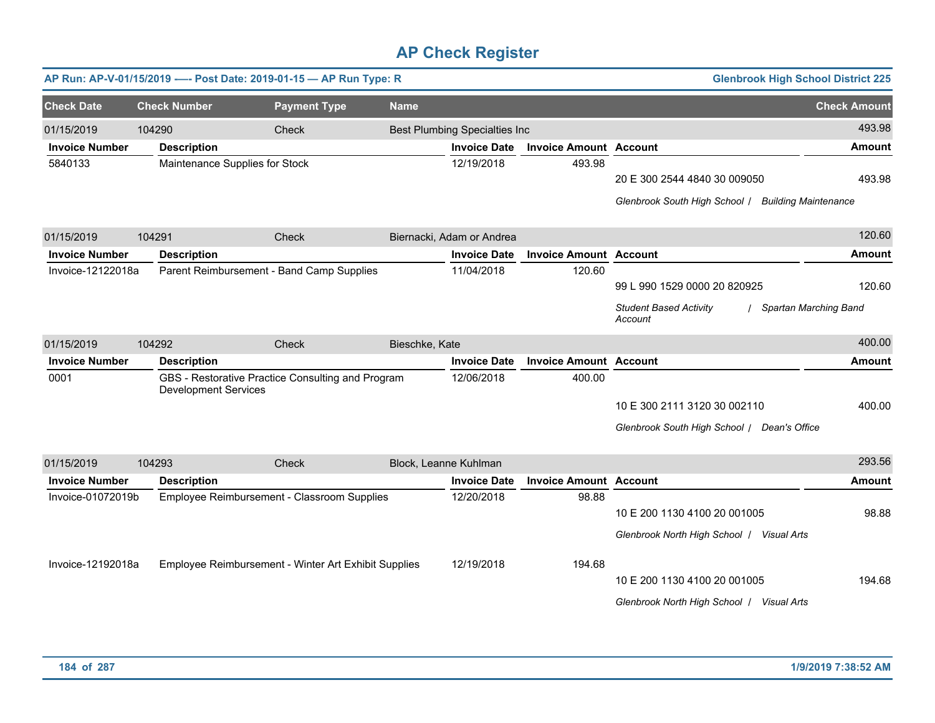|                       | AP Run: AP-V-01/15/2019 ---- Post Date: 2019-01-15 - AP Run Type: R |                                                      |                |                                      |                               |                                                    | <b>Glenbrook High School District 225</b> |
|-----------------------|---------------------------------------------------------------------|------------------------------------------------------|----------------|--------------------------------------|-------------------------------|----------------------------------------------------|-------------------------------------------|
| <b>Check Date</b>     | <b>Check Number</b>                                                 | <b>Payment Type</b>                                  | <b>Name</b>    |                                      |                               |                                                    | <b>Check Amount</b>                       |
| 01/15/2019            | 104290                                                              | <b>Check</b>                                         |                | <b>Best Plumbing Specialties Inc</b> |                               |                                                    | 493.98                                    |
| <b>Invoice Number</b> | <b>Description</b>                                                  |                                                      |                | <b>Invoice Date</b>                  | <b>Invoice Amount Account</b> |                                                    | <b>Amount</b>                             |
| 5840133               | Maintenance Supplies for Stock                                      |                                                      |                | 12/19/2018                           | 493.98                        | 20 E 300 2544 4840 30 009050                       | 493.98                                    |
|                       |                                                                     |                                                      |                |                                      |                               | Glenbrook South High School / Building Maintenance |                                           |
| 01/15/2019            | 104291                                                              | Check                                                |                | Biernacki, Adam or Andrea            |                               |                                                    | 120.60                                    |
| <b>Invoice Number</b> | <b>Description</b>                                                  |                                                      |                | <b>Invoice Date</b>                  | <b>Invoice Amount Account</b> |                                                    | <b>Amount</b>                             |
| Invoice-12122018a     |                                                                     | Parent Reimbursement - Band Camp Supplies            |                | 11/04/2018                           | 120.60                        | 99 L 990 1529 0000 20 820925                       | 120.60                                    |
|                       |                                                                     |                                                      |                |                                      |                               | <b>Student Based Activity</b><br>Account           | Spartan Marching Band                     |
| 01/15/2019            | 104292                                                              | Check                                                | Bieschke, Kate |                                      |                               |                                                    | 400.00                                    |
| <b>Invoice Number</b> | <b>Description</b>                                                  |                                                      |                | <b>Invoice Date</b>                  | <b>Invoice Amount Account</b> |                                                    | <b>Amount</b>                             |
| 0001                  | <b>Development Services</b>                                         | GBS - Restorative Practice Consulting and Program    |                | 12/06/2018                           | 400.00                        |                                                    |                                           |
|                       |                                                                     |                                                      |                |                                      |                               | 10 E 300 2111 3120 30 002110                       | 400.00                                    |
|                       |                                                                     |                                                      |                |                                      |                               | Glenbrook South High School / Dean's Office        |                                           |
| 01/15/2019            | 104293                                                              | Check                                                |                | Block, Leanne Kuhlman                |                               |                                                    | 293.56                                    |
| <b>Invoice Number</b> | <b>Description</b>                                                  |                                                      |                | <b>Invoice Date</b>                  | <b>Invoice Amount Account</b> |                                                    | <b>Amount</b>                             |
| Invoice-01072019b     |                                                                     | Employee Reimbursement - Classroom Supplies          |                | 12/20/2018                           | 98.88                         | 10 E 200 1130 4100 20 001005                       | 98.88                                     |
| Invoice-12192018a     |                                                                     | Employee Reimbursement - Winter Art Exhibit Supplies |                | 12/19/2018                           | 194.68                        | Glenbrook North High School   Visual Arts          |                                           |
|                       |                                                                     |                                                      |                |                                      |                               | 10 E 200 1130 4100 20 001005                       | 194.68                                    |
|                       |                                                                     |                                                      |                |                                      |                               | Glenbrook North High School / Visual Arts          |                                           |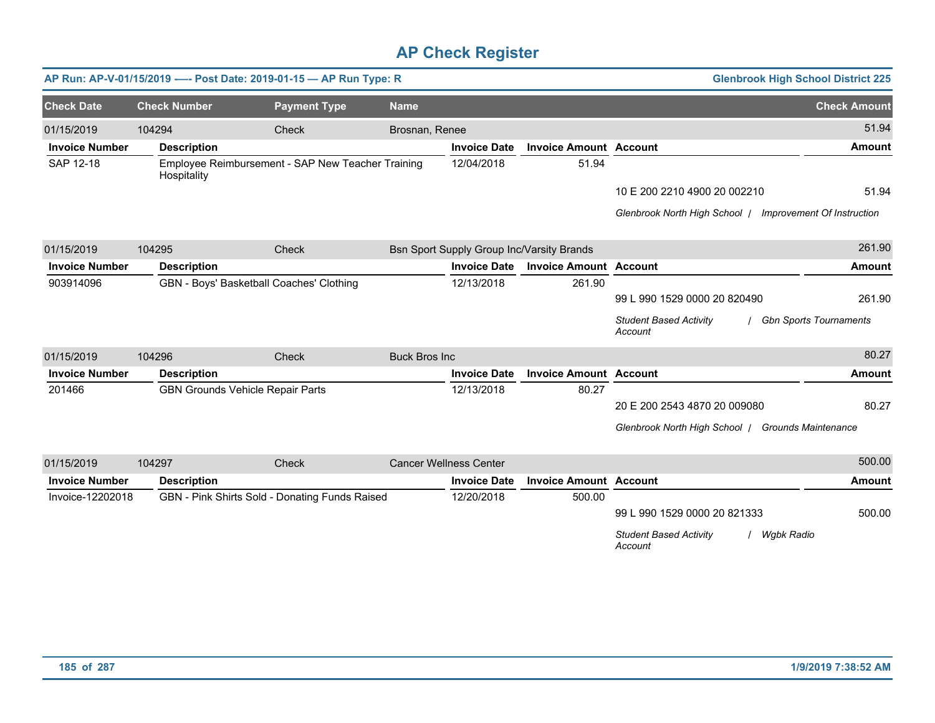|                       |                     | AP Run: AP-V-01/15/2019 ---- Post Date: 2019-01-15 - AP Run Type: R |                      |                               |                                           | <b>Glenbrook High School District 225</b>              |                                   |
|-----------------------|---------------------|---------------------------------------------------------------------|----------------------|-------------------------------|-------------------------------------------|--------------------------------------------------------|-----------------------------------|
| <b>Check Date</b>     | <b>Check Number</b> | <b>Payment Type</b>                                                 | <b>Name</b>          |                               |                                           |                                                        | <b>Check Amount</b>               |
| 01/15/2019            | 104294              | Check                                                               | Brosnan, Renee       |                               |                                           |                                                        | 51.94                             |
| <b>Invoice Number</b> | <b>Description</b>  |                                                                     |                      | <b>Invoice Date</b>           | <b>Invoice Amount Account</b>             |                                                        | <b>Amount</b>                     |
| SAP 12-18             | Hospitality         | Employee Reimbursement - SAP New Teacher Training                   |                      | 12/04/2018                    | 51.94                                     |                                                        |                                   |
|                       |                     |                                                                     |                      |                               |                                           | 10 E 200 2210 4900 20 002210                           | 51.94                             |
|                       |                     |                                                                     |                      |                               |                                           | Glenbrook North High School /                          | <b>Improvement Of Instruction</b> |
| 01/15/2019            | 104295              | Check                                                               |                      |                               | Bsn Sport Supply Group Inc/Varsity Brands |                                                        | 261.90                            |
| <b>Invoice Number</b> | <b>Description</b>  |                                                                     |                      | <b>Invoice Date</b>           | <b>Invoice Amount Account</b>             |                                                        | <b>Amount</b>                     |
| 903914096             |                     | GBN - Boys' Basketball Coaches' Clothing                            |                      | 12/13/2018                    | 261.90                                    |                                                        |                                   |
|                       |                     |                                                                     |                      |                               |                                           | 99 L 990 1529 0000 20 820490                           | 261.90                            |
|                       |                     |                                                                     |                      |                               |                                           | <b>Student Based Activity</b><br>Account               | / Gbn Sports Tournaments          |
| 01/15/2019            | 104296              | Check                                                               | <b>Buck Bros Inc</b> |                               |                                           |                                                        | 80.27                             |
| <b>Invoice Number</b> | <b>Description</b>  |                                                                     |                      | <b>Invoice Date</b>           | <b>Invoice Amount Account</b>             |                                                        | <b>Amount</b>                     |
| 201466                |                     | <b>GBN Grounds Vehicle Repair Parts</b>                             |                      | 12/13/2018                    | 80.27                                     |                                                        |                                   |
|                       |                     |                                                                     |                      |                               |                                           | 20 E 200 2543 4870 20 009080                           | 80.27                             |
|                       |                     |                                                                     |                      |                               |                                           | Glenbrook North High School   Grounds Maintenance      |                                   |
| 01/15/2019            | 104297              | Check                                                               |                      | <b>Cancer Wellness Center</b> |                                           |                                                        | 500.00                            |
| <b>Invoice Number</b> | <b>Description</b>  |                                                                     |                      | <b>Invoice Date</b>           | <b>Invoice Amount Account</b>             |                                                        | <b>Amount</b>                     |
| Invoice-12202018      |                     | GBN - Pink Shirts Sold - Donating Funds Raised                      |                      | 12/20/2018                    | 500.00                                    |                                                        |                                   |
|                       |                     |                                                                     |                      |                               |                                           | 99 L 990 1529 0000 20 821333                           | 500.00                            |
|                       |                     |                                                                     |                      |                               |                                           | <b>Student Based Activity</b><br>Wgbk Radio<br>Account |                                   |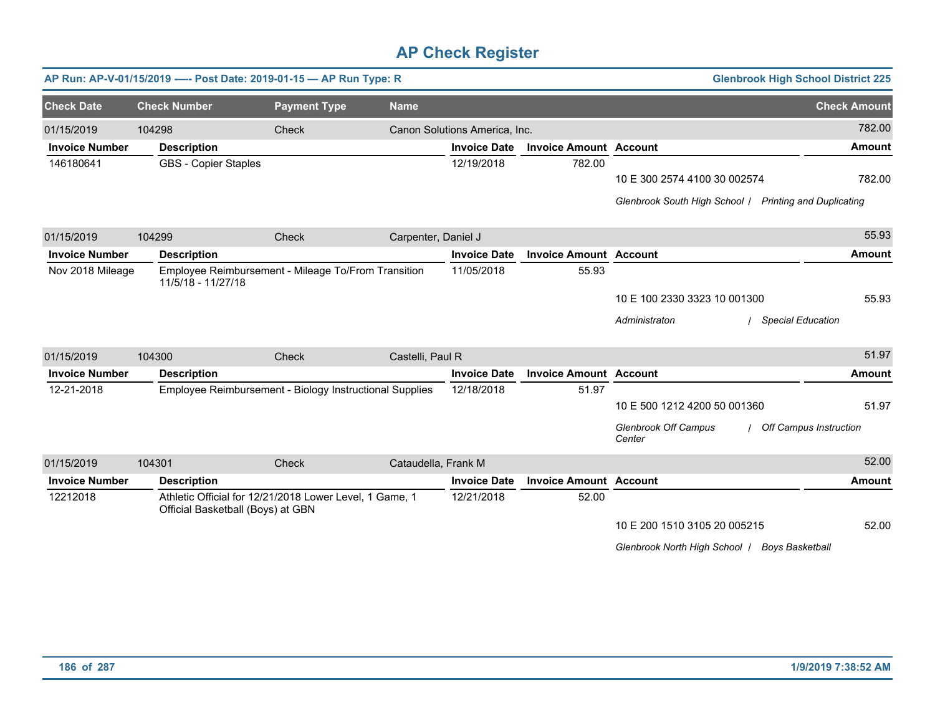|                       | AP Run: AP-V-01/15/2019 ---- Post Date: 2019-01-15 - AP Run Type: R |                                                         |                     |                               |                               |                                                        | <b>Glenbrook High School District 225</b> |
|-----------------------|---------------------------------------------------------------------|---------------------------------------------------------|---------------------|-------------------------------|-------------------------------|--------------------------------------------------------|-------------------------------------------|
| <b>Check Date</b>     | <b>Check Number</b>                                                 | <b>Payment Type</b>                                     | <b>Name</b>         |                               |                               |                                                        | <b>Check Amount</b>                       |
| 01/15/2019            | 104298                                                              | <b>Check</b>                                            |                     | Canon Solutions America, Inc. |                               |                                                        | 782.00                                    |
| <b>Invoice Number</b> | <b>Description</b>                                                  |                                                         |                     | <b>Invoice Date</b>           | <b>Invoice Amount Account</b> |                                                        | <b>Amount</b>                             |
| 146180641             | <b>GBS - Copier Staples</b>                                         |                                                         |                     | 12/19/2018                    | 782.00                        | 10 E 300 2574 4100 30 002574                           | 782.00                                    |
|                       |                                                                     |                                                         |                     |                               |                               |                                                        |                                           |
|                       |                                                                     |                                                         |                     |                               |                               | Glenbrook South High School / Printing and Duplicating |                                           |
| 01/15/2019            | 104299                                                              | Check                                                   | Carpenter, Daniel J |                               |                               |                                                        | 55.93                                     |
| <b>Invoice Number</b> | <b>Description</b>                                                  |                                                         |                     | <b>Invoice Date</b>           | <b>Invoice Amount Account</b> |                                                        | <b>Amount</b>                             |
| Nov 2018 Mileage      | 11/5/18 - 11/27/18                                                  | Employee Reimbursement - Mileage To/From Transition     |                     | 11/05/2018                    | 55.93                         |                                                        |                                           |
|                       |                                                                     |                                                         |                     |                               |                               | 10 E 100 2330 3323 10 001300                           | 55.93                                     |
|                       |                                                                     |                                                         |                     |                               |                               | Administraton                                          | <b>Special Education</b>                  |
| 01/15/2019            | 104300                                                              | Check                                                   | Castelli, Paul R    |                               |                               |                                                        | 51.97                                     |
| <b>Invoice Number</b> | <b>Description</b>                                                  |                                                         |                     | <b>Invoice Date</b>           | <b>Invoice Amount Account</b> |                                                        | <b>Amount</b>                             |
| 12-21-2018            |                                                                     | Employee Reimbursement - Biology Instructional Supplies |                     | 12/18/2018                    | 51.97                         |                                                        |                                           |
|                       |                                                                     |                                                         |                     |                               |                               | 10 E 500 1212 4200 50 001360                           | 51.97                                     |
|                       |                                                                     |                                                         |                     |                               |                               | <b>Glenbrook Off Campus</b><br>Center                  | Off Campus Instruction                    |
| 01/15/2019            | 104301                                                              | Check                                                   | Cataudella, Frank M |                               |                               |                                                        | 52.00                                     |
| <b>Invoice Number</b> | <b>Description</b>                                                  |                                                         |                     | <b>Invoice Date</b>           | <b>Invoice Amount Account</b> |                                                        | <b>Amount</b>                             |
| 12212018              | Official Basketball (Boys) at GBN                                   | Athletic Official for 12/21/2018 Lower Level, 1 Game, 1 |                     | 12/21/2018                    | 52.00                         |                                                        |                                           |
|                       |                                                                     |                                                         |                     |                               |                               | 10 E 200 1510 3105 20 005215                           | 52.00                                     |
|                       |                                                                     |                                                         |                     |                               |                               | Glenbrook North High School   Boys Basketball          |                                           |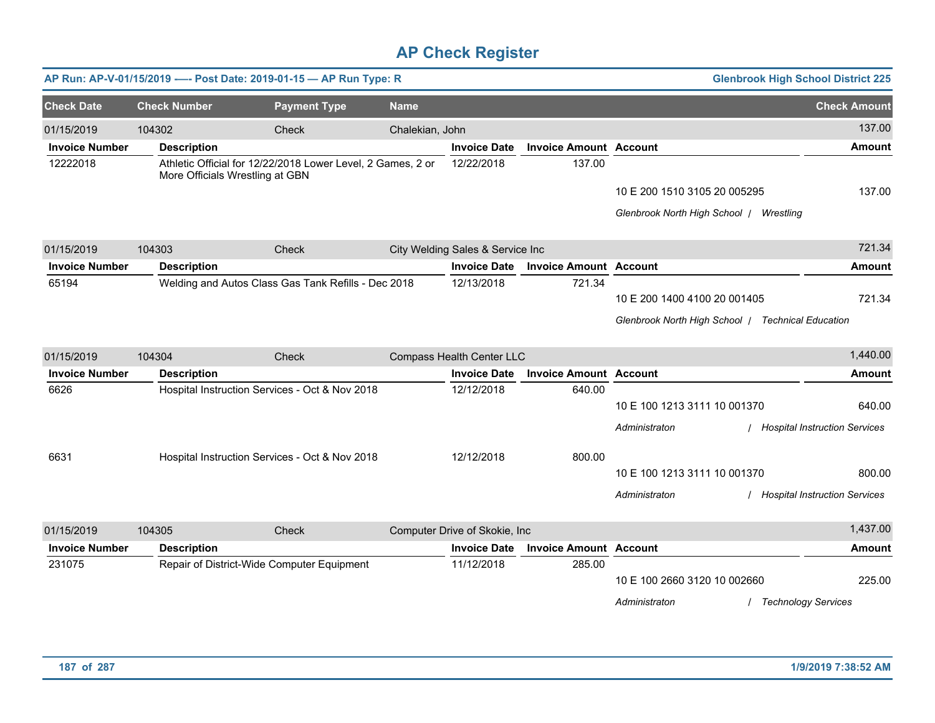|                       |                     | AP Run: AP-V-01/15/2019 ---- Post Date: 2019-01-15 - AP Run Type: R                            |                 |                                  |                               |                                                   | <b>Glenbrook High School District 225</b> |
|-----------------------|---------------------|------------------------------------------------------------------------------------------------|-----------------|----------------------------------|-------------------------------|---------------------------------------------------|-------------------------------------------|
| <b>Check Date</b>     | <b>Check Number</b> | <b>Payment Type</b>                                                                            | <b>Name</b>     |                                  |                               |                                                   | <b>Check Amount</b>                       |
| 01/15/2019            | 104302              | Check                                                                                          | Chalekian, John |                                  |                               |                                                   | 137.00                                    |
| <b>Invoice Number</b> | <b>Description</b>  |                                                                                                |                 | <b>Invoice Date</b>              | <b>Invoice Amount Account</b> |                                                   | <b>Amount</b>                             |
| 12222018              |                     | Athletic Official for 12/22/2018 Lower Level, 2 Games, 2 or<br>More Officials Wrestling at GBN |                 | 12/22/2018                       | 137.00                        |                                                   |                                           |
|                       |                     |                                                                                                |                 |                                  |                               | 10 E 200 1510 3105 20 005295                      | 137.00                                    |
|                       |                     |                                                                                                |                 |                                  |                               | Glenbrook North High School   Wrestling           |                                           |
| 01/15/2019            | 104303              | Check                                                                                          |                 | City Welding Sales & Service Inc |                               |                                                   | 721.34                                    |
| <b>Invoice Number</b> | <b>Description</b>  |                                                                                                |                 | <b>Invoice Date</b>              | <b>Invoice Amount Account</b> |                                                   | <b>Amount</b>                             |
| 65194                 |                     | Welding and Autos Class Gas Tank Refills - Dec 2018                                            |                 | 12/13/2018                       | 721.34                        | 10 E 200 1400 4100 20 001405                      | 721.34                                    |
|                       |                     |                                                                                                |                 |                                  |                               | Glenbrook North High School   Technical Education |                                           |
| 01/15/2019            | 104304              | Check                                                                                          |                 | Compass Health Center LLC        |                               |                                                   | 1,440.00                                  |
| <b>Invoice Number</b> | <b>Description</b>  |                                                                                                |                 | <b>Invoice Date</b>              | <b>Invoice Amount Account</b> |                                                   | <b>Amount</b>                             |
| 6626                  |                     | Hospital Instruction Services - Oct & Nov 2018                                                 |                 | 12/12/2018                       | 640.00                        |                                                   |                                           |
|                       |                     |                                                                                                |                 |                                  |                               | 10 E 100 1213 3111 10 001370                      | 640.00                                    |
|                       |                     |                                                                                                |                 |                                  |                               | Administraton                                     | / Hospital Instruction Services           |
| 6631                  |                     | Hospital Instruction Services - Oct & Nov 2018                                                 |                 | 12/12/2018                       | 800.00                        |                                                   |                                           |
|                       |                     |                                                                                                |                 |                                  |                               | 10 E 100 1213 3111 10 001370                      | 800.00                                    |
|                       |                     |                                                                                                |                 |                                  |                               | Administraton                                     | / Hospital Instruction Services           |
| 01/15/2019            | 104305              | Check                                                                                          |                 | Computer Drive of Skokie, Inc    |                               |                                                   | 1,437.00                                  |
| <b>Invoice Number</b> | <b>Description</b>  |                                                                                                |                 | <b>Invoice Date</b>              | <b>Invoice Amount Account</b> |                                                   | <b>Amount</b>                             |
| 231075                |                     | Repair of District-Wide Computer Equipment                                                     |                 | 11/12/2018                       | 285.00                        | 10 E 100 2660 3120 10 002660                      | 225.00                                    |
|                       |                     |                                                                                                |                 |                                  |                               | Administraton                                     | <b>Technology Services</b>                |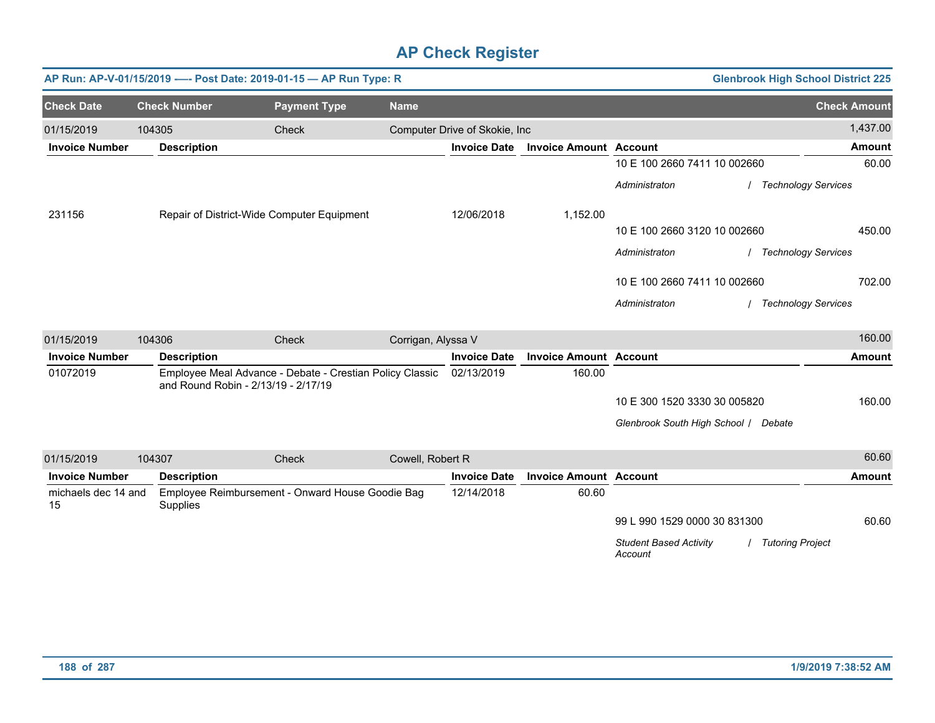|                           |                     | AP Run: AP-V-01/15/2019 ---- Post Date: 2019-01-15 - AP Run Type: R                             |                    |                               |                               |                                          |                    | <b>Glenbrook High School District 225</b> |
|---------------------------|---------------------|-------------------------------------------------------------------------------------------------|--------------------|-------------------------------|-------------------------------|------------------------------------------|--------------------|-------------------------------------------|
| <b>Check Date</b>         | <b>Check Number</b> | <b>Payment Type</b>                                                                             | <b>Name</b>        |                               |                               |                                          |                    | <b>Check Amount</b>                       |
| 01/15/2019                | 104305              | Check                                                                                           |                    | Computer Drive of Skokie, Inc |                               |                                          |                    | 1,437.00                                  |
| <b>Invoice Number</b>     | <b>Description</b>  |                                                                                                 |                    | <b>Invoice Date</b>           | <b>Invoice Amount Account</b> |                                          |                    | <b>Amount</b>                             |
|                           |                     |                                                                                                 |                    |                               |                               | 10 E 100 2660 7411 10 002660             |                    | 60.00                                     |
|                           |                     |                                                                                                 |                    |                               |                               | Administraton                            |                    | <b>Technology Services</b>                |
| 231156                    |                     | Repair of District-Wide Computer Equipment                                                      |                    | 12/06/2018                    | 1,152.00                      |                                          |                    |                                           |
|                           |                     |                                                                                                 |                    |                               |                               | 10 E 100 2660 3120 10 002660             |                    | 450.00                                    |
|                           |                     |                                                                                                 |                    |                               |                               | Administraton                            |                    | / Technology Services                     |
|                           |                     |                                                                                                 |                    |                               |                               | 10 E 100 2660 7411 10 002660             |                    | 702.00                                    |
|                           |                     |                                                                                                 |                    |                               |                               | Administraton                            |                    | / Technology Services                     |
| 01/15/2019                | 104306              | Check                                                                                           | Corrigan, Alyssa V |                               |                               |                                          |                    | 160.00                                    |
| <b>Invoice Number</b>     | <b>Description</b>  |                                                                                                 |                    | <b>Invoice Date</b>           | <b>Invoice Amount Account</b> |                                          |                    | <b>Amount</b>                             |
| 01072019                  |                     | Employee Meal Advance - Debate - Crestian Policy Classic<br>and Round Robin - 2/13/19 - 2/17/19 |                    | 02/13/2019                    | 160.00                        |                                          |                    |                                           |
|                           |                     |                                                                                                 |                    |                               |                               | 10 E 300 1520 3330 30 005820             |                    | 160.00                                    |
|                           |                     |                                                                                                 |                    |                               |                               | Glenbrook South High School / Debate     |                    |                                           |
| 01/15/2019                | 104307              | Check                                                                                           | Cowell, Robert R   |                               |                               |                                          |                    | 60.60                                     |
| <b>Invoice Number</b>     | <b>Description</b>  |                                                                                                 |                    | <b>Invoice Date</b>           | <b>Invoice Amount Account</b> |                                          |                    | <b>Amount</b>                             |
| michaels dec 14 and<br>15 | Supplies            | Employee Reimbursement - Onward House Goodie Bag                                                |                    | 12/14/2018                    | 60.60                         |                                          |                    |                                           |
|                           |                     |                                                                                                 |                    |                               |                               | 99 L 990 1529 0000 30 831300             |                    | 60.60                                     |
|                           |                     |                                                                                                 |                    |                               |                               | <b>Student Based Activity</b><br>Account | / Tutoring Project |                                           |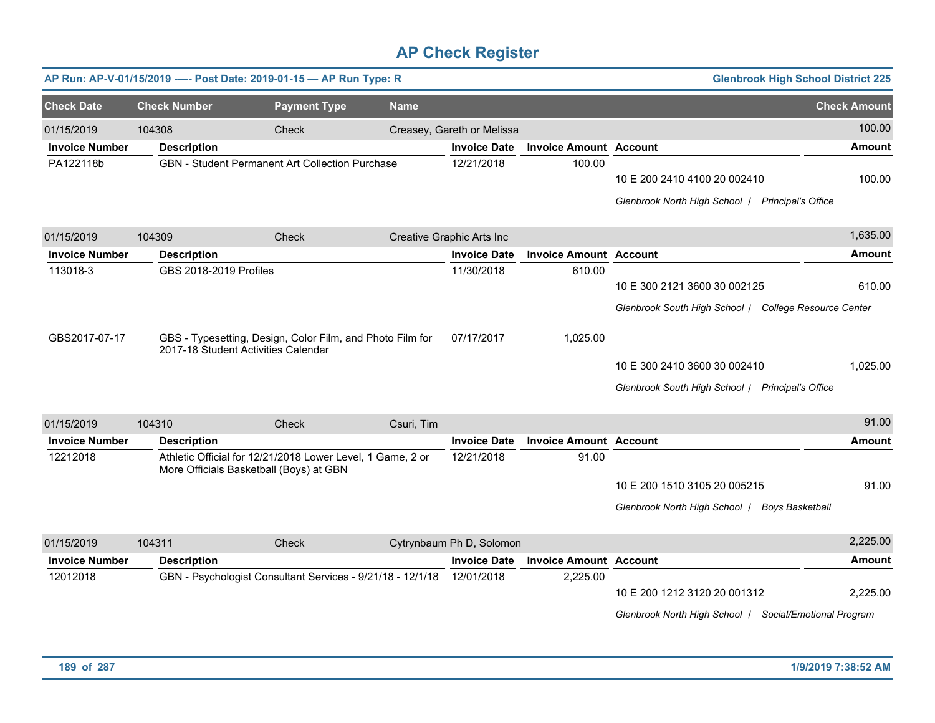|                       |                        | AP Run: AP-V-01/15/2019 ---- Post Date: 2019-01-15 - AP Run Type: R                                   |             |                            |                               |                                                                                        | <b>Glenbrook High School District 225</b> |
|-----------------------|------------------------|-------------------------------------------------------------------------------------------------------|-------------|----------------------------|-------------------------------|----------------------------------------------------------------------------------------|-------------------------------------------|
| <b>Check Date</b>     | <b>Check Number</b>    | <b>Payment Type</b>                                                                                   | <b>Name</b> |                            |                               |                                                                                        | <b>Check Amount</b>                       |
| 01/15/2019            | 104308                 | Check                                                                                                 |             | Creasey, Gareth or Melissa |                               |                                                                                        | 100.00                                    |
| <b>Invoice Number</b> | <b>Description</b>     |                                                                                                       |             | <b>Invoice Date</b>        | <b>Invoice Amount Account</b> |                                                                                        | <b>Amount</b>                             |
| PA122118b             |                        | <b>GBN</b> - Student Permanent Art Collection Purchase                                                |             | 12/21/2018                 | 100.00                        | 10 E 200 2410 4100 20 002410<br>Glenbrook North High School   Principal's Office       | 100.00                                    |
| 01/15/2019            | 104309                 | Check                                                                                                 |             | Creative Graphic Arts Inc  |                               |                                                                                        | 1,635.00                                  |
| <b>Invoice Number</b> | <b>Description</b>     |                                                                                                       |             | <b>Invoice Date</b>        | <b>Invoice Amount Account</b> |                                                                                        | <b>Amount</b>                             |
| 113018-3              | GBS 2018-2019 Profiles |                                                                                                       |             | 11/30/2018                 | 610.00                        | 10 E 300 2121 3600 30 002125<br>Glenbrook South High School / College Resource Center  | 610.00                                    |
| GBS2017-07-17         |                        | GBS - Typesetting, Design, Color Film, and Photo Film for<br>2017-18 Student Activities Calendar      |             | 07/17/2017                 | 1,025.00                      | 10 E 300 2410 3600 30 002410<br>Glenbrook South High School / Principal's Office       | 1,025.00                                  |
| 01/15/2019            | 104310                 | <b>Check</b>                                                                                          | Csuri, Tim  |                            |                               |                                                                                        | 91.00                                     |
| <b>Invoice Number</b> | <b>Description</b>     |                                                                                                       |             | <b>Invoice Date</b>        | <b>Invoice Amount Account</b> |                                                                                        | <b>Amount</b>                             |
| 12212018              |                        | Athletic Official for 12/21/2018 Lower Level, 1 Game, 2 or<br>More Officials Basketball (Boys) at GBN |             | 12/21/2018                 | 91.00                         | 10 E 200 1510 3105 20 005215<br>Glenbrook North High School   Boys Basketball          | 91.00                                     |
| 01/15/2019            | 104311                 | Check                                                                                                 |             | Cytrynbaum Ph D, Solomon   |                               |                                                                                        | 2,225.00                                  |
| <b>Invoice Number</b> | <b>Description</b>     |                                                                                                       |             | <b>Invoice Date</b>        | <b>Invoice Amount Account</b> |                                                                                        | <b>Amount</b>                             |
| 12012018              |                        | GBN - Psychologist Consultant Services - 9/21/18 - 12/1/18                                            |             | 12/01/2018                 | 2,225.00                      | 10 E 200 1212 3120 20 001312<br>Glenbrook North High School / Social/Emotional Program | 2,225.00                                  |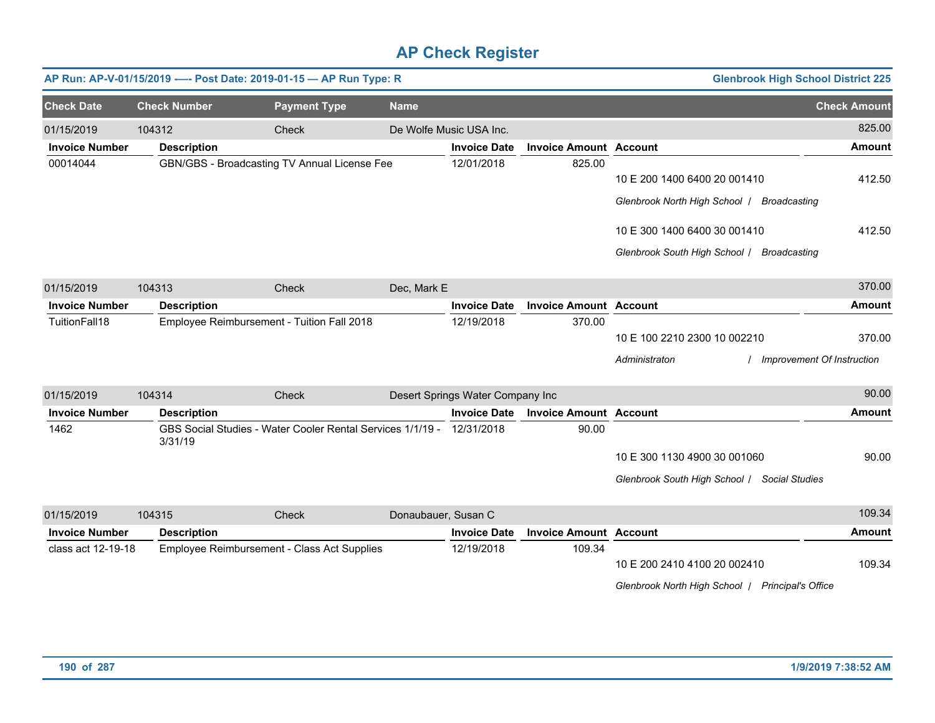|                       |                     | AP Run: AP-V-01/15/2019 ---- Post Date: 2019-01-15 - AP Run Type: R   |                     |                                  |                               | <b>Glenbrook High School District 225</b>        |                     |
|-----------------------|---------------------|-----------------------------------------------------------------------|---------------------|----------------------------------|-------------------------------|--------------------------------------------------|---------------------|
| <b>Check Date</b>     | <b>Check Number</b> | <b>Payment Type</b>                                                   | <b>Name</b>         |                                  |                               |                                                  | <b>Check Amount</b> |
| 01/15/2019            | 104312              | Check                                                                 |                     | De Wolfe Music USA Inc.          |                               |                                                  | 825.00              |
| <b>Invoice Number</b> | <b>Description</b>  |                                                                       |                     | <b>Invoice Date</b>              | <b>Invoice Amount Account</b> |                                                  | <b>Amount</b>       |
| 00014044              |                     | GBN/GBS - Broadcasting TV Annual License Fee                          |                     | 12/01/2018                       | 825.00                        | 10 E 200 1400 6400 20 001410                     | 412.50              |
|                       |                     |                                                                       |                     |                                  |                               | Glenbrook North High School   Broadcasting       |                     |
|                       |                     |                                                                       |                     |                                  |                               | 10 E 300 1400 6400 30 001410                     | 412.50              |
|                       |                     |                                                                       |                     |                                  |                               | Glenbrook South High School / Broadcasting       |                     |
| 01/15/2019            | 104313              | Check                                                                 | Dec, Mark E         |                                  |                               |                                                  | 370.00              |
| <b>Invoice Number</b> | <b>Description</b>  |                                                                       |                     | <b>Invoice Date</b>              | <b>Invoice Amount Account</b> |                                                  | <b>Amount</b>       |
| TuitionFall18         |                     | Employee Reimbursement - Tuition Fall 2018                            |                     | 12/19/2018                       | 370.00                        |                                                  |                     |
|                       |                     |                                                                       |                     |                                  |                               | 10 E 100 2210 2300 10 002210                     | 370.00              |
|                       |                     |                                                                       |                     |                                  |                               | Administraton<br>Improvement Of Instruction      |                     |
| 01/15/2019            | 104314              | Check                                                                 |                     | Desert Springs Water Company Inc |                               |                                                  | 90.00               |
| <b>Invoice Number</b> | <b>Description</b>  |                                                                       |                     | <b>Invoice Date</b>              | <b>Invoice Amount Account</b> |                                                  | <b>Amount</b>       |
| 1462                  | 3/31/19             | GBS Social Studies - Water Cooler Rental Services 1/1/19 - 12/31/2018 |                     |                                  | 90.00                         |                                                  |                     |
|                       |                     |                                                                       |                     |                                  |                               | 10 E 300 1130 4900 30 001060                     | 90.00               |
|                       |                     |                                                                       |                     |                                  |                               | Glenbrook South High School / Social Studies     |                     |
| 01/15/2019            | 104315              | Check                                                                 | Donaubauer, Susan C |                                  |                               |                                                  | 109.34              |
| <b>Invoice Number</b> | <b>Description</b>  |                                                                       |                     | <b>Invoice Date</b>              | <b>Invoice Amount Account</b> |                                                  | <b>Amount</b>       |
| class act 12-19-18    |                     | Employee Reimbursement - Class Act Supplies                           |                     | 12/19/2018                       | 109.34                        | 10 E 200 2410 4100 20 002410                     | 109.34              |
|                       |                     |                                                                       |                     |                                  |                               | Glenbrook North High School   Principal's Office |                     |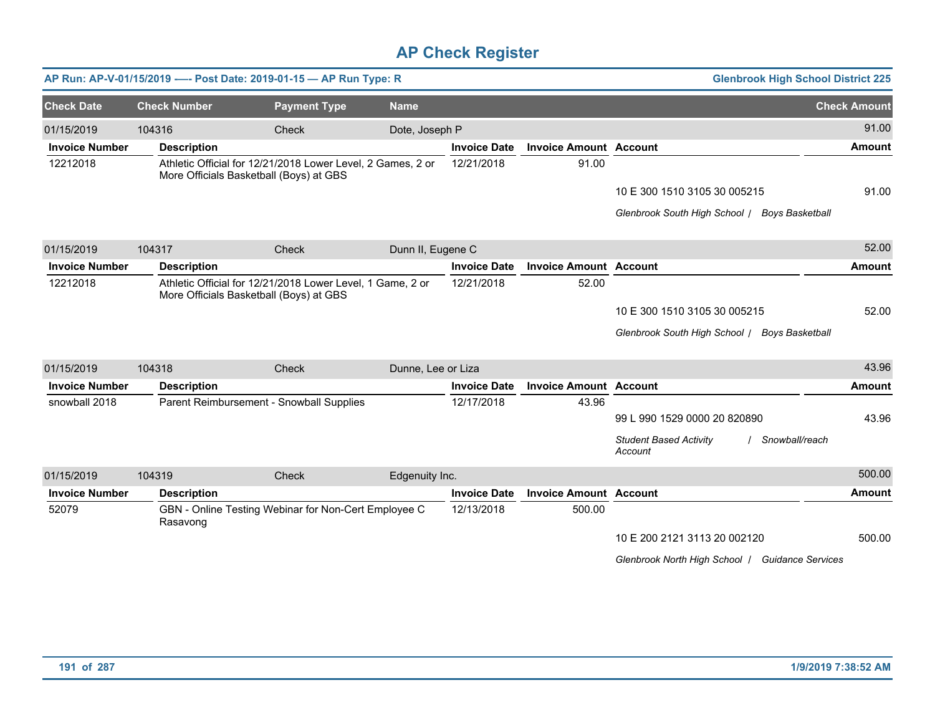|                       |                     | AP Run: AP-V-01/15/2019 ---- Post Date: 2019-01-15 - AP Run Type: R                                    |                    |                     |                               | <b>Glenbrook High School District 225</b>                  |                     |
|-----------------------|---------------------|--------------------------------------------------------------------------------------------------------|--------------------|---------------------|-------------------------------|------------------------------------------------------------|---------------------|
| <b>Check Date</b>     | <b>Check Number</b> | <b>Payment Type</b>                                                                                    | <b>Name</b>        |                     |                               |                                                            | <b>Check Amount</b> |
| 01/15/2019            | 104316              | Check                                                                                                  | Dote, Joseph P     |                     |                               |                                                            | 91.00               |
| <b>Invoice Number</b> | <b>Description</b>  |                                                                                                        |                    | <b>Invoice Date</b> | <b>Invoice Amount Account</b> |                                                            | <b>Amount</b>       |
| 12212018              |                     | Athletic Official for 12/21/2018 Lower Level, 2 Games, 2 or<br>More Officials Basketball (Boys) at GBS |                    | 12/21/2018          | 91.00                         |                                                            |                     |
|                       |                     |                                                                                                        |                    |                     |                               | 10 E 300 1510 3105 30 005215                               | 91.00               |
|                       |                     |                                                                                                        |                    |                     |                               | Glenbrook South High School / Boys Basketball              |                     |
| 01/15/2019            | 104317              | Check                                                                                                  | Dunn II, Eugene C  |                     |                               |                                                            | 52.00               |
| <b>Invoice Number</b> | <b>Description</b>  |                                                                                                        |                    | <b>Invoice Date</b> | <b>Invoice Amount Account</b> |                                                            | <b>Amount</b>       |
| 12212018              |                     | Athletic Official for 12/21/2018 Lower Level, 1 Game, 2 or<br>More Officials Basketball (Boys) at GBS  |                    | 12/21/2018          | 52.00                         |                                                            |                     |
|                       |                     |                                                                                                        |                    |                     |                               | 10 E 300 1510 3105 30 005215                               | 52.00               |
|                       |                     |                                                                                                        |                    |                     |                               | Glenbrook South High School   Boys Basketball              |                     |
| 01/15/2019            | 104318              | Check                                                                                                  | Dunne, Lee or Liza |                     |                               |                                                            | 43.96               |
| <b>Invoice Number</b> | <b>Description</b>  |                                                                                                        |                    | <b>Invoice Date</b> | <b>Invoice Amount Account</b> |                                                            | <b>Amount</b>       |
| snowball 2018         |                     | Parent Reimbursement - Snowball Supplies                                                               |                    | 12/17/2018          | 43.96                         |                                                            |                     |
|                       |                     |                                                                                                        |                    |                     |                               | 99 L 990 1529 0000 20 820890                               | 43.96               |
|                       |                     |                                                                                                        |                    |                     |                               | <b>Student Based Activity</b><br>Snowball/reach<br>Account |                     |
| 01/15/2019            | 104319              | Check                                                                                                  | Edgenuity Inc.     |                     |                               |                                                            | 500.00              |
| <b>Invoice Number</b> | <b>Description</b>  |                                                                                                        |                    | <b>Invoice Date</b> | <b>Invoice Amount Account</b> |                                                            | <b>Amount</b>       |
| 52079                 | Rasavong            | GBN - Online Testing Webinar for Non-Cert Employee C                                                   |                    | 12/13/2018          | 500.00                        |                                                            |                     |
|                       |                     |                                                                                                        |                    |                     |                               | 10 E 200 2121 3113 20 002120                               | 500.00              |
|                       |                     |                                                                                                        |                    |                     |                               | Glenbrook North High School   Guidance Services            |                     |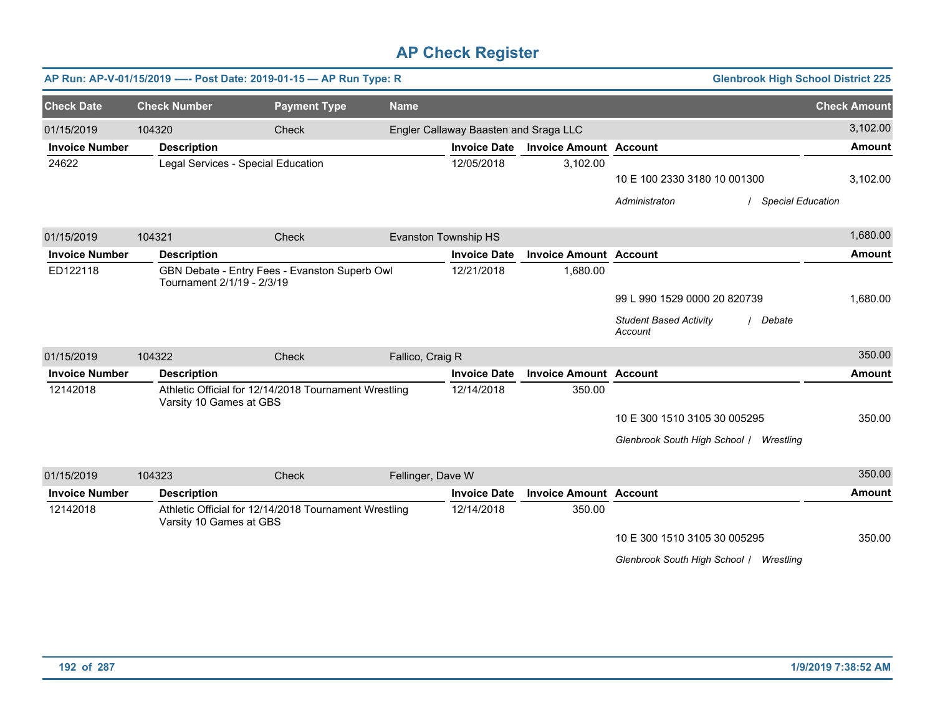|                       |                            | AP Run: AP-V-01/15/2019 ---- Post Date: 2019-01-15 - AP Run Type: R |                   |                                       |                               | <b>Glenbrook High School District 225</b>          |                     |
|-----------------------|----------------------------|---------------------------------------------------------------------|-------------------|---------------------------------------|-------------------------------|----------------------------------------------------|---------------------|
| <b>Check Date</b>     | <b>Check Number</b>        | <b>Payment Type</b>                                                 | <b>Name</b>       |                                       |                               |                                                    | <b>Check Amount</b> |
| 01/15/2019            | 104320                     | Check                                                               |                   | Engler Callaway Baasten and Sraga LLC |                               |                                                    | 3,102.00            |
| <b>Invoice Number</b> | <b>Description</b>         |                                                                     |                   | <b>Invoice Date</b>                   | <b>Invoice Amount Account</b> |                                                    | <b>Amount</b>       |
| 24622                 |                            | Legal Services - Special Education                                  |                   | 12/05/2018                            | 3,102.00                      |                                                    |                     |
|                       |                            |                                                                     |                   |                                       |                               | 10 E 100 2330 3180 10 001300                       | 3,102.00            |
|                       |                            |                                                                     |                   |                                       |                               | <b>Special Education</b><br>Administraton          |                     |
| 01/15/2019            | 104321                     | Check                                                               |                   | Evanston Township HS                  |                               |                                                    | 1,680.00            |
| <b>Invoice Number</b> | <b>Description</b>         |                                                                     |                   | <b>Invoice Date</b>                   | <b>Invoice Amount Account</b> |                                                    | <b>Amount</b>       |
| ED122118              | Tournament 2/1/19 - 2/3/19 | GBN Debate - Entry Fees - Evanston Superb Owl                       |                   | 12/21/2018                            | 1,680.00                      |                                                    |                     |
|                       |                            |                                                                     |                   |                                       |                               | 99 L 990 1529 0000 20 820739                       | 1,680.00            |
|                       |                            |                                                                     |                   |                                       |                               | <b>Student Based Activity</b><br>Debate<br>Account |                     |
| 01/15/2019            | 104322                     | Check                                                               | Fallico, Craig R  |                                       |                               |                                                    | 350.00              |
| <b>Invoice Number</b> | <b>Description</b>         |                                                                     |                   | <b>Invoice Date</b>                   | <b>Invoice Amount Account</b> |                                                    | <b>Amount</b>       |
| 12142018              | Varsity 10 Games at GBS    | Athletic Official for 12/14/2018 Tournament Wrestling               |                   | 12/14/2018                            | 350.00                        |                                                    |                     |
|                       |                            |                                                                     |                   |                                       |                               | 10 E 300 1510 3105 30 005295                       | 350.00              |
|                       |                            |                                                                     |                   |                                       |                               | Glenbrook South High School /<br>Wrestling         |                     |
| 01/15/2019            | 104323                     | Check                                                               | Fellinger, Dave W |                                       |                               |                                                    | 350.00              |
| <b>Invoice Number</b> | <b>Description</b>         |                                                                     |                   | <b>Invoice Date</b>                   | <b>Invoice Amount Account</b> |                                                    | <b>Amount</b>       |
| 12142018              | Varsity 10 Games at GBS    | Athletic Official for 12/14/2018 Tournament Wrestling               |                   | 12/14/2018                            | 350.00                        |                                                    |                     |
|                       |                            |                                                                     |                   |                                       |                               | 10 E 300 1510 3105 30 005295                       | 350.00              |
|                       |                            |                                                                     |                   |                                       |                               | Glenbrook South High School / Wrestling            |                     |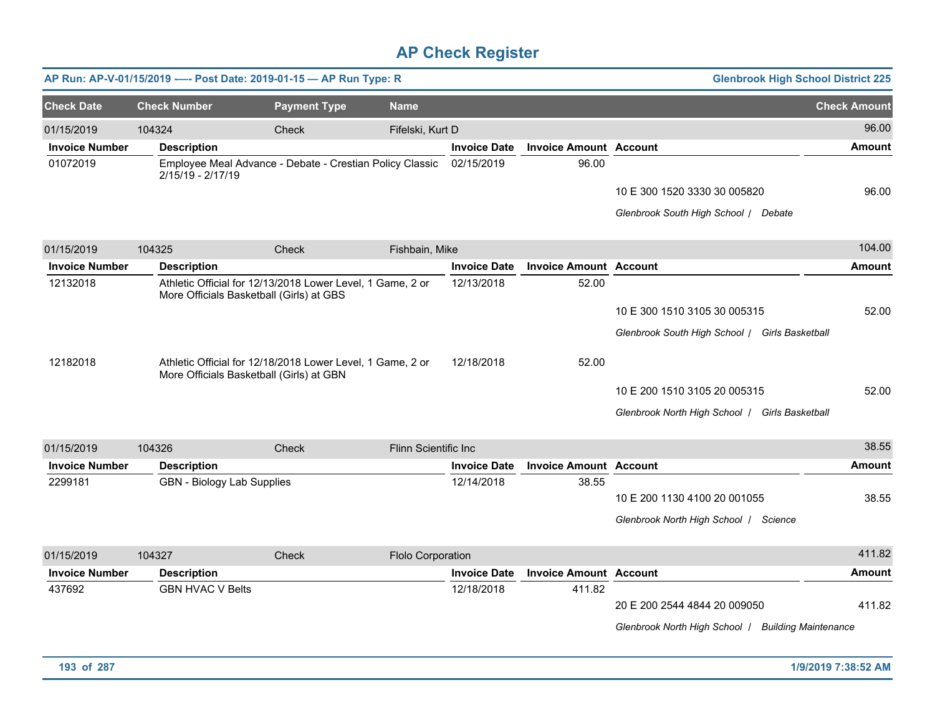|                       |                                   | AP Run: AP-V-01/15/2019 ---- Post Date: 2019-01-15 - AP Run Type: R                                    |                      |                     |                               | <b>Glenbrook High School District 225</b>                                          |                     |
|-----------------------|-----------------------------------|--------------------------------------------------------------------------------------------------------|----------------------|---------------------|-------------------------------|------------------------------------------------------------------------------------|---------------------|
| <b>Check Date</b>     | <b>Check Number</b>               | <b>Payment Type</b>                                                                                    | <b>Name</b>          |                     |                               |                                                                                    | <b>Check Amount</b> |
| 01/15/2019            | 104324                            | Check                                                                                                  | Fifelski, Kurt D     |                     |                               |                                                                                    | 96.00               |
| <b>Invoice Number</b> | <b>Description</b>                |                                                                                                        |                      | <b>Invoice Date</b> | <b>Invoice Amount Account</b> |                                                                                    | <b>Amount</b>       |
| 01072019              | 2/15/19 - 2/17/19                 | Employee Meal Advance - Debate - Crestian Policy Classic                                               |                      | 02/15/2019          | 96.00                         | 10 E 300 1520 3330 30 005820<br>Glenbrook South High School   Debate               | 96.00               |
| 01/15/2019            | 104325                            | Check                                                                                                  | Fishbain, Mike       |                     |                               |                                                                                    | 104.00              |
| <b>Invoice Number</b> | <b>Description</b>                |                                                                                                        |                      | <b>Invoice Date</b> | <b>Invoice Amount Account</b> |                                                                                    | <b>Amount</b>       |
| 12132018              |                                   | Athletic Official for 12/13/2018 Lower Level, 1 Game, 2 or<br>More Officials Basketball (Girls) at GBS |                      | 12/13/2018          | 52.00                         | 10 E 300 1510 3105 30 005315<br>Glenbrook South High School / Girls Basketball     | 52.00               |
| 12182018              |                                   | Athletic Official for 12/18/2018 Lower Level, 1 Game, 2 or<br>More Officials Basketball (Girls) at GBN |                      | 12/18/2018          | 52.00                         | 10 E 200 1510 3105 20 005315<br>Glenbrook North High School   Girls Basketball     | 52.00               |
| 01/15/2019            | 104326                            | Check                                                                                                  | Flinn Scientific Inc |                     |                               |                                                                                    | 38.55               |
| <b>Invoice Number</b> | <b>Description</b>                |                                                                                                        |                      | <b>Invoice Date</b> | <b>Invoice Amount Account</b> |                                                                                    | <b>Amount</b>       |
| 2299181               | <b>GBN</b> - Biology Lab Supplies |                                                                                                        |                      | 12/14/2018          | 38.55                         | 10 E 200 1130 4100 20 001055<br>Glenbrook North High School   Science              | 38.55               |
| 01/15/2019            | 104327                            | <b>Check</b>                                                                                           | Flolo Corporation    |                     |                               |                                                                                    | 411.82              |
| <b>Invoice Number</b> | <b>Description</b>                |                                                                                                        |                      | <b>Invoice Date</b> | <b>Invoice Amount Account</b> |                                                                                    | <b>Amount</b>       |
| 437692                | <b>GBN HVAC V Belts</b>           |                                                                                                        |                      | 12/18/2018          | 411.82                        | 20 E 200 2544 4844 20 009050<br>Glenbrook North High School   Building Maintenance | 411.82              |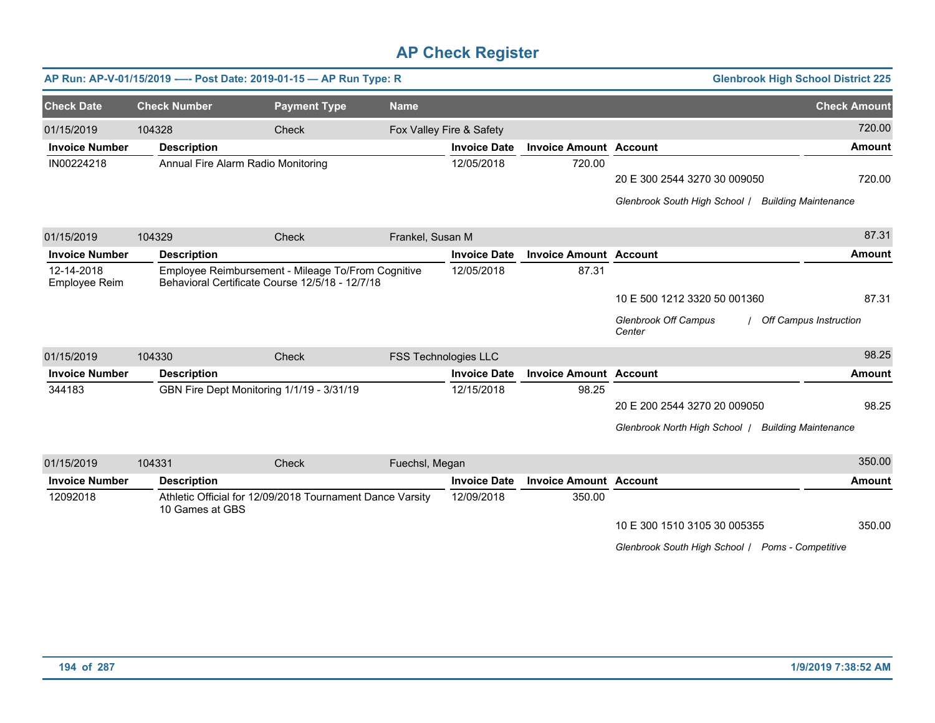|                             |                     | AP Run: AP-V-01/15/2019 ---- Post Date: 2019-01-15 - AP Run Type: R                                   |                  |                             |                               |                                                  | <b>Glenbrook High School District 225</b> |
|-----------------------------|---------------------|-------------------------------------------------------------------------------------------------------|------------------|-----------------------------|-------------------------------|--------------------------------------------------|-------------------------------------------|
| <b>Check Date</b>           | <b>Check Number</b> | <b>Payment Type</b>                                                                                   | <b>Name</b>      |                             |                               |                                                  | <b>Check Amount</b>                       |
| 01/15/2019                  | 104328              | Check                                                                                                 |                  | Fox Valley Fire & Safety    |                               |                                                  | 720.00                                    |
| <b>Invoice Number</b>       | <b>Description</b>  |                                                                                                       |                  | <b>Invoice Date</b>         | <b>Invoice Amount Account</b> |                                                  | <b>Amount</b>                             |
| IN00224218                  |                     | Annual Fire Alarm Radio Monitoring                                                                    |                  | 12/05/2018                  | 720.00                        |                                                  |                                           |
|                             |                     |                                                                                                       |                  |                             |                               | 20 E 300 2544 3270 30 009050                     | 720.00                                    |
|                             |                     |                                                                                                       |                  |                             |                               | Glenbrook South High School /                    | <b>Building Maintenance</b>               |
| 01/15/2019                  | 104329              | Check                                                                                                 | Frankel, Susan M |                             |                               |                                                  | 87.31                                     |
| <b>Invoice Number</b>       | <b>Description</b>  |                                                                                                       |                  | <b>Invoice Date</b>         | <b>Invoice Amount Account</b> |                                                  | <b>Amount</b>                             |
| 12-14-2018<br>Employee Reim |                     | Employee Reimbursement - Mileage To/From Cognitive<br>Behavioral Certificate Course 12/5/18 - 12/7/18 |                  | 12/05/2018                  | 87.31                         |                                                  |                                           |
|                             |                     |                                                                                                       |                  |                             |                               | 10 E 500 1212 3320 50 001360                     | 87.31                                     |
|                             |                     |                                                                                                       |                  |                             |                               | <b>Glenbrook Off Campus</b><br>Center            | / Off Campus Instruction                  |
| 01/15/2019                  | 104330              | Check                                                                                                 |                  | <b>FSS Technologies LLC</b> |                               |                                                  | 98.25                                     |
| <b>Invoice Number</b>       | <b>Description</b>  |                                                                                                       |                  | <b>Invoice Date</b>         | <b>Invoice Amount Account</b> |                                                  | <b>Amount</b>                             |
| 344183                      |                     | GBN Fire Dept Monitoring 1/1/19 - 3/31/19                                                             |                  | 12/15/2018                  | 98.25                         |                                                  |                                           |
|                             |                     |                                                                                                       |                  |                             |                               | 20 E 200 2544 3270 20 009050                     | 98.25                                     |
|                             |                     |                                                                                                       |                  |                             |                               | Glenbrook North High School /                    | <b>Building Maintenance</b>               |
| 01/15/2019                  | 104331              | Check                                                                                                 | Fuechsl, Megan   |                             |                               |                                                  | 350.00                                    |
| <b>Invoice Number</b>       | <b>Description</b>  |                                                                                                       |                  | <b>Invoice Date</b>         | <b>Invoice Amount Account</b> |                                                  | <b>Amount</b>                             |
| 12092018                    | 10 Games at GBS     | Athletic Official for 12/09/2018 Tournament Dance Varsity                                             |                  | 12/09/2018                  | 350.00                        |                                                  |                                           |
|                             |                     |                                                                                                       |                  |                             |                               | 10 E 300 1510 3105 30 005355                     | 350.00                                    |
|                             |                     |                                                                                                       |                  |                             |                               | Glenbrook South High School / Poms - Competitive |                                           |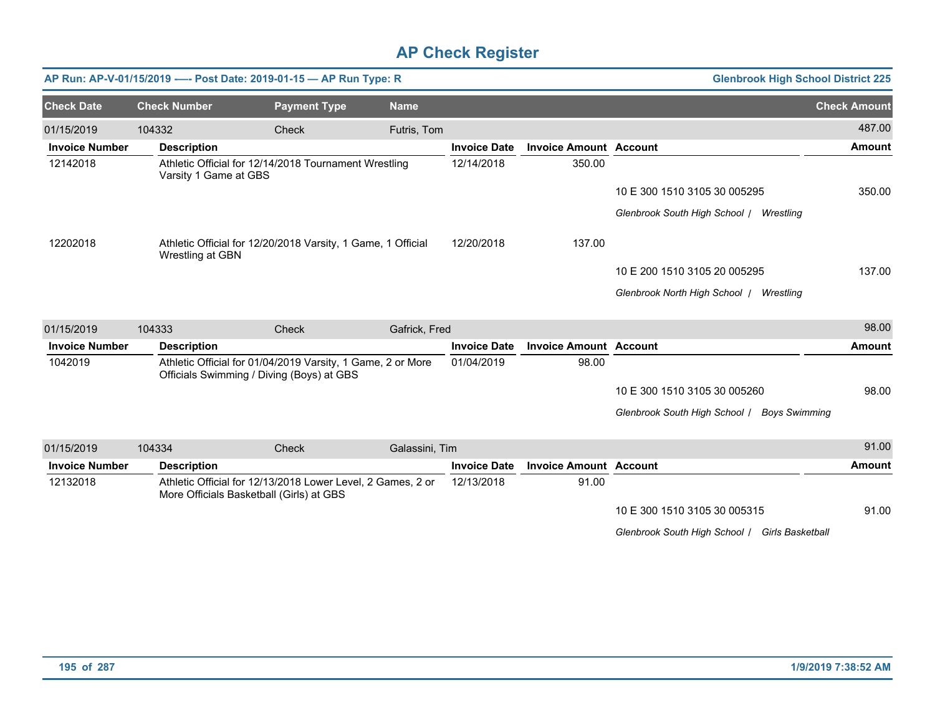|                       |                       | AP Run: AP-V-01/15/2019 ---- Post Date: 2019-01-15 - AP Run Type: R                                      |                |                     |                               | <b>Glenbrook High School District 225</b>   |                     |
|-----------------------|-----------------------|----------------------------------------------------------------------------------------------------------|----------------|---------------------|-------------------------------|---------------------------------------------|---------------------|
| <b>Check Date</b>     | <b>Check Number</b>   | <b>Payment Type</b>                                                                                      | <b>Name</b>    |                     |                               |                                             | <b>Check Amount</b> |
| 01/15/2019            | 104332                | Check                                                                                                    | Futris, Tom    |                     |                               |                                             | 487.00              |
| <b>Invoice Number</b> | <b>Description</b>    |                                                                                                          |                | <b>Invoice Date</b> | <b>Invoice Amount Account</b> |                                             | <b>Amount</b>       |
| 12142018              | Varsity 1 Game at GBS | Athletic Official for 12/14/2018 Tournament Wrestling                                                    |                | 12/14/2018          | 350.00                        |                                             |                     |
|                       |                       |                                                                                                          |                |                     |                               | 10 E 300 1510 3105 30 005295                | 350.00              |
|                       |                       |                                                                                                          |                |                     |                               | Glenbrook South High School / Wrestling     |                     |
| 12202018              | Wrestling at GBN      | Athletic Official for 12/20/2018 Varsity, 1 Game, 1 Official                                             |                | 12/20/2018          | 137.00                        |                                             |                     |
|                       |                       |                                                                                                          |                |                     |                               | 10 E 200 1510 3105 20 005295                | 137.00              |
|                       |                       |                                                                                                          |                |                     |                               | Glenbrook North High School   Wrestling     |                     |
| 01/15/2019            | 104333                | Check                                                                                                    | Gafrick, Fred  |                     |                               |                                             | 98.00               |
| <b>Invoice Number</b> | <b>Description</b>    |                                                                                                          |                | <b>Invoice Date</b> | <b>Invoice Amount Account</b> |                                             | <b>Amount</b>       |
| 1042019               |                       | Athletic Official for 01/04/2019 Varsity, 1 Game, 2 or More<br>Officials Swimming / Diving (Boys) at GBS |                | 01/04/2019          | 98.00                         |                                             |                     |
|                       |                       |                                                                                                          |                |                     |                               | 10 E 300 1510 3105 30 005260                | 98.00               |
|                       |                       |                                                                                                          |                |                     |                               | Glenbrook South High School / Boys Swimming |                     |
| 01/15/2019            | 104334                | Check                                                                                                    | Galassini, Tim |                     |                               |                                             | 91.00               |
| <b>Invoice Number</b> | <b>Description</b>    |                                                                                                          |                | <b>Invoice Date</b> | <b>Invoice Amount Account</b> |                                             | <b>Amount</b>       |
| 12132018              |                       | Athletic Official for 12/13/2018 Lower Level, 2 Games, 2 or<br>More Officials Basketball (Girls) at GBS  |                | 12/13/2018          | 91.00                         |                                             |                     |
|                       |                       |                                                                                                          |                |                     |                               | 10 E 300 1510 3105 30 005315                | 91.00               |
|                       |                       |                                                                                                          |                |                     |                               |                                             |                     |

*Glenbrook South High School* / *Girls Basketball*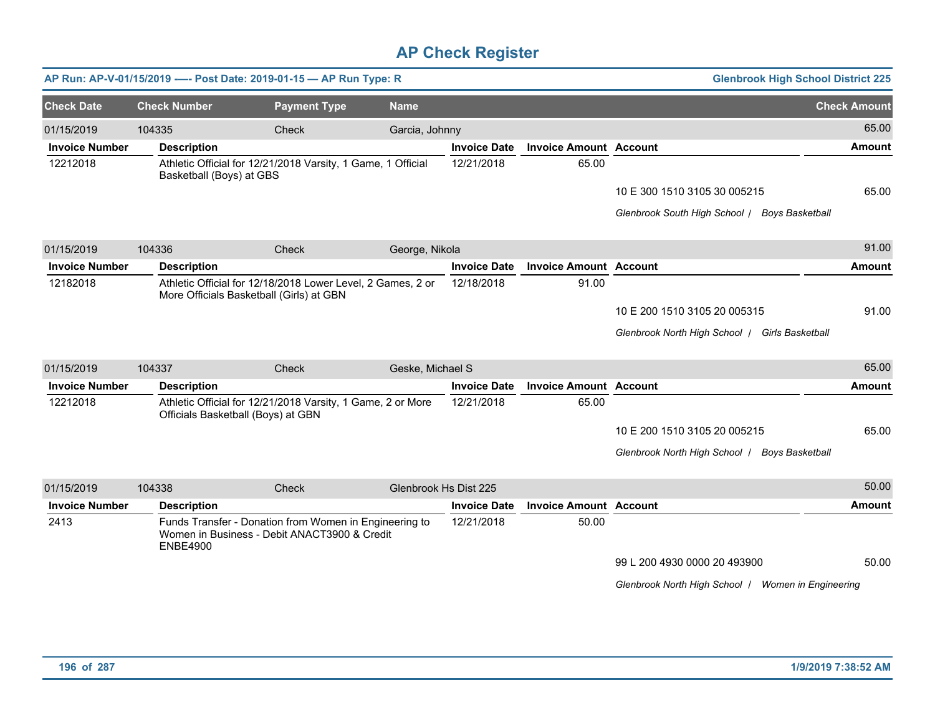|                       |                          | AP Run: AP-V-01/15/2019 ---- Post Date: 2019-01-15 - AP Run Type: R                                     |                  |                       |                               | <b>Glenbrook High School District 225</b>          |                     |
|-----------------------|--------------------------|---------------------------------------------------------------------------------------------------------|------------------|-----------------------|-------------------------------|----------------------------------------------------|---------------------|
| <b>Check Date</b>     | <b>Check Number</b>      | <b>Payment Type</b>                                                                                     | <b>Name</b>      |                       |                               |                                                    | <b>Check Amount</b> |
| 01/15/2019            | 104335                   | Check                                                                                                   | Garcia, Johnny   |                       |                               |                                                    | 65.00               |
| <b>Invoice Number</b> | <b>Description</b>       |                                                                                                         |                  | <b>Invoice Date</b>   | <b>Invoice Amount Account</b> |                                                    | <b>Amount</b>       |
| 12212018              | Basketball (Boys) at GBS | Athletic Official for 12/21/2018 Varsity, 1 Game, 1 Official                                            |                  | 12/21/2018            | 65.00                         |                                                    |                     |
|                       |                          |                                                                                                         |                  |                       |                               | 10 E 300 1510 3105 30 005215                       | 65.00               |
|                       |                          |                                                                                                         |                  |                       |                               | Glenbrook South High School / Boys Basketball      |                     |
| 01/15/2019            | 104336                   | Check                                                                                                   | George, Nikola   |                       |                               |                                                    | 91.00               |
| <b>Invoice Number</b> | <b>Description</b>       |                                                                                                         |                  | <b>Invoice Date</b>   | <b>Invoice Amount Account</b> |                                                    | <b>Amount</b>       |
| 12182018              |                          | Athletic Official for 12/18/2018 Lower Level, 2 Games, 2 or<br>More Officials Basketball (Girls) at GBN |                  | 12/18/2018            | 91.00                         |                                                    |                     |
|                       |                          |                                                                                                         |                  |                       |                               | 10 E 200 1510 3105 20 005315                       | 91.00               |
|                       |                          |                                                                                                         |                  |                       |                               | Glenbrook North High School / Girls Basketball     |                     |
| 01/15/2019            | 104337                   | <b>Check</b>                                                                                            | Geske, Michael S |                       |                               |                                                    | 65.00               |
| <b>Invoice Number</b> | <b>Description</b>       |                                                                                                         |                  | <b>Invoice Date</b>   | <b>Invoice Amount Account</b> |                                                    | Amount              |
| 12212018              |                          | Athletic Official for 12/21/2018 Varsity, 1 Game, 2 or More<br>Officials Basketball (Boys) at GBN       |                  | 12/21/2018            | 65.00                         |                                                    |                     |
|                       |                          |                                                                                                         |                  |                       |                               | 10 E 200 1510 3105 20 005215                       | 65.00               |
|                       |                          |                                                                                                         |                  |                       |                               | Glenbrook North High School   Boys Basketball      |                     |
| 01/15/2019            | 104338                   | Check                                                                                                   |                  | Glenbrook Hs Dist 225 |                               |                                                    | 50.00               |
| <b>Invoice Number</b> | <b>Description</b>       |                                                                                                         |                  | <b>Invoice Date</b>   | <b>Invoice Amount Account</b> |                                                    | <b>Amount</b>       |
| 2413                  | <b>ENBE4900</b>          | Funds Transfer - Donation from Women in Engineering to<br>Women in Business - Debit ANACT3900 & Credit  |                  | 12/21/2018            | 50.00                         |                                                    |                     |
|                       |                          |                                                                                                         |                  |                       |                               | 99 L 200 4930 0000 20 493900                       | 50.00               |
|                       |                          |                                                                                                         |                  |                       |                               | Glenbrook North High School / Women in Engineering |                     |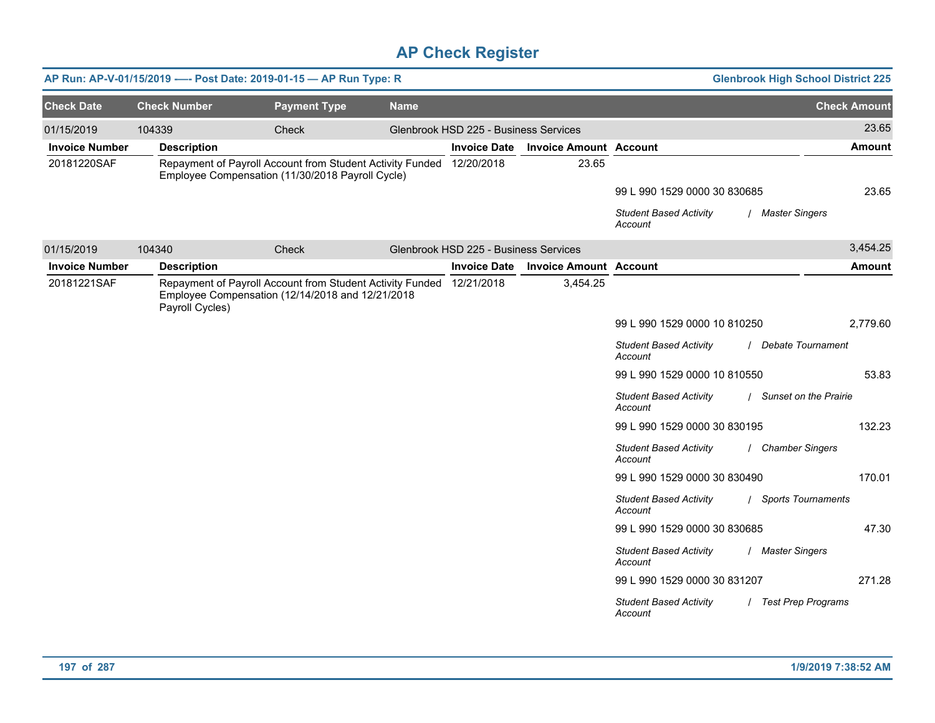|                       |                     | AP Run: AP-V-01/15/2019 ---- Post Date: 2019-01-15 - AP Run Type: R                                                      |             |                                       |                               |                                          | <b>Glenbrook High School District 225</b> |
|-----------------------|---------------------|--------------------------------------------------------------------------------------------------------------------------|-------------|---------------------------------------|-------------------------------|------------------------------------------|-------------------------------------------|
| <b>Check Date</b>     | <b>Check Number</b> | <b>Payment Type</b>                                                                                                      | <b>Name</b> |                                       |                               |                                          | <b>Check Amount</b>                       |
| 01/15/2019            | 104339              | Check                                                                                                                    |             | Glenbrook HSD 225 - Business Services |                               |                                          | 23.65                                     |
| <b>Invoice Number</b> | <b>Description</b>  |                                                                                                                          |             | <b>Invoice Date</b>                   | <b>Invoice Amount Account</b> |                                          | <b>Amount</b>                             |
| 20181220SAF           |                     | Repayment of Payroll Account from Student Activity Funded 12/20/2018<br>Employee Compensation (11/30/2018 Payroll Cycle) |             |                                       | 23.65                         |                                          |                                           |
|                       |                     |                                                                                                                          |             |                                       |                               | 99 L 990 1529 0000 30 830685             | 23.65                                     |
|                       |                     |                                                                                                                          |             |                                       |                               | <b>Student Based Activity</b><br>Account | / Master Singers                          |
| 01/15/2019            | 104340              | Check                                                                                                                    |             | Glenbrook HSD 225 - Business Services |                               |                                          | 3,454.25                                  |
| <b>Invoice Number</b> | <b>Description</b>  |                                                                                                                          |             | <b>Invoice Date</b>                   | <b>Invoice Amount Account</b> |                                          | <b>Amount</b>                             |
| 20181221SAF           | Payroll Cycles)     | Repayment of Payroll Account from Student Activity Funded 12/21/2018<br>Employee Compensation (12/14/2018 and 12/21/2018 |             |                                       | 3,454.25                      |                                          |                                           |
|                       |                     |                                                                                                                          |             |                                       |                               | 99 L 990 1529 0000 10 810250             | 2,779.60                                  |
|                       |                     |                                                                                                                          |             |                                       |                               | <b>Student Based Activity</b><br>Account | / Debate Tournament                       |
|                       |                     |                                                                                                                          |             |                                       |                               | 99 L 990 1529 0000 10 810550             | 53.83                                     |
|                       |                     |                                                                                                                          |             |                                       |                               | <b>Student Based Activity</b><br>Account | / Sunset on the Prairie                   |
|                       |                     |                                                                                                                          |             |                                       |                               | 99 L 990 1529 0000 30 830195             | 132.23                                    |
|                       |                     |                                                                                                                          |             |                                       |                               | <b>Student Based Activity</b><br>Account | / Chamber Singers                         |
|                       |                     |                                                                                                                          |             |                                       |                               | 99 L 990 1529 0000 30 830490             | 170.01                                    |
|                       |                     |                                                                                                                          |             |                                       |                               | <b>Student Based Activity</b><br>Account | / Sports Tournaments                      |
|                       |                     |                                                                                                                          |             |                                       |                               | 99 L 990 1529 0000 30 830685             | 47.30                                     |
|                       |                     |                                                                                                                          |             |                                       |                               | <b>Student Based Activity</b><br>Account | / Master Singers                          |
|                       |                     |                                                                                                                          |             |                                       |                               | 99 L 990 1529 0000 30 831207             | 271.28                                    |
|                       |                     |                                                                                                                          |             |                                       |                               | <b>Student Based Activity</b><br>Account | / Test Prep Programs                      |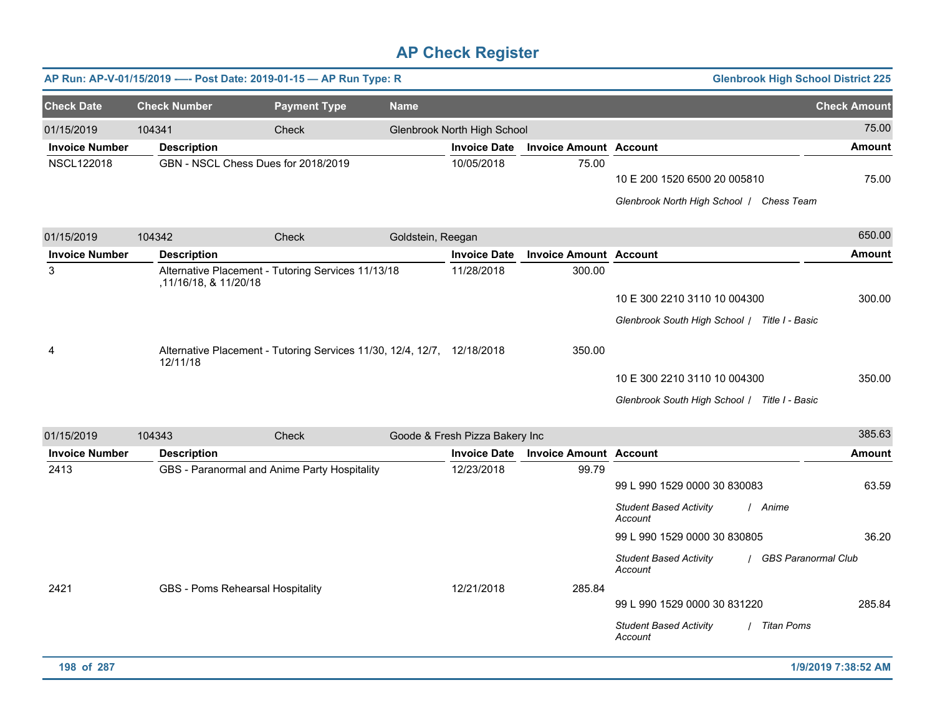|                       |                       | AP Run: AP-V-01/15/2019 ---- Post Date: 2019-01-15 - AP Run Type: R     |                   |                                |                               |                                                                          | <b>Glenbrook High School District 225</b> |                     |
|-----------------------|-----------------------|-------------------------------------------------------------------------|-------------------|--------------------------------|-------------------------------|--------------------------------------------------------------------------|-------------------------------------------|---------------------|
| <b>Check Date</b>     | <b>Check Number</b>   | <b>Payment Type</b>                                                     | <b>Name</b>       |                                |                               |                                                                          |                                           | <b>Check Amount</b> |
| 01/15/2019            | 104341                | Check                                                                   |                   | Glenbrook North High School    |                               |                                                                          |                                           | 75.00               |
| <b>Invoice Number</b> | <b>Description</b>    |                                                                         |                   | <b>Invoice Date</b>            | <b>Invoice Amount Account</b> |                                                                          |                                           | <b>Amount</b>       |
| <b>NSCL122018</b>     |                       | GBN - NSCL Chess Dues for 2018/2019                                     |                   | 10/05/2018                     | 75.00                         | 10 E 200 1520 6500 20 005810<br>Glenbrook North High School   Chess Team |                                           | 75.00               |
| 01/15/2019            | 104342                | Check                                                                   | Goldstein, Reegan |                                |                               |                                                                          |                                           | 650.00              |
| <b>Invoice Number</b> | <b>Description</b>    |                                                                         |                   | <b>Invoice Date</b>            | <b>Invoice Amount Account</b> |                                                                          |                                           | <b>Amount</b>       |
| 3                     | ,11/16/18, & 11/20/18 | Alternative Placement - Tutoring Services 11/13/18                      |                   | 11/28/2018                     | 300.00                        |                                                                          |                                           |                     |
|                       |                       |                                                                         |                   |                                |                               | 10 E 300 2210 3110 10 004300                                             |                                           | 300.00              |
|                       |                       |                                                                         |                   |                                |                               | Glenbrook South High School / Title I - Basic                            |                                           |                     |
| 4                     | 12/11/18              | Alternative Placement - Tutoring Services 11/30, 12/4, 12/7, 12/18/2018 |                   |                                | 350.00                        |                                                                          |                                           |                     |
|                       |                       |                                                                         |                   |                                |                               | 10 E 300 2210 3110 10 004300                                             |                                           | 350.00              |
|                       |                       |                                                                         |                   |                                |                               | Glenbrook South High School   Title I - Basic                            |                                           |                     |
| 01/15/2019            | 104343                | Check                                                                   |                   | Goode & Fresh Pizza Bakery Inc |                               |                                                                          |                                           | 385.63              |
| <b>Invoice Number</b> | <b>Description</b>    |                                                                         |                   | <b>Invoice Date</b>            | <b>Invoice Amount Account</b> |                                                                          |                                           | <b>Amount</b>       |
| 2413                  |                       | GBS - Paranormal and Anime Party Hospitality                            |                   | 12/23/2018                     | 99.79                         |                                                                          |                                           |                     |
|                       |                       |                                                                         |                   |                                |                               | 99 L 990 1529 0000 30 830083                                             |                                           | 63.59               |
|                       |                       |                                                                         |                   |                                |                               | <b>Student Based Activity</b><br>Account                                 | / Anime                                   |                     |
|                       |                       |                                                                         |                   |                                |                               | 99 L 990 1529 0000 30 830805                                             |                                           | 36.20               |
|                       |                       |                                                                         |                   |                                |                               | <b>Student Based Activity</b><br>Account                                 | / GBS Paranormal Club                     |                     |
| 2421                  |                       | GBS - Poms Rehearsal Hospitality                                        |                   | 12/21/2018                     | 285.84                        |                                                                          |                                           |                     |
|                       |                       |                                                                         |                   |                                |                               | 99 L 990 1529 0000 30 831220                                             |                                           | 285.84              |
|                       |                       |                                                                         |                   |                                |                               | <b>Student Based Activity</b><br>Account                                 | / Titan Poms                              |                     |
| 198 of 287            |                       |                                                                         |                   |                                |                               |                                                                          |                                           | 1/9/2019 7:38:52 AM |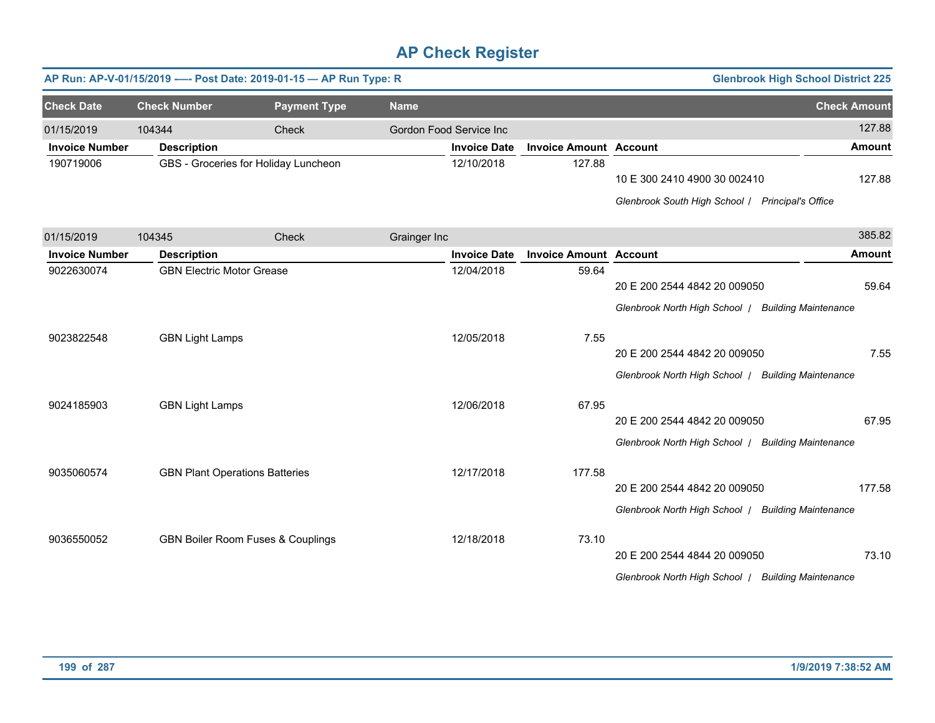|                       |                                       | AP Run: AP-V-01/15/2019 ---- Post Date: 2019-01-15 - AP Run Type: R |              |                         |                               |                                                                                    | <b>Glenbrook High School District 225</b> |               |
|-----------------------|---------------------------------------|---------------------------------------------------------------------|--------------|-------------------------|-------------------------------|------------------------------------------------------------------------------------|-------------------------------------------|---------------|
| <b>Check Date</b>     | <b>Check Number</b>                   | <b>Payment Type</b>                                                 | <b>Name</b>  |                         |                               |                                                                                    | <b>Check Amount</b>                       |               |
| 01/15/2019            | 104344                                | Check                                                               |              | Gordon Food Service Inc |                               |                                                                                    |                                           | 127.88        |
| <b>Invoice Number</b> | <b>Description</b>                    |                                                                     |              | <b>Invoice Date</b>     | <b>Invoice Amount Account</b> |                                                                                    |                                           | <b>Amount</b> |
| 190719006             |                                       | GBS - Groceries for Holiday Luncheon                                |              | 12/10/2018              | 127.88                        | 10 E 300 2410 4900 30 002410<br>Glenbrook South High School / Principal's Office   |                                           | 127.88        |
| 01/15/2019            | 104345                                | Check                                                               | Grainger Inc |                         |                               |                                                                                    |                                           | 385.82        |
| <b>Invoice Number</b> | <b>Description</b>                    |                                                                     |              | <b>Invoice Date</b>     | <b>Invoice Amount Account</b> |                                                                                    |                                           | <b>Amount</b> |
| 9022630074            | <b>GBN Electric Motor Grease</b>      |                                                                     |              | 12/04/2018              | 59.64                         | 20 E 200 2544 4842 20 009050<br>Glenbrook North High School / Building Maintenance |                                           | 59.64         |
| 9023822548            | <b>GBN Light Lamps</b>                |                                                                     |              | 12/05/2018              | 7.55                          | 20 E 200 2544 4842 20 009050<br>Glenbrook North High School / Building Maintenance |                                           | 7.55          |
| 9024185903            | <b>GBN Light Lamps</b>                |                                                                     |              | 12/06/2018              | 67.95                         | 20 E 200 2544 4842 20 009050<br>Glenbrook North High School   Building Maintenance |                                           | 67.95         |
| 9035060574            | <b>GBN Plant Operations Batteries</b> |                                                                     |              | 12/17/2018              | 177.58                        | 20 E 200 2544 4842 20 009050<br>Glenbrook North High School   Building Maintenance |                                           | 177.58        |
| 9036550052            |                                       | GBN Boiler Room Fuses & Couplings                                   |              | 12/18/2018              | 73.10                         | 20 E 200 2544 4844 20 009050<br>Glenbrook North High School   Building Maintenance |                                           | 73.10         |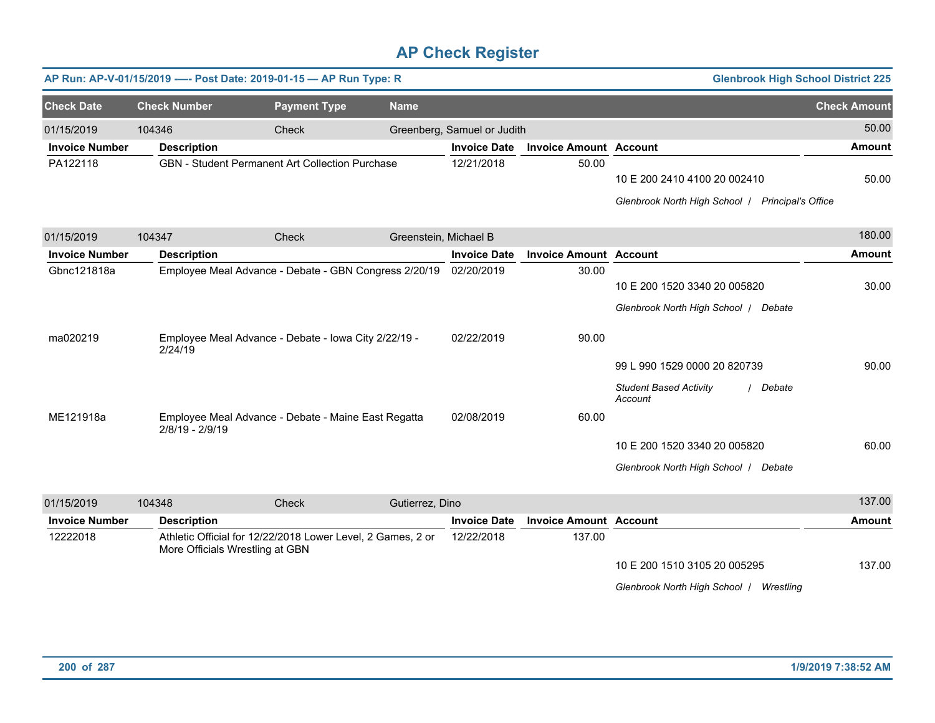|                       |                     | AP Run: AP-V-01/15/2019 ---- Post Date: 2019-01-15 - AP Run Type: R                            |                       |                             |                               | <b>Glenbrook High School District 225</b>                                            |                     |
|-----------------------|---------------------|------------------------------------------------------------------------------------------------|-----------------------|-----------------------------|-------------------------------|--------------------------------------------------------------------------------------|---------------------|
|                       |                     |                                                                                                |                       |                             |                               |                                                                                      |                     |
| <b>Check Date</b>     | <b>Check Number</b> | <b>Payment Type</b>                                                                            | <b>Name</b>           |                             |                               |                                                                                      | <b>Check Amount</b> |
| 01/15/2019            | 104346              | Check                                                                                          |                       | Greenberg, Samuel or Judith |                               |                                                                                      | 50.00               |
| <b>Invoice Number</b> | <b>Description</b>  |                                                                                                |                       | <b>Invoice Date</b>         | <b>Invoice Amount Account</b> |                                                                                      | <b>Amount</b>       |
| PA122118              |                     | <b>GBN</b> - Student Permanent Art Collection Purchase                                         |                       | 12/21/2018                  | 50.00                         | 10 E 200 2410 4100 20 002410                                                         | 50.00               |
|                       |                     |                                                                                                |                       |                             |                               | Glenbrook North High School   Principal's Office                                     |                     |
| 01/15/2019            | 104347              | Check                                                                                          | Greenstein, Michael B |                             |                               |                                                                                      | 180.00              |
| <b>Invoice Number</b> | <b>Description</b>  |                                                                                                |                       | <b>Invoice Date</b>         | <b>Invoice Amount Account</b> |                                                                                      | <b>Amount</b>       |
| Gbnc121818a           |                     | Employee Meal Advance - Debate - GBN Congress 2/20/19                                          |                       | 02/20/2019                  | 30.00                         | 10 E 200 1520 3340 20 005820<br>Glenbrook North High School   Debate                 | 30.00               |
| ma020219              | 2/24/19             | Employee Meal Advance - Debate - Iowa City 2/22/19 -                                           |                       | 02/22/2019                  | 90.00                         | 99 L 990 1529 0000 20 820739<br><b>Student Based Activity</b><br>/ Debate<br>Account | 90.00               |
| ME121918a             | 2/8/19 - 2/9/19     | Employee Meal Advance - Debate - Maine East Regatta                                            |                       | 02/08/2019                  | 60.00                         | 10 E 200 1520 3340 20 005820<br>Glenbrook North High School   Debate                 | 60.00               |
| 01/15/2019            | 104348              | Check                                                                                          | Gutierrez, Dino       |                             |                               |                                                                                      | 137.00              |
| <b>Invoice Number</b> | <b>Description</b>  |                                                                                                |                       | <b>Invoice Date</b>         | <b>Invoice Amount Account</b> |                                                                                      | <b>Amount</b>       |
| 12222018              |                     | Athletic Official for 12/22/2018 Lower Level, 2 Games, 2 or<br>More Officials Wrestling at GBN |                       | 12/22/2018                  | 137.00                        | 10 E 200 1510 3105 20 005295<br>Glenbrook North High School   Wrestling              | 137.00              |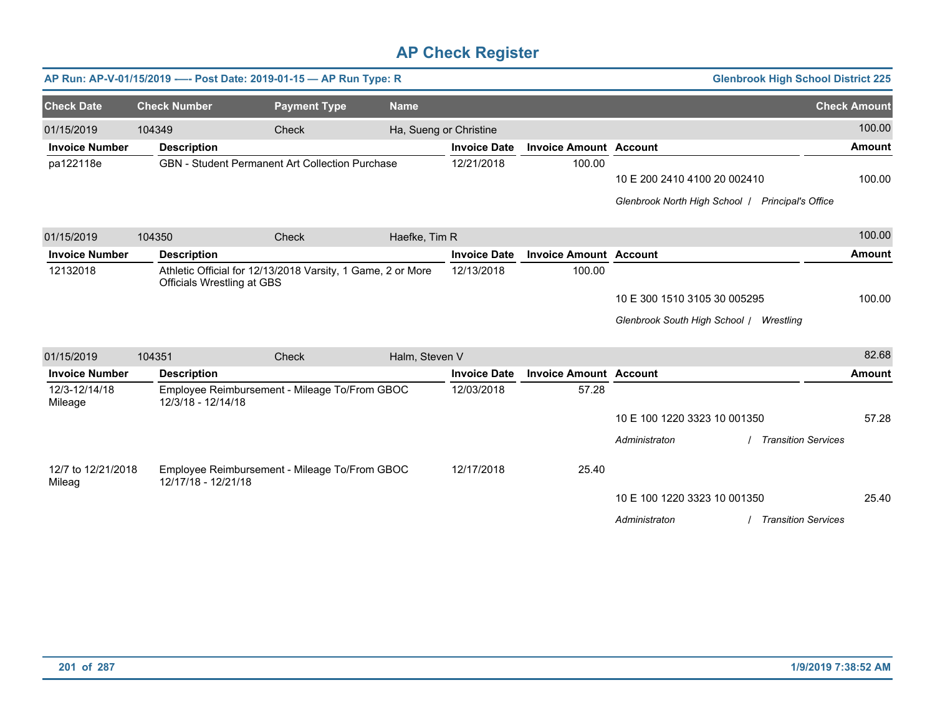|                              |        | AP Run: AP-V-01/15/2019 ---- Post Date: 2019-01-15 - AP Run Type: R                       |                     |                        |                     |                               |                                         | <b>Glenbrook High School District 225</b> |
|------------------------------|--------|-------------------------------------------------------------------------------------------|---------------------|------------------------|---------------------|-------------------------------|-----------------------------------------|-------------------------------------------|
| <b>Check Date</b>            |        | <b>Check Number</b>                                                                       | <b>Payment Type</b> | <b>Name</b>            |                     |                               |                                         | <b>Check Amount</b>                       |
| 01/15/2019                   | 104349 |                                                                                           | Check               | Ha, Sueng or Christine |                     |                               |                                         | 100.00                                    |
| <b>Invoice Number</b>        |        | <b>Description</b>                                                                        |                     |                        | <b>Invoice Date</b> | <b>Invoice Amount Account</b> |                                         | <b>Amount</b>                             |
| pa122118e                    |        | GBN - Student Permanent Art Collection Purchase                                           |                     |                        | 12/21/2018          | 100.00                        |                                         |                                           |
|                              |        |                                                                                           |                     |                        |                     |                               | 10 E 200 2410 4100 20 002410            | 100.00                                    |
|                              |        |                                                                                           |                     |                        |                     |                               | Glenbrook North High School             | <b>Principal's Office</b>                 |
| 01/15/2019                   | 104350 |                                                                                           | Check               | Haefke, Tim R          |                     |                               |                                         | 100.00                                    |
| <b>Invoice Number</b>        |        | <b>Description</b>                                                                        |                     |                        | <b>Invoice Date</b> | <b>Invoice Amount Account</b> |                                         | <b>Amount</b>                             |
| 12132018                     |        | Athletic Official for 12/13/2018 Varsity, 1 Game, 2 or More<br>Officials Wrestling at GBS |                     |                        | 12/13/2018          | 100.00                        |                                         |                                           |
|                              |        |                                                                                           |                     |                        |                     |                               | 10 E 300 1510 3105 30 005295            | 100.00                                    |
|                              |        |                                                                                           |                     |                        |                     |                               | Glenbrook South High School / Wrestling |                                           |
| 01/15/2019                   | 104351 |                                                                                           | Check               | Halm, Steven V         |                     |                               |                                         | 82.68                                     |
| <b>Invoice Number</b>        |        | <b>Description</b>                                                                        |                     |                        | <b>Invoice Date</b> | <b>Invoice Amount Account</b> |                                         | <b>Amount</b>                             |
| 12/3-12/14/18<br>Mileage     |        | Employee Reimbursement - Mileage To/From GBOC<br>12/3/18 - 12/14/18                       |                     |                        | 12/03/2018          | 57.28                         |                                         |                                           |
|                              |        |                                                                                           |                     |                        |                     |                               | 10 E 100 1220 3323 10 001350            | 57.28                                     |
|                              |        |                                                                                           |                     |                        |                     |                               | Administraton                           | <b>Transition Services</b>                |
| 12/7 to 12/21/2018<br>Mileag |        | Employee Reimbursement - Mileage To/From GBOC<br>12/17/18 - 12/21/18                      |                     |                        | 12/17/2018          | 25.40                         |                                         |                                           |
|                              |        |                                                                                           |                     |                        |                     |                               | 10 E 100 1220 3323 10 001350            | 25.40                                     |
|                              |        |                                                                                           |                     |                        |                     |                               | Administraton                           | <b>Transition Services</b>                |
|                              |        |                                                                                           |                     |                        |                     |                               |                                         |                                           |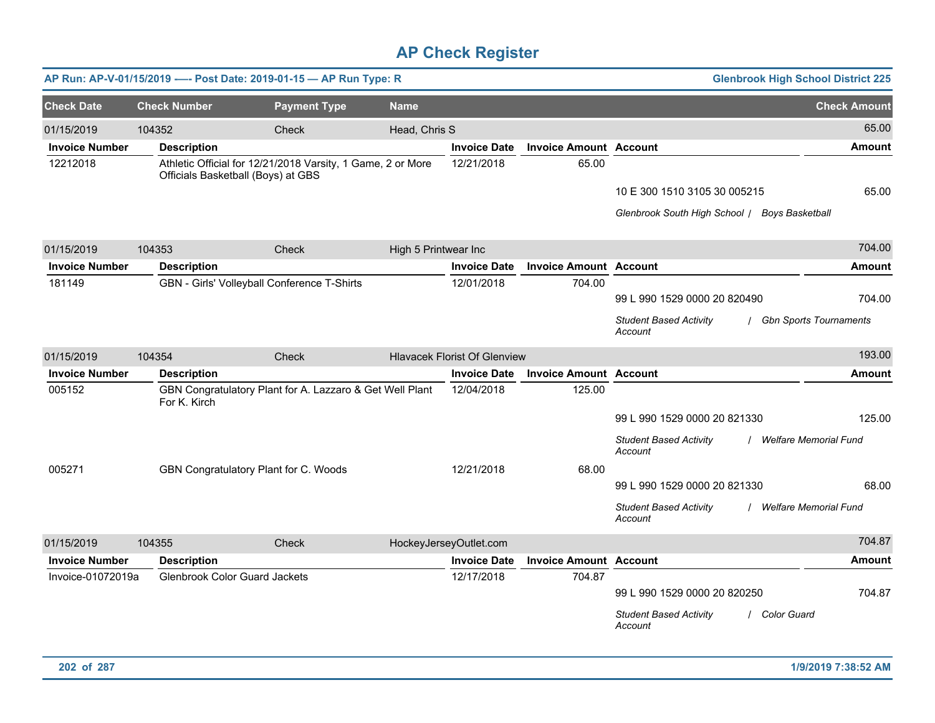|                       |                                      | AP Run: AP-V-01/15/2019 ---- Post Date: 2019-01-15 - AP Run Type: R |                      |                                     |                               |                                                                                           | <b>Glenbrook High School District 225</b> |
|-----------------------|--------------------------------------|---------------------------------------------------------------------|----------------------|-------------------------------------|-------------------------------|-------------------------------------------------------------------------------------------|-------------------------------------------|
| <b>Check Date</b>     | <b>Check Number</b>                  | <b>Payment Type</b>                                                 | <b>Name</b>          |                                     |                               |                                                                                           | <b>Check Amount</b>                       |
| 01/15/2019            | 104352                               | Check                                                               | Head, Chris S        |                                     |                               |                                                                                           | 65.00                                     |
| <b>Invoice Number</b> | <b>Description</b>                   |                                                                     |                      | <b>Invoice Date</b>                 | <b>Invoice Amount Account</b> |                                                                                           | Amount                                    |
| 12212018              | Officials Basketball (Boys) at GBS   | Athletic Official for 12/21/2018 Varsity, 1 Game, 2 or More         |                      | 12/21/2018                          | 65.00                         | 10 E 300 1510 3105 30 005215<br>Glenbrook South High School   Boys Basketball             | 65.00                                     |
| 01/15/2019            | 104353                               | Check                                                               | High 5 Printwear Inc |                                     |                               |                                                                                           | 704.00                                    |
| <b>Invoice Number</b> | <b>Description</b>                   |                                                                     |                      | <b>Invoice Date</b>                 | <b>Invoice Amount Account</b> |                                                                                           | <b>Amount</b>                             |
| 181149                |                                      | GBN - Girls' Volleyball Conference T-Shirts                         |                      | 12/01/2018                          | 704.00                        | 99 L 990 1529 0000 20 820490<br><b>Student Based Activity</b><br>Account                  | 704.00<br>/ Gbn Sports Tournaments        |
| 01/15/2019            | 104354                               | Check                                                               |                      | <b>Hlavacek Florist Of Glenview</b> |                               |                                                                                           | 193.00                                    |
| <b>Invoice Number</b> | <b>Description</b>                   |                                                                     |                      | <b>Invoice Date</b>                 | <b>Invoice Amount Account</b> |                                                                                           | <b>Amount</b>                             |
| 005152                | For K. Kirch                         | GBN Congratulatory Plant for A. Lazzaro & Get Well Plant            |                      | 12/04/2018                          | 125.00                        | 99 L 990 1529 0000 20 821330<br><b>Student Based Activity</b><br>Account                  | 125.00<br><b>Welfare Memorial Fund</b>    |
| 005271                |                                      | GBN Congratulatory Plant for C. Woods                               |                      | 12/21/2018                          | 68.00                         | 99 L 990 1529 0000 20 821330<br><b>Student Based Activity</b><br>Account                  | 68.00<br>/ Welfare Memorial Fund          |
| 01/15/2019            | 104355                               | Check                                                               |                      | HockeyJerseyOutlet.com              |                               |                                                                                           | 704.87                                    |
| <b>Invoice Number</b> | <b>Description</b>                   |                                                                     |                      | <b>Invoice Date</b>                 | <b>Invoice Amount Account</b> |                                                                                           | <b>Amount</b>                             |
| Invoice-01072019a     | <b>Glenbrook Color Guard Jackets</b> |                                                                     |                      | 12/17/2018                          | 704.87                        | 99 L 990 1529 0000 20 820250<br><b>Student Based Activity</b><br>/ Color Guard<br>Account | 704.87                                    |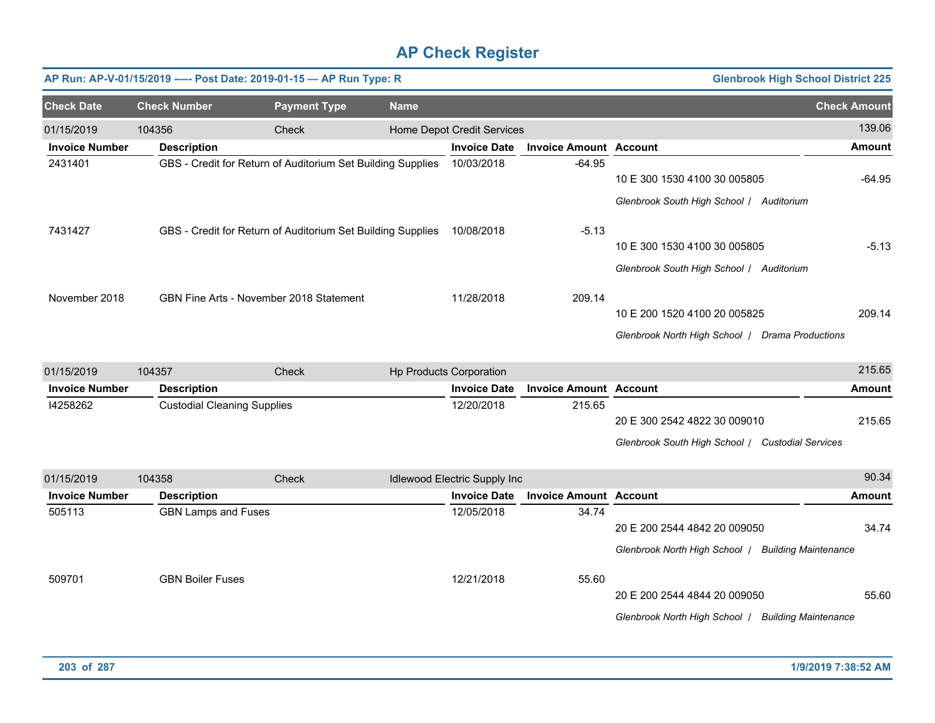|                       |                                    | AP Run: AP-V-01/15/2019 ---- Post Date: 2019-01-15 - AP Run Type: R |             |                              |                               |                                                    | <b>Glenbrook High School District 225</b> |
|-----------------------|------------------------------------|---------------------------------------------------------------------|-------------|------------------------------|-------------------------------|----------------------------------------------------|-------------------------------------------|
| <b>Check Date</b>     | <b>Check Number</b>                | <b>Payment Type</b>                                                 | <b>Name</b> |                              |                               |                                                    | <b>Check Amount</b>                       |
| 01/15/2019            | 104356                             | Check                                                               |             | Home Depot Credit Services   |                               |                                                    | 139.06                                    |
| <b>Invoice Number</b> | <b>Description</b>                 |                                                                     |             | <b>Invoice Date</b>          | <b>Invoice Amount Account</b> |                                                    | <b>Amount</b>                             |
| 2431401               |                                    | GBS - Credit for Return of Auditorium Set Building Supplies         |             | 10/03/2018                   | $-64.95$                      | 10 E 300 1530 4100 30 005805                       | $-64.95$                                  |
|                       |                                    |                                                                     |             |                              |                               | Glenbrook South High School / Auditorium           |                                           |
| 7431427               |                                    | GBS - Credit for Return of Auditorium Set Building Supplies         |             | 10/08/2018                   | $-5.13$                       |                                                    |                                           |
|                       |                                    |                                                                     |             |                              |                               | 10 E 300 1530 4100 30 005805                       | $-5.13$                                   |
|                       |                                    |                                                                     |             |                              |                               | Glenbrook South High School / Auditorium           |                                           |
| November 2018         |                                    | GBN Fine Arts - November 2018 Statement                             |             | 11/28/2018                   | 209.14                        |                                                    |                                           |
|                       |                                    |                                                                     |             |                              |                               | 10 E 200 1520 4100 20 005825                       | 209.14                                    |
|                       |                                    |                                                                     |             |                              |                               | Glenbrook North High School   Drama Productions    |                                           |
| 01/15/2019            | 104357                             | Check                                                               |             | Hp Products Corporation      |                               |                                                    | 215.65                                    |
| <b>Invoice Number</b> | <b>Description</b>                 |                                                                     |             | <b>Invoice Date</b>          | <b>Invoice Amount Account</b> |                                                    | <b>Amount</b>                             |
| 14258262              | <b>Custodial Cleaning Supplies</b> |                                                                     |             | 12/20/2018                   | 215.65                        |                                                    |                                           |
|                       |                                    |                                                                     |             |                              |                               | 20 E 300 2542 4822 30 009010                       | 215.65                                    |
|                       |                                    |                                                                     |             |                              |                               | Glenbrook South High School / Custodial Services   |                                           |
| 01/15/2019            | 104358                             | Check                                                               |             | Idlewood Electric Supply Inc |                               |                                                    | 90.34                                     |
| <b>Invoice Number</b> | <b>Description</b>                 |                                                                     |             | <b>Invoice Date</b>          | <b>Invoice Amount Account</b> |                                                    | <b>Amount</b>                             |
| 505113                | <b>GBN Lamps and Fuses</b>         |                                                                     |             | 12/05/2018                   | 34.74                         |                                                    |                                           |
|                       |                                    |                                                                     |             |                              |                               | 20 E 200 2544 4842 20 009050                       | 34.74                                     |
|                       |                                    |                                                                     |             |                              |                               | Glenbrook North High School   Building Maintenance |                                           |
| 509701                | <b>GBN Boiler Fuses</b>            |                                                                     |             | 12/21/2018                   | 55.60                         |                                                    |                                           |
|                       |                                    |                                                                     |             |                              |                               | 20 E 200 2544 4844 20 009050                       | 55.60                                     |
|                       |                                    |                                                                     |             |                              |                               | Glenbrook North High School   Building Maintenance |                                           |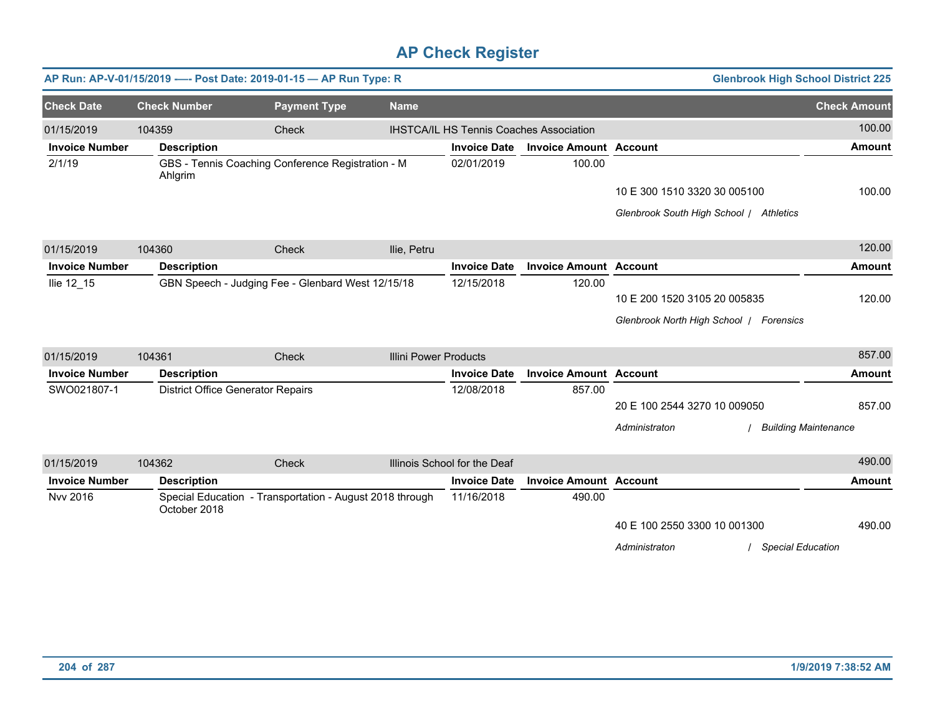|                       |                                          | AP Run: AP-V-01/15/2019 ---- Post Date: 2019-01-15 - AP Run Type: R |                              |                              |                                                |                                         | <b>Glenbrook High School District 225</b> |
|-----------------------|------------------------------------------|---------------------------------------------------------------------|------------------------------|------------------------------|------------------------------------------------|-----------------------------------------|-------------------------------------------|
| <b>Check Date</b>     | <b>Check Number</b>                      | <b>Payment Type</b>                                                 | <b>Name</b>                  |                              |                                                |                                         | <b>Check Amount</b>                       |
| 01/15/2019            | 104359                                   | Check                                                               |                              |                              | <b>IHSTCA/IL HS Tennis Coaches Association</b> |                                         | 100.00                                    |
| <b>Invoice Number</b> | <b>Description</b>                       |                                                                     |                              | <b>Invoice Date</b>          | <b>Invoice Amount Account</b>                  |                                         | <b>Amount</b>                             |
| 2/1/19                | Ahlgrim                                  | GBS - Tennis Coaching Conference Registration - M                   |                              | 02/01/2019                   | 100.00                                         |                                         |                                           |
|                       |                                          |                                                                     |                              |                              |                                                | 10 E 300 1510 3320 30 005100            | 100.00                                    |
|                       |                                          |                                                                     |                              |                              |                                                | Glenbrook South High School / Athletics |                                           |
| 01/15/2019            | 104360                                   | Check                                                               | Ilie, Petru                  |                              |                                                |                                         | 120.00                                    |
| <b>Invoice Number</b> | <b>Description</b>                       |                                                                     |                              | <b>Invoice Date</b>          | <b>Invoice Amount Account</b>                  |                                         | <b>Amount</b>                             |
| Ilie 12_15            |                                          | GBN Speech - Judging Fee - Glenbard West 12/15/18                   |                              | 12/15/2018                   | 120.00                                         |                                         |                                           |
|                       |                                          |                                                                     |                              |                              |                                                | 10 E 200 1520 3105 20 005835            | 120.00                                    |
|                       |                                          |                                                                     |                              |                              |                                                | Glenbrook North High School   Forensics |                                           |
| 01/15/2019            | 104361                                   | Check                                                               | <b>Illini Power Products</b> |                              |                                                |                                         | 857.00                                    |
| <b>Invoice Number</b> | <b>Description</b>                       |                                                                     |                              | <b>Invoice Date</b>          | <b>Invoice Amount Account</b>                  |                                         | <b>Amount</b>                             |
| SWO021807-1           | <b>District Office Generator Repairs</b> |                                                                     |                              | 12/08/2018                   | 857.00                                         |                                         |                                           |
|                       |                                          |                                                                     |                              |                              |                                                | 20 E 100 2544 3270 10 009050            | 857.00                                    |
|                       |                                          |                                                                     |                              |                              |                                                | Administraton                           | <b>Building Maintenance</b>               |
| 01/15/2019            | 104362                                   | Check                                                               |                              | Illinois School for the Deaf |                                                |                                         | 490.00                                    |
| <b>Invoice Number</b> | <b>Description</b>                       |                                                                     |                              | <b>Invoice Date</b>          | <b>Invoice Amount Account</b>                  |                                         | <b>Amount</b>                             |
| <b>Nvv 2016</b>       | October 2018                             | Special Education - Transportation - August 2018 through            |                              | 11/16/2018                   | 490.00                                         |                                         |                                           |
|                       |                                          |                                                                     |                              |                              |                                                | 40 E 100 2550 3300 10 001300            | 490.00                                    |
|                       |                                          |                                                                     |                              |                              |                                                | Administraton<br>/ Special Education    |                                           |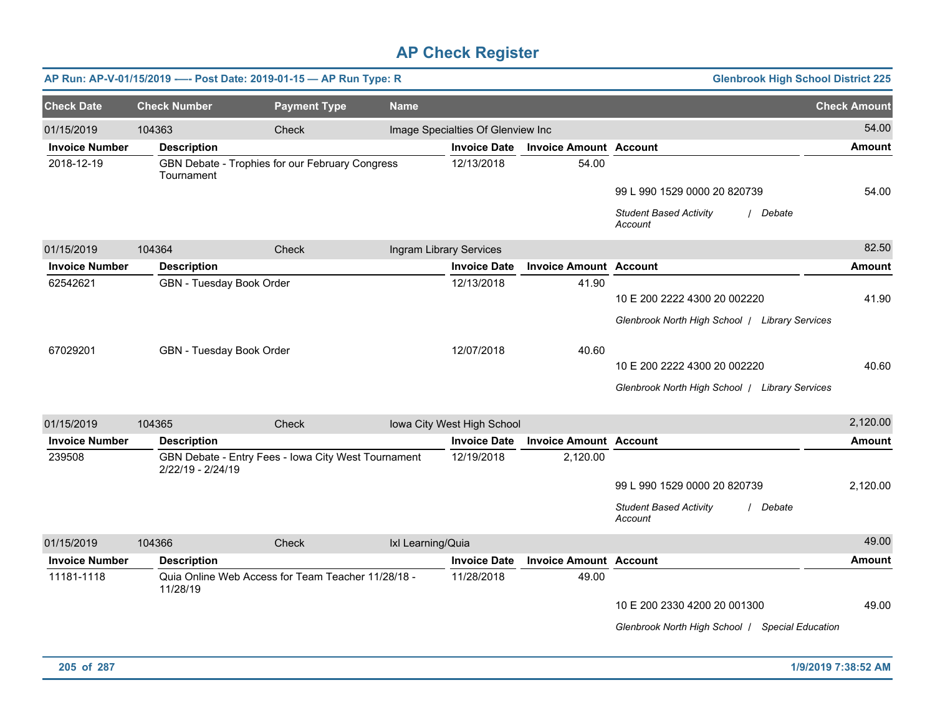|                       |                     | AP Run: AP-V-01/15/2019 ---- Post Date: 2019-01-15 - AP Run Type: R |                   |                                   |                               | <b>Glenbrook High School District 225</b>            |                     |
|-----------------------|---------------------|---------------------------------------------------------------------|-------------------|-----------------------------------|-------------------------------|------------------------------------------------------|---------------------|
| <b>Check Date</b>     | <b>Check Number</b> | <b>Payment Type</b>                                                 | <b>Name</b>       |                                   |                               |                                                      | <b>Check Amount</b> |
| 01/15/2019            | 104363              | Check                                                               |                   | Image Specialties Of Glenview Inc |                               |                                                      | 54.00               |
| <b>Invoice Number</b> | <b>Description</b>  |                                                                     |                   | <b>Invoice Date</b>               | <b>Invoice Amount Account</b> |                                                      | <b>Amount</b>       |
| 2018-12-19            | Tournament          | GBN Debate - Trophies for our February Congress                     |                   | 12/13/2018                        | 54.00                         |                                                      |                     |
|                       |                     |                                                                     |                   |                                   |                               | 99 L 990 1529 0000 20 820739                         | 54.00               |
|                       |                     |                                                                     |                   |                                   |                               | <b>Student Based Activity</b><br>/ Debate<br>Account |                     |
| 01/15/2019            | 104364              | Check                                                               |                   | Ingram Library Services           |                               |                                                      | 82.50               |
| <b>Invoice Number</b> | <b>Description</b>  |                                                                     |                   | <b>Invoice Date</b>               | <b>Invoice Amount Account</b> |                                                      | <b>Amount</b>       |
| 62542621              |                     | GBN - Tuesday Book Order                                            |                   | 12/13/2018                        | 41.90                         |                                                      |                     |
|                       |                     |                                                                     |                   |                                   |                               | 10 E 200 2222 4300 20 002220                         | 41.90               |
|                       |                     |                                                                     |                   |                                   |                               | Glenbrook North High School   Library Services       |                     |
| 67029201              |                     | GBN - Tuesday Book Order                                            |                   | 12/07/2018                        | 40.60                         |                                                      |                     |
|                       |                     |                                                                     |                   |                                   |                               | 10 E 200 2222 4300 20 002220                         | 40.60               |
|                       |                     |                                                                     |                   |                                   |                               | Glenbrook North High School   Library Services       |                     |
| 01/15/2019            | 104365              | Check                                                               |                   | Iowa City West High School        |                               |                                                      | 2,120.00            |
| <b>Invoice Number</b> | <b>Description</b>  |                                                                     |                   | <b>Invoice Date</b>               | <b>Invoice Amount Account</b> |                                                      | <b>Amount</b>       |
| 239508                | 2/22/19 - 2/24/19   | GBN Debate - Entry Fees - Iowa City West Tournament                 |                   | 12/19/2018                        | 2,120.00                      |                                                      |                     |
|                       |                     |                                                                     |                   |                                   |                               | 99 L 990 1529 0000 20 820739                         | 2,120.00            |
|                       |                     |                                                                     |                   |                                   |                               | <b>Student Based Activity</b><br>/ Debate<br>Account |                     |
| 01/15/2019            | 104366              | Check                                                               | Ixl Learning/Quia |                                   |                               |                                                      | 49.00               |
| <b>Invoice Number</b> | <b>Description</b>  |                                                                     |                   | <b>Invoice Date</b>               | <b>Invoice Amount Account</b> |                                                      | <b>Amount</b>       |
| 11181-1118            | 11/28/19            | Quia Online Web Access for Team Teacher 11/28/18 -                  |                   | 11/28/2018                        | 49.00                         |                                                      |                     |
|                       |                     |                                                                     |                   |                                   |                               | 10 E 200 2330 4200 20 001300                         | 49.00               |
|                       |                     |                                                                     |                   |                                   |                               | Glenbrook North High School / Special Education      |                     |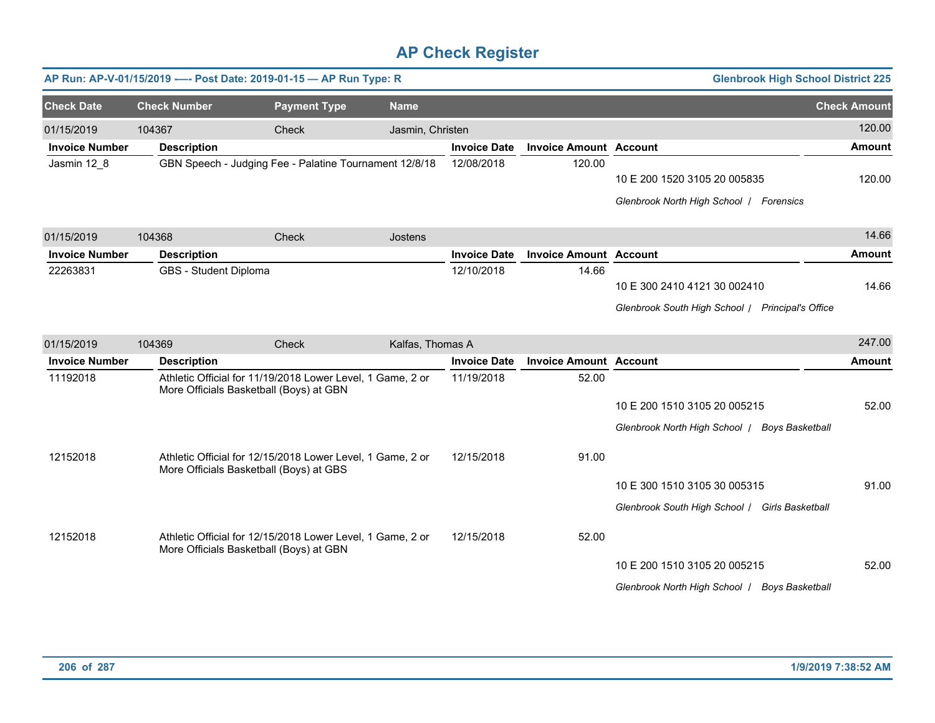|                       |                       | AP Run: AP-V-01/15/2019 ---- Post Date: 2019-01-15 - AP Run Type: R                                   |                  |                     |                               | <b>Glenbrook High School District 225</b>                                        |                     |
|-----------------------|-----------------------|-------------------------------------------------------------------------------------------------------|------------------|---------------------|-------------------------------|----------------------------------------------------------------------------------|---------------------|
| <b>Check Date</b>     | <b>Check Number</b>   | <b>Payment Type</b>                                                                                   | <b>Name</b>      |                     |                               |                                                                                  | <b>Check Amount</b> |
| 01/15/2019            | 104367                | Check                                                                                                 | Jasmin, Christen |                     |                               |                                                                                  | 120.00              |
| <b>Invoice Number</b> | <b>Description</b>    |                                                                                                       |                  | <b>Invoice Date</b> | <b>Invoice Amount Account</b> |                                                                                  | <b>Amount</b>       |
| Jasmin 12 8           |                       | GBN Speech - Judging Fee - Palatine Tournament 12/8/18                                                |                  | 12/08/2018          | 120.00                        | 10 E 200 1520 3105 20 005835<br>Glenbrook North High School   Forensics          | 120.00              |
| 01/15/2019            | 104368                | <b>Check</b>                                                                                          | Jostens          |                     |                               |                                                                                  | 14.66               |
| <b>Invoice Number</b> | <b>Description</b>    |                                                                                                       |                  | <b>Invoice Date</b> | <b>Invoice Amount Account</b> |                                                                                  | <b>Amount</b>       |
| 22263831              | GBS - Student Diploma |                                                                                                       |                  | 12/10/2018          | 14.66                         | 10 E 300 2410 4121 30 002410<br>Glenbrook South High School / Principal's Office | 14.66               |
| 01/15/2019            | 104369                | <b>Check</b>                                                                                          | Kalfas, Thomas A |                     |                               |                                                                                  | 247.00              |
| <b>Invoice Number</b> | <b>Description</b>    |                                                                                                       |                  | <b>Invoice Date</b> | <b>Invoice Amount Account</b> |                                                                                  | <b>Amount</b>       |
| 11192018              |                       | Athletic Official for 11/19/2018 Lower Level, 1 Game, 2 or<br>More Officials Basketball (Boys) at GBN |                  | 11/19/2018          | 52.00                         | 10 E 200 1510 3105 20 005215<br>Glenbrook North High School   Boys Basketball    | 52.00               |
| 12152018              |                       | Athletic Official for 12/15/2018 Lower Level, 1 Game, 2 or<br>More Officials Basketball (Boys) at GBS |                  | 12/15/2018          | 91.00                         | 10 E 300 1510 3105 30 005315<br>Glenbrook South High School / Girls Basketball   | 91.00               |
| 12152018              |                       | Athletic Official for 12/15/2018 Lower Level, 1 Game, 2 or<br>More Officials Basketball (Boys) at GBN |                  | 12/15/2018          | 52.00                         | 10 E 200 1510 3105 20 005215<br>Glenbrook North High School   Boys Basketball    | 52.00               |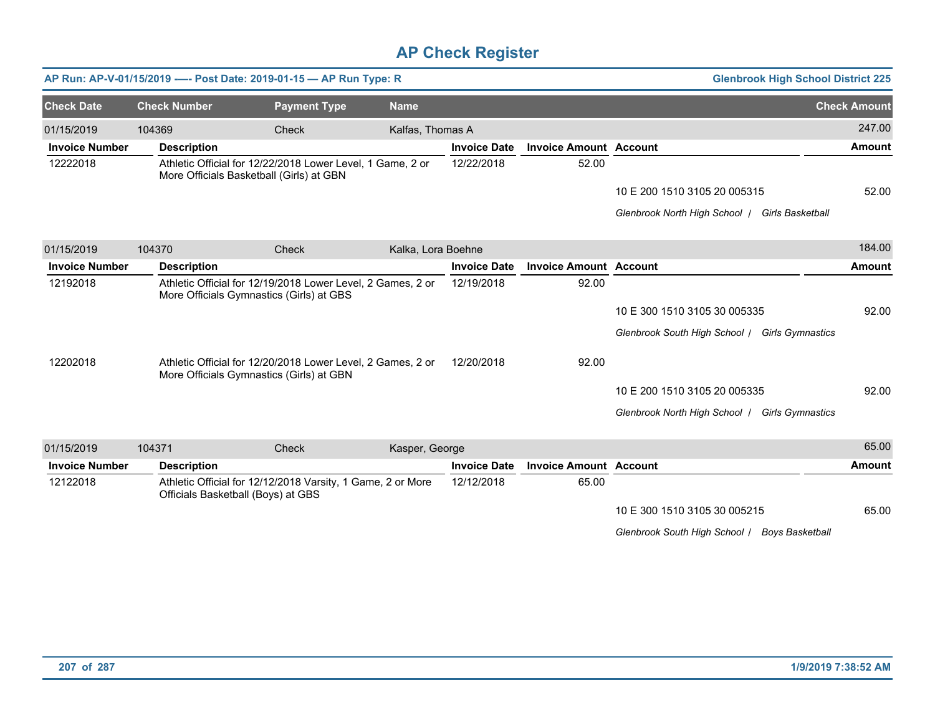|                       |                     | AP Run: AP-V-01/15/2019 ---- Post Date: 2019-01-15 - AP Run Type: R                                     |                    |                     |                               | <b>Glenbrook High School District 225</b>                |                     |
|-----------------------|---------------------|---------------------------------------------------------------------------------------------------------|--------------------|---------------------|-------------------------------|----------------------------------------------------------|---------------------|
| <b>Check Date</b>     | <b>Check Number</b> | <b>Payment Type</b>                                                                                     | <b>Name</b>        |                     |                               |                                                          | <b>Check Amount</b> |
| 01/15/2019            | 104369              | Check                                                                                                   | Kalfas, Thomas A   |                     |                               |                                                          | 247.00              |
| <b>Invoice Number</b> | <b>Description</b>  |                                                                                                         |                    | <b>Invoice Date</b> | <b>Invoice Amount Account</b> |                                                          | <b>Amount</b>       |
| 12222018              |                     | Athletic Official for 12/22/2018 Lower Level, 1 Game, 2 or<br>More Officials Basketball (Girls) at GBN  |                    | 12/22/2018          | 52.00                         |                                                          |                     |
|                       |                     |                                                                                                         |                    |                     |                               | 10 E 200 1510 3105 20 005315                             | 52.00               |
|                       |                     |                                                                                                         |                    |                     |                               | Glenbrook North High School /<br>Girls Basketball        |                     |
| 01/15/2019            | 104370              | Check                                                                                                   | Kalka, Lora Boehne |                     |                               |                                                          | 184.00              |
| <b>Invoice Number</b> | <b>Description</b>  |                                                                                                         |                    | <b>Invoice Date</b> | <b>Invoice Amount Account</b> |                                                          | <b>Amount</b>       |
| 12192018              |                     | Athletic Official for 12/19/2018 Lower Level, 2 Games, 2 or<br>More Officials Gymnastics (Girls) at GBS |                    | 12/19/2018          | 92.00                         |                                                          |                     |
|                       |                     |                                                                                                         |                    |                     |                               | 10 E 300 1510 3105 30 005335                             | 92.00               |
|                       |                     |                                                                                                         |                    |                     |                               | Glenbrook South High School /<br><b>Girls Gymnastics</b> |                     |
| 12202018              |                     | Athletic Official for 12/20/2018 Lower Level, 2 Games, 2 or<br>More Officials Gymnastics (Girls) at GBN |                    | 12/20/2018          | 92.00                         |                                                          |                     |
|                       |                     |                                                                                                         |                    |                     |                               | 10 E 200 1510 3105 20 005335                             | 92.00               |
|                       |                     |                                                                                                         |                    |                     |                               | Glenbrook North High School   Girls Gymnastics           |                     |
| 01/15/2019            | 104371              | <b>Check</b>                                                                                            | Kasper, George     |                     |                               |                                                          | 65.00               |
| <b>Invoice Number</b> | <b>Description</b>  |                                                                                                         |                    | <b>Invoice Date</b> | <b>Invoice Amount Account</b> |                                                          | <b>Amount</b>       |
| 12122018              |                     | Athletic Official for 12/12/2018 Varsity, 1 Game, 2 or More<br>Officials Basketball (Boys) at GBS       |                    | 12/12/2018          | 65.00                         |                                                          |                     |
|                       |                     |                                                                                                         |                    |                     |                               | 10 E 300 1510 3105 30 005215                             | 65.00               |

*Glenbrook South High School* / *Boys Basketball*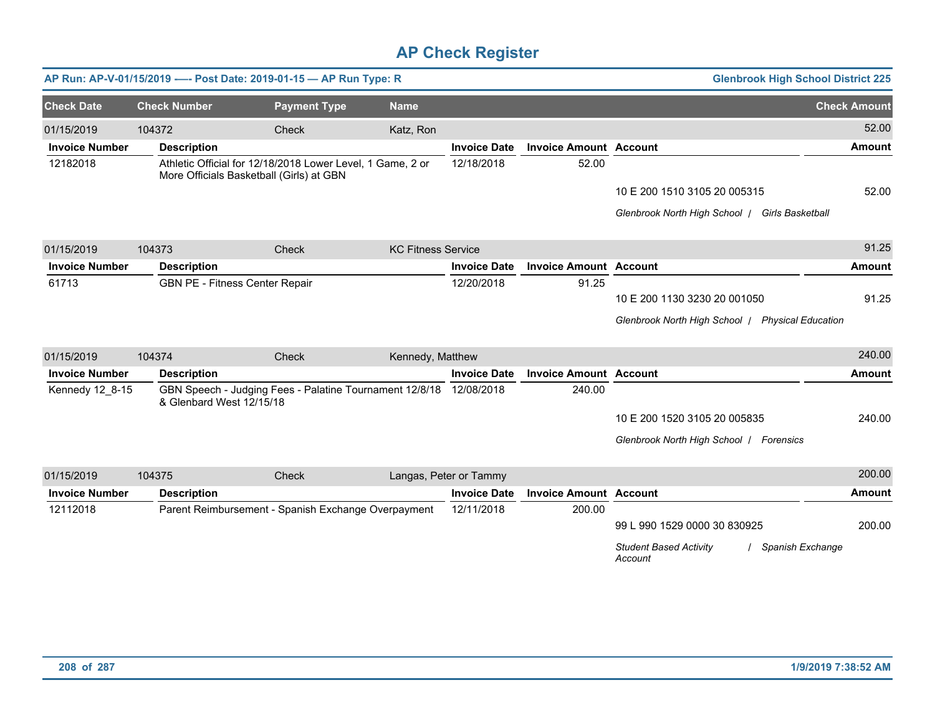|                       |                     | AP Run: AP-V-01/15/2019 ---- Post Date: 2019-01-15 - AP Run Type: R                                    |                     |                           |                        |                               | <b>Glenbrook High School District 225</b>                      |                     |
|-----------------------|---------------------|--------------------------------------------------------------------------------------------------------|---------------------|---------------------------|------------------------|-------------------------------|----------------------------------------------------------------|---------------------|
| <b>Check Date</b>     | <b>Check Number</b> |                                                                                                        | <b>Payment Type</b> | <b>Name</b>               |                        |                               |                                                                | <b>Check Amount</b> |
| 01/15/2019            | 104372              | <b>Check</b>                                                                                           |                     | Katz, Ron                 |                        |                               |                                                                | 52.00               |
| <b>Invoice Number</b> | <b>Description</b>  |                                                                                                        |                     |                           | <b>Invoice Date</b>    | <b>Invoice Amount Account</b> |                                                                | <b>Amount</b>       |
| 12182018              |                     | Athletic Official for 12/18/2018 Lower Level, 1 Game, 2 or<br>More Officials Basketball (Girls) at GBN |                     |                           | 12/18/2018             | 52.00                         |                                                                |                     |
|                       |                     |                                                                                                        |                     |                           |                        |                               | 10 E 200 1510 3105 20 005315                                   | 52.00               |
|                       |                     |                                                                                                        |                     |                           |                        |                               | Glenbrook North High School   Girls Basketball                 |                     |
| 01/15/2019            | 104373              | Check                                                                                                  |                     | <b>KC Fitness Service</b> |                        |                               |                                                                | 91.25               |
| <b>Invoice Number</b> | <b>Description</b>  |                                                                                                        |                     |                           | <b>Invoice Date</b>    | <b>Invoice Amount Account</b> |                                                                | <b>Amount</b>       |
| 61713                 |                     | GBN PE - Fitness Center Repair                                                                         |                     |                           | 12/20/2018             | 91.25                         |                                                                |                     |
|                       |                     |                                                                                                        |                     |                           |                        |                               | 10 E 200 1130 3230 20 001050                                   | 91.25               |
|                       |                     |                                                                                                        |                     |                           |                        |                               | Glenbrook North High School   Physical Education               |                     |
| 01/15/2019            | 104374              | Check                                                                                                  |                     | Kennedy, Matthew          |                        |                               |                                                                | 240.00              |
| <b>Invoice Number</b> | <b>Description</b>  |                                                                                                        |                     |                           | <b>Invoice Date</b>    | <b>Invoice Amount Account</b> |                                                                | <b>Amount</b>       |
| Kennedy 12_8-15       |                     | GBN Speech - Judging Fees - Palatine Tournament 12/8/18<br>& Glenbard West 12/15/18                    |                     |                           | 12/08/2018             | 240.00                        |                                                                |                     |
|                       |                     |                                                                                                        |                     |                           |                        |                               | 10 E 200 1520 3105 20 005835                                   | 240.00              |
|                       |                     |                                                                                                        |                     |                           |                        |                               | Glenbrook North High School   Forensics                        |                     |
| 01/15/2019            | 104375              | Check                                                                                                  |                     |                           | Langas, Peter or Tammy |                               |                                                                | 200.00              |
| <b>Invoice Number</b> | <b>Description</b>  |                                                                                                        |                     |                           | <b>Invoice Date</b>    | <b>Invoice Amount Account</b> |                                                                | <b>Amount</b>       |
| 12112018              |                     | Parent Reimbursement - Spanish Exchange Overpayment                                                    |                     |                           | 12/11/2018             | 200.00                        |                                                                |                     |
|                       |                     |                                                                                                        |                     |                           |                        |                               | 99 L 990 1529 0000 30 830925                                   | 200.00              |
|                       |                     |                                                                                                        |                     |                           |                        |                               | <b>Student Based Activity</b><br>/ Spanish Exchange<br>Account |                     |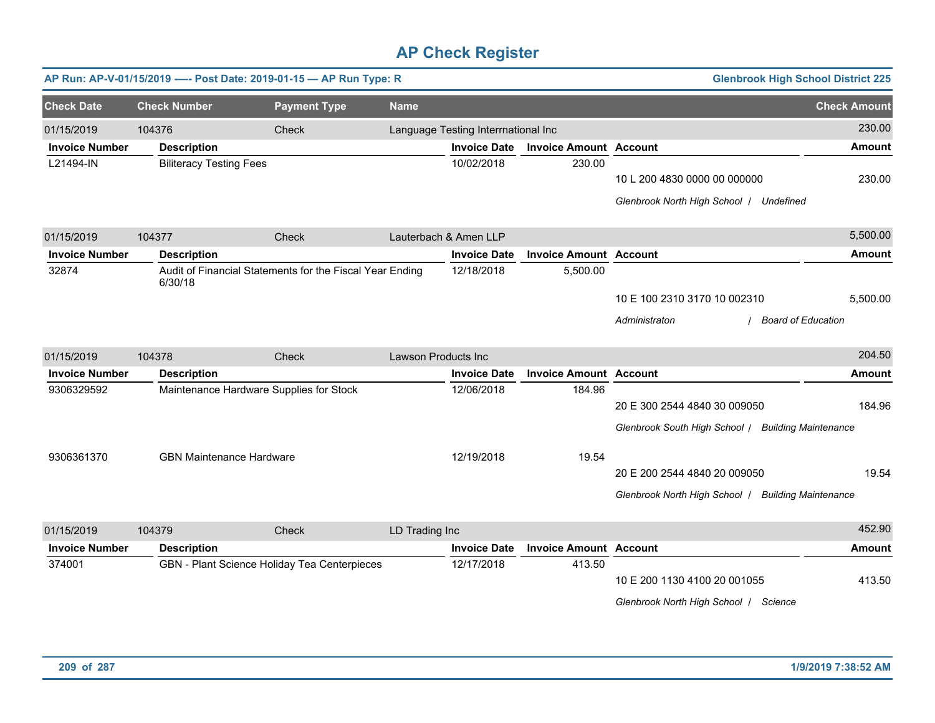|                       |                                 | AP Run: AP-V-01/15/2019 ---- Post Date: 2019-01-15 - AP Run Type: R |                     |                                     |                               |                                                    | <b>Glenbrook High School District 225</b> |
|-----------------------|---------------------------------|---------------------------------------------------------------------|---------------------|-------------------------------------|-------------------------------|----------------------------------------------------|-------------------------------------------|
| <b>Check Date</b>     | <b>Check Number</b>             | <b>Payment Type</b>                                                 | <b>Name</b>         |                                     |                               |                                                    | <b>Check Amount</b>                       |
| 01/15/2019            | 104376                          | Check                                                               |                     | Language Testing Interrnational Inc |                               |                                                    | 230.00                                    |
| <b>Invoice Number</b> | <b>Description</b>              |                                                                     |                     | <b>Invoice Date</b>                 | <b>Invoice Amount Account</b> |                                                    | Amount                                    |
| L21494-IN             | <b>Biliteracy Testing Fees</b>  |                                                                     |                     | 10/02/2018                          | 230.00                        |                                                    |                                           |
|                       |                                 |                                                                     |                     |                                     |                               | 10 L 200 4830 0000 00 000000                       | 230.00                                    |
|                       |                                 |                                                                     |                     |                                     |                               | Glenbrook North High School   Undefined            |                                           |
| 01/15/2019            | 104377                          | Check                                                               |                     | Lauterbach & Amen LLP               |                               |                                                    | 5,500.00                                  |
| <b>Invoice Number</b> | <b>Description</b>              |                                                                     |                     | <b>Invoice Date</b>                 | <b>Invoice Amount Account</b> |                                                    | <b>Amount</b>                             |
| 32874                 | 6/30/18                         | Audit of Financial Statements for the Fiscal Year Ending            |                     | 12/18/2018                          | 5,500.00                      |                                                    |                                           |
|                       |                                 |                                                                     |                     |                                     |                               | 10 E 100 2310 3170 10 002310                       | 5,500.00                                  |
|                       |                                 |                                                                     |                     |                                     |                               | Administraton                                      | <b>Board of Education</b>                 |
| 01/15/2019            | 104378                          | Check                                                               | Lawson Products Inc |                                     |                               |                                                    | 204.50                                    |
| <b>Invoice Number</b> | <b>Description</b>              |                                                                     |                     | <b>Invoice Date</b>                 | <b>Invoice Amount Account</b> |                                                    | <b>Amount</b>                             |
| 9306329592            |                                 | Maintenance Hardware Supplies for Stock                             |                     | 12/06/2018                          | 184.96                        |                                                    |                                           |
|                       |                                 |                                                                     |                     |                                     |                               | 20 E 300 2544 4840 30 009050                       | 184.96                                    |
|                       |                                 |                                                                     |                     |                                     |                               | Glenbrook South High School / Building Maintenance |                                           |
| 9306361370            | <b>GBN Maintenance Hardware</b> |                                                                     |                     | 12/19/2018                          | 19.54                         |                                                    |                                           |
|                       |                                 |                                                                     |                     |                                     |                               | 20 E 200 2544 4840 20 009050                       | 19.54                                     |
|                       |                                 |                                                                     |                     |                                     |                               | Glenbrook North High School /                      | <b>Building Maintenance</b>               |
| 01/15/2019            | 104379                          | Check                                                               | LD Trading Inc      |                                     |                               |                                                    | 452.90                                    |
| <b>Invoice Number</b> | <b>Description</b>              |                                                                     |                     | <b>Invoice Date</b>                 | <b>Invoice Amount Account</b> |                                                    | <b>Amount</b>                             |
| 374001                |                                 | GBN - Plant Science Holiday Tea Centerpieces                        |                     | 12/17/2018                          | 413.50                        |                                                    |                                           |
|                       |                                 |                                                                     |                     |                                     |                               | 10 E 200 1130 4100 20 001055                       | 413.50                                    |
|                       |                                 |                                                                     |                     |                                     |                               | Glenbrook North High School   Science              |                                           |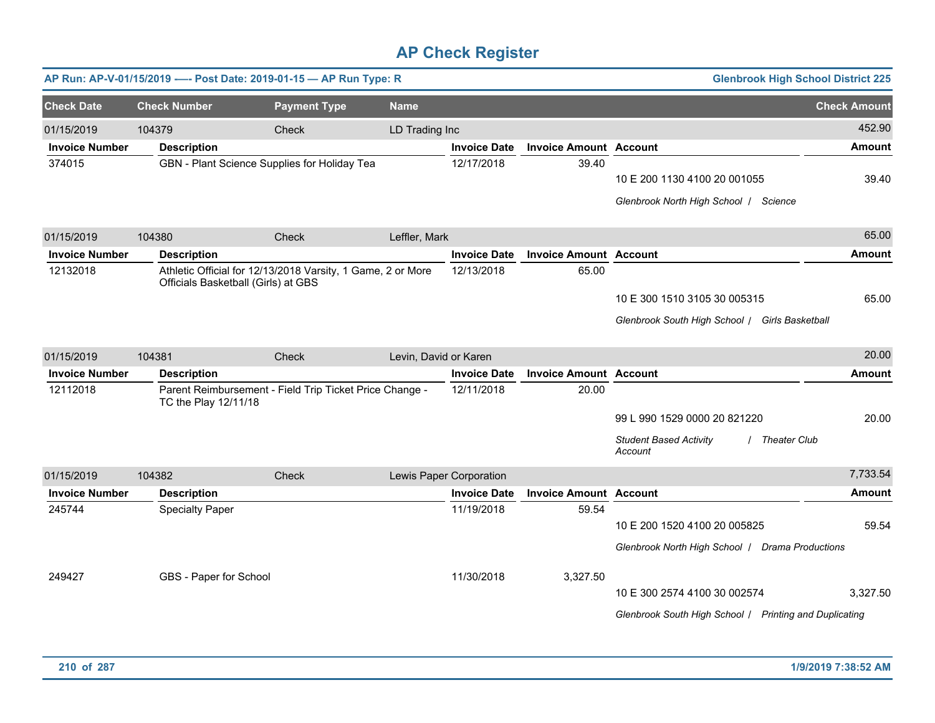|                       |                        | AP Run: AP-V-01/15/2019 ---- Post Date: 2019-01-15 - AP Run Type: R                                |                       |                         |                               | <b>Glenbrook High School District 225</b>                       |                     |
|-----------------------|------------------------|----------------------------------------------------------------------------------------------------|-----------------------|-------------------------|-------------------------------|-----------------------------------------------------------------|---------------------|
| <b>Check Date</b>     | <b>Check Number</b>    | <b>Payment Type</b>                                                                                | <b>Name</b>           |                         |                               |                                                                 | <b>Check Amount</b> |
| 01/15/2019            | 104379                 | Check                                                                                              | LD Trading Inc        |                         |                               |                                                                 | 452.90              |
| <b>Invoice Number</b> | <b>Description</b>     |                                                                                                    |                       | <b>Invoice Date</b>     | <b>Invoice Amount Account</b> |                                                                 | Amount              |
| 374015                |                        | GBN - Plant Science Supplies for Holiday Tea                                                       |                       | 12/17/2018              | 39.40                         | 10 E 200 1130 4100 20 001055                                    | 39.40               |
|                       |                        |                                                                                                    |                       |                         |                               |                                                                 |                     |
|                       |                        |                                                                                                    |                       |                         |                               | Glenbrook North High School   Science                           |                     |
| 01/15/2019            | 104380                 | Check                                                                                              | Leffler, Mark         |                         |                               |                                                                 | 65.00               |
| <b>Invoice Number</b> | <b>Description</b>     |                                                                                                    |                       | <b>Invoice Date</b>     | <b>Invoice Amount Account</b> |                                                                 | <b>Amount</b>       |
| 12132018              |                        | Athletic Official for 12/13/2018 Varsity, 1 Game, 2 or More<br>Officials Basketball (Girls) at GBS |                       | 12/13/2018              | 65.00                         |                                                                 |                     |
|                       |                        |                                                                                                    |                       |                         |                               | 10 E 300 1510 3105 30 005315                                    | 65.00               |
|                       |                        |                                                                                                    |                       |                         |                               | Glenbrook South High School / Girls Basketball                  |                     |
| 01/15/2019            | 104381                 | Check                                                                                              | Levin, David or Karen |                         |                               |                                                                 | 20.00               |
| <b>Invoice Number</b> | <b>Description</b>     |                                                                                                    |                       | <b>Invoice Date</b>     | <b>Invoice Amount Account</b> |                                                                 | <b>Amount</b>       |
| 12112018              |                        | Parent Reimbursement - Field Trip Ticket Price Change -                                            |                       | 12/11/2018              | 20.00                         |                                                                 |                     |
|                       | TC the Play 12/11/18   |                                                                                                    |                       |                         |                               |                                                                 |                     |
|                       |                        |                                                                                                    |                       |                         |                               | 99 L 990 1529 0000 20 821220                                    | 20.00               |
|                       |                        |                                                                                                    |                       |                         |                               | <b>Student Based Activity</b><br><b>Theater Club</b><br>Account |                     |
| 01/15/2019            | 104382                 | Check                                                                                              |                       | Lewis Paper Corporation |                               |                                                                 | 7,733.54            |
| <b>Invoice Number</b> | <b>Description</b>     |                                                                                                    |                       | <b>Invoice Date</b>     | <b>Invoice Amount</b>         | <b>Account</b>                                                  | <b>Amount</b>       |
| 245744                | <b>Specialty Paper</b> |                                                                                                    |                       | 11/19/2018              | 59.54                         |                                                                 |                     |
|                       |                        |                                                                                                    |                       |                         |                               | 10 E 200 1520 4100 20 005825                                    | 59.54               |
|                       |                        |                                                                                                    |                       |                         |                               | Glenbrook North High School   Drama Productions                 |                     |
| 249427                | GBS - Paper for School |                                                                                                    |                       | 11/30/2018              | 3,327.50                      |                                                                 |                     |
|                       |                        |                                                                                                    |                       |                         |                               | 10 E 300 2574 4100 30 002574                                    | 3,327.50            |
|                       |                        |                                                                                                    |                       |                         |                               | Glenbrook South High School / Printing and Duplicating          |                     |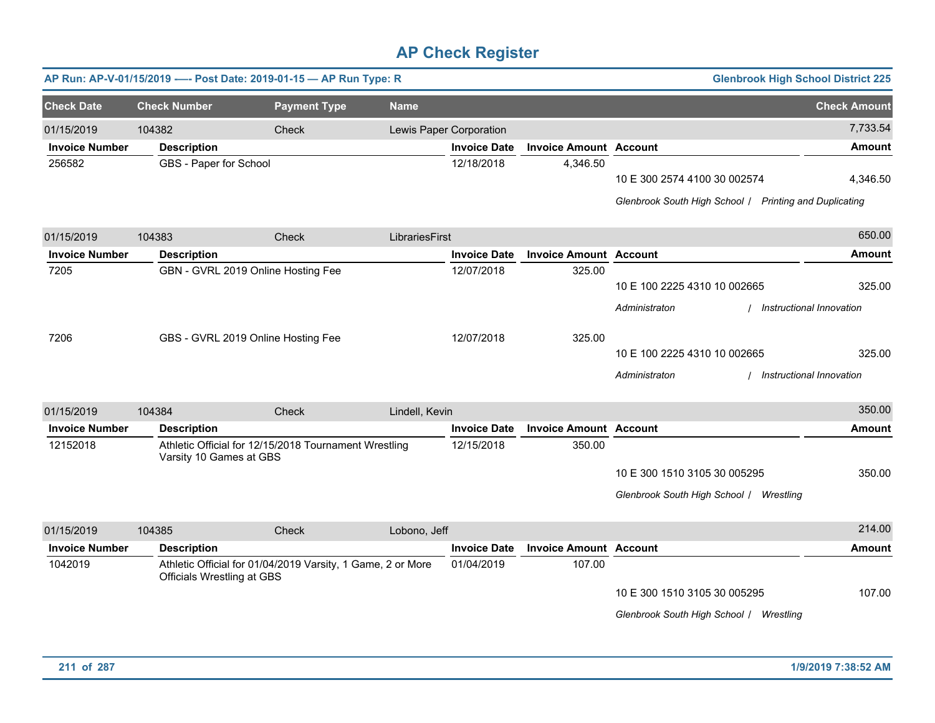|                       |                                   | AP Run: AP-V-01/15/2019 ---- Post Date: 2019-01-15 - AP Run Type: R |                |                         |                               | <b>Glenbrook High School District 225</b>                                              |                     |
|-----------------------|-----------------------------------|---------------------------------------------------------------------|----------------|-------------------------|-------------------------------|----------------------------------------------------------------------------------------|---------------------|
| <b>Check Date</b>     | <b>Check Number</b>               | <b>Payment Type</b>                                                 | <b>Name</b>    |                         |                               |                                                                                        | <b>Check Amount</b> |
| 01/15/2019            | 104382                            | Check                                                               |                | Lewis Paper Corporation |                               |                                                                                        | 7,733.54            |
| <b>Invoice Number</b> | <b>Description</b>                |                                                                     |                | <b>Invoice Date</b>     | <b>Invoice Amount Account</b> |                                                                                        | <b>Amount</b>       |
| 256582                | GBS - Paper for School            |                                                                     |                | 12/18/2018              | 4,346.50                      | 10 E 300 2574 4100 30 002574<br>Glenbrook South High School / Printing and Duplicating | 4,346.50            |
| 01/15/2019            | 104383                            | Check                                                               | LibrariesFirst |                         |                               |                                                                                        | 650.00              |
| <b>Invoice Number</b> | <b>Description</b>                |                                                                     |                | <b>Invoice Date</b>     | <b>Invoice Amount Account</b> |                                                                                        | <b>Amount</b>       |
| 7205                  |                                   | GBN - GVRL 2019 Online Hosting Fee                                  |                | 12/07/2018              | 325.00                        | 10 E 100 2225 4310 10 002665<br>Instructional Innovation<br>Administraton              | 325.00              |
| 7206                  |                                   | GBS - GVRL 2019 Online Hosting Fee                                  |                | 12/07/2018              | 325.00                        | 10 E 100 2225 4310 10 002665<br>Administraton<br>Instructional Innovation              | 325.00              |
| 01/15/2019            | 104384                            | Check                                                               | Lindell, Kevin |                         |                               |                                                                                        | 350.00              |
| <b>Invoice Number</b> | <b>Description</b>                |                                                                     |                | <b>Invoice Date</b>     | <b>Invoice Amount Account</b> |                                                                                        | <b>Amount</b>       |
| 12152018              | Varsity 10 Games at GBS           | Athletic Official for 12/15/2018 Tournament Wrestling               |                | 12/15/2018              | 350.00                        | 10 E 300 1510 3105 30 005295<br>Glenbrook South High School   Wrestling                | 350.00              |
| 01/15/2019            | 104385                            | Check                                                               | Lobono, Jeff   |                         |                               |                                                                                        | 214.00              |
| <b>Invoice Number</b> | <b>Description</b>                |                                                                     |                | <b>Invoice Date</b>     | <b>Invoice Amount Account</b> |                                                                                        | <b>Amount</b>       |
| 1042019               | <b>Officials Wrestling at GBS</b> | Athletic Official for 01/04/2019 Varsity, 1 Game, 2 or More         |                | 01/04/2019              | 107.00                        | 10 E 300 1510 3105 30 005295<br>Glenbrook South High School   Wrestling                | 107.00              |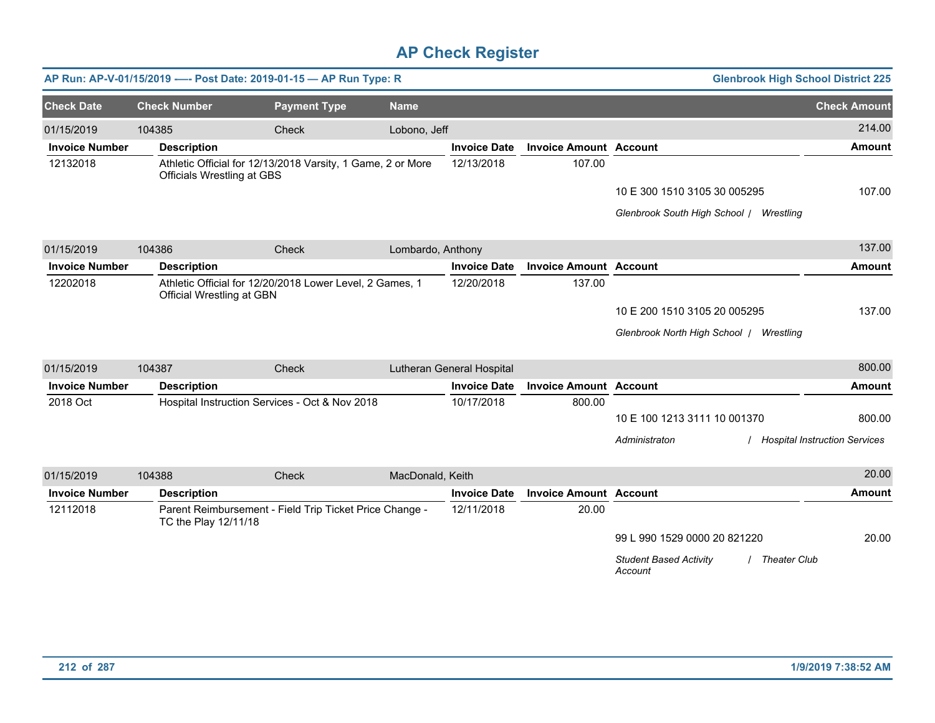|                       |                                   | AP Run: AP-V-01/15/2019 ---- Post Date: 2019-01-15 - AP Run Type: R |                   |                           |                               | <b>Glenbrook High School District 225</b>                       |                                      |
|-----------------------|-----------------------------------|---------------------------------------------------------------------|-------------------|---------------------------|-------------------------------|-----------------------------------------------------------------|--------------------------------------|
| <b>Check Date</b>     | <b>Check Number</b>               | <b>Payment Type</b>                                                 | <b>Name</b>       |                           |                               |                                                                 | <b>Check Amount</b>                  |
| 01/15/2019            | 104385                            | Check                                                               | Lobono, Jeff      |                           |                               |                                                                 | 214.00                               |
| <b>Invoice Number</b> | <b>Description</b>                |                                                                     |                   | <b>Invoice Date</b>       | <b>Invoice Amount Account</b> |                                                                 | <b>Amount</b>                        |
| 12132018              | <b>Officials Wrestling at GBS</b> | Athletic Official for 12/13/2018 Varsity, 1 Game, 2 or More         |                   | 12/13/2018                | 107.00                        |                                                                 |                                      |
|                       |                                   |                                                                     |                   |                           |                               | 10 E 300 1510 3105 30 005295                                    | 107.00                               |
|                       |                                   |                                                                     |                   |                           |                               | Glenbrook South High School /<br>Wrestling                      |                                      |
| 01/15/2019            | 104386                            | Check                                                               | Lombardo, Anthony |                           |                               |                                                                 | 137.00                               |
| <b>Invoice Number</b> | <b>Description</b>                |                                                                     |                   | <b>Invoice Date</b>       | <b>Invoice Amount Account</b> |                                                                 | <b>Amount</b>                        |
| 12202018              | Official Wrestling at GBN         | Athletic Official for 12/20/2018 Lower Level, 2 Games, 1            |                   | 12/20/2018                | 137.00                        |                                                                 |                                      |
|                       |                                   |                                                                     |                   |                           |                               | 10 E 200 1510 3105 20 005295                                    | 137.00                               |
|                       |                                   |                                                                     |                   |                           |                               | Glenbrook North High School /<br>Wrestling                      |                                      |
| 01/15/2019            | 104387                            | <b>Check</b>                                                        |                   | Lutheran General Hospital |                               |                                                                 | 800.00                               |
| <b>Invoice Number</b> | <b>Description</b>                |                                                                     |                   | <b>Invoice Date</b>       | <b>Invoice Amount Account</b> |                                                                 | <b>Amount</b>                        |
| 2018 Oct              |                                   | Hospital Instruction Services - Oct & Nov 2018                      |                   | 10/17/2018                | 800.00                        |                                                                 |                                      |
|                       |                                   |                                                                     |                   |                           |                               | 10 E 100 1213 3111 10 001370                                    | 800.00                               |
|                       |                                   |                                                                     |                   |                           |                               | Administraton                                                   | <b>Hospital Instruction Services</b> |
| 01/15/2019            | 104388                            | Check                                                               | MacDonald, Keith  |                           |                               |                                                                 | 20.00                                |
| <b>Invoice Number</b> | <b>Description</b>                |                                                                     |                   | <b>Invoice Date</b>       | <b>Invoice Amount Account</b> |                                                                 | Amount                               |
| 12112018              | TC the Play 12/11/18              | Parent Reimbursement - Field Trip Ticket Price Change -             |                   | 12/11/2018                | 20.00                         |                                                                 |                                      |
|                       |                                   |                                                                     |                   |                           |                               | 99 L 990 1529 0000 20 821220                                    | 20.00                                |
|                       |                                   |                                                                     |                   |                           |                               | <b>Student Based Activity</b><br><b>Theater Club</b><br>Account |                                      |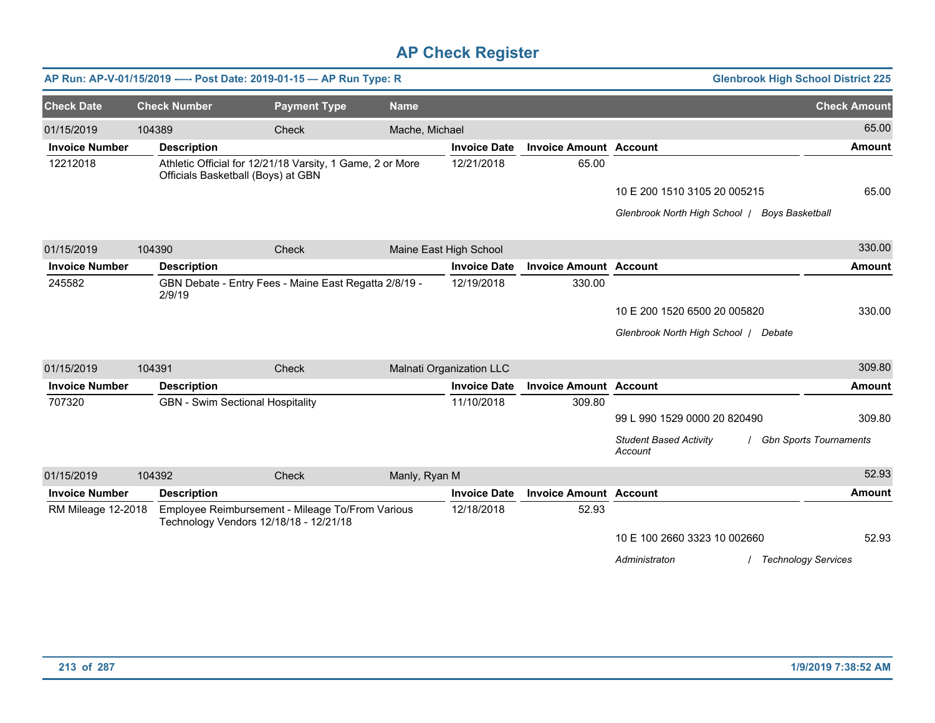|                       |                     | AP Run: AP-V-01/15/2019 ---- Post Date: 2019-01-15 - AP Run Type: R                             |                |                          |                               |                                               | <b>Glenbrook High School District 225</b> |
|-----------------------|---------------------|-------------------------------------------------------------------------------------------------|----------------|--------------------------|-------------------------------|-----------------------------------------------|-------------------------------------------|
| <b>Check Date</b>     | <b>Check Number</b> | <b>Payment Type</b>                                                                             | <b>Name</b>    |                          |                               |                                               | <b>Check Amount</b>                       |
| 01/15/2019            | 104389              | Check                                                                                           | Mache, Michael |                          |                               |                                               | 65.00                                     |
| <b>Invoice Number</b> | <b>Description</b>  |                                                                                                 |                | <b>Invoice Date</b>      | <b>Invoice Amount Account</b> |                                               | <b>Amount</b>                             |
| 12212018              |                     | Athletic Official for 12/21/18 Varsity, 1 Game, 2 or More<br>Officials Basketball (Boys) at GBN |                | 12/21/2018               | 65.00                         |                                               |                                           |
|                       |                     |                                                                                                 |                |                          |                               | 10 E 200 1510 3105 20 005215                  | 65.00                                     |
|                       |                     |                                                                                                 |                |                          |                               | Glenbrook North High School   Boys Basketball |                                           |
| 01/15/2019            | 104390              | <b>Check</b>                                                                                    |                | Maine East High School   |                               |                                               | 330.00                                    |
| <b>Invoice Number</b> | <b>Description</b>  |                                                                                                 |                | <b>Invoice Date</b>      | <b>Invoice Amount Account</b> |                                               | <b>Amount</b>                             |
| 245582                | 2/9/19              | GBN Debate - Entry Fees - Maine East Regatta 2/8/19 -                                           |                | 12/19/2018               | 330.00                        |                                               |                                           |
|                       |                     |                                                                                                 |                |                          |                               | 10 E 200 1520 6500 20 005820                  | 330.00                                    |
|                       |                     |                                                                                                 |                |                          |                               | Glenbrook North High School   Debate          |                                           |
| 01/15/2019            | 104391              | Check                                                                                           |                | Malnati Organization LLC |                               |                                               | 309.80                                    |
| <b>Invoice Number</b> | <b>Description</b>  |                                                                                                 |                | <b>Invoice Date</b>      | <b>Invoice Amount Account</b> |                                               | <b>Amount</b>                             |
| 707320                |                     | <b>GBN - Swim Sectional Hospitality</b>                                                         |                | 11/10/2018               | 309.80                        |                                               |                                           |
|                       |                     |                                                                                                 |                |                          |                               | 99 L 990 1529 0000 20 820490                  | 309.80                                    |
|                       |                     |                                                                                                 |                |                          |                               | <b>Student Based Activity</b><br>Account      | <b>Gbn Sports Tournaments</b>             |
| 01/15/2019            | 104392              | Check                                                                                           | Manly, Ryan M  |                          |                               |                                               | 52.93                                     |
| <b>Invoice Number</b> | <b>Description</b>  |                                                                                                 |                | <b>Invoice Date</b>      | <b>Invoice Amount Account</b> |                                               | <b>Amount</b>                             |
| RM Mileage 12-2018    |                     | Employee Reimbursement - Mileage To/From Various<br>Technology Vendors 12/18/18 - 12/21/18      |                | 12/18/2018               | 52.93                         |                                               |                                           |
|                       |                     |                                                                                                 |                |                          |                               | 10 E 100 2660 3323 10 002660                  | 52.93                                     |
|                       |                     |                                                                                                 |                |                          |                               | Administraton                                 | <b>Technology Services</b>                |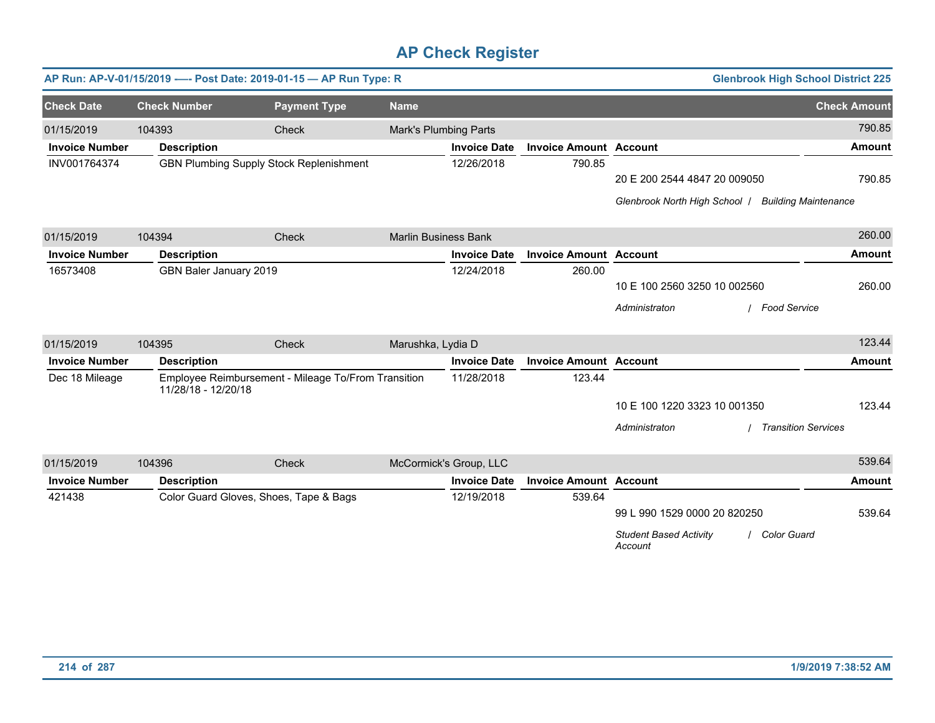|                       |                        | AP Run: AP-V-01/15/2019 ---- Post Date: 2019-01-15 - AP Run Type: R |                             |                        |                               |                                                                | <b>Glenbrook High School District 225</b> |
|-----------------------|------------------------|---------------------------------------------------------------------|-----------------------------|------------------------|-------------------------------|----------------------------------------------------------------|-------------------------------------------|
| <b>Check Date</b>     | <b>Check Number</b>    | <b>Payment Type</b>                                                 | <b>Name</b>                 |                        |                               |                                                                | <b>Check Amount</b>                       |
| 01/15/2019            | 104393                 | Check                                                               | Mark's Plumbing Parts       |                        |                               |                                                                | 790.85                                    |
| <b>Invoice Number</b> | <b>Description</b>     |                                                                     |                             | <b>Invoice Date</b>    | <b>Invoice Amount Account</b> |                                                                | <b>Amount</b>                             |
| INV001764374          |                        | <b>GBN Plumbing Supply Stock Replenishment</b>                      |                             | 12/26/2018             | 790.85                        |                                                                |                                           |
|                       |                        |                                                                     |                             |                        |                               | 20 E 200 2544 4847 20 009050                                   | 790.85                                    |
|                       |                        |                                                                     |                             |                        |                               | Glenbrook North High School /                                  | <b>Building Maintenance</b>               |
| 01/15/2019            | 104394                 | <b>Check</b>                                                        | <b>Marlin Business Bank</b> |                        |                               |                                                                | 260.00                                    |
| <b>Invoice Number</b> | <b>Description</b>     |                                                                     |                             | <b>Invoice Date</b>    | <b>Invoice Amount Account</b> |                                                                | <b>Amount</b>                             |
| 16573408              | GBN Baler January 2019 |                                                                     |                             | 12/24/2018             | 260.00                        |                                                                |                                           |
|                       |                        |                                                                     |                             |                        |                               | 10 E 100 2560 3250 10 002560                                   | 260.00                                    |
|                       |                        |                                                                     |                             |                        |                               | <b>Food Service</b><br>Administraton                           |                                           |
| 01/15/2019            | 104395                 | Check                                                               | Marushka, Lydia D           |                        |                               |                                                                | 123.44                                    |
| <b>Invoice Number</b> | <b>Description</b>     |                                                                     |                             | <b>Invoice Date</b>    | <b>Invoice Amount Account</b> |                                                                | <b>Amount</b>                             |
| Dec 18 Mileage        | 11/28/18 - 12/20/18    | Employee Reimbursement - Mileage To/From Transition                 |                             | 11/28/2018             | 123.44                        |                                                                |                                           |
|                       |                        |                                                                     |                             |                        |                               | 10 E 100 1220 3323 10 001350                                   | 123.44                                    |
|                       |                        |                                                                     |                             |                        |                               | Administraton                                                  | <b>Transition Services</b>                |
| 01/15/2019            | 104396                 | Check                                                               |                             | McCormick's Group, LLC |                               |                                                                | 539.64                                    |
| <b>Invoice Number</b> | <b>Description</b>     |                                                                     |                             | <b>Invoice Date</b>    | <b>Invoice Amount Account</b> |                                                                | <b>Amount</b>                             |
| 421438                |                        | Color Guard Gloves, Shoes, Tape & Bags                              |                             | 12/19/2018             | 539.64                        |                                                                |                                           |
|                       |                        |                                                                     |                             |                        |                               | 99 L 990 1529 0000 20 820250                                   | 539.64                                    |
|                       |                        |                                                                     |                             |                        |                               | <b>Student Based Activity</b><br><b>Color Guard</b><br>Account |                                           |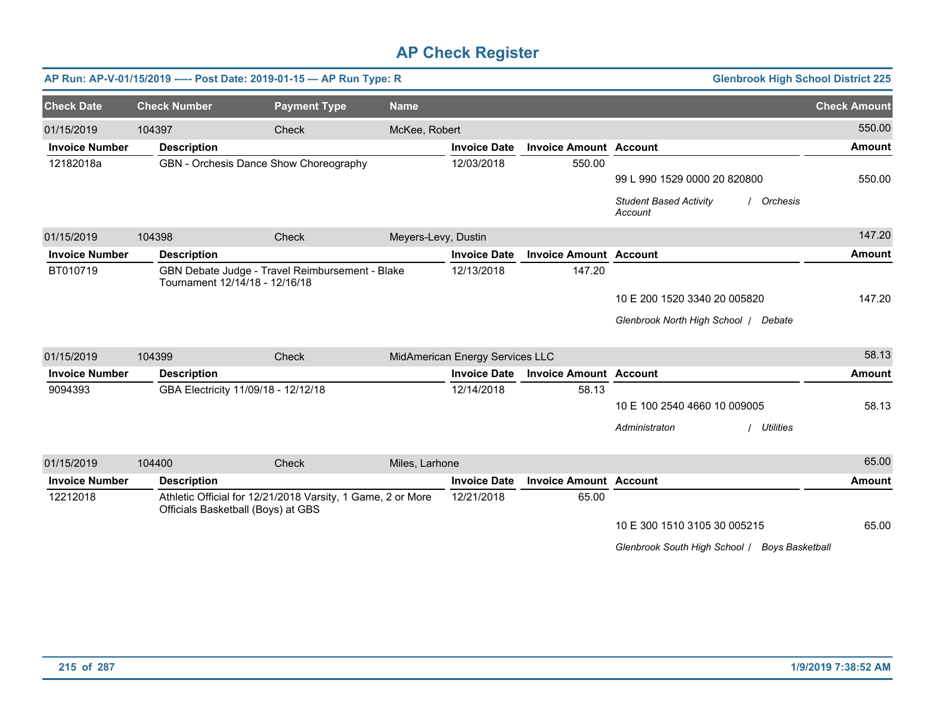|                       |                     | AP Run: AP-V-01/15/2019 ---- Post Date: 2019-01-15 - AP Run Type: R                               |                     |                                 |                               | <b>Glenbrook High School District 225</b>              |                     |
|-----------------------|---------------------|---------------------------------------------------------------------------------------------------|---------------------|---------------------------------|-------------------------------|--------------------------------------------------------|---------------------|
| <b>Check Date</b>     | <b>Check Number</b> | <b>Payment Type</b>                                                                               | <b>Name</b>         |                                 |                               |                                                        | <b>Check Amount</b> |
| 01/15/2019            | 104397              | Check                                                                                             | McKee, Robert       |                                 |                               |                                                        | 550.00              |
| <b>Invoice Number</b> | <b>Description</b>  |                                                                                                   |                     | <b>Invoice Date</b>             | <b>Invoice Amount Account</b> |                                                        | <b>Amount</b>       |
| 12182018a             |                     | GBN - Orchesis Dance Show Choreography                                                            |                     | 12/03/2018                      | 550.00                        |                                                        |                     |
|                       |                     |                                                                                                   |                     |                                 |                               | 99 L 990 1529 0000 20 820800                           | 550.00              |
|                       |                     |                                                                                                   |                     |                                 |                               | <b>Student Based Activity</b><br>/ Orchesis<br>Account |                     |
| 01/15/2019            | 104398              | Check                                                                                             | Meyers-Levy, Dustin |                                 |                               |                                                        | 147.20              |
| <b>Invoice Number</b> | <b>Description</b>  |                                                                                                   |                     | <b>Invoice Date</b>             | <b>Invoice Amount Account</b> |                                                        | <b>Amount</b>       |
| BT010719              |                     | GBN Debate Judge - Travel Reimbursement - Blake<br>Tournament 12/14/18 - 12/16/18                 |                     | 12/13/2018                      | 147.20                        |                                                        |                     |
|                       |                     |                                                                                                   |                     |                                 |                               | 10 E 200 1520 3340 20 005820                           | 147.20              |
|                       |                     |                                                                                                   |                     |                                 |                               | Glenbrook North High School   Debate                   |                     |
| 01/15/2019            | 104399              | Check                                                                                             |                     | MidAmerican Energy Services LLC |                               |                                                        | 58.13               |
| <b>Invoice Number</b> | <b>Description</b>  |                                                                                                   |                     | <b>Invoice Date</b>             | <b>Invoice Amount Account</b> |                                                        | <b>Amount</b>       |
| 9094393               |                     | GBA Electricity 11/09/18 - 12/12/18                                                               |                     | 12/14/2018                      | 58.13                         |                                                        |                     |
|                       |                     |                                                                                                   |                     |                                 |                               | 10 E 100 2540 4660 10 009005                           | 58.13               |
|                       |                     |                                                                                                   |                     |                                 |                               | Administraton<br><b>Utilities</b>                      |                     |
| 01/15/2019            | 104400              | Check                                                                                             | Miles, Larhone      |                                 |                               |                                                        | 65.00               |
| <b>Invoice Number</b> | <b>Description</b>  |                                                                                                   |                     | <b>Invoice Date</b>             | <b>Invoice Amount Account</b> |                                                        | <b>Amount</b>       |
| 12212018              |                     | Athletic Official for 12/21/2018 Varsity, 1 Game, 2 or More<br>Officials Basketball (Boys) at GBS |                     | 12/21/2018                      | 65.00                         |                                                        |                     |
|                       |                     |                                                                                                   |                     |                                 |                               | 10 E 300 1510 3105 30 005215                           | 65.00               |
|                       |                     |                                                                                                   |                     |                                 |                               | Glenbrook South High School / Boys Basketball          |                     |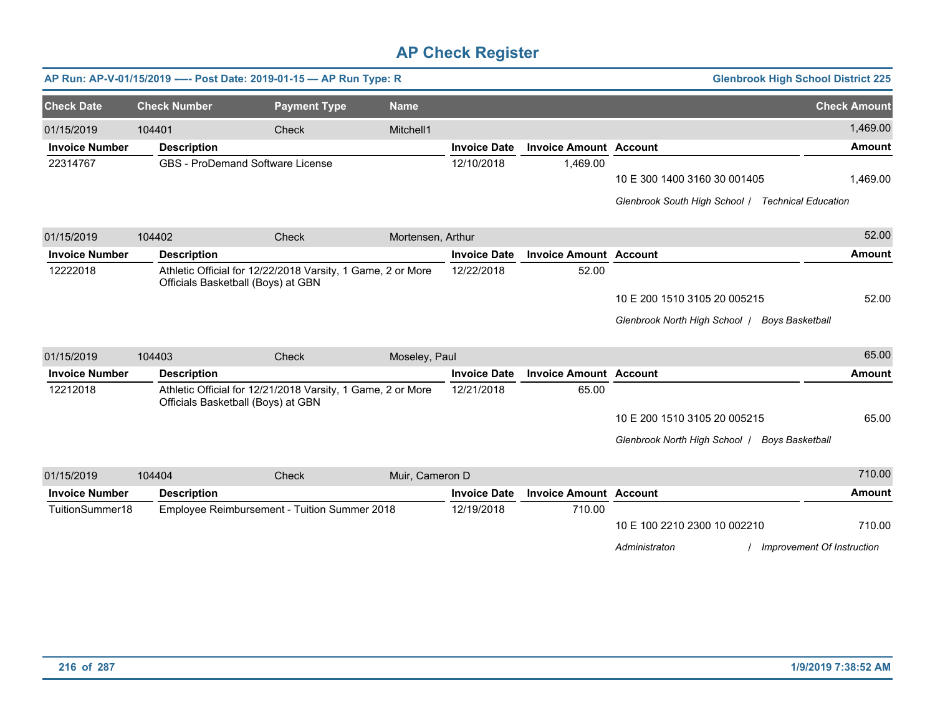|                       |                     | AP Run: AP-V-01/15/2019 ---- Post Date: 2019-01-15 - AP Run Type: R                               |                   |                     |                               | <b>Glenbrook High School District 225</b>         |                     |
|-----------------------|---------------------|---------------------------------------------------------------------------------------------------|-------------------|---------------------|-------------------------------|---------------------------------------------------|---------------------|
| <b>Check Date</b>     | <b>Check Number</b> | <b>Payment Type</b>                                                                               | <b>Name</b>       |                     |                               |                                                   | <b>Check Amount</b> |
| 01/15/2019            | 104401              | <b>Check</b>                                                                                      | Mitchell1         |                     |                               |                                                   | 1,469.00            |
| <b>Invoice Number</b> | <b>Description</b>  |                                                                                                   |                   | <b>Invoice Date</b> | <b>Invoice Amount Account</b> |                                                   | <b>Amount</b>       |
| 22314767              |                     | <b>GBS - ProDemand Software License</b>                                                           |                   | 12/10/2018          | 1,469.00                      |                                                   |                     |
|                       |                     |                                                                                                   |                   |                     |                               | 10 E 300 1400 3160 30 001405                      | 1,469.00            |
|                       |                     |                                                                                                   |                   |                     |                               | Glenbrook South High School / Technical Education |                     |
| 01/15/2019            | 104402              | <b>Check</b>                                                                                      | Mortensen, Arthur |                     |                               |                                                   | 52.00               |
| <b>Invoice Number</b> | <b>Description</b>  |                                                                                                   |                   | <b>Invoice Date</b> | <b>Invoice Amount Account</b> |                                                   | <b>Amount</b>       |
| 12222018              |                     | Athletic Official for 12/22/2018 Varsity, 1 Game, 2 or More<br>Officials Basketball (Boys) at GBN |                   | 12/22/2018          | 52.00                         |                                                   |                     |
|                       |                     |                                                                                                   |                   |                     |                               | 10 E 200 1510 3105 20 005215                      | 52.00               |
|                       |                     |                                                                                                   |                   |                     |                               | Glenbrook North High School   Boys Basketball     |                     |
| 01/15/2019            | 104403              | Check                                                                                             | Moseley, Paul     |                     |                               |                                                   | 65.00               |
| <b>Invoice Number</b> | <b>Description</b>  |                                                                                                   |                   | <b>Invoice Date</b> | <b>Invoice Amount Account</b> |                                                   | Amount              |
| 12212018              |                     | Athletic Official for 12/21/2018 Varsity, 1 Game, 2 or More<br>Officials Basketball (Boys) at GBN |                   | 12/21/2018          | 65.00                         |                                                   |                     |
|                       |                     |                                                                                                   |                   |                     |                               | 10 E 200 1510 3105 20 005215                      | 65.00               |
|                       |                     |                                                                                                   |                   |                     |                               | Glenbrook North High School   Boys Basketball     |                     |
| 01/15/2019            | 104404              | Check                                                                                             | Muir, Cameron D   |                     |                               |                                                   | 710.00              |
| <b>Invoice Number</b> | <b>Description</b>  |                                                                                                   |                   | <b>Invoice Date</b> | <b>Invoice Amount Account</b> |                                                   | <b>Amount</b>       |
| TuitionSummer18       |                     | Employee Reimbursement - Tuition Summer 2018                                                      |                   | 12/19/2018          | 710.00                        |                                                   |                     |
|                       |                     |                                                                                                   |                   |                     |                               | 10 E 100 2210 2300 10 002210                      | 710.00              |
|                       |                     |                                                                                                   |                   |                     |                               | Administraton<br>Improvement Of Instruction       |                     |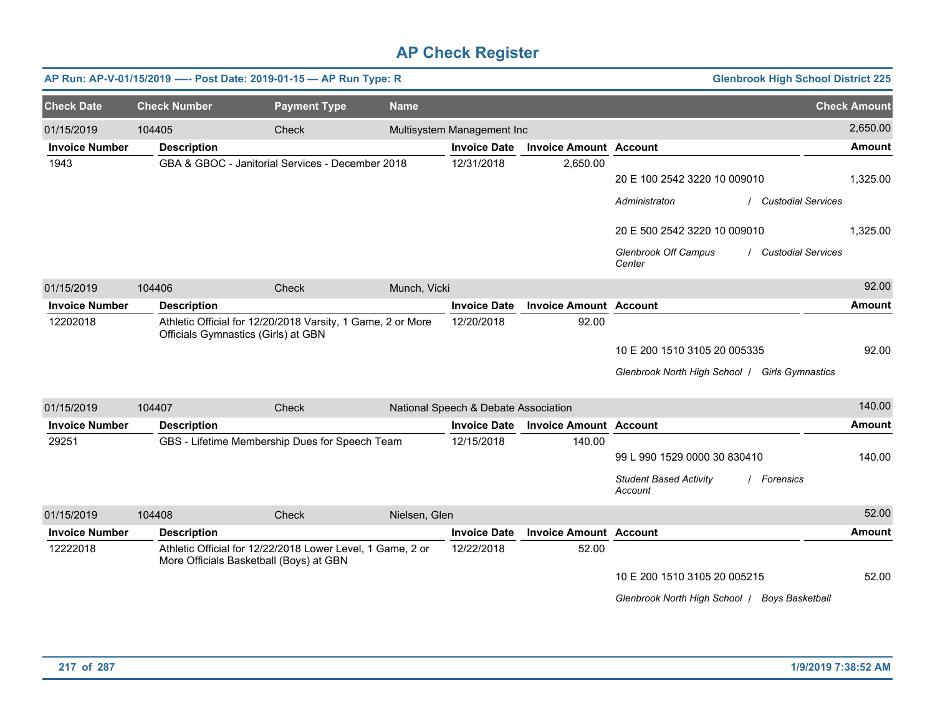|                       |                     | AP Run: AP-V-01/15/2019 ---- Post Date: 2019-01-15 - AP Run Type: R                                   |               |                                      |                               | <b>Glenbrook High School District 225</b>                                  |                     |
|-----------------------|---------------------|-------------------------------------------------------------------------------------------------------|---------------|--------------------------------------|-------------------------------|----------------------------------------------------------------------------|---------------------|
| <b>Check Date</b>     | <b>Check Number</b> | <b>Payment Type</b>                                                                                   | <b>Name</b>   |                                      |                               |                                                                            | <b>Check Amount</b> |
| 01/15/2019            | 104405              | Check                                                                                                 |               | Multisystem Management Inc           |                               |                                                                            | 2,650.00            |
| <b>Invoice Number</b> | <b>Description</b>  |                                                                                                       |               | <b>Invoice Date</b>                  | <b>Invoice Amount Account</b> |                                                                            | <b>Amount</b>       |
| 1943                  |                     | GBA & GBOC - Janitorial Services - December 2018                                                      |               | 12/31/2018                           | 2,650.00                      | 20 E 100 2542 3220 10 009010<br><b>Custodial Services</b><br>Administraton | 1,325.00            |
|                       |                     |                                                                                                       |               |                                      |                               | 20 E 500 2542 3220 10 009010                                               | 1,325.00            |
|                       |                     |                                                                                                       |               |                                      |                               | Glenbrook Off Campus<br><b>Custodial Services</b><br>Center                |                     |
| 01/15/2019            | 104406              | Check                                                                                                 | Munch, Vicki  |                                      |                               |                                                                            | 92.00               |
| <b>Invoice Number</b> | <b>Description</b>  |                                                                                                       |               | <b>Invoice Date</b>                  | <b>Invoice Amount Account</b> |                                                                            | <b>Amount</b>       |
| 12202018              |                     | Athletic Official for 12/20/2018 Varsity, 1 Game, 2 or More<br>Officials Gymnastics (Girls) at GBN    |               | 12/20/2018                           | 92.00                         |                                                                            |                     |
|                       |                     |                                                                                                       |               |                                      |                               | 10 E 200 1510 3105 20 005335                                               | 92.00               |
|                       |                     |                                                                                                       |               |                                      |                               | Glenbrook North High School   Girls Gymnastics                             |                     |
| 01/15/2019            | 104407              | Check                                                                                                 |               | National Speech & Debate Association |                               |                                                                            | 140.00              |
| <b>Invoice Number</b> | <b>Description</b>  |                                                                                                       |               | <b>Invoice Date</b>                  | <b>Invoice Amount Account</b> |                                                                            | <b>Amount</b>       |
| 29251                 |                     | GBS - Lifetime Membership Dues for Speech Team                                                        |               | 12/15/2018                           | 140.00                        | 99 L 990 1529 0000 30 830410                                               | 140.00              |
|                       |                     |                                                                                                       |               |                                      |                               | <b>Student Based Activity</b><br>/ Forensics<br>Account                    |                     |
| 01/15/2019            | 104408              | Check                                                                                                 | Nielsen, Glen |                                      |                               |                                                                            | 52.00               |
| <b>Invoice Number</b> | <b>Description</b>  |                                                                                                       |               | <b>Invoice Date</b>                  | <b>Invoice Amount Account</b> |                                                                            | <b>Amount</b>       |
| 12222018              |                     | Athletic Official for 12/22/2018 Lower Level, 1 Game, 2 or<br>More Officials Basketball (Boys) at GBN |               | 12/22/2018                           | 52.00                         |                                                                            |                     |
|                       |                     |                                                                                                       |               |                                      |                               | 10 E 200 1510 3105 20 005215                                               | 52.00               |
|                       |                     |                                                                                                       |               |                                      |                               | Glenbrook North High School   Boys Basketball                              |                     |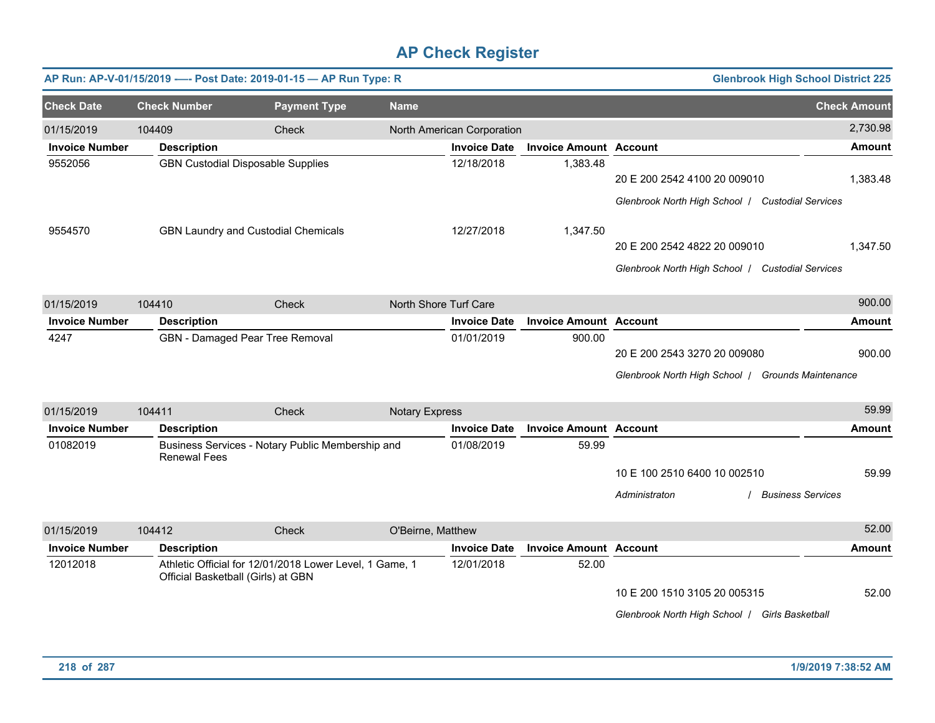|                       |                     | AP Run: AP-V-01/15/2019 ---- Post Date: 2019-01-15 - AP Run Type: R                           |                       |                            |                               |                                                                                   | <b>Glenbrook High School District 225</b> |                     |
|-----------------------|---------------------|-----------------------------------------------------------------------------------------------|-----------------------|----------------------------|-------------------------------|-----------------------------------------------------------------------------------|-------------------------------------------|---------------------|
| <b>Check Date</b>     | <b>Check Number</b> | <b>Payment Type</b>                                                                           | <b>Name</b>           |                            |                               |                                                                                   |                                           | <b>Check Amount</b> |
| 01/15/2019            | 104409              | Check                                                                                         |                       | North American Corporation |                               |                                                                                   |                                           | 2,730.98            |
| <b>Invoice Number</b> | <b>Description</b>  |                                                                                               |                       | <b>Invoice Date</b>        | <b>Invoice Amount Account</b> |                                                                                   |                                           | <b>Amount</b>       |
| 9552056               |                     | <b>GBN Custodial Disposable Supplies</b>                                                      |                       | 12/18/2018                 | 1,383.48                      | 20 E 200 2542 4100 20 009010<br>Glenbrook North High School / Custodial Services  |                                           | 1,383.48            |
| 9554570               |                     | <b>GBN Laundry and Custodial Chemicals</b>                                                    |                       | 12/27/2018                 | 1,347.50                      | 20 E 200 2542 4822 20 009010<br>Glenbrook North High School / Custodial Services  |                                           | 1,347.50            |
| 01/15/2019            | 104410              | Check                                                                                         |                       | North Shore Turf Care      |                               |                                                                                   |                                           | 900.00              |
| <b>Invoice Number</b> | <b>Description</b>  |                                                                                               |                       | <b>Invoice Date</b>        | <b>Invoice Amount Account</b> |                                                                                   |                                           | <b>Amount</b>       |
| 4247                  |                     | GBN - Damaged Pear Tree Removal                                                               |                       | 01/01/2019                 | 900.00                        | 20 E 200 2543 3270 20 009080<br>Glenbrook North High School   Grounds Maintenance |                                           | 900.00              |
| 01/15/2019            | 104411              | Check                                                                                         | <b>Notary Express</b> |                            |                               |                                                                                   |                                           | 59.99               |
| <b>Invoice Number</b> | <b>Description</b>  |                                                                                               |                       | <b>Invoice Date</b>        | <b>Invoice Amount Account</b> |                                                                                   |                                           | Amount              |
| 01082019              | <b>Renewal Fees</b> | Business Services - Notary Public Membership and                                              |                       | 01/08/2019                 | 59.99                         | 10 E 100 2510 6400 10 002510<br>Administraton                                     | <b>Business Services</b>                  | 59.99               |
| 01/15/2019            | 104412              | Check                                                                                         | O'Beirne, Matthew     |                            |                               |                                                                                   |                                           | 52.00               |
| <b>Invoice Number</b> | <b>Description</b>  |                                                                                               |                       | <b>Invoice Date</b>        | <b>Invoice Amount Account</b> |                                                                                   |                                           | <b>Amount</b>       |
| 12012018              |                     | Athletic Official for 12/01/2018 Lower Level, 1 Game, 1<br>Official Basketball (Girls) at GBN |                       | 12/01/2018                 | 52.00                         | 10 E 200 1510 3105 20 005315<br>Glenbrook North High School   Girls Basketball    |                                           | 52.00               |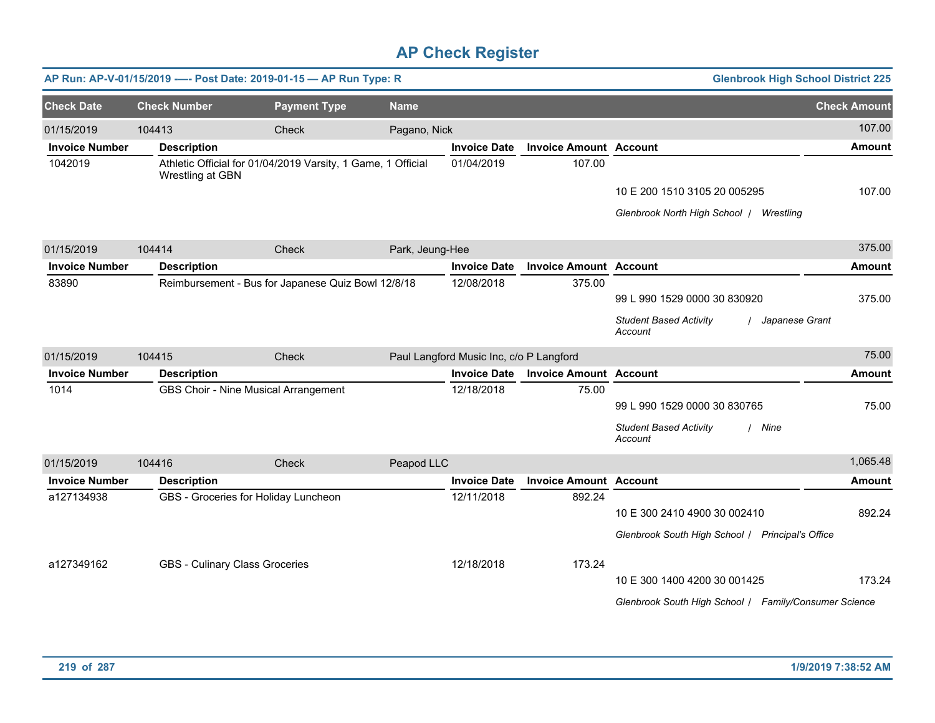|                       |                     | AP Run: AP-V-01/15/2019 ---- Post Date: 2019-01-15 - AP Run Type: R |                 |                                         |                               | <b>Glenbrook High School District 225</b>                    |                     |
|-----------------------|---------------------|---------------------------------------------------------------------|-----------------|-----------------------------------------|-------------------------------|--------------------------------------------------------------|---------------------|
| <b>Check Date</b>     | <b>Check Number</b> | <b>Payment Type</b>                                                 | <b>Name</b>     |                                         |                               |                                                              | <b>Check Amount</b> |
| 01/15/2019            | 104413              | Check                                                               | Pagano, Nick    |                                         |                               |                                                              | 107.00              |
| <b>Invoice Number</b> | <b>Description</b>  |                                                                     |                 | <b>Invoice Date</b>                     | <b>Invoice Amount Account</b> |                                                              | <b>Amount</b>       |
| 1042019               | Wrestling at GBN    | Athletic Official for 01/04/2019 Varsity, 1 Game, 1 Official        |                 | 01/04/2019                              | 107.00                        |                                                              |                     |
|                       |                     |                                                                     |                 |                                         |                               | 10 E 200 1510 3105 20 005295                                 | 107.00              |
|                       |                     |                                                                     |                 |                                         |                               | Glenbrook North High School / Wrestling                      |                     |
| 01/15/2019            | 104414              | Check                                                               | Park, Jeung-Hee |                                         |                               |                                                              | 375.00              |
| <b>Invoice Number</b> | <b>Description</b>  |                                                                     |                 | <b>Invoice Date</b>                     | <b>Invoice Amount Account</b> |                                                              | Amount              |
| 83890                 |                     | Reimbursement - Bus for Japanese Quiz Bowl 12/8/18                  |                 | 12/08/2018                              | 375.00                        |                                                              |                     |
|                       |                     |                                                                     |                 |                                         |                               | 99 L 990 1529 0000 30 830920                                 | 375.00              |
|                       |                     |                                                                     |                 |                                         |                               | <b>Student Based Activity</b><br>/ Japanese Grant<br>Account |                     |
| 01/15/2019            | 104415              | Check                                                               |                 | Paul Langford Music Inc, c/o P Langford |                               |                                                              | 75.00               |
| <b>Invoice Number</b> | <b>Description</b>  |                                                                     |                 | <b>Invoice Date</b>                     | <b>Invoice Amount Account</b> |                                                              | <b>Amount</b>       |
| 1014                  |                     | GBS Choir - Nine Musical Arrangement                                |                 | 12/18/2018                              | 75.00                         |                                                              |                     |
|                       |                     |                                                                     |                 |                                         |                               | 99 L 990 1529 0000 30 830765                                 | 75.00               |
|                       |                     |                                                                     |                 |                                         |                               | <b>Student Based Activity</b><br>/ Nine<br>Account           |                     |
| 01/15/2019            | 104416              | <b>Check</b>                                                        | Peapod LLC      |                                         |                               |                                                              | 1,065.48            |
| <b>Invoice Number</b> | <b>Description</b>  |                                                                     |                 | <b>Invoice Date</b>                     | <b>Invoice Amount Account</b> |                                                              | Amount              |
| a127134938            |                     | GBS - Groceries for Holiday Luncheon                                |                 | 12/11/2018                              | 892.24                        |                                                              |                     |
|                       |                     |                                                                     |                 |                                         |                               | 10 E 300 2410 4900 30 002410                                 | 892.24              |
|                       |                     |                                                                     |                 |                                         |                               | Glenbrook South High School   Principal's Office             |                     |
| a127349162            |                     | GBS - Culinary Class Groceries                                      |                 | 12/18/2018                              | 173.24                        |                                                              |                     |
|                       |                     |                                                                     |                 |                                         |                               | 10 E 300 1400 4200 30 001425                                 | 173.24              |
|                       |                     |                                                                     |                 |                                         |                               | Glenbrook South High School / Family/Consumer Science        |                     |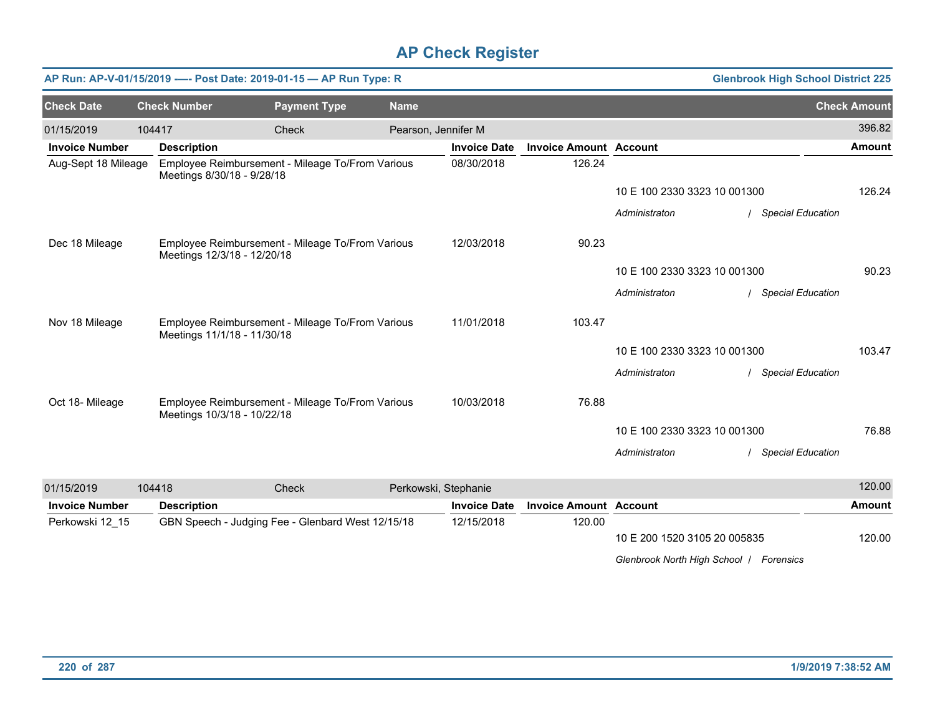|                       |                             | AP Run: AP-V-01/15/2019 ---- Post Date: 2019-01-15 - AP Run Type: R |             |                      |                               |                                         | <b>Glenbrook High School District 225</b> |                     |
|-----------------------|-----------------------------|---------------------------------------------------------------------|-------------|----------------------|-------------------------------|-----------------------------------------|-------------------------------------------|---------------------|
| <b>Check Date</b>     | <b>Check Number</b>         | <b>Payment Type</b>                                                 | <b>Name</b> |                      |                               |                                         |                                           | <b>Check Amount</b> |
| 01/15/2019            | 104417                      | Check                                                               |             | Pearson, Jennifer M  |                               |                                         |                                           | 396.82              |
| <b>Invoice Number</b> | <b>Description</b>          |                                                                     |             | <b>Invoice Date</b>  | <b>Invoice Amount Account</b> |                                         |                                           | <b>Amount</b>       |
| Aug-Sept 18 Mileage   | Meetings 8/30/18 - 9/28/18  | Employee Reimbursement - Mileage To/From Various                    |             | 08/30/2018           | 126.24                        |                                         |                                           |                     |
|                       |                             |                                                                     |             |                      |                               | 10 E 100 2330 3323 10 001300            |                                           | 126.24              |
|                       |                             |                                                                     |             |                      |                               | Administraton                           | / Special Education                       |                     |
| Dec 18 Mileage        | Meetings 12/3/18 - 12/20/18 | Employee Reimbursement - Mileage To/From Various                    |             | 12/03/2018           | 90.23                         |                                         |                                           |                     |
|                       |                             |                                                                     |             |                      |                               | 10 E 100 2330 3323 10 001300            |                                           | 90.23               |
|                       |                             |                                                                     |             |                      |                               | Administraton                           | <b>Special Education</b>                  |                     |
| Nov 18 Mileage        | Meetings 11/1/18 - 11/30/18 | Employee Reimbursement - Mileage To/From Various                    |             | 11/01/2018           | 103.47                        |                                         |                                           |                     |
|                       |                             |                                                                     |             |                      |                               | 10 E 100 2330 3323 10 001300            |                                           | 103.47              |
|                       |                             |                                                                     |             |                      |                               | Administraton                           | / Special Education                       |                     |
| Oct 18- Mileage       | Meetings 10/3/18 - 10/22/18 | Employee Reimbursement - Mileage To/From Various                    |             | 10/03/2018           | 76.88                         |                                         |                                           |                     |
|                       |                             |                                                                     |             |                      |                               | 10 E 100 2330 3323 10 001300            |                                           | 76.88               |
|                       |                             |                                                                     |             |                      |                               | Administraton                           | / Special Education                       |                     |
| 01/15/2019            | 104418                      | Check                                                               |             | Perkowski, Stephanie |                               |                                         |                                           | 120.00              |
| <b>Invoice Number</b> | <b>Description</b>          |                                                                     |             | <b>Invoice Date</b>  | <b>Invoice Amount Account</b> |                                         |                                           | <b>Amount</b>       |
| Perkowski 12 15       |                             | GBN Speech - Judging Fee - Glenbard West 12/15/18                   |             | 12/15/2018           | 120.00                        |                                         |                                           |                     |
|                       |                             |                                                                     |             |                      |                               | 10 E 200 1520 3105 20 005835            |                                           | 120.00              |
|                       |                             |                                                                     |             |                      |                               | Glenbrook North High School   Forensics |                                           |                     |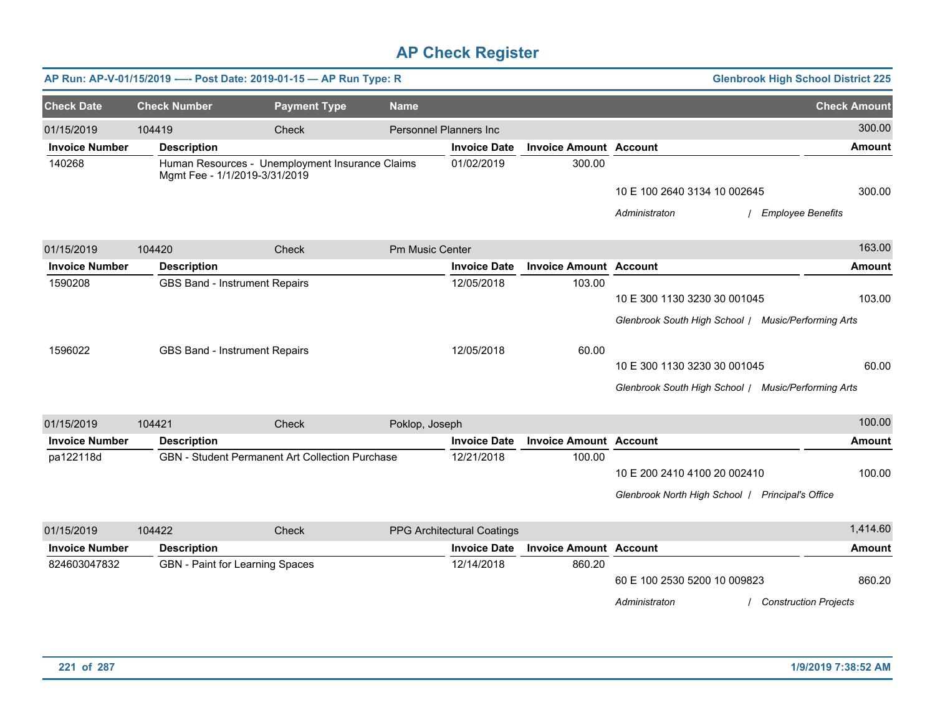|                       |                               | AP Run: AP-V-01/15/2019 ---- Post Date: 2019-01-15 - AP Run Type: R |                 |                            |                               |                                                     | <b>Glenbrook High School District 225</b> |
|-----------------------|-------------------------------|---------------------------------------------------------------------|-----------------|----------------------------|-------------------------------|-----------------------------------------------------|-------------------------------------------|
| <b>Check Date</b>     | <b>Check Number</b>           | <b>Payment Type</b>                                                 | <b>Name</b>     |                            |                               |                                                     | <b>Check Amount</b>                       |
| 01/15/2019            | 104419                        | Check                                                               |                 | Personnel Planners Inc     |                               |                                                     | 300.00                                    |
| <b>Invoice Number</b> | <b>Description</b>            |                                                                     |                 | <b>Invoice Date</b>        | <b>Invoice Amount Account</b> |                                                     | <b>Amount</b>                             |
| 140268                | Mgmt Fee - 1/1/2019-3/31/2019 | Human Resources - Unemployment Insurance Claims                     |                 | 01/02/2019                 | 300.00                        | 10 E 100 2640 3134 10 002645                        | 300.00                                    |
|                       |                               |                                                                     |                 |                            |                               | Administraton                                       | <b>Employee Benefits</b>                  |
| 01/15/2019            | 104420                        | Check                                                               | Pm Music Center |                            |                               |                                                     | 163.00                                    |
| <b>Invoice Number</b> | <b>Description</b>            |                                                                     |                 | <b>Invoice Date</b>        | <b>Invoice Amount Account</b> |                                                     | Amount                                    |
| 1590208               | GBS Band - Instrument Repairs |                                                                     |                 | 12/05/2018                 | 103.00                        | 10 E 300 1130 3230 30 001045                        | 103.00                                    |
|                       |                               |                                                                     |                 |                            |                               | Glenbrook South High School / Music/Performing Arts |                                           |
| 1596022               | GBS Band - Instrument Repairs |                                                                     |                 | 12/05/2018                 | 60.00                         |                                                     |                                           |
|                       |                               |                                                                     |                 |                            |                               | 10 E 300 1130 3230 30 001045                        | 60.00                                     |
|                       |                               |                                                                     |                 |                            |                               | Glenbrook South High School / Music/Performing Arts |                                           |
| 01/15/2019            | 104421                        | Check                                                               | Poklop, Joseph  |                            |                               |                                                     | 100.00                                    |
| <b>Invoice Number</b> | <b>Description</b>            |                                                                     |                 | <b>Invoice Date</b>        | <b>Invoice Amount Account</b> |                                                     | <b>Amount</b>                             |
| pa122118d             |                               | <b>GBN</b> - Student Permanent Art Collection Purchase              |                 | 12/21/2018                 | 100.00                        | 10 E 200 2410 4100 20 002410                        | 100.00                                    |
|                       |                               |                                                                     |                 |                            |                               | Glenbrook North High School   Principal's Office    |                                           |
| 01/15/2019            | 104422                        | Check                                                               |                 | PPG Architectural Coatings |                               |                                                     | 1,414.60                                  |
| <b>Invoice Number</b> | <b>Description</b>            |                                                                     |                 | <b>Invoice Date</b>        | <b>Invoice Amount Account</b> |                                                     | <b>Amount</b>                             |
| 824603047832          |                               | GBN - Paint for Learning Spaces                                     |                 | 12/14/2018                 | 860.20                        | 60 E 100 2530 5200 10 009823<br>Administraton       | 860.20<br><b>Construction Projects</b>    |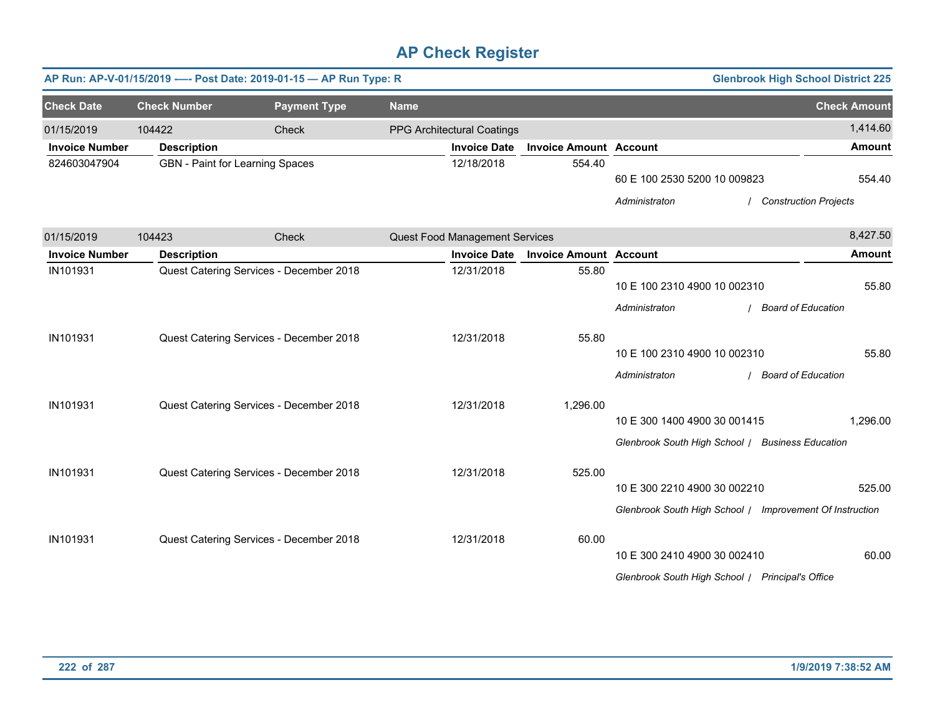|                       |                     | AP Run: AP-V-01/15/2019 ---- Post Date: 2019-01-15 - AP Run Type: R |                                |                               |                                                                                  | <b>Glenbrook High School District 225</b>                |                     |
|-----------------------|---------------------|---------------------------------------------------------------------|--------------------------------|-------------------------------|----------------------------------------------------------------------------------|----------------------------------------------------------|---------------------|
| <b>Check Date</b>     | <b>Check Number</b> | <b>Payment Type</b>                                                 | <b>Name</b>                    |                               |                                                                                  |                                                          | <b>Check Amount</b> |
| 01/15/2019            | 104422              | Check                                                               | PPG Architectural Coatings     |                               |                                                                                  |                                                          | 1,414.60            |
| <b>Invoice Number</b> | <b>Description</b>  |                                                                     | <b>Invoice Date</b>            | <b>Invoice Amount Account</b> |                                                                                  |                                                          | <b>Amount</b>       |
| 824603047904          |                     | GBN - Paint for Learning Spaces                                     | 12/18/2018                     | 554.40                        | 60 E 100 2530 5200 10 009823                                                     |                                                          | 554.40              |
|                       |                     |                                                                     |                                |                               | Administraton                                                                    | <b>Construction Projects</b>                             |                     |
| 01/15/2019            | 104423              | Check                                                               | Quest Food Management Services |                               |                                                                                  |                                                          | 8,427.50            |
| <b>Invoice Number</b> | <b>Description</b>  |                                                                     | <b>Invoice Date</b>            | <b>Invoice Amount Account</b> |                                                                                  |                                                          | <b>Amount</b>       |
| IN101931              |                     | Quest Catering Services - December 2018                             | 12/31/2018                     | 55.80                         | 10 E 100 2310 4900 10 002310<br>Administraton                                    | / Board of Education                                     | 55.80               |
| IN101931              |                     | Quest Catering Services - December 2018                             | 12/31/2018                     | 55.80                         | 10 E 100 2310 4900 10 002310<br>Administraton                                    | / Board of Education                                     | 55.80               |
| IN101931              |                     | Quest Catering Services - December 2018                             | 12/31/2018                     | 1,296.00                      | 10 E 300 1400 4900 30 001415                                                     | Glenbrook South High School / Business Education         | 1,296.00            |
| IN101931              |                     | Quest Catering Services - December 2018                             | 12/31/2018                     | 525.00                        | 10 E 300 2210 4900 30 002210                                                     | Glenbrook South High School / Improvement Of Instruction | 525.00              |
| IN101931              |                     | Quest Catering Services - December 2018                             | 12/31/2018                     | 60.00                         | 10 E 300 2410 4900 30 002410<br>Glenbrook South High School / Principal's Office |                                                          | 60.00               |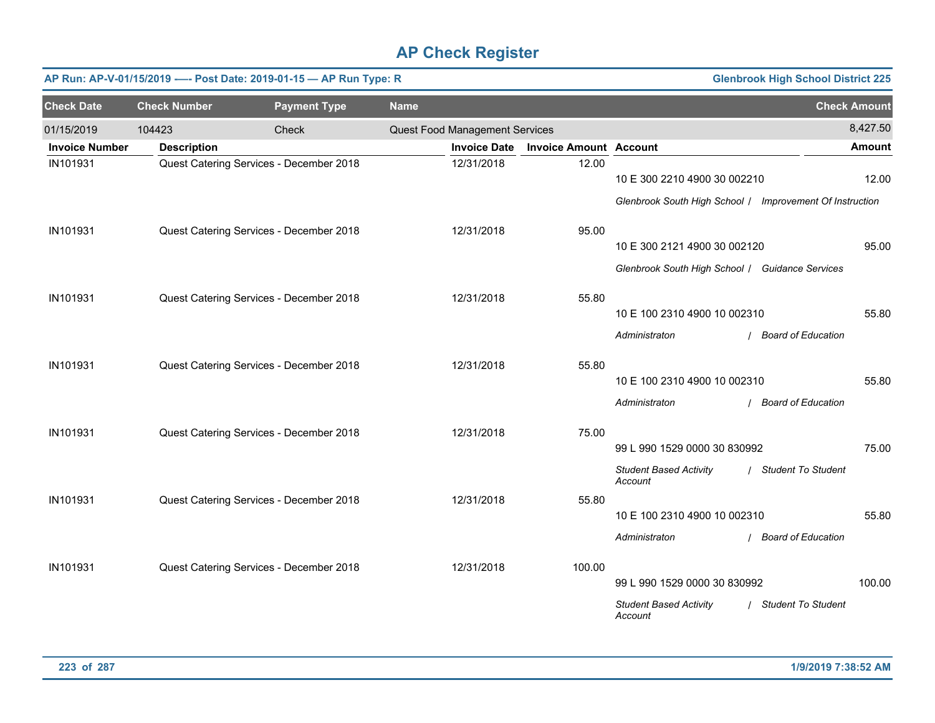|                       | AP Run: AP-V-01/15/2019 ---- Post Date: 2019-01-15 - AP Run Type: R<br><b>Glenbrook High School District 225</b> |                                         |             |                                |                               |                                                          |                           |                     |  |  |
|-----------------------|------------------------------------------------------------------------------------------------------------------|-----------------------------------------|-------------|--------------------------------|-------------------------------|----------------------------------------------------------|---------------------------|---------------------|--|--|
| <b>Check Date</b>     | <b>Check Number</b>                                                                                              | <b>Payment Type</b>                     | <b>Name</b> |                                |                               |                                                          |                           | <b>Check Amount</b> |  |  |
| 01/15/2019            | 104423                                                                                                           | Check                                   |             | Quest Food Management Services |                               |                                                          |                           | 8,427.50            |  |  |
| <b>Invoice Number</b> | <b>Description</b>                                                                                               |                                         |             | <b>Invoice Date</b>            | <b>Invoice Amount Account</b> |                                                          |                           | <b>Amount</b>       |  |  |
| IN101931              |                                                                                                                  | Quest Catering Services - December 2018 |             | 12/31/2018                     | 12.00                         | 10 E 300 2210 4900 30 002210                             |                           | 12.00               |  |  |
|                       |                                                                                                                  |                                         |             |                                |                               | Glenbrook South High School / Improvement Of Instruction |                           |                     |  |  |
| IN101931              |                                                                                                                  | Quest Catering Services - December 2018 |             | 12/31/2018                     | 95.00                         | 10 E 300 2121 4900 30 002120                             |                           | 95.00               |  |  |
|                       |                                                                                                                  |                                         |             |                                |                               | Glenbrook South High School / Guidance Services          |                           |                     |  |  |
| IN101931              |                                                                                                                  | Quest Catering Services - December 2018 |             | 12/31/2018                     | 55.80                         | 10 E 100 2310 4900 10 002310                             |                           | 55.80               |  |  |
|                       |                                                                                                                  |                                         |             |                                |                               | Administraton                                            | / Board of Education      |                     |  |  |
| IN101931              |                                                                                                                  | Quest Catering Services - December 2018 |             | 12/31/2018                     | 55.80                         | 10 E 100 2310 4900 10 002310                             |                           | 55.80               |  |  |
|                       |                                                                                                                  |                                         |             |                                |                               | Administraton                                            | / Board of Education      |                     |  |  |
| IN101931              |                                                                                                                  | Quest Catering Services - December 2018 |             | 12/31/2018                     | 75.00                         | 99 L 990 1529 0000 30 830992                             |                           | 75.00               |  |  |
|                       |                                                                                                                  |                                         |             |                                |                               | <b>Student Based Activity</b><br>Account                 | / Student To Student      |                     |  |  |
| IN101931              |                                                                                                                  | Quest Catering Services - December 2018 |             | 12/31/2018                     | 55.80                         | 10 E 100 2310 4900 10 002310                             |                           | 55.80               |  |  |
|                       |                                                                                                                  |                                         |             |                                |                               | Administraton                                            | / Board of Education      |                     |  |  |
|                       |                                                                                                                  |                                         |             |                                |                               |                                                          |                           |                     |  |  |
| IN101931              |                                                                                                                  | Quest Catering Services - December 2018 |             | 12/31/2018                     | 100.00                        | 99 L 990 1529 0000 30 830992                             |                           | 100.00              |  |  |
|                       |                                                                                                                  |                                         |             |                                |                               | <b>Student Based Activity</b><br>Account                 | <b>Student To Student</b> |                     |  |  |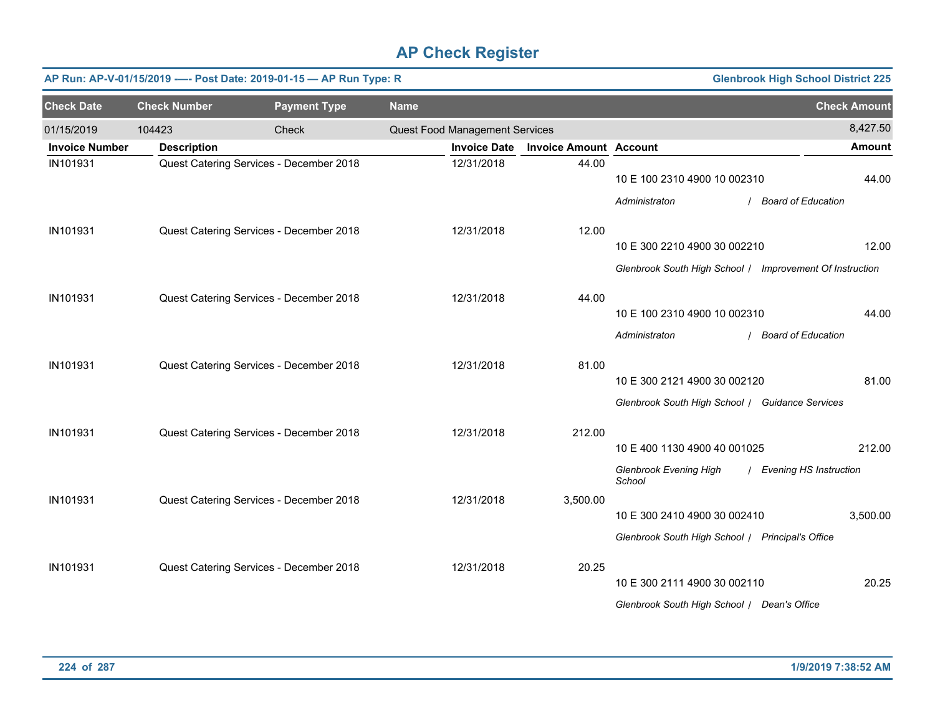|                       | AP Run: AP-V-01/15/2019 ---- Post Date: 2019-01-15 - AP Run Type: R<br><b>Glenbrook High School District 225</b> |                                         |             |                                |                               |                                                                                                                             |                                      |  |  |  |  |
|-----------------------|------------------------------------------------------------------------------------------------------------------|-----------------------------------------|-------------|--------------------------------|-------------------------------|-----------------------------------------------------------------------------------------------------------------------------|--------------------------------------|--|--|--|--|
| <b>Check Date</b>     | <b>Check Number</b>                                                                                              | <b>Payment Type</b>                     | <b>Name</b> |                                |                               |                                                                                                                             | <b>Check Amount</b>                  |  |  |  |  |
| 01/15/2019            | 104423                                                                                                           | Check                                   |             | Quest Food Management Services |                               |                                                                                                                             | 8,427.50                             |  |  |  |  |
| <b>Invoice Number</b> | <b>Description</b>                                                                                               |                                         |             | <b>Invoice Date</b>            | <b>Invoice Amount Account</b> |                                                                                                                             | Amount                               |  |  |  |  |
| IN101931              |                                                                                                                  | Quest Catering Services - December 2018 |             | 12/31/2018                     | 44.00                         | 10 E 100 2310 4900 10 002310<br>Administraton                                                                               | 44.00<br>/ Board of Education        |  |  |  |  |
| IN101931              |                                                                                                                  | Quest Catering Services - December 2018 |             | 12/31/2018                     | 12.00                         | 10 E 300 2210 4900 30 002210                                                                                                | 12.00                                |  |  |  |  |
| IN101931              |                                                                                                                  | Quest Catering Services - December 2018 |             | 12/31/2018                     | 44.00                         | Glenbrook South High School / Improvement Of Instruction<br>10 E 100 2310 4900 10 002310                                    | 44.00                                |  |  |  |  |
| IN101931              |                                                                                                                  | Quest Catering Services - December 2018 |             | 12/31/2018                     | 81.00                         | Administraton<br>10 E 300 2121 4900 30 002120<br>Glenbrook South High School / Guidance Services                            | / Board of Education<br>81.00        |  |  |  |  |
| IN101931              |                                                                                                                  | Quest Catering Services - December 2018 |             | 12/31/2018                     | 212.00                        | 10 E 400 1130 4900 40 001025                                                                                                | 212.00                               |  |  |  |  |
| IN101931              |                                                                                                                  | Quest Catering Services - December 2018 |             | 12/31/2018                     | 3,500.00                      | <b>Glenbrook Evening High</b><br>School<br>10 E 300 2410 4900 30 002410<br>Glenbrook South High School / Principal's Office | / Evening HS Instruction<br>3,500.00 |  |  |  |  |
| IN101931              |                                                                                                                  | Quest Catering Services - December 2018 |             | 12/31/2018                     | 20.25                         | 10 E 300 2111 4900 30 002110<br>Glenbrook South High School   Dean's Office                                                 | 20.25                                |  |  |  |  |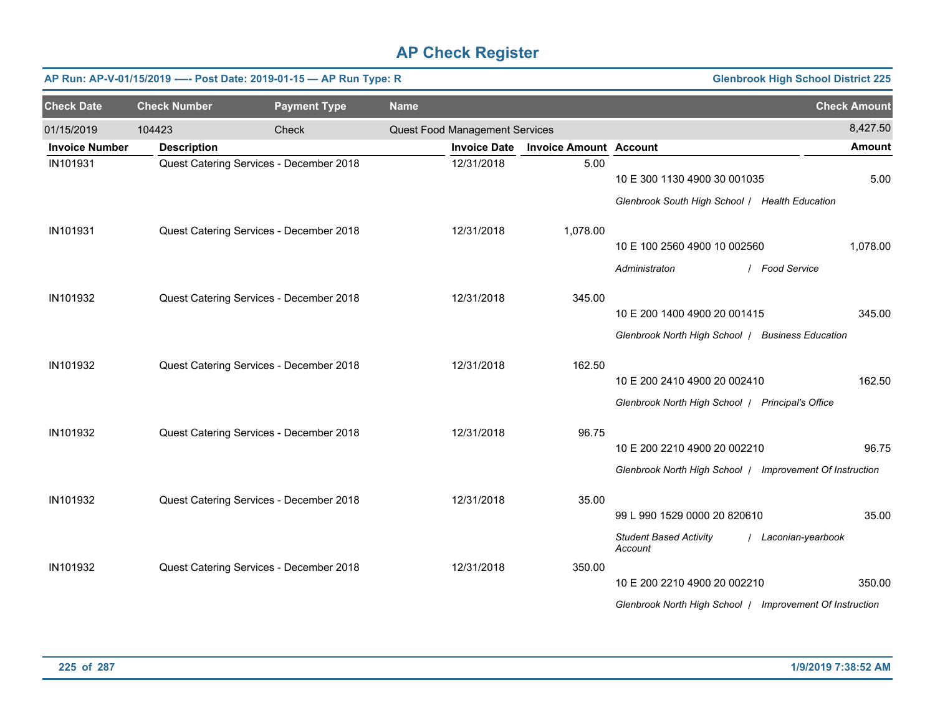|                       |                     | AP Run: AP-V-01/15/2019 ---- Post Date: 2019-01-15 - AP Run Type: R |             |                                |                               |                                                                                                     | <b>Glenbrook High School District 225</b> |                     |
|-----------------------|---------------------|---------------------------------------------------------------------|-------------|--------------------------------|-------------------------------|-----------------------------------------------------------------------------------------------------|-------------------------------------------|---------------------|
| <b>Check Date</b>     | <b>Check Number</b> | <b>Payment Type</b>                                                 | <b>Name</b> |                                |                               |                                                                                                     |                                           | <b>Check Amount</b> |
| 01/15/2019            | 104423              | Check                                                               |             | Quest Food Management Services |                               |                                                                                                     |                                           | 8,427.50            |
| <b>Invoice Number</b> | <b>Description</b>  |                                                                     |             | <b>Invoice Date</b>            | <b>Invoice Amount Account</b> |                                                                                                     |                                           | <b>Amount</b>       |
| IN101931              |                     | Quest Catering Services - December 2018                             |             | 12/31/2018                     | 5.00                          | 10 E 300 1130 4900 30 001035<br>Glenbrook South High School / Health Education                      |                                           | 5.00                |
| IN101931              |                     | Quest Catering Services - December 2018                             |             | 12/31/2018                     | 1,078.00                      | 10 E 100 2560 4900 10 002560<br>Administraton                                                       | / Food Service                            | 1,078.00            |
| IN101932              |                     | Quest Catering Services - December 2018                             |             | 12/31/2018                     | 345.00                        | 10 E 200 1400 4900 20 001415<br>Glenbrook North High School / Business Education                    |                                           | 345.00              |
| IN101932              |                     | Quest Catering Services - December 2018                             |             | 12/31/2018                     | 162.50                        | 10 E 200 2410 4900 20 002410<br>Glenbrook North High School   Principal's Office                    |                                           | 162.50              |
| IN101932              |                     | Quest Catering Services - December 2018                             |             | 12/31/2018                     | 96.75                         | 10 E 200 2210 4900 20 002210<br>Glenbrook North High School   Improvement Of Instruction            |                                           | 96.75               |
| IN101932              |                     | Quest Catering Services - December 2018                             |             | 12/31/2018                     | 35.00                         | 99 L 990 1529 0000 20 820610<br><b>Student Based Activity</b>                                       | Laconian-yearbook                         | 35.00               |
| IN101932              |                     | Quest Catering Services - December 2018                             |             | 12/31/2018                     | 350.00                        | Account<br>10 E 200 2210 4900 20 002210<br>Glenbrook North High School   Improvement Of Instruction |                                           | 350.00              |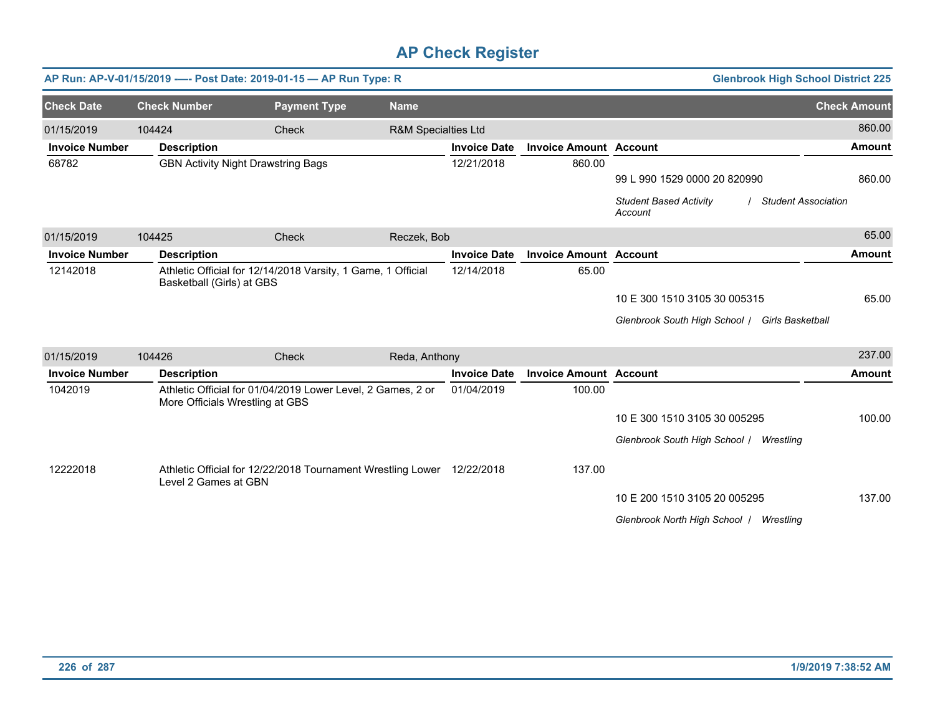|                       |                           | AP Run: AP-V-01/15/2019 ---- Post Date: 2019-01-15 - AP Run Type: R                            |                                |                     |                               | <b>Glenbrook High School District 225</b>                              |                     |
|-----------------------|---------------------------|------------------------------------------------------------------------------------------------|--------------------------------|---------------------|-------------------------------|------------------------------------------------------------------------|---------------------|
| <b>Check Date</b>     | <b>Check Number</b>       | <b>Payment Type</b>                                                                            | <b>Name</b>                    |                     |                               |                                                                        | <b>Check Amount</b> |
| 01/15/2019            | 104424                    | Check                                                                                          | <b>R&amp;M Specialties Ltd</b> |                     |                               |                                                                        | 860.00              |
| <b>Invoice Number</b> | <b>Description</b>        |                                                                                                |                                | <b>Invoice Date</b> | <b>Invoice Amount Account</b> |                                                                        | <b>Amount</b>       |
| 68782                 |                           | <b>GBN Activity Night Drawstring Bags</b>                                                      |                                | 12/21/2018          | 860.00                        |                                                                        |                     |
|                       |                           |                                                                                                |                                |                     |                               | 99 L 990 1529 0000 20 820990                                           | 860.00              |
|                       |                           |                                                                                                |                                |                     |                               | <b>Student Based Activity</b><br><b>Student Association</b><br>Account |                     |
| 01/15/2019            | 104425                    | Check                                                                                          | Reczek, Bob                    |                     |                               |                                                                        | 65.00               |
| <b>Invoice Number</b> | <b>Description</b>        |                                                                                                |                                | <b>Invoice Date</b> | <b>Invoice Amount Account</b> |                                                                        | <b>Amount</b>       |
| 12142018              | Basketball (Girls) at GBS | Athletic Official for 12/14/2018 Varsity, 1 Game, 1 Official                                   |                                | 12/14/2018          | 65.00                         |                                                                        |                     |
|                       |                           |                                                                                                |                                |                     |                               | 10 E 300 1510 3105 30 005315                                           | 65.00               |
|                       |                           |                                                                                                |                                |                     |                               | Glenbrook South High School / Girls Basketball                         |                     |
|                       |                           |                                                                                                |                                |                     |                               |                                                                        |                     |
| 01/15/2019            | 104426                    | Check                                                                                          | Reda, Anthony                  |                     |                               |                                                                        | 237.00              |
| <b>Invoice Number</b> | <b>Description</b>        |                                                                                                |                                | <b>Invoice Date</b> | <b>Invoice Amount Account</b> |                                                                        | <b>Amount</b>       |
| 1042019               |                           | Athletic Official for 01/04/2019 Lower Level, 2 Games, 2 or<br>More Officials Wrestling at GBS |                                | 01/04/2019          | 100.00                        |                                                                        |                     |
|                       |                           |                                                                                                |                                |                     |                               | 10 E 300 1510 3105 30 005295                                           | 100.00              |
|                       |                           |                                                                                                |                                |                     |                               | Glenbrook South High School / Wrestling                                |                     |
| 12222018              | Level 2 Games at GBN      | Athletic Official for 12/22/2018 Tournament Wrestling Lower 12/22/2018                         |                                |                     | 137.00                        |                                                                        |                     |
|                       |                           |                                                                                                |                                |                     |                               | 10 E 200 1510 3105 20 005295                                           | 137.00              |
|                       |                           |                                                                                                |                                |                     |                               | Glenbrook North High School  <br>Wrestling                             |                     |
|                       |                           |                                                                                                |                                |                     |                               |                                                                        |                     |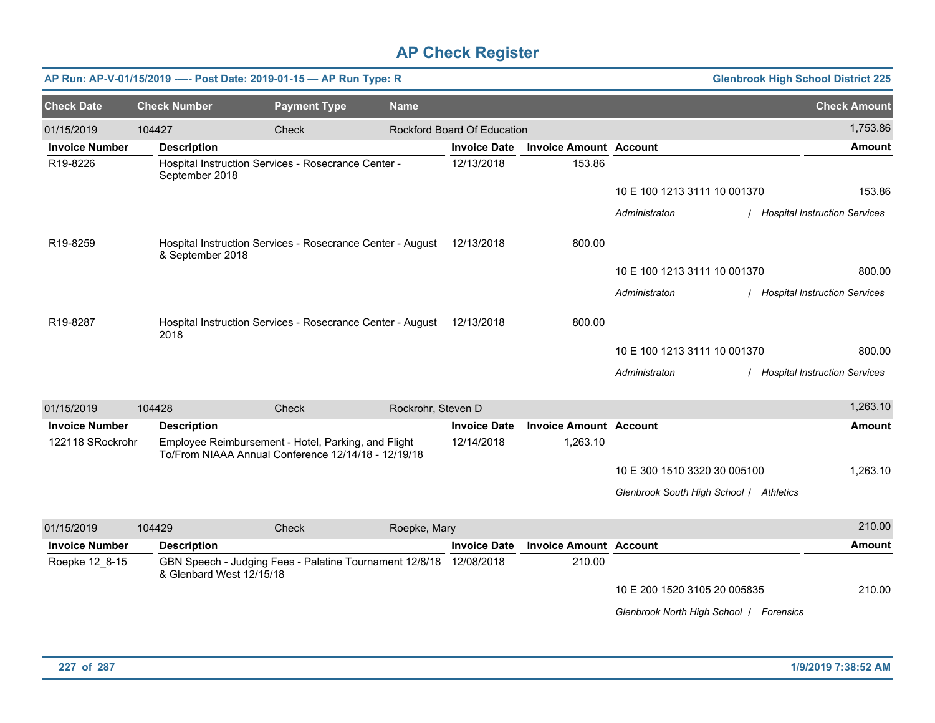|                       |                          | AP Run: AP-V-01/15/2019 ---- Post Date: 2019-01-15 - AP Run Type: R                                        |                    |                             |                               |                                         | <b>Glenbrook High School District 225</b> |
|-----------------------|--------------------------|------------------------------------------------------------------------------------------------------------|--------------------|-----------------------------|-------------------------------|-----------------------------------------|-------------------------------------------|
| <b>Check Date</b>     | <b>Check Number</b>      | <b>Payment Type</b>                                                                                        | <b>Name</b>        |                             |                               |                                         | <b>Check Amount</b>                       |
| 01/15/2019            | 104427                   | Check                                                                                                      |                    | Rockford Board Of Education |                               |                                         | 1,753.86                                  |
| <b>Invoice Number</b> | <b>Description</b>       |                                                                                                            |                    | <b>Invoice Date</b>         | <b>Invoice Amount Account</b> |                                         | <b>Amount</b>                             |
| R19-8226              | September 2018           | Hospital Instruction Services - Rosecrance Center -                                                        |                    | 12/13/2018                  | 153.86                        |                                         |                                           |
|                       |                          |                                                                                                            |                    |                             |                               | 10 E 100 1213 3111 10 001370            | 153.86                                    |
|                       |                          |                                                                                                            |                    |                             |                               | Administraton                           | / Hospital Instruction Services           |
| R19-8259              | & September 2018         | Hospital Instruction Services - Rosecrance Center - August                                                 |                    | 12/13/2018                  | 800.00                        |                                         |                                           |
|                       |                          |                                                                                                            |                    |                             |                               | 10 E 100 1213 3111 10 001370            | 800.00                                    |
|                       |                          |                                                                                                            |                    |                             |                               | Administraton                           | / Hospital Instruction Services           |
| R19-8287              | 2018                     | Hospital Instruction Services - Rosecrance Center - August                                                 |                    | 12/13/2018                  | 800.00                        |                                         |                                           |
|                       |                          |                                                                                                            |                    |                             |                               | 10 E 100 1213 3111 10 001370            | 800.00                                    |
|                       |                          |                                                                                                            |                    |                             |                               | Administraton                           | / Hospital Instruction Services           |
| 01/15/2019            | 104428                   | Check                                                                                                      | Rockrohr, Steven D |                             |                               |                                         | 1,263.10                                  |
| <b>Invoice Number</b> | <b>Description</b>       |                                                                                                            |                    | <b>Invoice Date</b>         | <b>Invoice Amount Account</b> |                                         | <b>Amount</b>                             |
| 122118 SRockrohr      |                          | Employee Reimbursement - Hotel, Parking, and Flight<br>To/From NIAAA Annual Conference 12/14/18 - 12/19/18 |                    | 12/14/2018                  | 1,263.10                      |                                         |                                           |
|                       |                          |                                                                                                            |                    |                             |                               | 10 E 300 1510 3320 30 005100            | 1,263.10                                  |
|                       |                          |                                                                                                            |                    |                             |                               | Glenbrook South High School / Athletics |                                           |
| 01/15/2019            | 104429                   | Check                                                                                                      | Roepke, Mary       |                             |                               |                                         | 210.00                                    |
| <b>Invoice Number</b> | <b>Description</b>       |                                                                                                            |                    | <b>Invoice Date</b>         | <b>Invoice Amount Account</b> |                                         | <b>Amount</b>                             |
| Roepke 12 8-15        | & Glenbard West 12/15/18 | GBN Speech - Judging Fees - Palatine Tournament 12/8/18 12/08/2018                                         |                    |                             | 210.00                        |                                         |                                           |
|                       |                          |                                                                                                            |                    |                             |                               | 10 E 200 1520 3105 20 005835            | 210.00                                    |
|                       |                          |                                                                                                            |                    |                             |                               | Glenbrook North High School / Forensics |                                           |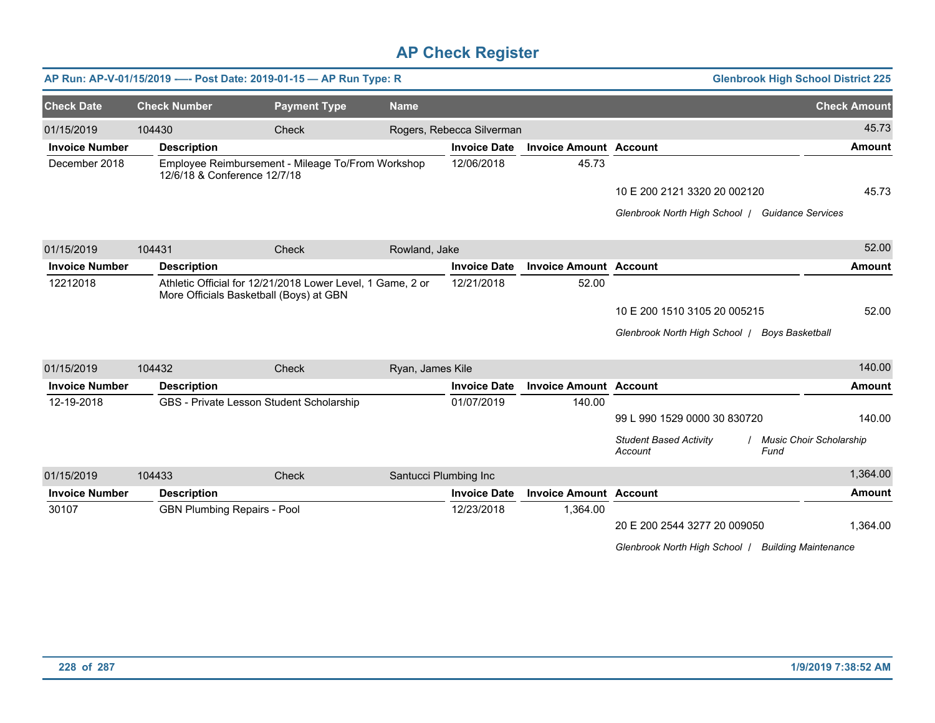|                       |                                    | AP Run: AP-V-01/15/2019 ---- Post Date: 2019-01-15 - AP Run Type: R                                   |                  |                           |                               |                                                  | <b>Glenbrook High School District 225</b> |
|-----------------------|------------------------------------|-------------------------------------------------------------------------------------------------------|------------------|---------------------------|-------------------------------|--------------------------------------------------|-------------------------------------------|
| <b>Check Date</b>     | <b>Check Number</b>                | <b>Payment Type</b>                                                                                   | <b>Name</b>      |                           |                               |                                                  | <b>Check Amount</b>                       |
| 01/15/2019            | 104430                             | Check                                                                                                 |                  | Rogers, Rebecca Silverman |                               |                                                  | 45.73                                     |
| <b>Invoice Number</b> | <b>Description</b>                 |                                                                                                       |                  | <b>Invoice Date</b>       | <b>Invoice Amount Account</b> |                                                  | <b>Amount</b>                             |
| December 2018         | 12/6/18 & Conference 12/7/18       | Employee Reimbursement - Mileage To/From Workshop                                                     |                  | 12/06/2018                | 45.73                         |                                                  |                                           |
|                       |                                    |                                                                                                       |                  |                           |                               | 10 E 200 2121 3320 20 002120                     | 45.73                                     |
|                       |                                    |                                                                                                       |                  |                           |                               | Glenbrook North High School / Guidance Services  |                                           |
| 01/15/2019            | 104431                             | Check                                                                                                 | Rowland, Jake    |                           |                               |                                                  | 52.00                                     |
| <b>Invoice Number</b> | <b>Description</b>                 |                                                                                                       |                  | <b>Invoice Date</b>       | <b>Invoice Amount Account</b> |                                                  | <b>Amount</b>                             |
| 12212018              |                                    | Athletic Official for 12/21/2018 Lower Level, 1 Game, 2 or<br>More Officials Basketball (Boys) at GBN |                  | 12/21/2018                | 52.00                         |                                                  |                                           |
|                       |                                    |                                                                                                       |                  |                           |                               | 10 E 200 1510 3105 20 005215                     | 52.00                                     |
|                       |                                    |                                                                                                       |                  |                           |                               | Glenbrook North High School   Boys Basketball    |                                           |
| 01/15/2019            | 104432                             | Check                                                                                                 | Ryan, James Kile |                           |                               |                                                  | 140.00                                    |
| <b>Invoice Number</b> | <b>Description</b>                 |                                                                                                       |                  | <b>Invoice Date</b>       | <b>Invoice Amount Account</b> |                                                  | <b>Amount</b>                             |
| 12-19-2018            |                                    | GBS - Private Lesson Student Scholarship                                                              |                  | 01/07/2019                | 140.00                        | 99 L 990 1529 0000 30 830720                     | 140.00                                    |
|                       |                                    |                                                                                                       |                  |                           |                               | <b>Student Based Activity</b><br>Fund<br>Account | / Music Choir Scholarship                 |
| 01/15/2019            | 104433                             | Check                                                                                                 |                  | Santucci Plumbing Inc     |                               |                                                  | 1,364.00                                  |
| <b>Invoice Number</b> | <b>Description</b>                 |                                                                                                       |                  | <b>Invoice Date</b>       | <b>Invoice Amount Account</b> |                                                  | <b>Amount</b>                             |
| 30107                 | <b>GBN Plumbing Repairs - Pool</b> |                                                                                                       |                  | 12/23/2018                | 1,364.00                      |                                                  |                                           |
|                       |                                    |                                                                                                       |                  |                           |                               | 20 E 200 2544 3277 20 009050                     | 1,364.00                                  |
|                       |                                    |                                                                                                       |                  |                           |                               | Glenbrook North High School /                    | <b>Building Maintenance</b>               |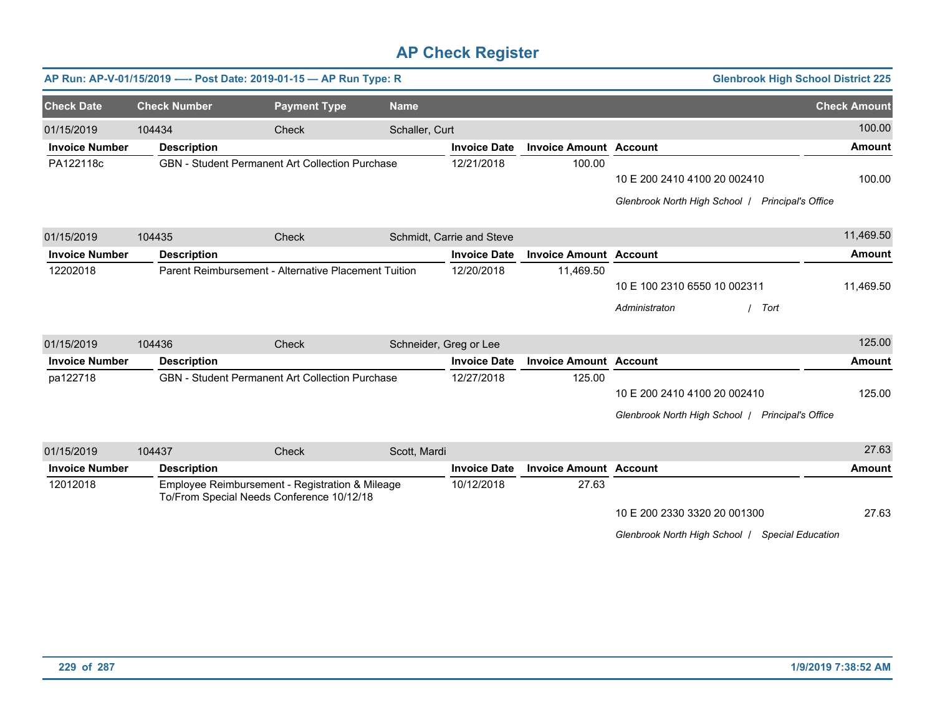|                       |        |                                           | AP Run: AP-V-01/15/2019 ---- Post Date: 2019-01-15 - AP Run Type: R |                        |                           |                               | <b>Glenbrook High School District 225</b>                  |                     |
|-----------------------|--------|-------------------------------------------|---------------------------------------------------------------------|------------------------|---------------------------|-------------------------------|------------------------------------------------------------|---------------------|
| <b>Check Date</b>     |        | <b>Check Number</b>                       | <b>Payment Type</b>                                                 | <b>Name</b>            |                           |                               |                                                            | <b>Check Amount</b> |
| 01/15/2019            | 104434 |                                           | Check                                                               | Schaller, Curt         |                           |                               |                                                            | 100.00              |
| <b>Invoice Number</b> |        | <b>Description</b>                        |                                                                     |                        | <b>Invoice Date</b>       | <b>Invoice Amount Account</b> |                                                            | <b>Amount</b>       |
| PA122118c             |        |                                           | <b>GBN</b> - Student Permanent Art Collection Purchase              |                        | 12/21/2018                | 100.00                        |                                                            |                     |
|                       |        |                                           |                                                                     |                        |                           |                               | 10 E 200 2410 4100 20 002410                               | 100.00              |
|                       |        |                                           |                                                                     |                        |                           |                               | Glenbrook North High School /<br><b>Principal's Office</b> |                     |
| 01/15/2019            | 104435 |                                           | Check                                                               |                        | Schmidt, Carrie and Steve |                               |                                                            | 11,469.50           |
| <b>Invoice Number</b> |        | <b>Description</b>                        |                                                                     |                        | <b>Invoice Date</b>       | <b>Invoice Amount Account</b> |                                                            | <b>Amount</b>       |
| 12202018              |        |                                           | Parent Reimbursement - Alternative Placement Tuition                |                        | 12/20/2018                | 11,469.50                     |                                                            |                     |
|                       |        |                                           |                                                                     |                        |                           |                               | 10 E 100 2310 6550 10 002311                               | 11,469.50           |
|                       |        |                                           |                                                                     |                        |                           |                               | Administraton<br>Tort                                      |                     |
| 01/15/2019            | 104436 |                                           | Check                                                               | Schneider, Greg or Lee |                           |                               |                                                            | 125.00              |
| <b>Invoice Number</b> |        | <b>Description</b>                        |                                                                     |                        | <b>Invoice Date</b>       | <b>Invoice Amount Account</b> |                                                            | <b>Amount</b>       |
| pa122718              |        |                                           | GBN - Student Permanent Art Collection Purchase                     |                        | 12/27/2018                | 125.00                        |                                                            |                     |
|                       |        |                                           |                                                                     |                        |                           |                               | 10 E 200 2410 4100 20 002410                               | 125.00              |
|                       |        |                                           |                                                                     |                        |                           |                               | Glenbrook North High School   Principal's Office           |                     |
| 01/15/2019            | 104437 |                                           | <b>Check</b>                                                        | Scott, Mardi           |                           |                               |                                                            | 27.63               |
| <b>Invoice Number</b> |        | <b>Description</b>                        |                                                                     |                        | <b>Invoice Date</b>       | <b>Invoice Amount Account</b> |                                                            | <b>Amount</b>       |
| 12012018              |        | To/From Special Needs Conference 10/12/18 | Employee Reimbursement - Registration & Mileage                     |                        | 10/12/2018                | 27.63                         |                                                            |                     |
|                       |        |                                           |                                                                     |                        |                           |                               | 10 E 200 2330 3320 20 001300                               | 27.63               |

*Glenbrook North High School* / *Special Education*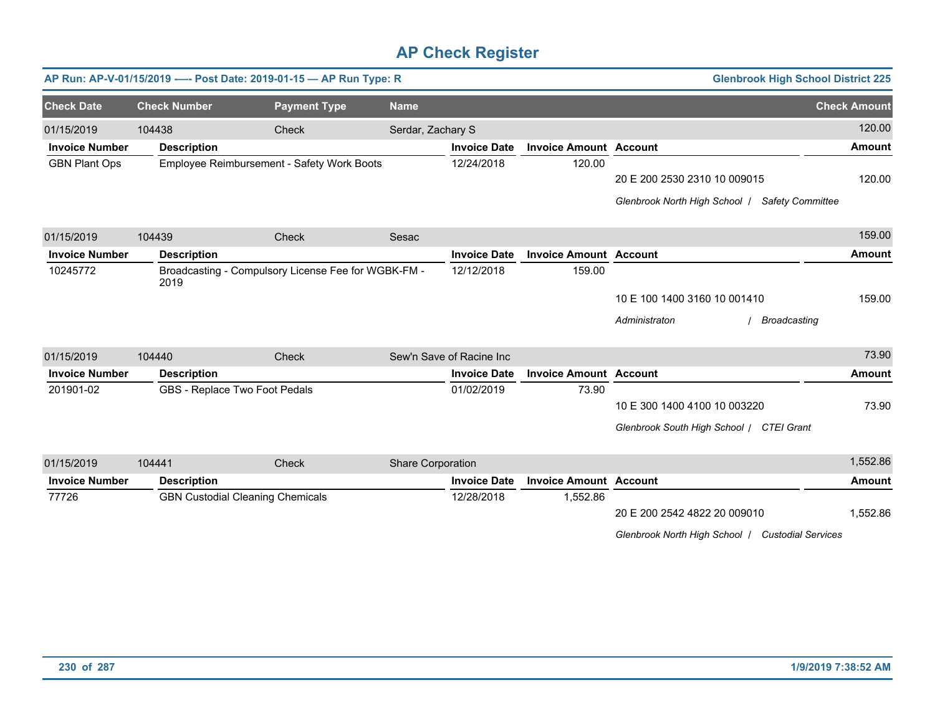|                       |                     | AP Run: AP-V-01/15/2019 ---- Post Date: 2019-01-15 - AP Run Type: R |                   |                          |                               | <b>Glenbrook High School District 225</b>                |                     |
|-----------------------|---------------------|---------------------------------------------------------------------|-------------------|--------------------------|-------------------------------|----------------------------------------------------------|---------------------|
| <b>Check Date</b>     | <b>Check Number</b> | <b>Payment Type</b>                                                 | <b>Name</b>       |                          |                               |                                                          | <b>Check Amount</b> |
| 01/15/2019            | 104438              | Check                                                               | Serdar, Zachary S |                          |                               |                                                          | 120.00              |
| <b>Invoice Number</b> | <b>Description</b>  |                                                                     |                   | <b>Invoice Date</b>      | <b>Invoice Amount Account</b> |                                                          | <b>Amount</b>       |
| <b>GBN Plant Ops</b>  |                     | Employee Reimbursement - Safety Work Boots                          |                   | 12/24/2018               | 120.00                        |                                                          |                     |
|                       |                     |                                                                     |                   |                          |                               | 20 E 200 2530 2310 10 009015                             | 120.00              |
|                       |                     |                                                                     |                   |                          |                               | Glenbrook North High School /<br><b>Safety Committee</b> |                     |
| 01/15/2019            | 104439              | Check                                                               | Sesac             |                          |                               |                                                          | 159.00              |
| <b>Invoice Number</b> | <b>Description</b>  |                                                                     |                   | <b>Invoice Date</b>      | <b>Invoice Amount Account</b> |                                                          | <b>Amount</b>       |
| 10245772              | 2019                | Broadcasting - Compulsory License Fee for WGBK-FM -                 |                   | 12/12/2018               | 159.00                        |                                                          |                     |
|                       |                     |                                                                     |                   |                          |                               | 10 E 100 1400 3160 10 001410                             | 159.00              |
|                       |                     |                                                                     |                   |                          |                               | Administraton<br><b>Broadcasting</b>                     |                     |
| 01/15/2019            | 104440              | Check                                                               |                   | Sew'n Save of Racine Inc |                               |                                                          | 73.90               |
| <b>Invoice Number</b> | <b>Description</b>  |                                                                     |                   | <b>Invoice Date</b>      | <b>Invoice Amount Account</b> |                                                          | Amount              |
| 201901-02             |                     | GBS - Replace Two Foot Pedals                                       |                   | 01/02/2019               | 73.90                         |                                                          |                     |
|                       |                     |                                                                     |                   |                          |                               | 10 E 300 1400 4100 10 003220                             | 73.90               |
|                       |                     |                                                                     |                   |                          |                               | Glenbrook South High School / CTEI Grant                 |                     |
| 01/15/2019            | 104441              | Check                                                               | Share Corporation |                          |                               |                                                          | 1,552.86            |
| <b>Invoice Number</b> | <b>Description</b>  |                                                                     |                   | <b>Invoice Date</b>      | <b>Invoice Amount Account</b> |                                                          | <b>Amount</b>       |
| 77726                 |                     | <b>GBN Custodial Cleaning Chemicals</b>                             |                   | 12/28/2018               | 1,552.86                      |                                                          |                     |
|                       |                     |                                                                     |                   |                          |                               | 20 E 200 2542 4822 20 009010                             | 1,552.86            |
|                       |                     |                                                                     |                   |                          |                               | Glenbrook North High School   Custodial Services         |                     |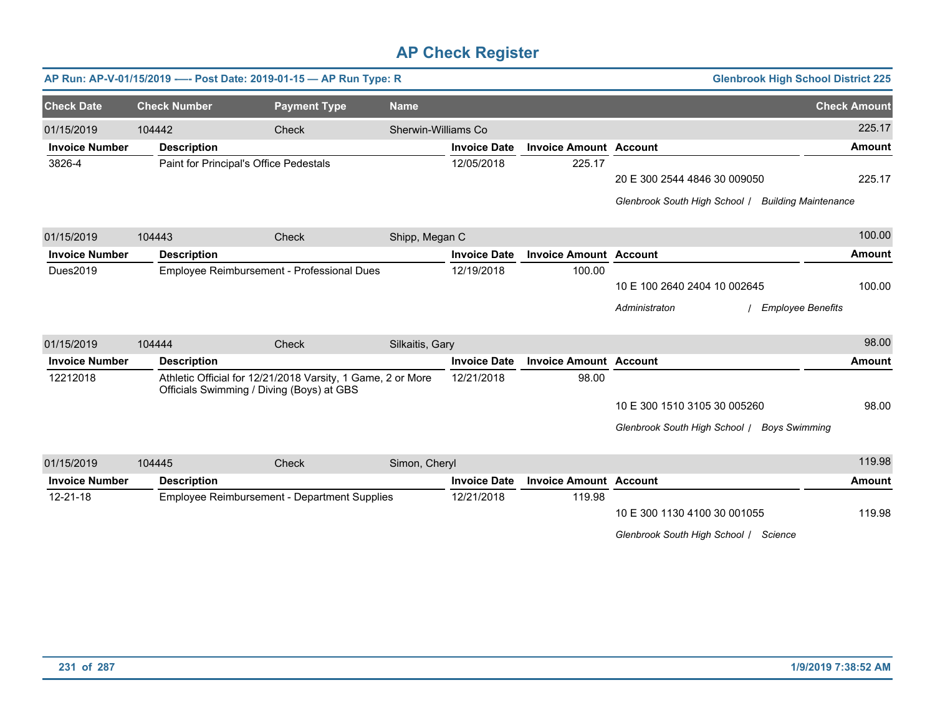|                       |                     | AP Run: AP-V-01/15/2019 ---- Post Date: 2019-01-15 - AP Run Type: R                                      |                     |                     |                               | <b>Glenbrook High School District 225</b>                    |                     |
|-----------------------|---------------------|----------------------------------------------------------------------------------------------------------|---------------------|---------------------|-------------------------------|--------------------------------------------------------------|---------------------|
| <b>Check Date</b>     | <b>Check Number</b> | <b>Payment Type</b>                                                                                      | <b>Name</b>         |                     |                               |                                                              | <b>Check Amount</b> |
| 01/15/2019            | 104442              | <b>Check</b>                                                                                             | Sherwin-Williams Co |                     |                               |                                                              | 225.17              |
| <b>Invoice Number</b> | <b>Description</b>  |                                                                                                          |                     | <b>Invoice Date</b> | <b>Invoice Amount Account</b> |                                                              | <b>Amount</b>       |
| 3826-4                |                     | Paint for Principal's Office Pedestals                                                                   |                     | 12/05/2018          | 225.17                        |                                                              |                     |
|                       |                     |                                                                                                          |                     |                     |                               | 20 E 300 2544 4846 30 009050                                 | 225.17              |
|                       |                     |                                                                                                          |                     |                     |                               | Glenbrook South High School /<br><b>Building Maintenance</b> |                     |
| 01/15/2019            | 104443              | Check                                                                                                    | Shipp, Megan C      |                     |                               |                                                              | 100.00              |
| <b>Invoice Number</b> | <b>Description</b>  |                                                                                                          |                     | <b>Invoice Date</b> | <b>Invoice Amount Account</b> |                                                              | <b>Amount</b>       |
| Dues2019              |                     | Employee Reimbursement - Professional Dues                                                               |                     | 12/19/2018          | 100.00                        |                                                              |                     |
|                       |                     |                                                                                                          |                     |                     |                               | 10 E 100 2640 2404 10 002645                                 | 100.00              |
|                       |                     |                                                                                                          |                     |                     |                               | Administraton<br><b>Employee Benefits</b>                    |                     |
| 01/15/2019            | 104444              | Check                                                                                                    | Silkaitis, Gary     |                     |                               |                                                              | 98.00               |
| <b>Invoice Number</b> | <b>Description</b>  |                                                                                                          |                     | <b>Invoice Date</b> | <b>Invoice Amount Account</b> |                                                              | <b>Amount</b>       |
| 12212018              |                     | Athletic Official for 12/21/2018 Varsity, 1 Game, 2 or More<br>Officials Swimming / Diving (Boys) at GBS |                     | 12/21/2018          | 98.00                         |                                                              |                     |
|                       |                     |                                                                                                          |                     |                     |                               | 10 E 300 1510 3105 30 005260                                 | 98.00               |
|                       |                     |                                                                                                          |                     |                     |                               | Glenbrook South High School /<br><b>Boys Swimming</b>        |                     |
| 01/15/2019            | 104445              | Check                                                                                                    | Simon, Cheryl       |                     |                               |                                                              | 119.98              |
| <b>Invoice Number</b> | <b>Description</b>  |                                                                                                          |                     | <b>Invoice Date</b> | <b>Invoice Amount Account</b> |                                                              | <b>Amount</b>       |
| 12-21-18              |                     | Employee Reimbursement - Department Supplies                                                             |                     | 12/21/2018          | 119.98                        |                                                              |                     |
|                       |                     |                                                                                                          |                     |                     |                               | 10 E 300 1130 4100 30 001055                                 | 119.98              |
|                       |                     |                                                                                                          |                     |                     |                               | Glenbrook South High School / Science                        |                     |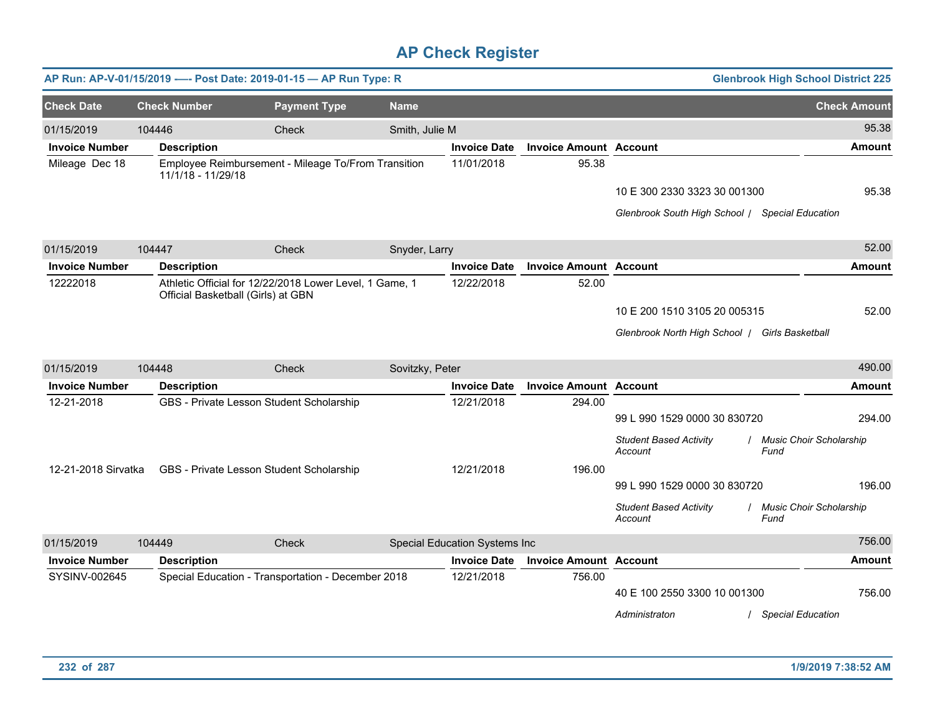|                       |                                    | AP Run: AP-V-01/15/2019 ---- Post Date: 2019-01-15 - AP Run Type: R |                 |                               |                               |                                                                                 | <b>Glenbrook High School District 225</b> |
|-----------------------|------------------------------------|---------------------------------------------------------------------|-----------------|-------------------------------|-------------------------------|---------------------------------------------------------------------------------|-------------------------------------------|
| <b>Check Date</b>     | <b>Check Number</b>                | <b>Payment Type</b>                                                 | <b>Name</b>     |                               |                               |                                                                                 | <b>Check Amount</b>                       |
| 01/15/2019            | 104446                             | Check                                                               | Smith, Julie M  |                               |                               |                                                                                 | 95.38                                     |
| <b>Invoice Number</b> | <b>Description</b>                 |                                                                     |                 | <b>Invoice Date</b>           | <b>Invoice Amount Account</b> |                                                                                 | <b>Amount</b>                             |
| Mileage Dec 18        | 11/1/18 - 11/29/18                 | Employee Reimbursement - Mileage To/From Transition                 |                 | 11/01/2018                    | 95.38                         | 10 E 300 2330 3323 30 001300<br>Glenbrook South High School / Special Education | 95.38                                     |
| 01/15/2019            | 104447                             | Check                                                               | Snyder, Larry   |                               |                               |                                                                                 | 52.00                                     |
| <b>Invoice Number</b> | <b>Description</b>                 |                                                                     |                 | <b>Invoice Date</b>           | <b>Invoice Amount Account</b> |                                                                                 | <b>Amount</b>                             |
| 12222018              | Official Basketball (Girls) at GBN | Athletic Official for 12/22/2018 Lower Level, 1 Game, 1             |                 | 12/22/2018                    | 52.00                         | 10 E 200 1510 3105 20 005315<br>Glenbrook North High School / Girls Basketball  | 52.00                                     |
| 01/15/2019            | 104448                             | Check                                                               | Sovitzky, Peter |                               |                               |                                                                                 | 490.00                                    |
| <b>Invoice Number</b> | <b>Description</b>                 |                                                                     |                 | <b>Invoice Date</b>           | <b>Invoice Amount Account</b> |                                                                                 | <b>Amount</b>                             |
| 12-21-2018            |                                    | GBS - Private Lesson Student Scholarship                            |                 | 12/21/2018                    | 294.00                        | 99 L 990 1529 0000 30 830720<br><b>Student Based Activity</b><br>Account        | 294.00<br>Music Choir Scholarship<br>Fund |
| 12-21-2018 Sirvatka   |                                    | GBS - Private Lesson Student Scholarship                            |                 | 12/21/2018                    | 196.00                        | 99 L 990 1529 0000 30 830720<br><b>Student Based Activity</b><br>Account        | 196.00<br>Music Choir Scholarship<br>Fund |
| 01/15/2019            | 104449                             | Check                                                               |                 | Special Education Systems Inc |                               |                                                                                 | 756.00                                    |
| <b>Invoice Number</b> | <b>Description</b>                 |                                                                     |                 | <b>Invoice Date</b>           | <b>Invoice Amount</b>         | <b>Account</b>                                                                  | <b>Amount</b>                             |
| SYSINV-002645         |                                    | Special Education - Transportation - December 2018                  |                 | 12/21/2018                    | 756.00                        | 40 E 100 2550 3300 10 001300<br>Administraton                                   | 756.00<br><b>Special Education</b>        |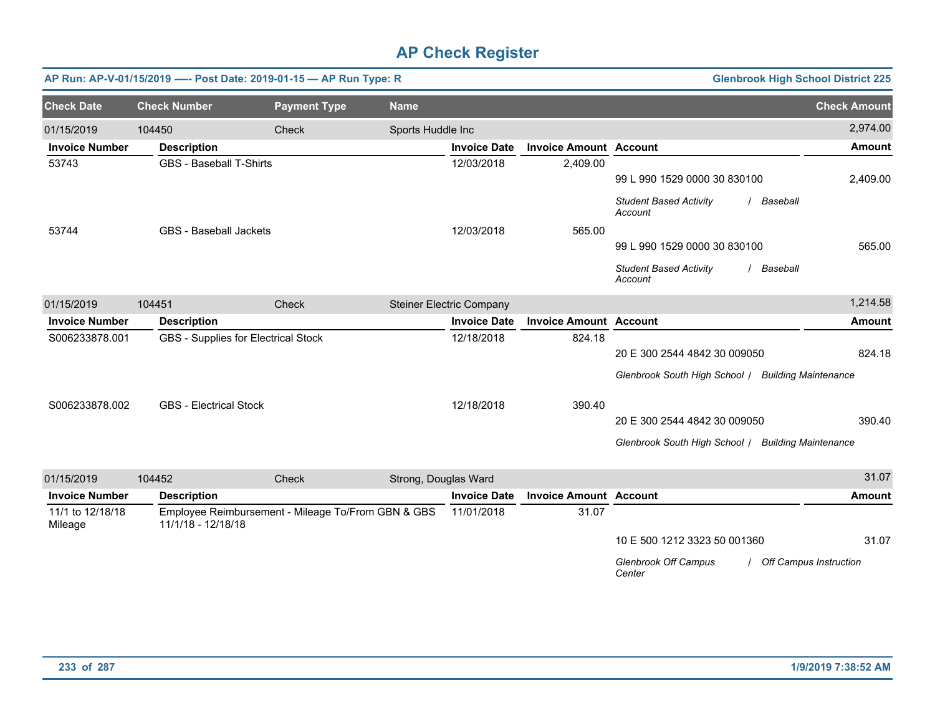|                             |                                | AP Run: AP-V-01/15/2019 ---- Post Date: 2019-01-15 - AP Run Type: R |                      |                                 |                               |                                                        | <b>Glenbrook High School District 225</b> |
|-----------------------------|--------------------------------|---------------------------------------------------------------------|----------------------|---------------------------------|-------------------------------|--------------------------------------------------------|-------------------------------------------|
| <b>Check Date</b>           | <b>Check Number</b>            | <b>Payment Type</b>                                                 | <b>Name</b>          |                                 |                               |                                                        | <b>Check Amount</b>                       |
| 01/15/2019                  | 104450                         | Check                                                               | Sports Huddle Inc    |                                 |                               |                                                        | 2,974.00                                  |
| <b>Invoice Number</b>       | <b>Description</b>             |                                                                     |                      | <b>Invoice Date</b>             | <b>Invoice Amount Account</b> |                                                        | <b>Amount</b>                             |
| 53743                       | <b>GBS - Baseball T-Shirts</b> |                                                                     |                      | 12/03/2018                      | 2,409.00                      | 99 L 990 1529 0000 30 830100                           | 2,409.00                                  |
|                             |                                |                                                                     |                      |                                 |                               | <b>Student Based Activity</b><br>/ Baseball<br>Account |                                           |
| 53744                       | <b>GBS</b> - Baseball Jackets  |                                                                     |                      | 12/03/2018                      | 565.00                        |                                                        |                                           |
|                             |                                |                                                                     |                      |                                 |                               | 99 L 990 1529 0000 30 830100                           | 565.00                                    |
|                             |                                |                                                                     |                      |                                 |                               | <b>Student Based Activity</b><br>Baseball<br>Account   |                                           |
| 01/15/2019                  | 104451                         | Check                                                               |                      | <b>Steiner Electric Company</b> |                               |                                                        | 1,214.58                                  |
| <b>Invoice Number</b>       | <b>Description</b>             |                                                                     |                      | <b>Invoice Date</b>             | <b>Invoice Amount Account</b> |                                                        | <b>Amount</b>                             |
| S006233878.001              |                                | <b>GBS</b> - Supplies for Electrical Stock                          |                      | 12/18/2018                      | 824.18                        |                                                        |                                           |
|                             |                                |                                                                     |                      |                                 |                               | 20 E 300 2544 4842 30 009050                           | 824.18                                    |
|                             |                                |                                                                     |                      |                                 |                               | Glenbrook South High School / Building Maintenance     |                                           |
| S006233878.002              | <b>GBS</b> - Electrical Stock  |                                                                     |                      | 12/18/2018                      | 390.40                        |                                                        |                                           |
|                             |                                |                                                                     |                      |                                 |                               | 20 E 300 2544 4842 30 009050                           | 390.40                                    |
|                             |                                |                                                                     |                      |                                 |                               | Glenbrook South High School / Building Maintenance     |                                           |
| 01/15/2019                  | 104452                         | Check                                                               | Strong, Douglas Ward |                                 |                               |                                                        | 31.07                                     |
| <b>Invoice Number</b>       | <b>Description</b>             |                                                                     |                      | <b>Invoice Date</b>             | <b>Invoice Amount Account</b> |                                                        | <b>Amount</b>                             |
| 11/1 to 12/18/18<br>Mileage | 11/1/18 - 12/18/18             | Employee Reimbursement - Mileage To/From GBN & GBS                  |                      | 11/01/2018                      | 31.07                         |                                                        |                                           |
|                             |                                |                                                                     |                      |                                 |                               | 10 E 500 1212 3323 50 001360                           | 31.07                                     |
|                             |                                |                                                                     |                      |                                 |                               | <b>Glenbrook Off Campus</b><br>Center                  | Off Campus Instruction                    |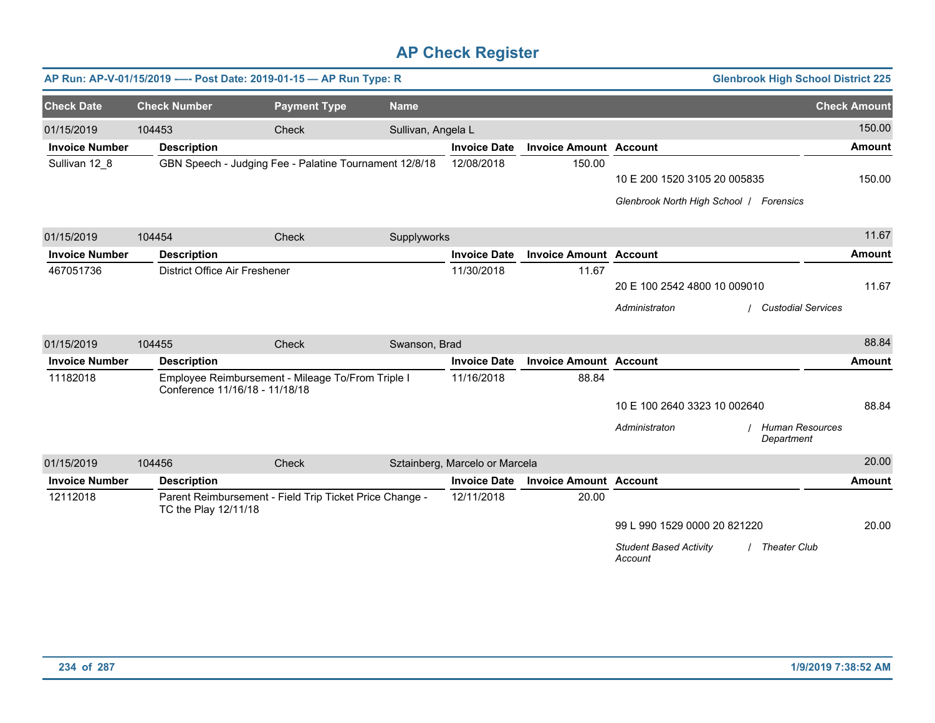|                       | AP Run: AP-V-01/15/2019 ---- Post Date: 2019-01-15 - AP Run Type: R |                                                         |                    |                                |                               |                                                            | <b>Glenbrook High School District 225</b> |
|-----------------------|---------------------------------------------------------------------|---------------------------------------------------------|--------------------|--------------------------------|-------------------------------|------------------------------------------------------------|-------------------------------------------|
| <b>Check Date</b>     | <b>Check Number</b>                                                 | <b>Payment Type</b>                                     | <b>Name</b>        |                                |                               |                                                            | <b>Check Amount</b>                       |
| 01/15/2019            | 104453                                                              | Check                                                   | Sullivan, Angela L |                                |                               |                                                            | 150.00                                    |
| <b>Invoice Number</b> | <b>Description</b>                                                  |                                                         |                    | <b>Invoice Date</b>            | <b>Invoice Amount Account</b> |                                                            | <b>Amount</b>                             |
| Sullivan 12_8         |                                                                     | GBN Speech - Judging Fee - Palatine Tournament 12/8/18  |                    | 12/08/2018                     | 150.00                        |                                                            |                                           |
|                       |                                                                     |                                                         |                    |                                |                               | 10 E 200 1520 3105 20 005835                               | 150.00                                    |
|                       |                                                                     |                                                         |                    |                                |                               | Glenbrook North High School   Forensics                    |                                           |
| 01/15/2019            | 104454                                                              | Check                                                   | Supplyworks        |                                |                               |                                                            | 11.67                                     |
| <b>Invoice Number</b> | <b>Description</b>                                                  |                                                         |                    | <b>Invoice Date</b>            | <b>Invoice Amount Account</b> |                                                            | <b>Amount</b>                             |
| 467051736             | District Office Air Freshener                                       |                                                         |                    | 11/30/2018                     | 11.67                         |                                                            |                                           |
|                       |                                                                     |                                                         |                    |                                |                               | 20 E 100 2542 4800 10 009010                               | 11.67                                     |
|                       |                                                                     |                                                         |                    |                                |                               | Administraton                                              | <b>Custodial Services</b>                 |
| 01/15/2019            | 104455                                                              | Check                                                   | Swanson, Brad      |                                |                               |                                                            | 88.84                                     |
| <b>Invoice Number</b> | <b>Description</b>                                                  |                                                         |                    | <b>Invoice Date</b>            | <b>Invoice Amount Account</b> |                                                            | <b>Amount</b>                             |
| 11182018              | Conference 11/16/18 - 11/18/18                                      | Employee Reimbursement - Mileage To/From Triple I       |                    | 11/16/2018                     | 88.84                         |                                                            |                                           |
|                       |                                                                     |                                                         |                    |                                |                               | 10 E 100 2640 3323 10 002640                               | 88.84                                     |
|                       |                                                                     |                                                         |                    |                                |                               | Administraton<br>Department                                | <b>Human Resources</b>                    |
| 01/15/2019            | 104456                                                              | Check                                                   |                    | Sztainberg, Marcelo or Marcela |                               |                                                            | 20.00                                     |
| <b>Invoice Number</b> | <b>Description</b>                                                  |                                                         |                    | <b>Invoice Date</b>            | <b>Invoice Amount Account</b> |                                                            | <b>Amount</b>                             |
| 12112018              | TC the Play 12/11/18                                                | Parent Reimbursement - Field Trip Ticket Price Change - |                    | 12/11/2018                     | 20.00                         |                                                            |                                           |
|                       |                                                                     |                                                         |                    |                                |                               | 99 L 990 1529 0000 20 821220                               | 20.00                                     |
|                       |                                                                     |                                                         |                    |                                |                               | <b>Student Based Activity</b><br>/ Theater Club<br>Account |                                           |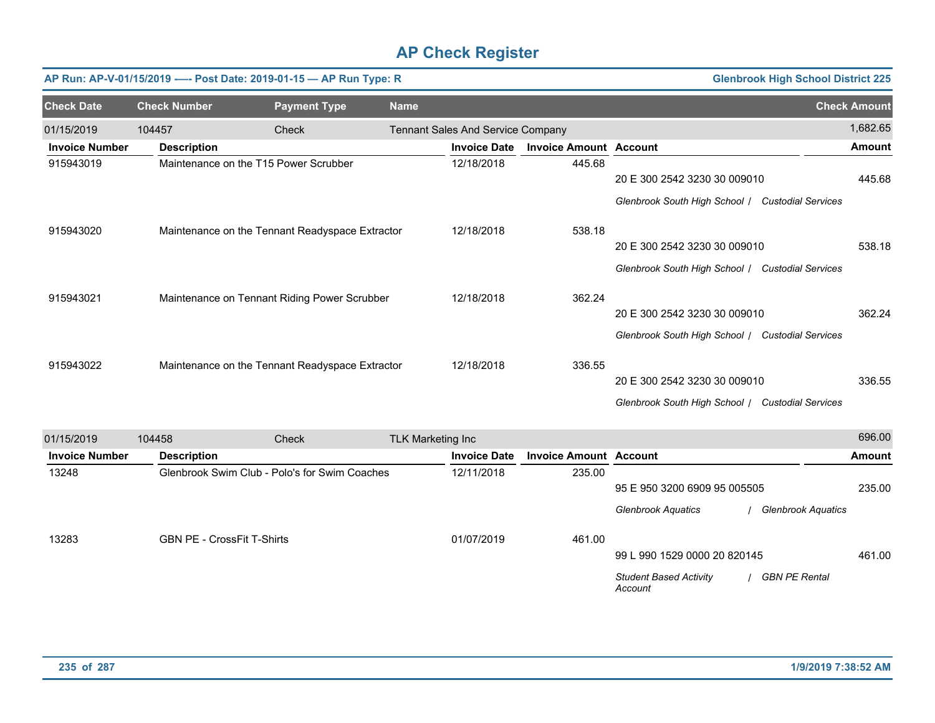|                       |                     | AP Run: AP-V-01/15/2019 ---- Post Date: 2019-01-15 - AP Run Type: R |             |                                   |                               |                                                  | <b>Glenbrook High School District 225</b> |
|-----------------------|---------------------|---------------------------------------------------------------------|-------------|-----------------------------------|-------------------------------|--------------------------------------------------|-------------------------------------------|
| <b>Check Date</b>     | <b>Check Number</b> | <b>Payment Type</b>                                                 | <b>Name</b> |                                   |                               |                                                  | <b>Check Amount</b>                       |
| 01/15/2019            | 104457              | Check                                                               |             | Tennant Sales And Service Company |                               |                                                  | 1,682.65                                  |
| <b>Invoice Number</b> | <b>Description</b>  |                                                                     |             | <b>Invoice Date</b>               | <b>Invoice Amount Account</b> |                                                  | <b>Amount</b>                             |
| 915943019             |                     | Maintenance on the T15 Power Scrubber                               |             | 12/18/2018                        | 445.68                        |                                                  |                                           |
|                       |                     |                                                                     |             |                                   |                               | 20 E 300 2542 3230 30 009010                     | 445.68                                    |
|                       |                     |                                                                     |             |                                   |                               | Glenbrook South High School /                    | <b>Custodial Services</b>                 |
| 915943020             |                     | Maintenance on the Tennant Readyspace Extractor                     |             | 12/18/2018                        | 538.18                        |                                                  |                                           |
|                       |                     |                                                                     |             |                                   |                               | 20 E 300 2542 3230 30 009010                     | 538.18                                    |
|                       |                     |                                                                     |             |                                   |                               | Glenbrook South High School / Custodial Services |                                           |
| 915943021             |                     | Maintenance on Tennant Riding Power Scrubber                        |             | 12/18/2018                        | 362.24                        |                                                  |                                           |
|                       |                     |                                                                     |             |                                   |                               | 20 E 300 2542 3230 30 009010                     | 362.24                                    |
|                       |                     |                                                                     |             |                                   |                               | Glenbrook South High School / Custodial Services |                                           |
| 915943022             |                     | Maintenance on the Tennant Readyspace Extractor                     |             | 12/18/2018                        | 336.55                        |                                                  |                                           |
|                       |                     |                                                                     |             |                                   |                               | 20 E 300 2542 3230 30 009010                     | 336.55                                    |
|                       |                     |                                                                     |             |                                   |                               | Glenbrook South High School / Custodial Services |                                           |

| 01/15/2019            | 104458 |                                               | Check | <b>TLK Marketing Inc</b> |                     |                               |                                          |                           | 696.00        |
|-----------------------|--------|-----------------------------------------------|-------|--------------------------|---------------------|-------------------------------|------------------------------------------|---------------------------|---------------|
| <b>Invoice Number</b> |        | <b>Description</b>                            |       |                          | <b>Invoice Date</b> | <b>Invoice Amount Account</b> |                                          |                           | <b>Amount</b> |
| 13248                 |        | Glenbrook Swim Club - Polo's for Swim Coaches |       |                          | 12/11/2018          | 235.00                        |                                          |                           |               |
|                       |        |                                               |       |                          |                     |                               | 95 E 950 3200 6909 95 005505             |                           | 235.00        |
|                       |        |                                               |       |                          |                     |                               | <b>Glenbrook Aquatics</b>                | <b>Glenbrook Aquatics</b> |               |
| 13283                 |        | <b>GBN PE - CrossFit T-Shirts</b>             |       |                          | 01/07/2019          | 461.00                        |                                          |                           |               |
|                       |        |                                               |       |                          |                     |                               | 99 L 990 1529 0000 20 820145             |                           | 461.00        |
|                       |        |                                               |       |                          |                     |                               | <b>Student Based Activity</b><br>Account | <b>GBN PE Rental</b>      |               |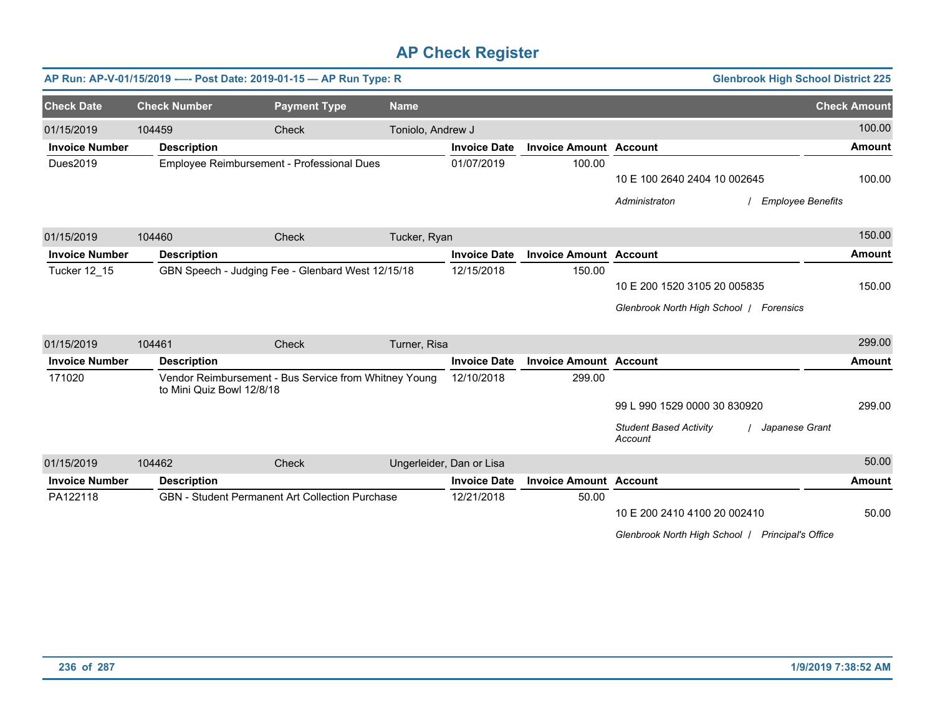|                       |                           | AP Run: AP-V-01/15/2019 ---- Post Date: 2019-01-15 - AP Run Type: R |                   |                          |                               | <b>Glenbrook High School District 225</b>                  |                     |
|-----------------------|---------------------------|---------------------------------------------------------------------|-------------------|--------------------------|-------------------------------|------------------------------------------------------------|---------------------|
| <b>Check Date</b>     | <b>Check Number</b>       | <b>Payment Type</b>                                                 | <b>Name</b>       |                          |                               |                                                            | <b>Check Amount</b> |
| 01/15/2019            | 104459                    | Check                                                               | Toniolo, Andrew J |                          |                               |                                                            | 100.00              |
| <b>Invoice Number</b> | <b>Description</b>        |                                                                     |                   | <b>Invoice Date</b>      | <b>Invoice Amount Account</b> |                                                            | <b>Amount</b>       |
| Dues2019              |                           | Employee Reimbursement - Professional Dues                          |                   | 01/07/2019               | 100.00                        |                                                            |                     |
|                       |                           |                                                                     |                   |                          |                               | 10 E 100 2640 2404 10 002645                               | 100.00              |
|                       |                           |                                                                     |                   |                          |                               | Administraton<br><b>Employee Benefits</b>                  |                     |
| 01/15/2019            | 104460                    | Check                                                               | Tucker, Ryan      |                          |                               |                                                            | 150.00              |
| <b>Invoice Number</b> | <b>Description</b>        |                                                                     |                   | <b>Invoice Date</b>      | <b>Invoice Amount Account</b> |                                                            | <b>Amount</b>       |
| Tucker 12_15          |                           | GBN Speech - Judging Fee - Glenbard West 12/15/18                   |                   | 12/15/2018               | 150.00                        |                                                            |                     |
|                       |                           |                                                                     |                   |                          |                               | 10 E 200 1520 3105 20 005835                               | 150.00              |
|                       |                           |                                                                     |                   |                          |                               | Glenbrook North High School   Forensics                    |                     |
| 01/15/2019            | 104461                    | Check                                                               | Turner, Risa      |                          |                               |                                                            | 299.00              |
| <b>Invoice Number</b> | <b>Description</b>        |                                                                     |                   | <b>Invoice Date</b>      | <b>Invoice Amount Account</b> |                                                            | <b>Amount</b>       |
| 171020                | to Mini Quiz Bowl 12/8/18 | Vendor Reimbursement - Bus Service from Whitney Young               |                   | 12/10/2018               | 299.00                        |                                                            |                     |
|                       |                           |                                                                     |                   |                          |                               | 99 L 990 1529 0000 30 830920                               | 299.00              |
|                       |                           |                                                                     |                   |                          |                               | <b>Student Based Activity</b><br>Japanese Grant<br>Account |                     |
| 01/15/2019            | 104462                    | Check                                                               |                   | Ungerleider, Dan or Lisa |                               |                                                            | 50.00               |
| <b>Invoice Number</b> | <b>Description</b>        |                                                                     |                   | <b>Invoice Date</b>      | <b>Invoice Amount Account</b> |                                                            | <b>Amount</b>       |
| PA122118              |                           | GBN - Student Permanent Art Collection Purchase                     |                   | 12/21/2018               | 50.00                         |                                                            |                     |
|                       |                           |                                                                     |                   |                          |                               | 10 E 200 2410 4100 20 002410                               | 50.00               |
|                       |                           |                                                                     |                   |                          |                               | Glenbrook North High School /<br><b>Principal's Office</b> |                     |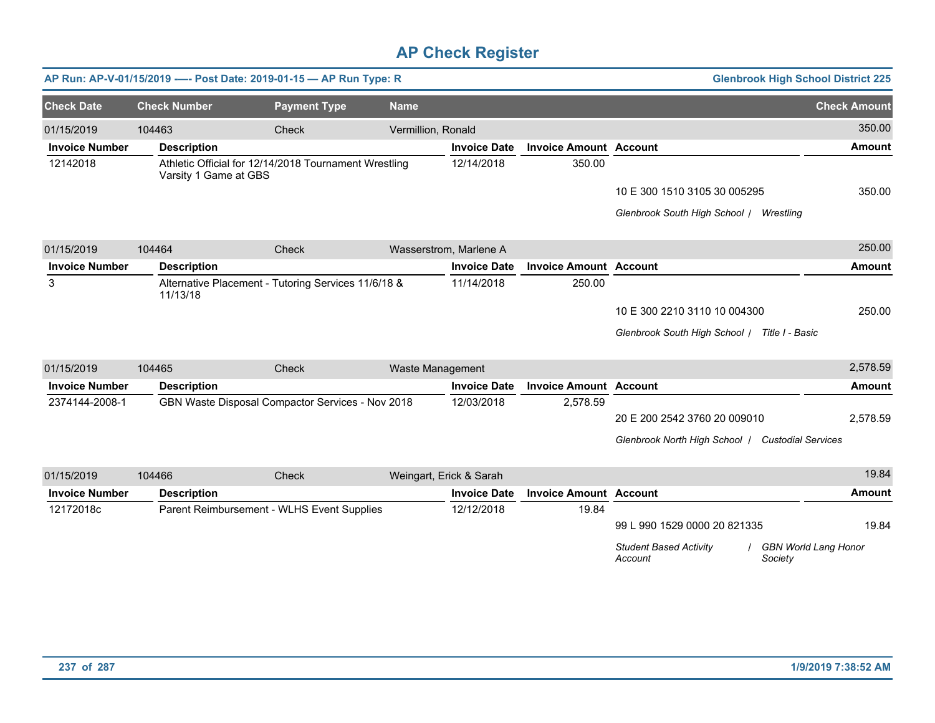|                       |                       | AP Run: AP-V-01/15/2019 ---- Post Date: 2019-01-15 - AP Run Type: R |                    |                         |                               | <b>Glenbrook High School District 225</b>                                          |                     |
|-----------------------|-----------------------|---------------------------------------------------------------------|--------------------|-------------------------|-------------------------------|------------------------------------------------------------------------------------|---------------------|
| <b>Check Date</b>     | <b>Check Number</b>   | <b>Payment Type</b>                                                 | <b>Name</b>        |                         |                               |                                                                                    | <b>Check Amount</b> |
| 01/15/2019            | 104463                | Check                                                               | Vermillion, Ronald |                         |                               |                                                                                    | 350.00              |
| <b>Invoice Number</b> | <b>Description</b>    |                                                                     |                    | <b>Invoice Date</b>     | <b>Invoice Amount Account</b> |                                                                                    | <b>Amount</b>       |
| 12142018              | Varsity 1 Game at GBS | Athletic Official for 12/14/2018 Tournament Wrestling               |                    | 12/14/2018              | 350.00                        |                                                                                    |                     |
|                       |                       |                                                                     |                    |                         |                               | 10 E 300 1510 3105 30 005295                                                       | 350.00              |
|                       |                       |                                                                     |                    |                         |                               | Glenbrook South High School /<br>Wrestling                                         |                     |
| 01/15/2019            | 104464                | Check                                                               |                    | Wasserstrom, Marlene A  |                               |                                                                                    | 250.00              |
| <b>Invoice Number</b> | <b>Description</b>    |                                                                     |                    | <b>Invoice Date</b>     | <b>Invoice Amount Account</b> |                                                                                    | <b>Amount</b>       |
| 3                     | 11/13/18              | Alternative Placement - Tutoring Services 11/6/18 &                 |                    | 11/14/2018              | 250.00                        |                                                                                    |                     |
|                       |                       |                                                                     |                    |                         |                               | 10 E 300 2210 3110 10 004300                                                       | 250.00              |
|                       |                       |                                                                     |                    |                         |                               | Glenbrook South High School / Title I - Basic                                      |                     |
| 01/15/2019            | 104465                | Check                                                               |                    | Waste Management        |                               |                                                                                    | 2,578.59            |
| <b>Invoice Number</b> | <b>Description</b>    |                                                                     |                    | <b>Invoice Date</b>     | <b>Invoice Amount Account</b> |                                                                                    | <b>Amount</b>       |
| 2374144-2008-1        |                       | GBN Waste Disposal Compactor Services - Nov 2018                    |                    | 12/03/2018              | 2,578.59                      |                                                                                    |                     |
|                       |                       |                                                                     |                    |                         |                               | 20 E 200 2542 3760 20 009010                                                       | 2,578.59            |
|                       |                       |                                                                     |                    |                         |                               | Glenbrook North High School / Custodial Services                                   |                     |
| 01/15/2019            | 104466                | Check                                                               |                    | Weingart, Erick & Sarah |                               |                                                                                    | 19.84               |
| <b>Invoice Number</b> | <b>Description</b>    |                                                                     |                    | <b>Invoice Date</b>     | <b>Invoice Amount Account</b> |                                                                                    | <b>Amount</b>       |
| 12172018c             |                       | Parent Reimbursement - WLHS Event Supplies                          |                    | 12/12/2018              | 19.84                         |                                                                                    |                     |
|                       |                       |                                                                     |                    |                         |                               | 99 L 990 1529 0000 20 821335                                                       | 19.84               |
|                       |                       |                                                                     |                    |                         |                               | <b>Student Based Activity</b><br><b>GBN World Lang Honor</b><br>Society<br>Account |                     |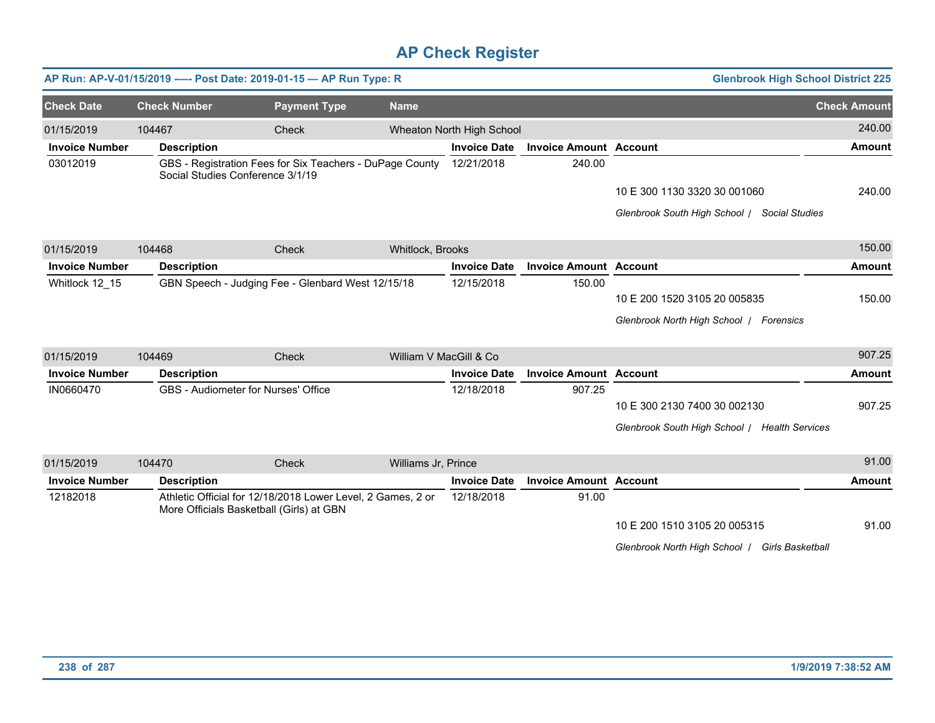|                       |                     | AP Run: AP-V-01/15/2019 ---- Post Date: 2019-01-15 - AP Run Type: R                                     |                     |                           |                               | <b>Glenbrook High School District 225</b>      |                     |
|-----------------------|---------------------|---------------------------------------------------------------------------------------------------------|---------------------|---------------------------|-------------------------------|------------------------------------------------|---------------------|
| <b>Check Date</b>     | <b>Check Number</b> | <b>Payment Type</b>                                                                                     | <b>Name</b>         |                           |                               |                                                | <b>Check Amount</b> |
| 01/15/2019            | 104467              | Check                                                                                                   |                     | Wheaton North High School |                               |                                                | 240.00              |
| <b>Invoice Number</b> | <b>Description</b>  |                                                                                                         |                     | <b>Invoice Date</b>       | <b>Invoice Amount Account</b> |                                                | <b>Amount</b>       |
| 03012019              |                     | GBS - Registration Fees for Six Teachers - DuPage County<br>Social Studies Conference 3/1/19            |                     | 12/21/2018                | 240.00                        |                                                |                     |
|                       |                     |                                                                                                         |                     |                           |                               | 10 E 300 1130 3320 30 001060                   | 240.00              |
|                       |                     |                                                                                                         |                     |                           |                               | Glenbrook South High School / Social Studies   |                     |
| 01/15/2019            | 104468              | Check                                                                                                   | Whitlock, Brooks    |                           |                               |                                                | 150.00              |
| <b>Invoice Number</b> | <b>Description</b>  |                                                                                                         |                     | <b>Invoice Date</b>       | <b>Invoice Amount Account</b> |                                                | <b>Amount</b>       |
| Whitlock 12 15        |                     | GBN Speech - Judging Fee - Glenbard West 12/15/18                                                       |                     | 12/15/2018                | 150.00                        |                                                |                     |
|                       |                     |                                                                                                         |                     |                           |                               | 10 E 200 1520 3105 20 005835                   | 150.00              |
|                       |                     |                                                                                                         |                     |                           |                               | Glenbrook North High School   Forensics        |                     |
| 01/15/2019            | 104469              | Check                                                                                                   |                     | William V MacGill & Co    |                               |                                                | 907.25              |
| <b>Invoice Number</b> | <b>Description</b>  |                                                                                                         |                     | <b>Invoice Date</b>       | <b>Invoice Amount Account</b> |                                                | <b>Amount</b>       |
| IN0660470             |                     | GBS - Audiometer for Nurses' Office                                                                     |                     | 12/18/2018                | 907.25                        |                                                |                     |
|                       |                     |                                                                                                         |                     |                           |                               | 10 E 300 2130 7400 30 002130                   | 907.25              |
|                       |                     |                                                                                                         |                     |                           |                               | Glenbrook South High School / Health Services  |                     |
| 01/15/2019            | 104470              | Check                                                                                                   | Williams Jr, Prince |                           |                               |                                                | 91.00               |
| <b>Invoice Number</b> | <b>Description</b>  |                                                                                                         |                     | <b>Invoice Date</b>       | <b>Invoice Amount Account</b> |                                                | Amount              |
| 12182018              |                     | Athletic Official for 12/18/2018 Lower Level, 2 Games, 2 or<br>More Officials Basketball (Girls) at GBN |                     | 12/18/2018                | 91.00                         |                                                |                     |
|                       |                     |                                                                                                         |                     |                           |                               | 10 E 200 1510 3105 20 005315                   | 91.00               |
|                       |                     |                                                                                                         |                     |                           |                               | Glenbrook North High School   Girls Basketball |                     |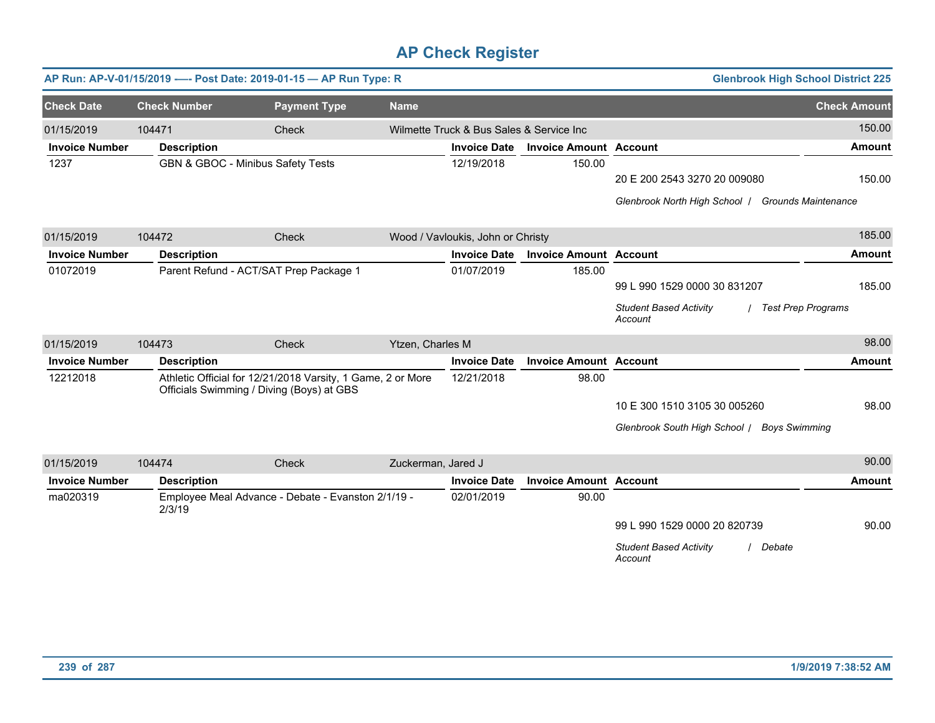|                       |                     | AP Run: AP-V-01/15/2019 ---- Post Date: 2019-01-15 - AP Run Type: R                                      |                    |                                          |                               |                                                      | <b>Glenbrook High School District 225</b> |
|-----------------------|---------------------|----------------------------------------------------------------------------------------------------------|--------------------|------------------------------------------|-------------------------------|------------------------------------------------------|-------------------------------------------|
| <b>Check Date</b>     | <b>Check Number</b> | <b>Payment Type</b>                                                                                      | <b>Name</b>        |                                          |                               |                                                      | <b>Check Amount</b>                       |
| 01/15/2019            | 104471              | Check                                                                                                    |                    | Wilmette Truck & Bus Sales & Service Inc |                               |                                                      | 150.00                                    |
| <b>Invoice Number</b> | <b>Description</b>  |                                                                                                          |                    | <b>Invoice Date</b>                      | <b>Invoice Amount Account</b> |                                                      | <b>Amount</b>                             |
| 1237                  |                     | GBN & GBOC - Minibus Safety Tests                                                                        |                    | 12/19/2018                               | 150.00                        |                                                      |                                           |
|                       |                     |                                                                                                          |                    |                                          |                               | 20 E 200 2543 3270 20 009080                         | 150.00                                    |
|                       |                     |                                                                                                          |                    |                                          |                               | Glenbrook North High School   Grounds Maintenance    |                                           |
| 01/15/2019            | 104472              | Check                                                                                                    |                    | Wood / Vavloukis, John or Christy        |                               |                                                      | 185.00                                    |
| <b>Invoice Number</b> | <b>Description</b>  |                                                                                                          |                    | <b>Invoice Date</b>                      | <b>Invoice Amount Account</b> |                                                      | <b>Amount</b>                             |
| 01072019              |                     | Parent Refund - ACT/SAT Prep Package 1                                                                   |                    | 01/07/2019                               | 185.00                        |                                                      |                                           |
|                       |                     |                                                                                                          |                    |                                          |                               | 99 L 990 1529 0000 30 831207                         | 185.00                                    |
|                       |                     |                                                                                                          |                    |                                          |                               | <b>Student Based Activity</b><br>Account             | <b>Test Prep Programs</b>                 |
| 01/15/2019            | 104473              | Check                                                                                                    | Ytzen, Charles M   |                                          |                               |                                                      | 98.00                                     |
| <b>Invoice Number</b> | <b>Description</b>  |                                                                                                          |                    | <b>Invoice Date</b>                      | <b>Invoice Amount Account</b> |                                                      | <b>Amount</b>                             |
| 12212018              |                     | Athletic Official for 12/21/2018 Varsity, 1 Game, 2 or More<br>Officials Swimming / Diving (Boys) at GBS |                    | 12/21/2018                               | 98.00                         |                                                      |                                           |
|                       |                     |                                                                                                          |                    |                                          |                               | 10 E 300 1510 3105 30 005260                         | 98.00                                     |
|                       |                     |                                                                                                          |                    |                                          |                               | Glenbrook South High School / Boys Swimming          |                                           |
| 01/15/2019            | 104474              | Check                                                                                                    | Zuckerman, Jared J |                                          |                               |                                                      | 90.00                                     |
| <b>Invoice Number</b> | <b>Description</b>  |                                                                                                          |                    | <b>Invoice Date</b>                      | <b>Invoice Amount Account</b> |                                                      | <b>Amount</b>                             |
| ma020319              | 2/3/19              | Employee Meal Advance - Debate - Evanston 2/1/19 -                                                       |                    | 02/01/2019                               | 90.00                         |                                                      |                                           |
|                       |                     |                                                                                                          |                    |                                          |                               | 99 L 990 1529 0000 20 820739                         | 90.00                                     |
|                       |                     |                                                                                                          |                    |                                          |                               | <b>Student Based Activity</b><br>/ Debate<br>Account |                                           |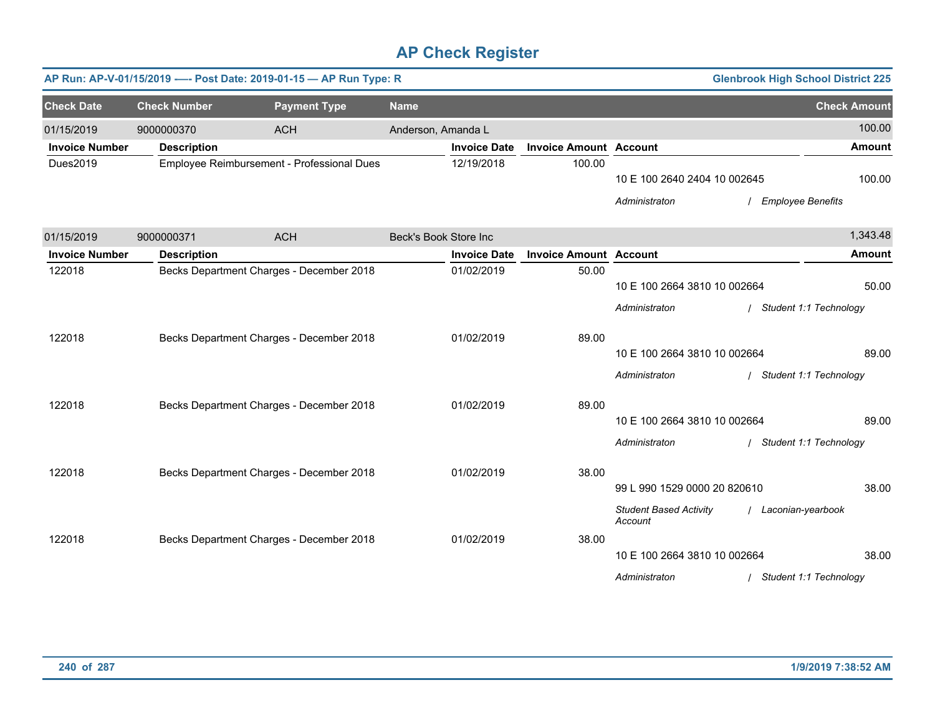|                       |                     | AP Run: AP-V-01/15/2019 ---- Post Date: 2019-01-15 - AP Run Type: R |                       |                     |                               |                                                                                           | <b>Glenbrook High School District 225</b>       |                     |
|-----------------------|---------------------|---------------------------------------------------------------------|-----------------------|---------------------|-------------------------------|-------------------------------------------------------------------------------------------|-------------------------------------------------|---------------------|
| <b>Check Date</b>     | <b>Check Number</b> | <b>Payment Type</b>                                                 | <b>Name</b>           |                     |                               |                                                                                           |                                                 | <b>Check Amount</b> |
| 01/15/2019            | 9000000370          | <b>ACH</b>                                                          | Anderson, Amanda L    |                     |                               |                                                                                           |                                                 | 100.00              |
| <b>Invoice Number</b> | <b>Description</b>  |                                                                     |                       | <b>Invoice Date</b> | <b>Invoice Amount Account</b> |                                                                                           |                                                 | <b>Amount</b>       |
| Dues2019              |                     | Employee Reimbursement - Professional Dues                          |                       | 12/19/2018          | 100.00                        | 10 E 100 2640 2404 10 002645                                                              |                                                 | 100.00              |
|                       |                     |                                                                     |                       |                     |                               | Administraton                                                                             | / Employee Benefits                             |                     |
| 01/15/2019            | 9000000371          | <b>ACH</b>                                                          | Beck's Book Store Inc |                     |                               |                                                                                           |                                                 | 1,343.48            |
| <b>Invoice Number</b> | <b>Description</b>  |                                                                     |                       | <b>Invoice Date</b> | <b>Invoice Amount Account</b> |                                                                                           |                                                 | <b>Amount</b>       |
| 122018                |                     | Becks Department Charges - December 2018                            |                       | 01/02/2019          | 50.00                         | 10 E 100 2664 3810 10 002664<br>Administraton                                             | Student 1:1 Technology                          | 50.00               |
| 122018                |                     | Becks Department Charges - December 2018                            |                       | 01/02/2019          | 89.00                         | 10 E 100 2664 3810 10 002664<br>Administraton                                             | / Student 1:1 Technology                        | 89.00               |
| 122018                |                     | Becks Department Charges - December 2018                            |                       | 01/02/2019          | 89.00                         | 10 E 100 2664 3810 10 002664                                                              |                                                 | 89.00               |
| 122018                |                     | Becks Department Charges - December 2018                            |                       | 01/02/2019          | 38.00                         | Administraton<br>99 L 990 1529 0000 20 820610                                             | / Student 1:1 Technology                        | 38.00               |
| 122018                |                     | Becks Department Charges - December 2018                            |                       | 01/02/2019          | 38.00                         | <b>Student Based Activity</b><br>Account<br>10 E 100 2664 3810 10 002664<br>Administraton | / Laconian-yearbook<br>/ Student 1:1 Technology | 38.00               |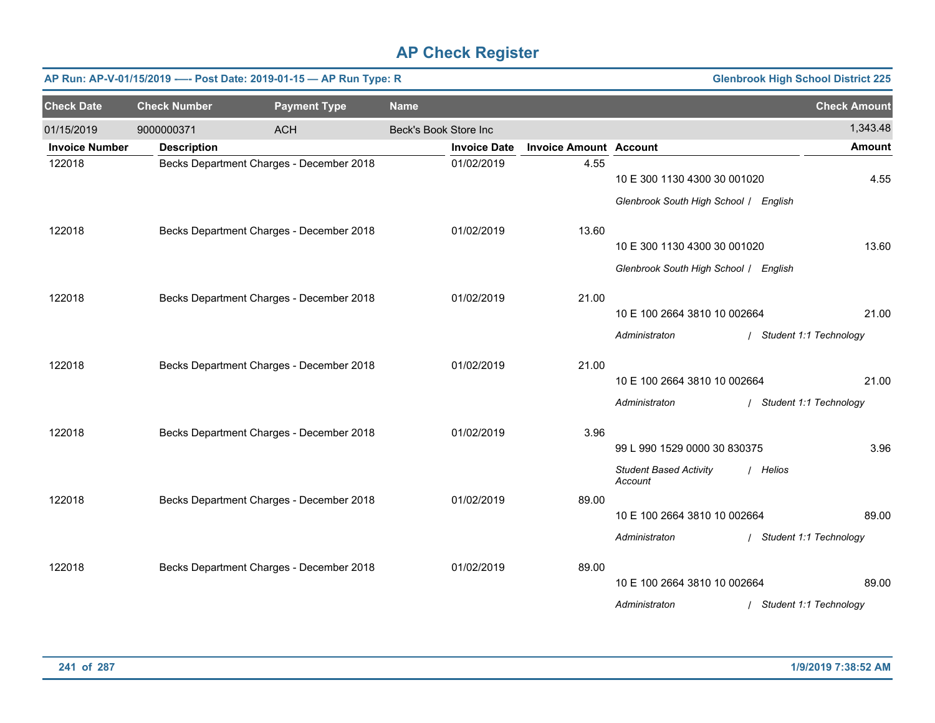|                       | <b>Glenbrook High School District 225</b><br>AP Run: AP-V-01/15/2019 ---- Post Date: 2019-01-15 - AP Run Type: R |                                          |                       |                     |                               |                                                                       |                          |  |  |  |  |
|-----------------------|------------------------------------------------------------------------------------------------------------------|------------------------------------------|-----------------------|---------------------|-------------------------------|-----------------------------------------------------------------------|--------------------------|--|--|--|--|
| <b>Check Date</b>     | <b>Check Number</b>                                                                                              | <b>Payment Type</b>                      | <b>Name</b>           |                     |                               |                                                                       | <b>Check Amount</b>      |  |  |  |  |
| 01/15/2019            | 9000000371                                                                                                       | <b>ACH</b>                               | Beck's Book Store Inc |                     |                               |                                                                       | 1,343.48                 |  |  |  |  |
| <b>Invoice Number</b> | <b>Description</b>                                                                                               |                                          |                       | <b>Invoice Date</b> | <b>Invoice Amount Account</b> |                                                                       | <b>Amount</b>            |  |  |  |  |
| 122018                |                                                                                                                  | Becks Department Charges - December 2018 |                       | 01/02/2019          | 4.55                          | 10 E 300 1130 4300 30 001020<br>Glenbrook South High School / English | 4.55                     |  |  |  |  |
| 122018                |                                                                                                                  | Becks Department Charges - December 2018 |                       | 01/02/2019          | 13.60                         |                                                                       |                          |  |  |  |  |
|                       |                                                                                                                  |                                          |                       |                     |                               | 10 E 300 1130 4300 30 001020<br>Glenbrook South High School / English | 13.60                    |  |  |  |  |
| 122018                |                                                                                                                  | Becks Department Charges - December 2018 |                       | 01/02/2019          | 21.00                         | 10 E 100 2664 3810 10 002664                                          | 21.00                    |  |  |  |  |
|                       |                                                                                                                  |                                          |                       |                     |                               | Administraton                                                         | / Student 1:1 Technology |  |  |  |  |
| 122018                |                                                                                                                  | Becks Department Charges - December 2018 |                       | 01/02/2019          | 21.00                         | 10 E 100 2664 3810 10 002664                                          | 21.00                    |  |  |  |  |
|                       |                                                                                                                  |                                          |                       |                     |                               | Administraton                                                         | / Student 1:1 Technology |  |  |  |  |
| 122018                |                                                                                                                  | Becks Department Charges - December 2018 |                       | 01/02/2019          | 3.96                          | 99 L 990 1529 0000 30 830375                                          | 3.96                     |  |  |  |  |
|                       |                                                                                                                  |                                          |                       |                     |                               | <b>Student Based Activity</b><br>Account                              | / Helios                 |  |  |  |  |
| 122018                |                                                                                                                  | Becks Department Charges - December 2018 |                       | 01/02/2019          | 89.00                         | 10 E 100 2664 3810 10 002664                                          | 89.00                    |  |  |  |  |
|                       |                                                                                                                  |                                          |                       |                     |                               | Administraton                                                         | / Student 1:1 Technology |  |  |  |  |
| 122018                |                                                                                                                  | Becks Department Charges - December 2018 |                       | 01/02/2019          | 89.00                         | 10 E 100 2664 3810 10 002664                                          | 89.00                    |  |  |  |  |
|                       |                                                                                                                  |                                          |                       |                     |                               | Administraton                                                         | / Student 1:1 Technology |  |  |  |  |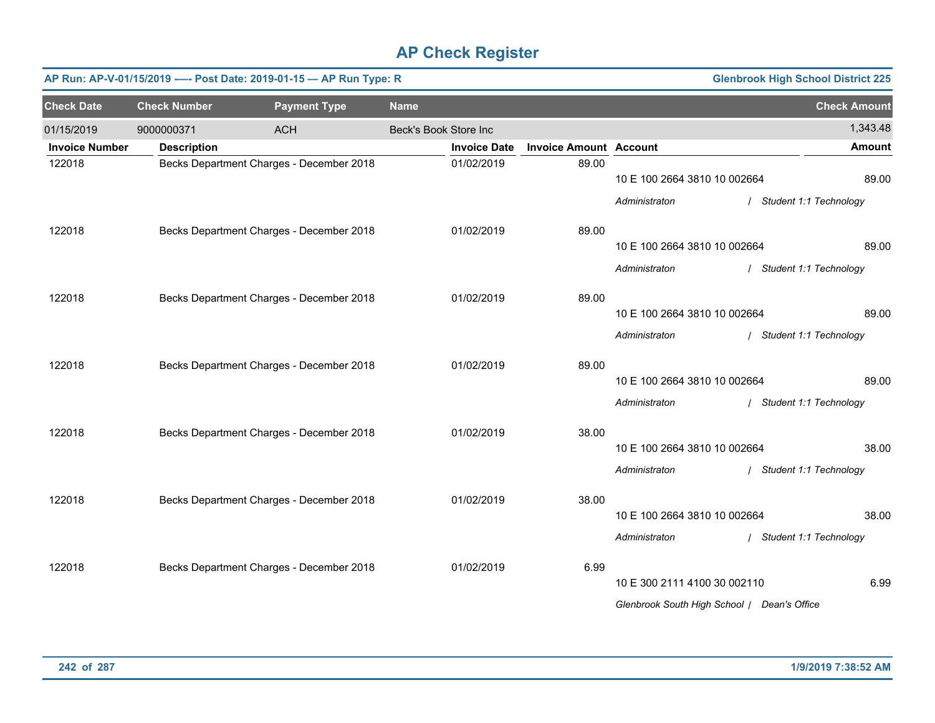|                       |                     | AP Run: AP-V-01/15/2019 ---- Post Date: 2019-01-15 - AP Run Type: R |                       |                     |                               |                                             | <b>Glenbrook High School District 225</b> |
|-----------------------|---------------------|---------------------------------------------------------------------|-----------------------|---------------------|-------------------------------|---------------------------------------------|-------------------------------------------|
| <b>Check Date</b>     | <b>Check Number</b> | <b>Payment Type</b>                                                 | <b>Name</b>           |                     |                               |                                             | <b>Check Amount</b>                       |
| 01/15/2019            | 9000000371          | <b>ACH</b>                                                          | Beck's Book Store Inc |                     |                               |                                             | 1,343.48                                  |
| <b>Invoice Number</b> | <b>Description</b>  |                                                                     |                       | <b>Invoice Date</b> | <b>Invoice Amount Account</b> |                                             | <b>Amount</b>                             |
| 122018                |                     | Becks Department Charges - December 2018                            |                       | 01/02/2019          | 89.00                         | 10 E 100 2664 3810 10 002664                | 89.00                                     |
|                       |                     |                                                                     |                       |                     |                               | Administraton                               | / Student 1:1 Technology                  |
| 122018                |                     | Becks Department Charges - December 2018                            |                       | 01/02/2019          | 89.00                         |                                             |                                           |
|                       |                     |                                                                     |                       |                     |                               | 10 E 100 2664 3810 10 002664                | 89.00                                     |
|                       |                     |                                                                     |                       |                     |                               | Administraton                               | / Student 1:1 Technology                  |
| 122018                |                     | Becks Department Charges - December 2018                            |                       | 01/02/2019          | 89.00                         |                                             |                                           |
|                       |                     |                                                                     |                       |                     |                               | 10 E 100 2664 3810 10 002664                | 89.00                                     |
|                       |                     |                                                                     |                       |                     |                               | Administraton                               | / Student 1:1 Technology                  |
| 122018                |                     | Becks Department Charges - December 2018                            |                       | 01/02/2019          | 89.00                         |                                             |                                           |
|                       |                     |                                                                     |                       |                     |                               | 10 E 100 2664 3810 10 002664                | 89.00                                     |
|                       |                     |                                                                     |                       |                     |                               | Administraton                               | / Student 1:1 Technology                  |
| 122018                |                     | Becks Department Charges - December 2018                            |                       | 01/02/2019          | 38.00                         |                                             |                                           |
|                       |                     |                                                                     |                       |                     |                               | 10 E 100 2664 3810 10 002664                | 38.00                                     |
|                       |                     |                                                                     |                       |                     |                               | Administraton                               | / Student 1:1 Technology                  |
| 122018                |                     | Becks Department Charges - December 2018                            |                       | 01/02/2019          | 38.00                         |                                             |                                           |
|                       |                     |                                                                     |                       |                     |                               | 10 E 100 2664 3810 10 002664                | 38.00                                     |
|                       |                     |                                                                     |                       |                     |                               | Administraton                               | / Student 1:1 Technology                  |
| 122018                |                     | Becks Department Charges - December 2018                            |                       | 01/02/2019          | 6.99                          |                                             |                                           |
|                       |                     |                                                                     |                       |                     |                               | 10 E 300 2111 4100 30 002110                | 6.99                                      |
|                       |                     |                                                                     |                       |                     |                               | Glenbrook South High School   Dean's Office |                                           |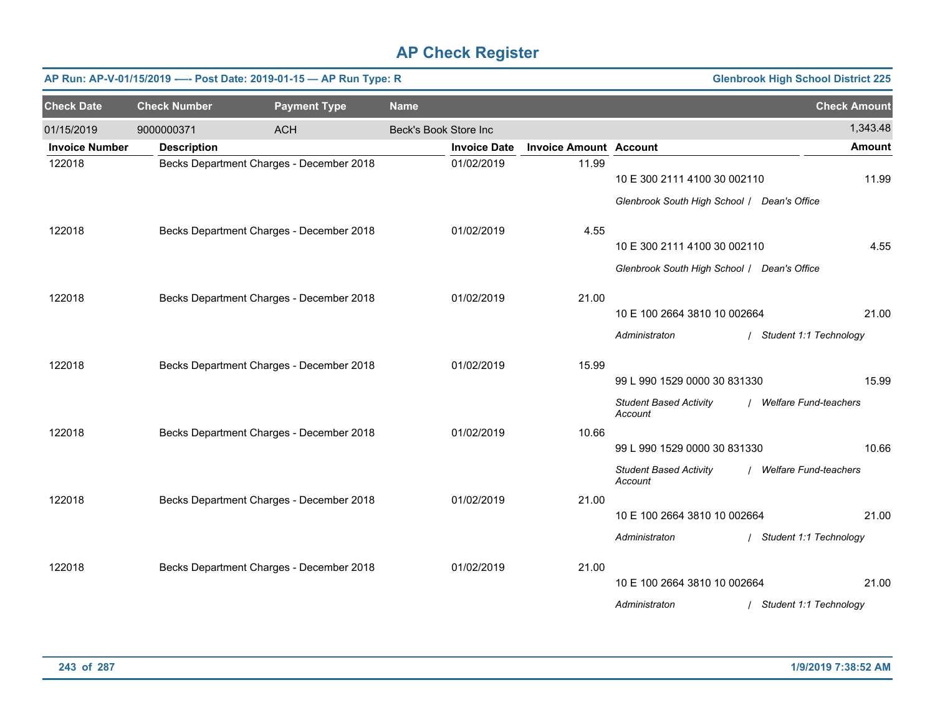|                       | <b>Glenbrook High School District 225</b><br>AP Run: AP-V-01/15/2019 ---- Post Date: 2019-01-15 - AP Run Type: R |                                          |                       |                     |                               |                                                                             |                          |  |  |  |  |
|-----------------------|------------------------------------------------------------------------------------------------------------------|------------------------------------------|-----------------------|---------------------|-------------------------------|-----------------------------------------------------------------------------|--------------------------|--|--|--|--|
| <b>Check Date</b>     | <b>Check Number</b>                                                                                              | <b>Payment Type</b>                      | <b>Name</b>           |                     |                               |                                                                             | <b>Check Amount</b>      |  |  |  |  |
| 01/15/2019            | 9000000371                                                                                                       | <b>ACH</b>                               | Beck's Book Store Inc |                     |                               |                                                                             | 1,343.48                 |  |  |  |  |
| <b>Invoice Number</b> | <b>Description</b>                                                                                               |                                          |                       | <b>Invoice Date</b> | <b>Invoice Amount Account</b> |                                                                             | <b>Amount</b>            |  |  |  |  |
| 122018                |                                                                                                                  | Becks Department Charges - December 2018 |                       | 01/02/2019          | 11.99                         | 10 E 300 2111 4100 30 002110<br>Glenbrook South High School   Dean's Office | 11.99                    |  |  |  |  |
| 122018                |                                                                                                                  | Becks Department Charges - December 2018 |                       | 01/02/2019          | 4.55                          |                                                                             |                          |  |  |  |  |
|                       |                                                                                                                  |                                          |                       |                     |                               | 10 E 300 2111 4100 30 002110                                                | 4.55                     |  |  |  |  |
|                       |                                                                                                                  |                                          |                       |                     |                               | Glenbrook South High School / Dean's Office                                 |                          |  |  |  |  |
| 122018                |                                                                                                                  | Becks Department Charges - December 2018 |                       | 01/02/2019          | 21.00                         |                                                                             |                          |  |  |  |  |
|                       |                                                                                                                  |                                          |                       |                     |                               | 10 E 100 2664 3810 10 002664                                                | 21.00                    |  |  |  |  |
|                       |                                                                                                                  |                                          |                       |                     |                               | Administraton                                                               | / Student 1:1 Technology |  |  |  |  |
| 122018                |                                                                                                                  | Becks Department Charges - December 2018 |                       | 01/02/2019          | 15.99                         |                                                                             |                          |  |  |  |  |
|                       |                                                                                                                  |                                          |                       |                     |                               | 99 L 990 1529 0000 30 831330                                                | 15.99                    |  |  |  |  |
|                       |                                                                                                                  |                                          |                       |                     |                               | <b>Student Based Activity</b><br>Account                                    | / Welfare Fund-teachers  |  |  |  |  |
| 122018                |                                                                                                                  | Becks Department Charges - December 2018 |                       | 01/02/2019          | 10.66                         |                                                                             |                          |  |  |  |  |
|                       |                                                                                                                  |                                          |                       |                     |                               | 99 L 990 1529 0000 30 831330                                                | 10.66                    |  |  |  |  |
|                       |                                                                                                                  |                                          |                       |                     |                               | <b>Student Based Activity</b><br>Account                                    | / Welfare Fund-teachers  |  |  |  |  |
| 122018                |                                                                                                                  | Becks Department Charges - December 2018 |                       | 01/02/2019          | 21.00                         |                                                                             |                          |  |  |  |  |
|                       |                                                                                                                  |                                          |                       |                     |                               | 10 E 100 2664 3810 10 002664                                                | 21.00                    |  |  |  |  |
|                       |                                                                                                                  |                                          |                       |                     |                               | Administraton                                                               | / Student 1:1 Technology |  |  |  |  |
| 122018                |                                                                                                                  | Becks Department Charges - December 2018 |                       | 01/02/2019          | 21.00                         |                                                                             |                          |  |  |  |  |
|                       |                                                                                                                  |                                          |                       |                     |                               | 10 E 100 2664 3810 10 002664                                                | 21.00                    |  |  |  |  |
|                       |                                                                                                                  |                                          |                       |                     |                               | Administraton                                                               | / Student 1:1 Technology |  |  |  |  |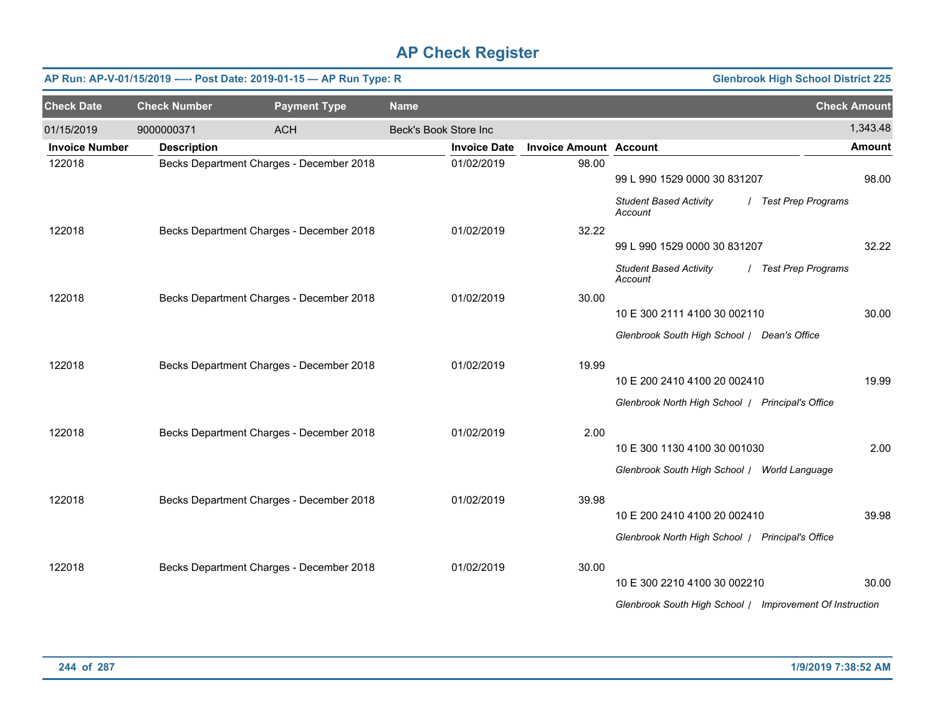|                       |                     | AP Run: AP-V-01/15/2019 ---- Post Date: 2019-01-15 - AP Run Type: R |                       |                     |                               |                                                          | <b>Glenbrook High School District 225</b> |               |
|-----------------------|---------------------|---------------------------------------------------------------------|-----------------------|---------------------|-------------------------------|----------------------------------------------------------|-------------------------------------------|---------------|
| <b>Check Date</b>     | <b>Check Number</b> | <b>Payment Type</b>                                                 | <b>Name</b>           |                     |                               |                                                          | <b>Check Amount</b>                       |               |
| 01/15/2019            | 9000000371          | <b>ACH</b>                                                          | Beck's Book Store Inc |                     |                               |                                                          |                                           | 1,343.48      |
| <b>Invoice Number</b> | <b>Description</b>  |                                                                     |                       | <b>Invoice Date</b> | <b>Invoice Amount Account</b> |                                                          |                                           | <b>Amount</b> |
| 122018                |                     | Becks Department Charges - December 2018                            |                       | 01/02/2019          | 98.00                         |                                                          |                                           |               |
|                       |                     |                                                                     |                       |                     |                               | 99 L 990 1529 0000 30 831207                             |                                           | 98.00         |
|                       |                     |                                                                     |                       |                     |                               | <b>Student Based Activity</b><br>Account                 | / Test Prep Programs                      |               |
| 122018                |                     | Becks Department Charges - December 2018                            |                       | 01/02/2019          | 32.22                         |                                                          |                                           |               |
|                       |                     |                                                                     |                       |                     |                               | 99 L 990 1529 0000 30 831207                             |                                           | 32.22         |
|                       |                     |                                                                     |                       |                     |                               | <b>Student Based Activity</b><br>Account                 | / Test Prep Programs                      |               |
| 122018                |                     | Becks Department Charges - December 2018                            |                       | 01/02/2019          | 30.00                         |                                                          |                                           |               |
|                       |                     |                                                                     |                       |                     |                               | 10 E 300 2111 4100 30 002110                             |                                           | 30.00         |
|                       |                     |                                                                     |                       |                     |                               | Glenbrook South High School / Dean's Office              |                                           |               |
| 122018                |                     | Becks Department Charges - December 2018                            |                       | 01/02/2019          | 19.99                         |                                                          |                                           |               |
|                       |                     |                                                                     |                       |                     |                               | 10 E 200 2410 4100 20 002410                             |                                           | 19.99         |
|                       |                     |                                                                     |                       |                     |                               | Glenbrook North High School   Principal's Office         |                                           |               |
| 122018                |                     | Becks Department Charges - December 2018                            |                       | 01/02/2019          | 2.00                          |                                                          |                                           |               |
|                       |                     |                                                                     |                       |                     |                               | 10 E 300 1130 4100 30 001030                             |                                           | 2.00          |
|                       |                     |                                                                     |                       |                     |                               | Glenbrook South High School / World Language             |                                           |               |
| 122018                |                     | Becks Department Charges - December 2018                            |                       | 01/02/2019          | 39.98                         |                                                          |                                           |               |
|                       |                     |                                                                     |                       |                     |                               | 10 E 200 2410 4100 20 002410                             |                                           | 39.98         |
|                       |                     |                                                                     |                       |                     |                               | Glenbrook North High School   Principal's Office         |                                           |               |
| 122018                |                     | Becks Department Charges - December 2018                            |                       | 01/02/2019          | 30.00                         |                                                          |                                           |               |
|                       |                     |                                                                     |                       |                     |                               | 10 E 300 2210 4100 30 002210                             |                                           | 30.00         |
|                       |                     |                                                                     |                       |                     |                               | Glenbrook South High School / Improvement Of Instruction |                                           |               |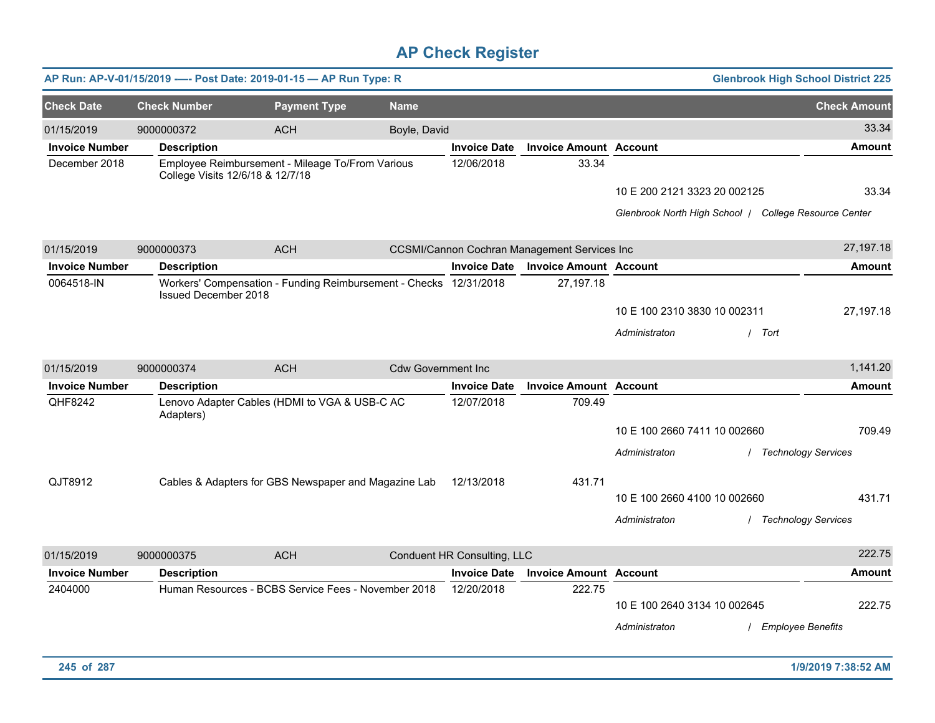|                       |                                  | AP Run: AP-V-01/15/2019 ---- Post Date: 2019-01-15 - AP Run Type: R |                           |                             |                                                     |                              | <b>Glenbrook High School District 225</b>             |                     |
|-----------------------|----------------------------------|---------------------------------------------------------------------|---------------------------|-----------------------------|-----------------------------------------------------|------------------------------|-------------------------------------------------------|---------------------|
| <b>Check Date</b>     | <b>Check Number</b>              | <b>Payment Type</b>                                                 | <b>Name</b>               |                             |                                                     |                              |                                                       | <b>Check Amount</b> |
| 01/15/2019            | 9000000372                       | <b>ACH</b>                                                          | Boyle, David              |                             |                                                     |                              |                                                       | 33.34               |
| <b>Invoice Number</b> | <b>Description</b>               |                                                                     |                           | <b>Invoice Date</b>         | <b>Invoice Amount Account</b>                       |                              |                                                       | <b>Amount</b>       |
| December 2018         | College Visits 12/6/18 & 12/7/18 | Employee Reimbursement - Mileage To/From Various                    |                           | 12/06/2018                  | 33.34                                               |                              |                                                       |                     |
|                       |                                  |                                                                     |                           |                             |                                                     | 10 E 200 2121 3323 20 002125 |                                                       | 33.34               |
|                       |                                  |                                                                     |                           |                             |                                                     |                              | Glenbrook North High School / College Resource Center |                     |
| 01/15/2019            | 9000000373                       | <b>ACH</b>                                                          |                           |                             | <b>CCSMI/Cannon Cochran Management Services Inc</b> |                              |                                                       | 27,197.18           |
| <b>Invoice Number</b> | <b>Description</b>               |                                                                     |                           | <b>Invoice Date</b>         | <b>Invoice Amount Account</b>                       |                              |                                                       | <b>Amount</b>       |
| 0064518-IN            | Issued December 2018             | Workers' Compensation - Funding Reimbursement - Checks 12/31/2018   |                           |                             | 27,197.18                                           |                              |                                                       |                     |
|                       |                                  |                                                                     |                           |                             |                                                     | 10 E 100 2310 3830 10 002311 |                                                       | 27,197.18           |
|                       |                                  |                                                                     |                           |                             |                                                     | Administraton                | / Tort                                                |                     |
| 01/15/2019            | 9000000374                       | <b>ACH</b>                                                          | <b>Cdw Government Inc</b> |                             |                                                     |                              |                                                       | 1,141.20            |
| <b>Invoice Number</b> | <b>Description</b>               |                                                                     |                           | <b>Invoice Date</b>         | <b>Invoice Amount Account</b>                       |                              |                                                       | <b>Amount</b>       |
| QHF8242               | Adapters)                        | Lenovo Adapter Cables (HDMI to VGA & USB-C AC                       |                           | 12/07/2018                  | 709.49                                              |                              |                                                       |                     |
|                       |                                  |                                                                     |                           |                             |                                                     | 10 E 100 2660 7411 10 002660 |                                                       | 709.49              |
|                       |                                  |                                                                     |                           |                             |                                                     | Administraton                | / Technology Services                                 |                     |
| QJT8912               |                                  | Cables & Adapters for GBS Newspaper and Magazine Lab                |                           | 12/13/2018                  | 431.71                                              |                              |                                                       |                     |
|                       |                                  |                                                                     |                           |                             |                                                     | 10 E 100 2660 4100 10 002660 |                                                       | 431.71              |
|                       |                                  |                                                                     |                           |                             |                                                     | Administraton                | / Technology Services                                 |                     |
| 01/15/2019            | 9000000375                       | <b>ACH</b>                                                          |                           | Conduent HR Consulting, LLC |                                                     |                              |                                                       | 222.75              |
| <b>Invoice Number</b> | <b>Description</b>               |                                                                     |                           | <b>Invoice Date</b>         | <b>Invoice Amount Account</b>                       |                              |                                                       | <b>Amount</b>       |
| 2404000               |                                  | Human Resources - BCBS Service Fees - November 2018                 |                           | 12/20/2018                  | 222.75                                              | 10 E 100 2640 3134 10 002645 |                                                       | 222.75              |
|                       |                                  |                                                                     |                           |                             |                                                     | Administraton                | / Employee Benefits                                   |                     |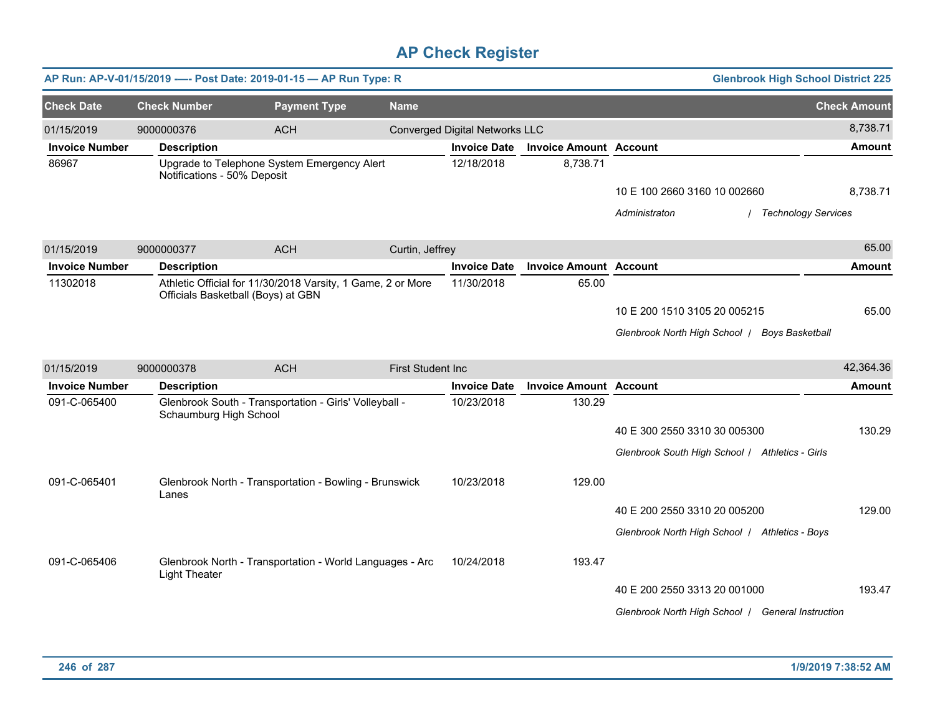|                       |                                    | AP Run: AP-V-01/15/2019 ---- Post Date: 2019-01-15 - AP Run Type: R |                          |                                       |                               |                                                   | <b>Glenbrook High School District 225</b> |
|-----------------------|------------------------------------|---------------------------------------------------------------------|--------------------------|---------------------------------------|-------------------------------|---------------------------------------------------|-------------------------------------------|
| <b>Check Date</b>     | <b>Check Number</b>                | <b>Payment Type</b>                                                 | <b>Name</b>              |                                       |                               |                                                   | <b>Check Amount</b>                       |
| 01/15/2019            | 9000000376                         | <b>ACH</b>                                                          |                          | <b>Converged Digital Networks LLC</b> |                               |                                                   | 8,738.71                                  |
| <b>Invoice Number</b> | <b>Description</b>                 |                                                                     |                          | <b>Invoice Date</b>                   | <b>Invoice Amount Account</b> |                                                   | <b>Amount</b>                             |
| 86967                 | Notifications - 50% Deposit        | Upgrade to Telephone System Emergency Alert                         |                          | 12/18/2018                            | 8,738.71                      |                                                   |                                           |
|                       |                                    |                                                                     |                          |                                       |                               | 10 E 100 2660 3160 10 002660                      | 8,738.71                                  |
|                       |                                    |                                                                     |                          |                                       |                               | Administraton                                     | <b>Technology Services</b>                |
| 01/15/2019            | 9000000377                         | <b>ACH</b>                                                          | Curtin, Jeffrey          |                                       |                               |                                                   | 65.00                                     |
| <b>Invoice Number</b> | <b>Description</b>                 |                                                                     |                          | <b>Invoice Date</b>                   | <b>Invoice Amount Account</b> |                                                   | <b>Amount</b>                             |
| 11302018              | Officials Basketball (Boys) at GBN | Athletic Official for 11/30/2018 Varsity, 1 Game, 2 or More         |                          | 11/30/2018                            | 65.00                         |                                                   |                                           |
|                       |                                    |                                                                     |                          |                                       |                               | 10 E 200 1510 3105 20 005215                      | 65.00                                     |
|                       |                                    |                                                                     |                          |                                       |                               | Glenbrook North High School   Boys Basketball     |                                           |
| 01/15/2019            | 9000000378                         | <b>ACH</b>                                                          | <b>First Student Inc</b> |                                       |                               |                                                   | 42,364.36                                 |
| <b>Invoice Number</b> | <b>Description</b>                 |                                                                     |                          | <b>Invoice Date</b>                   | <b>Invoice Amount Account</b> |                                                   | <b>Amount</b>                             |
| 091-C-065400          | Schaumburg High School             | Glenbrook South - Transportation - Girls' Volleyball -              |                          | 10/23/2018                            | 130.29                        |                                                   |                                           |
|                       |                                    |                                                                     |                          |                                       |                               | 40 E 300 2550 3310 30 005300                      | 130.29                                    |
|                       |                                    |                                                                     |                          |                                       |                               | Glenbrook South High School / Athletics - Girls   |                                           |
| 091-C-065401          | Lanes                              | Glenbrook North - Transportation - Bowling - Brunswick              |                          | 10/23/2018                            | 129.00                        |                                                   |                                           |
|                       |                                    |                                                                     |                          |                                       |                               | 40 E 200 2550 3310 20 005200                      | 129.00                                    |
|                       |                                    |                                                                     |                          |                                       |                               | Glenbrook North High School / Athletics - Boys    |                                           |
| 091-C-065406          | <b>Light Theater</b>               | Glenbrook North - Transportation - World Languages - Arc            |                          | 10/24/2018                            | 193.47                        |                                                   |                                           |
|                       |                                    |                                                                     |                          |                                       |                               | 40 E 200 2550 3313 20 001000                      | 193.47                                    |
|                       |                                    |                                                                     |                          |                                       |                               | Glenbrook North High School   General Instruction |                                           |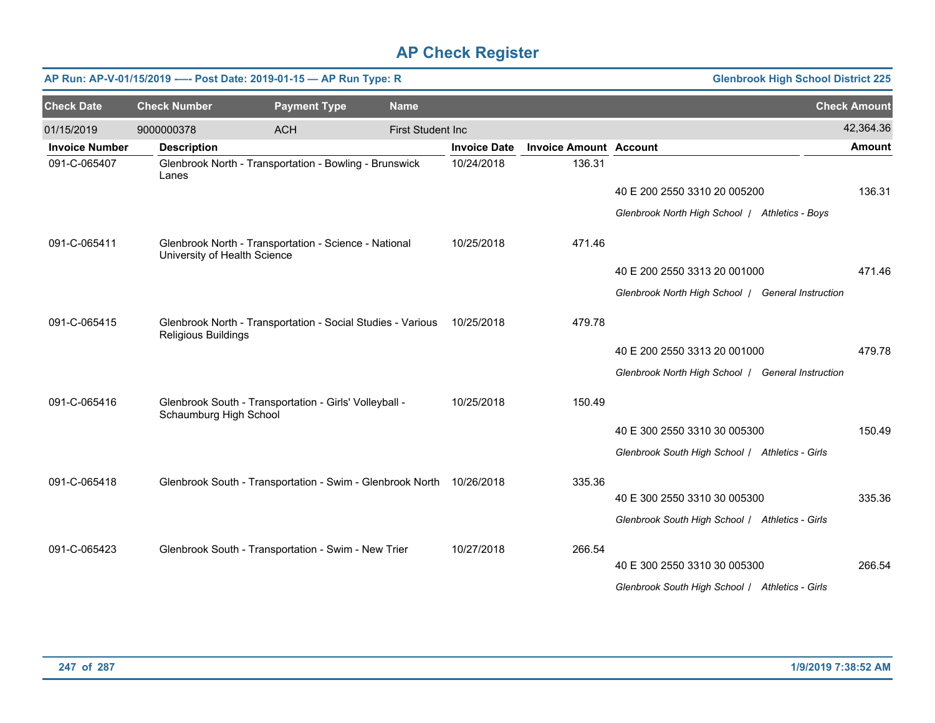| AP Run: AP-V-01/15/2019 ---- Post Date: 2019-01-15 - AP Run Type: R<br><b>Glenbrook High School District 225</b><br><b>Check Date</b><br><b>Check Number</b><br><b>Payment Type</b><br><b>Name</b> |                              |                                                                      |                          |                     |                               |                                                   |  |                     |
|----------------------------------------------------------------------------------------------------------------------------------------------------------------------------------------------------|------------------------------|----------------------------------------------------------------------|--------------------------|---------------------|-------------------------------|---------------------------------------------------|--|---------------------|
|                                                                                                                                                                                                    |                              |                                                                      |                          |                     |                               |                                                   |  | <b>Check Amount</b> |
| 01/15/2019                                                                                                                                                                                         | 9000000378                   | <b>ACH</b>                                                           | <b>First Student Inc</b> |                     |                               |                                                   |  | 42,364.36           |
| <b>Invoice Number</b>                                                                                                                                                                              | <b>Description</b>           |                                                                      |                          | <b>Invoice Date</b> | <b>Invoice Amount Account</b> |                                                   |  | <b>Amount</b>       |
| 091-C-065407                                                                                                                                                                                       | Lanes                        | Glenbrook North - Transportation - Bowling - Brunswick               |                          | 10/24/2018          | 136.31                        |                                                   |  |                     |
|                                                                                                                                                                                                    |                              |                                                                      |                          |                     |                               | 40 E 200 2550 3310 20 005200                      |  | 136.31              |
|                                                                                                                                                                                                    |                              |                                                                      |                          |                     |                               | Glenbrook North High School   Athletics - Boys    |  |                     |
| 091-C-065411                                                                                                                                                                                       | University of Health Science | Glenbrook North - Transportation - Science - National                |                          | 10/25/2018          | 471.46                        |                                                   |  |                     |
|                                                                                                                                                                                                    |                              |                                                                      |                          |                     |                               | 40 E 200 2550 3313 20 001000                      |  | 471.46              |
|                                                                                                                                                                                                    |                              |                                                                      |                          |                     |                               | Glenbrook North High School   General Instruction |  |                     |
| 091-C-065415                                                                                                                                                                                       | <b>Religious Buildings</b>   | Glenbrook North - Transportation - Social Studies - Various          |                          | 10/25/2018          | 479.78                        |                                                   |  |                     |
|                                                                                                                                                                                                    |                              |                                                                      |                          |                     |                               | 40 E 200 2550 3313 20 001000                      |  | 479.78              |
|                                                                                                                                                                                                    |                              |                                                                      |                          |                     |                               | Glenbrook North High School   General Instruction |  |                     |
| 091-C-065416                                                                                                                                                                                       | Schaumburg High School       | Glenbrook South - Transportation - Girls' Volleyball -               |                          | 10/25/2018          | 150.49                        |                                                   |  |                     |
|                                                                                                                                                                                                    |                              |                                                                      |                          |                     |                               | 40 E 300 2550 3310 30 005300                      |  | 150.49              |
|                                                                                                                                                                                                    |                              |                                                                      |                          |                     |                               | Glenbrook South High School / Athletics - Girls   |  |                     |
| 091-C-065418                                                                                                                                                                                       |                              | Glenbrook South - Transportation - Swim - Glenbrook North 10/26/2018 |                          |                     | 335.36                        |                                                   |  |                     |
|                                                                                                                                                                                                    |                              |                                                                      |                          |                     |                               | 40 E 300 2550 3310 30 005300                      |  | 335.36              |
|                                                                                                                                                                                                    |                              |                                                                      |                          |                     |                               | Glenbrook South High School / Athletics - Girls   |  |                     |
| 091-C-065423                                                                                                                                                                                       |                              | Glenbrook South - Transportation - Swim - New Trier                  |                          | 10/27/2018          | 266.54                        |                                                   |  |                     |
|                                                                                                                                                                                                    |                              |                                                                      |                          |                     |                               | 40 E 300 2550 3310 30 005300                      |  | 266.54              |
|                                                                                                                                                                                                    |                              |                                                                      |                          |                     |                               | Glenbrook South High School / Athletics - Girls   |  |                     |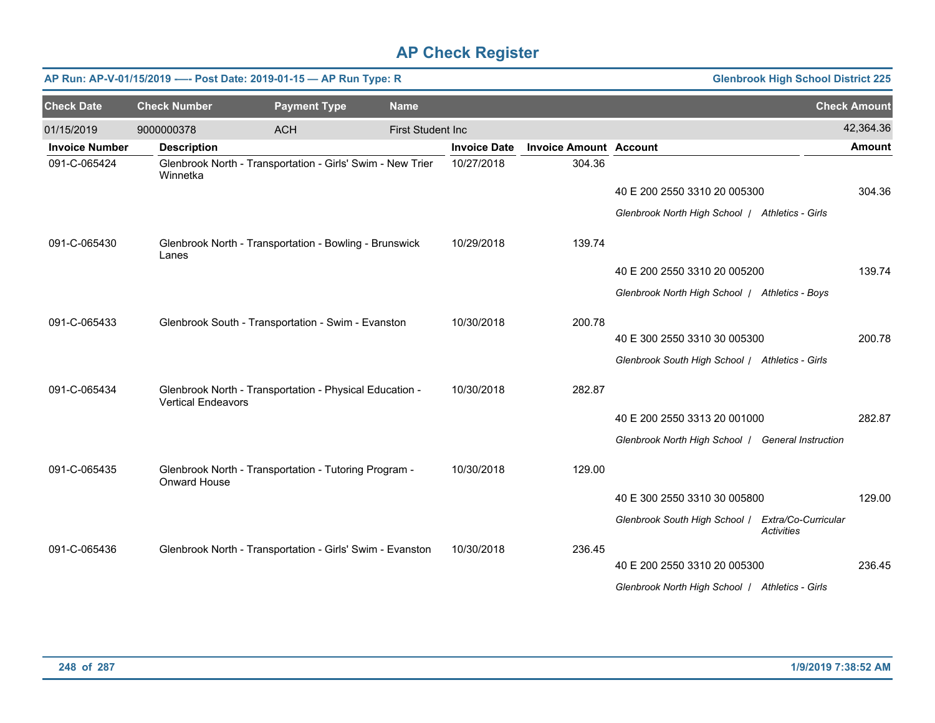|                       |                           | AP Run: AP-V-01/15/2019 ---- Post Date: 2019-01-15 - AP Run Type: R |                          |                     |                               |                                                   | <b>Glenbrook High School District 225</b> |                     |
|-----------------------|---------------------------|---------------------------------------------------------------------|--------------------------|---------------------|-------------------------------|---------------------------------------------------|-------------------------------------------|---------------------|
| <b>Check Date</b>     | <b>Check Number</b>       | <b>Payment Type</b>                                                 | <b>Name</b>              |                     |                               |                                                   |                                           | <b>Check Amount</b> |
| 01/15/2019            | 9000000378                | <b>ACH</b>                                                          | <b>First Student Inc</b> |                     |                               |                                                   |                                           | 42,364.36           |
| <b>Invoice Number</b> | <b>Description</b>        |                                                                     |                          | <b>Invoice Date</b> | <b>Invoice Amount Account</b> |                                                   |                                           | <b>Amount</b>       |
| 091-C-065424          | Winnetka                  | Glenbrook North - Transportation - Girls' Swim - New Trier          |                          | 10/27/2018          | 304.36                        |                                                   |                                           |                     |
|                       |                           |                                                                     |                          |                     |                               | 40 E 200 2550 3310 20 005300                      |                                           | 304.36              |
|                       |                           |                                                                     |                          |                     |                               | Glenbrook North High School   Athletics - Girls   |                                           |                     |
| 091-C-065430          | Lanes                     | Glenbrook North - Transportation - Bowling - Brunswick              |                          | 10/29/2018          | 139.74                        |                                                   |                                           |                     |
|                       |                           |                                                                     |                          |                     |                               | 40 E 200 2550 3310 20 005200                      |                                           | 139.74              |
|                       |                           |                                                                     |                          |                     |                               | Glenbrook North High School   Athletics - Boys    |                                           |                     |
| 091-C-065433          |                           | Glenbrook South - Transportation - Swim - Evanston                  |                          | 10/30/2018          | 200.78                        |                                                   |                                           |                     |
|                       |                           |                                                                     |                          |                     |                               | 40 E 300 2550 3310 30 005300                      |                                           | 200.78              |
|                       |                           |                                                                     |                          |                     |                               | Glenbrook South High School / Athletics - Girls   |                                           |                     |
| 091-C-065434          | <b>Vertical Endeavors</b> | Glenbrook North - Transportation - Physical Education -             |                          | 10/30/2018          | 282.87                        |                                                   |                                           |                     |
|                       |                           |                                                                     |                          |                     |                               | 40 E 200 2550 3313 20 001000                      |                                           | 282.87              |
|                       |                           |                                                                     |                          |                     |                               | Glenbrook North High School   General Instruction |                                           |                     |
|                       |                           |                                                                     |                          |                     |                               |                                                   |                                           |                     |
| 091-C-065435          | Onward House              | Glenbrook North - Transportation - Tutoring Program -               |                          | 10/30/2018          | 129.00                        |                                                   |                                           |                     |
|                       |                           |                                                                     |                          |                     |                               | 40 E 300 2550 3310 30 005800                      |                                           | 129.00              |
|                       |                           |                                                                     |                          |                     |                               | Glenbrook South High School /                     | Extra/Co-Curricular<br>Activities         |                     |
| 091-C-065436          |                           | Glenbrook North - Transportation - Girls' Swim - Evanston           |                          | 10/30/2018          | 236.45                        |                                                   |                                           |                     |
|                       |                           |                                                                     |                          |                     |                               | 40 E 200 2550 3310 20 005300                      |                                           | 236.45              |
|                       |                           |                                                                     |                          |                     |                               | Glenbrook North High School   Athletics - Girls   |                                           |                     |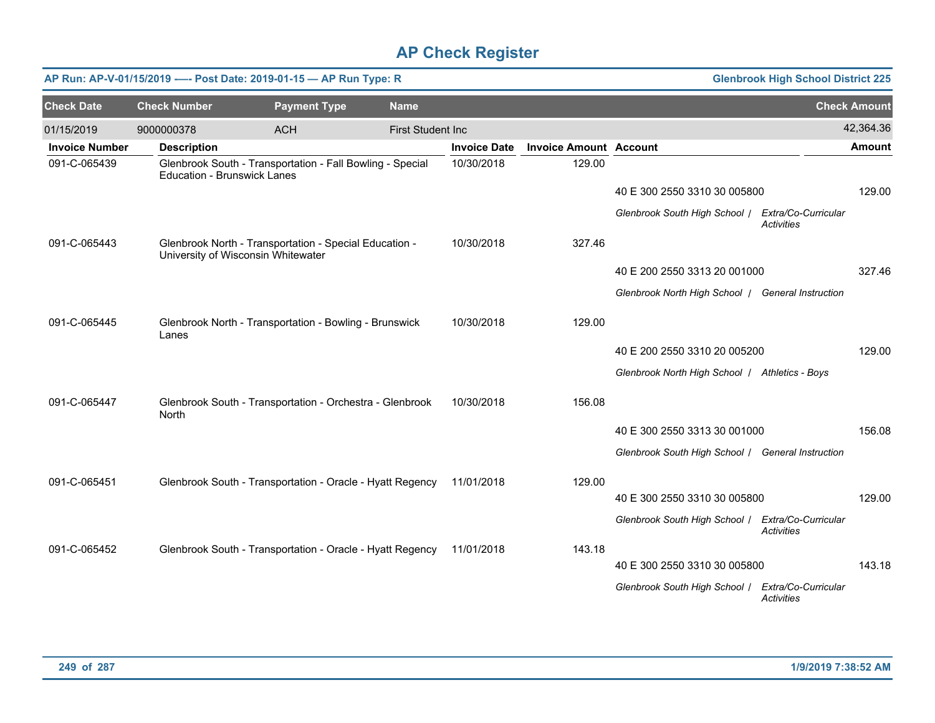|                       |                                    | AP Run: AP-V-01/15/2019 ---- Post Date: 2019-01-15 - AP Run Type: R                          |                          |                     |                               |                                                   | <b>Glenbrook High School District 225</b> |                     |
|-----------------------|------------------------------------|----------------------------------------------------------------------------------------------|--------------------------|---------------------|-------------------------------|---------------------------------------------------|-------------------------------------------|---------------------|
| <b>Check Date</b>     | <b>Check Number</b>                | <b>Payment Type</b>                                                                          | <b>Name</b>              |                     |                               |                                                   |                                           | <b>Check Amount</b> |
| 01/15/2019            | 9000000378                         | <b>ACH</b>                                                                                   | <b>First Student Inc</b> |                     |                               |                                                   |                                           | 42,364.36           |
| <b>Invoice Number</b> | <b>Description</b>                 |                                                                                              |                          | <b>Invoice Date</b> | <b>Invoice Amount Account</b> |                                                   |                                           | Amount              |
| 091-C-065439          | <b>Education - Brunswick Lanes</b> | Glenbrook South - Transportation - Fall Bowling - Special                                    |                          | 10/30/2018          | 129.00                        |                                                   |                                           |                     |
|                       |                                    |                                                                                              |                          |                     |                               | 40 E 300 2550 3310 30 005800                      |                                           | 129.00              |
|                       |                                    |                                                                                              |                          |                     |                               | Glenbrook South High School   Extra/Co-Curricular | <b>Activities</b>                         |                     |
| 091-C-065443          |                                    | Glenbrook North - Transportation - Special Education -<br>University of Wisconsin Whitewater |                          | 10/30/2018          | 327.46                        |                                                   |                                           |                     |
|                       |                                    |                                                                                              |                          |                     |                               | 40 E 200 2550 3313 20 001000                      |                                           | 327.46              |
|                       |                                    |                                                                                              |                          |                     |                               | Glenbrook North High School   General Instruction |                                           |                     |
| 091-C-065445          | Lanes                              | Glenbrook North - Transportation - Bowling - Brunswick                                       |                          | 10/30/2018          | 129.00                        |                                                   |                                           |                     |
|                       |                                    |                                                                                              |                          |                     |                               | 40 E 200 2550 3310 20 005200                      |                                           | 129.00              |
|                       |                                    |                                                                                              |                          |                     |                               | Glenbrook North High School   Athletics - Boys    |                                           |                     |
| 091-C-065447          | North                              | Glenbrook South - Transportation - Orchestra - Glenbrook                                     |                          | 10/30/2018          | 156.08                        |                                                   |                                           |                     |
|                       |                                    |                                                                                              |                          |                     |                               | 40 E 300 2550 3313 30 001000                      |                                           | 156.08              |
|                       |                                    |                                                                                              |                          |                     |                               | Glenbrook South High School / General Instruction |                                           |                     |
| 091-C-065451          |                                    | Glenbrook South - Transportation - Oracle - Hyatt Regency                                    |                          | 11/01/2018          | 129.00                        |                                                   |                                           |                     |
|                       |                                    |                                                                                              |                          |                     |                               | 40 E 300 2550 3310 30 005800                      |                                           | 129.00              |
|                       |                                    |                                                                                              |                          |                     |                               | Glenbrook South High School   Extra/Co-Curricular | <b>Activities</b>                         |                     |
| 091-C-065452          |                                    | Glenbrook South - Transportation - Oracle - Hyatt Regency                                    |                          | 11/01/2018          | 143.18                        |                                                   |                                           | 143.18              |
|                       |                                    |                                                                                              |                          |                     |                               | 40 E 300 2550 3310 30 005800                      |                                           |                     |
|                       |                                    |                                                                                              |                          |                     |                               | Glenbrook South High School /                     | Extra/Co-Curricular<br><b>Activities</b>  |                     |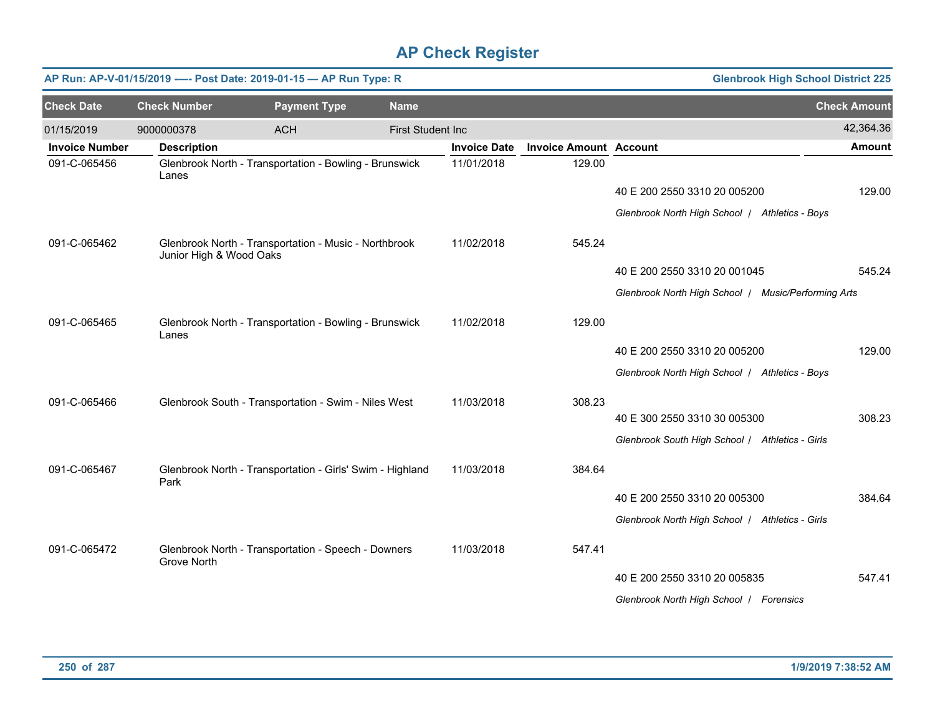| <b>Glenbrook High School District 225</b><br>AP Run: AP-V-01/15/2019 ---- Post Date: 2019-01-15 - AP Run Type: R |                         |                                                           |                           |                     |                               |                                                     |                     |
|------------------------------------------------------------------------------------------------------------------|-------------------------|-----------------------------------------------------------|---------------------------|---------------------|-------------------------------|-----------------------------------------------------|---------------------|
| <b>Check Date</b>                                                                                                | <b>Check Number</b>     | <b>Payment Type</b>                                       | <b>Name</b>               |                     |                               |                                                     | <b>Check Amount</b> |
| 01/15/2019                                                                                                       | 9000000378              | <b>ACH</b>                                                | <b>First Student Inc.</b> |                     |                               |                                                     | 42,364.36           |
| <b>Invoice Number</b>                                                                                            | <b>Description</b>      |                                                           |                           | <b>Invoice Date</b> | <b>Invoice Amount Account</b> |                                                     | Amount              |
| 091-C-065456                                                                                                     | Lanes                   | Glenbrook North - Transportation - Bowling - Brunswick    |                           | 11/01/2018          | 129.00                        |                                                     |                     |
|                                                                                                                  |                         |                                                           |                           |                     |                               | 40 E 200 2550 3310 20 005200                        | 129.00              |
|                                                                                                                  |                         |                                                           |                           |                     |                               | Glenbrook North High School / Athletics - Boys      |                     |
| 091-C-065462                                                                                                     | Junior High & Wood Oaks | Glenbrook North - Transportation - Music - Northbrook     |                           | 11/02/2018          | 545.24                        |                                                     |                     |
|                                                                                                                  |                         |                                                           |                           |                     |                               | 40 E 200 2550 3310 20 001045                        | 545.24              |
|                                                                                                                  |                         |                                                           |                           |                     |                               | Glenbrook North High School / Music/Performing Arts |                     |
| 091-C-065465                                                                                                     | Lanes                   | Glenbrook North - Transportation - Bowling - Brunswick    |                           | 11/02/2018          | 129.00                        |                                                     |                     |
|                                                                                                                  |                         |                                                           |                           |                     |                               | 40 E 200 2550 3310 20 005200                        | 129.00              |
|                                                                                                                  |                         |                                                           |                           |                     |                               | Glenbrook North High School   Athletics - Boys      |                     |
| 091-C-065466                                                                                                     |                         | Glenbrook South - Transportation - Swim - Niles West      |                           | 11/03/2018          | 308.23                        |                                                     |                     |
|                                                                                                                  |                         |                                                           |                           |                     |                               | 40 E 300 2550 3310 30 005300                        | 308.23              |
|                                                                                                                  |                         |                                                           |                           |                     |                               | Glenbrook South High School / Athletics - Girls     |                     |
| 091-C-065467                                                                                                     | Park                    | Glenbrook North - Transportation - Girls' Swim - Highland |                           | 11/03/2018          | 384.64                        |                                                     |                     |
|                                                                                                                  |                         |                                                           |                           |                     |                               | 40 E 200 2550 3310 20 005300                        | 384.64              |
|                                                                                                                  |                         |                                                           |                           |                     |                               | Glenbrook North High School   Athletics - Girls     |                     |
| 091-C-065472                                                                                                     | Grove North             | Glenbrook North - Transportation - Speech - Downers       |                           | 11/03/2018          | 547.41                        |                                                     |                     |
|                                                                                                                  |                         |                                                           |                           |                     |                               | 40 E 200 2550 3310 20 005835                        | 547.41              |
|                                                                                                                  |                         |                                                           |                           |                     |                               | Glenbrook North High School   Forensics             |                     |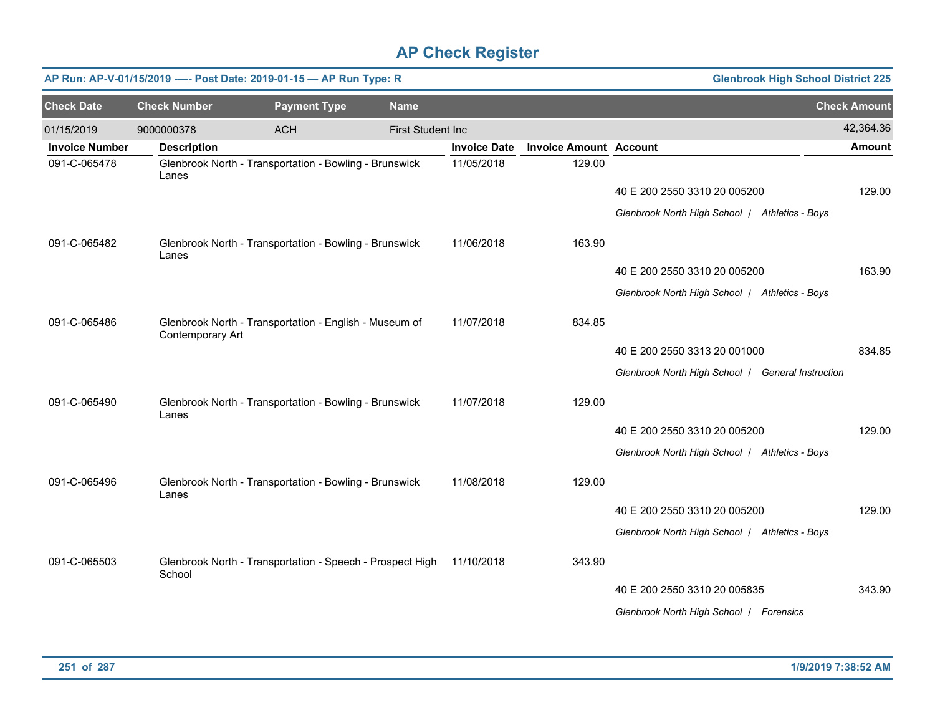|                       |                     | AP Run: AP-V-01/15/2019 ---- Post Date: 2019-01-15 - AP Run Type: R |                          |                     |                               | <b>Glenbrook High School District 225</b>         |                     |
|-----------------------|---------------------|---------------------------------------------------------------------|--------------------------|---------------------|-------------------------------|---------------------------------------------------|---------------------|
| <b>Check Date</b>     | <b>Check Number</b> | <b>Payment Type</b>                                                 | <b>Name</b>              |                     |                               |                                                   | <b>Check Amount</b> |
| 01/15/2019            | 9000000378          | <b>ACH</b>                                                          | <b>First Student Inc</b> |                     |                               |                                                   | 42,364.36           |
| <b>Invoice Number</b> | <b>Description</b>  |                                                                     |                          | <b>Invoice Date</b> | <b>Invoice Amount Account</b> |                                                   | <b>Amount</b>       |
| 091-C-065478          | Lanes               | Glenbrook North - Transportation - Bowling - Brunswick              |                          | 11/05/2018          | 129.00                        |                                                   |                     |
|                       |                     |                                                                     |                          |                     |                               | 40 E 200 2550 3310 20 005200                      | 129.00              |
|                       |                     |                                                                     |                          |                     |                               | Glenbrook North High School   Athletics - Boys    |                     |
| 091-C-065482          | Lanes               | Glenbrook North - Transportation - Bowling - Brunswick              |                          | 11/06/2018          | 163.90                        |                                                   |                     |
|                       |                     |                                                                     |                          |                     |                               | 40 E 200 2550 3310 20 005200                      | 163.90              |
|                       |                     |                                                                     |                          |                     |                               | Glenbrook North High School   Athletics - Boys    |                     |
| 091-C-065486          | Contemporary Art    | Glenbrook North - Transportation - English - Museum of              |                          | 11/07/2018          | 834.85                        |                                                   |                     |
|                       |                     |                                                                     |                          |                     |                               | 40 E 200 2550 3313 20 001000                      | 834.85              |
|                       |                     |                                                                     |                          |                     |                               | Glenbrook North High School   General Instruction |                     |
| 091-C-065490          | Lanes               | Glenbrook North - Transportation - Bowling - Brunswick              |                          | 11/07/2018          | 129.00                        |                                                   |                     |
|                       |                     |                                                                     |                          |                     |                               | 40 E 200 2550 3310 20 005200                      | 129.00              |
|                       |                     |                                                                     |                          |                     |                               | Glenbrook North High School   Athletics - Boys    |                     |
| 091-C-065496          | Lanes               | Glenbrook North - Transportation - Bowling - Brunswick              |                          | 11/08/2018          | 129.00                        |                                                   |                     |
|                       |                     |                                                                     |                          |                     |                               | 40 E 200 2550 3310 20 005200                      | 129.00              |
|                       |                     |                                                                     |                          |                     |                               | Glenbrook North High School   Athletics - Boys    |                     |
| 091-C-065503          | School              | Glenbrook North - Transportation - Speech - Prospect High           |                          | 11/10/2018          | 343.90                        |                                                   |                     |
|                       |                     |                                                                     |                          |                     |                               | 40 E 200 2550 3310 20 005835                      | 343.90              |
|                       |                     |                                                                     |                          |                     |                               | Glenbrook North High School   Forensics           |                     |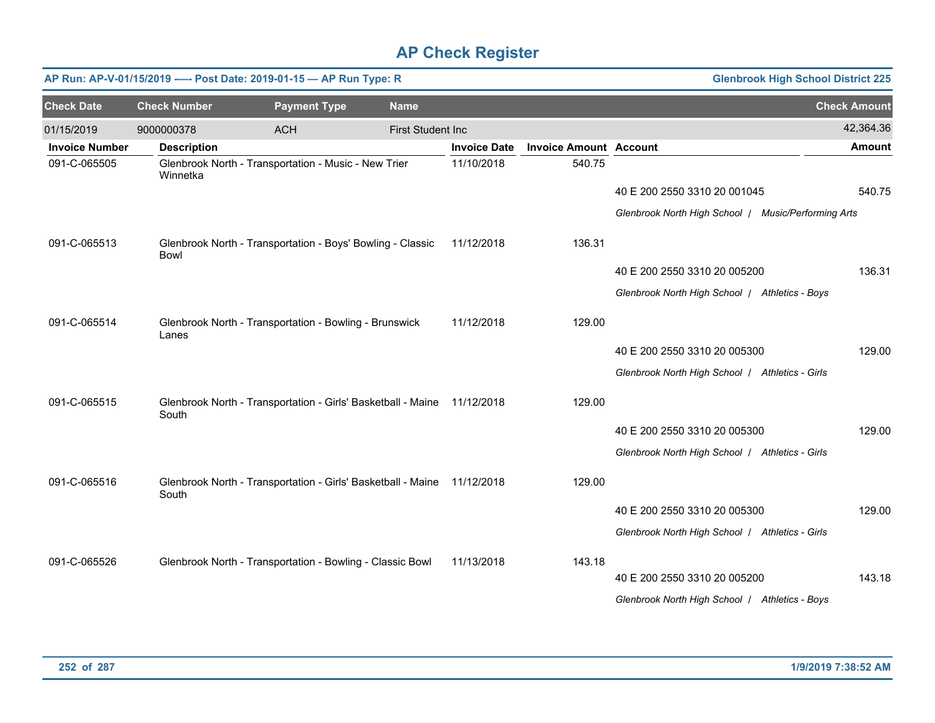|                       | <b>Glenbrook High School District 225</b><br>AP Run: AP-V-01/15/2019 ---- Post Date: 2019-01-15 - AP Run Type: R |                                                              |                          |                     |                               |                                                     |                     |  |  |  |  |
|-----------------------|------------------------------------------------------------------------------------------------------------------|--------------------------------------------------------------|--------------------------|---------------------|-------------------------------|-----------------------------------------------------|---------------------|--|--|--|--|
| <b>Check Date</b>     | <b>Check Number</b>                                                                                              | <b>Payment Type</b>                                          | <b>Name</b>              |                     |                               |                                                     | <b>Check Amount</b> |  |  |  |  |
| 01/15/2019            | 9000000378                                                                                                       | <b>ACH</b>                                                   | <b>First Student Inc</b> |                     |                               |                                                     | 42,364.36           |  |  |  |  |
| <b>Invoice Number</b> | <b>Description</b>                                                                                               |                                                              |                          | <b>Invoice Date</b> | <b>Invoice Amount Account</b> |                                                     | <b>Amount</b>       |  |  |  |  |
| 091-C-065505          | Winnetka                                                                                                         | Glenbrook North - Transportation - Music - New Trier         |                          | 11/10/2018          | 540.75                        |                                                     |                     |  |  |  |  |
|                       |                                                                                                                  |                                                              |                          |                     |                               | 40 E 200 2550 3310 20 001045                        | 540.75              |  |  |  |  |
|                       |                                                                                                                  |                                                              |                          |                     |                               | Glenbrook North High School / Music/Performing Arts |                     |  |  |  |  |
| 091-C-065513          | <b>Bowl</b>                                                                                                      | Glenbrook North - Transportation - Boys' Bowling - Classic   |                          | 11/12/2018          | 136.31                        |                                                     |                     |  |  |  |  |
|                       |                                                                                                                  |                                                              |                          |                     |                               | 40 E 200 2550 3310 20 005200                        | 136.31              |  |  |  |  |
|                       |                                                                                                                  |                                                              |                          |                     |                               | Glenbrook North High School   Athletics - Boys      |                     |  |  |  |  |
| 091-C-065514          | Lanes                                                                                                            | Glenbrook North - Transportation - Bowling - Brunswick       |                          | 11/12/2018          | 129.00                        |                                                     |                     |  |  |  |  |
|                       |                                                                                                                  |                                                              |                          |                     |                               | 40 E 200 2550 3310 20 005300                        | 129.00              |  |  |  |  |
|                       |                                                                                                                  |                                                              |                          |                     |                               | Glenbrook North High School   Athletics - Girls     |                     |  |  |  |  |
| 091-C-065515          | South                                                                                                            | Glenbrook North - Transportation - Girls' Basketball - Maine |                          | 11/12/2018          | 129.00                        |                                                     |                     |  |  |  |  |
|                       |                                                                                                                  |                                                              |                          |                     |                               | 40 E 200 2550 3310 20 005300                        | 129.00              |  |  |  |  |
|                       |                                                                                                                  |                                                              |                          |                     |                               | Glenbrook North High School / Athletics - Girls     |                     |  |  |  |  |
| 091-C-065516          | South                                                                                                            | Glenbrook North - Transportation - Girls' Basketball - Maine |                          | 11/12/2018          | 129.00                        |                                                     |                     |  |  |  |  |
|                       |                                                                                                                  |                                                              |                          |                     |                               | 40 E 200 2550 3310 20 005300                        | 129.00              |  |  |  |  |
|                       |                                                                                                                  |                                                              |                          |                     |                               | Glenbrook North High School / Athletics - Girls     |                     |  |  |  |  |
| 091-C-065526          |                                                                                                                  | Glenbrook North - Transportation - Bowling - Classic Bowl    |                          | 11/13/2018          | 143.18                        |                                                     |                     |  |  |  |  |
|                       |                                                                                                                  |                                                              |                          |                     |                               | 40 E 200 2550 3310 20 005200                        | 143.18              |  |  |  |  |
|                       |                                                                                                                  |                                                              |                          |                     |                               | Glenbrook North High School   Athletics - Boys      |                     |  |  |  |  |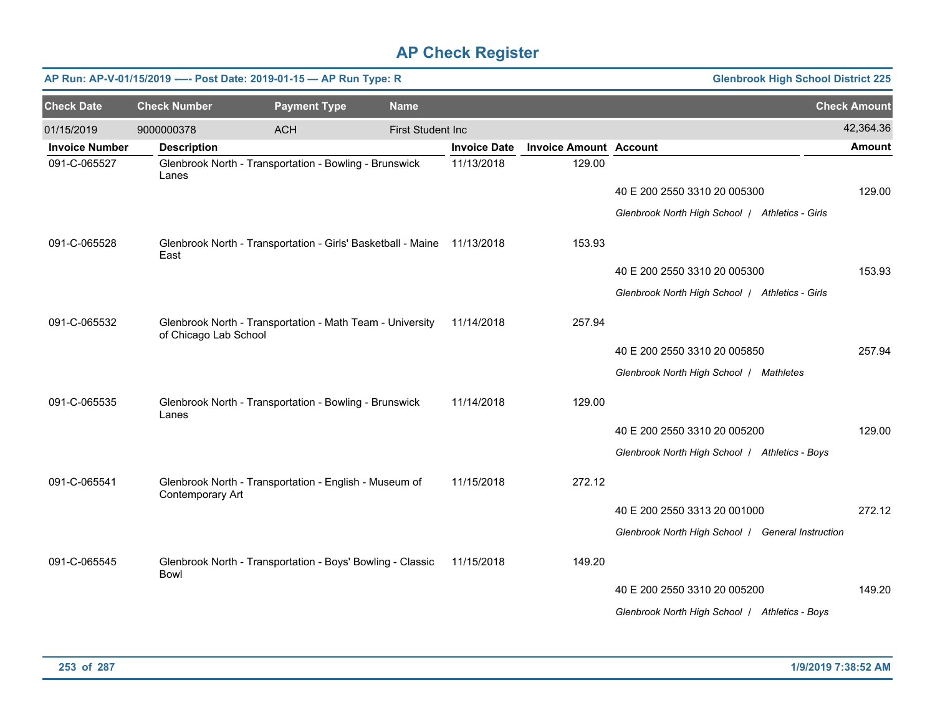| AP Run: AP-V-01/15/2019 ---- Post Date: 2019-01-15 - AP Run Type: R<br><b>Glenbrook High School District 225</b> |                       |                                                                         |                          |                     |                               |                                                   |                     |  |  |
|------------------------------------------------------------------------------------------------------------------|-----------------------|-------------------------------------------------------------------------|--------------------------|---------------------|-------------------------------|---------------------------------------------------|---------------------|--|--|
| <b>Check Date</b>                                                                                                | <b>Check Number</b>   | <b>Payment Type</b>                                                     | <b>Name</b>              |                     |                               |                                                   | <b>Check Amount</b> |  |  |
| 01/15/2019                                                                                                       | 9000000378            | <b>ACH</b>                                                              | <b>First Student Inc</b> |                     |                               |                                                   | 42,364.36           |  |  |
| <b>Invoice Number</b>                                                                                            | <b>Description</b>    |                                                                         |                          | <b>Invoice Date</b> | <b>Invoice Amount Account</b> |                                                   | <b>Amount</b>       |  |  |
| 091-C-065527                                                                                                     | Lanes                 | Glenbrook North - Transportation - Bowling - Brunswick                  |                          | 11/13/2018          | 129.00                        |                                                   |                     |  |  |
|                                                                                                                  |                       |                                                                         |                          |                     |                               | 40 E 200 2550 3310 20 005300                      | 129.00              |  |  |
|                                                                                                                  |                       |                                                                         |                          |                     |                               | Glenbrook North High School   Athletics - Girls   |                     |  |  |
| 091-C-065528                                                                                                     | East                  | Glenbrook North - Transportation - Girls' Basketball - Maine 11/13/2018 |                          |                     | 153.93                        |                                                   |                     |  |  |
|                                                                                                                  |                       |                                                                         |                          |                     |                               | 40 E 200 2550 3310 20 005300                      | 153.93              |  |  |
|                                                                                                                  |                       |                                                                         |                          |                     |                               | Glenbrook North High School / Athletics - Girls   |                     |  |  |
| 091-C-065532                                                                                                     | of Chicago Lab School | Glenbrook North - Transportation - Math Team - University               |                          | 11/14/2018          | 257.94                        |                                                   |                     |  |  |
|                                                                                                                  |                       |                                                                         |                          |                     |                               | 40 E 200 2550 3310 20 005850                      | 257.94              |  |  |
|                                                                                                                  |                       |                                                                         |                          |                     |                               | Glenbrook North High School / Mathletes           |                     |  |  |
| 091-C-065535                                                                                                     | Lanes                 | Glenbrook North - Transportation - Bowling - Brunswick                  |                          | 11/14/2018          | 129.00                        |                                                   |                     |  |  |
|                                                                                                                  |                       |                                                                         |                          |                     |                               | 40 E 200 2550 3310 20 005200                      | 129.00              |  |  |
|                                                                                                                  |                       |                                                                         |                          |                     |                               | Glenbrook North High School   Athletics - Boys    |                     |  |  |
| 091-C-065541                                                                                                     | Contemporary Art      | Glenbrook North - Transportation - English - Museum of                  |                          | 11/15/2018          | 272.12                        |                                                   |                     |  |  |
|                                                                                                                  |                       |                                                                         |                          |                     |                               | 40 E 200 2550 3313 20 001000                      | 272.12              |  |  |
|                                                                                                                  |                       |                                                                         |                          |                     |                               | Glenbrook North High School   General Instruction |                     |  |  |
| 091-C-065545                                                                                                     | <b>Bowl</b>           | Glenbrook North - Transportation - Boys' Bowling - Classic              |                          | 11/15/2018          | 149.20                        |                                                   |                     |  |  |
|                                                                                                                  |                       |                                                                         |                          |                     |                               | 40 E 200 2550 3310 20 005200                      | 149.20              |  |  |
|                                                                                                                  |                       |                                                                         |                          |                     |                               | Glenbrook North High School / Athletics - Boys    |                     |  |  |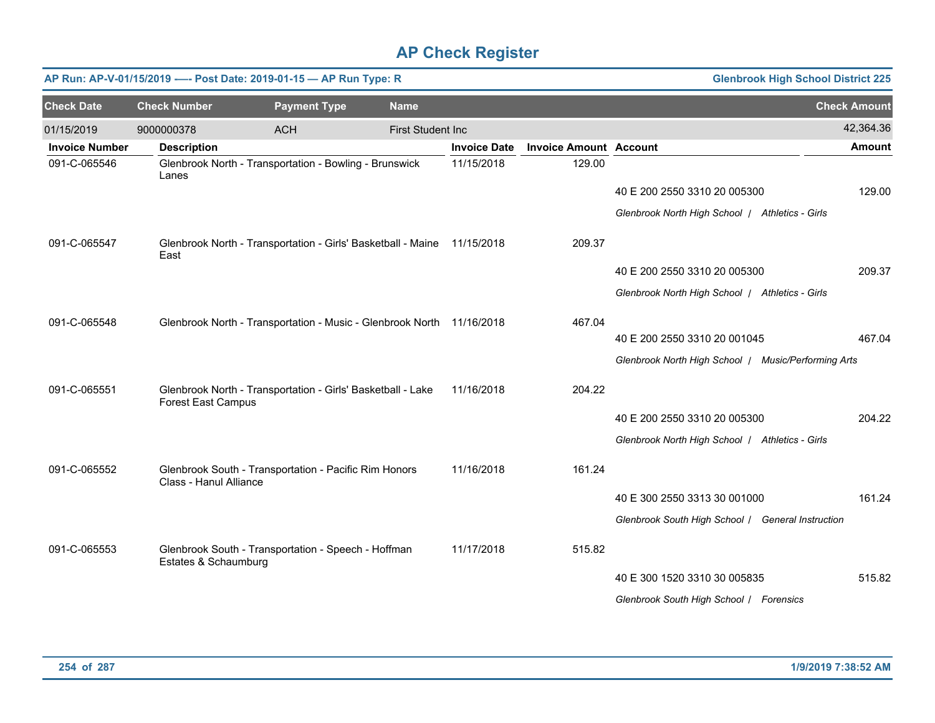| <b>Glenbrook High School District 225</b><br>AP Run: AP-V-01/15/2019 ---- Post Date: 2019-01-15 - AP Run Type: R |                           |                                                                         |                   |                     |                               |                                                     |                     |  |  |  |
|------------------------------------------------------------------------------------------------------------------|---------------------------|-------------------------------------------------------------------------|-------------------|---------------------|-------------------------------|-----------------------------------------------------|---------------------|--|--|--|
| <b>Check Date</b>                                                                                                | <b>Check Number</b>       | <b>Payment Type</b>                                                     | <b>Name</b>       |                     |                               |                                                     | <b>Check Amount</b> |  |  |  |
| 01/15/2019                                                                                                       | 9000000378                | <b>ACH</b>                                                              | First Student Inc |                     |                               |                                                     | 42,364.36           |  |  |  |
| <b>Invoice Number</b>                                                                                            | <b>Description</b>        |                                                                         |                   | <b>Invoice Date</b> | <b>Invoice Amount Account</b> |                                                     | <b>Amount</b>       |  |  |  |
| 091-C-065546                                                                                                     | Lanes                     | Glenbrook North - Transportation - Bowling - Brunswick                  |                   | 11/15/2018          | 129.00                        |                                                     |                     |  |  |  |
|                                                                                                                  |                           |                                                                         |                   |                     |                               | 40 E 200 2550 3310 20 005300                        | 129.00              |  |  |  |
|                                                                                                                  |                           |                                                                         |                   |                     |                               | Glenbrook North High School   Athletics - Girls     |                     |  |  |  |
| 091-C-065547                                                                                                     | East                      | Glenbrook North - Transportation - Girls' Basketball - Maine 11/15/2018 |                   |                     | 209.37                        |                                                     |                     |  |  |  |
|                                                                                                                  |                           |                                                                         |                   |                     |                               | 40 E 200 2550 3310 20 005300                        | 209.37              |  |  |  |
|                                                                                                                  |                           |                                                                         |                   |                     |                               | Glenbrook North High School   Athletics - Girls     |                     |  |  |  |
| 091-C-065548                                                                                                     |                           | Glenbrook North - Transportation - Music - Glenbrook North 11/16/2018   |                   |                     | 467.04                        |                                                     |                     |  |  |  |
|                                                                                                                  |                           |                                                                         |                   |                     |                               | 40 E 200 2550 3310 20 001045                        | 467.04              |  |  |  |
|                                                                                                                  |                           |                                                                         |                   |                     |                               | Glenbrook North High School / Music/Performing Arts |                     |  |  |  |
| 091-C-065551                                                                                                     | <b>Forest East Campus</b> | Glenbrook North - Transportation - Girls' Basketball - Lake             |                   | 11/16/2018          | 204.22                        |                                                     |                     |  |  |  |
|                                                                                                                  |                           |                                                                         |                   |                     |                               | 40 E 200 2550 3310 20 005300                        | 204.22              |  |  |  |
|                                                                                                                  |                           |                                                                         |                   |                     |                               | Glenbrook North High School / Athletics - Girls     |                     |  |  |  |
| 091-C-065552                                                                                                     | Class - Hanul Alliance    | Glenbrook South - Transportation - Pacific Rim Honors                   |                   | 11/16/2018          | 161.24                        |                                                     |                     |  |  |  |
|                                                                                                                  |                           |                                                                         |                   |                     |                               | 40 E 300 2550 3313 30 001000                        | 161.24              |  |  |  |
|                                                                                                                  |                           |                                                                         |                   |                     |                               | Glenbrook South High School / General Instruction   |                     |  |  |  |
| 091-C-065553                                                                                                     | Estates & Schaumburg      | Glenbrook South - Transportation - Speech - Hoffman                     |                   | 11/17/2018          | 515.82                        |                                                     |                     |  |  |  |
|                                                                                                                  |                           |                                                                         |                   |                     |                               | 40 E 300 1520 3310 30 005835                        | 515.82              |  |  |  |
|                                                                                                                  |                           |                                                                         |                   |                     |                               | Glenbrook South High School / Forensics             |                     |  |  |  |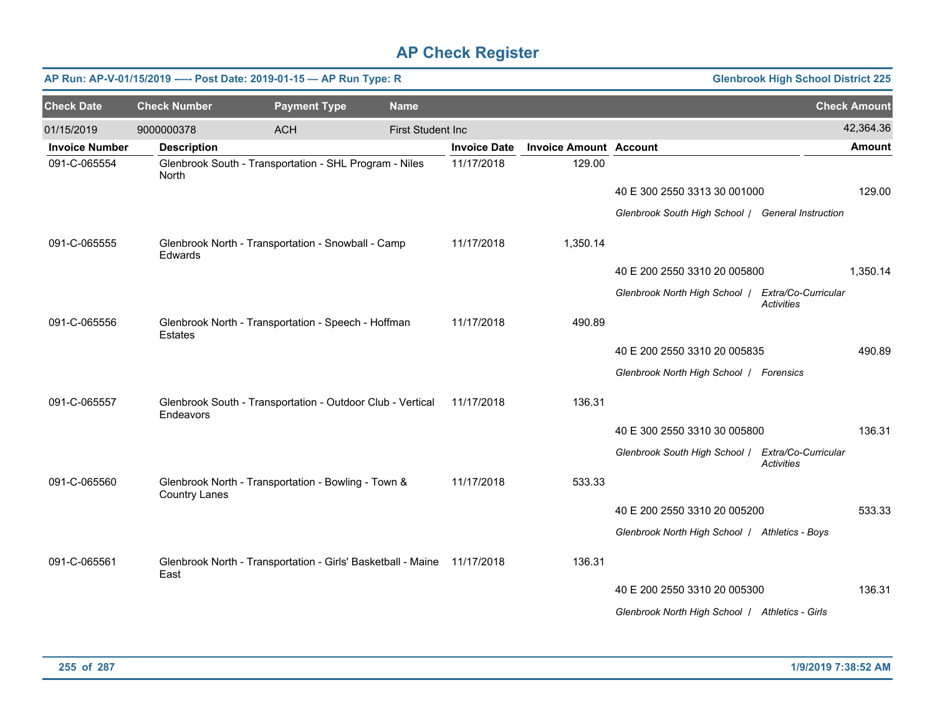|                       | AP Run: AP-V-01/15/2019 ---- Post Date: 2019-01-15 - AP Run Type: R<br><b>Glenbrook High School District 225</b> |                                                                         |                          |                     |                               |                                                   |                                          |                     |  |  |
|-----------------------|------------------------------------------------------------------------------------------------------------------|-------------------------------------------------------------------------|--------------------------|---------------------|-------------------------------|---------------------------------------------------|------------------------------------------|---------------------|--|--|
| <b>Check Date</b>     | <b>Check Number</b>                                                                                              | <b>Payment Type</b>                                                     | <b>Name</b>              |                     |                               |                                                   |                                          | <b>Check Amount</b> |  |  |
| 01/15/2019            | 9000000378                                                                                                       | <b>ACH</b>                                                              | <b>First Student Inc</b> |                     |                               |                                                   |                                          | 42,364.36           |  |  |
| <b>Invoice Number</b> | <b>Description</b>                                                                                               |                                                                         |                          | <b>Invoice Date</b> | <b>Invoice Amount Account</b> |                                                   |                                          | <b>Amount</b>       |  |  |
| 091-C-065554          | North                                                                                                            | Glenbrook South - Transportation - SHL Program - Niles                  |                          | 11/17/2018          | 129.00                        |                                                   |                                          |                     |  |  |
|                       |                                                                                                                  |                                                                         |                          |                     |                               | 40 E 300 2550 3313 30 001000                      |                                          | 129.00              |  |  |
|                       |                                                                                                                  |                                                                         |                          |                     |                               | Glenbrook South High School / General Instruction |                                          |                     |  |  |
| 091-C-065555          | <b>Edwards</b>                                                                                                   | Glenbrook North - Transportation - Snowball - Camp                      |                          | 11/17/2018          | 1,350.14                      |                                                   |                                          |                     |  |  |
|                       |                                                                                                                  |                                                                         |                          |                     |                               | 40 E 200 2550 3310 20 005800                      |                                          | 1,350.14            |  |  |
|                       |                                                                                                                  |                                                                         |                          |                     |                               | Glenbrook North High School /                     | Extra/Co-Curricular<br><b>Activities</b> |                     |  |  |
| 091-C-065556          | <b>Estates</b>                                                                                                   | Glenbrook North - Transportation - Speech - Hoffman                     |                          | 11/17/2018          | 490.89                        |                                                   |                                          |                     |  |  |
|                       |                                                                                                                  |                                                                         |                          |                     |                               | 40 E 200 2550 3310 20 005835                      |                                          | 490.89              |  |  |
|                       |                                                                                                                  |                                                                         |                          |                     |                               | Glenbrook North High School   Forensics           |                                          |                     |  |  |
| 091-C-065557          | Endeavors                                                                                                        | Glenbrook South - Transportation - Outdoor Club - Vertical              |                          | 11/17/2018          | 136.31                        |                                                   |                                          |                     |  |  |
|                       |                                                                                                                  |                                                                         |                          |                     |                               | 40 E 300 2550 3310 30 005800                      |                                          | 136.31              |  |  |
|                       |                                                                                                                  |                                                                         |                          |                     |                               | Glenbrook South High School / Extra/Co-Curricular | <b>Activities</b>                        |                     |  |  |
| 091-C-065560          | <b>Country Lanes</b>                                                                                             | Glenbrook North - Transportation - Bowling - Town &                     |                          | 11/17/2018          | 533.33                        |                                                   |                                          |                     |  |  |
|                       |                                                                                                                  |                                                                         |                          |                     |                               | 40 E 200 2550 3310 20 005200                      |                                          | 533.33              |  |  |
|                       |                                                                                                                  |                                                                         |                          |                     |                               | Glenbrook North High School   Athletics - Boys    |                                          |                     |  |  |
| 091-C-065561          | East                                                                                                             | Glenbrook North - Transportation - Girls' Basketball - Maine 11/17/2018 |                          |                     | 136.31                        |                                                   |                                          |                     |  |  |
|                       |                                                                                                                  |                                                                         |                          |                     |                               | 40 E 200 2550 3310 20 005300                      |                                          | 136.31              |  |  |
|                       |                                                                                                                  |                                                                         |                          |                     |                               | Glenbrook North High School   Athletics - Girls   |                                          |                     |  |  |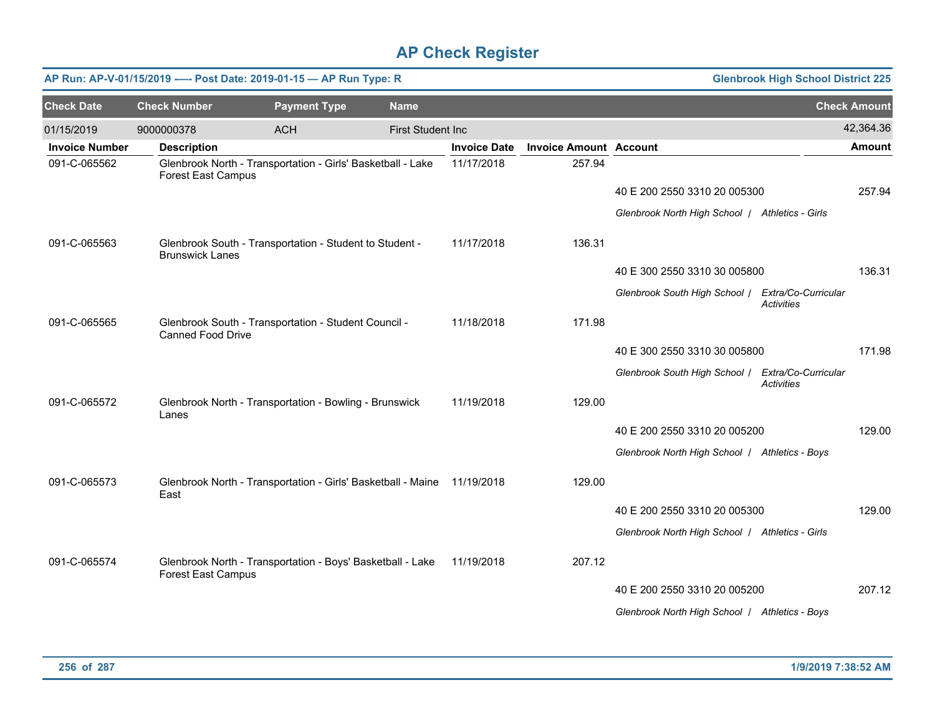|                       | <b>Glenbrook High School District 225</b><br>AP Run: AP-V-01/15/2019 ---- Post Date: 2019-01-15 - AP Run Type: R |                                                                         |                          |                     |                               |                                                   |                   |                     |  |  |  |
|-----------------------|------------------------------------------------------------------------------------------------------------------|-------------------------------------------------------------------------|--------------------------|---------------------|-------------------------------|---------------------------------------------------|-------------------|---------------------|--|--|--|
| <b>Check Date</b>     | <b>Check Number</b>                                                                                              | <b>Payment Type</b>                                                     | <b>Name</b>              |                     |                               |                                                   |                   | <b>Check Amount</b> |  |  |  |
| 01/15/2019            | 9000000378                                                                                                       | <b>ACH</b>                                                              | <b>First Student Inc</b> |                     |                               |                                                   |                   | 42,364.36           |  |  |  |
| <b>Invoice Number</b> | <b>Description</b>                                                                                               |                                                                         |                          | <b>Invoice Date</b> | <b>Invoice Amount Account</b> |                                                   |                   | <b>Amount</b>       |  |  |  |
| 091-C-065562          | <b>Forest East Campus</b>                                                                                        | Glenbrook North - Transportation - Girls' Basketball - Lake             |                          | 11/17/2018          | 257.94                        |                                                   |                   |                     |  |  |  |
|                       |                                                                                                                  |                                                                         |                          |                     |                               | 40 E 200 2550 3310 20 005300                      |                   | 257.94              |  |  |  |
|                       |                                                                                                                  |                                                                         |                          |                     |                               | Glenbrook North High School   Athletics - Girls   |                   |                     |  |  |  |
| 091-C-065563          | <b>Brunswick Lanes</b>                                                                                           | Glenbrook South - Transportation - Student to Student -                 |                          | 11/17/2018          | 136.31                        |                                                   |                   |                     |  |  |  |
|                       |                                                                                                                  |                                                                         |                          |                     |                               | 40 E 300 2550 3310 30 005800                      |                   | 136.31              |  |  |  |
|                       |                                                                                                                  |                                                                         |                          |                     |                               | Glenbrook South High School / Extra/Co-Curricular | Activities        |                     |  |  |  |
| 091-C-065565          | <b>Canned Food Drive</b>                                                                                         | Glenbrook South - Transportation - Student Council -                    |                          | 11/18/2018          | 171.98                        |                                                   |                   |                     |  |  |  |
|                       |                                                                                                                  |                                                                         |                          |                     |                               | 40 E 300 2550 3310 30 005800                      |                   | 171.98              |  |  |  |
|                       |                                                                                                                  |                                                                         |                          |                     |                               | Glenbrook South High School / Extra/Co-Curricular | <b>Activities</b> |                     |  |  |  |
| 091-C-065572          | Lanes                                                                                                            | Glenbrook North - Transportation - Bowling - Brunswick                  |                          | 11/19/2018          | 129.00                        |                                                   |                   |                     |  |  |  |
|                       |                                                                                                                  |                                                                         |                          |                     |                               | 40 E 200 2550 3310 20 005200                      |                   | 129.00              |  |  |  |
|                       |                                                                                                                  |                                                                         |                          |                     |                               | Glenbrook North High School / Athletics - Boys    |                   |                     |  |  |  |
| 091-C-065573          | East                                                                                                             | Glenbrook North - Transportation - Girls' Basketball - Maine 11/19/2018 |                          |                     | 129.00                        |                                                   |                   |                     |  |  |  |
|                       |                                                                                                                  |                                                                         |                          |                     |                               | 40 E 200 2550 3310 20 005300                      |                   | 129.00              |  |  |  |
|                       |                                                                                                                  |                                                                         |                          |                     |                               | Glenbrook North High School   Athletics - Girls   |                   |                     |  |  |  |
| 091-C-065574          | <b>Forest East Campus</b>                                                                                        | Glenbrook North - Transportation - Boys' Basketball - Lake              |                          | 11/19/2018          | 207.12                        |                                                   |                   |                     |  |  |  |
|                       |                                                                                                                  |                                                                         |                          |                     |                               | 40 E 200 2550 3310 20 005200                      |                   | 207.12              |  |  |  |
|                       |                                                                                                                  |                                                                         |                          |                     |                               | Glenbrook North High School   Athletics - Boys    |                   |                     |  |  |  |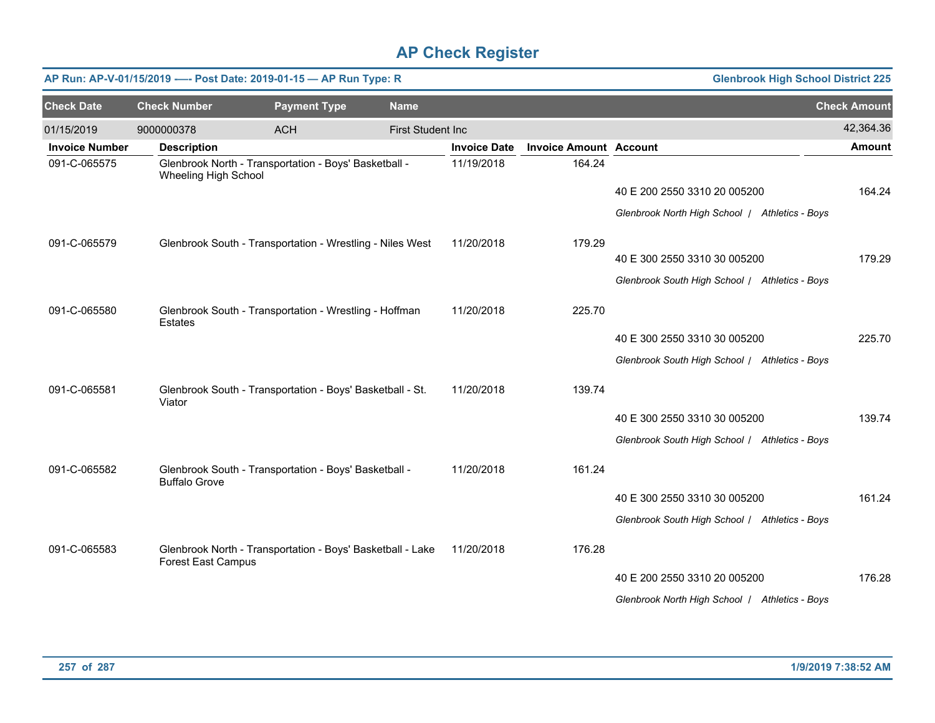|                       |                           | AP Run: AP-V-01/15/2019 ---- Post Date: 2019-01-15 - AP Run Type: R |                          | <b>Glenbrook High School District 225</b> |                               |                                                |                     |
|-----------------------|---------------------------|---------------------------------------------------------------------|--------------------------|-------------------------------------------|-------------------------------|------------------------------------------------|---------------------|
| <b>Check Date</b>     | <b>Check Number</b>       | <b>Payment Type</b>                                                 | <b>Name</b>              |                                           |                               |                                                | <b>Check Amount</b> |
| 01/15/2019            | 9000000378                | <b>ACH</b>                                                          | <b>First Student Inc</b> |                                           |                               |                                                | 42,364.36           |
| <b>Invoice Number</b> | <b>Description</b>        |                                                                     |                          | <b>Invoice Date</b>                       | <b>Invoice Amount Account</b> |                                                | <b>Amount</b>       |
| 091-C-065575          | Wheeling High School      | Glenbrook North - Transportation - Boys' Basketball -               |                          | 11/19/2018                                | 164.24                        |                                                |                     |
|                       |                           |                                                                     |                          |                                           |                               | 40 E 200 2550 3310 20 005200                   | 164.24              |
|                       |                           |                                                                     |                          |                                           |                               | Glenbrook North High School   Athletics - Boys |                     |
| 091-C-065579          |                           | Glenbrook South - Transportation - Wrestling - Niles West           |                          | 11/20/2018                                | 179.29                        |                                                |                     |
|                       |                           |                                                                     |                          |                                           |                               | 40 E 300 2550 3310 30 005200                   | 179.29              |
|                       |                           |                                                                     |                          |                                           |                               | Glenbrook South High School / Athletics - Boys |                     |
| 091-C-065580          | <b>Estates</b>            | Glenbrook South - Transportation - Wrestling - Hoffman              |                          | 11/20/2018                                | 225.70                        |                                                |                     |
|                       |                           |                                                                     |                          |                                           |                               | 40 E 300 2550 3310 30 005200                   | 225.70              |
|                       |                           |                                                                     |                          |                                           |                               | Glenbrook South High School / Athletics - Boys |                     |
| 091-C-065581          | Viator                    | Glenbrook South - Transportation - Boys' Basketball - St.           |                          | 11/20/2018                                | 139.74                        |                                                |                     |
|                       |                           |                                                                     |                          |                                           |                               | 40 E 300 2550 3310 30 005200                   | 139.74              |
|                       |                           |                                                                     |                          |                                           |                               | Glenbrook South High School / Athletics - Boys |                     |
| 091-C-065582          | <b>Buffalo Grove</b>      | Glenbrook South - Transportation - Boys' Basketball -               |                          | 11/20/2018                                | 161.24                        |                                                |                     |
|                       |                           |                                                                     |                          |                                           |                               | 40 E 300 2550 3310 30 005200                   | 161.24              |
|                       |                           |                                                                     |                          |                                           |                               | Glenbrook South High School / Athletics - Boys |                     |
| 091-C-065583          | <b>Forest East Campus</b> | Glenbrook North - Transportation - Boys' Basketball - Lake          |                          | 11/20/2018                                | 176.28                        |                                                |                     |
|                       |                           |                                                                     |                          |                                           |                               | 40 E 200 2550 3310 20 005200                   | 176.28              |
|                       |                           |                                                                     |                          |                                           |                               | Glenbrook North High School / Athletics - Boys |                     |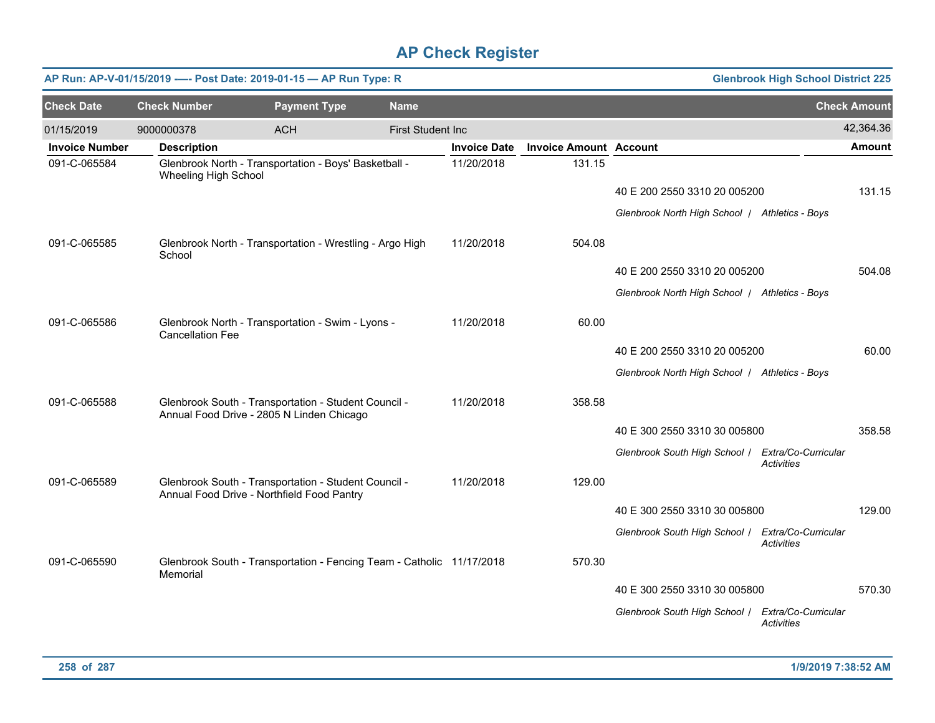| AP Run: AP-V-01/15/2019 ---- Post Date: 2019-01-15 - AP Run Type: R<br><b>Glenbrook High School District 225</b> |                         |                                                                                                    |                   |                     |                               |                                                   |                                          |                     |  |
|------------------------------------------------------------------------------------------------------------------|-------------------------|----------------------------------------------------------------------------------------------------|-------------------|---------------------|-------------------------------|---------------------------------------------------|------------------------------------------|---------------------|--|
| <b>Check Date</b>                                                                                                | <b>Check Number</b>     | <b>Payment Type</b>                                                                                | <b>Name</b>       |                     |                               |                                                   |                                          | <b>Check Amount</b> |  |
| 01/15/2019                                                                                                       | 9000000378              | <b>ACH</b>                                                                                         | First Student Inc |                     |                               |                                                   |                                          | 42,364.36           |  |
| <b>Invoice Number</b>                                                                                            | <b>Description</b>      |                                                                                                    |                   | <b>Invoice Date</b> | <b>Invoice Amount Account</b> |                                                   |                                          | <b>Amount</b>       |  |
| 091-C-065584                                                                                                     | Wheeling High School    | Glenbrook North - Transportation - Boys' Basketball -                                              |                   | 11/20/2018          | 131.15                        |                                                   |                                          |                     |  |
|                                                                                                                  |                         |                                                                                                    |                   |                     |                               | 40 E 200 2550 3310 20 005200                      |                                          | 131.15              |  |
|                                                                                                                  |                         |                                                                                                    |                   |                     |                               | Glenbrook North High School   Athletics - Boys    |                                          |                     |  |
| 091-C-065585                                                                                                     | School                  | Glenbrook North - Transportation - Wrestling - Argo High                                           |                   | 11/20/2018          | 504.08                        |                                                   |                                          |                     |  |
|                                                                                                                  |                         |                                                                                                    |                   |                     |                               | 40 E 200 2550 3310 20 005200                      |                                          | 504.08              |  |
|                                                                                                                  |                         |                                                                                                    |                   |                     |                               | Glenbrook North High School   Athletics - Boys    |                                          |                     |  |
| 091-C-065586                                                                                                     | <b>Cancellation Fee</b> | Glenbrook North - Transportation - Swim - Lyons -                                                  |                   | 11/20/2018          | 60.00                         |                                                   |                                          |                     |  |
|                                                                                                                  |                         |                                                                                                    |                   |                     |                               | 40 E 200 2550 3310 20 005200                      |                                          | 60.00               |  |
|                                                                                                                  |                         |                                                                                                    |                   |                     |                               | Glenbrook North High School / Athletics - Boys    |                                          |                     |  |
| 091-C-065588                                                                                                     |                         | Glenbrook South - Transportation - Student Council -<br>Annual Food Drive - 2805 N Linden Chicago  |                   | 11/20/2018          | 358.58                        |                                                   |                                          |                     |  |
|                                                                                                                  |                         |                                                                                                    |                   |                     |                               | 40 E 300 2550 3310 30 005800                      |                                          | 358.58              |  |
|                                                                                                                  |                         |                                                                                                    |                   |                     |                               | Glenbrook South High School   Extra/Co-Curricular | <b>Activities</b>                        |                     |  |
| 091-C-065589                                                                                                     |                         | Glenbrook South - Transportation - Student Council -<br>Annual Food Drive - Northfield Food Pantry |                   | 11/20/2018          | 129.00                        |                                                   |                                          |                     |  |
|                                                                                                                  |                         |                                                                                                    |                   |                     |                               | 40 E 300 2550 3310 30 005800                      |                                          | 129.00              |  |
|                                                                                                                  |                         |                                                                                                    |                   |                     |                               | Glenbrook South High School / Extra/Co-Curricular | <b>Activities</b>                        |                     |  |
| 091-C-065590                                                                                                     | Memorial                | Glenbrook South - Transportation - Fencing Team - Catholic 11/17/2018                              |                   |                     | 570.30                        |                                                   |                                          |                     |  |
|                                                                                                                  |                         |                                                                                                    |                   |                     |                               | 40 E 300 2550 3310 30 005800                      |                                          | 570.30              |  |
|                                                                                                                  |                         |                                                                                                    |                   |                     |                               | Glenbrook South High School /                     | Extra/Co-Curricular<br><b>Activities</b> |                     |  |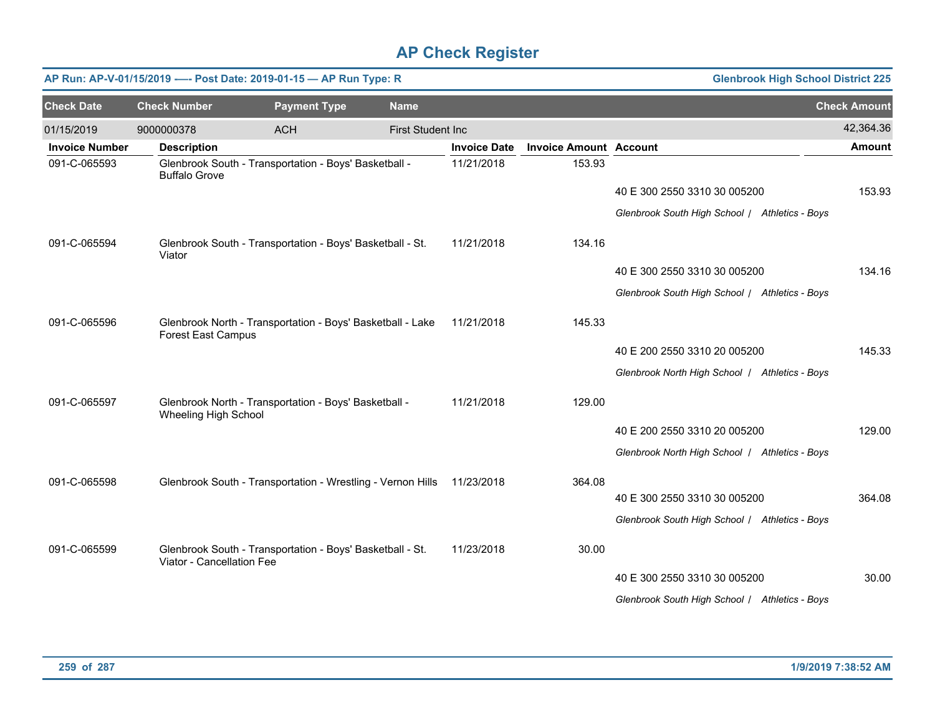|                       |                           | AP Run: AP-V-01/15/2019 ---- Post Date: 2019-01-15 - AP Run Type: R |                          |                     |                               | <b>Glenbrook High School District 225</b>      |                     |
|-----------------------|---------------------------|---------------------------------------------------------------------|--------------------------|---------------------|-------------------------------|------------------------------------------------|---------------------|
| <b>Check Date</b>     | <b>Check Number</b>       | <b>Payment Type</b>                                                 | <b>Name</b>              |                     |                               |                                                | <b>Check Amount</b> |
| 01/15/2019            | 9000000378                | <b>ACH</b>                                                          | <b>First Student Inc</b> |                     |                               |                                                | 42,364.36           |
| <b>Invoice Number</b> | <b>Description</b>        |                                                                     |                          | <b>Invoice Date</b> | <b>Invoice Amount Account</b> |                                                | <b>Amount</b>       |
| 091-C-065593          | <b>Buffalo Grove</b>      | Glenbrook South - Transportation - Boys' Basketball -               |                          | 11/21/2018          | 153.93                        |                                                |                     |
|                       |                           |                                                                     |                          |                     |                               | 40 E 300 2550 3310 30 005200                   | 153.93              |
|                       |                           |                                                                     |                          |                     |                               | Glenbrook South High School / Athletics - Boys |                     |
| 091-C-065594          | Viator                    | Glenbrook South - Transportation - Boys' Basketball - St.           |                          | 11/21/2018          | 134.16                        |                                                |                     |
|                       |                           |                                                                     |                          |                     |                               | 40 E 300 2550 3310 30 005200                   | 134.16              |
|                       |                           |                                                                     |                          |                     |                               | Glenbrook South High School / Athletics - Boys |                     |
| 091-C-065596          | <b>Forest East Campus</b> | Glenbrook North - Transportation - Boys' Basketball - Lake          |                          | 11/21/2018          | 145.33                        |                                                |                     |
|                       |                           |                                                                     |                          |                     |                               | 40 E 200 2550 3310 20 005200                   | 145.33              |
|                       |                           |                                                                     |                          |                     |                               | Glenbrook North High School   Athletics - Boys |                     |
| 091-C-065597          | Wheeling High School      | Glenbrook North - Transportation - Boys' Basketball -               |                          | 11/21/2018          | 129.00                        |                                                |                     |
|                       |                           |                                                                     |                          |                     |                               | 40 E 200 2550 3310 20 005200                   | 129.00              |
|                       |                           |                                                                     |                          |                     |                               | Glenbrook North High School   Athletics - Boys |                     |
| 091-C-065598          |                           | Glenbrook South - Transportation - Wrestling - Vernon Hills         |                          | 11/23/2018          | 364.08                        |                                                |                     |
|                       |                           |                                                                     |                          |                     |                               | 40 E 300 2550 3310 30 005200                   | 364.08              |
|                       |                           |                                                                     |                          |                     |                               | Glenbrook South High School / Athletics - Boys |                     |
| 091-C-065599          | Viator - Cancellation Fee | Glenbrook South - Transportation - Boys' Basketball - St.           |                          | 11/23/2018          | 30.00                         |                                                |                     |
|                       |                           |                                                                     |                          |                     |                               | 40 E 300 2550 3310 30 005200                   | 30.00               |
|                       |                           |                                                                     |                          |                     |                               | Glenbrook South High School / Athletics - Boys |                     |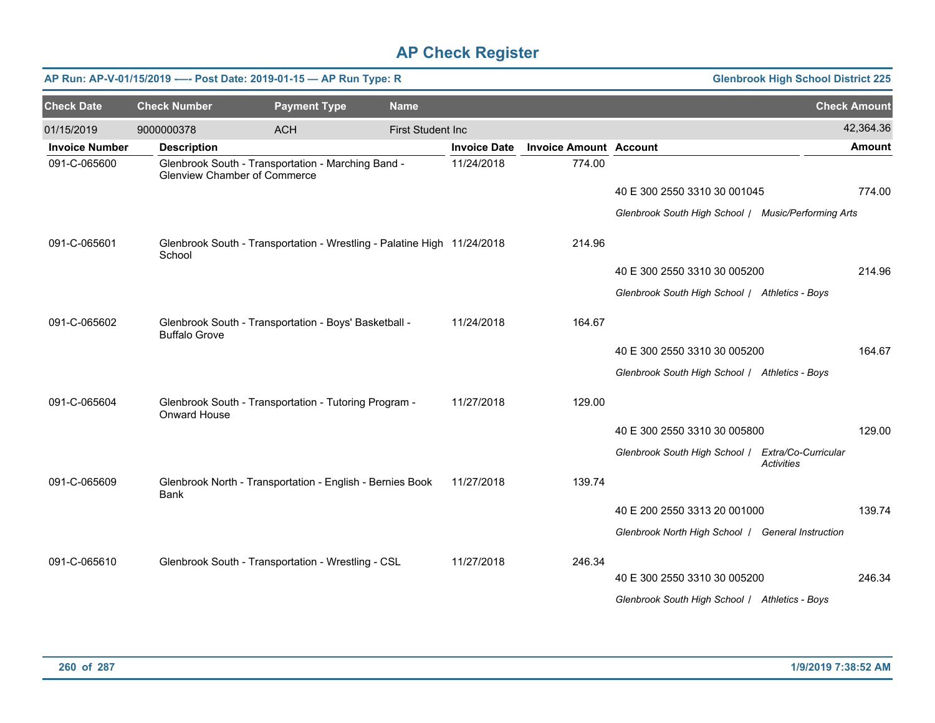|                       | <b>Glenbrook High School District 225</b><br>AP Run: AP-V-01/15/2019 ---- Post Date: 2019-01-15 - AP Run Type: R |                                                                         |  |                          |                     |                               |                                                     |                   |                     |  |  |
|-----------------------|------------------------------------------------------------------------------------------------------------------|-------------------------------------------------------------------------|--|--------------------------|---------------------|-------------------------------|-----------------------------------------------------|-------------------|---------------------|--|--|
| <b>Check Date</b>     | <b>Check Number</b>                                                                                              | <b>Payment Type</b>                                                     |  | <b>Name</b>              |                     |                               |                                                     |                   | <b>Check Amount</b> |  |  |
| 01/15/2019            | 9000000378                                                                                                       | <b>ACH</b>                                                              |  | <b>First Student Inc</b> |                     |                               |                                                     |                   | 42,364.36           |  |  |
| <b>Invoice Number</b> | <b>Description</b>                                                                                               |                                                                         |  |                          | <b>Invoice Date</b> | <b>Invoice Amount Account</b> |                                                     |                   | <b>Amount</b>       |  |  |
| 091-C-065600          | <b>Glenview Chamber of Commerce</b>                                                                              | Glenbrook South - Transportation - Marching Band -                      |  |                          | 11/24/2018          | 774.00                        |                                                     |                   |                     |  |  |
|                       |                                                                                                                  |                                                                         |  |                          |                     |                               | 40 E 300 2550 3310 30 001045                        |                   | 774.00              |  |  |
|                       |                                                                                                                  |                                                                         |  |                          |                     |                               | Glenbrook South High School / Music/Performing Arts |                   |                     |  |  |
| 091-C-065601          | School                                                                                                           | Glenbrook South - Transportation - Wrestling - Palatine High 11/24/2018 |  |                          |                     | 214.96                        |                                                     |                   |                     |  |  |
|                       |                                                                                                                  |                                                                         |  |                          |                     |                               | 40 E 300 2550 3310 30 005200                        |                   | 214.96              |  |  |
|                       |                                                                                                                  |                                                                         |  |                          |                     |                               | Glenbrook South High School / Athletics - Boys      |                   |                     |  |  |
| 091-C-065602          | <b>Buffalo Grove</b>                                                                                             | Glenbrook South - Transportation - Boys' Basketball -                   |  |                          | 11/24/2018          | 164.67                        |                                                     |                   |                     |  |  |
|                       |                                                                                                                  |                                                                         |  |                          |                     |                               | 40 E 300 2550 3310 30 005200                        |                   | 164.67              |  |  |
|                       |                                                                                                                  |                                                                         |  |                          |                     |                               | Glenbrook South High School / Athletics - Boys      |                   |                     |  |  |
| 091-C-065604          | Onward House                                                                                                     | Glenbrook South - Transportation - Tutoring Program -                   |  |                          | 11/27/2018          | 129.00                        |                                                     |                   |                     |  |  |
|                       |                                                                                                                  |                                                                         |  |                          |                     |                               | 40 E 300 2550 3310 30 005800                        |                   | 129.00              |  |  |
|                       |                                                                                                                  |                                                                         |  |                          |                     |                               | Glenbrook South High School / Extra/Co-Curricular   | <b>Activities</b> |                     |  |  |
| 091-C-065609          | Bank                                                                                                             | Glenbrook North - Transportation - English - Bernies Book               |  |                          | 11/27/2018          | 139.74                        |                                                     |                   |                     |  |  |
|                       |                                                                                                                  |                                                                         |  |                          |                     |                               | 40 E 200 2550 3313 20 001000                        |                   | 139.74              |  |  |
|                       |                                                                                                                  |                                                                         |  |                          |                     |                               | Glenbrook North High School   General Instruction   |                   |                     |  |  |
| 091-C-065610          |                                                                                                                  | Glenbrook South - Transportation - Wrestling - CSL                      |  |                          | 11/27/2018          | 246.34                        |                                                     |                   |                     |  |  |
|                       |                                                                                                                  |                                                                         |  |                          |                     |                               | 40 E 300 2550 3310 30 005200                        |                   | 246.34              |  |  |
|                       |                                                                                                                  |                                                                         |  |                          |                     |                               | Glenbrook South High School / Athletics - Boys      |                   |                     |  |  |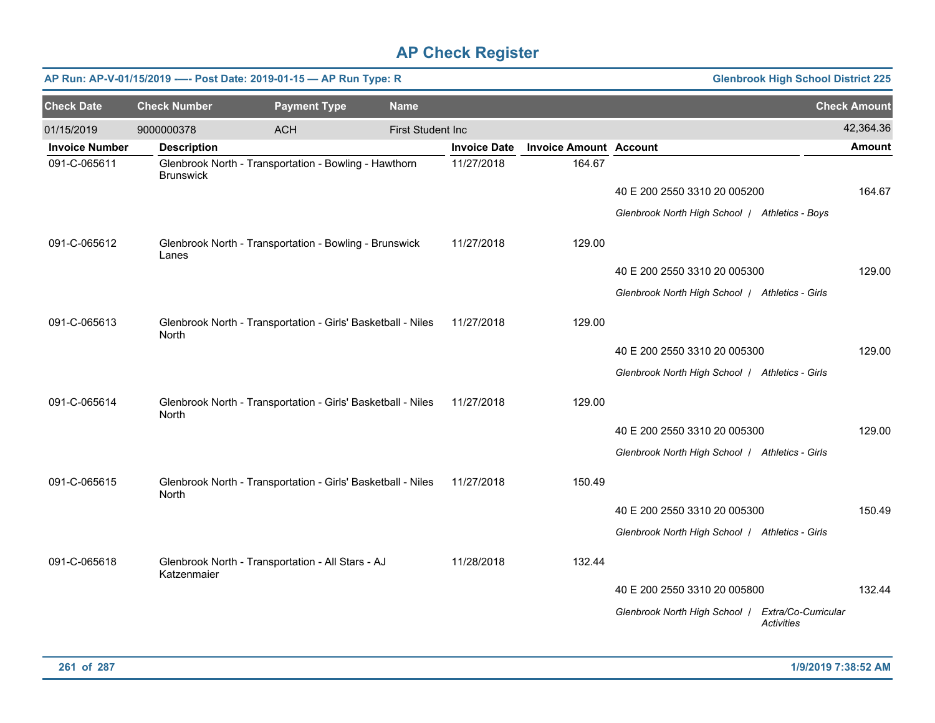|                       |                     | AP Run: AP-V-01/15/2019 ---- Post Date: 2019-01-15 - AP Run Type: R |                   |                     |                               | <b>Glenbrook High School District 225</b>                              |                     |
|-----------------------|---------------------|---------------------------------------------------------------------|-------------------|---------------------|-------------------------------|------------------------------------------------------------------------|---------------------|
| <b>Check Date</b>     | <b>Check Number</b> | <b>Payment Type</b>                                                 | <b>Name</b>       |                     |                               |                                                                        | <b>Check Amount</b> |
| 01/15/2019            | 9000000378          | <b>ACH</b>                                                          | First Student Inc |                     |                               |                                                                        | 42,364.36           |
| <b>Invoice Number</b> | <b>Description</b>  |                                                                     |                   | <b>Invoice Date</b> | <b>Invoice Amount Account</b> |                                                                        | <b>Amount</b>       |
| 091-C-065611          | <b>Brunswick</b>    | Glenbrook North - Transportation - Bowling - Hawthorn               |                   | 11/27/2018          | 164.67                        |                                                                        |                     |
|                       |                     |                                                                     |                   |                     |                               | 40 E 200 2550 3310 20 005200                                           | 164.67              |
|                       |                     |                                                                     |                   |                     |                               | Glenbrook North High School   Athletics - Boys                         |                     |
| 091-C-065612          | Lanes               | Glenbrook North - Transportation - Bowling - Brunswick              |                   | 11/27/2018          | 129.00                        |                                                                        |                     |
|                       |                     |                                                                     |                   |                     |                               | 40 E 200 2550 3310 20 005300                                           | 129.00              |
|                       |                     |                                                                     |                   |                     |                               | Glenbrook North High School   Athletics - Girls                        |                     |
| 091-C-065613          | North               | Glenbrook North - Transportation - Girls' Basketball - Niles        |                   | 11/27/2018          | 129.00                        |                                                                        |                     |
|                       |                     |                                                                     |                   |                     |                               | 40 E 200 2550 3310 20 005300                                           | 129.00              |
|                       |                     |                                                                     |                   |                     |                               | Glenbrook North High School / Athletics - Girls                        |                     |
| 091-C-065614          | <b>North</b>        | Glenbrook North - Transportation - Girls' Basketball - Niles        |                   | 11/27/2018          | 129.00                        |                                                                        |                     |
|                       |                     |                                                                     |                   |                     |                               | 40 E 200 2550 3310 20 005300                                           | 129.00              |
|                       |                     |                                                                     |                   |                     |                               | Glenbrook North High School / Athletics - Girls                        |                     |
|                       |                     |                                                                     |                   |                     |                               |                                                                        |                     |
| 091-C-065615          | North               | Glenbrook North - Transportation - Girls' Basketball - Niles        |                   | 11/27/2018          | 150.49                        |                                                                        |                     |
|                       |                     |                                                                     |                   |                     |                               | 40 E 200 2550 3310 20 005300                                           | 150.49              |
|                       |                     |                                                                     |                   |                     |                               | Glenbrook North High School   Athletics - Girls                        |                     |
|                       |                     |                                                                     |                   |                     |                               |                                                                        |                     |
| 091-C-065618          | Katzenmaier         | Glenbrook North - Transportation - All Stars - AJ                   |                   | 11/28/2018          | 132.44                        |                                                                        |                     |
|                       |                     |                                                                     |                   |                     |                               | 40 E 200 2550 3310 20 005800                                           | 132.44              |
|                       |                     |                                                                     |                   |                     |                               | Glenbrook North High School   Extra/Co-Curricular<br><b>Activities</b> |                     |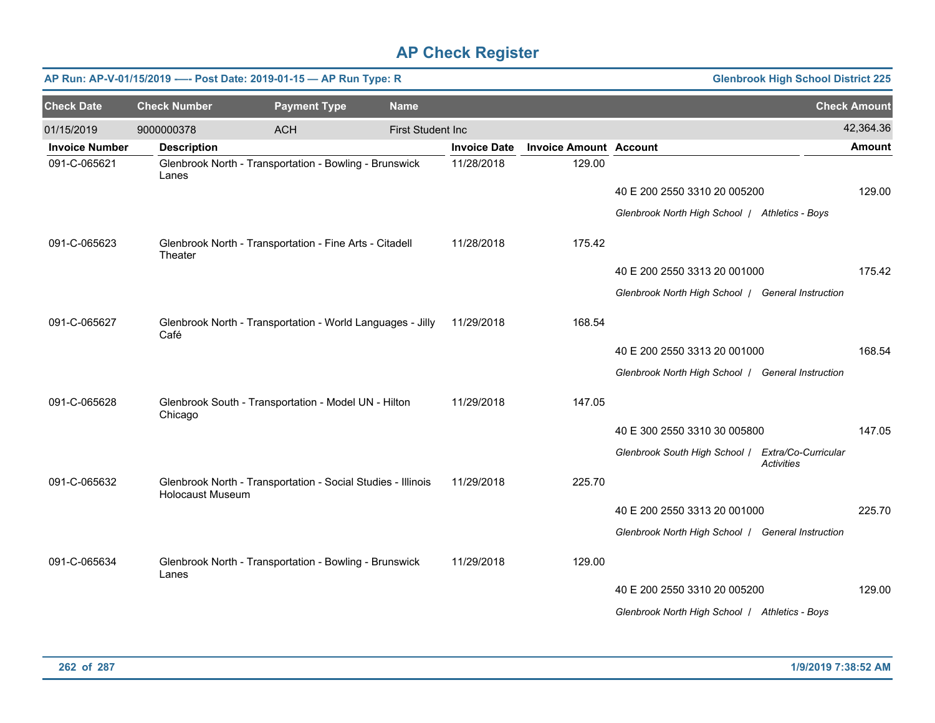|                       |                         | AP Run: AP-V-01/15/2019 ---- Post Date: 2019-01-15 - AP Run Type: R |                          |                     |                               | <b>Glenbrook High School District 225</b>         |                   |                     |
|-----------------------|-------------------------|---------------------------------------------------------------------|--------------------------|---------------------|-------------------------------|---------------------------------------------------|-------------------|---------------------|
| <b>Check Date</b>     | <b>Check Number</b>     | <b>Payment Type</b>                                                 | <b>Name</b>              |                     |                               |                                                   |                   | <b>Check Amount</b> |
| 01/15/2019            | 9000000378              | <b>ACH</b>                                                          | <b>First Student Inc</b> |                     |                               |                                                   |                   | 42,364.36           |
| <b>Invoice Number</b> | <b>Description</b>      |                                                                     |                          | <b>Invoice Date</b> | <b>Invoice Amount Account</b> |                                                   |                   | <b>Amount</b>       |
| 091-C-065621          | Lanes                   | Glenbrook North - Transportation - Bowling - Brunswick              |                          | 11/28/2018          | 129.00                        |                                                   |                   |                     |
|                       |                         |                                                                     |                          |                     |                               | 40 E 200 2550 3310 20 005200                      |                   | 129.00              |
|                       |                         |                                                                     |                          |                     |                               | Glenbrook North High School / Athletics - Boys    |                   |                     |
| 091-C-065623          | Theater                 | Glenbrook North - Transportation - Fine Arts - Citadell             |                          | 11/28/2018          | 175.42                        |                                                   |                   |                     |
|                       |                         |                                                                     |                          |                     |                               | 40 E 200 2550 3313 20 001000                      |                   | 175.42              |
|                       |                         |                                                                     |                          |                     |                               | Glenbrook North High School   General Instruction |                   |                     |
| 091-C-065627          | Café                    | Glenbrook North - Transportation - World Languages - Jilly          |                          | 11/29/2018          | 168.54                        |                                                   |                   |                     |
|                       |                         |                                                                     |                          |                     |                               | 40 E 200 2550 3313 20 001000                      |                   | 168.54              |
|                       |                         |                                                                     |                          |                     |                               | Glenbrook North High School   General Instruction |                   |                     |
| 091-C-065628          | Chicago                 | Glenbrook South - Transportation - Model UN - Hilton                |                          | 11/29/2018          | 147.05                        |                                                   |                   |                     |
|                       |                         |                                                                     |                          |                     |                               | 40 E 300 2550 3310 30 005800                      |                   | 147.05              |
|                       |                         |                                                                     |                          |                     |                               | Glenbrook South High School   Extra/Co-Curricular | <b>Activities</b> |                     |
| 091-C-065632          | <b>Holocaust Museum</b> | Glenbrook North - Transportation - Social Studies - Illinois        |                          | 11/29/2018          | 225.70                        |                                                   |                   |                     |
|                       |                         |                                                                     |                          |                     |                               | 40 E 200 2550 3313 20 001000                      |                   | 225.70              |
|                       |                         |                                                                     |                          |                     |                               | Glenbrook North High School   General Instruction |                   |                     |
| 091-C-065634          | Lanes                   | Glenbrook North - Transportation - Bowling - Brunswick              |                          | 11/29/2018          | 129.00                        |                                                   |                   |                     |
|                       |                         |                                                                     |                          |                     |                               | 40 E 200 2550 3310 20 005200                      |                   | 129.00              |
|                       |                         |                                                                     |                          |                     |                               | Glenbrook North High School   Athletics - Boys    |                   |                     |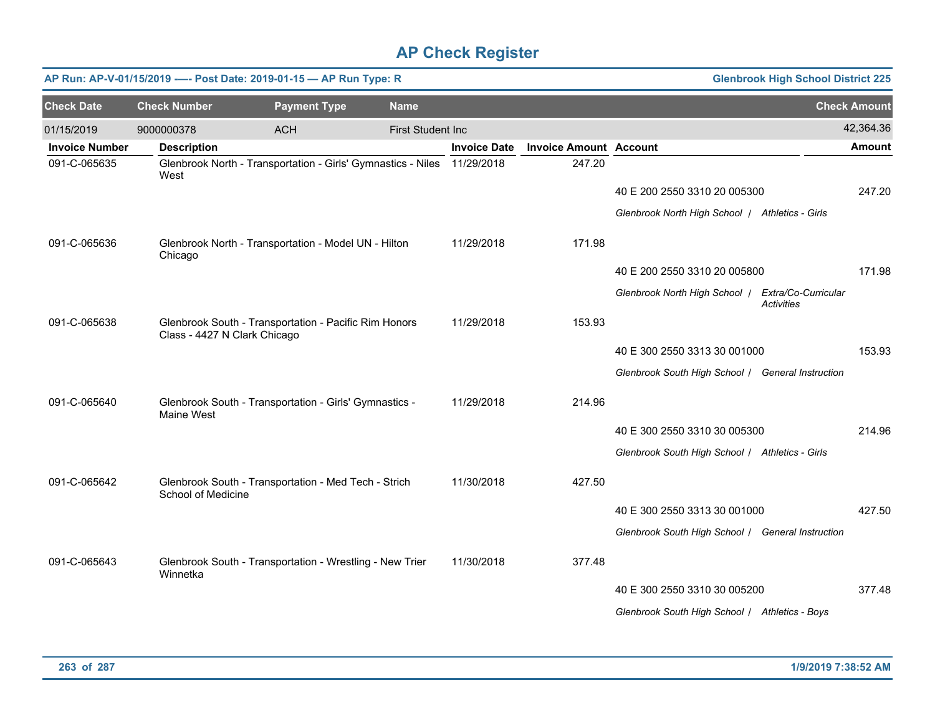|                       | AP Run: AP-V-01/15/2019 ---- Post Date: 2019-01-15 - AP Run Type: R<br><b>Glenbrook High School District 225</b> |                                                                         |                           |                     |                               |                                                   |                   |                     |  |  |  |
|-----------------------|------------------------------------------------------------------------------------------------------------------|-------------------------------------------------------------------------|---------------------------|---------------------|-------------------------------|---------------------------------------------------|-------------------|---------------------|--|--|--|
| <b>Check Date</b>     | <b>Check Number</b>                                                                                              | <b>Payment Type</b>                                                     | <b>Name</b>               |                     |                               |                                                   |                   | <b>Check Amount</b> |  |  |  |
| 01/15/2019            | 9000000378                                                                                                       | <b>ACH</b>                                                              | <b>First Student Inc.</b> |                     |                               |                                                   |                   | 42,364.36           |  |  |  |
| <b>Invoice Number</b> | <b>Description</b>                                                                                               |                                                                         |                           | <b>Invoice Date</b> | <b>Invoice Amount Account</b> |                                                   |                   | <b>Amount</b>       |  |  |  |
| 091-C-065635          | West                                                                                                             | Glenbrook North - Transportation - Girls' Gymnastics - Niles 11/29/2018 |                           |                     | 247.20                        |                                                   |                   |                     |  |  |  |
|                       |                                                                                                                  |                                                                         |                           |                     |                               | 40 E 200 2550 3310 20 005300                      |                   | 247.20              |  |  |  |
|                       |                                                                                                                  |                                                                         |                           |                     |                               | Glenbrook North High School   Athletics - Girls   |                   |                     |  |  |  |
| 091-C-065636          | Chicago                                                                                                          | Glenbrook North - Transportation - Model UN - Hilton                    |                           | 11/29/2018          | 171.98                        |                                                   |                   |                     |  |  |  |
|                       |                                                                                                                  |                                                                         |                           |                     |                               | 40 E 200 2550 3310 20 005800                      |                   | 171.98              |  |  |  |
|                       |                                                                                                                  |                                                                         |                           |                     |                               | Glenbrook North High School   Extra/Co-Curricular | <b>Activities</b> |                     |  |  |  |
| 091-C-065638          | Class - 4427 N Clark Chicago                                                                                     | Glenbrook South - Transportation - Pacific Rim Honors                   |                           | 11/29/2018          | 153.93                        |                                                   |                   |                     |  |  |  |
|                       |                                                                                                                  |                                                                         |                           |                     |                               | 40 E 300 2550 3313 30 001000                      |                   | 153.93              |  |  |  |
|                       |                                                                                                                  |                                                                         |                           |                     |                               | Glenbrook South High School / General Instruction |                   |                     |  |  |  |
| 091-C-065640          | Maine West                                                                                                       | Glenbrook South - Transportation - Girls' Gymnastics -                  |                           | 11/29/2018          | 214.96                        |                                                   |                   |                     |  |  |  |
|                       |                                                                                                                  |                                                                         |                           |                     |                               | 40 E 300 2550 3310 30 005300                      |                   | 214.96              |  |  |  |
|                       |                                                                                                                  |                                                                         |                           |                     |                               | Glenbrook South High School / Athletics - Girls   |                   |                     |  |  |  |
| 091-C-065642          | School of Medicine                                                                                               | Glenbrook South - Transportation - Med Tech - Strich                    |                           | 11/30/2018          | 427.50                        |                                                   |                   |                     |  |  |  |
|                       |                                                                                                                  |                                                                         |                           |                     |                               | 40 E 300 2550 3313 30 001000                      |                   | 427.50              |  |  |  |
|                       |                                                                                                                  |                                                                         |                           |                     |                               | Glenbrook South High School / General Instruction |                   |                     |  |  |  |
| 091-C-065643          | Winnetka                                                                                                         | Glenbrook South - Transportation - Wrestling - New Trier                |                           | 11/30/2018          | 377.48                        |                                                   |                   |                     |  |  |  |
|                       |                                                                                                                  |                                                                         |                           |                     |                               | 40 E 300 2550 3310 30 005200                      |                   | 377.48              |  |  |  |
|                       |                                                                                                                  |                                                                         |                           |                     |                               | Glenbrook South High School / Athletics - Boys    |                   |                     |  |  |  |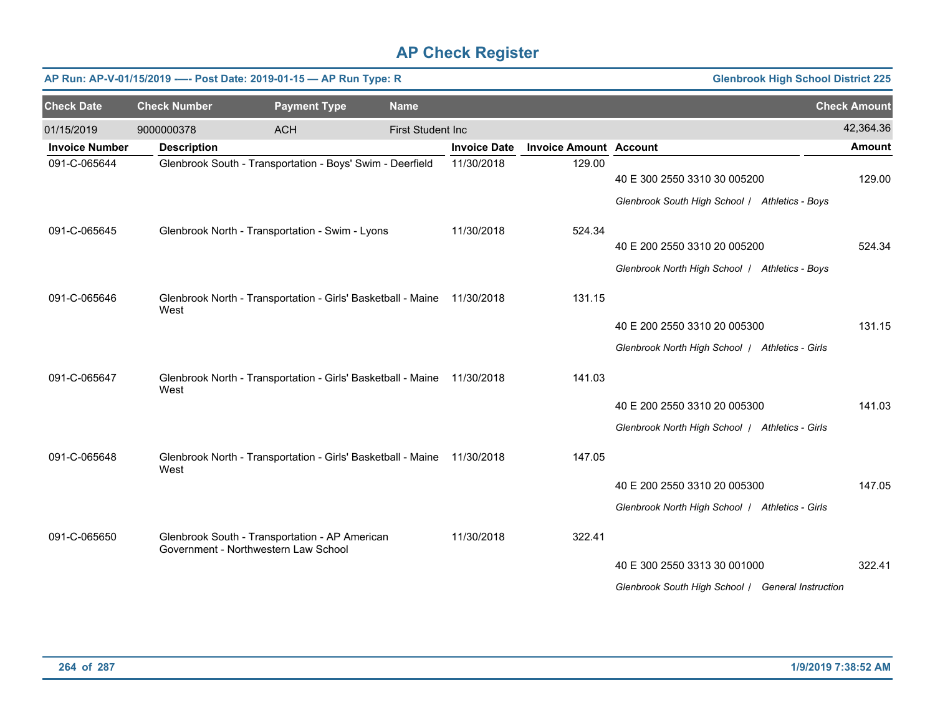|                       |                     | AP Run: AP-V-01/15/2019 ---- Post Date: 2019-01-15 - AP Run Type: R                    |                          |                     | <b>Glenbrook High School District 225</b> |                                                   |                     |  |
|-----------------------|---------------------|----------------------------------------------------------------------------------------|--------------------------|---------------------|-------------------------------------------|---------------------------------------------------|---------------------|--|
| <b>Check Date</b>     | <b>Check Number</b> | <b>Payment Type</b>                                                                    | <b>Name</b>              |                     |                                           |                                                   | <b>Check Amount</b> |  |
| 01/15/2019            | 9000000378          | <b>ACH</b>                                                                             | <b>First Student Inc</b> |                     |                                           |                                                   | 42,364.36           |  |
| <b>Invoice Number</b> | <b>Description</b>  |                                                                                        |                          | <b>Invoice Date</b> | <b>Invoice Amount Account</b>             |                                                   | <b>Amount</b>       |  |
| 091-C-065644          |                     | Glenbrook South - Transportation - Boys' Swim - Deerfield                              |                          | 11/30/2018          | 129.00                                    | 40 E 300 2550 3310 30 005200                      | 129.00              |  |
|                       |                     |                                                                                        |                          |                     |                                           | Glenbrook South High School / Athletics - Boys    |                     |  |
| 091-C-065645          |                     | Glenbrook North - Transportation - Swim - Lyons                                        |                          | 11/30/2018          | 524.34                                    |                                                   |                     |  |
|                       |                     |                                                                                        |                          |                     |                                           | 40 E 200 2550 3310 20 005200                      | 524.34              |  |
|                       |                     |                                                                                        |                          |                     |                                           | Glenbrook North High School   Athletics - Boys    |                     |  |
| 091-C-065646          | West                | Glenbrook North - Transportation - Girls' Basketball - Maine                           |                          | 11/30/2018          | 131.15                                    |                                                   |                     |  |
|                       |                     |                                                                                        |                          |                     |                                           | 40 E 200 2550 3310 20 005300                      | 131.15              |  |
|                       |                     |                                                                                        |                          |                     |                                           | Glenbrook North High School   Athletics - Girls   |                     |  |
| 091-C-065647          | West                | Glenbrook North - Transportation - Girls' Basketball - Maine 11/30/2018                |                          |                     | 141.03                                    |                                                   |                     |  |
|                       |                     |                                                                                        |                          |                     |                                           | 40 E 200 2550 3310 20 005300                      | 141.03              |  |
|                       |                     |                                                                                        |                          |                     |                                           | Glenbrook North High School   Athletics - Girls   |                     |  |
| 091-C-065648          | West                | Glenbrook North - Transportation - Girls' Basketball - Maine 11/30/2018                |                          |                     | 147.05                                    |                                                   |                     |  |
|                       |                     |                                                                                        |                          |                     |                                           | 40 E 200 2550 3310 20 005300                      | 147.05              |  |
|                       |                     |                                                                                        |                          |                     |                                           | Glenbrook North High School   Athletics - Girls   |                     |  |
| 091-C-065650          |                     | Glenbrook South - Transportation - AP American<br>Government - Northwestern Law School |                          | 11/30/2018          | 322.41                                    |                                                   |                     |  |
|                       |                     |                                                                                        |                          |                     |                                           | 40 E 300 2550 3313 30 001000                      | 322.41              |  |
|                       |                     |                                                                                        |                          |                     |                                           | Glenbrook South High School / General Instruction |                     |  |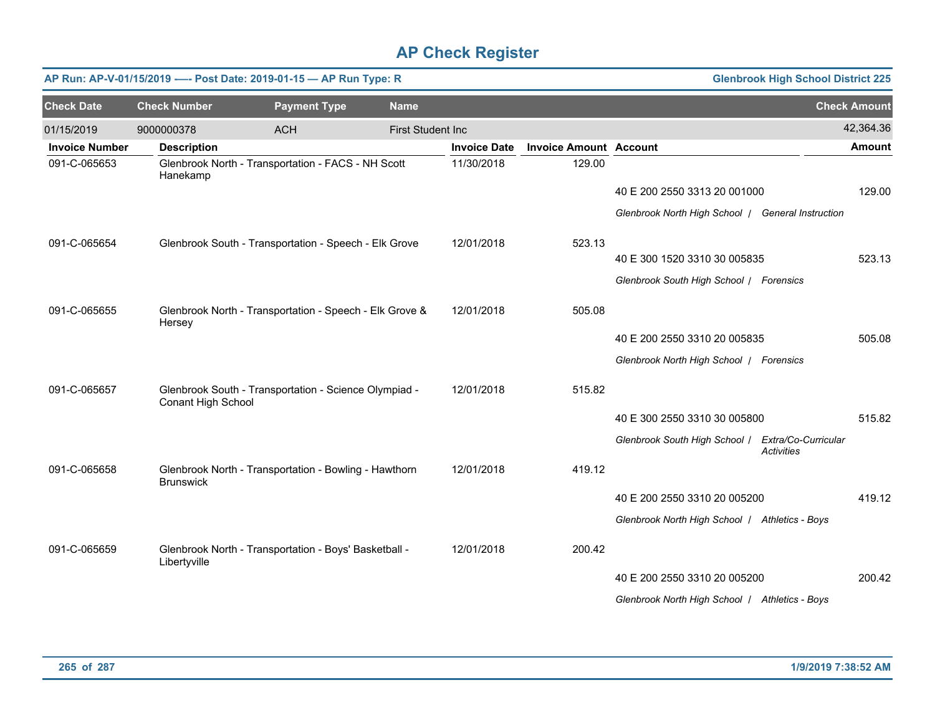|                       |                     | AP Run: AP-V-01/15/2019 ---- Post Date: 2019-01-15 - AP Run Type: R |                          |                     | <b>Glenbrook High School District 225</b> |                                                   |                                          |                     |
|-----------------------|---------------------|---------------------------------------------------------------------|--------------------------|---------------------|-------------------------------------------|---------------------------------------------------|------------------------------------------|---------------------|
| <b>Check Date</b>     | <b>Check Number</b> | <b>Payment Type</b>                                                 | <b>Name</b>              |                     |                                           |                                                   |                                          | <b>Check Amount</b> |
| 01/15/2019            | 9000000378          | <b>ACH</b>                                                          | <b>First Student Inc</b> |                     |                                           |                                                   |                                          | 42,364.36           |
| <b>Invoice Number</b> | <b>Description</b>  |                                                                     |                          | <b>Invoice Date</b> | <b>Invoice Amount Account</b>             |                                                   |                                          | <b>Amount</b>       |
| 091-C-065653          | Hanekamp            | Glenbrook North - Transportation - FACS - NH Scott                  |                          | 11/30/2018          | 129.00                                    |                                                   |                                          |                     |
|                       |                     |                                                                     |                          |                     |                                           | 40 E 200 2550 3313 20 001000                      |                                          | 129.00              |
|                       |                     |                                                                     |                          |                     |                                           | Glenbrook North High School   General Instruction |                                          |                     |
| 091-C-065654          |                     | Glenbrook South - Transportation - Speech - Elk Grove               |                          | 12/01/2018          | 523.13                                    |                                                   |                                          |                     |
|                       |                     |                                                                     |                          |                     |                                           | 40 E 300 1520 3310 30 005835                      |                                          | 523.13              |
|                       |                     |                                                                     |                          |                     |                                           | Glenbrook South High School / Forensics           |                                          |                     |
| 091-C-065655          | Hersey              | Glenbrook North - Transportation - Speech - Elk Grove &             |                          | 12/01/2018          | 505.08                                    |                                                   |                                          |                     |
|                       |                     |                                                                     |                          |                     |                                           | 40 E 200 2550 3310 20 005835                      |                                          | 505.08              |
|                       |                     |                                                                     |                          |                     |                                           | Glenbrook North High School   Forensics           |                                          |                     |
| 091-C-065657          | Conant High School  | Glenbrook South - Transportation - Science Olympiad -               |                          | 12/01/2018          | 515.82                                    |                                                   |                                          |                     |
|                       |                     |                                                                     |                          |                     |                                           | 40 E 300 2550 3310 30 005800                      |                                          | 515.82              |
|                       |                     |                                                                     |                          |                     |                                           | Glenbrook South High School /                     | Extra/Co-Curricular<br><b>Activities</b> |                     |
| 091-C-065658          | <b>Brunswick</b>    | Glenbrook North - Transportation - Bowling - Hawthorn               |                          | 12/01/2018          | 419.12                                    |                                                   |                                          |                     |
|                       |                     |                                                                     |                          |                     |                                           | 40 E 200 2550 3310 20 005200                      |                                          | 419.12              |
|                       |                     |                                                                     |                          |                     |                                           | Glenbrook North High School   Athletics - Boys    |                                          |                     |
| 091-C-065659          | Libertyville        | Glenbrook North - Transportation - Boys' Basketball -               |                          | 12/01/2018          | 200.42                                    |                                                   |                                          |                     |
|                       |                     |                                                                     |                          |                     |                                           | 40 E 200 2550 3310 20 005200                      |                                          | 200.42              |
|                       |                     |                                                                     |                          |                     |                                           | Glenbrook North High School / Athletics - Boys    |                                          |                     |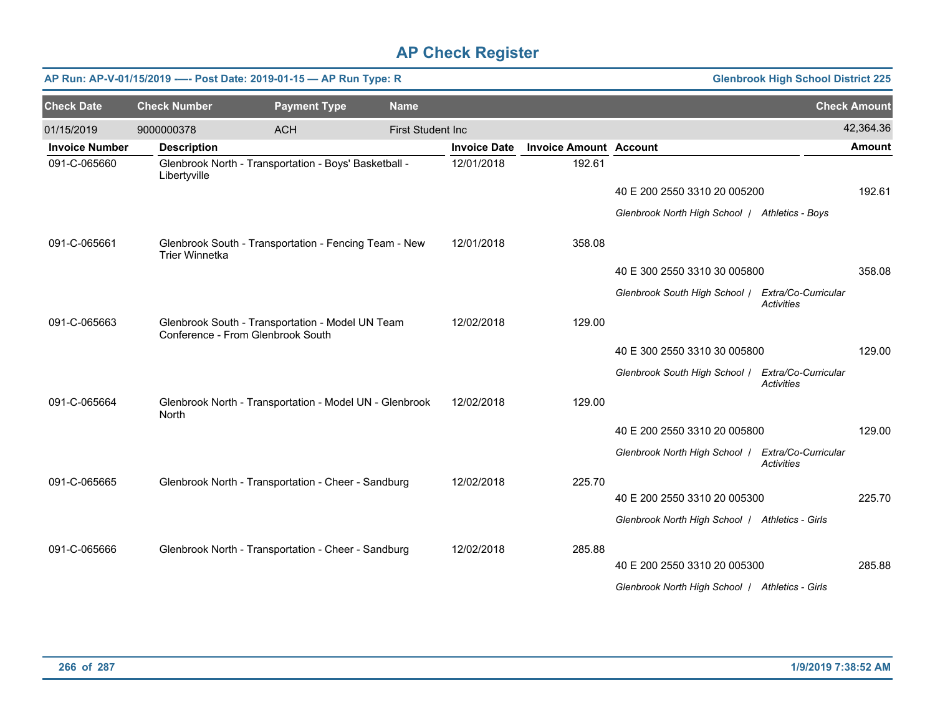|                       |                     | AP Run: AP-V-01/15/2019 ---- Post Date: 2019-01-15 - AP Run Type: R                   |                          |                     |                               | <b>Glenbrook High School District 225</b>         |                                          |                     |
|-----------------------|---------------------|---------------------------------------------------------------------------------------|--------------------------|---------------------|-------------------------------|---------------------------------------------------|------------------------------------------|---------------------|
| <b>Check Date</b>     | <b>Check Number</b> | <b>Payment Type</b>                                                                   | <b>Name</b>              |                     |                               |                                                   |                                          | <b>Check Amount</b> |
| 01/15/2019            | 9000000378          | <b>ACH</b>                                                                            | <b>First Student Inc</b> |                     |                               |                                                   |                                          | 42,364.36           |
| <b>Invoice Number</b> | <b>Description</b>  |                                                                                       |                          | <b>Invoice Date</b> | <b>Invoice Amount Account</b> |                                                   |                                          | <b>Amount</b>       |
| 091-C-065660          | Libertyville        | Glenbrook North - Transportation - Boys' Basketball -                                 |                          | 12/01/2018          | 192.61                        |                                                   |                                          |                     |
|                       |                     |                                                                                       |                          |                     |                               | 40 E 200 2550 3310 20 005200                      |                                          | 192.61              |
|                       |                     |                                                                                       |                          |                     |                               | Glenbrook North High School   Athletics - Boys    |                                          |                     |
| 091-C-065661          | Trier Winnetka      | Glenbrook South - Transportation - Fencing Team - New                                 |                          | 12/01/2018          | 358.08                        |                                                   |                                          |                     |
|                       |                     |                                                                                       |                          |                     |                               | 40 E 300 2550 3310 30 005800                      |                                          | 358.08              |
|                       |                     |                                                                                       |                          |                     |                               | Glenbrook South High School / Extra/Co-Curricular | <b>Activities</b>                        |                     |
| 091-C-065663          |                     | Glenbrook South - Transportation - Model UN Team<br>Conference - From Glenbrook South |                          | 12/02/2018          | 129.00                        |                                                   |                                          |                     |
|                       |                     |                                                                                       |                          |                     |                               | 40 E 300 2550 3310 30 005800                      |                                          | 129.00              |
|                       |                     |                                                                                       |                          |                     |                               | Glenbrook South High School / Extra/Co-Curricular | <b>Activities</b>                        |                     |
| 091-C-065664          | North               | Glenbrook North - Transportation - Model UN - Glenbrook                               |                          | 12/02/2018          | 129.00                        |                                                   |                                          |                     |
|                       |                     |                                                                                       |                          |                     |                               | 40 E 200 2550 3310 20 005800                      |                                          | 129.00              |
|                       |                     |                                                                                       |                          |                     |                               | Glenbrook North High School /                     | Extra/Co-Curricular<br><b>Activities</b> |                     |
| 091-C-065665          |                     | Glenbrook North - Transportation - Cheer - Sandburg                                   |                          | 12/02/2018          | 225.70                        |                                                   |                                          |                     |
|                       |                     |                                                                                       |                          |                     |                               | 40 E 200 2550 3310 20 005300                      |                                          | 225.70              |
|                       |                     |                                                                                       |                          |                     |                               | Glenbrook North High School   Athletics - Girls   |                                          |                     |
| 091-C-065666          |                     | Glenbrook North - Transportation - Cheer - Sandburg                                   |                          | 12/02/2018          | 285.88                        |                                                   |                                          |                     |
|                       |                     |                                                                                       |                          |                     |                               | 40 E 200 2550 3310 20 005300                      |                                          | 285.88              |
|                       |                     |                                                                                       |                          |                     |                               | Glenbrook North High School   Athletics - Girls   |                                          |                     |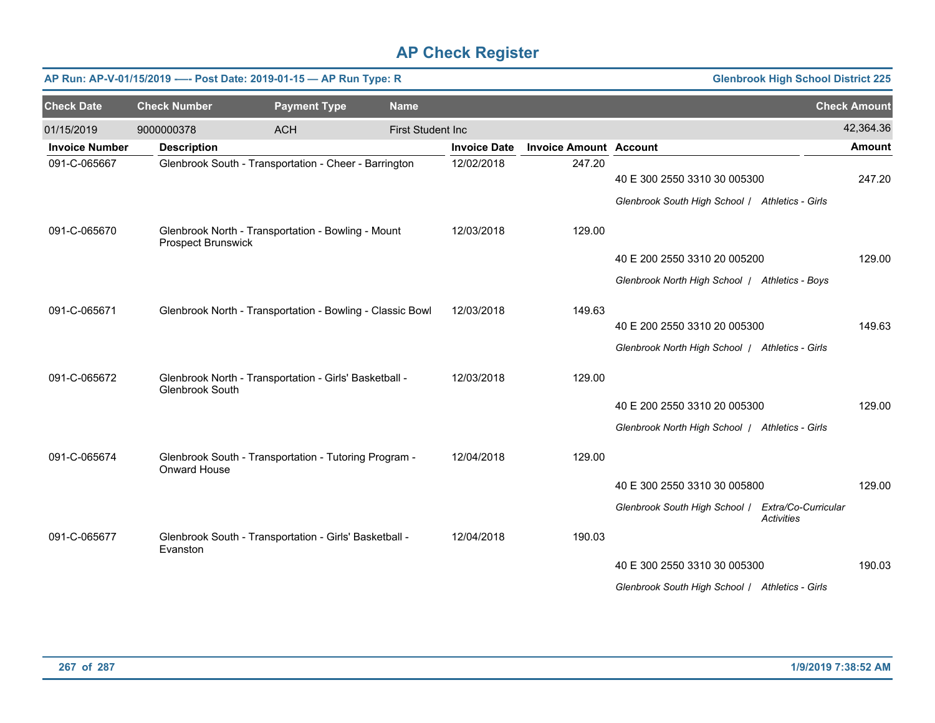|                       |                     | AP Run: AP-V-01/15/2019 ---- Post Date: 2019-01-15 - AP Run Type: R | <b>Glenbrook High School District 225</b> |                     |                               |                                                   |                     |               |
|-----------------------|---------------------|---------------------------------------------------------------------|-------------------------------------------|---------------------|-------------------------------|---------------------------------------------------|---------------------|---------------|
| <b>Check Date</b>     | <b>Check Number</b> | <b>Payment Type</b>                                                 | <b>Name</b>                               |                     |                               |                                                   | <b>Check Amount</b> |               |
| 01/15/2019            | 9000000378          | <b>ACH</b>                                                          | <b>First Student Inc</b>                  |                     |                               |                                                   |                     | 42,364.36     |
| <b>Invoice Number</b> | <b>Description</b>  |                                                                     |                                           | <b>Invoice Date</b> | <b>Invoice Amount Account</b> |                                                   |                     | <b>Amount</b> |
| 091-C-065667          |                     | Glenbrook South - Transportation - Cheer - Barrington               |                                           | 12/02/2018          | 247.20                        | 40 E 300 2550 3310 30 005300                      |                     | 247.20        |
|                       |                     |                                                                     |                                           |                     |                               | Glenbrook South High School / Athletics - Girls   |                     |               |
| 091-C-065670          | Prospect Brunswick  | Glenbrook North - Transportation - Bowling - Mount                  |                                           | 12/03/2018          | 129.00                        |                                                   |                     |               |
|                       |                     |                                                                     |                                           |                     |                               | 40 E 200 2550 3310 20 005200                      |                     | 129.00        |
|                       |                     |                                                                     |                                           |                     |                               | Glenbrook North High School / Athletics - Boys    |                     |               |
| 091-C-065671          |                     | Glenbrook North - Transportation - Bowling - Classic Bowl           |                                           | 12/03/2018          | 149.63                        |                                                   |                     |               |
|                       |                     |                                                                     |                                           |                     |                               | 40 E 200 2550 3310 20 005300                      |                     | 149.63        |
|                       |                     |                                                                     |                                           |                     |                               | Glenbrook North High School   Athletics - Girls   |                     |               |
|                       |                     |                                                                     |                                           |                     |                               |                                                   |                     |               |
| 091-C-065672          | Glenbrook South     | Glenbrook North - Transportation - Girls' Basketball -              |                                           | 12/03/2018          | 129.00                        |                                                   |                     |               |
|                       |                     |                                                                     |                                           |                     |                               | 40 E 200 2550 3310 20 005300                      |                     | 129.00        |
|                       |                     |                                                                     |                                           |                     |                               | Glenbrook North High School   Athletics - Girls   |                     |               |
| 091-C-065674          | Onward House        | Glenbrook South - Transportation - Tutoring Program -               |                                           | 12/04/2018          | 129.00                        |                                                   |                     |               |
|                       |                     |                                                                     |                                           |                     |                               | 40 E 300 2550 3310 30 005800                      |                     | 129.00        |
|                       |                     |                                                                     |                                           |                     |                               | Glenbrook South High School / Extra/Co-Curricular | <b>Activities</b>   |               |
| 091-C-065677          | Evanston            | Glenbrook South - Transportation - Girls' Basketball -              |                                           | 12/04/2018          | 190.03                        |                                                   |                     |               |
|                       |                     |                                                                     |                                           |                     |                               | 40 E 300 2550 3310 30 005300                      |                     | 190.03        |
|                       |                     |                                                                     |                                           |                     |                               | Glenbrook South High School / Athletics - Girls   |                     |               |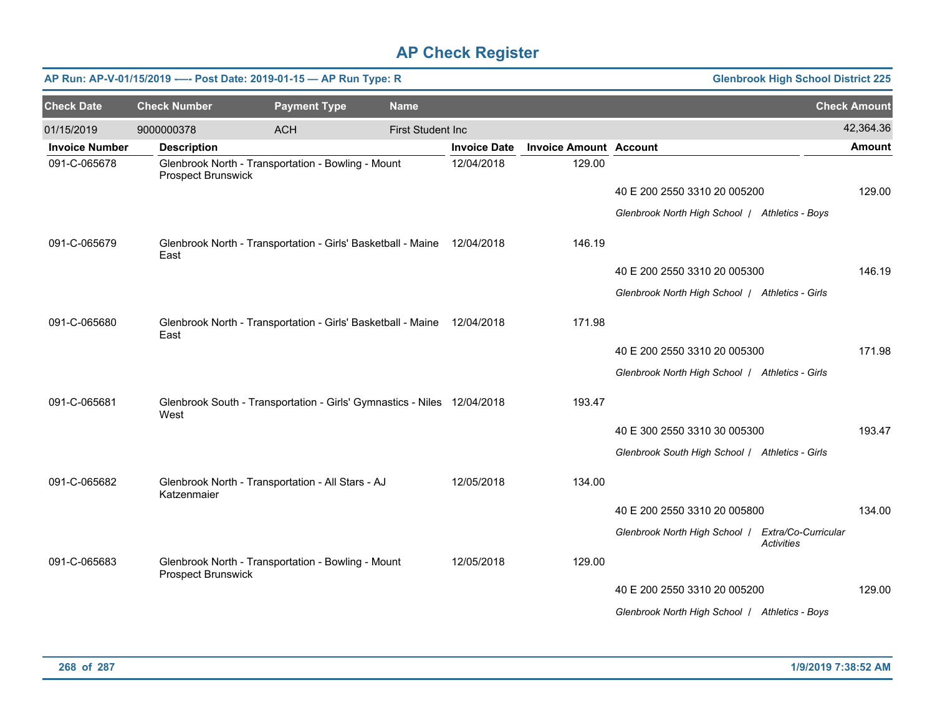|                       | AP Run: AP-V-01/15/2019 ---- Post Date: 2019-01-15 - AP Run Type: R<br><b>Glenbrook High School District 225</b> |                                                                         |                          |                     |                               |                                                                        |                     |  |  |  |  |
|-----------------------|------------------------------------------------------------------------------------------------------------------|-------------------------------------------------------------------------|--------------------------|---------------------|-------------------------------|------------------------------------------------------------------------|---------------------|--|--|--|--|
| <b>Check Date</b>     | <b>Check Number</b>                                                                                              | <b>Payment Type</b>                                                     | <b>Name</b>              |                     |                               |                                                                        | <b>Check Amount</b> |  |  |  |  |
| 01/15/2019            | 9000000378                                                                                                       | <b>ACH</b>                                                              | <b>First Student Inc</b> |                     |                               |                                                                        | 42,364.36           |  |  |  |  |
| <b>Invoice Number</b> | <b>Description</b>                                                                                               |                                                                         |                          | <b>Invoice Date</b> | <b>Invoice Amount Account</b> |                                                                        | <b>Amount</b>       |  |  |  |  |
| 091-C-065678          | Prospect Brunswick                                                                                               | Glenbrook North - Transportation - Bowling - Mount                      |                          | 12/04/2018          | 129.00                        |                                                                        |                     |  |  |  |  |
|                       |                                                                                                                  |                                                                         |                          |                     |                               | 40 E 200 2550 3310 20 005200                                           | 129.00              |  |  |  |  |
|                       |                                                                                                                  |                                                                         |                          |                     |                               | Glenbrook North High School   Athletics - Boys                         |                     |  |  |  |  |
| 091-C-065679          | East                                                                                                             | Glenbrook North - Transportation - Girls' Basketball - Maine 12/04/2018 |                          |                     | 146.19                        |                                                                        |                     |  |  |  |  |
|                       |                                                                                                                  |                                                                         |                          |                     |                               | 40 E 200 2550 3310 20 005300                                           | 146.19              |  |  |  |  |
|                       |                                                                                                                  |                                                                         |                          |                     |                               | Glenbrook North High School   Athletics - Girls                        |                     |  |  |  |  |
| 091-C-065680          | East                                                                                                             | Glenbrook North - Transportation - Girls' Basketball - Maine 12/04/2018 |                          |                     | 171.98                        |                                                                        |                     |  |  |  |  |
|                       |                                                                                                                  |                                                                         |                          |                     |                               | 40 E 200 2550 3310 20 005300                                           | 171.98              |  |  |  |  |
|                       |                                                                                                                  |                                                                         |                          |                     |                               | Glenbrook North High School   Athletics - Girls                        |                     |  |  |  |  |
| 091-C-065681          | West                                                                                                             | Glenbrook South - Transportation - Girls' Gymnastics - Niles 12/04/2018 |                          |                     | 193.47                        |                                                                        |                     |  |  |  |  |
|                       |                                                                                                                  |                                                                         |                          |                     |                               | 40 E 300 2550 3310 30 005300                                           | 193.47              |  |  |  |  |
|                       |                                                                                                                  |                                                                         |                          |                     |                               | Glenbrook South High School / Athletics - Girls                        |                     |  |  |  |  |
| 091-C-065682          | Katzenmaier                                                                                                      | Glenbrook North - Transportation - All Stars - AJ                       |                          | 12/05/2018          | 134.00                        |                                                                        |                     |  |  |  |  |
|                       |                                                                                                                  |                                                                         |                          |                     |                               | 40 E 200 2550 3310 20 005800                                           | 134.00              |  |  |  |  |
|                       |                                                                                                                  |                                                                         |                          |                     |                               | Glenbrook North High School   Extra/Co-Curricular<br><b>Activities</b> |                     |  |  |  |  |
| 091-C-065683          | Prospect Brunswick                                                                                               | Glenbrook North - Transportation - Bowling - Mount                      |                          | 12/05/2018          | 129.00                        |                                                                        |                     |  |  |  |  |
|                       |                                                                                                                  |                                                                         |                          |                     |                               | 40 E 200 2550 3310 20 005200                                           | 129.00              |  |  |  |  |
|                       |                                                                                                                  |                                                                         |                          |                     |                               | Glenbrook North High School   Athletics - Boys                         |                     |  |  |  |  |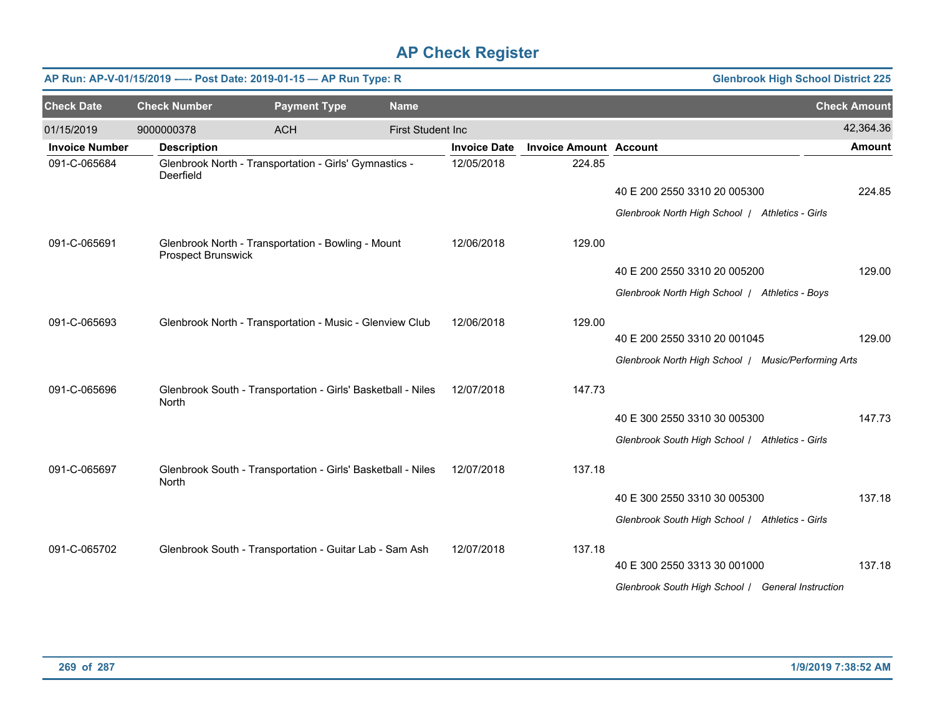|                       | AP Run: AP-V-01/15/2019 ---- Post Date: 2019-01-15 - AP Run Type: R |                                                              | <b>Glenbrook High School District 225</b> |                     |                               |                                                     |                     |
|-----------------------|---------------------------------------------------------------------|--------------------------------------------------------------|-------------------------------------------|---------------------|-------------------------------|-----------------------------------------------------|---------------------|
| <b>Check Date</b>     | <b>Check Number</b>                                                 | <b>Payment Type</b>                                          | <b>Name</b>                               |                     |                               |                                                     | <b>Check Amount</b> |
| 01/15/2019            | 9000000378                                                          | <b>ACH</b>                                                   | <b>First Student Inc</b>                  |                     |                               |                                                     | 42,364.36           |
| <b>Invoice Number</b> | <b>Description</b>                                                  |                                                              |                                           | <b>Invoice Date</b> | <b>Invoice Amount Account</b> |                                                     | <b>Amount</b>       |
| 091-C-065684          | Deerfield                                                           | Glenbrook North - Transportation - Girls' Gymnastics -       |                                           | 12/05/2018          | 224.85                        |                                                     |                     |
|                       |                                                                     |                                                              |                                           |                     |                               | 40 E 200 2550 3310 20 005300                        | 224.85              |
|                       |                                                                     |                                                              |                                           |                     |                               | Glenbrook North High School   Athletics - Girls     |                     |
| 091-C-065691          | <b>Prospect Brunswick</b>                                           | Glenbrook North - Transportation - Bowling - Mount           |                                           | 12/06/2018          | 129.00                        |                                                     |                     |
|                       |                                                                     |                                                              |                                           |                     |                               | 40 E 200 2550 3310 20 005200                        | 129.00              |
|                       |                                                                     |                                                              |                                           |                     |                               | Glenbrook North High School   Athletics - Boys      |                     |
| 091-C-065693          |                                                                     | Glenbrook North - Transportation - Music - Glenview Club     |                                           | 12/06/2018          | 129.00                        |                                                     |                     |
|                       |                                                                     |                                                              |                                           |                     |                               | 40 E 200 2550 3310 20 001045                        | 129.00              |
|                       |                                                                     |                                                              |                                           |                     |                               | Glenbrook North High School / Music/Performing Arts |                     |
| 091-C-065696          | North                                                               | Glenbrook South - Transportation - Girls' Basketball - Niles |                                           | 12/07/2018          | 147.73                        |                                                     |                     |
|                       |                                                                     |                                                              |                                           |                     |                               | 40 E 300 2550 3310 30 005300                        | 147.73              |
|                       |                                                                     |                                                              |                                           |                     |                               | Glenbrook South High School / Athletics - Girls     |                     |
| 091-C-065697          | North                                                               | Glenbrook South - Transportation - Girls' Basketball - Niles |                                           | 12/07/2018          | 137.18                        |                                                     |                     |
|                       |                                                                     |                                                              |                                           |                     |                               | 40 E 300 2550 3310 30 005300                        | 137.18              |
|                       |                                                                     |                                                              |                                           |                     |                               | Glenbrook South High School / Athletics - Girls     |                     |
| 091-C-065702          |                                                                     | Glenbrook South - Transportation - Guitar Lab - Sam Ash      |                                           | 12/07/2018          | 137.18                        |                                                     |                     |
|                       |                                                                     |                                                              |                                           |                     |                               | 40 E 300 2550 3313 30 001000                        | 137.18              |
|                       |                                                                     |                                                              |                                           |                     |                               | Glenbrook South High School / General Instruction   |                     |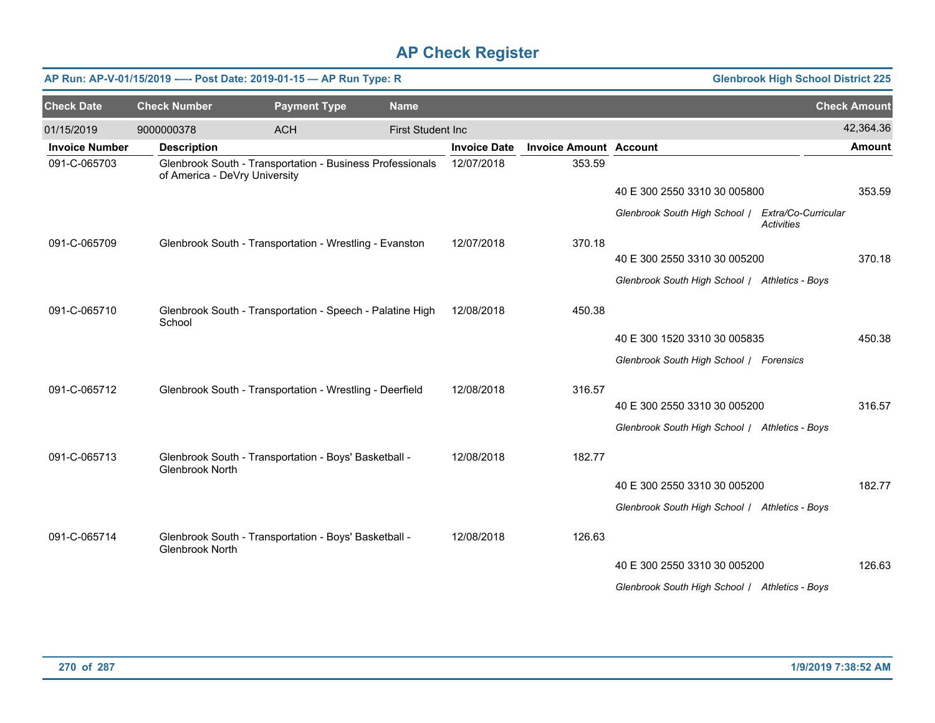|                       | AP Run: AP-V-01/15/2019 ---- Post Date: 2019-01-15 - AP Run Type: R |                                                       |                                                           |                     | <b>Glenbrook High School District 225</b> |                                                   |                   |                     |
|-----------------------|---------------------------------------------------------------------|-------------------------------------------------------|-----------------------------------------------------------|---------------------|-------------------------------------------|---------------------------------------------------|-------------------|---------------------|
| <b>Check Date</b>     | <b>Check Number</b>                                                 | <b>Payment Type</b>                                   | <b>Name</b>                                               |                     |                                           |                                                   |                   | <b>Check Amount</b> |
| 01/15/2019            | 9000000378                                                          | <b>ACH</b>                                            | <b>First Student Inc</b>                                  |                     |                                           |                                                   |                   | 42,364.36           |
| <b>Invoice Number</b> | <b>Description</b>                                                  |                                                       |                                                           | <b>Invoice Date</b> | <b>Invoice Amount Account</b>             |                                                   |                   | <b>Amount</b>       |
| 091-C-065703          | of America - DeVry University                                       |                                                       | Glenbrook South - Transportation - Business Professionals | 12/07/2018          | 353.59                                    |                                                   |                   |                     |
|                       |                                                                     |                                                       |                                                           |                     |                                           | 40 E 300 2550 3310 30 005800                      |                   | 353.59              |
|                       |                                                                     |                                                       |                                                           |                     |                                           | Glenbrook South High School / Extra/Co-Curricular | <b>Activities</b> |                     |
| 091-C-065709          |                                                                     |                                                       | Glenbrook South - Transportation - Wrestling - Evanston   | 12/07/2018          | 370.18                                    |                                                   |                   |                     |
|                       |                                                                     |                                                       |                                                           |                     |                                           | 40 E 300 2550 3310 30 005200                      |                   | 370.18              |
|                       |                                                                     |                                                       |                                                           |                     |                                           | Glenbrook South High School / Athletics - Boys    |                   |                     |
| 091-C-065710          | School                                                              |                                                       | Glenbrook South - Transportation - Speech - Palatine High | 12/08/2018          | 450.38                                    |                                                   |                   |                     |
|                       |                                                                     |                                                       |                                                           |                     |                                           | 40 E 300 1520 3310 30 005835                      |                   | 450.38              |
|                       |                                                                     |                                                       |                                                           |                     |                                           | Glenbrook South High School / Forensics           |                   |                     |
| 091-C-065712          |                                                                     |                                                       | Glenbrook South - Transportation - Wrestling - Deerfield  | 12/08/2018          | 316.57                                    |                                                   |                   |                     |
|                       |                                                                     |                                                       |                                                           |                     |                                           | 40 E 300 2550 3310 30 005200                      |                   | 316.57              |
|                       |                                                                     |                                                       |                                                           |                     |                                           | Glenbrook South High School / Athletics - Boys    |                   |                     |
|                       |                                                                     |                                                       |                                                           |                     |                                           |                                                   |                   |                     |
| 091-C-065713          | Glenbrook North                                                     | Glenbrook South - Transportation - Boys' Basketball - |                                                           | 12/08/2018          | 182.77                                    |                                                   |                   |                     |
|                       |                                                                     |                                                       |                                                           |                     |                                           | 40 E 300 2550 3310 30 005200                      |                   | 182.77              |
|                       |                                                                     |                                                       |                                                           |                     |                                           | Glenbrook South High School / Athletics - Boys    |                   |                     |
| 091-C-065714          | <b>Glenbrook North</b>                                              | Glenbrook South - Transportation - Boys' Basketball - |                                                           | 12/08/2018          | 126.63                                    |                                                   |                   |                     |
|                       |                                                                     |                                                       |                                                           |                     |                                           | 40 E 300 2550 3310 30 005200                      |                   | 126.63              |
|                       |                                                                     |                                                       |                                                           |                     |                                           | Glenbrook South High School / Athletics - Boys    |                   |                     |
|                       |                                                                     |                                                       |                                                           |                     |                                           |                                                   |                   |                     |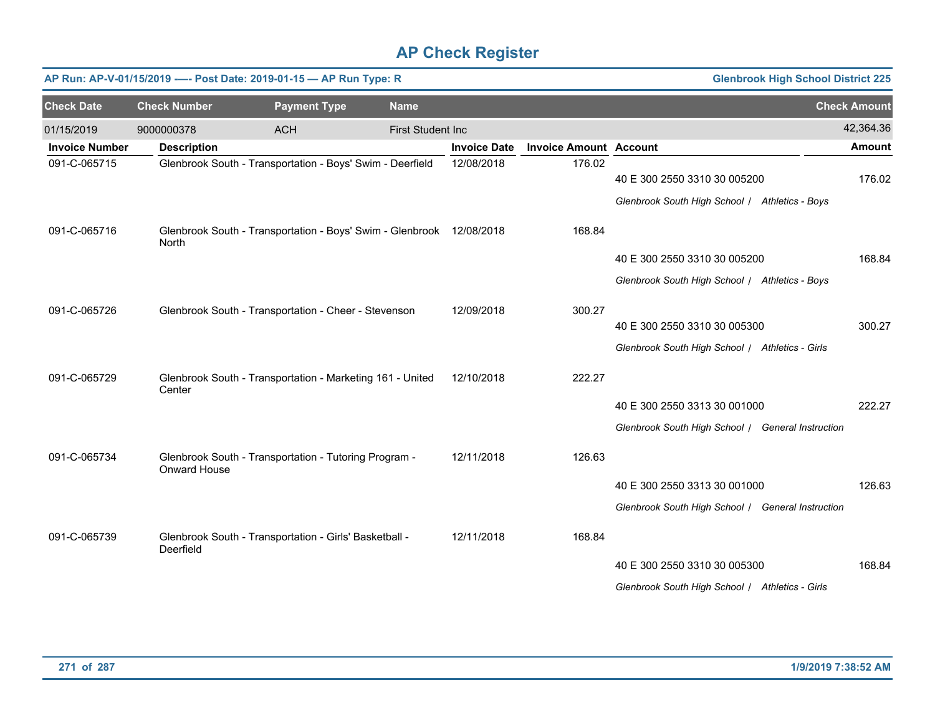|                       |                     | AP Run: AP-V-01/15/2019 ---- Post Date: 2019-01-15 - AP Run Type: R  |                          |                     | <b>Glenbrook High School District 225</b> |                                                   |                     |  |
|-----------------------|---------------------|----------------------------------------------------------------------|--------------------------|---------------------|-------------------------------------------|---------------------------------------------------|---------------------|--|
| <b>Check Date</b>     | <b>Check Number</b> | <b>Payment Type</b>                                                  | <b>Name</b>              |                     |                                           |                                                   | <b>Check Amount</b> |  |
| 01/15/2019            | 9000000378          | <b>ACH</b>                                                           | <b>First Student Inc</b> |                     |                                           |                                                   | 42,364.36           |  |
| <b>Invoice Number</b> | <b>Description</b>  |                                                                      |                          | <b>Invoice Date</b> | <b>Invoice Amount Account</b>             |                                                   | <b>Amount</b>       |  |
| 091-C-065715          |                     | Glenbrook South - Transportation - Boys' Swim - Deerfield            |                          | 12/08/2018          | 176.02                                    | 40 E 300 2550 3310 30 005200                      | 176.02              |  |
|                       |                     |                                                                      |                          |                     |                                           | Glenbrook South High School / Athletics - Boys    |                     |  |
| 091-C-065716          | North               | Glenbrook South - Transportation - Boys' Swim - Glenbrook 12/08/2018 |                          |                     | 168.84                                    |                                                   |                     |  |
|                       |                     |                                                                      |                          |                     |                                           | 40 E 300 2550 3310 30 005200                      | 168.84              |  |
|                       |                     |                                                                      |                          |                     |                                           | Glenbrook South High School / Athletics - Boys    |                     |  |
| 091-C-065726          |                     | Glenbrook South - Transportation - Cheer - Stevenson                 |                          | 12/09/2018          | 300.27                                    |                                                   |                     |  |
|                       |                     |                                                                      |                          |                     |                                           | 40 E 300 2550 3310 30 005300                      | 300.27              |  |
|                       |                     |                                                                      |                          |                     |                                           | Glenbrook South High School / Athletics - Girls   |                     |  |
| 091-C-065729          | Center              | Glenbrook South - Transportation - Marketing 161 - United            |                          | 12/10/2018          | 222.27                                    |                                                   |                     |  |
|                       |                     |                                                                      |                          |                     |                                           | 40 E 300 2550 3313 30 001000                      | 222.27              |  |
|                       |                     |                                                                      |                          |                     |                                           | Glenbrook South High School / General Instruction |                     |  |
| 091-C-065734          | Onward House        | Glenbrook South - Transportation - Tutoring Program -                |                          | 12/11/2018          | 126.63                                    |                                                   |                     |  |
|                       |                     |                                                                      |                          |                     |                                           | 40 E 300 2550 3313 30 001000                      | 126.63              |  |
|                       |                     |                                                                      |                          |                     |                                           | Glenbrook South High School / General Instruction |                     |  |
| 091-C-065739          | Deerfield           | Glenbrook South - Transportation - Girls' Basketball -               |                          | 12/11/2018          | 168.84                                    |                                                   |                     |  |
|                       |                     |                                                                      |                          |                     |                                           | 40 E 300 2550 3310 30 005300                      | 168.84              |  |
|                       |                     |                                                                      |                          |                     |                                           | Glenbrook South High School / Athletics - Girls   |                     |  |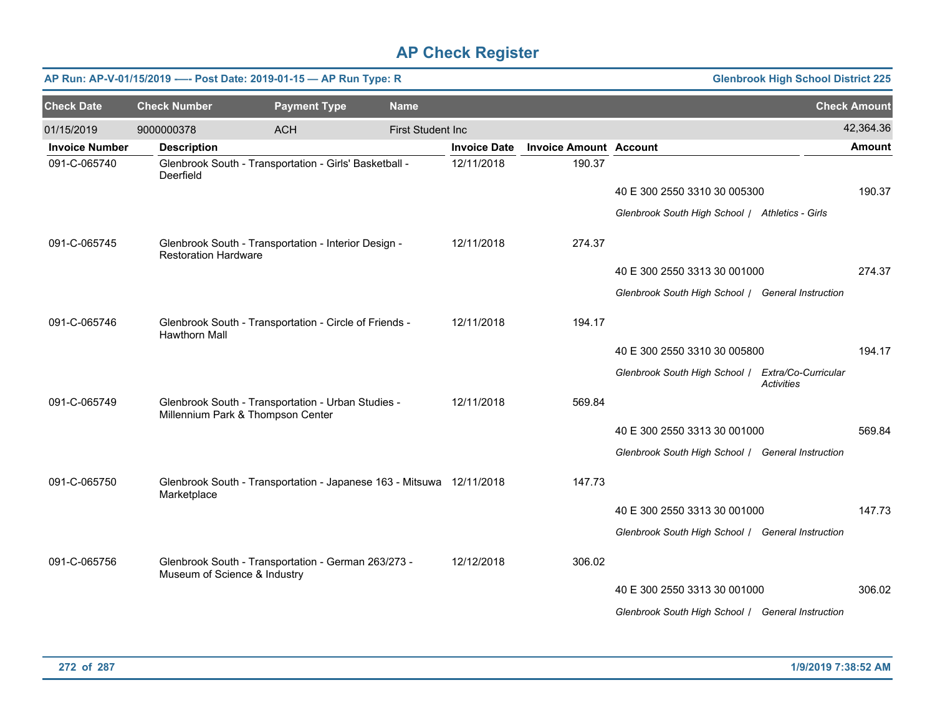|                       |                              | AP Run: AP-V-01/15/2019 ---- Post Date: 2019-01-15 - AP Run Type: R                     |                          |                     |                               |                                                   | <b>Glenbrook High School District 225</b> |                     |
|-----------------------|------------------------------|-----------------------------------------------------------------------------------------|--------------------------|---------------------|-------------------------------|---------------------------------------------------|-------------------------------------------|---------------------|
| <b>Check Date</b>     | <b>Check Number</b>          | <b>Payment Type</b>                                                                     | <b>Name</b>              |                     |                               |                                                   |                                           | <b>Check Amount</b> |
| 01/15/2019            | 9000000378                   | <b>ACH</b>                                                                              | <b>First Student Inc</b> |                     |                               |                                                   |                                           | 42,364.36           |
| <b>Invoice Number</b> | <b>Description</b>           |                                                                                         |                          | <b>Invoice Date</b> | <b>Invoice Amount Account</b> |                                                   |                                           | <b>Amount</b>       |
| 091-C-065740          | Deerfield                    | Glenbrook South - Transportation - Girls' Basketball -                                  |                          | 12/11/2018          | 190.37                        |                                                   |                                           |                     |
|                       |                              |                                                                                         |                          |                     |                               | 40 E 300 2550 3310 30 005300                      |                                           | 190.37              |
|                       |                              |                                                                                         |                          |                     |                               | Glenbrook South High School / Athletics - Girls   |                                           |                     |
| 091-C-065745          | <b>Restoration Hardware</b>  | Glenbrook South - Transportation - Interior Design -                                    |                          | 12/11/2018          | 274.37                        |                                                   |                                           |                     |
|                       |                              |                                                                                         |                          |                     |                               | 40 E 300 2550 3313 30 001000                      |                                           | 274.37              |
|                       |                              |                                                                                         |                          |                     |                               | Glenbrook South High School / General Instruction |                                           |                     |
| 091-C-065746          | <b>Hawthorn Mall</b>         | Glenbrook South - Transportation - Circle of Friends -                                  |                          | 12/11/2018          | 194.17                        |                                                   |                                           |                     |
|                       |                              |                                                                                         |                          |                     |                               | 40 E 300 2550 3310 30 005800                      |                                           | 194.17              |
|                       |                              |                                                                                         |                          |                     |                               | Glenbrook South High School   Extra/Co-Curricular | <b>Activities</b>                         |                     |
| 091-C-065749          |                              | Glenbrook South - Transportation - Urban Studies -<br>Millennium Park & Thompson Center |                          | 12/11/2018          | 569.84                        |                                                   |                                           |                     |
|                       |                              |                                                                                         |                          |                     |                               | 40 E 300 2550 3313 30 001000                      |                                           | 569.84              |
|                       |                              |                                                                                         |                          |                     |                               | Glenbrook South High School / General Instruction |                                           |                     |
| 091-C-065750          | Marketplace                  | Glenbrook South - Transportation - Japanese 163 - Mitsuwa 12/11/2018                    |                          |                     | 147.73                        |                                                   |                                           |                     |
|                       |                              |                                                                                         |                          |                     |                               | 40 E 300 2550 3313 30 001000                      |                                           | 147.73              |
|                       |                              |                                                                                         |                          |                     |                               | Glenbrook South High School / General Instruction |                                           |                     |
| 091-C-065756          | Museum of Science & Industry | Glenbrook South - Transportation - German 263/273 -                                     |                          | 12/12/2018          | 306.02                        |                                                   |                                           |                     |
|                       |                              |                                                                                         |                          |                     |                               | 40 E 300 2550 3313 30 001000                      |                                           | 306.02              |
|                       |                              |                                                                                         |                          |                     |                               | Glenbrook South High School / General Instruction |                                           |                     |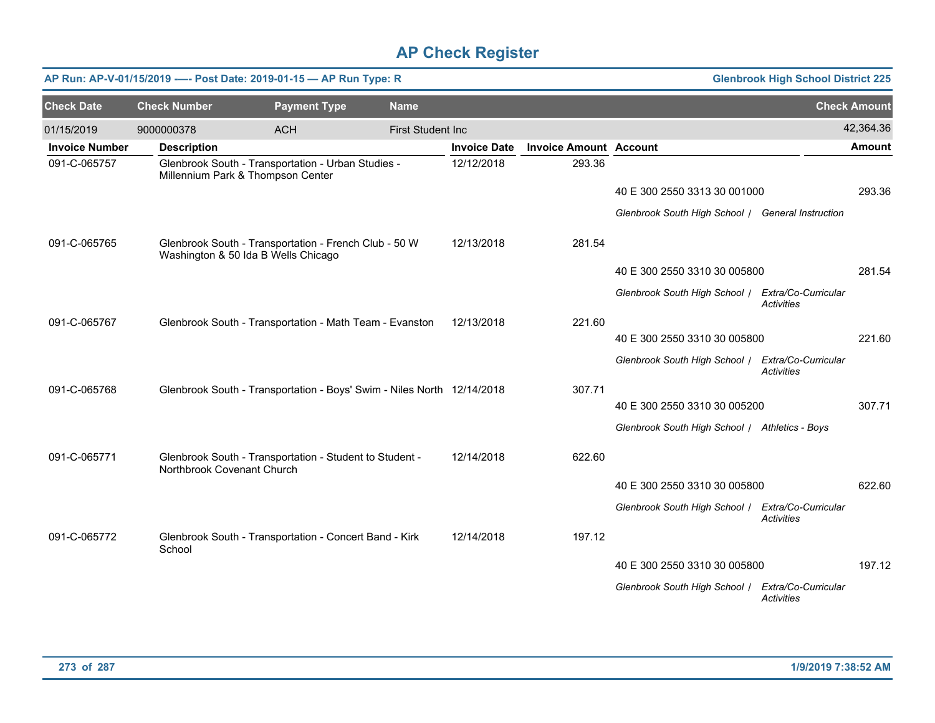|                       | AP Run: AP-V-01/15/2019 ---- Post Date: 2019-01-15 - AP Run Type: R<br><b>Glenbrook High School District 225</b> |                                                                                              |                          |                     |                               |                                                   |                                          |                     |  |  |  |
|-----------------------|------------------------------------------------------------------------------------------------------------------|----------------------------------------------------------------------------------------------|--------------------------|---------------------|-------------------------------|---------------------------------------------------|------------------------------------------|---------------------|--|--|--|
| <b>Check Date</b>     | <b>Check Number</b>                                                                                              | <b>Payment Type</b>                                                                          | <b>Name</b>              |                     |                               |                                                   |                                          | <b>Check Amount</b> |  |  |  |
| 01/15/2019            | 9000000378                                                                                                       | <b>ACH</b>                                                                                   | <b>First Student Inc</b> |                     |                               |                                                   |                                          | 42,364.36           |  |  |  |
| <b>Invoice Number</b> | <b>Description</b>                                                                                               |                                                                                              |                          | <b>Invoice Date</b> | <b>Invoice Amount Account</b> |                                                   |                                          | <b>Amount</b>       |  |  |  |
| 091-C-065757          |                                                                                                                  | Glenbrook South - Transportation - Urban Studies -<br>Millennium Park & Thompson Center      |                          | 12/12/2018          | 293.36                        |                                                   |                                          |                     |  |  |  |
|                       |                                                                                                                  |                                                                                              |                          |                     |                               | 40 E 300 2550 3313 30 001000                      |                                          | 293.36              |  |  |  |
|                       |                                                                                                                  |                                                                                              |                          |                     |                               | Glenbrook South High School / General Instruction |                                          |                     |  |  |  |
| 091-C-065765          |                                                                                                                  | Glenbrook South - Transportation - French Club - 50 W<br>Washington & 50 Ida B Wells Chicago |                          | 12/13/2018          | 281.54                        |                                                   |                                          |                     |  |  |  |
|                       |                                                                                                                  |                                                                                              |                          |                     |                               | 40 E 300 2550 3310 30 005800                      |                                          | 281.54              |  |  |  |
|                       |                                                                                                                  |                                                                                              |                          |                     |                               | Glenbrook South High School   Extra/Co-Curricular | <b>Activities</b>                        |                     |  |  |  |
| 091-C-065767          |                                                                                                                  | Glenbrook South - Transportation - Math Team - Evanston                                      |                          | 12/13/2018          | 221.60                        |                                                   |                                          |                     |  |  |  |
|                       |                                                                                                                  |                                                                                              |                          |                     |                               | 40 E 300 2550 3310 30 005800                      |                                          | 221.60              |  |  |  |
|                       |                                                                                                                  |                                                                                              |                          |                     |                               | Glenbrook South High School   Extra/Co-Curricular | <b>Activities</b>                        |                     |  |  |  |
| 091-C-065768          |                                                                                                                  | Glenbrook South - Transportation - Boys' Swim - Niles North 12/14/2018                       |                          |                     | 307.71                        |                                                   |                                          |                     |  |  |  |
|                       |                                                                                                                  |                                                                                              |                          |                     |                               | 40 E 300 2550 3310 30 005200                      |                                          | 307.71              |  |  |  |
|                       |                                                                                                                  |                                                                                              |                          |                     |                               | Glenbrook South High School / Athletics - Boys    |                                          |                     |  |  |  |
| 091-C-065771          | Northbrook Covenant Church                                                                                       | Glenbrook South - Transportation - Student to Student -                                      |                          | 12/14/2018          | 622.60                        |                                                   |                                          |                     |  |  |  |
|                       |                                                                                                                  |                                                                                              |                          |                     |                               | 40 E 300 2550 3310 30 005800                      |                                          | 622.60              |  |  |  |
|                       |                                                                                                                  |                                                                                              |                          |                     |                               | Glenbrook South High School /                     | Extra/Co-Curricular<br><b>Activities</b> |                     |  |  |  |
| 091-C-065772          | School                                                                                                           | Glenbrook South - Transportation - Concert Band - Kirk                                       |                          | 12/14/2018          | 197.12                        |                                                   |                                          |                     |  |  |  |
|                       |                                                                                                                  |                                                                                              |                          |                     |                               | 40 E 300 2550 3310 30 005800                      |                                          | 197.12              |  |  |  |
|                       |                                                                                                                  |                                                                                              |                          |                     |                               | Glenbrook South High School /                     | Extra/Co-Curricular<br>Activities        |                     |  |  |  |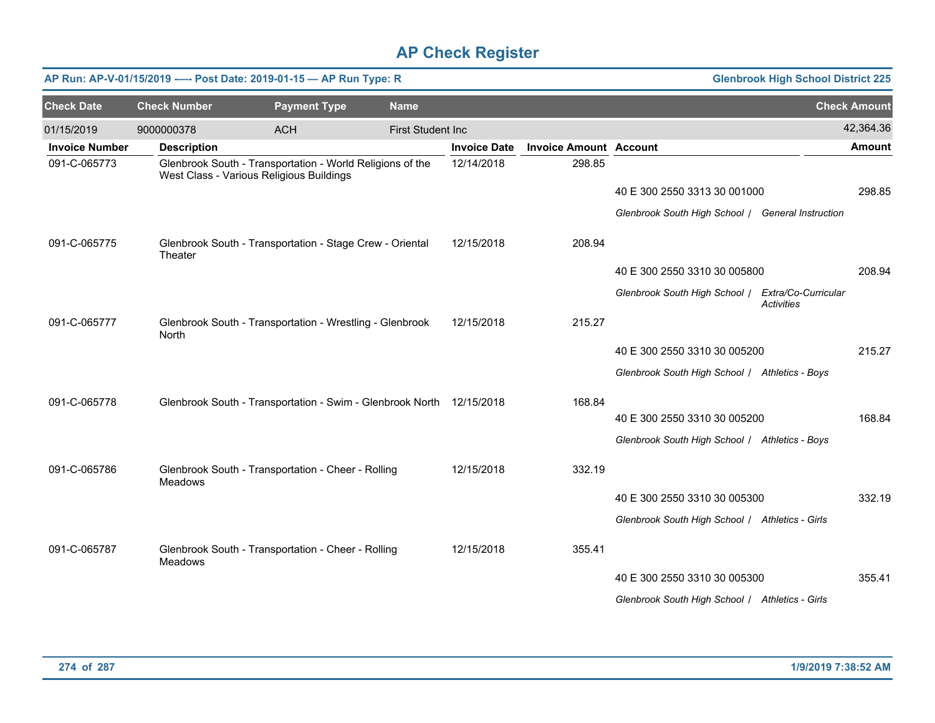|                       |                     | AP Run: AP-V-01/15/2019 ---- Post Date: 2019-01-15 - AP Run Type: R                                   |                          |                     | <b>Glenbrook High School District 225</b> |                                                   |                   |                     |
|-----------------------|---------------------|-------------------------------------------------------------------------------------------------------|--------------------------|---------------------|-------------------------------------------|---------------------------------------------------|-------------------|---------------------|
| <b>Check Date</b>     | <b>Check Number</b> | <b>Payment Type</b>                                                                                   | <b>Name</b>              |                     |                                           |                                                   |                   | <b>Check Amount</b> |
| 01/15/2019            | 9000000378          | <b>ACH</b>                                                                                            | <b>First Student Inc</b> |                     |                                           |                                                   |                   | 42,364.36           |
| <b>Invoice Number</b> | <b>Description</b>  |                                                                                                       |                          | <b>Invoice Date</b> | <b>Invoice Amount Account</b>             |                                                   |                   | <b>Amount</b>       |
| 091-C-065773          |                     | Glenbrook South - Transportation - World Religions of the<br>West Class - Various Religious Buildings |                          | 12/14/2018          | 298.85                                    |                                                   |                   |                     |
|                       |                     |                                                                                                       |                          |                     |                                           | 40 E 300 2550 3313 30 001000                      |                   | 298.85              |
|                       |                     |                                                                                                       |                          |                     |                                           | Glenbrook South High School / General Instruction |                   |                     |
| 091-C-065775          | Theater             | Glenbrook South - Transportation - Stage Crew - Oriental                                              |                          | 12/15/2018          | 208.94                                    |                                                   |                   |                     |
|                       |                     |                                                                                                       |                          |                     |                                           | 40 E 300 2550 3310 30 005800                      |                   | 208.94              |
|                       |                     |                                                                                                       |                          |                     |                                           | Glenbrook South High School   Extra/Co-Curricular | <b>Activities</b> |                     |
| 091-C-065777          | North               | Glenbrook South - Transportation - Wrestling - Glenbrook                                              |                          | 12/15/2018          | 215.27                                    |                                                   |                   |                     |
|                       |                     |                                                                                                       |                          |                     |                                           | 40 E 300 2550 3310 30 005200                      |                   | 215.27              |
|                       |                     |                                                                                                       |                          |                     |                                           | Glenbrook South High School / Athletics - Boys    |                   |                     |
| 091-C-065778          |                     | Glenbrook South - Transportation - Swim - Glenbrook North 12/15/2018                                  |                          |                     | 168.84                                    |                                                   |                   |                     |
|                       |                     |                                                                                                       |                          |                     |                                           | 40 E 300 2550 3310 30 005200                      |                   | 168.84              |
|                       |                     |                                                                                                       |                          |                     |                                           | Glenbrook South High School / Athletics - Boys    |                   |                     |
| 091-C-065786          | <b>Meadows</b>      | Glenbrook South - Transportation - Cheer - Rolling                                                    |                          | 12/15/2018          | 332.19                                    |                                                   |                   |                     |
|                       |                     |                                                                                                       |                          |                     |                                           | 40 E 300 2550 3310 30 005300                      |                   | 332.19              |
|                       |                     |                                                                                                       |                          |                     |                                           | Glenbrook South High School / Athletics - Girls   |                   |                     |
| 091-C-065787          | <b>Meadows</b>      | Glenbrook South - Transportation - Cheer - Rolling                                                    |                          | 12/15/2018          | 355.41                                    |                                                   |                   |                     |
|                       |                     |                                                                                                       |                          |                     |                                           | 40 E 300 2550 3310 30 005300                      |                   | 355.41              |
|                       |                     |                                                                                                       |                          |                     |                                           | Glenbrook South High School   Athletics - Girls   |                   |                     |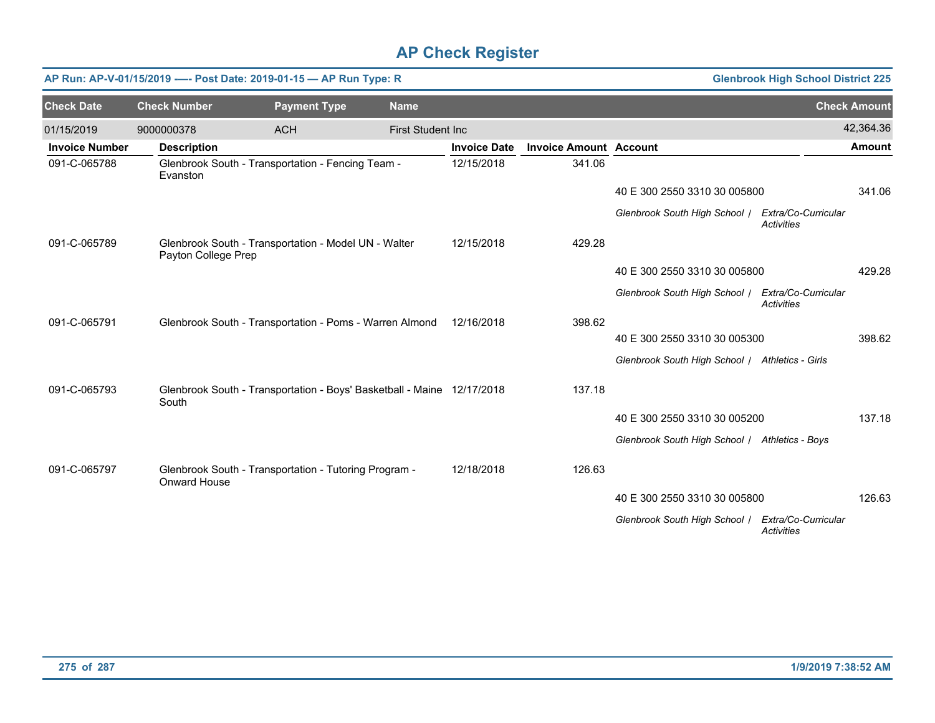|                       | AP Run: AP-V-01/15/2019 ---- Post Date: 2019-01-15 - AP Run Type: R |                                                                             |                          | <b>Glenbrook High School District 225</b> |                               |                                                 |                                          |                     |
|-----------------------|---------------------------------------------------------------------|-----------------------------------------------------------------------------|--------------------------|-------------------------------------------|-------------------------------|-------------------------------------------------|------------------------------------------|---------------------|
| <b>Check Date</b>     | <b>Check Number</b>                                                 | <b>Payment Type</b>                                                         | <b>Name</b>              |                                           |                               |                                                 |                                          | <b>Check Amount</b> |
| 01/15/2019            | 9000000378                                                          | <b>ACH</b>                                                                  | <b>First Student Inc</b> |                                           |                               |                                                 |                                          | 42,364.36           |
| <b>Invoice Number</b> | <b>Description</b>                                                  |                                                                             |                          | <b>Invoice Date</b>                       | <b>Invoice Amount Account</b> |                                                 |                                          | <b>Amount</b>       |
| 091-C-065788          | Evanston                                                            | Glenbrook South - Transportation - Fencing Team -                           |                          | 12/15/2018                                | 341.06                        |                                                 |                                          |                     |
|                       |                                                                     |                                                                             |                          |                                           |                               | 40 E 300 2550 3310 30 005800                    |                                          | 341.06              |
|                       |                                                                     |                                                                             |                          |                                           |                               | Glenbrook South High School /                   | Extra/Co-Curricular<br><b>Activities</b> |                     |
| 091-C-065789          |                                                                     | Glenbrook South - Transportation - Model UN - Walter<br>Payton College Prep |                          | 12/15/2018                                | 429.28                        |                                                 |                                          |                     |
|                       |                                                                     |                                                                             |                          |                                           |                               | 40 E 300 2550 3310 30 005800                    |                                          | 429.28              |
|                       |                                                                     |                                                                             |                          |                                           |                               | Glenbrook South High School /                   | Extra/Co-Curricular<br><b>Activities</b> |                     |
| 091-C-065791          |                                                                     | Glenbrook South - Transportation - Poms - Warren Almond                     |                          | 12/16/2018                                | 398.62                        |                                                 |                                          |                     |
|                       |                                                                     |                                                                             |                          |                                           |                               | 40 E 300 2550 3310 30 005300                    |                                          | 398.62              |
|                       |                                                                     |                                                                             |                          |                                           |                               | Glenbrook South High School / Athletics - Girls |                                          |                     |
| 091-C-065793          | South                                                               | Glenbrook South - Transportation - Boys' Basketball - Maine 12/17/2018      |                          |                                           | 137.18                        |                                                 |                                          |                     |
|                       |                                                                     |                                                                             |                          |                                           |                               | 40 E 300 2550 3310 30 005200                    |                                          | 137.18              |
|                       |                                                                     |                                                                             |                          |                                           |                               | Glenbrook South High School / Athletics - Boys  |                                          |                     |
| 091-C-065797          | Onward House                                                        | Glenbrook South - Transportation - Tutoring Program -                       |                          | 12/18/2018                                | 126.63                        |                                                 |                                          |                     |
|                       |                                                                     |                                                                             |                          |                                           |                               | 40 E 300 2550 3310 30 005800                    |                                          | 126.63              |
|                       |                                                                     |                                                                             |                          |                                           |                               | Glenbrook South High School /                   | Extra/Co-Curricular<br><b>Activities</b> |                     |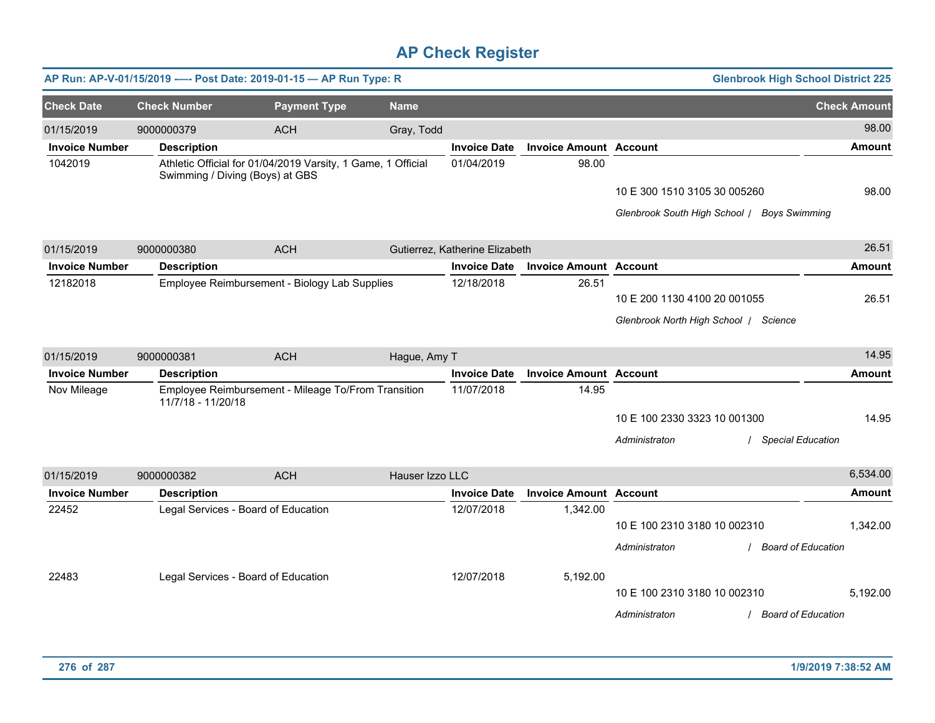| <b>Glenbrook High School District 225</b><br>AP Run: AP-V-01/15/2019 ---- Post Date: 2019-01-15 - AP Run Type: R |  |                                     |                                                              |                 |                                |                               |                                             |                           |                     |
|------------------------------------------------------------------------------------------------------------------|--|-------------------------------------|--------------------------------------------------------------|-----------------|--------------------------------|-------------------------------|---------------------------------------------|---------------------------|---------------------|
| <b>Check Date</b>                                                                                                |  | <b>Check Number</b>                 | <b>Payment Type</b>                                          | <b>Name</b>     |                                |                               |                                             |                           | <b>Check Amount</b> |
| 01/15/2019                                                                                                       |  | 9000000379                          | <b>ACH</b>                                                   | Gray, Todd      |                                |                               |                                             |                           | 98.00               |
| <b>Invoice Number</b>                                                                                            |  | <b>Description</b>                  |                                                              |                 | <b>Invoice Date</b>            | <b>Invoice Amount Account</b> |                                             |                           | <b>Amount</b>       |
| 1042019                                                                                                          |  | Swimming / Diving (Boys) at GBS     | Athletic Official for 01/04/2019 Varsity, 1 Game, 1 Official |                 | 01/04/2019                     | 98.00                         |                                             |                           |                     |
|                                                                                                                  |  |                                     |                                                              |                 |                                |                               | 10 E 300 1510 3105 30 005260                |                           | 98.00               |
|                                                                                                                  |  |                                     |                                                              |                 |                                |                               | Glenbrook South High School   Boys Swimming |                           |                     |
| 01/15/2019                                                                                                       |  | 9000000380                          | <b>ACH</b>                                                   |                 | Gutierrez, Katherine Elizabeth |                               |                                             |                           | 26.51               |
| <b>Invoice Number</b>                                                                                            |  | <b>Description</b>                  |                                                              |                 | <b>Invoice Date</b>            | <b>Invoice Amount Account</b> |                                             |                           | <b>Amount</b>       |
| 12182018                                                                                                         |  |                                     | Employee Reimbursement - Biology Lab Supplies                |                 | 12/18/2018                     | 26.51                         |                                             |                           |                     |
|                                                                                                                  |  |                                     |                                                              |                 |                                |                               | 10 E 200 1130 4100 20 001055                |                           | 26.51               |
|                                                                                                                  |  |                                     |                                                              |                 |                                |                               | Glenbrook North High School   Science       |                           |                     |
| 01/15/2019                                                                                                       |  | 9000000381                          | <b>ACH</b>                                                   | Hague, Amy T    |                                |                               |                                             |                           | 14.95               |
| <b>Invoice Number</b>                                                                                            |  | <b>Description</b>                  |                                                              |                 | <b>Invoice Date</b>            | <b>Invoice Amount Account</b> |                                             |                           | <b>Amount</b>       |
| Nov Mileage                                                                                                      |  | 11/7/18 - 11/20/18                  | Employee Reimbursement - Mileage To/From Transition          |                 | 11/07/2018                     | 14.95                         |                                             |                           |                     |
|                                                                                                                  |  |                                     |                                                              |                 |                                |                               | 10 E 100 2330 3323 10 001300                |                           | 14.95               |
|                                                                                                                  |  |                                     |                                                              |                 |                                |                               | Administraton                               | / Special Education       |                     |
| 01/15/2019                                                                                                       |  | 9000000382                          | <b>ACH</b>                                                   | Hauser Izzo LLC |                                |                               |                                             |                           | 6,534.00            |
| <b>Invoice Number</b>                                                                                            |  | <b>Description</b>                  |                                                              |                 | <b>Invoice Date</b>            | <b>Invoice Amount Account</b> |                                             |                           | <b>Amount</b>       |
| 22452                                                                                                            |  | Legal Services - Board of Education |                                                              |                 | 12/07/2018                     | 1,342.00                      |                                             |                           |                     |
|                                                                                                                  |  |                                     |                                                              |                 |                                |                               | 10 E 100 2310 3180 10 002310                |                           | 1,342.00            |
|                                                                                                                  |  |                                     |                                                              |                 |                                |                               | Administraton                               | / Board of Education      |                     |
| 22483                                                                                                            |  | Legal Services - Board of Education |                                                              |                 | 12/07/2018                     | 5,192.00                      |                                             |                           |                     |
|                                                                                                                  |  |                                     |                                                              |                 |                                |                               | 10 E 100 2310 3180 10 002310                |                           | 5,192.00            |
|                                                                                                                  |  |                                     |                                                              |                 |                                |                               | Administraton                               | <b>Board of Education</b> |                     |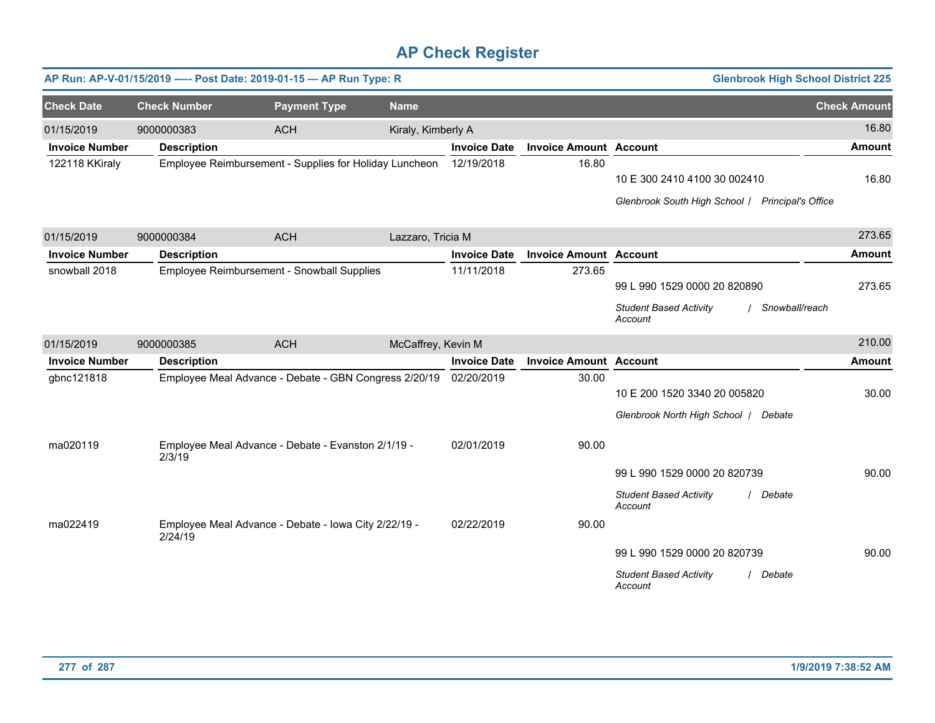|                       |                     | AP Run: AP-V-01/15/2019 ---- Post Date: 2019-01-15 - AP Run Type: R |                    | <b>Glenbrook High School District 225</b> |                               |                                                                                  |                     |
|-----------------------|---------------------|---------------------------------------------------------------------|--------------------|-------------------------------------------|-------------------------------|----------------------------------------------------------------------------------|---------------------|
| <b>Check Date</b>     | <b>Check Number</b> | <b>Payment Type</b>                                                 | <b>Name</b>        |                                           |                               |                                                                                  | <b>Check Amount</b> |
| 01/15/2019            | 9000000383          | <b>ACH</b>                                                          | Kiraly, Kimberly A |                                           |                               |                                                                                  | 16.80               |
| <b>Invoice Number</b> | <b>Description</b>  |                                                                     |                    | <b>Invoice Date</b>                       | <b>Invoice Amount Account</b> |                                                                                  | Amount              |
| 122118 KKiraly        |                     | Employee Reimbursement - Supplies for Holiday Luncheon              |                    | 12/19/2018                                | 16.80                         | 10 E 300 2410 4100 30 002410<br>Glenbrook South High School   Principal's Office | 16.80               |
| 01/15/2019            | 9000000384          | <b>ACH</b>                                                          | Lazzaro, Tricia M  |                                           |                               |                                                                                  | 273.65              |
| <b>Invoice Number</b> |                     |                                                                     |                    | <b>Invoice Date</b>                       | <b>Invoice Amount Account</b> |                                                                                  | <b>Amount</b>       |
| snowball 2018         | <b>Description</b>  | Employee Reimbursement - Snowball Supplies                          |                    | 11/11/2018                                | 273.65                        |                                                                                  |                     |
|                       |                     |                                                                     |                    |                                           |                               | 99 L 990 1529 0000 20 820890                                                     | 273.65              |
|                       |                     |                                                                     |                    |                                           |                               | <b>Student Based Activity</b><br>Snowball/reach<br>Account                       |                     |
| 01/15/2019            | 9000000385          | <b>ACH</b>                                                          | McCaffrey, Kevin M |                                           |                               |                                                                                  | 210.00              |
| <b>Invoice Number</b> | <b>Description</b>  |                                                                     |                    | <b>Invoice Date</b>                       | <b>Invoice Amount</b>         | <b>Account</b>                                                                   | <b>Amount</b>       |
| gbnc121818            |                     | Employee Meal Advance - Debate - GBN Congress 2/20/19               |                    | 02/20/2019                                | 30.00                         |                                                                                  |                     |
|                       |                     |                                                                     |                    |                                           |                               | 10 E 200 1520 3340 20 005820                                                     | 30.00               |
|                       |                     |                                                                     |                    |                                           |                               | Glenbrook North High School   Debate                                             |                     |
| ma020119              | 2/3/19              | Employee Meal Advance - Debate - Evanston 2/1/19 -                  |                    | 02/01/2019                                | 90.00                         |                                                                                  |                     |
|                       |                     |                                                                     |                    |                                           |                               | 99 L 990 1529 0000 20 820739                                                     | 90.00               |
|                       |                     |                                                                     |                    |                                           |                               | <b>Student Based Activity</b><br>Debate<br>Account                               |                     |
| ma022419              | 2/24/19             | Employee Meal Advance - Debate - Iowa City 2/22/19 -                |                    | 02/22/2019                                | 90.00                         |                                                                                  |                     |
|                       |                     |                                                                     |                    |                                           |                               | 99 L 990 1529 0000 20 820739                                                     | 90.00               |
|                       |                     |                                                                     |                    |                                           |                               | <b>Student Based Activity</b><br>Debate<br>Account                               |                     |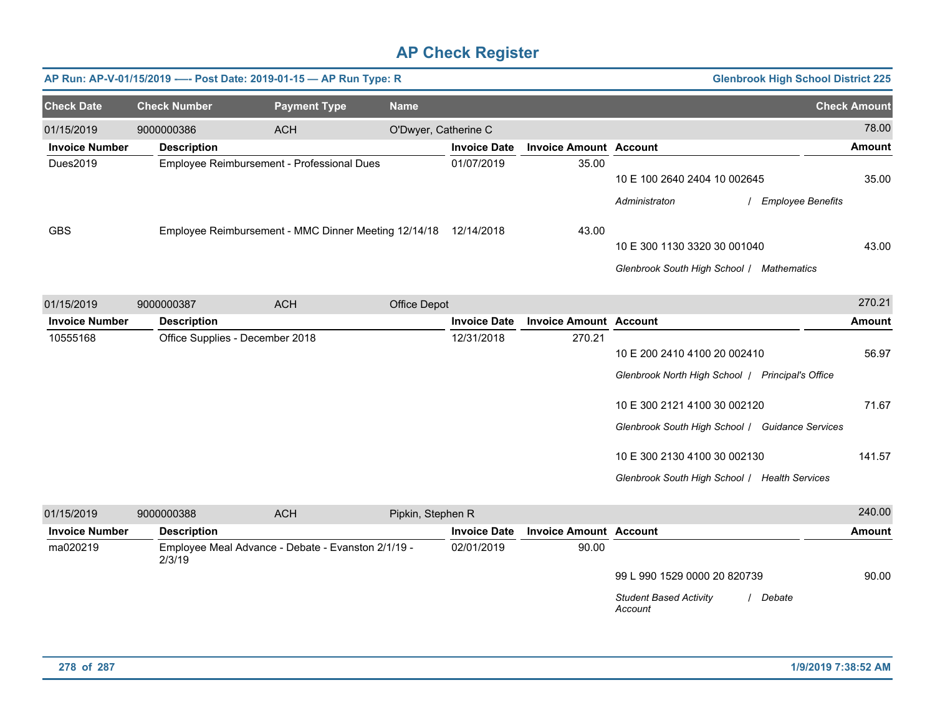|                       |                                 | AP Run: AP-V-01/15/2019 ---- Post Date: 2019-01-15 - AP Run Type: R |                      |                     | <b>Glenbrook High School District 225</b> |                                                                                                                                                                     |                                   |
|-----------------------|---------------------------------|---------------------------------------------------------------------|----------------------|---------------------|-------------------------------------------|---------------------------------------------------------------------------------------------------------------------------------------------------------------------|-----------------------------------|
| <b>Check Date</b>     | <b>Check Number</b>             | <b>Payment Type</b>                                                 | <b>Name</b>          |                     |                                           |                                                                                                                                                                     | <b>Check Amount</b>               |
| 01/15/2019            | 9000000386                      | <b>ACH</b>                                                          | O'Dwyer, Catherine C |                     |                                           |                                                                                                                                                                     | 78.00                             |
| <b>Invoice Number</b> | <b>Description</b>              |                                                                     |                      | <b>Invoice Date</b> | <b>Invoice Amount Account</b>             |                                                                                                                                                                     | <b>Amount</b>                     |
| Dues2019              |                                 | Employee Reimbursement - Professional Dues                          |                      | 01/07/2019          | 35.00                                     | 10 E 100 2640 2404 10 002645<br>Administraton                                                                                                                       | 35.00<br><b>Employee Benefits</b> |
| <b>GBS</b>            |                                 | Employee Reimbursement - MMC Dinner Meeting 12/14/18  12/14/2018    |                      |                     | 43.00                                     | 10 E 300 1130 3320 30 001040<br>Glenbrook South High School / Mathematics                                                                                           | 43.00                             |
| 01/15/2019            | 9000000387                      | <b>ACH</b>                                                          | Office Depot         |                     |                                           |                                                                                                                                                                     | 270.21                            |
| <b>Invoice Number</b> | <b>Description</b>              |                                                                     |                      | <b>Invoice Date</b> | <b>Invoice Amount Account</b>             |                                                                                                                                                                     | <b>Amount</b>                     |
| 10555168              | Office Supplies - December 2018 |                                                                     |                      | 12/31/2018          | 270.21                                    | 10 E 200 2410 4100 20 002410<br>Glenbrook North High School   Principal's Office<br>10 E 300 2121 4100 30 002120<br>Glenbrook South High School / Guidance Services | 56.97<br>71.67                    |
|                       |                                 |                                                                     |                      |                     |                                           | 10 E 300 2130 4100 30 002130<br>Glenbrook South High School / Health Services                                                                                       | 141.57                            |
| 01/15/2019            | 9000000388                      | <b>ACH</b>                                                          | Pipkin, Stephen R    |                     |                                           |                                                                                                                                                                     | 240.00                            |
| <b>Invoice Number</b> | <b>Description</b>              |                                                                     |                      | <b>Invoice Date</b> | <b>Invoice Amount Account</b>             |                                                                                                                                                                     | <b>Amount</b>                     |
| ma020219              | 2/3/19                          | Employee Meal Advance - Debate - Evanston 2/1/19 -                  |                      | 02/01/2019          | 90.00                                     | 99 L 990 1529 0000 20 820739<br><b>Student Based Activity</b><br>Account                                                                                            | 90.00<br>Debate                   |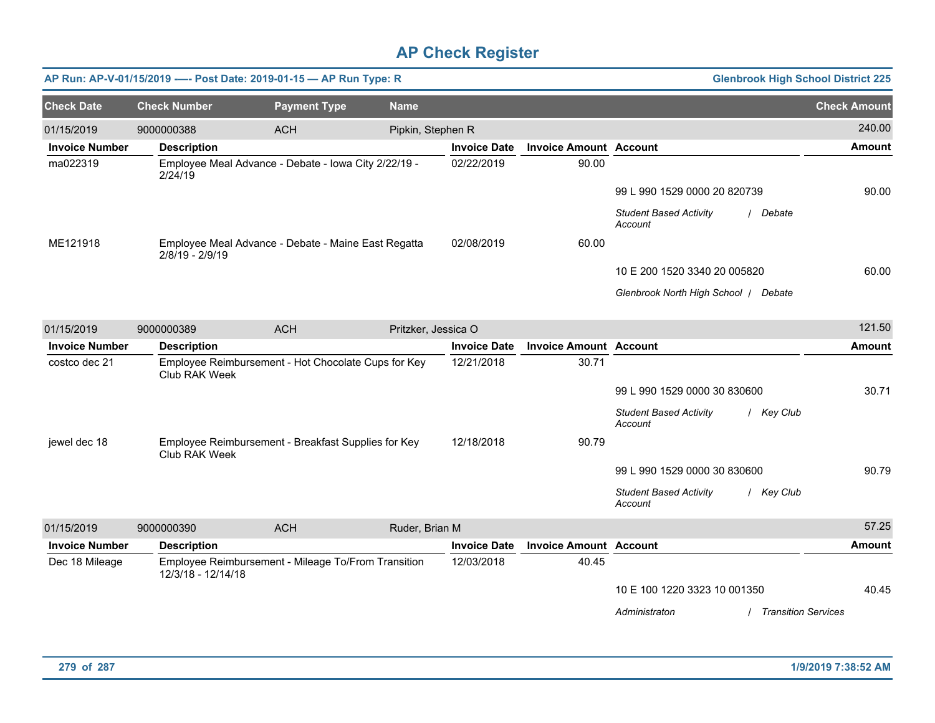|                       |                     | AP Run: AP-V-01/15/2019 ---- Post Date: 2019-01-15 - AP Run Type: R |                     |                     |                               |                                                        | <b>Glenbrook High School District 225</b> |
|-----------------------|---------------------|---------------------------------------------------------------------|---------------------|---------------------|-------------------------------|--------------------------------------------------------|-------------------------------------------|
| <b>Check Date</b>     | <b>Check Number</b> | <b>Payment Type</b>                                                 | <b>Name</b>         |                     |                               |                                                        | <b>Check Amount</b>                       |
| 01/15/2019            | 9000000388          | <b>ACH</b>                                                          | Pipkin, Stephen R   |                     |                               |                                                        | 240.00                                    |
| <b>Invoice Number</b> | <b>Description</b>  |                                                                     |                     | <b>Invoice Date</b> | <b>Invoice Amount Account</b> |                                                        | <b>Amount</b>                             |
| ma022319              | 2/24/19             | Employee Meal Advance - Debate - Iowa City 2/22/19 -                |                     | 02/22/2019          | 90.00                         |                                                        |                                           |
|                       |                     |                                                                     |                     |                     |                               | 99 L 990 1529 0000 20 820739                           | 90.00                                     |
|                       |                     |                                                                     |                     |                     |                               | <b>Student Based Activity</b><br>/ Debate<br>Account   |                                           |
| ME121918              | 2/8/19 - 2/9/19     | Employee Meal Advance - Debate - Maine East Regatta                 |                     | 02/08/2019          | 60.00                         |                                                        |                                           |
|                       |                     |                                                                     |                     |                     |                               | 10 E 200 1520 3340 20 005820                           | 60.00                                     |
|                       |                     |                                                                     |                     |                     |                               | Glenbrook North High School / Debate                   |                                           |
| 01/15/2019            | 9000000389          | <b>ACH</b>                                                          | Pritzker, Jessica O |                     |                               |                                                        | 121.50                                    |
| <b>Invoice Number</b> | <b>Description</b>  |                                                                     |                     | <b>Invoice Date</b> | <b>Invoice Amount Account</b> |                                                        | <b>Amount</b>                             |
| costco dec 21         | Club RAK Week       | Employee Reimbursement - Hot Chocolate Cups for Key                 |                     | 12/21/2018          | 30.71                         |                                                        |                                           |
|                       |                     |                                                                     |                     |                     |                               | 99 L 990 1529 0000 30 830600                           | 30.71                                     |
|                       |                     |                                                                     |                     |                     |                               | <b>Student Based Activity</b><br>/ Key Club<br>Account |                                           |
| jewel dec 18          | Club RAK Week       | Employee Reimbursement - Breakfast Supplies for Key                 |                     | 12/18/2018          | 90.79                         |                                                        |                                           |
|                       |                     |                                                                     |                     |                     |                               | 99 L 990 1529 0000 30 830600                           | 90.79                                     |
|                       |                     |                                                                     |                     |                     |                               | <b>Student Based Activity</b><br>/ Key Club<br>Account |                                           |
| 01/15/2019            | 9000000390          | <b>ACH</b>                                                          | Ruder, Brian M      |                     |                               |                                                        | 57.25                                     |
| <b>Invoice Number</b> | <b>Description</b>  |                                                                     |                     | <b>Invoice Date</b> | <b>Invoice Amount Account</b> |                                                        | <b>Amount</b>                             |
| Dec 18 Mileage        | 12/3/18 - 12/14/18  | Employee Reimbursement - Mileage To/From Transition                 |                     | 12/03/2018          | 40.45                         |                                                        |                                           |
|                       |                     |                                                                     |                     |                     |                               | 10 E 100 1220 3323 10 001350                           | 40.45                                     |
|                       |                     |                                                                     |                     |                     |                               | Administraton                                          | <b>Transition Services</b>                |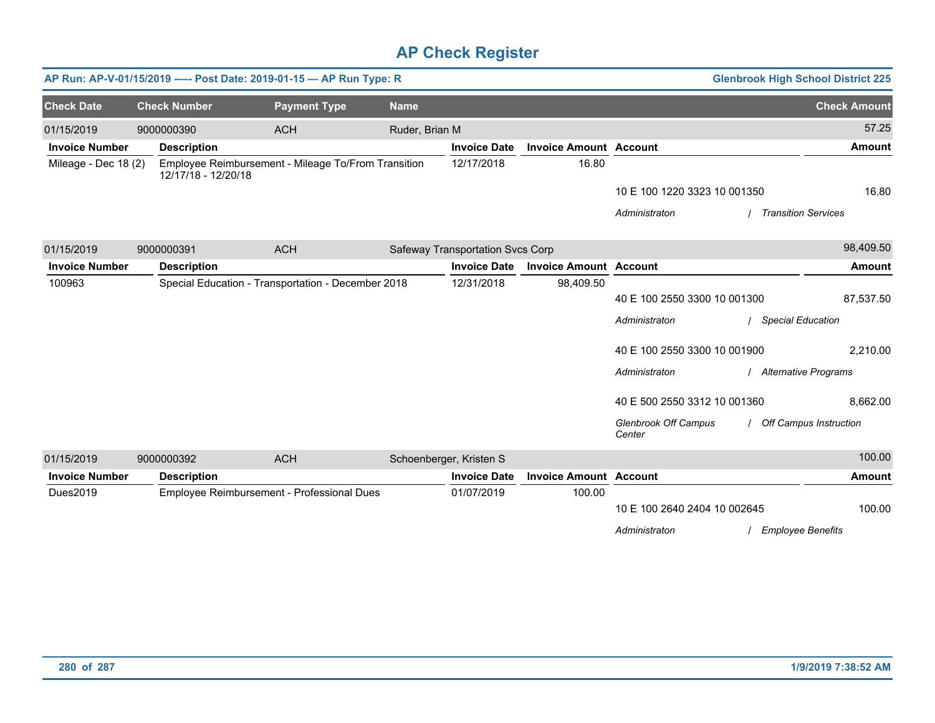|                       |                     | AP Run: AP-V-01/15/2019 ---- Post Date: 2019-01-15 - AP Run Type: R |                |                                  |                               |                                       | <b>Glenbrook High School District 225</b> |
|-----------------------|---------------------|---------------------------------------------------------------------|----------------|----------------------------------|-------------------------------|---------------------------------------|-------------------------------------------|
| <b>Check Date</b>     | <b>Check Number</b> | <b>Payment Type</b>                                                 | <b>Name</b>    |                                  |                               |                                       | <b>Check Amount</b>                       |
| 01/15/2019            | 9000000390          | <b>ACH</b>                                                          | Ruder, Brian M |                                  |                               |                                       | 57.25                                     |
| <b>Invoice Number</b> | <b>Description</b>  |                                                                     |                | <b>Invoice Date</b>              | <b>Invoice Amount Account</b> |                                       | <b>Amount</b>                             |
| Mileage - Dec 18 (2)  | 12/17/18 - 12/20/18 | Employee Reimbursement - Mileage To/From Transition                 |                | 12/17/2018                       | 16.80                         |                                       |                                           |
|                       |                     |                                                                     |                |                                  |                               | 10 E 100 1220 3323 10 001350          | 16.80                                     |
|                       |                     |                                                                     |                |                                  |                               | Administraton                         | <b>Transition Services</b>                |
| 01/15/2019            | 9000000391          | <b>ACH</b>                                                          |                | Safeway Transportation Svcs Corp |                               |                                       | 98,409.50                                 |
| <b>Invoice Number</b> | <b>Description</b>  |                                                                     |                | <b>Invoice Date</b>              | <b>Invoice Amount Account</b> |                                       | <b>Amount</b>                             |
| 100963                |                     | Special Education - Transportation - December 2018                  |                | 12/31/2018                       | 98,409.50                     |                                       |                                           |
|                       |                     |                                                                     |                |                                  |                               | 40 E 100 2550 3300 10 001300          | 87,537.50                                 |
|                       |                     |                                                                     |                |                                  |                               | Administraton                         | <b>Special Education</b>                  |
|                       |                     |                                                                     |                |                                  |                               | 40 E 100 2550 3300 10 001900          | 2,210.00                                  |
|                       |                     |                                                                     |                |                                  |                               | Administraton                         | / Alternative Programs                    |
|                       |                     |                                                                     |                |                                  |                               | 40 E 500 2550 3312 10 001360          | 8,662.00                                  |
|                       |                     |                                                                     |                |                                  |                               | <b>Glenbrook Off Campus</b><br>Center | / Off Campus Instruction                  |
| 01/15/2019            | 9000000392          | <b>ACH</b>                                                          |                | Schoenberger, Kristen S          |                               |                                       | 100.00                                    |
| <b>Invoice Number</b> | <b>Description</b>  |                                                                     |                | <b>Invoice Date</b>              | <b>Invoice Amount Account</b> |                                       | <b>Amount</b>                             |
| Dues2019              |                     | Employee Reimbursement - Professional Dues                          |                | 01/07/2019                       | 100.00                        |                                       |                                           |
|                       |                     |                                                                     |                |                                  |                               | 10 E 100 2640 2404 10 002645          | 100.00                                    |
|                       |                     |                                                                     |                |                                  |                               | Administraton                         | <b>Employee Benefits</b>                  |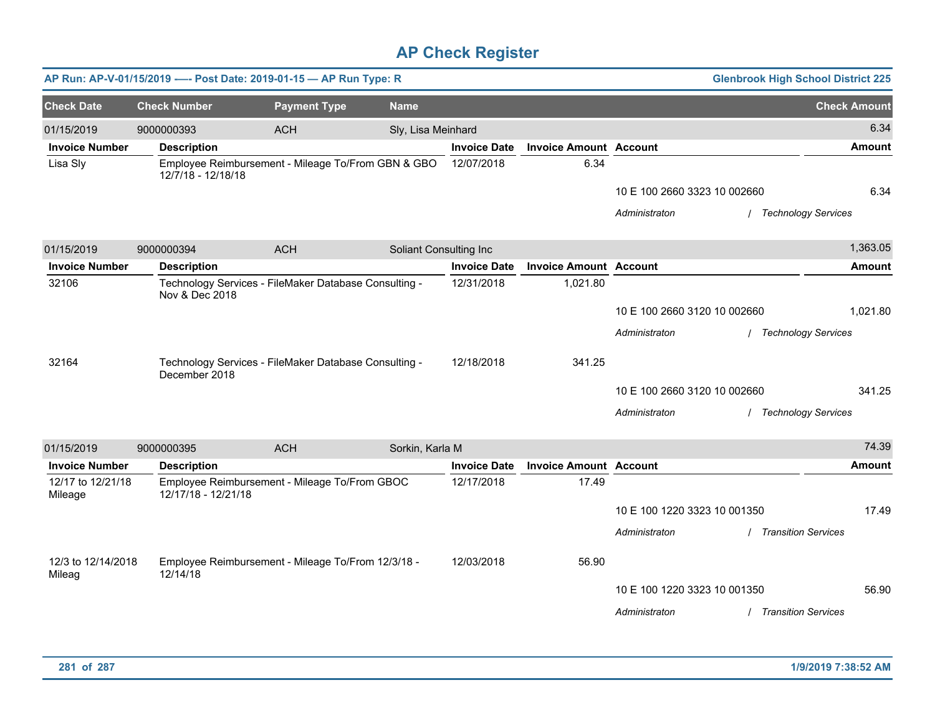|                       |                     | AP Run: AP-V-01/15/2019 ---- Post Date: 2019-01-15 - AP Run Type: R |                        |                     |                               |                              | <b>Glenbrook High School District 225</b> |                     |
|-----------------------|---------------------|---------------------------------------------------------------------|------------------------|---------------------|-------------------------------|------------------------------|-------------------------------------------|---------------------|
| <b>Check Date</b>     | <b>Check Number</b> | <b>Payment Type</b>                                                 | <b>Name</b>            |                     |                               |                              |                                           | <b>Check Amount</b> |
| 01/15/2019            | 9000000393          | <b>ACH</b>                                                          | Sly, Lisa Meinhard     |                     |                               |                              |                                           | 6.34                |
| <b>Invoice Number</b> | <b>Description</b>  |                                                                     |                        | <b>Invoice Date</b> | <b>Invoice Amount Account</b> |                              |                                           | <b>Amount</b>       |
| Lisa Sly              | 12/7/18 - 12/18/18  | Employee Reimbursement - Mileage To/From GBN & GBO                  |                        | 12/07/2018          | 6.34                          |                              |                                           |                     |
|                       |                     |                                                                     |                        |                     |                               | 10 E 100 2660 3323 10 002660 |                                           | 6.34                |
|                       |                     |                                                                     |                        |                     |                               | Administraton                | / Technology Services                     |                     |
|                       |                     |                                                                     |                        |                     |                               |                              |                                           |                     |
| 01/15/2019            | 9000000394          | <b>ACH</b>                                                          | Soliant Consulting Inc |                     |                               |                              |                                           | 1,363.05            |
| <b>Invoice Number</b> | <b>Description</b>  |                                                                     |                        | <b>Invoice Date</b> | <b>Invoice Amount Account</b> |                              |                                           | <b>Amount</b>       |
| 32106                 | Nov & Dec 2018      | Technology Services - FileMaker Database Consulting -               |                        | 12/31/2018          | 1,021.80                      |                              |                                           |                     |
|                       |                     |                                                                     |                        |                     |                               | 10 E 100 2660 3120 10 002660 |                                           | 1,021.80            |
|                       |                     |                                                                     |                        |                     |                               | Administraton                | / Technology Services                     |                     |
|                       |                     |                                                                     |                        |                     |                               |                              |                                           |                     |
| 32164                 | December 2018       | Technology Services - FileMaker Database Consulting -               |                        | 12/18/2018          | 341.25                        |                              |                                           |                     |
|                       |                     |                                                                     |                        |                     |                               | 10 E 100 2660 3120 10 002660 |                                           | 341.25              |
|                       |                     |                                                                     |                        |                     |                               | Administraton                | / Technology Services                     |                     |
| 01/15/2019            | 9000000395          | <b>ACH</b>                                                          | Sorkin, Karla M        |                     |                               |                              |                                           | 74.39               |
| <b>Invoice Number</b> | <b>Description</b>  |                                                                     |                        | <b>Invoice Date</b> | <b>Invoice Amount Account</b> |                              |                                           | <b>Amount</b>       |
| 12/17 to 12/21/18     |                     | Employee Reimbursement - Mileage To/From GBOC                       |                        | 12/17/2018          | 17.49                         |                              |                                           |                     |
| Mileage               | 12/17/18 - 12/21/18 |                                                                     |                        |                     |                               | 10 E 100 1220 3323 10 001350 |                                           | 17.49               |
|                       |                     |                                                                     |                        |                     |                               | Administraton                | / Transition Services                     |                     |
|                       |                     |                                                                     |                        |                     |                               |                              |                                           |                     |
| 12/3 to 12/14/2018    |                     | Employee Reimbursement - Mileage To/From 12/3/18 -                  |                        | 12/03/2018          | 56.90                         |                              |                                           |                     |
| Mileag                | 12/14/18            |                                                                     |                        |                     |                               | 10 E 100 1220 3323 10 001350 |                                           | 56.90               |
|                       |                     |                                                                     |                        |                     |                               | Administraton                | / Transition Services                     |                     |
|                       |                     |                                                                     |                        |                     |                               |                              |                                           |                     |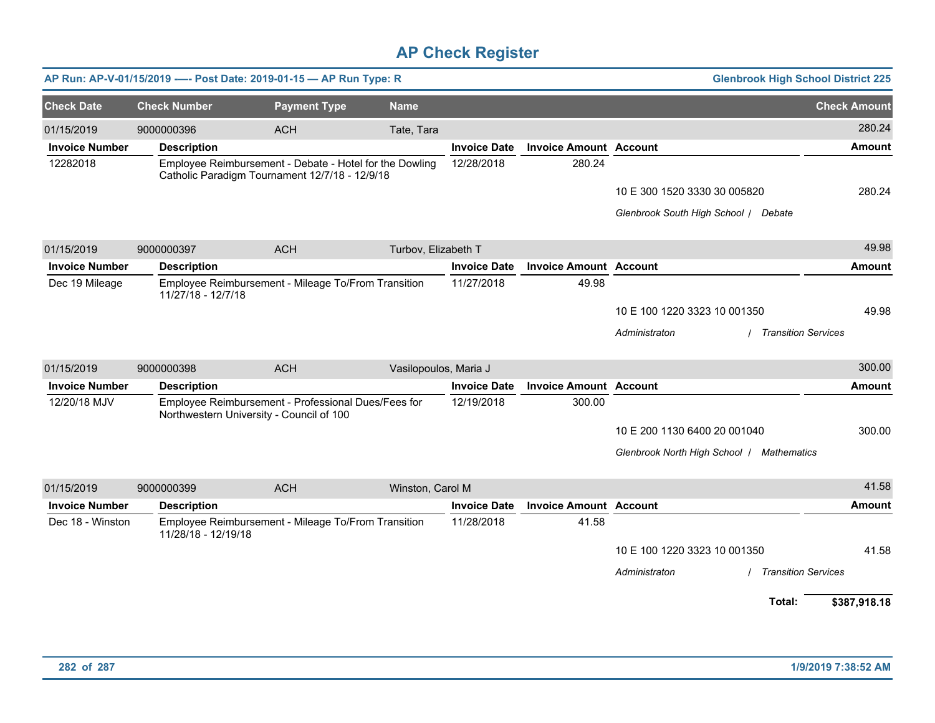|                       |                     | AP Run: AP-V-01/15/2019 ---- Post Date: 2019-01-15 - AP Run Type: R                                       |                       |                     |                               | <b>Glenbrook High School District 225</b>   |                     |
|-----------------------|---------------------|-----------------------------------------------------------------------------------------------------------|-----------------------|---------------------|-------------------------------|---------------------------------------------|---------------------|
| <b>Check Date</b>     | <b>Check Number</b> | <b>Payment Type</b>                                                                                       | <b>Name</b>           |                     |                               |                                             | <b>Check Amount</b> |
| 01/15/2019            | 9000000396          | <b>ACH</b>                                                                                                | Tate, Tara            |                     |                               |                                             | 280.24              |
| <b>Invoice Number</b> | <b>Description</b>  |                                                                                                           |                       | <b>Invoice Date</b> | <b>Invoice Amount Account</b> |                                             | <b>Amount</b>       |
| 12282018              |                     | Employee Reimbursement - Debate - Hotel for the Dowling<br>Catholic Paradigm Tournament 12/7/18 - 12/9/18 |                       | 12/28/2018          | 280.24                        |                                             |                     |
|                       |                     |                                                                                                           |                       |                     |                               | 10 E 300 1520 3330 30 005820                | 280.24              |
|                       |                     |                                                                                                           |                       |                     |                               | Glenbrook South High School / Debate        |                     |
| 01/15/2019            | 9000000397          | <b>ACH</b>                                                                                                | Turbov, Elizabeth T   |                     |                               |                                             | 49.98               |
| <b>Invoice Number</b> | <b>Description</b>  |                                                                                                           |                       | <b>Invoice Date</b> | <b>Invoice Amount Account</b> |                                             | <b>Amount</b>       |
| Dec 19 Mileage        | 11/27/18 - 12/7/18  | Employee Reimbursement - Mileage To/From Transition                                                       |                       | 11/27/2018          | 49.98                         |                                             |                     |
|                       |                     |                                                                                                           |                       |                     |                               | 10 E 100 1220 3323 10 001350                | 49.98               |
|                       |                     |                                                                                                           |                       |                     |                               | Administraton<br><b>Transition Services</b> |                     |
| 01/15/2019            | 9000000398          | <b>ACH</b>                                                                                                | Vasilopoulos, Maria J |                     |                               |                                             | 300.00              |
| <b>Invoice Number</b> | <b>Description</b>  |                                                                                                           |                       | <b>Invoice Date</b> | <b>Invoice Amount Account</b> |                                             | <b>Amount</b>       |
| 12/20/18 MJV          |                     | Employee Reimbursement - Professional Dues/Fees for<br>Northwestern University - Council of 100           |                       | 12/19/2018          | 300.00                        |                                             |                     |
|                       |                     |                                                                                                           |                       |                     |                               | 10 E 200 1130 6400 20 001040                | 300.00              |
|                       |                     |                                                                                                           |                       |                     |                               | Glenbrook North High School   Mathematics   |                     |
| 01/15/2019            | 9000000399          | <b>ACH</b>                                                                                                | Winston, Carol M      |                     |                               |                                             | 41.58               |
| <b>Invoice Number</b> | <b>Description</b>  |                                                                                                           |                       | <b>Invoice Date</b> | <b>Invoice Amount Account</b> |                                             | <b>Amount</b>       |
| Dec 18 - Winston      | 11/28/18 - 12/19/18 | Employee Reimbursement - Mileage To/From Transition                                                       |                       | 11/28/2018          | 41.58                         |                                             |                     |
|                       |                     |                                                                                                           |                       |                     |                               | 10 E 100 1220 3323 10 001350                | 41.58               |
|                       |                     |                                                                                                           |                       |                     |                               | Administraton<br><b>Transition Services</b> |                     |
|                       |                     |                                                                                                           |                       |                     |                               | Total:                                      | \$387,918.18        |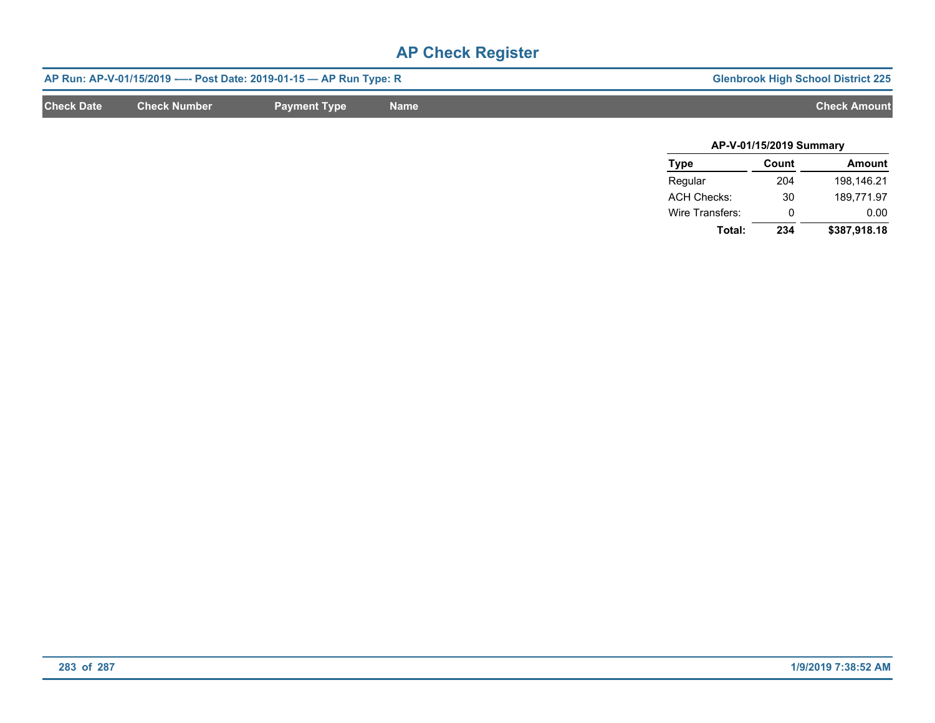|                   |                     | AP Run: AP-V-01/15/2019 ---- Post Date: 2019-01-15 -- AP Run Type: R |             | <b>Glenbrook High School District 225</b> |
|-------------------|---------------------|----------------------------------------------------------------------|-------------|-------------------------------------------|
| <b>Check Date</b> | <b>Check Number</b> | <b>Payment Type</b>                                                  | <b>Name</b> | <b>Check Amount</b>                       |
|                   |                     |                                                                      |             |                                           |

| AP-V-01/15/2019 Summary |       |              |  |  |  |  |
|-------------------------|-------|--------------|--|--|--|--|
| <b>Type</b>             | Count | Amount       |  |  |  |  |
| Regular                 | 204   | 198,146.21   |  |  |  |  |
| <b>ACH Checks:</b>      | 30    | 189.771.97   |  |  |  |  |
| Wire Transfers:         | O     | 0.00         |  |  |  |  |
| Total:                  | 234   | \$387,918.18 |  |  |  |  |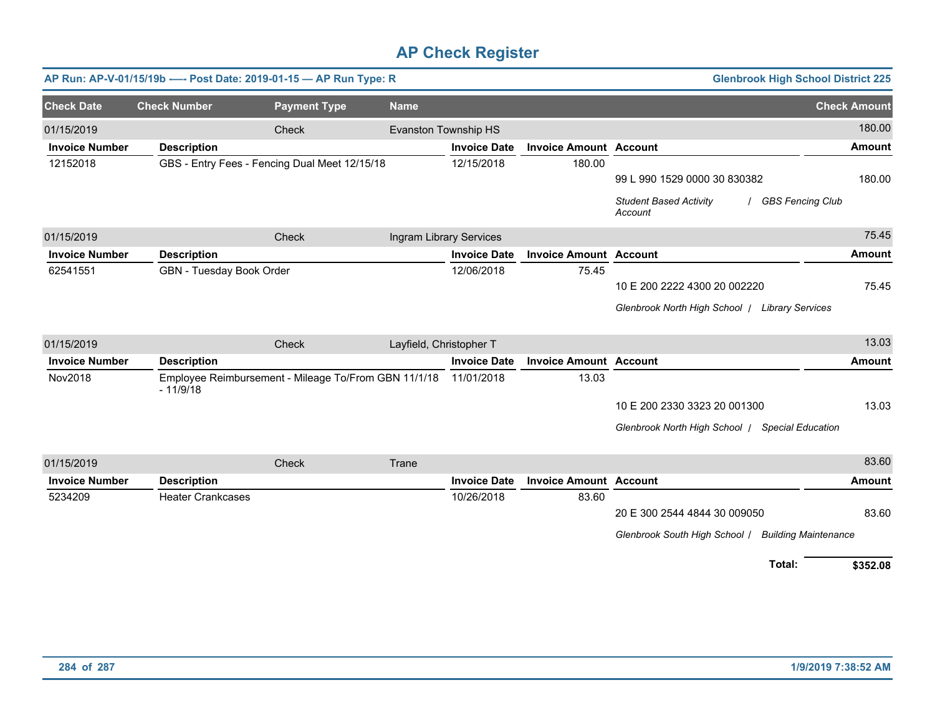|                       | AP Run: AP-V-01/15/19b ---- Post Date: 2019-01-15 - AP Run Type: R |                                                      |                         | <b>Glenbrook High School District 225</b> |                               |                                                                |                     |
|-----------------------|--------------------------------------------------------------------|------------------------------------------------------|-------------------------|-------------------------------------------|-------------------------------|----------------------------------------------------------------|---------------------|
| <b>Check Date</b>     | <b>Check Number</b>                                                | <b>Payment Type</b>                                  | <b>Name</b>             |                                           |                               |                                                                | <b>Check Amount</b> |
| 01/15/2019            |                                                                    | Check                                                |                         | <b>Evanston Township HS</b>               |                               |                                                                | 180.00              |
| <b>Invoice Number</b> | <b>Description</b>                                                 |                                                      |                         | <b>Invoice Date</b>                       | <b>Invoice Amount Account</b> |                                                                | <b>Amount</b>       |
| 12152018              |                                                                    | GBS - Entry Fees - Fencing Dual Meet 12/15/18        |                         | 12/15/2018                                | 180.00                        |                                                                |                     |
|                       |                                                                    |                                                      |                         |                                           |                               | 99 L 990 1529 0000 30 830382                                   | 180.00              |
|                       |                                                                    |                                                      |                         |                                           |                               | <b>Student Based Activity</b><br>/ GBS Fencing Club<br>Account |                     |
| 01/15/2019            |                                                                    | Check                                                |                         | Ingram Library Services                   |                               |                                                                | 75.45               |
| <b>Invoice Number</b> | <b>Description</b>                                                 |                                                      |                         | <b>Invoice Date</b>                       | <b>Invoice Amount Account</b> |                                                                | Amount              |
| 62541551              | GBN - Tuesday Book Order                                           |                                                      |                         | 12/06/2018                                | 75.45                         |                                                                |                     |
|                       |                                                                    |                                                      |                         |                                           |                               | 10 E 200 2222 4300 20 002220                                   | 75.45               |
|                       |                                                                    |                                                      |                         |                                           |                               | Glenbrook North High School / Library Services                 |                     |
| 01/15/2019            |                                                                    | Check                                                | Layfield, Christopher T |                                           |                               |                                                                | 13.03               |
| <b>Invoice Number</b> | <b>Description</b>                                                 |                                                      |                         | <b>Invoice Date</b>                       | <b>Invoice Amount Account</b> |                                                                | <b>Amount</b>       |
| Nov2018               | $-11/9/18$                                                         | Employee Reimbursement - Mileage To/From GBN 11/1/18 |                         | 11/01/2018                                | 13.03                         |                                                                |                     |
|                       |                                                                    |                                                      |                         |                                           |                               | 10 E 200 2330 3323 20 001300                                   | 13.03               |
|                       |                                                                    |                                                      |                         |                                           |                               | Glenbrook North High School / Special Education                |                     |
| 01/15/2019            |                                                                    | Check                                                | Trane                   |                                           |                               |                                                                | 83.60               |
| <b>Invoice Number</b> | <b>Description</b>                                                 |                                                      |                         | <b>Invoice Date</b>                       | <b>Invoice Amount Account</b> |                                                                | Amount              |
| 5234209               | <b>Heater Crankcases</b>                                           |                                                      |                         | 10/26/2018                                | 83.60                         |                                                                |                     |
|                       |                                                                    |                                                      |                         |                                           |                               | 20 E 300 2544 4844 30 009050                                   | 83.60               |
|                       |                                                                    |                                                      |                         |                                           |                               | Glenbrook South High School /<br><b>Building Maintenance</b>   |                     |
|                       |                                                                    |                                                      |                         |                                           |                               | Total:                                                         | \$352.08            |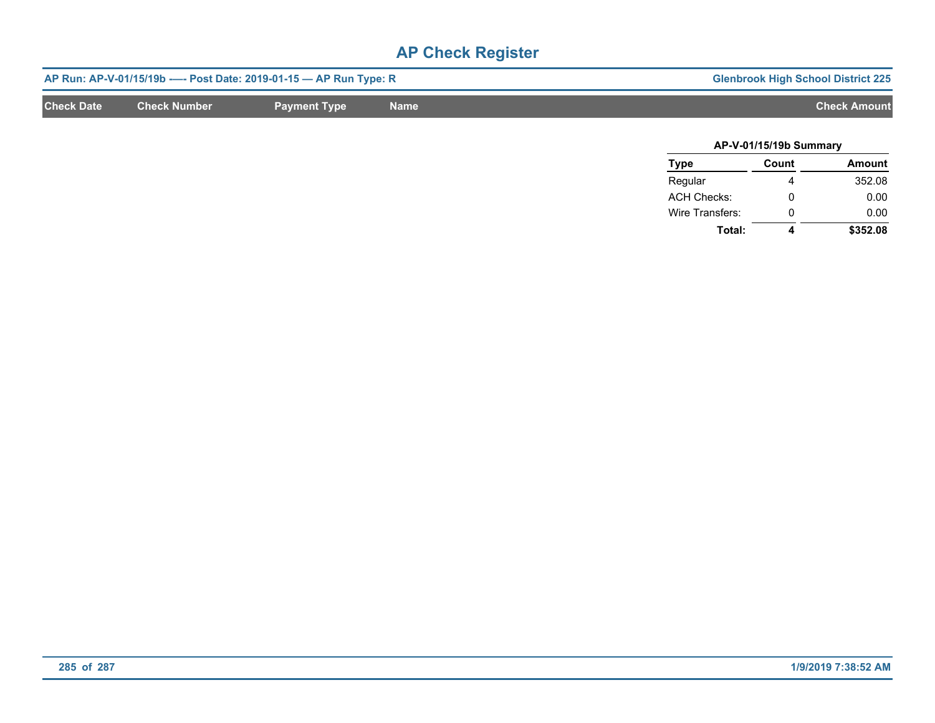|                   |                     | AP Run: AP-V-01/15/19b ---- Post Date: 2019-01-15 -- AP Run Type: R | <b>Glenbrook High School District 225</b> |                     |
|-------------------|---------------------|---------------------------------------------------------------------|-------------------------------------------|---------------------|
| <b>Check Date</b> | <b>Check Number</b> | <b>Payment Type</b>                                                 | <b>Name</b>                               | <b>Check Amount</b> |
|                   |                     |                                                                     |                                           |                     |

| AP-V-01/15/19b Summary |       |               |  |  |  |
|------------------------|-------|---------------|--|--|--|
| <b>Type</b>            | Count | <b>Amount</b> |  |  |  |
| Regular                |       | 352.08        |  |  |  |
| <b>ACH Checks:</b>     | ŋ     | 0.00          |  |  |  |
| Wire Transfers:        | ŋ     | 0.00          |  |  |  |
| Total:                 |       | \$352.08      |  |  |  |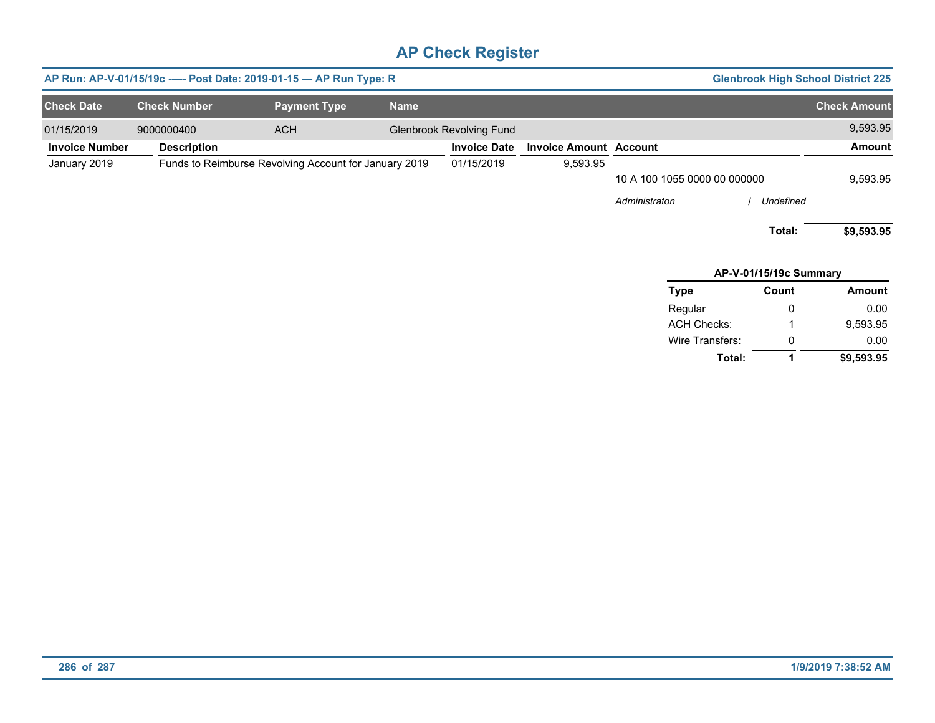| AP Run: AP-V-01/15/19c ---- Post Date: 2019-01-15 - AP Run Type: R<br><b>Glenbrook High School District 225</b> |  |                     |                     |             |                                 |                               |                              |                        |                     |
|-----------------------------------------------------------------------------------------------------------------|--|---------------------|---------------------|-------------|---------------------------------|-------------------------------|------------------------------|------------------------|---------------------|
| <b>Check Date</b>                                                                                               |  | <b>Check Number</b> | <b>Payment Type</b> | <b>Name</b> |                                 |                               |                              |                        | <b>Check Amount</b> |
| 01/15/2019                                                                                                      |  | 9000000400          | <b>ACH</b>          |             | <b>Glenbrook Revolving Fund</b> |                               |                              |                        | 9,593.95            |
| <b>Invoice Number</b>                                                                                           |  | <b>Description</b>  |                     |             | <b>Invoice Date</b>             | <b>Invoice Amount Account</b> |                              |                        | Amount              |
| Funds to Reimburse Revolving Account for January 2019<br>January 2019                                           |  |                     | 01/15/2019          | 9,593.95    |                                 |                               |                              |                        |                     |
|                                                                                                                 |  |                     |                     |             |                                 |                               | 10 A 100 1055 0000 00 000000 |                        |                     |
|                                                                                                                 |  |                     |                     |             |                                 |                               | Administraton                | Undefined              |                     |
|                                                                                                                 |  |                     |                     |             |                                 |                               |                              | Total:                 | \$9,593.95          |
|                                                                                                                 |  |                     |                     |             |                                 |                               |                              | AP-V-01/15/19c Summary |                     |

| Type               | Count | <b>Amount</b> |
|--------------------|-------|---------------|
| Regular            | O     | 0.00          |
| <b>ACH Checks:</b> | 1     | 9.593.95      |
| Wire Transfers:    | O     | 0.00          |
| Total:             | 1     | \$9,593.95    |